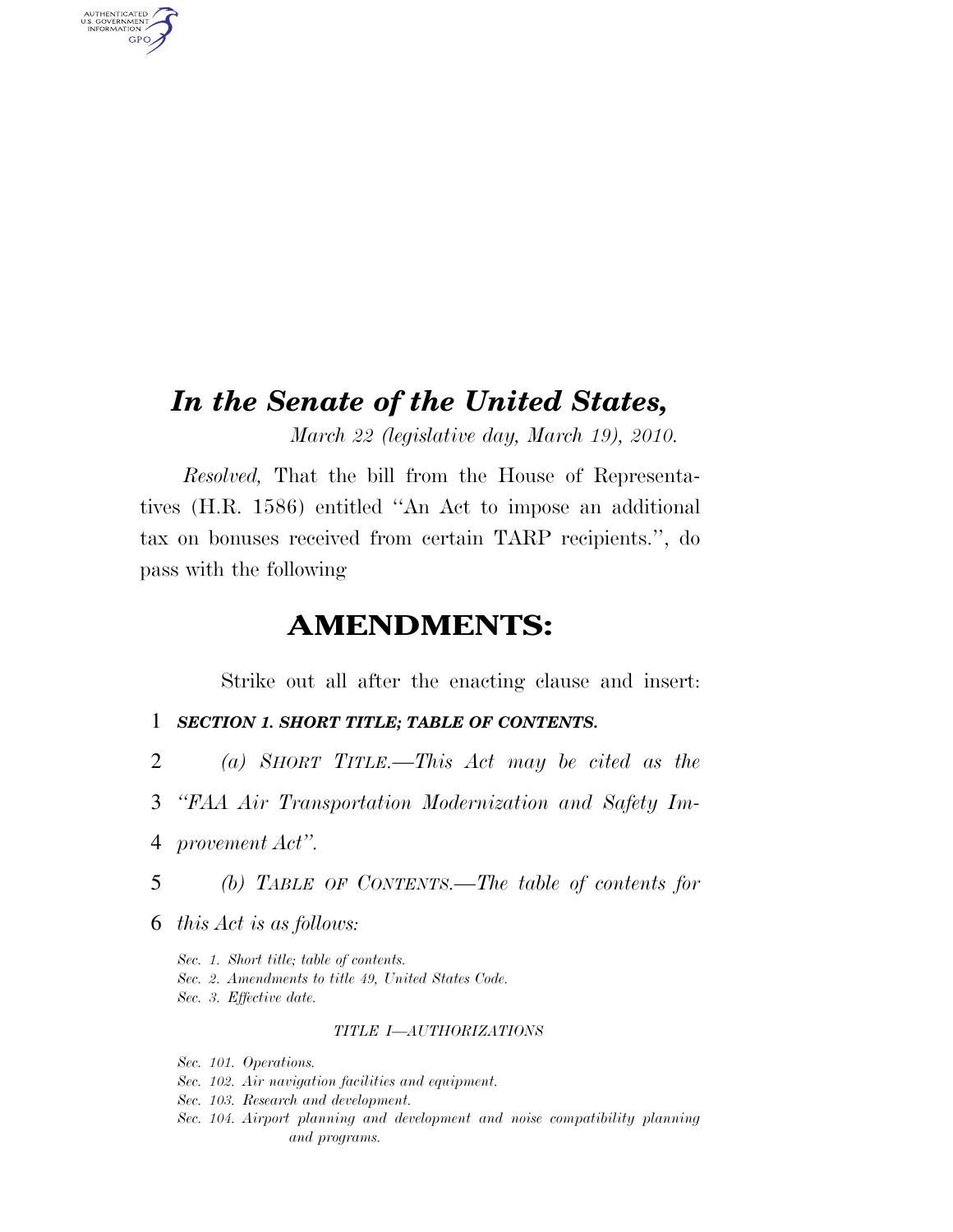# *In the Senate of the United States,*

*March 22 (legislative day, March 19), 2010.* 

*Resolved,* That the bill from the House of Representatives (H.R. 1586) entitled ''An Act to impose an additional tax on bonuses received from certain TARP recipients.'', do pass with the following

# **AMENDMENTS:**

Strike out all after the enacting clause and insert:

# 1 *SECTION 1. SHORT TITLE; TABLE OF CONTENTS.*

- 2 *(a) SHORT TITLE.—This Act may be cited as the*
- 3 *''FAA Air Transportation Modernization and Safety Im-*
- 4 *provement Act''.*

AUTHENTICATED<br>U.S. GOVERNMENT<br>INFORMATION **GPO** 

- 5 *(b) TABLE OF CONTENTS.—The table of contents for*
- 6 *this Act is as follows:* 
	- *Sec. 1. Short title; table of contents.*
	- *Sec. 2. Amendments to title 49, United States Code.*
	- *Sec. 3. Effective date.*

### *TITLE I—AUTHORIZATIONS*

- *Sec. 101. Operations.*
- *Sec. 102. Air navigation facilities and equipment.*
- *Sec. 103. Research and development.*
- Sec. 104. Airport planning and development and noise compatibility planning *and programs.*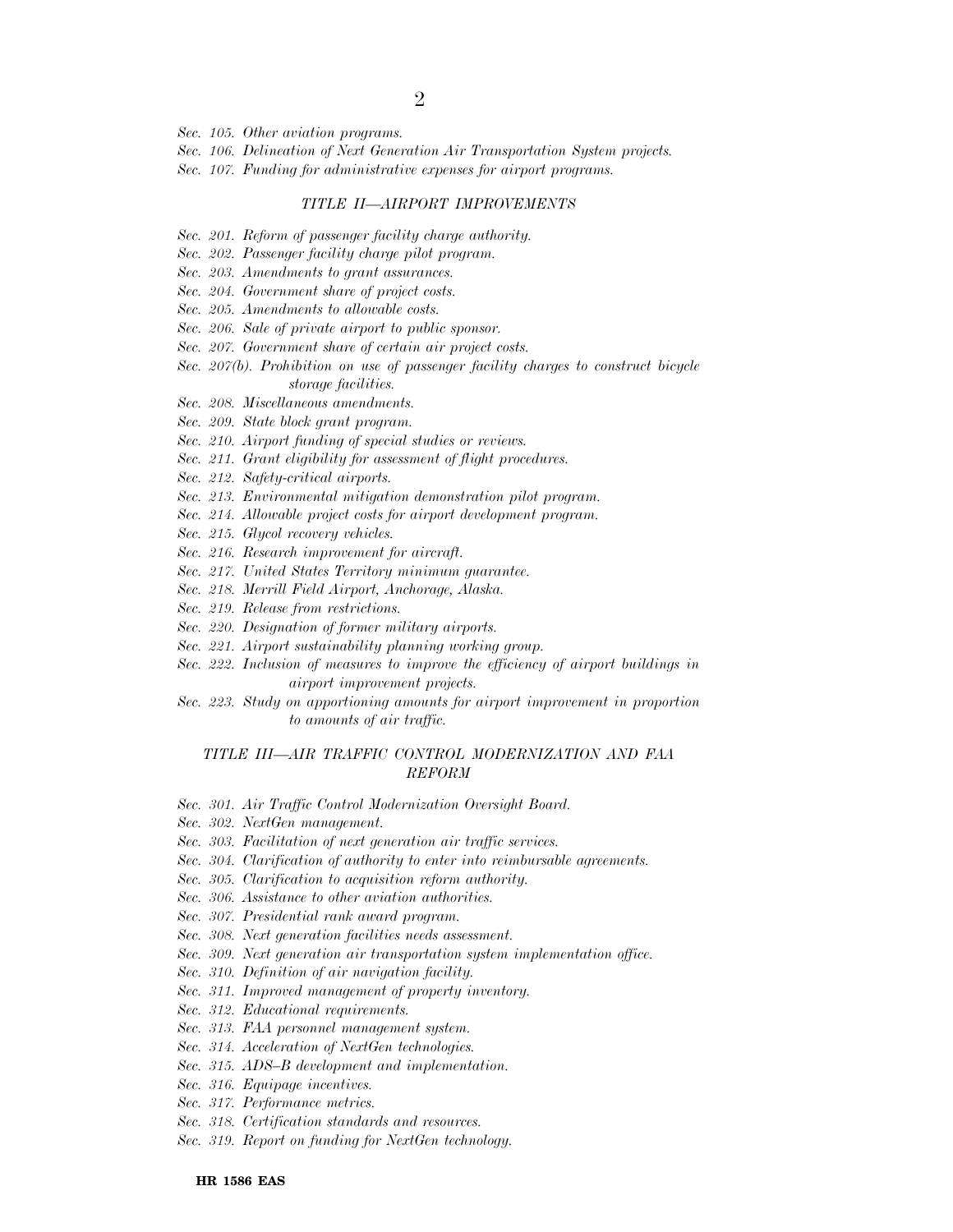- *Sec. 105. Other aviation programs.*
- *Sec. 106. Delineation of Next Generation Air Transportation System projects.*
- *Sec. 107. Funding for administrative expenses for airport programs.*

#### *TITLE II—AIRPORT IMPROVEMENTS*

- *Sec. 201. Reform of passenger facility charge authority.*
- *Sec. 202. Passenger facility charge pilot program.*
- *Sec. 203. Amendments to grant assurances.*
- *Sec. 204. Government share of project costs.*
- *Sec. 205. Amendments to allowable costs.*
- *Sec. 206. Sale of private airport to public sponsor.*
- *Sec. 207. Government share of certain air project costs.*
- *Sec. 207(b). Prohibition on use of passenger facility charges to construct bicycle storage facilities.*
- *Sec. 208. Miscellaneous amendments.*
- *Sec. 209. State block grant program.*
- *Sec. 210. Airport funding of special studies or reviews.*
- *Sec. 211. Grant eligibility for assessment of flight procedures.*
- *Sec. 212. Safety-critical airports.*
- *Sec. 213. Environmental mitigation demonstration pilot program.*
- *Sec. 214. Allowable project costs for airport development program.*
- *Sec. 215. Glycol recovery vehicles.*
- *Sec. 216. Research improvement for aircraft.*
- *Sec. 217. United States Territory minimum guarantee.*
- *Sec. 218. Merrill Field Airport, Anchorage, Alaska.*
- *Sec. 219. Release from restrictions.*
- *Sec. 220. Designation of former military airports.*
- *Sec. 221. Airport sustainability planning working group.*
- *Sec. 222. Inclusion of measures to improve the efficiency of airport buildings in airport improvement projects.*
- *Sec. 223. Study on apportioning amounts for airport improvement in proportion to amounts of air traffic.*

### *TITLE III—AIR TRAFFIC CONTROL MODERNIZATION AND FAA REFORM*

- *Sec. 301. Air Traffic Control Modernization Oversight Board.*
- *Sec. 302. NextGen management.*
- *Sec. 303. Facilitation of next generation air traffic services.*
- *Sec. 304. Clarification of authority to enter into reimbursable agreements.*
- *Sec. 305. Clarification to acquisition reform authority.*
- *Sec. 306. Assistance to other aviation authorities.*
- *Sec. 307. Presidential rank award program.*
- *Sec. 308. Next generation facilities needs assessment.*
- *Sec. 309. Next generation air transportation system implementation office.*
- *Sec. 310. Definition of air navigation facility.*
- *Sec. 311. Improved management of property inventory.*
- *Sec. 312. Educational requirements.*
- *Sec. 313. FAA personnel management system.*
- *Sec. 314. Acceleration of NextGen technologies.*
- *Sec. 315. ADS–B development and implementation.*
- *Sec. 316. Equipage incentives.*
- *Sec. 317. Performance metrics.*
- *Sec. 318. Certification standards and resources.*
- *Sec. 319. Report on funding for NextGen technology.*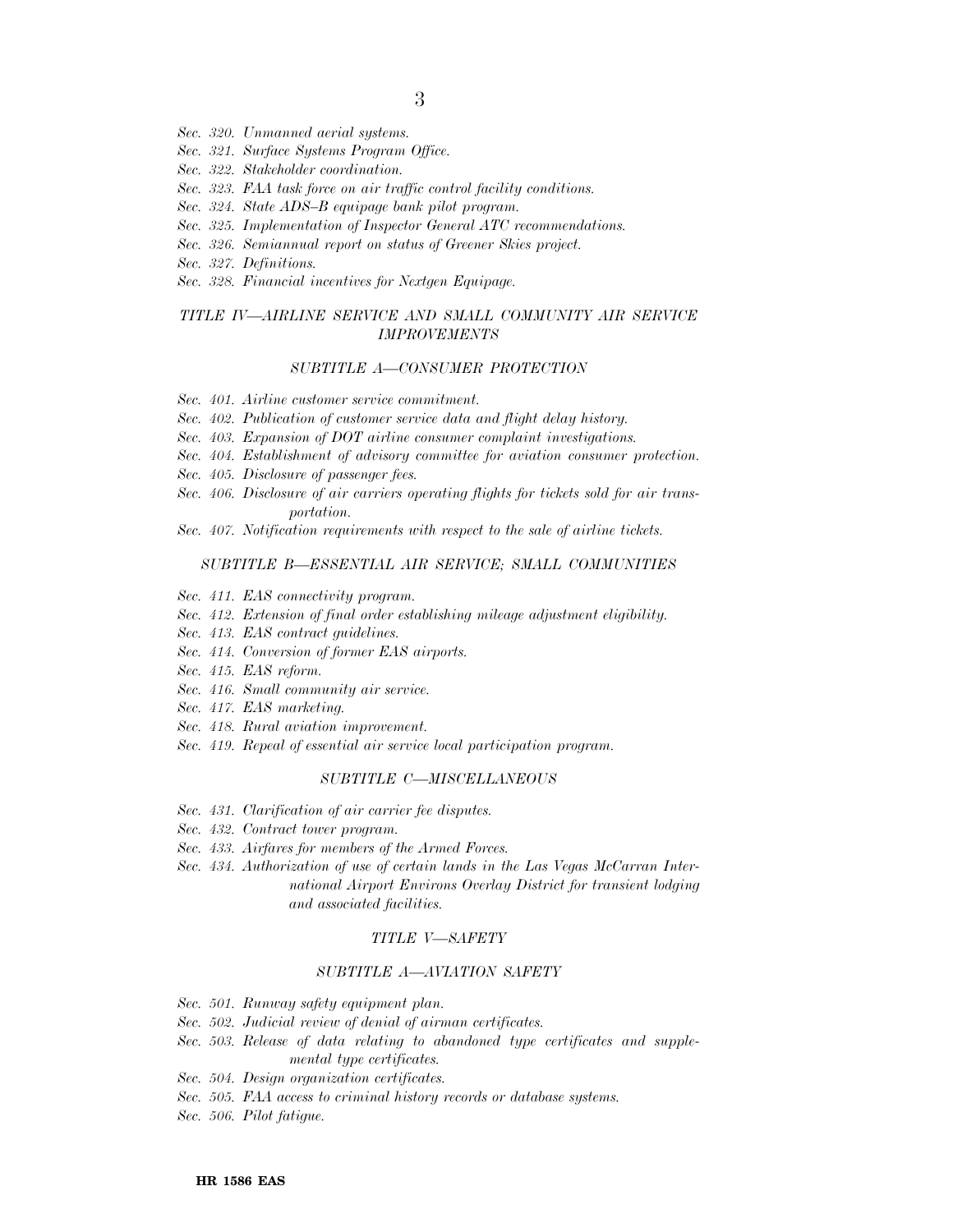3

- *Sec. 320. Unmanned aerial systems.*
- *Sec. 321. Surface Systems Program Office.*
- *Sec. 322. Stakeholder coordination.*
- *Sec. 323. FAA task force on air traffic control facility conditions.*
- *Sec. 324. State ADS–B equipage bank pilot program.*
- *Sec. 325. Implementation of Inspector General ATC recommendations.*
- *Sec. 326. Semiannual report on status of Greener Skies project.*
- *Sec. 327. Definitions.*
- *Sec. 328. Financial incentives for Nextgen Equipage.*

### *TITLE IV—AIRLINE SERVICE AND SMALL COMMUNITY AIR SERVICE IMPROVEMENTS*

#### *SUBTITLE A—CONSUMER PROTECTION*

- *Sec. 401. Airline customer service commitment.*
- *Sec. 402. Publication of customer service data and flight delay history.*
- *Sec. 403. Expansion of DOT airline consumer complaint investigations.*
- *Sec. 404. Establishment of advisory committee for aviation consumer protection.*
- *Sec. 405. Disclosure of passenger fees.*
- *Sec. 406. Disclosure of air carriers operating flights for tickets sold for air transportation.*
- *Sec. 407. Notification requirements with respect to the sale of airline tickets.*

### *SUBTITLE B—ESSENTIAL AIR SERVICE; SMALL COMMUNITIES*

- *Sec. 411. EAS connectivity program.*
- *Sec. 412. Extension of final order establishing mileage adjustment eligibility.*
- *Sec. 413. EAS contract guidelines.*
- *Sec. 414. Conversion of former EAS airports.*
- *Sec. 415. EAS reform.*
- *Sec. 416. Small community air service.*
- *Sec. 417. EAS marketing.*
- *Sec. 418. Rural aviation improvement.*
- *Sec. 419. Repeal of essential air service local participation program.*

### *SUBTITLE C—MISCELLANEOUS*

- *Sec. 431. Clarification of air carrier fee disputes.*
- *Sec. 432. Contract tower program.*
- *Sec. 433. Airfares for members of the Armed Forces.*
- *Sec. 434. Authorization of use of certain lands in the Las Vegas McCarran International Airport Environs Overlay District for transient lodging and associated facilities.*

#### *TITLE V—SAFETY*

#### *SUBTITLE A—AVIATION SAFETY*

- *Sec. 501. Runway safety equipment plan.*
- *Sec. 502. Judicial review of denial of airman certificates.*
- *Sec. 503. Release of data relating to abandoned type certificates and supplemental type certificates.*
- *Sec. 504. Design organization certificates.*
- *Sec. 505. FAA access to criminal history records or database systems.*
- *Sec. 506. Pilot fatigue.*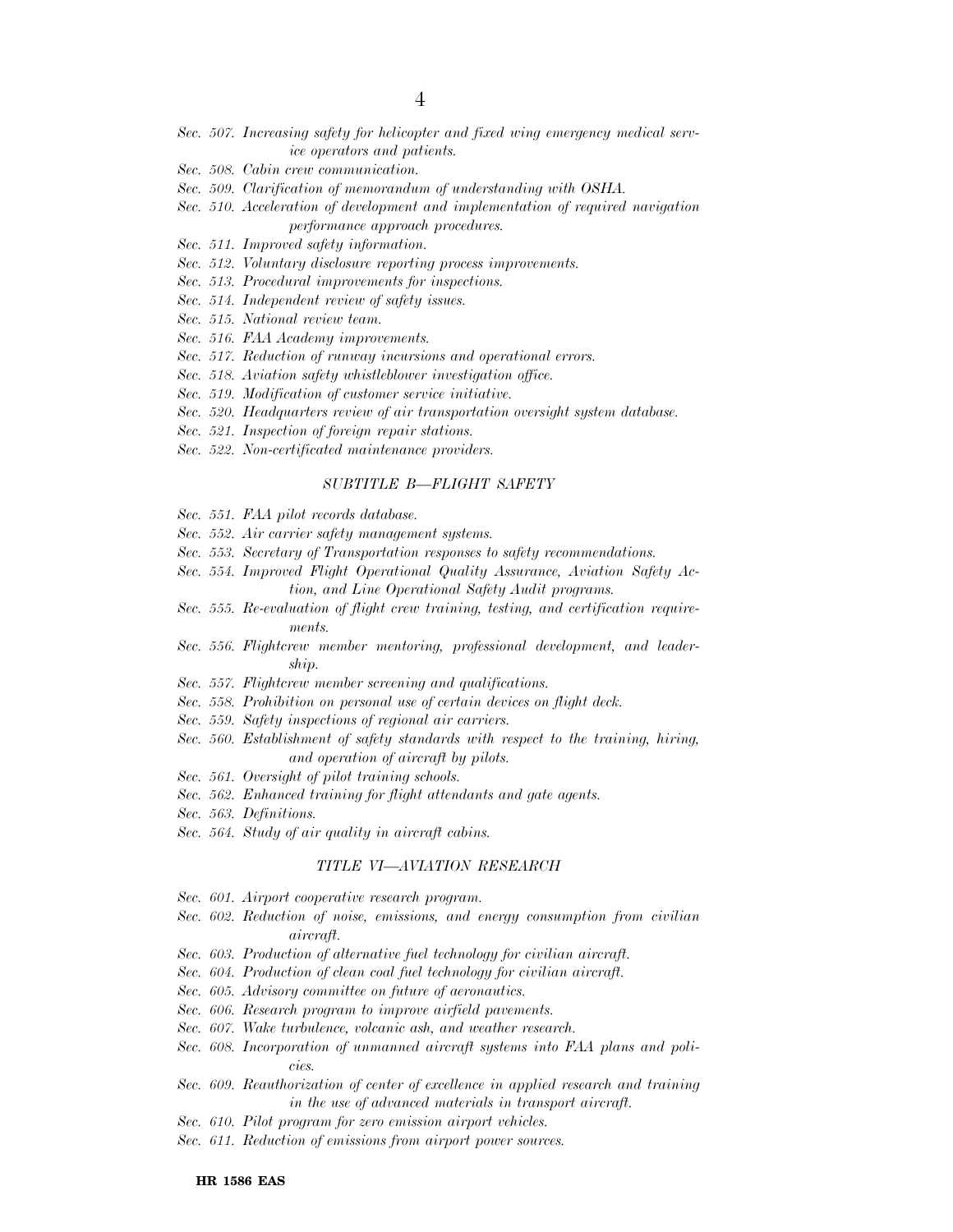- *Sec. 507. Increasing safety for helicopter and fixed wing emergency medical service operators and patients.*
- *Sec. 508. Cabin crew communication.*
- *Sec. 509. Clarification of memorandum of understanding with OSHA.*
- *Sec. 510. Acceleration of development and implementation of required navigation performance approach procedures.*
- *Sec. 511. Improved safety information.*
- *Sec. 512. Voluntary disclosure reporting process improvements.*
- *Sec. 513. Procedural improvements for inspections.*
- *Sec. 514. Independent review of safety issues.*
- *Sec. 515. National review team.*
- *Sec. 516. FAA Academy improvements.*
- *Sec. 517. Reduction of runway incursions and operational errors.*
- *Sec. 518. Aviation safety whistleblower investigation office.*
- *Sec. 519. Modification of customer service initiative.*
- *Sec. 520. Headquarters review of air transportation oversight system database.*
- *Sec. 521. Inspection of foreign repair stations.*
- *Sec. 522. Non-certificated maintenance providers.*

#### *SUBTITLE B—FLIGHT SAFETY*

- *Sec. 551. FAA pilot records database.*
- *Sec. 552. Air carrier safety management systems.*
- *Sec. 553. Secretary of Transportation responses to safety recommendations.*
- *Sec. 554. Improved Flight Operational Quality Assurance, Aviation Safety Action, and Line Operational Safety Audit programs.*
- *Sec. 555. Re-evaluation of flight crew training, testing, and certification requirements.*
- *Sec. 556. Flightcrew member mentoring, professional development, and leadership.*
- *Sec. 557. Flightcrew member screening and qualifications.*
- *Sec. 558. Prohibition on personal use of certain devices on flight deck.*
- *Sec. 559. Safety inspections of regional air carriers.*
- *Sec. 560. Establishment of safety standards with respect to the training, hiring, and operation of aircraft by pilots.*
- *Sec. 561. Oversight of pilot training schools.*
- *Sec. 562. Enhanced training for flight attendants and gate agents.*
- *Sec. 563. Definitions.*
- *Sec. 564. Study of air quality in aircraft cabins.*

### *TITLE VI—AVIATION RESEARCH*

- *Sec. 601. Airport cooperative research program.*
- *Sec. 602. Reduction of noise, emissions, and energy consumption from civilian aircraft.*
- *Sec. 603. Production of alternative fuel technology for civilian aircraft.*
- *Sec. 604. Production of clean coal fuel technology for civilian aircraft.*
- *Sec. 605. Advisory committee on future of aeronautics.*
- *Sec. 606. Research program to improve airfield pavements.*
- *Sec. 607. Wake turbulence, volcanic ash, and weather research.*
- *Sec. 608. Incorporation of unmanned aircraft systems into FAA plans and policies.*
- *Sec. 609. Reauthorization of center of excellence in applied research and training in the use of advanced materials in transport aircraft.*
- *Sec. 610. Pilot program for zero emission airport vehicles.*
- *Sec. 611. Reduction of emissions from airport power sources.*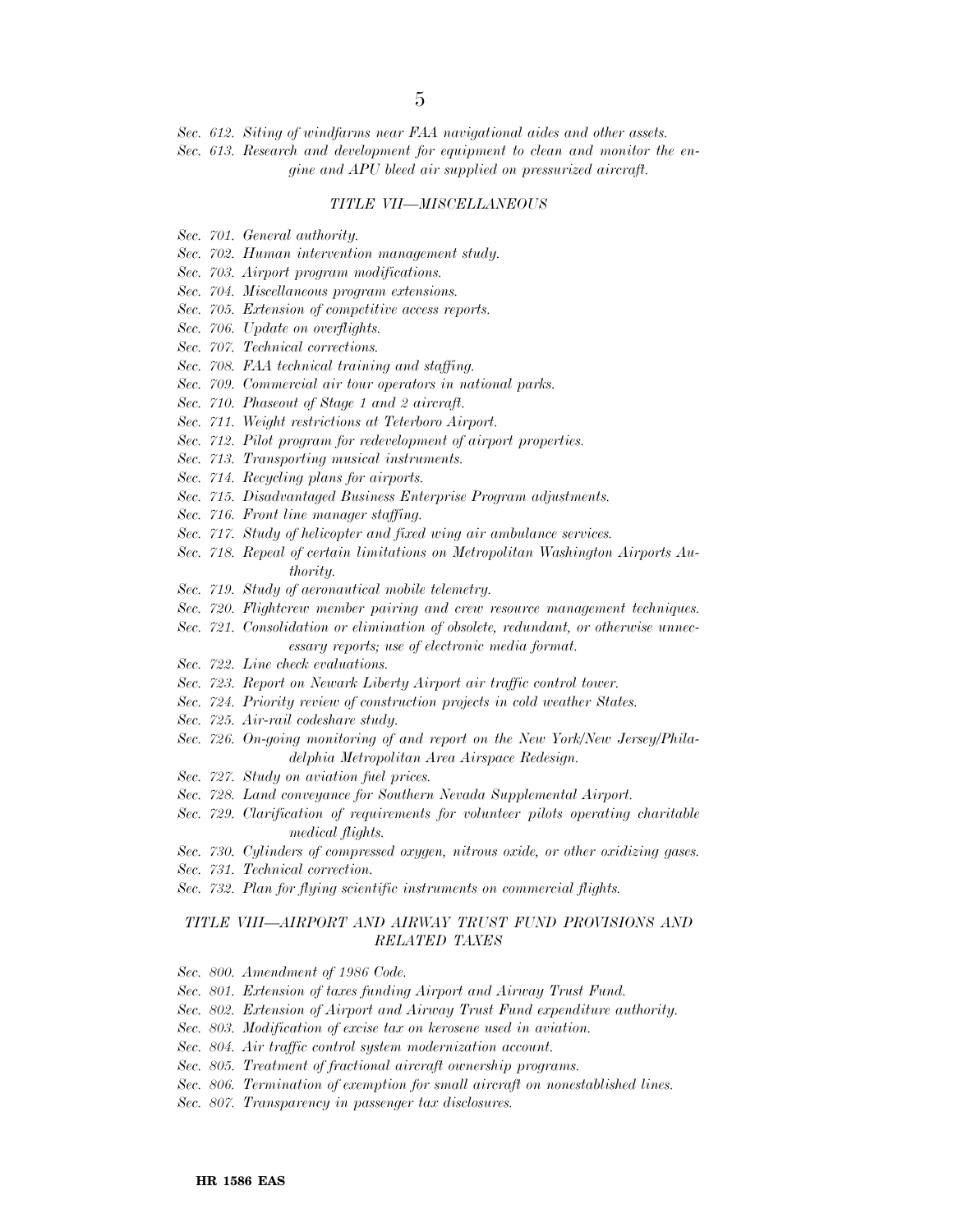*Sec. 612. Siting of windfarms near FAA navigational aides and other assets.* 

*Sec. 613. Research and development for equipment to clean and monitor the engine and APU bleed air supplied on pressurized aircraft.* 

#### *TITLE VII—MISCELLANEOUS*

- *Sec. 701. General authority.*
- *Sec. 702. Human intervention management study.*
- *Sec. 703. Airport program modifications.*
- *Sec. 704. Miscellaneous program extensions.*
- *Sec. 705. Extension of competitive access reports.*
- *Sec. 706. Update on overflights.*
- *Sec. 707. Technical corrections.*
- *Sec. 708. FAA technical training and staffing.*
- *Sec. 709. Commercial air tour operators in national parks.*
- *Sec. 710. Phaseout of Stage 1 and 2 aircraft.*
- *Sec. 711. Weight restrictions at Teterboro Airport.*
- *Sec. 712. Pilot program for redevelopment of airport properties.*
- *Sec. 713. Transporting musical instruments.*
- *Sec. 714. Recycling plans for airports.*
- *Sec. 715. Disadvantaged Business Enterprise Program adjustments.*
- *Sec. 716. Front line manager staffing.*
- *Sec. 717. Study of helicopter and fixed wing air ambulance services.*
- *Sec. 718. Repeal of certain limitations on Metropolitan Washington Airports Authority.*
- *Sec. 719. Study of aeronautical mobile telemetry.*
- *Sec. 720. Flightcrew member pairing and crew resource management techniques.*
- *Sec. 721. Consolidation or elimination of obsolete, redundant, or otherwise unnecessary reports; use of electronic media format.*
- *Sec. 722. Line check evaluations.*
- *Sec. 723. Report on Newark Liberty Airport air traffic control tower.*
- *Sec. 724. Priority review of construction projects in cold weather States.*
- *Sec. 725. Air-rail codeshare study.*
- *Sec. 726. On-going monitoring of and report on the New York/New Jersey/Philadelphia Metropolitan Area Airspace Redesign.*
- *Sec. 727. Study on aviation fuel prices.*
- *Sec. 728. Land conveyance for Southern Nevada Supplemental Airport.*
- *Sec. 729. Clarification of requirements for volunteer pilots operating charitable medical flights.*
- *Sec. 730. Cylinders of compressed oxygen, nitrous oxide, or other oxidizing gases.*
- *Sec. 731. Technical correction.*
- *Sec. 732. Plan for flying scientific instruments on commercial flights.*

## *TITLE VIII—AIRPORT AND AIRWAY TRUST FUND PROVISIONS AND RELATED TAXES*

- *Sec. 800. Amendment of 1986 Code.*
- *Sec. 801. Extension of taxes funding Airport and Airway Trust Fund.*
- *Sec. 802. Extension of Airport and Airway Trust Fund expenditure authority.*
- *Sec. 803. Modification of excise tax on kerosene used in aviation.*
- *Sec. 804. Air traffic control system modernization account.*
- *Sec. 805. Treatment of fractional aircraft ownership programs.*
- *Sec. 806. Termination of exemption for small aircraft on nonestablished lines.*
- *Sec. 807. Transparency in passenger tax disclosures.*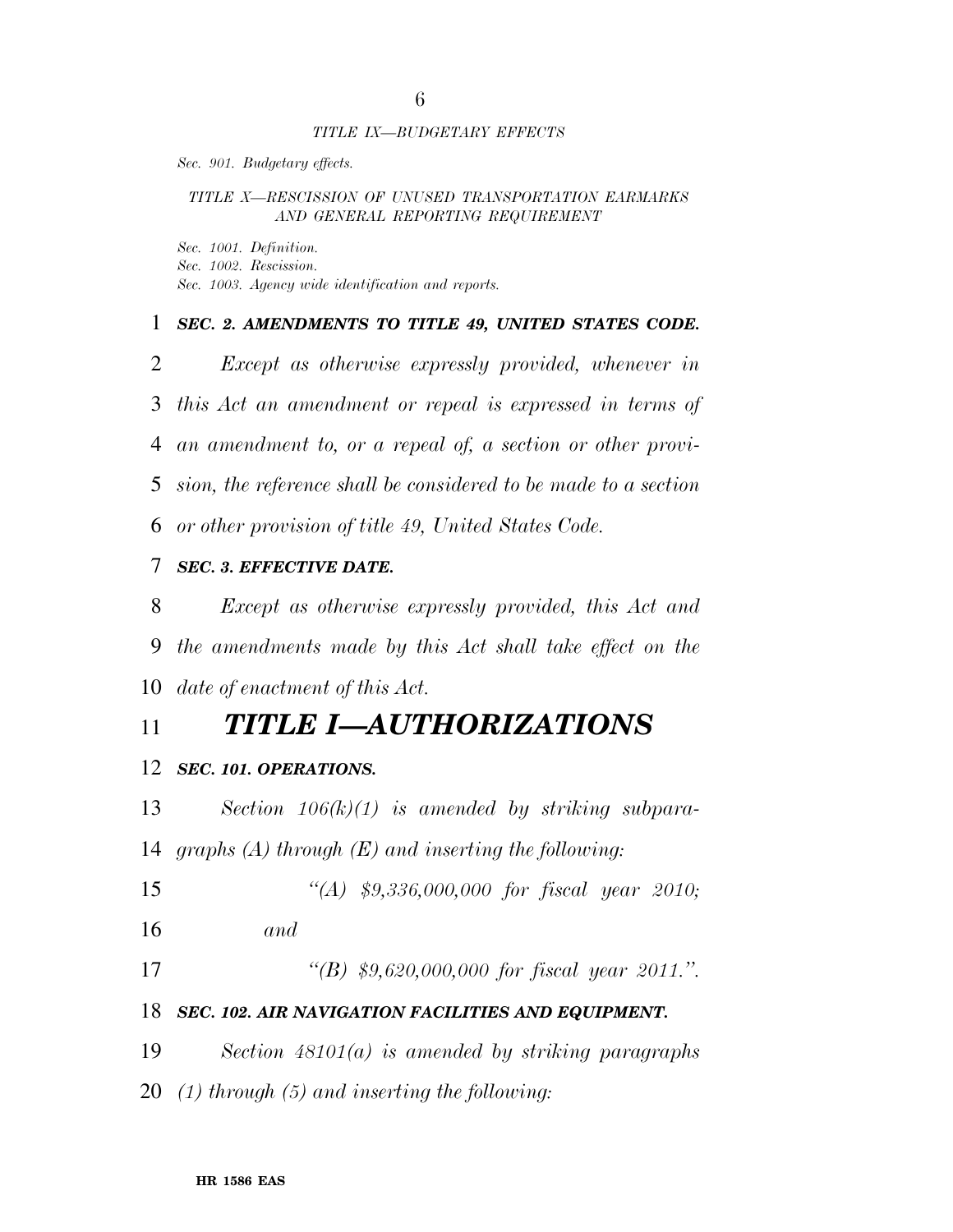## *TITLE IX—BUDGETARY EFFECTS*

*Sec. 901. Budgetary effects.* 

## *TITLE X—RESCISSION OF UNUSED TRANSPORTATION EARMARKS AND GENERAL REPORTING REQUIREMENT*

*Sec. 1001. Definition.* 

*Sec. 1002. Rescission.* 

*Sec. 1003. Agency wide identification and reports.* 

## *SEC. 2. AMENDMENTS TO TITLE 49, UNITED STATES CODE.*

 *Except as otherwise expressly provided, whenever in this Act an amendment or repeal is expressed in terms of an amendment to, or a repeal of, a section or other provi- sion, the reference shall be considered to be made to a section or other provision of title 49, United States Code.* 

# *SEC. 3. EFFECTIVE DATE.*

 *Except as otherwise expressly provided, this Act and the amendments made by this Act shall take effect on the date of enactment of this Act.* 

# *TITLE I—AUTHORIZATIONS*

## *SEC. 101. OPERATIONS.*

 *Section 106(k)(1) is amended by striking subpara-graphs (A) through (E) and inserting the following:* 

- *''(A) \$9,336,000,000 for fiscal year 2010;*
- *and*
- *''(B) \$9,620,000,000 for fiscal year 2011.''.*
- *SEC. 102. AIR NAVIGATION FACILITIES AND EQUIPMENT.*
- *Section 48101(a) is amended by striking paragraphs*
- *(1) through (5) and inserting the following:*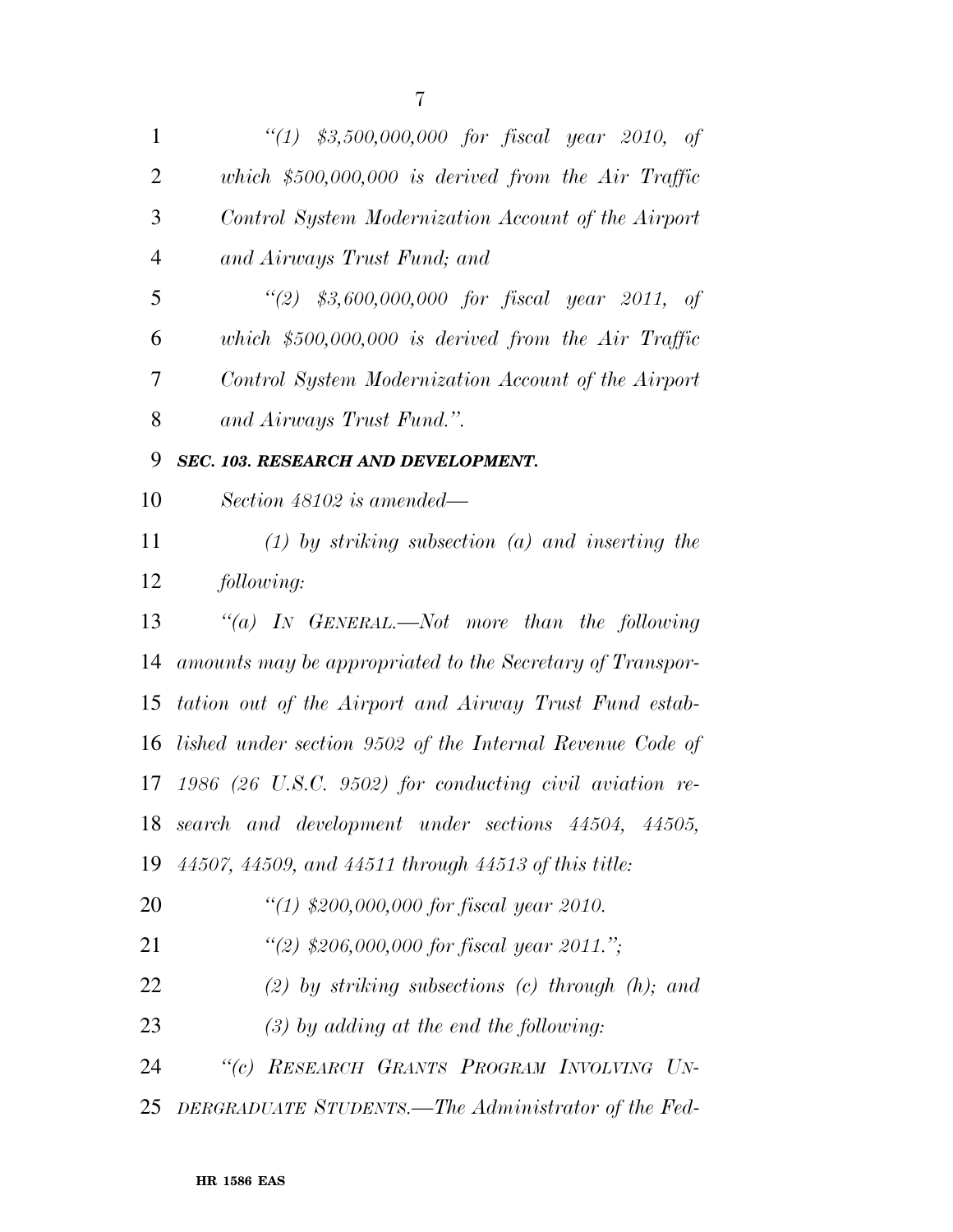| 1              | "(1) $$3,500,000,000$ for fiscal year 2010, of            |
|----------------|-----------------------------------------------------------|
| $\overline{2}$ | which $$500,000,000$ is derived from the Air Traffic      |
| 3              | Control System Modernization Account of the Airport       |
| $\overline{4}$ | and Airways Trust Fund; and                               |
| 5              | $\frac{1}{2}$ \$3,600,000,000 for fiscal year 2011, of    |
| 6              | which $$500,000,000$ is derived from the Air Traffic      |
| 7              | Control System Modernization Account of the Airport       |
| 8              | and Airways Trust Fund.".                                 |
| 9              | SEC. 103. RESEARCH AND DEVELOPMENT.                       |
| 10             | Section 48102 is amended—                                 |
| 11             | $(1)$ by striking subsection $(a)$ and inserting the      |
| 12             | following:                                                |
| 13             | "(a) IN GENERAL.—Not more than the following              |
| 14             | amounts may be appropriated to the Secretary of Transpor- |
| 15             | tation out of the Airport and Airway Trust Fund estab-    |
| 16             | lished under section 9502 of the Internal Revenue Code of |
| 17             | $1986$ (26 U.S.C. 9502) for conducting civil aviation re- |
|                | 18 search and development under sections 44504, 44505,    |
| 19             | 44507, 44509, and 44511 through 44513 of this title:      |
| 20             | "(1) $$200,000,000$ for fiscal year 2010.                 |
| 21             | "(2) $$206,000,000$ for fiscal year 2011.";               |
| 22             | $(2)$ by striking subsections $(c)$ through $(h)$ ; and   |
| 23             | $(3)$ by adding at the end the following:                 |
| 24             | "(c) RESEARCH GRANTS PROGRAM INVOLVING UN-                |
|                |                                                           |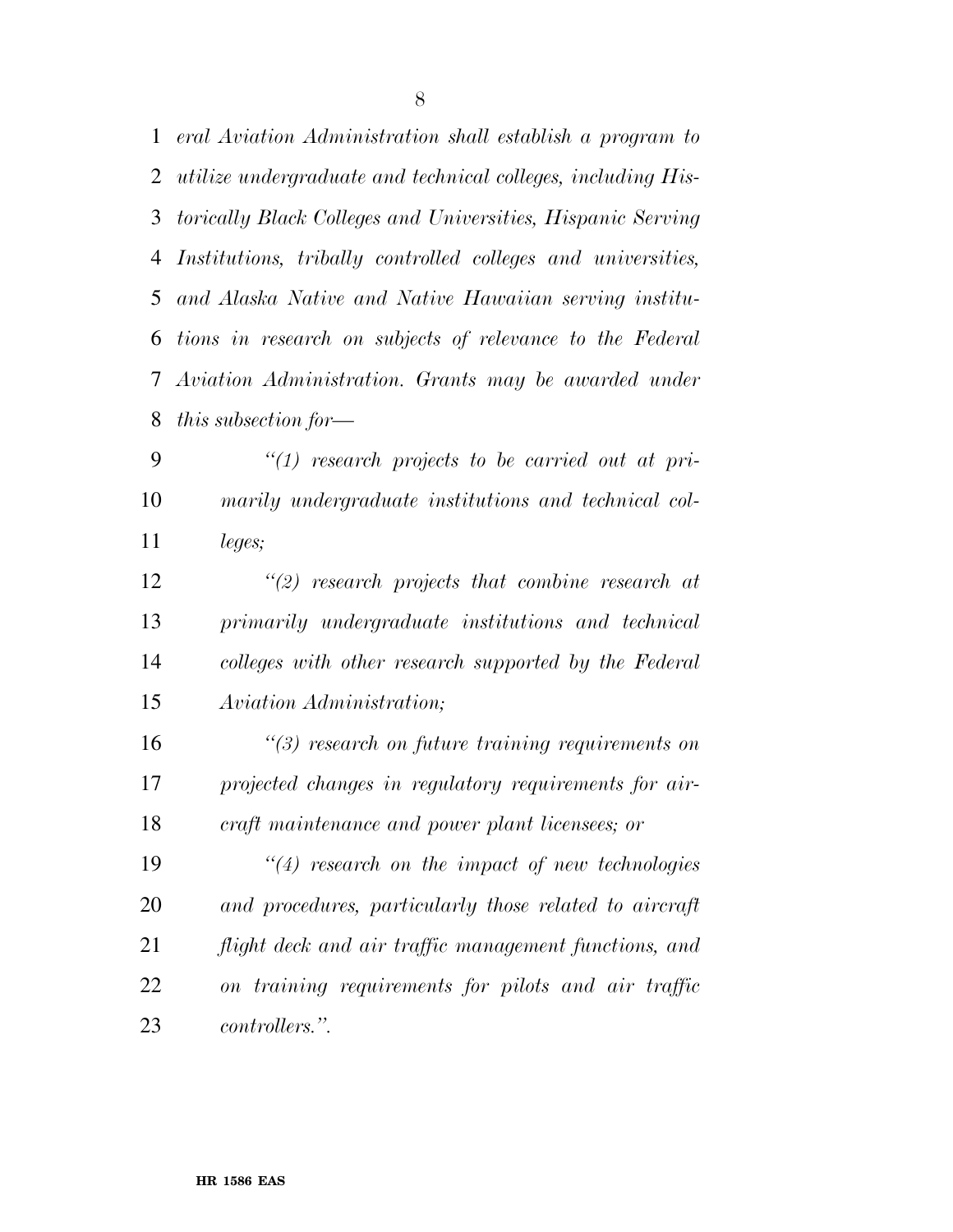*eral Aviation Administration shall establish a program to utilize undergraduate and technical colleges, including His- torically Black Colleges and Universities, Hispanic Serving Institutions, tribally controlled colleges and universities, and Alaska Native and Native Hawaiian serving institu- tions in research on subjects of relevance to the Federal Aviation Administration. Grants may be awarded under this subsection for—* 

 *''(1) research projects to be carried out at pri- marily undergraduate institutions and technical col-leges;* 

 *''(2) research projects that combine research at primarily undergraduate institutions and technical colleges with other research supported by the Federal Aviation Administration;* 

 *''(3) research on future training requirements on projected changes in regulatory requirements for air-craft maintenance and power plant licensees; or* 

 *''(4) research on the impact of new technologies and procedures, particularly those related to aircraft flight deck and air traffic management functions, and on training requirements for pilots and air traffic controllers.''.*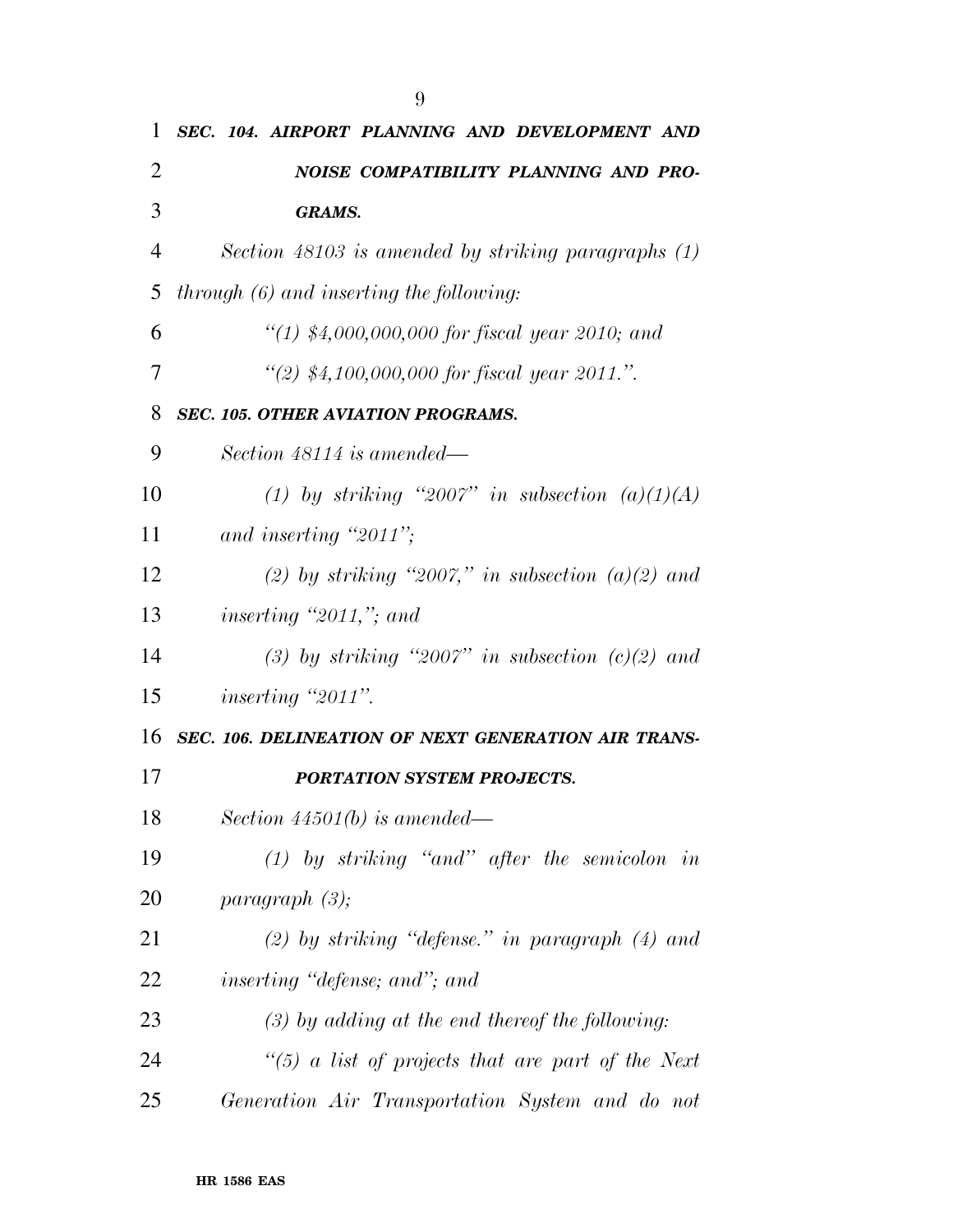| 1              | SEC. 104. AIRPORT PLANNING AND DEVELOPMENT AND                                                 |
|----------------|------------------------------------------------------------------------------------------------|
| 2              | NOISE COMPATIBILITY PLANNING AND PRO-                                                          |
| 3              | <b>GRAMS.</b>                                                                                  |
| $\overline{4}$ | Section 48103 is amended by striking paragraphs (1)                                            |
| 5              | $through (6) and inserting the following:\n\n\begin{bmatrix}\n a & b \\ c & d\n \end{bmatrix}$ |
| 6              | "(1) $$4,000,000,000$ for fiscal year 2010; and                                                |
| 7              | "(2) $$4,100,000,000$ for fiscal year 2011.".                                                  |
| 8              | <b>SEC. 105. OTHER AVIATION PROGRAMS.</b>                                                      |
| 9              | Section 48114 is amended—                                                                      |
| 10             | (1) by striking "2007" in subsection $(a)(1)(A)$                                               |
| 11             | and inserting "2011";                                                                          |
| 12             | (2) by striking "2007," in subsection $(a)(2)$ and                                             |
| 13             | inserting "2011,"; and                                                                         |
| 14             | (3) by striking "2007" in subsection $(c)(2)$ and                                              |
| 15             | <i>inserting</i> "2011".                                                                       |
| 16             | SEC. 106. DELINEATION OF NEXT GENERATION AIR TRANS-                                            |
| 17             | <b>PORTATION SYSTEM PROJECTS.</b>                                                              |
| 18             | Section $44501(b)$ is amended—                                                                 |
| 19             | $(1)$ by striking "and" after the semicolon in                                                 |
| 20             | paragnath(3);                                                                                  |
| 21             | $(2)$ by striking "defense." in paragraph $(4)$ and                                            |
| 22             | <i>inserting "defense; and"; and</i>                                                           |
| 23             | $(3)$ by adding at the end thereof the following:                                              |
| 24             | "(5) a list of projects that are part of the Next"                                             |
| 25             | Generation Air Transportation System and do not                                                |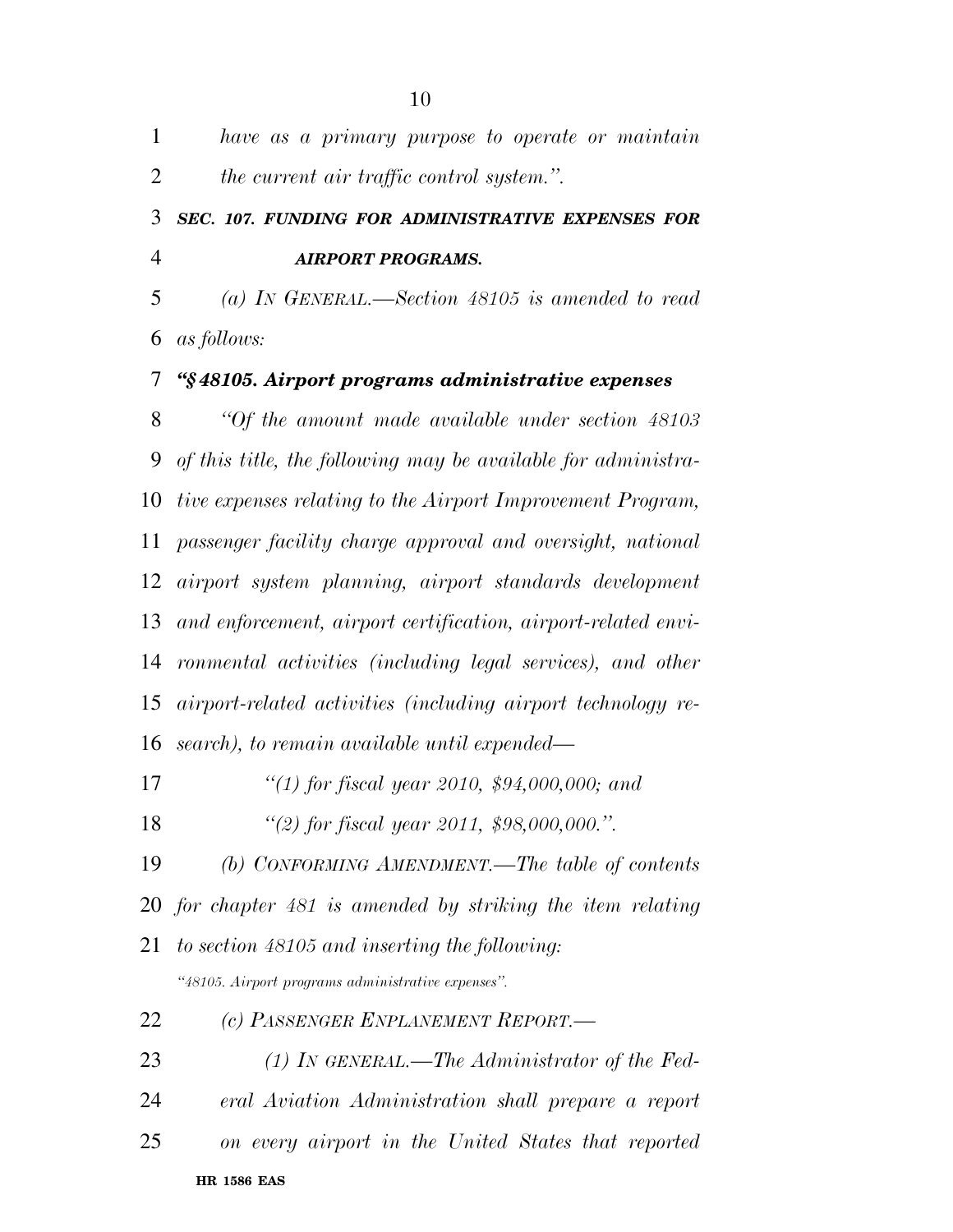*have as a primary purpose to operate or maintain the current air traffic control system.''.* 

# *SEC. 107. FUNDING FOR ADMINISTRATIVE EXPENSES FOR AIRPORT PROGRAMS.*

 *(a) IN GENERAL.—Section 48105 is amended to read as follows:* 

*''§ 48105. Airport programs administrative expenses* 

 *''Of the amount made available under section 48103 of this title, the following may be available for administra- tive expenses relating to the Airport Improvement Program, passenger facility charge approval and oversight, national airport system planning, airport standards development and enforcement, airport certification, airport-related envi- ronmental activities (including legal services), and other airport-related activities (including airport technology re-search), to remain available until expended—* 

*''(1) for fiscal year 2010, \$94,000,000; and* 

*''(2) for fiscal year 2011, \$98,000,000.''.* 

 *(b) CONFORMING AMENDMENT.—The table of contents for chapter 481 is amended by striking the item relating to section 48105 and inserting the following:* 

*''48105. Airport programs administrative expenses''.* 

*(c) PASSENGER ENPLANEMENT REPORT.—* 

**HR 1586 EAS**  *(1) IN GENERAL.—The Administrator of the Fed- eral Aviation Administration shall prepare a report on every airport in the United States that reported*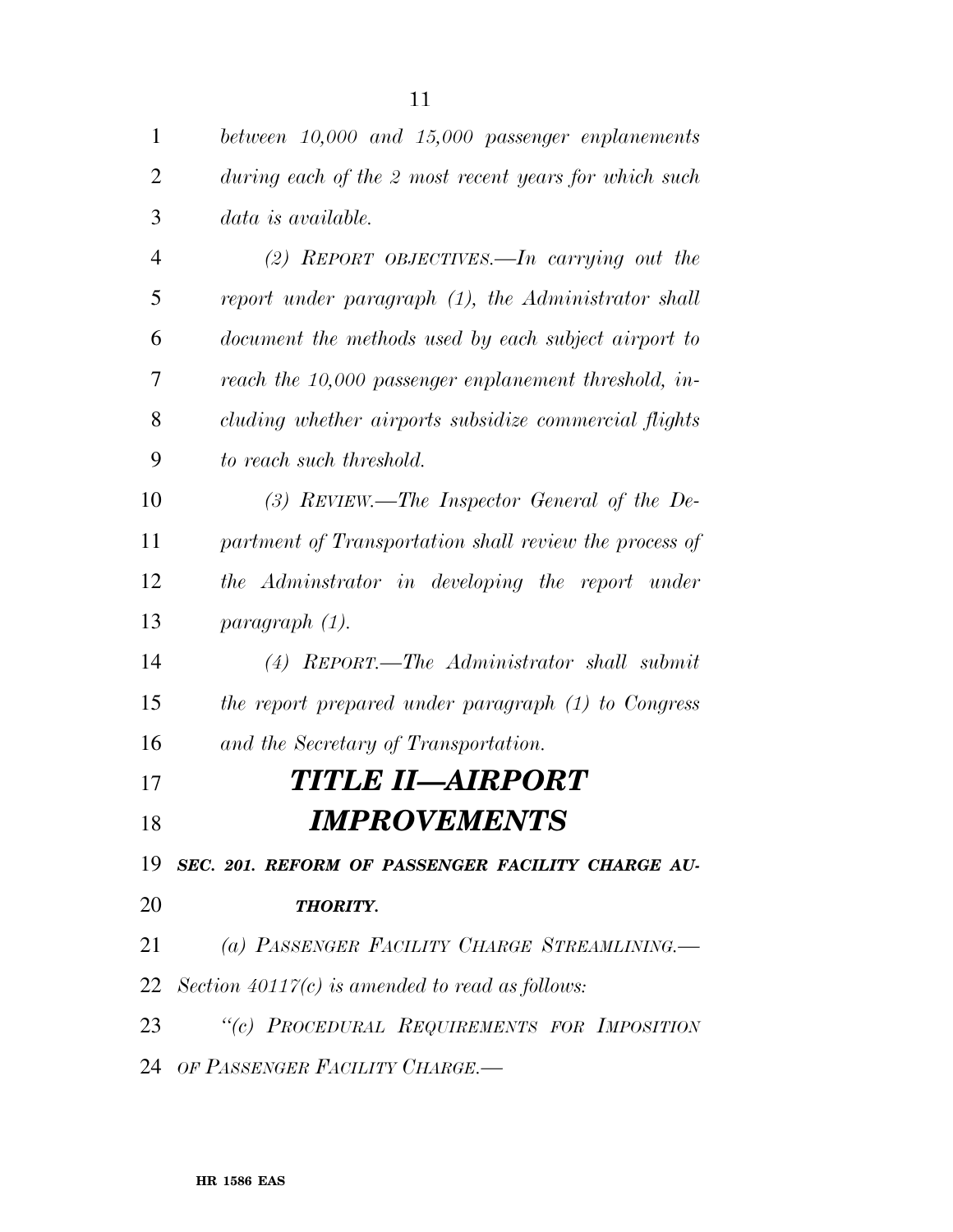*between 10,000 and 15,000 passenger enplanements during each of the 2 most recent years for which such data is available.* 

 *(2) REPORT OBJECTIVES.—In carrying out the report under paragraph (1), the Administrator shall document the methods used by each subject airport to reach the 10,000 passenger enplanement threshold, in- cluding whether airports subsidize commercial flights to reach such threshold.* 

 *(3) REVIEW.—The Inspector General of the De- partment of Transportation shall review the process of the Adminstrator in developing the report under paragraph (1).* 

 *(4) REPORT.—The Administrator shall submit the report prepared under paragraph (1) to Congress and the Secretary of Transportation.* 

# *TITLE II—AIRPORT IMPROVEMENTS*

*SEC. 201. REFORM OF PASSENGER FACILITY CHARGE AU-*

# *THORITY.*

*(a) PASSENGER FACILITY CHARGE STREAMLINING.—* 

- *Section 40117(c) is amended to read as follows:*
- *''(c) PROCEDURAL REQUIREMENTS FOR IMPOSITION*
- *OF PASSENGER FACILITY CHARGE.—*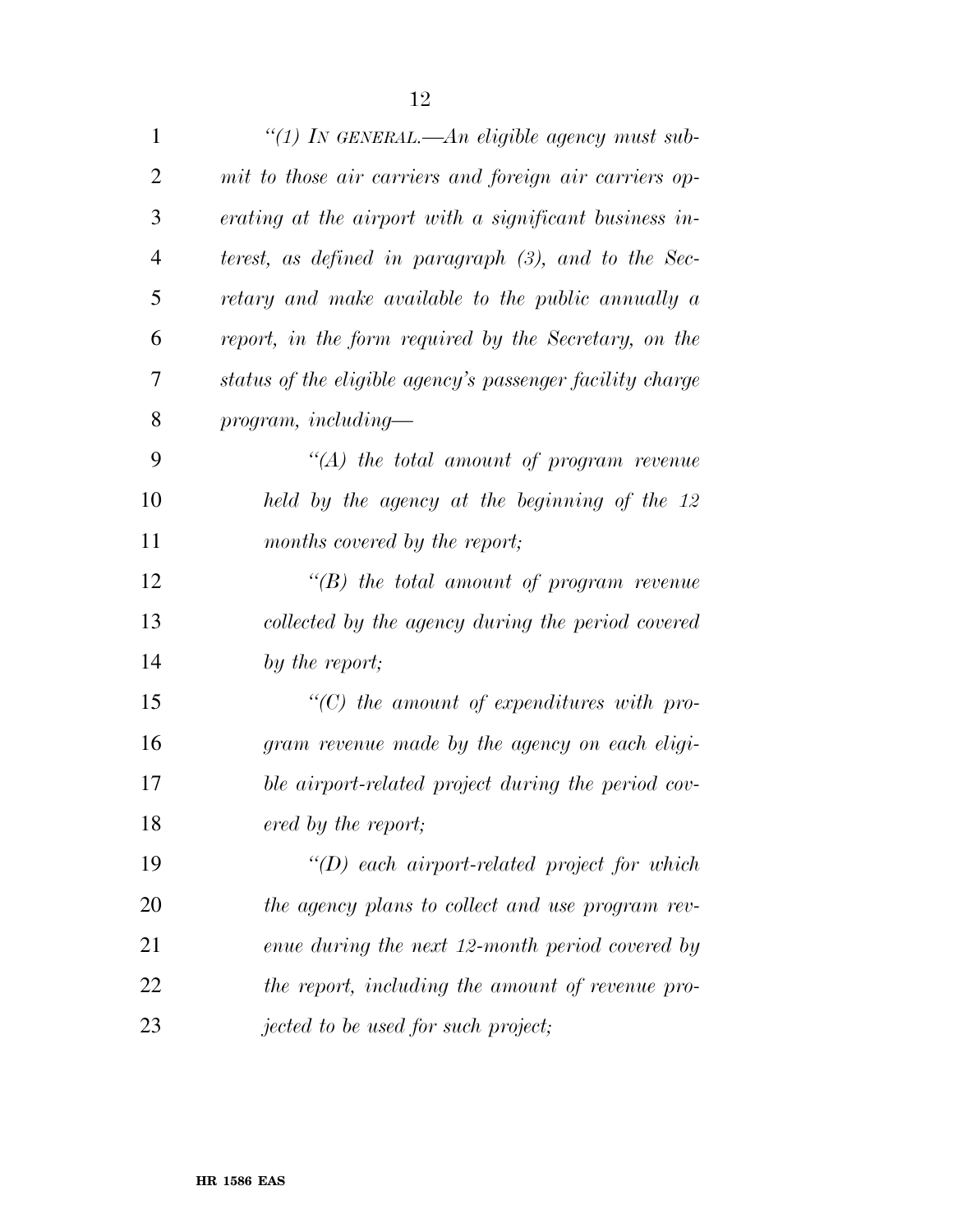| $\mathbf{1}$ | "(1) In GENERAL.—An eligible agency must sub-             |
|--------------|-----------------------------------------------------------|
| 2            | mit to those air carriers and foreign air carriers op-    |
| 3            | erating at the airport with a significant business in-    |
| 4            | terest, as defined in paragraph $(3)$ , and to the Sec-   |
| 5            | retary and make available to the public annually a        |
| 6            | report, in the form required by the Secretary, on the     |
| 7            | status of the eligible agency's passenger facility charge |
| 8            | $program, including-$                                     |
| 9            | $\lq (A)$ the total amount of program revenue             |
| 10           | held by the agency at the beginning of the 12             |
| 11           | months covered by the report;                             |
| 12           | $\lq\lq(B)$ the total amount of program revenue           |
| 13           | collected by the agency during the period covered         |
| 14           | by the report;                                            |
| 15           | $\lq\lq C$ the amount of expenditures with pro-           |
| 16           | gram revenue made by the agency on each eligi-            |
| 17           | ble airport-related project during the period cov-        |
| 18           | ered by the report;                                       |
| 19           | $\lq (D)$ each airport-related project for which          |
| 20           | the agency plans to collect and use program rev-          |
| 21           | enue during the next 12-month period covered by           |
| 22           | the report, including the amount of revenue pro-          |
| 23           | jected to be used for such project;                       |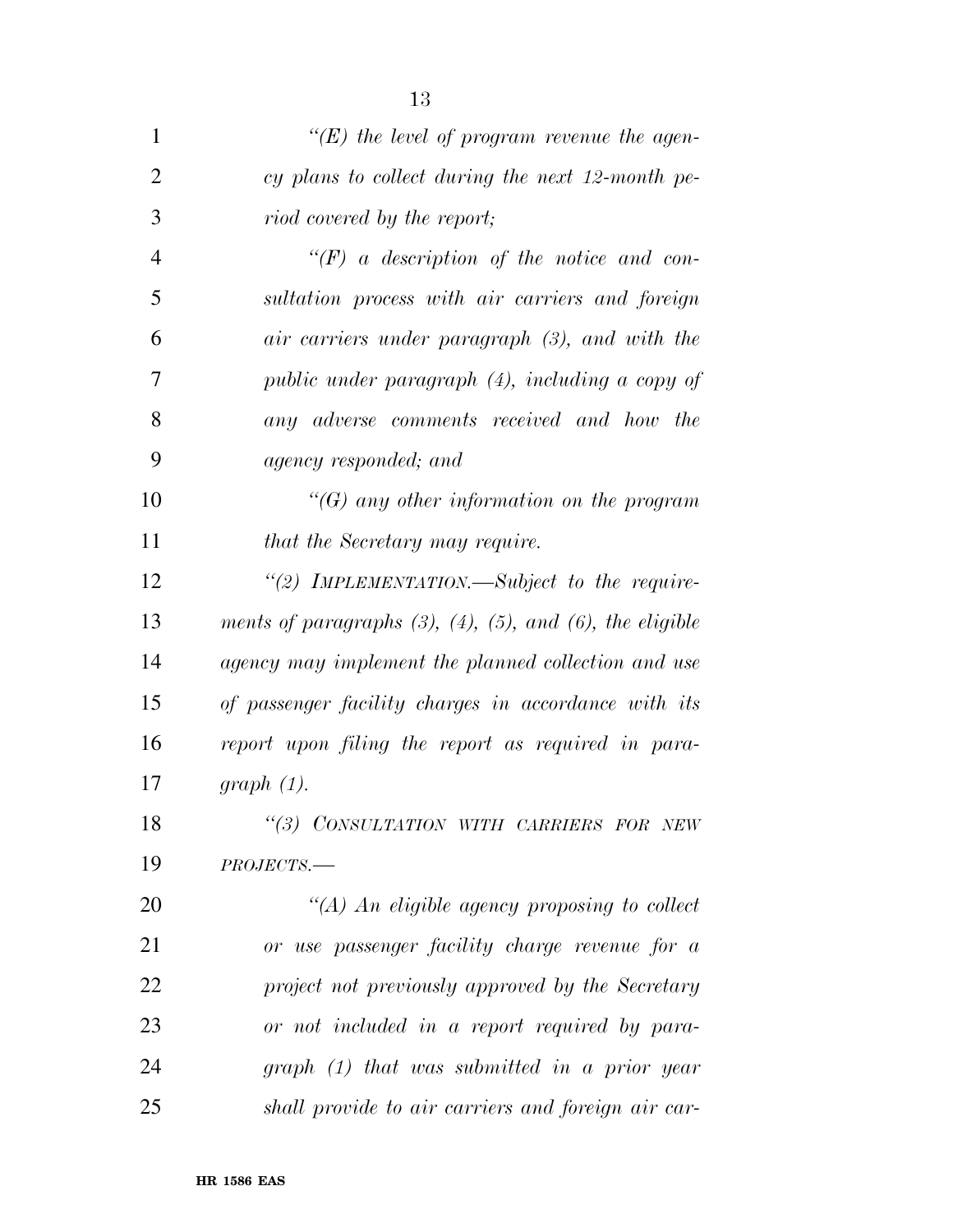| $\mathbf{1}$   | "(E) the level of program revenue the agen-                          |
|----------------|----------------------------------------------------------------------|
| $\overline{2}$ | cy plans to collect during the next 12-month pe-                     |
| 3              | riod covered by the report;                                          |
| $\overline{4}$ | $\lq (F)$ a description of the notice and con-                       |
| 5              | sultation process with air carriers and foreign                      |
| 6              | air carriers under paragraph (3), and with the                       |
| 7              | public under paragraph (4), including a copy of                      |
| 8              | any adverse comments received and how the                            |
| 9              | agency responded; and                                                |
| 10             | "(G) any other information on the program                            |
| 11             | that the Secretary may require.                                      |
| 12             | "(2) IMPLEMENTATION.—Subject to the require-                         |
| 13             | ments of paragraphs $(3)$ , $(4)$ , $(5)$ , and $(6)$ , the eligible |
| 14             | agency may implement the planned collection and use                  |
| 15             | of passenger facility charges in accordance with its                 |
| 16             | report upon filing the report as required in para-                   |
| 17             | graph(1).                                                            |
| 18             | "(3) CONSULTATION WITH CARRIERS FOR NEW                              |
| 19             | $PROJECTS$ .                                                         |
| 20             | "(A) An eligible agency proposing to collect                         |
| 21             | or use passenger facility charge revenue for a                       |
| 22             | project not previously approved by the Secretary                     |
| 23             | or not included in a report required by para-                        |
| 24             | $graph (1) that was submitted in a prior year$                       |
| 25             | shall provide to air carriers and foreign air car-                   |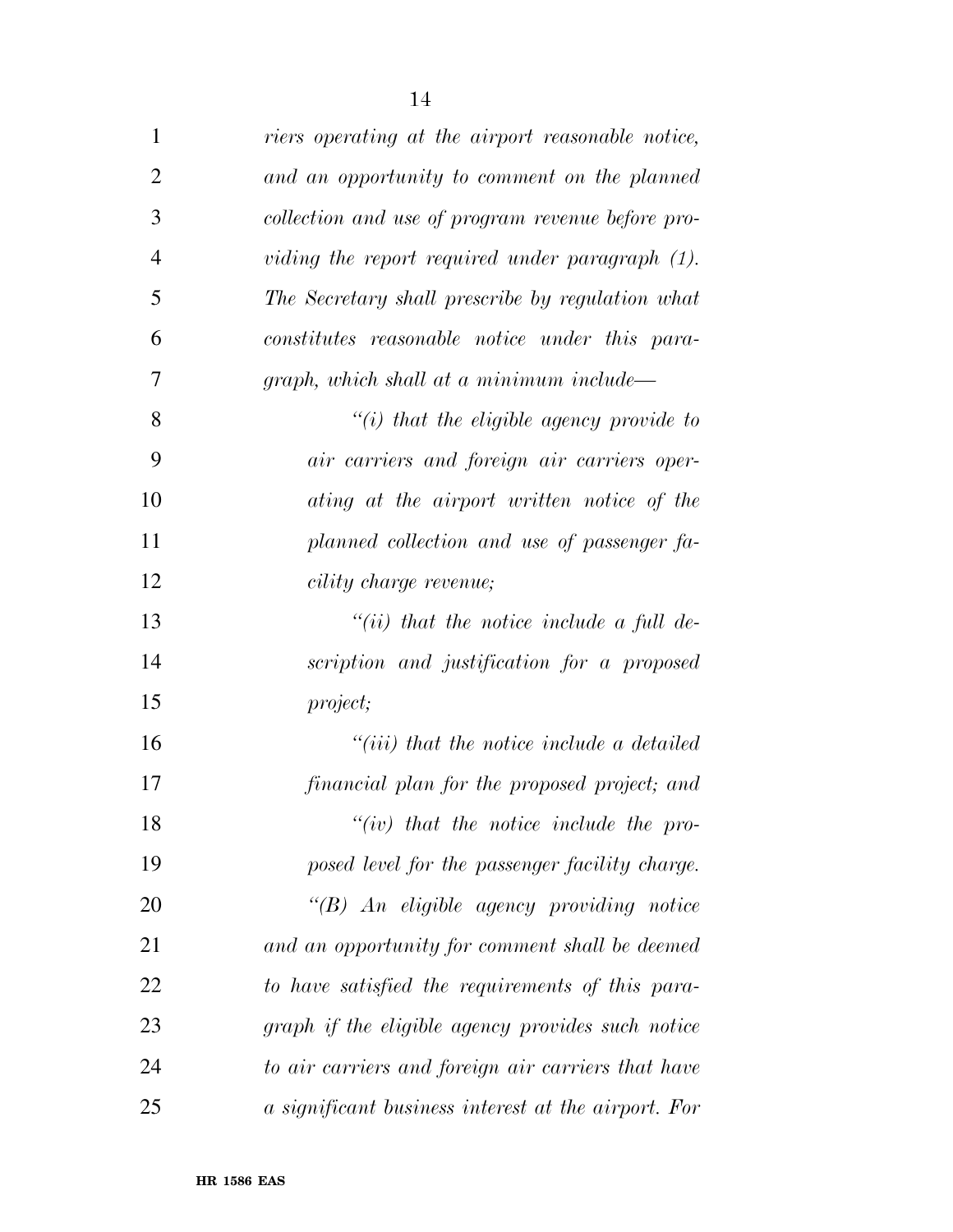| $\mathbf{1}$   | riers operating at the airport reasonable notice,   |
|----------------|-----------------------------------------------------|
| $\overline{2}$ | and an opportunity to comment on the planned        |
| 3              | collection and use of program revenue before pro-   |
| $\overline{4}$ | viding the report required under paragraph (1).     |
| 5              | The Secretary shall prescribe by regulation what    |
| 6              | constitutes reasonable notice under this para-      |
| 7              | graph, which shall at a minimum include—            |
| 8              | "(i) that the eligible agency provide to            |
| 9              | air carriers and foreign air carriers oper-         |
| 10             | ating at the airport written notice of the          |
| 11             | planned collection and use of passenger fa-         |
| 12             | cility charge revenue;                              |
| 13             | $``(ii)$ that the notice include a full de-         |
| 14             | scription and justification for a proposed          |
| 15             | project;                                            |
| 16             | $``(iii)$ that the notice include a detailed        |
| 17             | financial plan for the proposed project; and        |
| 18             | $``(iv)$ that the notice include the pro-           |
| 19             | posed level for the passenger facility charge.      |
| 20             | $\lq\lq B$ An eligible agency providing notice      |
| 21             | and an opportunity for comment shall be deemed      |
| 22             | to have satisfied the requirements of this para-    |
| 23             | graph if the eligible agency provides such notice   |
| 24             | to air carriers and foreign air carriers that have  |
| 25             | a significant business interest at the airport. For |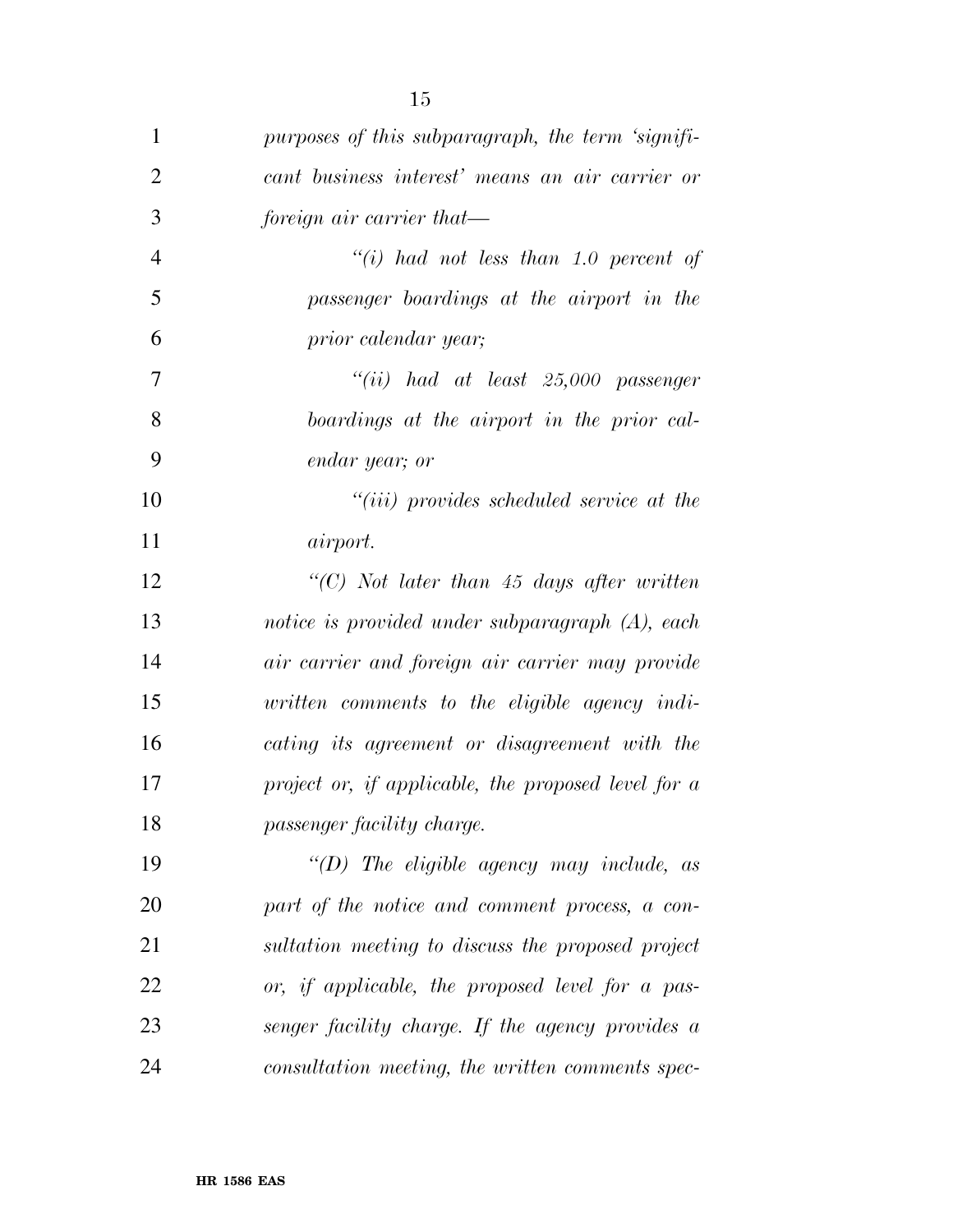| $\mathbf{1}$   | purposes of this subparagraph, the term 'signifi-   |
|----------------|-----------------------------------------------------|
| $\overline{2}$ | cant business interest' means an air carrier or     |
| 3              | foreign air carrier that-                           |
| $\overline{4}$ | "(i) had not less than 1.0 percent of               |
| 5              | passenger boardings at the airport in the           |
| 6              | prior calendar year;                                |
| 7              | $``(ii)$ had at least 25,000 passenger              |
| 8              | boardings at the airport in the prior cal-          |
| 9              | endar year; or                                      |
| 10             | $``(iii)$ provides scheduled service at the         |
| 11             | <i>airport.</i>                                     |
| 12             | " $(C)$ Not later than 45 days after written        |
| 13             | notice is provided under subparagraph (A), each     |
| 14             | air carrier and foreign air carrier may provide     |
| 15             | written comments to the eligible agency indi-       |
| 16             | cating its agreement or disagreement with the       |
| 17             | project or, if applicable, the proposed level for a |
| 18             | <i>passenger facility charge.</i>                   |
| 19             | $"(D)$ The eligible agency may include, as          |
| 20             | part of the notice and comment process, a con-      |
| 21             | sultation meeting to discuss the proposed project   |
| 22             | or, if applicable, the proposed level for a pas-    |
| 23             | senger facility charge. If the agency provides a    |
| 24             | consultation meeting, the written comments spec-    |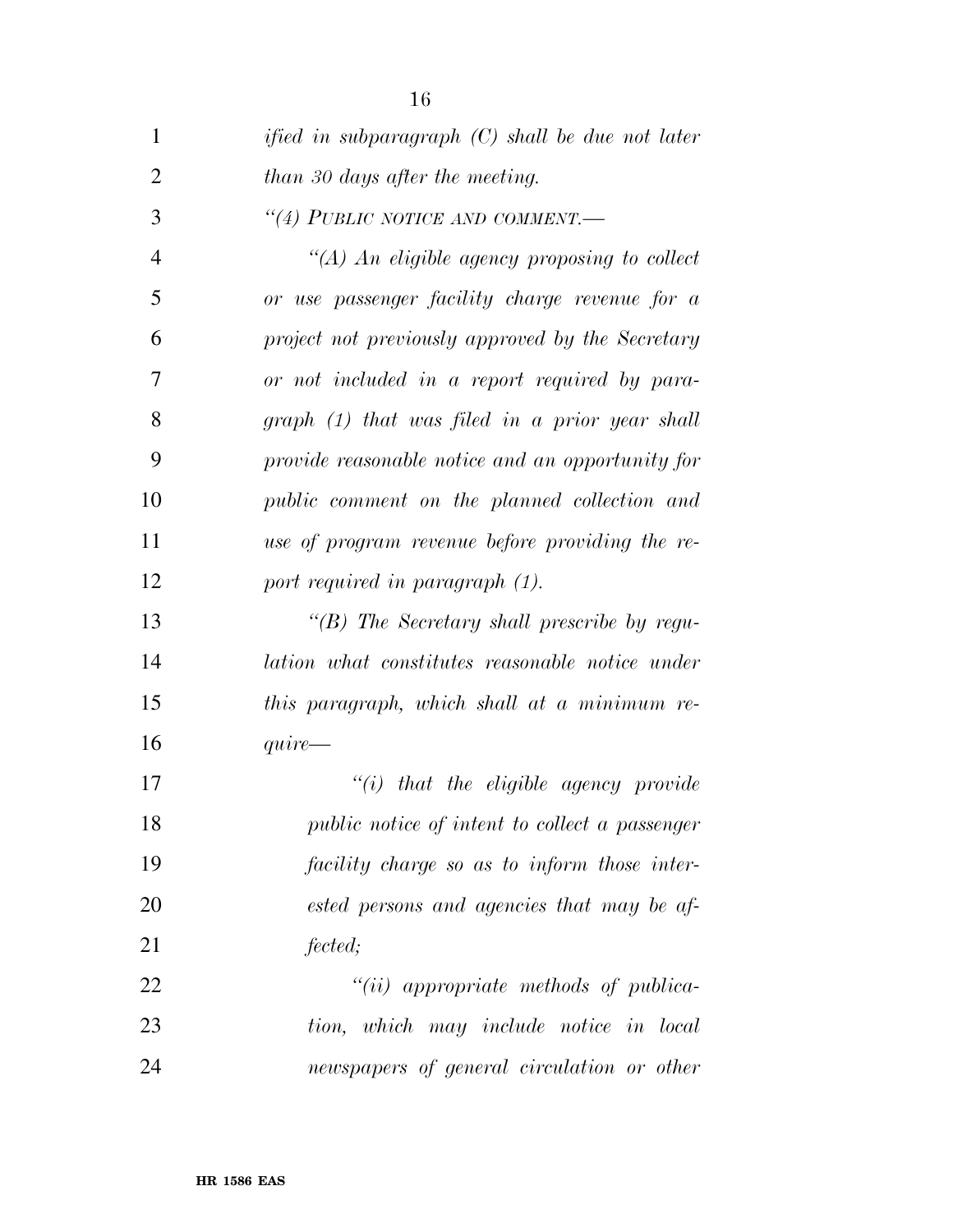| 1              | ified in subparagraph $(C)$ shall be due not later |
|----------------|----------------------------------------------------|
| $\overline{2}$ | than 30 days after the meeting.                    |
| 3              | "(4) PUBLIC NOTICE AND COMMENT.—                   |
| $\overline{4}$ | $\lq (A)$ An eligible agency proposing to collect  |
| 5              | or use passenger facility charge revenue for a     |
| 6              | project not previously approved by the Secretary   |
| 7              | or not included in a report required by para-      |
| 8              | graph (1) that was filed in a prior year shall     |
| 9              | provide reasonable notice and an opportunity for   |
| 10             | public comment on the planned collection and       |
| 11             | use of program revenue before providing the re-    |
| 12             | port required in paragraph (1).                    |
| 13             | "(B) The Secretary shall prescribe by regu-        |
| 14             | lation what constitutes reasonable notice under    |
| 15             | this paragraph, which shall at a minimum re-       |
| 16             | $\it quire$ —                                      |
| 17             | $"(i)$ that the eligible agency provide            |
| 18             | public notice of intent to collect a passenger     |
| 19             | facility charge so as to inform those inter-       |
| 20             | ested persons and agencies that may be af-         |
| 21             | fected;                                            |
| 22             | $``(ii)$ appropriate methods of publica-           |
| 23             | tion, which may include notice in local            |
| 24             | newspapers of general circulation or other         |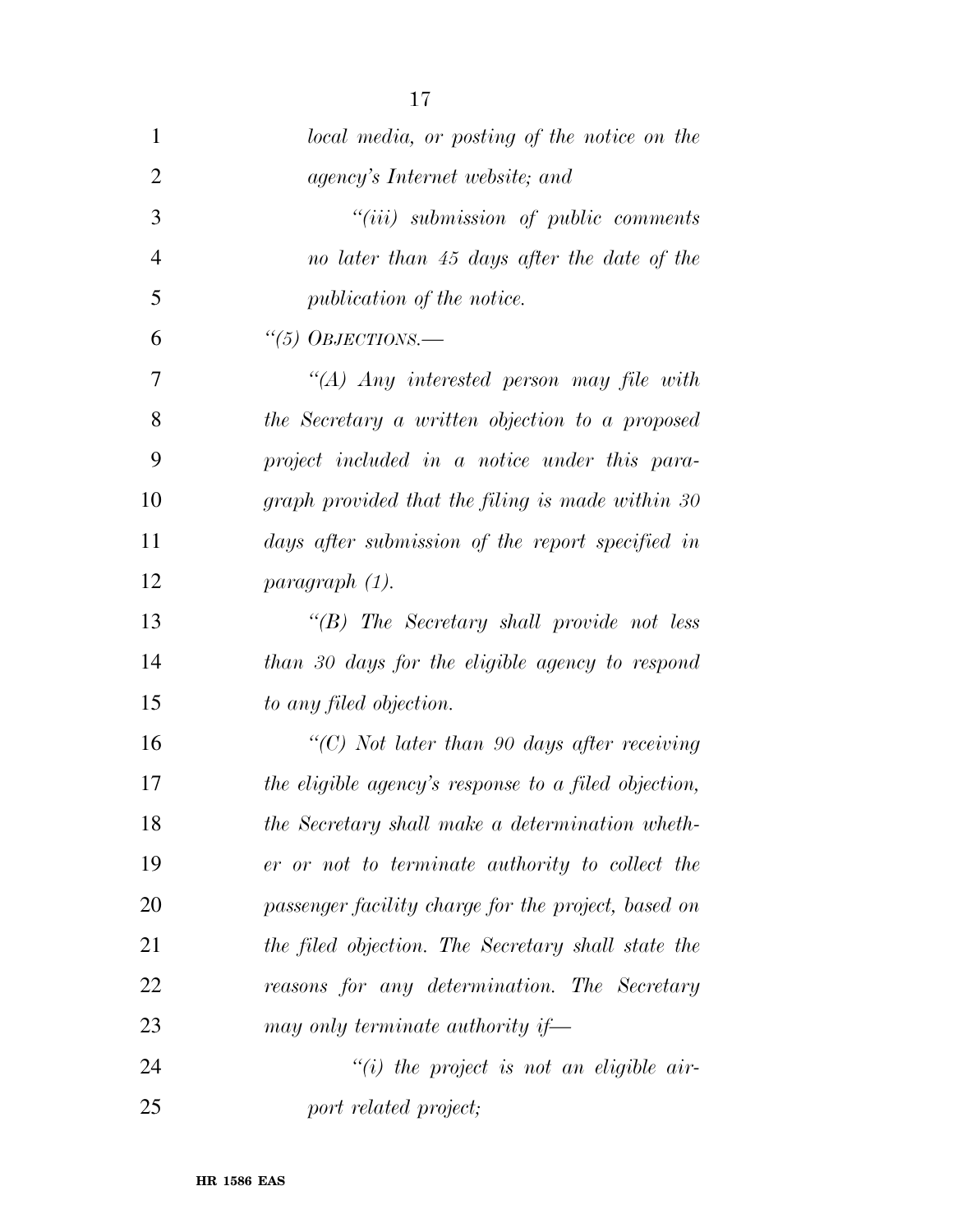| 1              | local media, or posting of the notice on the         |
|----------------|------------------------------------------------------|
| $\overline{2}$ | agency's Internet website; and                       |
| 3              | "(iii) submission of public comments                 |
| $\overline{4}$ | no later than 45 days after the date of the          |
| 5              | publication of the notice.                           |
| 6              | "(5) OBJECTIONS.—                                    |
| 7              | $\lq (A)$ Any interested person may file with        |
| 8              | the Secretary a written objection to a proposed      |
| 9              | project included in a notice under this para-        |
| 10             | graph provided that the filing is made within 30     |
| 11             | days after submission of the report specified in     |
| 12             | paragraph (1).                                       |
| 13             | $\lq\lq B$ ) The Secretary shall provide not less    |
| 14             | than 30 days for the eligible agency to respond      |
| 15             | to any filed objection.                              |
| 16             | $\lq\lq C$ ) Not later than 90 days after receiving  |
| 17             | the eligible agency's response to a filed objection, |
| 18             | the Secretary shall make a determination wheth-      |
| 19             | er or not to terminate authority to collect the      |
| 20             | passenger facility charge for the project, based on  |
| 21             | the filed objection. The Secretary shall state the   |
| 22             | reasons for any determination. The Secretary         |
| 23             | may only terminate authority if—                     |
| 24             | $``(i)$ the project is not an eligible air-          |
| 25             | port related project;                                |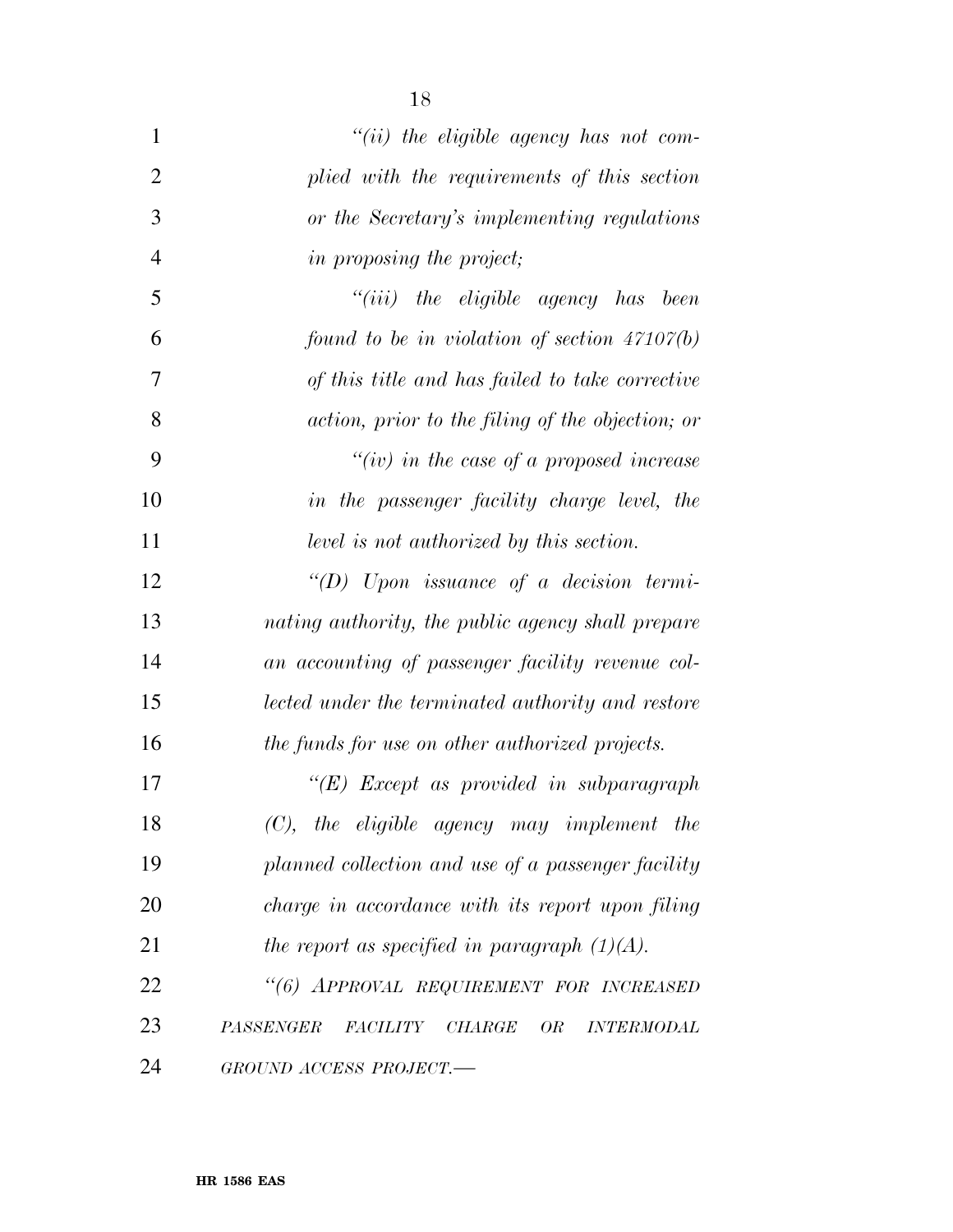| $\mathbf{1}$   | $``(ii)$ the eligible agency has not com-                                |
|----------------|--------------------------------------------------------------------------|
| $\overline{2}$ | plied with the requirements of this section                              |
| 3              | or the Secretary's implementing regulations                              |
| $\overline{4}$ | in proposing the project;                                                |
| 5              | ``(iii)<br>the eligible agency has<br>been                               |
| 6              | found to be in violation of section $47107(b)$                           |
| $\overline{7}$ | of this title and has failed to take corrective                          |
| 8              | action, prior to the filing of the objection; or                         |
| 9              | "(iv) in the case of a proposed increase                                 |
| 10             | in the passenger facility charge level, the                              |
| 11             | level is not authorized by this section.                                 |
| 12             | "(D) Upon issuance of a decision termi-                                  |
| 13             | nating authority, the public agency shall prepare                        |
| 14             | an accounting of passenger facility revenue col-                         |
| 15             | lected under the terminated authority and restore                        |
| 16             | the funds for use on other authorized projects.                          |
| 17             | " $(E)$ Except as provided in subparagraph                               |
| 18             | $(C)$ , the eligible agency may implement the                            |
| 19             | planned collection and use of a passenger facility                       |
| 20             | charge in accordance with its report upon filing                         |
| 21             | the report as specified in paragraph $(1)(A)$ .                          |
| 22             | "(6) APPROVAL REQUIREMENT FOR INCREASED                                  |
| 23             | <b>PASSENGER</b><br>FACILITY<br><b>OR</b><br>CHARGE<br><b>INTERMODAL</b> |
| 24             | GROUND ACCESS PROJECT.-                                                  |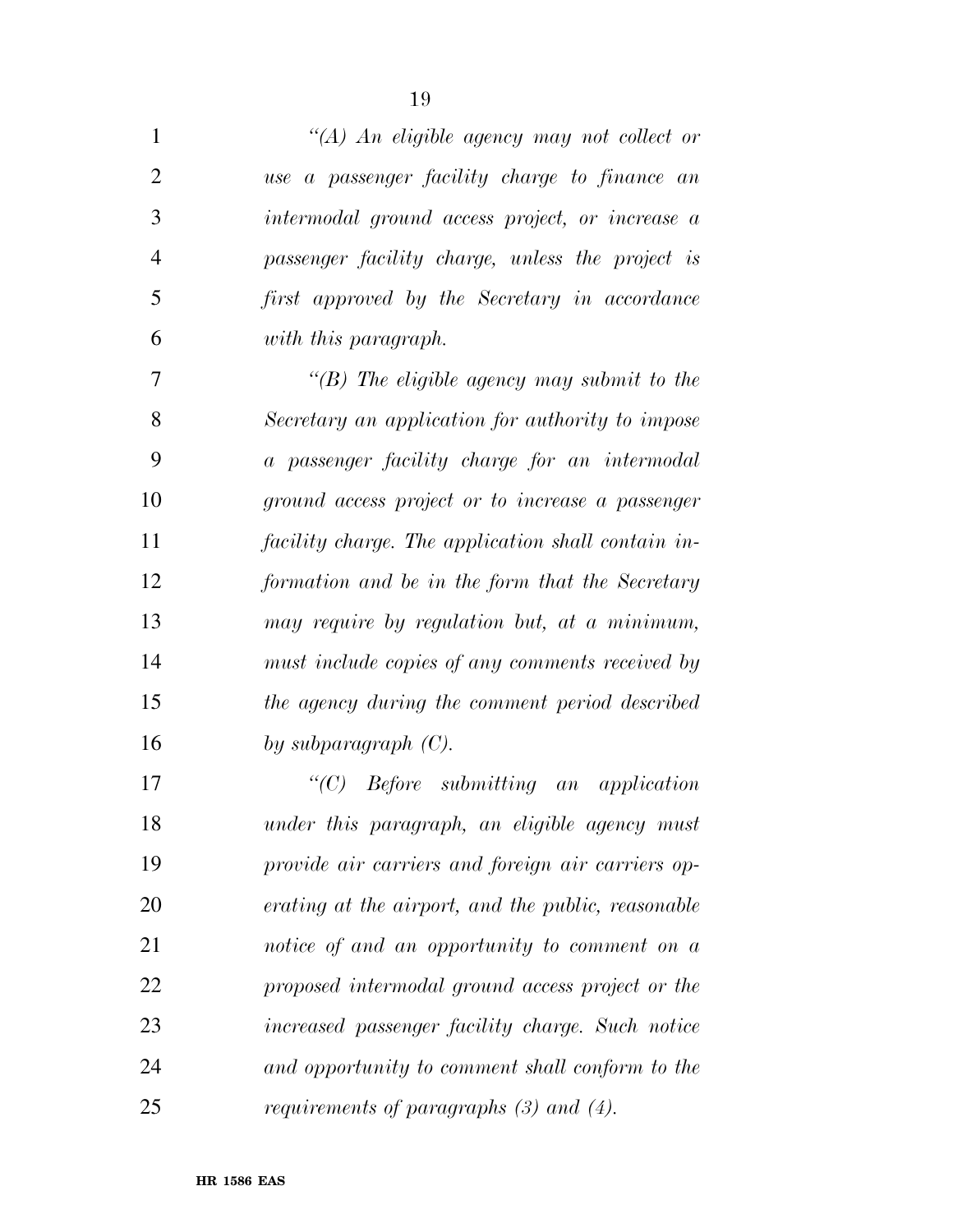| $\mathbf{1}$   | $\lq (A)$ An eligible agency may not collect or    |
|----------------|----------------------------------------------------|
| $\overline{2}$ | use a passenger facility charge to finance an      |
| 3              | intermodal ground access project, or increase a    |
| $\overline{4}$ | passenger facility charge, unless the project is   |
| 5              | first approved by the Secretary in accordance      |
| 6              | with this paragraph.                               |
| 7              | "(B) The eligible agency may submit to the         |
| 8              | Secretary an application for authority to impose   |
| 9              | a passenger facility charge for an intermodal      |
| 10             | ground access project or to increase a passenger   |
| 11             | facility charge. The application shall contain in- |
| 12             | formation and be in the form that the Secretary    |
| 13             | may require by regulation but, at a minimum,       |
| 14             | must include copies of any comments received by    |
| 15             | the agency during the comment period described     |
| 16             | by subparagraph $(C)$ .                            |
| 17             | " $(C)$ Before submitting an application           |
| 18             | under this paragraph, an eligible agency must      |
| 19             | provide air carriers and foreign air carriers op-  |
| 20             | erating at the airport, and the public, reasonable |
| 21             | notice of and an opportunity to comment on a       |
| 22             | proposed intermodal ground access project or the   |
| 23             | increased passenger facility charge. Such notice   |
| 24             | and opportunity to comment shall conform to the    |
| 25             | requirements of paragraphs $(3)$ and $(4)$ .       |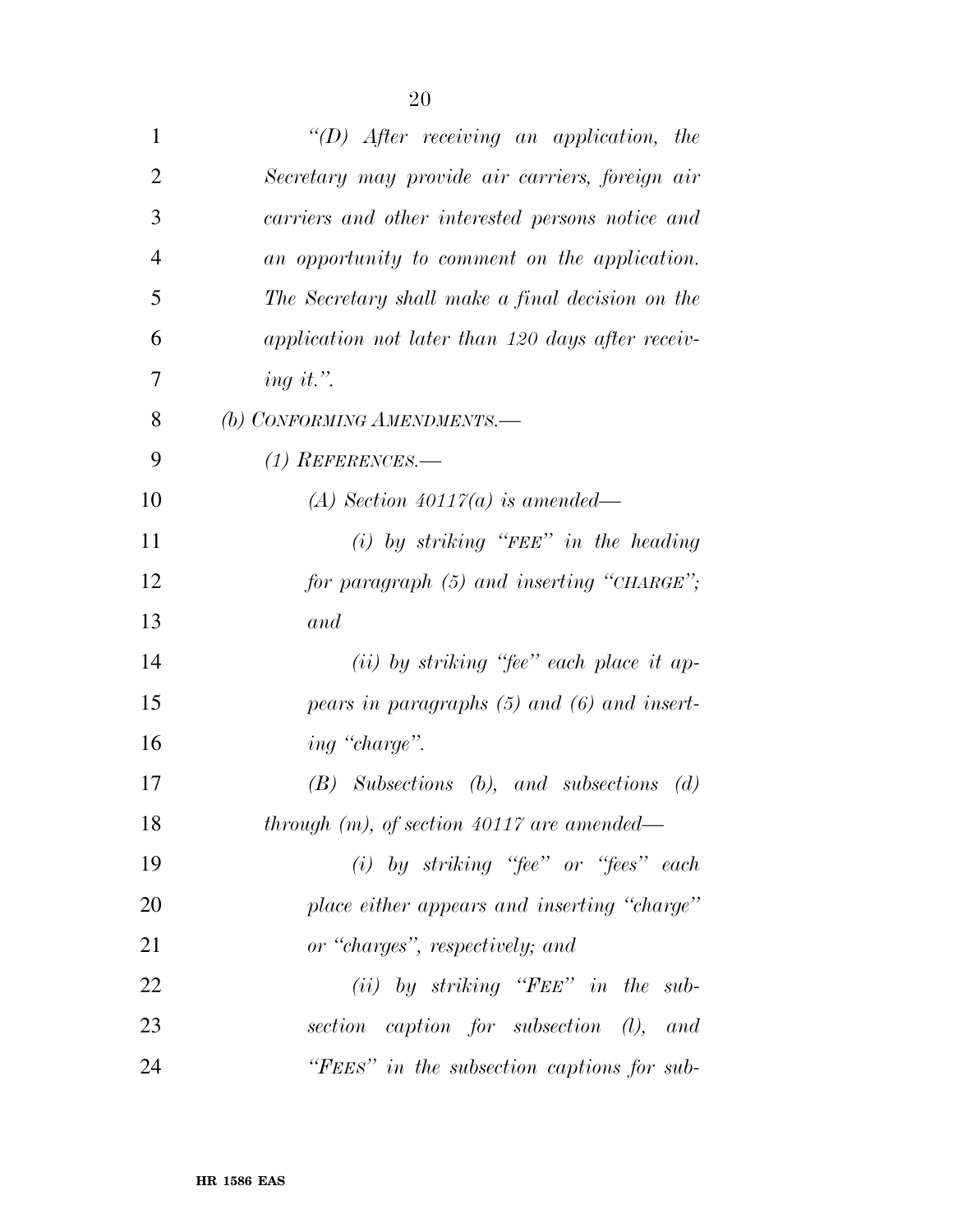| $\mathbf{1}$   | "(D) After receiving an application, the          |
|----------------|---------------------------------------------------|
| $\overline{2}$ | Secretary may provide air carriers, foreign air   |
| 3              | carriers and other interested persons notice and  |
| $\overline{4}$ | an opportunity to comment on the application.     |
| 5              | The Secretary shall make a final decision on the  |
| 6              | application not later than 120 days after receiv- |
| 7              | ing it.".                                         |
| 8              | (b) CONFORMING AMENDMENTS.-                       |
| 9              | $(1)$ REFERENCES.—                                |
| 10             | (A) Section $40117(a)$ is amended—                |
| 11             | $(i)$ by striking "FEE" in the heading            |
| 12             | for paragraph $(5)$ and inserting "CHARGE";       |
| 13             | and                                               |
| 14             | $(ii)$ by striking "fee" each place it ap-        |
| 15             | pears in paragraphs $(5)$ and $(6)$ and insert-   |
| 16             | ing "charge".                                     |
| 17             | (B) Subsections (b), and subsections<br>(d)       |
| 18             | through $(m)$ , of section 40117 are amended—     |
| 19             | $(i)$ by striking "fee" or "fees" each            |
| 20             | place either appears and inserting "charge"       |
| 21             | or "charges", respectively; and                   |
| 22             | $(ii)$ by striking "FEE" in the sub-              |
| 23             | section caption for subsection (l), and           |
| 24             | "FEES" in the subsection captions for sub-        |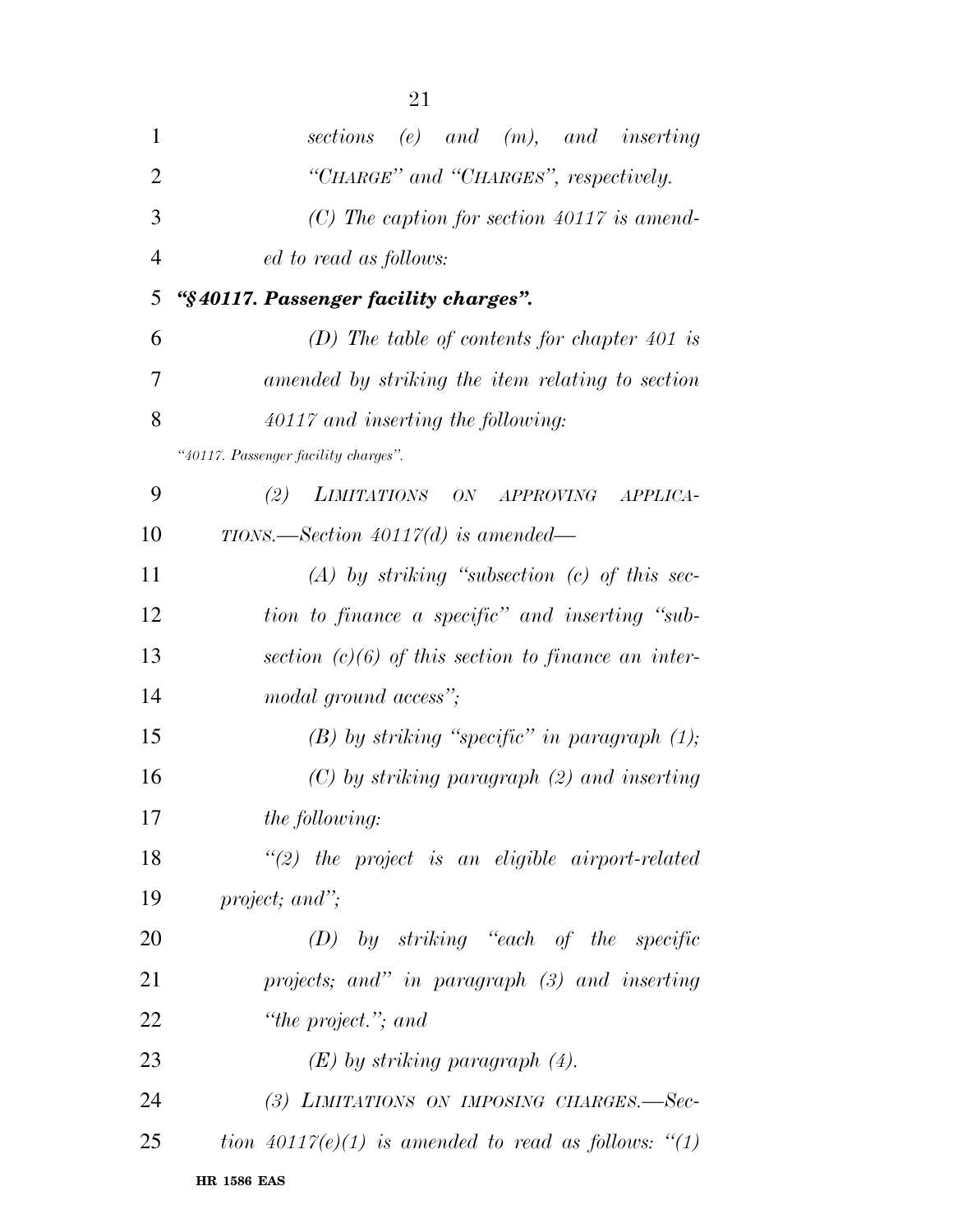| $\mathbf{1}$   | sections (e) and (m), and inserting                    |
|----------------|--------------------------------------------------------|
| $\overline{2}$ | "CHARGE" and "CHARGES", respectively.                  |
| 3              | $(C)$ The caption for section 40117 is amend-          |
| $\overline{4}$ | ed to read as follows:                                 |
| 5              | "§40117. Passenger facility charges".                  |
| 6              | (D) The table of contents for chapter 401 is           |
| 7              | amended by striking the item relating to section       |
| 8              | 40117 and inserting the following:                     |
|                | "40117. Passenger facility charges".                   |
| 9              | (2)<br>LIMITATIONS ON<br><i>APPROVING</i><br>APPLICA-  |
| 10             | $TIONS$ . Section $40117(d)$ is amended—               |
| 11             | $(A)$ by striking "subsection (c) of this sec-         |
| 12             | tion to finance a specific" and inserting "sub-        |
| 13             | section $(c)(6)$ of this section to finance an inter-  |
| 14             | modal ground access";                                  |
| 15             | $(B)$ by striking "specific" in paragraph $(1)$ ;      |
| 16             | $(C)$ by striking paragraph $(2)$ and inserting        |
| 17             | the following:                                         |
| 18             | $\lq(2)$ the project is an eligible airport-related    |
| 19             | project; and";                                         |
| 20             | $(D)$ by striking "each of the specific                |
| 21             | projects; and" in paragraph $(3)$ and inserting        |
| 22             | "the project."; and                                    |
| 23             | $(E)$ by striking paragraph $(4)$ .                    |
| 24             | (3) LIMITATIONS ON IMPOSING CHARGES.-Sec-              |
| 25             | tion $40117(e)(1)$ is amended to read as follows: "(1) |
|                | <b>HR 1586 EAS</b>                                     |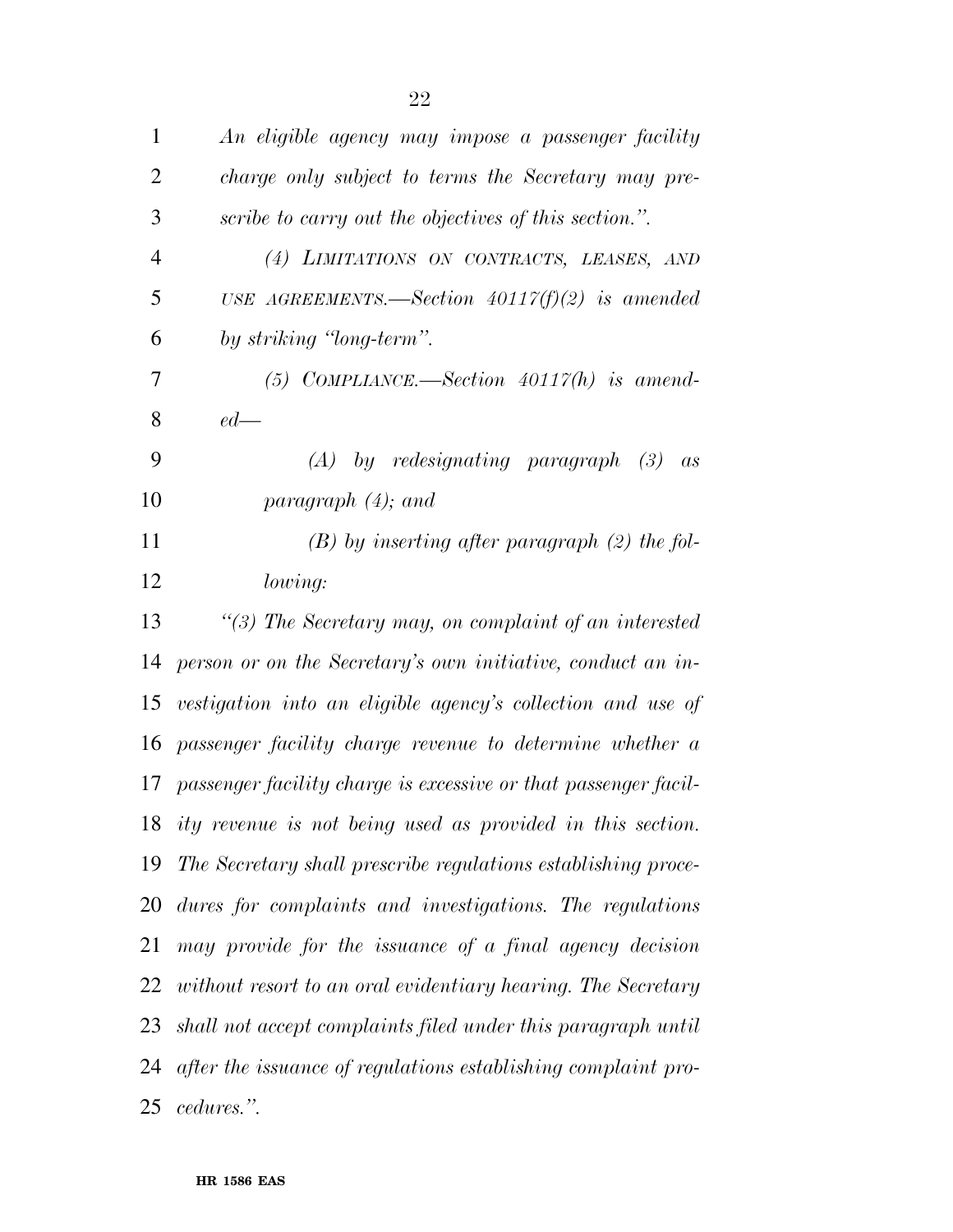| $\mathbf{1}$   | An eligible agency may impose a passenger facility    |
|----------------|-------------------------------------------------------|
| 2              | charge only subject to terms the Secretary may pre-   |
| 3              | scribe to carry out the objectives of this section.". |
| $\overline{4}$ | (4) LIMITATIONS ON CONTRACTS, LEASES, AND             |
| 5              | USE AGREEMENTS.—Section $40117(f)(2)$ is amended      |
| 6              | by striking "long-term".                              |
| 7              | (5) COMPLIANCE.—Section $40117(h)$ is amend-          |
| 8              | $ed$ —                                                |
| 9              | $(A)$ by redesignating paragraph $(B)$ as             |
| 10             | paragraph $(4)$ ; and                                 |
| 11             | $(D)$ by incontinuo often nongongale (0) the fol-     |

 *(B) by inserting after paragraph (2) the fol-lowing:* 

 *''(3) The Secretary may, on complaint of an interested person or on the Secretary's own initiative, conduct an in- vestigation into an eligible agency's collection and use of passenger facility charge revenue to determine whether a passenger facility charge is excessive or that passenger facil- ity revenue is not being used as provided in this section. The Secretary shall prescribe regulations establishing proce- dures for complaints and investigations. The regulations may provide for the issuance of a final agency decision without resort to an oral evidentiary hearing. The Secretary shall not accept complaints filed under this paragraph until after the issuance of regulations establishing complaint pro-cedures.''.* 

**HR 1586 EAS**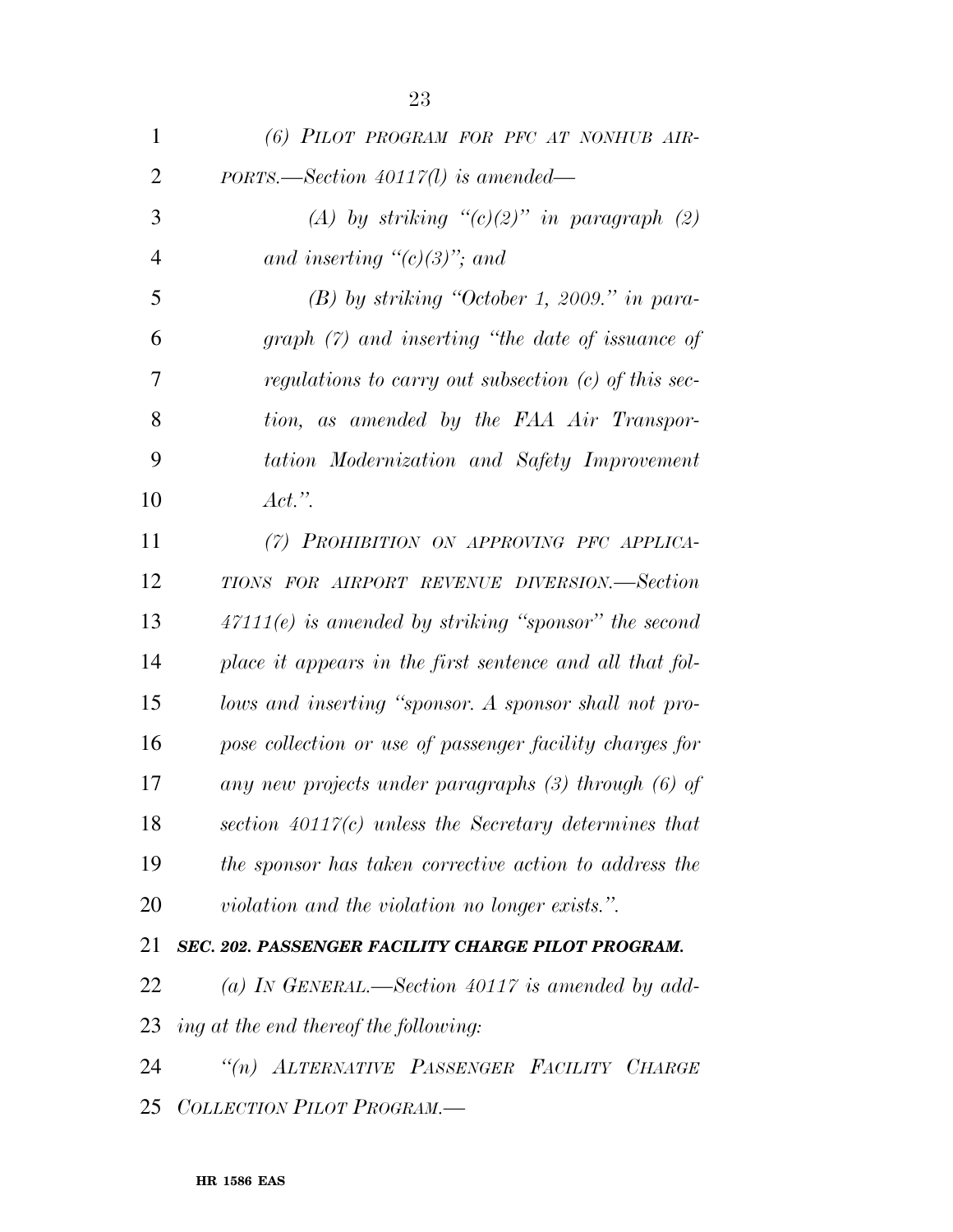| $\mathbf{1}$   | (6) PILOT PROGRAM FOR PFC AT NONHUB AIR-                 |
|----------------|----------------------------------------------------------|
| $\overline{2}$ | $PORTS. \longrightarrow Section~40117(l)$ is amended—    |
| 3              | (A) by striking " $(c)(2)$ " in paragraph (2)            |
| $\overline{4}$ | and inserting $\lq (c)(3)$ "; and                        |
| 5              | $(B)$ by striking "October 1, 2009." in para-            |
| 6              | $graph (7) and inserting "the date of issum of f$        |
| 7              | regulations to carry out subsection $(c)$ of this sec-   |
| 8              | tion, as amended by the FAA Air Transpor-                |
| 9              | tation Modernization and Safety Improvement              |
| 10             | $Act.$ ".                                                |
| 11             | (7) PROHIBITION ON APPROVING PFC APPLICA-                |
| 12             | TIONS FOR AIRPORT REVENUE DIVERSION.—Section             |
| 13             | $47111(e)$ is amended by striking "sponsor" the second   |
| 14             | place it appears in the first sentence and all that fol- |
| 15             | lows and inserting "sponsor. A sponsor shall not pro-    |
| 16             | pose collection or use of passenger facility charges for |
| 17             | any new projects under paragraphs (3) through (6) of     |
| 18             | section $40117(c)$ unless the Secretary determines that  |
| 19             | the sponsor has taken corrective action to address the   |
| 20             | <i>violation and the violation no longer exists."</i> .  |
| 21             | SEC. 202. PASSENGER FACILITY CHARGE PILOT PROGRAM.       |
| 22             | (a) IN GENERAL.—Section $40117$ is amended by add-       |
| 23             | ing at the end thereof the following:                    |
| 24             | "(n) ALTERNATIVE PASSENGER FACILITY CHARGE               |
| 25             | COLLECTION PILOT PROGRAM.                                |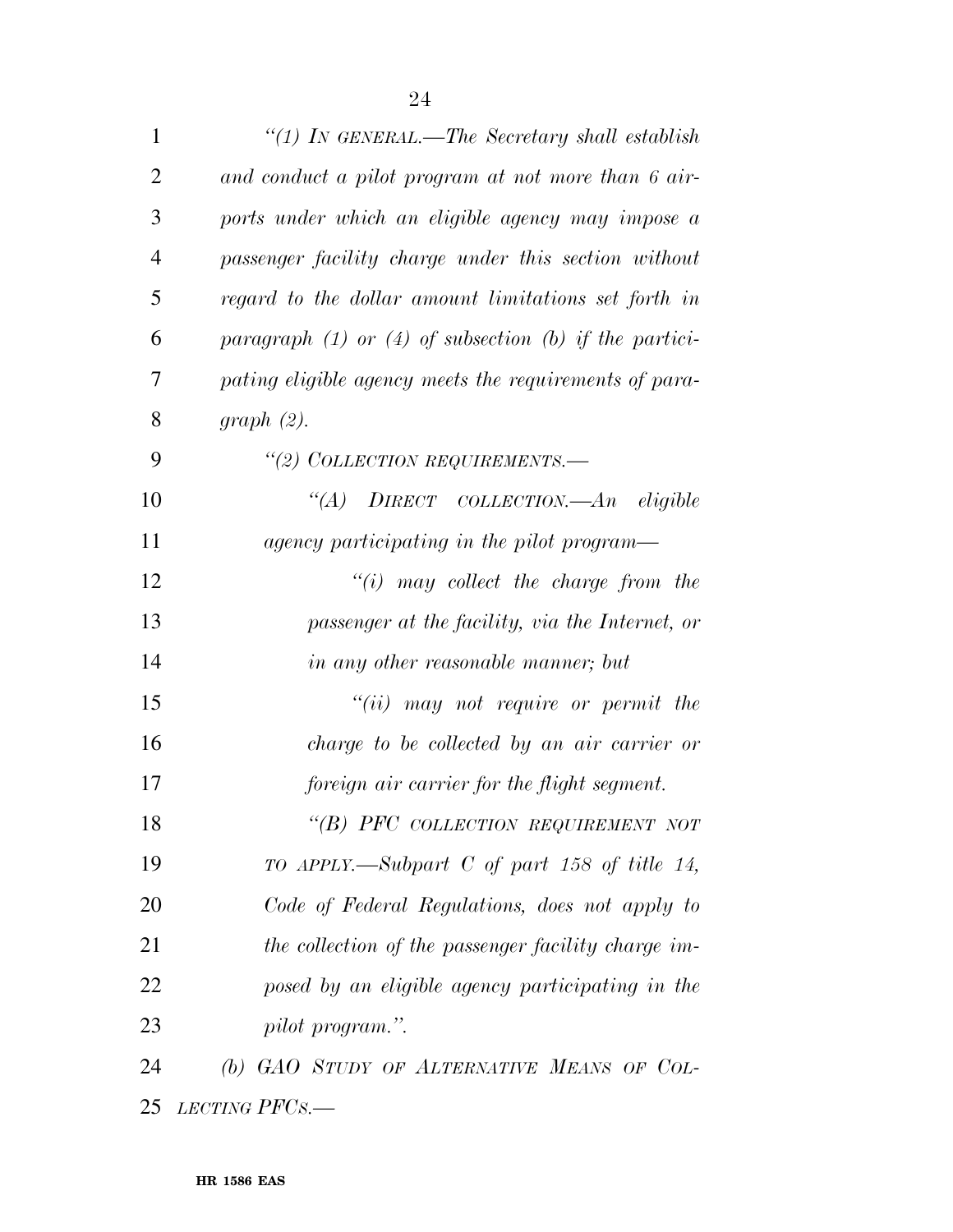| $\mathbf{1}$   | "(1) IN GENERAL.—The Secretary shall establish               |
|----------------|--------------------------------------------------------------|
| $\overline{2}$ | and conduct a pilot program at not more than 6 air-          |
| 3              | ports under which an eligible agency may impose a            |
| $\overline{4}$ | passenger facility charge under this section without         |
| 5              | regard to the dollar amount limitations set forth in         |
| 6              | paragraph $(1)$ or $(4)$ of subsection $(b)$ if the partici- |
| 7              | pating eligible agency meets the requirements of para-       |
| 8              | graph(2).                                                    |
| 9              | "(2) COLLECTION REQUIREMENTS.-                               |
| 10             | $DIRECT$ COLLECTION. $-An$ eligible<br>$\lq (A)$             |
| 11             | agency participating in the pilot program—                   |
| 12             | $"(i)$ may collect the charge from the                       |
| 13             | passenger at the facility, via the Internet, or              |
| 14             | in any other reasonable manner; but                          |
| 15             | $``(ii)$ may not require or permit the                       |
| 16             | charge to be collected by an air carrier or                  |
| 17             | foreign air carrier for the flight segment.                  |
| 18             | "(B) PFC COLLECTION REQUIREMENT NOT                          |
| 19             | TO APPLY.—Subpart C of part 158 of title 14,                 |
| 20             | Code of Federal Regulations, does not apply to               |
| 21             | the collection of the passenger facility charge im-          |
| 22             | posed by an eligible agency participating in the             |
| 23             | pilot program.".                                             |
| 24             | (b) GAO STUDY OF ALTERNATIVE MEANS OF COL-                   |
| 25             | LECTING PFCs.—                                               |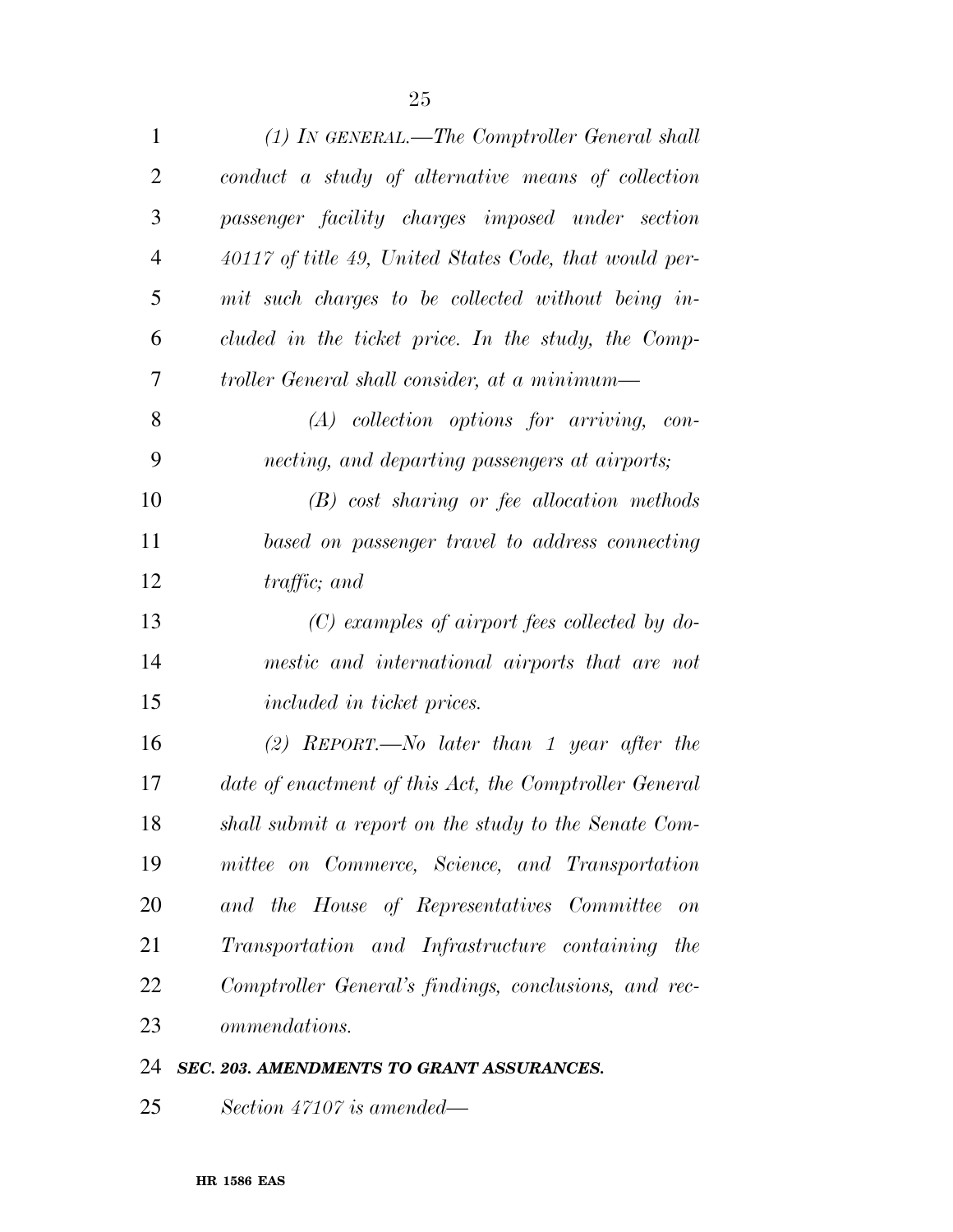| 1              | $(1)$ In GENERAL.—The Comptroller General shall               |
|----------------|---------------------------------------------------------------|
| $\overline{2}$ | conduct a study of alternative means of collection            |
| 3              | passenger facility charges imposed under section              |
| $\overline{4}$ | 40117 of title 49, United States Code, that would per-        |
| 5              | mit such charges to be collected without being in-            |
| 6              | cluded in the ticket price. In the study, the Comp-           |
| 7              | troller General shall consider, at a minimum—                 |
| 8              | $(A)$ collection options for arriving, con-                   |
| 9              | necting, and departing passengers at airports;                |
| 10             | $(B)$ cost sharing or fee allocation methods                  |
| 11             | based on passenger travel to address connecting               |
| 12             | traffic; and                                                  |
| 13             | $(C)$ examples of airport fees collected by do-               |
| 14             | mestic and international airports that are not                |
| 15             | included in ticket prices.                                    |
| 16             | $(2)$ REPORT.—No later than 1 year after the                  |
| 17             | date of enactment of this Act, the Comptroller General        |
| 18             | shall submit a report on the study to the Senate Com-         |
| 19             | mittee on Commerce, Science, and Transportation               |
| 20             | and the House of Representatives Committee<br>$\overline{on}$ |
| 21             | Transportation and Infrastructure containing the              |
| 22             | Comptroller General's findings, conclusions, and rec-         |
| 23             | <i>ommendations.</i>                                          |
|                |                                                               |

# *SEC. 203. AMENDMENTS TO GRANT ASSURANCES.*

*Section 47107 is amended—*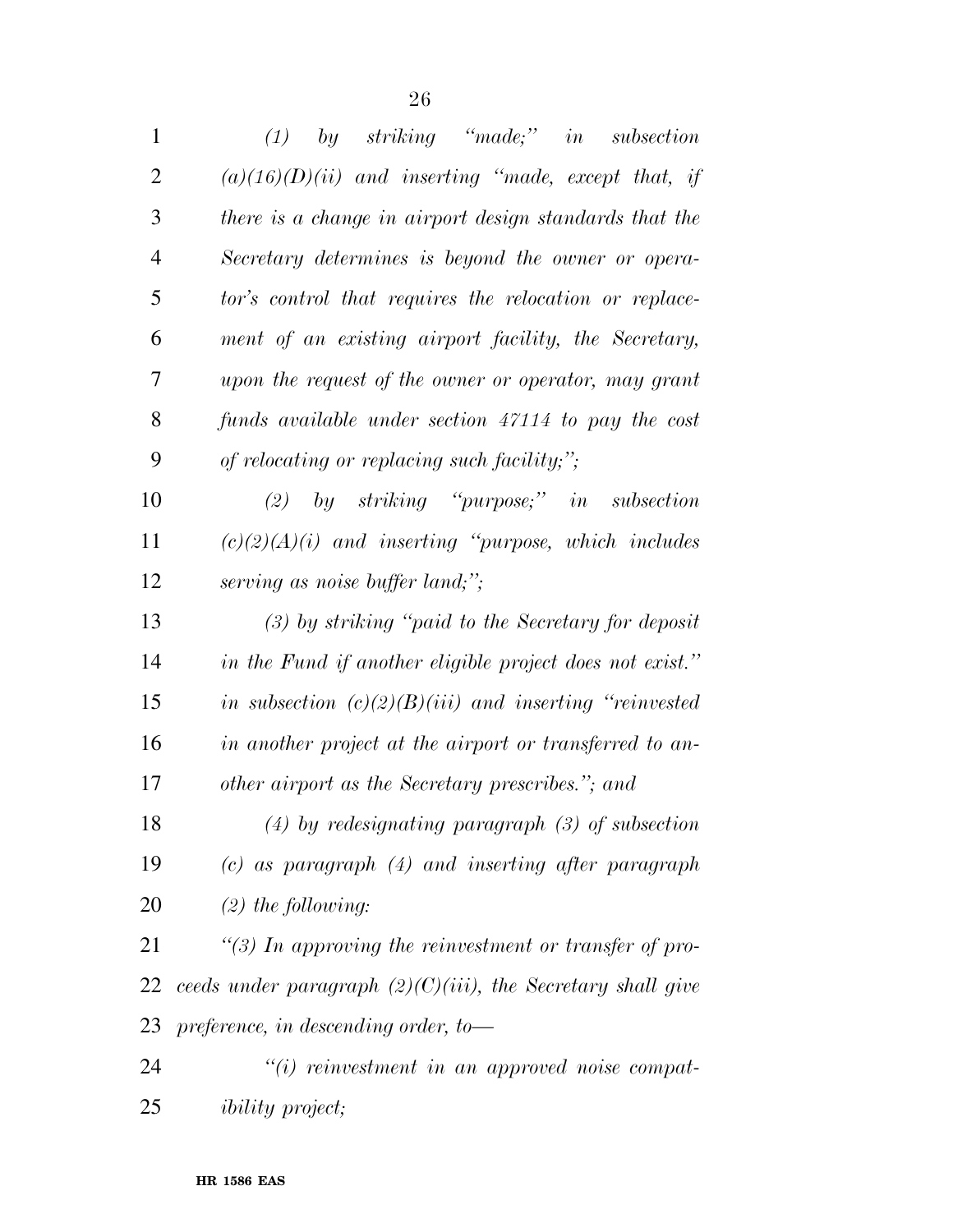| $\mathbf{1}$   | striking "made;" in<br>(1)<br>$\mathit{by}$<br>subsection      |
|----------------|----------------------------------------------------------------|
| $\overline{2}$ | $(a)(16)(D)(ii)$ and inserting "made, except that, if          |
| 3              | there is a change in airport design standards that the         |
| 4              | Secretary determines is beyond the owner or opera-             |
| 5              | tor's control that requires the relocation or replace-         |
| 6              | ment of an existing airport facility, the Secretary,           |
| 7              | upon the request of the owner or operator, may grant           |
| 8              | funds available under section 47114 to pay the cost            |
| 9              | of relocating or replacing such facility;";                    |
| 10             | $(2)$ by striking "purpose;" in subsection                     |
| 11             | $(c)(2)(A)(i)$ and inserting "purpose, which includes"         |
| 12             | serving as noise buffer land;";                                |
| 13             | $(3)$ by striking "paid to the Secretary for deposit"          |
| 14             | in the Fund if another eligible project does not exist."       |
| 15             | in subsection $(c)(2)(B)(iii)$ and inserting "reinvested"      |
| 16             | in another project at the airport or transferred to an-        |
| 17             | other airport as the Secretary prescribes."; and               |
| 18             | $(4)$ by redesignating paragraph $(3)$ of subsection           |
| 19             | $(c)$ as paragraph $(4)$ and inserting after paragraph         |
| 20             | $(2)$ the following:                                           |
| 21             | "(3) In approving the reinvestment or transfer of pro-         |
| 22             | ceeds under paragraph $(2)(C)(iii)$ , the Secretary shall give |
| 23             | preference, in descending order, to-                           |
| 24             | $\lq\lq(i)$ reinvestment in an approved noise compat-          |

*ibility project;*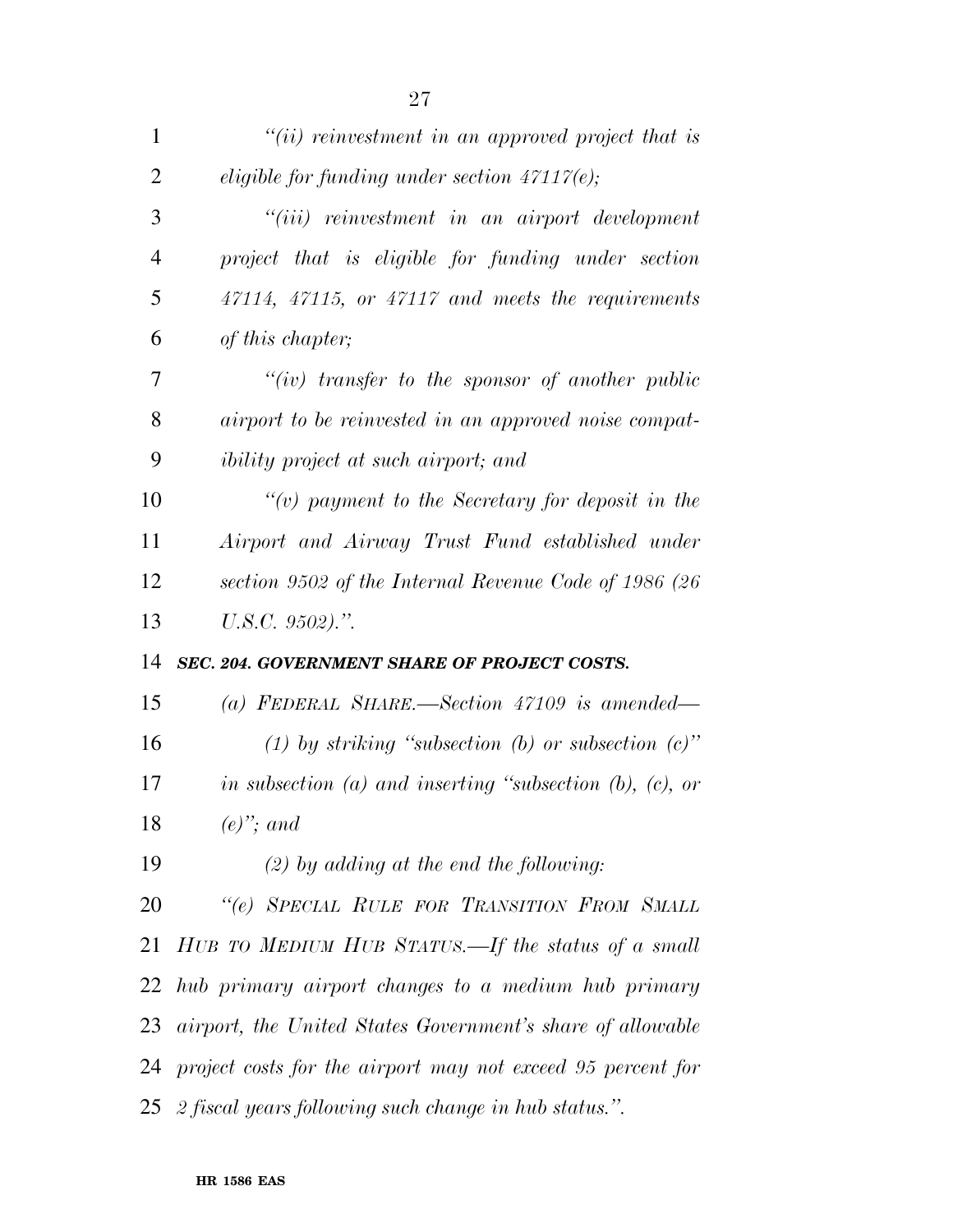| $\mathbf{1}$   | $``(ii)$ reinvestment in an approved project that is           |
|----------------|----------------------------------------------------------------|
| $\overline{2}$ | eligible for funding under section $47117(e)$ ;                |
| 3              | "(iii) reinvestment in an airport development                  |
| $\overline{4}$ | project that is eligible for funding under section             |
| 5              | $47114$ , $47115$ , or $47117$ and meets the requirements      |
| 6              | of this chapter;                                               |
| 7              | "(iv) transfer to the sponsor of another public                |
| 8              | airport to be reinvested in an approved noise compat-          |
| 9              | <i>ibility project at such airport; and</i>                    |
| 10             | "(v) payment to the Secretary for deposit in the               |
| 11             | Airport and Airway Trust Fund established under                |
| 12             | section 9502 of the Internal Revenue Code of 1986 (26          |
| 13             | $U.S.C. 9502).$ ".                                             |
| 14             | SEC. 204. GOVERNMENT SHARE OF PROJECT COSTS.                   |
| 15             | (a) FEDERAL SHARE.—Section $47109$ is amended—                 |
| 16             | (1) by striking "subsection (b) or subsection $(c)$ "          |
| 17             | in subsection (a) and inserting "subsection (b), (c), or       |
| 18             | $(e)$ "; and                                                   |
| 19             | $(2)$ by adding at the end the following:                      |
| 20             | "(e) SPECIAL RULE FOR TRANSITION FROM SMALL                    |
| 21             | HUB TO MEDIUM HUB STATUS.—If the status of a small             |
|                | 22 hub primary airport changes to a medium hub primary         |
|                | 23 airport, the United States Government's share of allowable  |
|                | 24 project costs for the airport may not exceed 95 percent for |
|                | 25 2 fiscal years following such change in hub status.".       |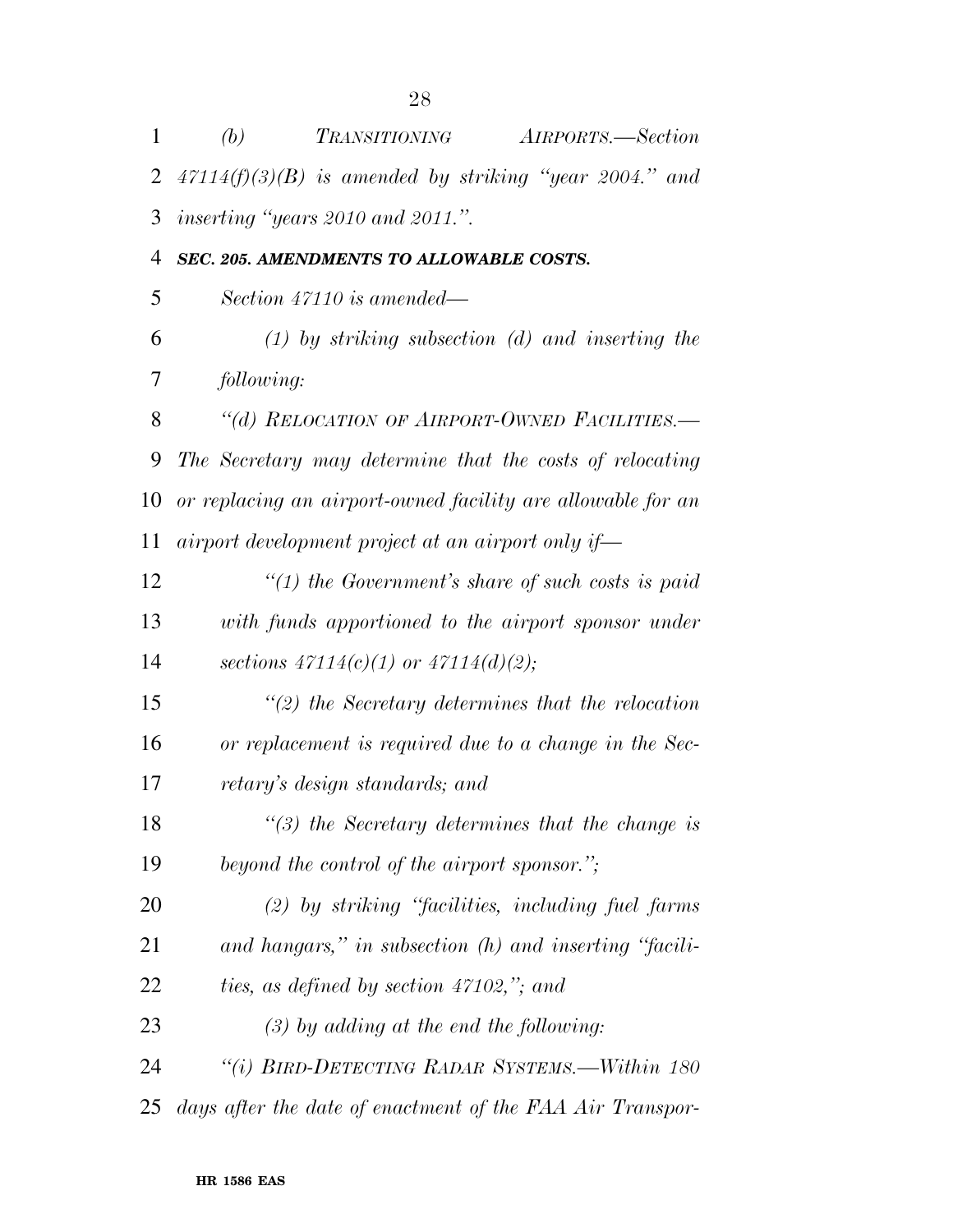| $\mathbf{1}$ | (b)        | <i>TRANSITIONING</i>                               | AIRPORTS.—Section                                           |
|--------------|------------|----------------------------------------------------|-------------------------------------------------------------|
| 2            |            |                                                    | $47114(f)(3)(B)$ is amended by striking "year 2004." and    |
| 3            |            | inserting "years 2010 and 2011.".                  |                                                             |
| 4            |            | SEC. 205. AMENDMENTS TO ALLOWABLE COSTS.           |                                                             |
| 5            |            | Section 47110 is amended—                          |                                                             |
| 6            |            |                                                    | $(1)$ by striking subsection $(d)$ and inserting the        |
| 7            | following: |                                                    |                                                             |
| 8            |            |                                                    | "(d) RELOCATION OF AIRPORT-OWNED FACILITIES.-               |
| 9            |            |                                                    | The Secretary may determine that the costs of relocating    |
| 10           |            |                                                    | or replacing an airport-owned facility are allowable for an |
| 11           |            | airport development project at an airport only if— |                                                             |
| 12           |            |                                                    | "(1) the Government's share of such costs is paid           |
| 13           |            |                                                    | with funds apportioned to the airport sponsor under         |
| 14           |            | sections $47114(c)(1)$ or $47114(d)(2)$ ;          |                                                             |
| 15           |            |                                                    | $\lq(2)$ the Secretary determines that the relocation       |
| 16           |            |                                                    | or replacement is required due to a change in the Sec-      |
| 17           |            | retary's design standards; and                     |                                                             |
| 18           |            |                                                    | $\lq(3)$ the Secretary determines that the change is        |
| 19           |            | beyond the control of the airport sponsor.";       |                                                             |
| 20           |            |                                                    | $(2)$ by striking "facilities, including fuel farms"        |
| 21           |            |                                                    | and hangars," in subsection (h) and inserting "facili-      |
| 22           |            | ties, as defined by section $47102$ ,"; and        |                                                             |
| 23           |            | $(3)$ by adding at the end the following:          |                                                             |
| 24           |            |                                                    | "(i) BIRD-DETECTING RADAR SYSTEMS.—Within 180               |
| 25           |            |                                                    | days after the date of enactment of the FAA Air Transpor-   |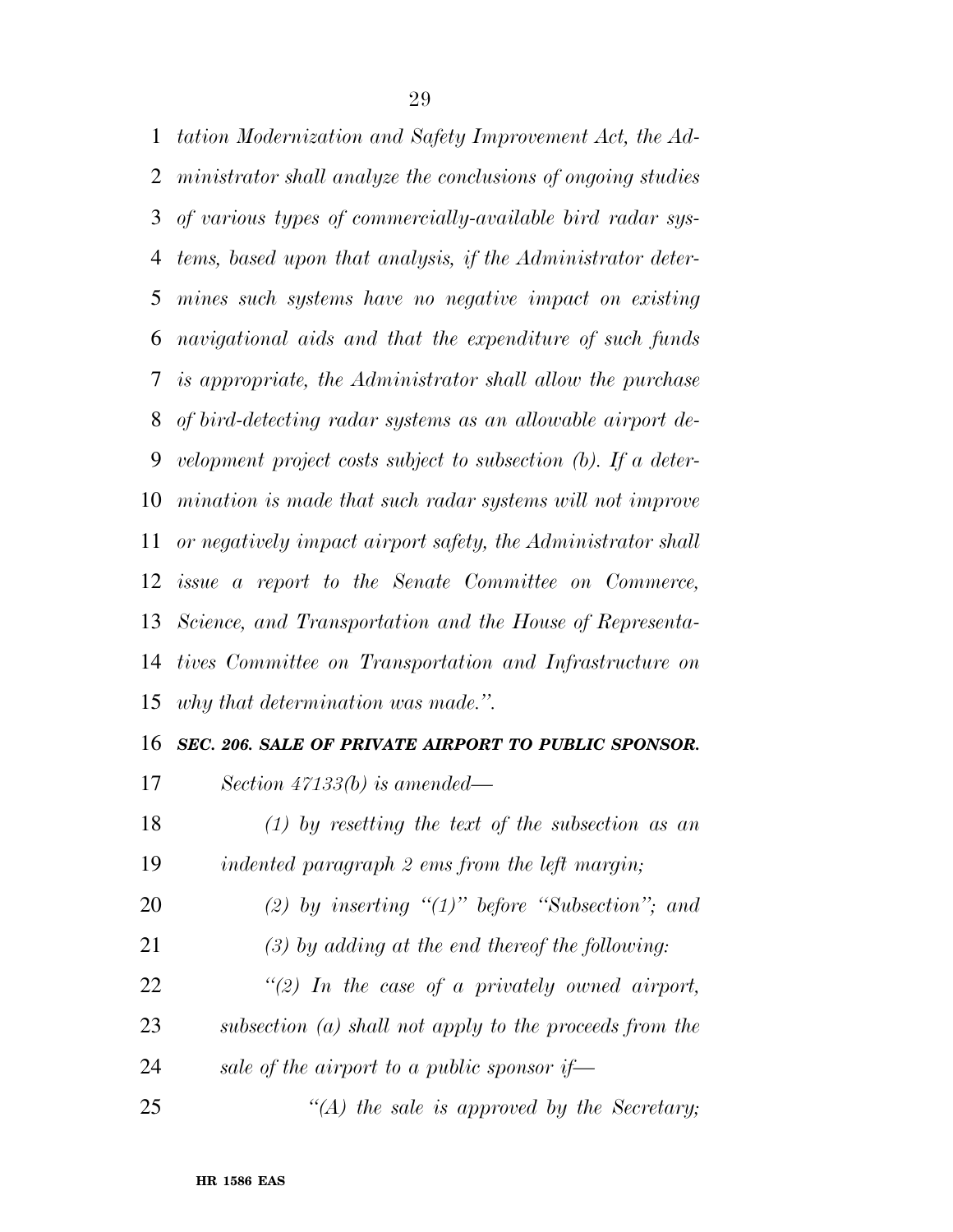*tation Modernization and Safety Improvement Act, the Ad- ministrator shall analyze the conclusions of ongoing studies of various types of commercially-available bird radar sys- tems, based upon that analysis, if the Administrator deter- mines such systems have no negative impact on existing navigational aids and that the expenditure of such funds is appropriate, the Administrator shall allow the purchase of bird-detecting radar systems as an allowable airport de- velopment project costs subject to subsection (b). If a deter- mination is made that such radar systems will not improve or negatively impact airport safety, the Administrator shall issue a report to the Senate Committee on Commerce, Science, and Transportation and the House of Representa- tives Committee on Transportation and Infrastructure on why that determination was made.''.* 

## *SEC. 206. SALE OF PRIVATE AIRPORT TO PUBLIC SPONSOR.*

- *Section 47133(b) is amended—*
- *(1) by resetting the text of the subsection as an indented paragraph 2 ems from the left margin;*
- *(2) by inserting ''(1)'' before ''Subsection''; and (3) by adding at the end thereof the following:*
- *''(2) In the case of a privately owned airport, subsection (a) shall not apply to the proceeds from the sale of the airport to a public sponsor if—*
- *''(A) the sale is approved by the Secretary;*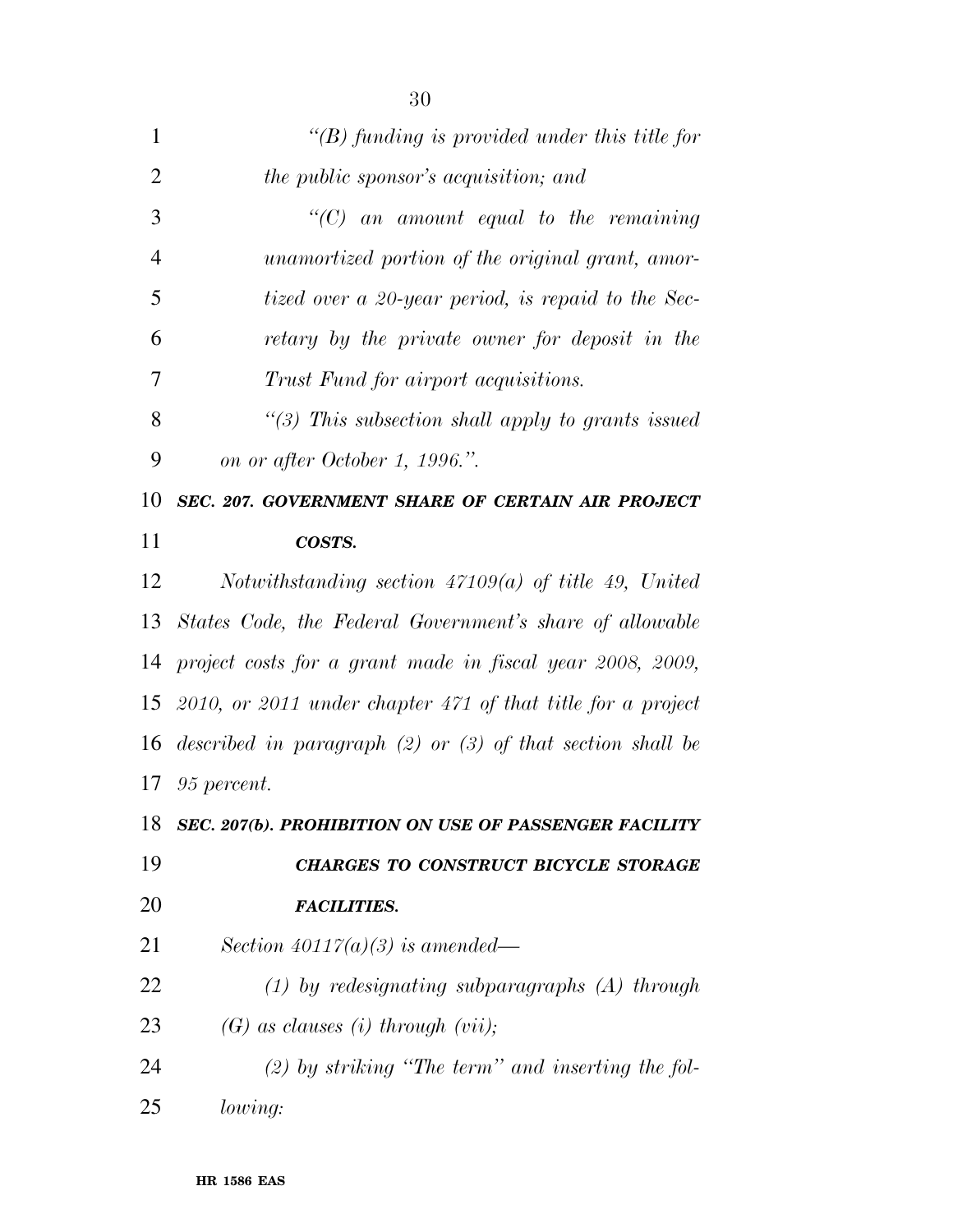| $\mathbf{1}$   | $\lq (B)$ funding is provided under this title for                 |
|----------------|--------------------------------------------------------------------|
| $\overline{2}$ | <i>the public sponsor's acquisition; and</i>                       |
| 3              | $\lq\lq C$ an amount equal to the remaining                        |
| $\overline{4}$ | unamortized portion of the original grant, amor-                   |
| 5              | tized over a 20-year period, is repaid to the Sec-                 |
| 6              | retary by the private owner for deposit in the                     |
| 7              | Trust Fund for airport acquisitions.                               |
| 8              | $\lq(3)$ This subsection shall apply to grants issued              |
| 9              | on or after October 1, 1996.".                                     |
| 10             | SEC. 207. GOVERNMENT SHARE OF CERTAIN AIR PROJECT                  |
| 11             | COSTS.                                                             |
| 12             | Notwithstanding section $47109(a)$ of title 49, United             |
| 13             | States Code, the Federal Government's share of allowable           |
| 14             | project costs for a grant made in fiscal year 2008, 2009,          |
| 15             | $2010$ , or $2011$ under chapter $471$ of that title for a project |
| 16             | described in paragraph $(2)$ or $(3)$ of that section shall be     |
| 17             | 95 percent.                                                        |
| 18             | SEC. 207(b). PROHIBITION ON USE OF PASSENGER FACILITY              |
| 19             | <b>CHARGES TO CONSTRUCT BICYCLE STORAGE</b>                        |
| 20             | <b>FACILITIES.</b>                                                 |
| 21             | Section $40117(a)(3)$ is amended—                                  |
| 22             | $(1)$ by redesignating subparagraphs $(A)$ through                 |
| 23             | $(G)$ as clauses (i) through (vii);                                |
| 24             | $(2)$ by striking "The term" and inserting the fol-                |
| 25             | lowing:                                                            |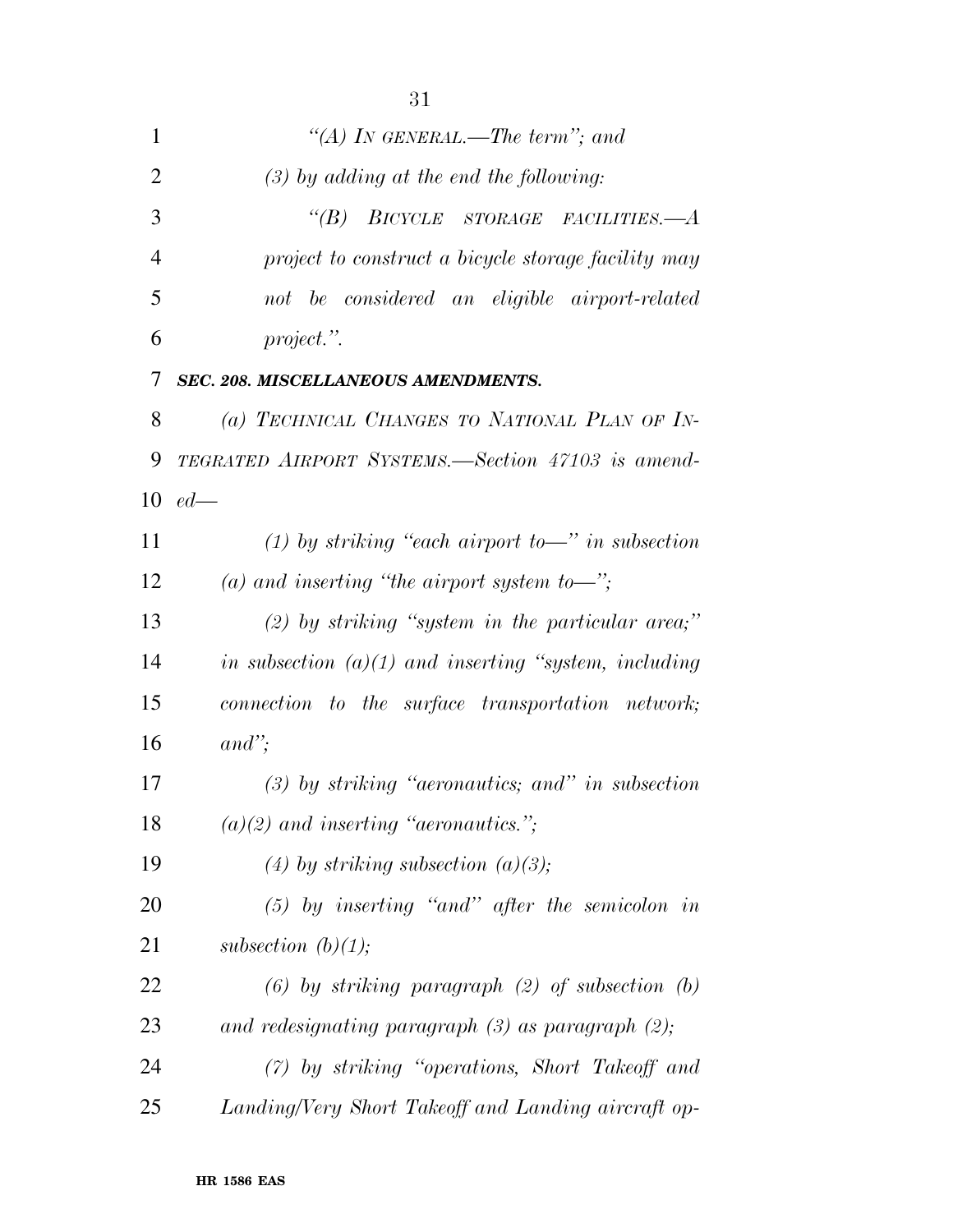| $\mathbf{1}$   | "(A) IN GENERAL.—The term"; and                         |
|----------------|---------------------------------------------------------|
| $\overline{2}$ | $(3)$ by adding at the end the following:               |
| 3              | BICYCLE STORAGE FACILITIES.-<br>$\lq(B)$                |
| $\overline{4}$ | project to construct a bicycle storage facility may     |
| 5              | not be considered an eligible airport-related           |
| 6              | project.".                                              |
| 7              | SEC. 208. MISCELLANEOUS AMENDMENTS.                     |
| 8              | (a) TECHNICAL CHANGES TO NATIONAL PLAN OF IN-           |
| 9              | TEGRATED AIRPORT SYSTEMS.—Section 47103 is amend-       |
| 10             | $ed$ —                                                  |
| 11             | (1) by striking "each airport to-" in subsection        |
| 12             | (a) and inserting "the airport system to-";             |
| 13             | $(2)$ by striking "system in the particular area;"      |
| 14             | in subsection $(a)(1)$ and inserting "system, including |
| 15             | connection to the surface transportation network;       |
| 16             | $and$ ";                                                |
| 17             | $(3)$ by striking "aeronautics; and" in subsection      |
| 18             | $(a)(2)$ and inserting "aeronautics.";                  |
| 19             | (4) by striking subsection (a)(3);                      |
| 20             | $(5)$ by inserting "and" after the semicolon in         |
| 21             | subsection $(b)(1);$                                    |
| 22             | $(6)$ by striking paragraph $(2)$ of subsection $(b)$   |
| 23             | and redesignating paragraph $(3)$ as paragraph $(2)$ ;  |
| 24             | $(7)$ by striking "operations, Short Takeoff and        |
| 25             | Landing/Very Short Takeoff and Landing aircraft op-     |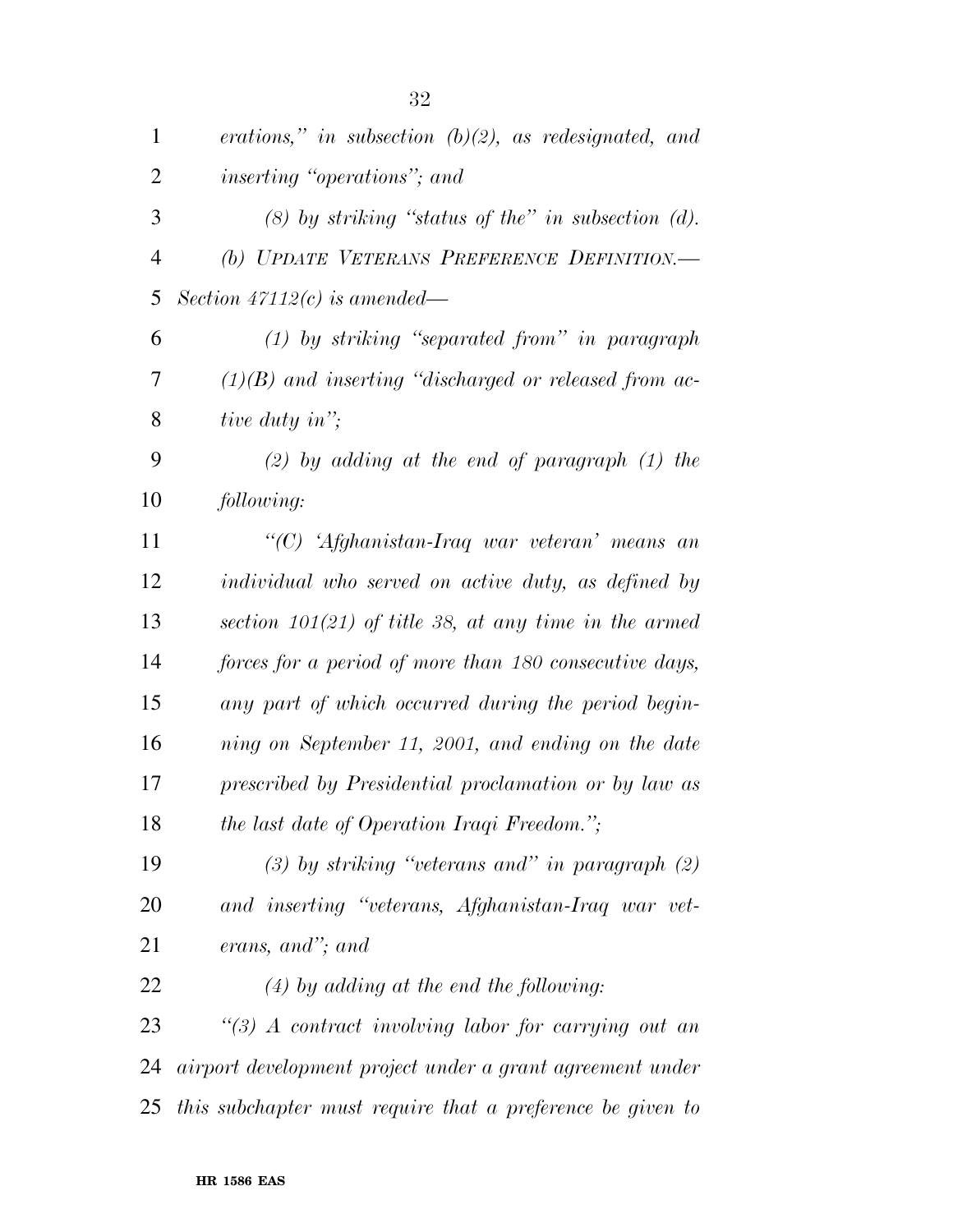| $\mathbf{1}$   | erations," in subsection $(b)(2)$ , as redesignated, and   |
|----------------|------------------------------------------------------------|
| $\overline{2}$ | <i>inserting "operations"</i> ; and                        |
| 3              | $(8)$ by striking "status of the" in subsection $(d)$ .    |
| $\overline{4}$ | (b) UPDATE VETERANS PREFERENCE DEFINITION.                 |
| 5              | Section $47112(c)$ is amended—                             |
| 6              | $(1)$ by striking "separated from" in paragraph            |
| 7              | $(1)(B)$ and inserting "discharged or released from ac-    |
| 8              | tive duty in";                                             |
| 9              | $(2)$ by adding at the end of paragraph $(1)$ the          |
| 10             | following:                                                 |
| 11             | "(C) 'Afghanistan-Iraq war veteran' means an               |
| 12             | individual who served on active duty, as defined by        |
| 13             | section $101(21)$ of title 38, at any time in the armed    |
| 14             | forces for a period of more than 180 consecutive days,     |
| 15             | any part of which occurred during the period begin-        |
| 16             | ning on September 11, 2001, and ending on the date         |
| 17             | prescribed by Presidential proclamation or by law as       |
| 18             | the last date of Operation Iraqi Freedom.";                |
| 19             | $(3)$ by striking "veterans and" in paragraph $(2)$        |
| 20             | and inserting "veterans, Afghanistan-Iraq war vet-         |
| 21             | erans, and"; and                                           |
| 22             | $(4)$ by adding at the end the following:                  |
| 23             | $\lq(3)$ A contract involving labor for carrying out an    |
| 24             | airport development project under a grant agreement under  |
| 25             | this subchapter must require that a preference be given to |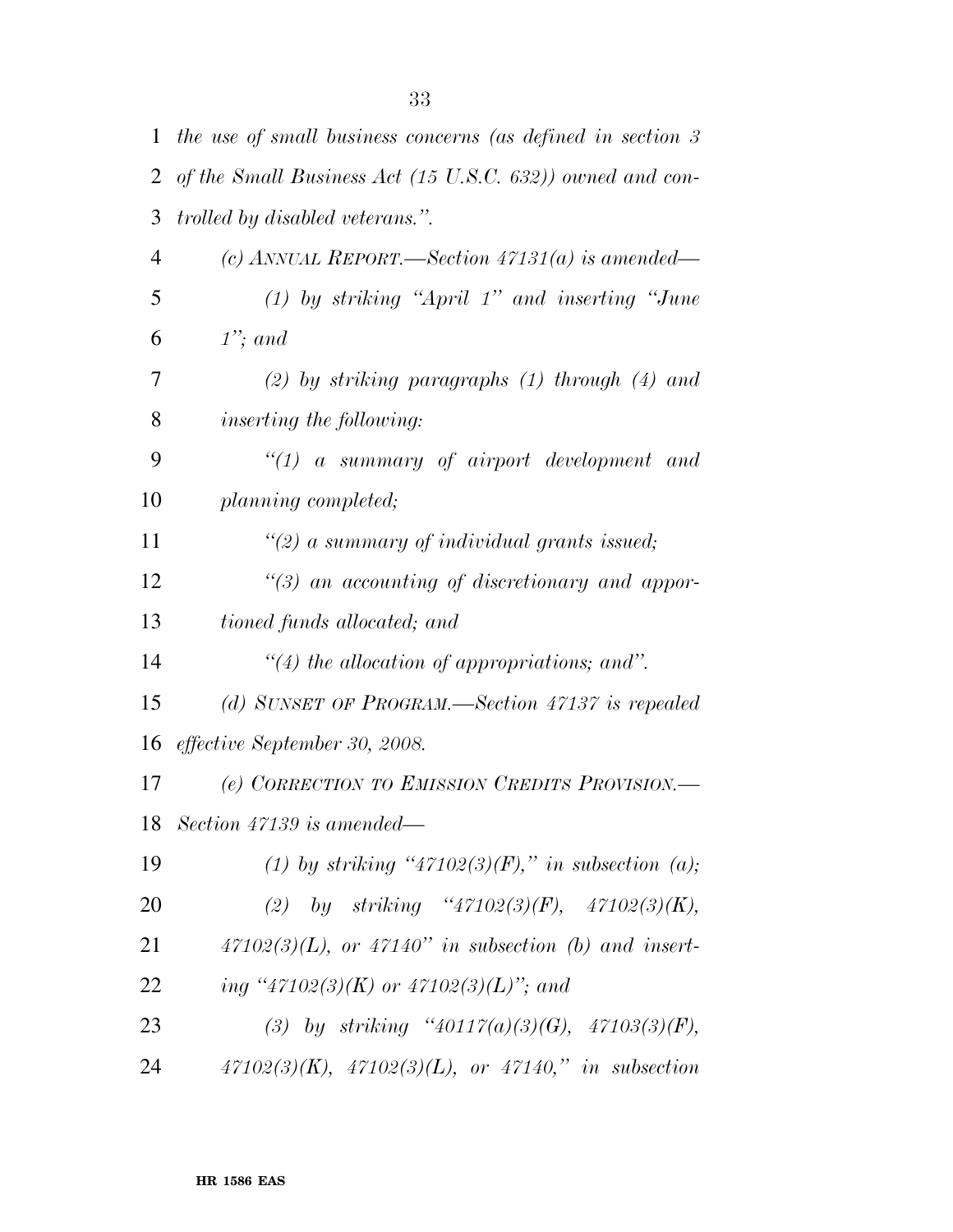| $\mathbf{1}$ | the use of small business concerns (as defined in section 3         |
|--------------|---------------------------------------------------------------------|
| 2            | of the Small Business Act $(15 \text{ U.S.C. } 632)$ owned and con- |
| 3            | <i>trolled by disabled veterans.</i> ".                             |
| 4            | (c) ANNUAL REPORT.—Section $47131(a)$ is amended—                   |
| 5            | $(1)$ by striking "April 1" and inserting "June                     |
| 6            | $1$ "; and                                                          |
| 7            | (2) by striking paragraphs $(1)$ through $(4)$ and                  |
| 8            | <i>inserting the following:</i>                                     |
| 9            | $\lq(1)$ a summary of airport development and                       |
| 10           | planning completed;                                                 |
| 11           | $\lq(2)$ a summary of individual grants issued;                     |
| 12           | $\lq(3)$ an accounting of discretionary and appor-                  |
| 13           | tioned funds allocated; and                                         |
| 14           | $\lq(4)$ the allocation of appropriations; and".                    |
| 15           | (d) SUNSET OF PROGRAM.—Section $47137$ is repealed                  |
| 16           | effective September 30, 2008.                                       |
| 17           | (e) CORRECTION TO EMISSION CREDITS PROVISION.—                      |
| 18           | Section 47139 is amended—                                           |
| 19           | (1) by striking "47102(3)(F)," in subsection (a);                   |
| 20           | (2) by striking "47102(3)(F), 47102(3)(K),                          |
| 21           | $47102(3)(L)$ , or $47140"$ in subsection (b) and insert-           |
| 22           | ing "47102(3)(K) or 47102(3)(L)"; and                               |
| 23           | (3) by striking "40117(a)(3)(G), 47103(3)(F),                       |
| 24           | $47102(3)(K)$ , $47102(3)(L)$ , or $47140$ ," in subsection         |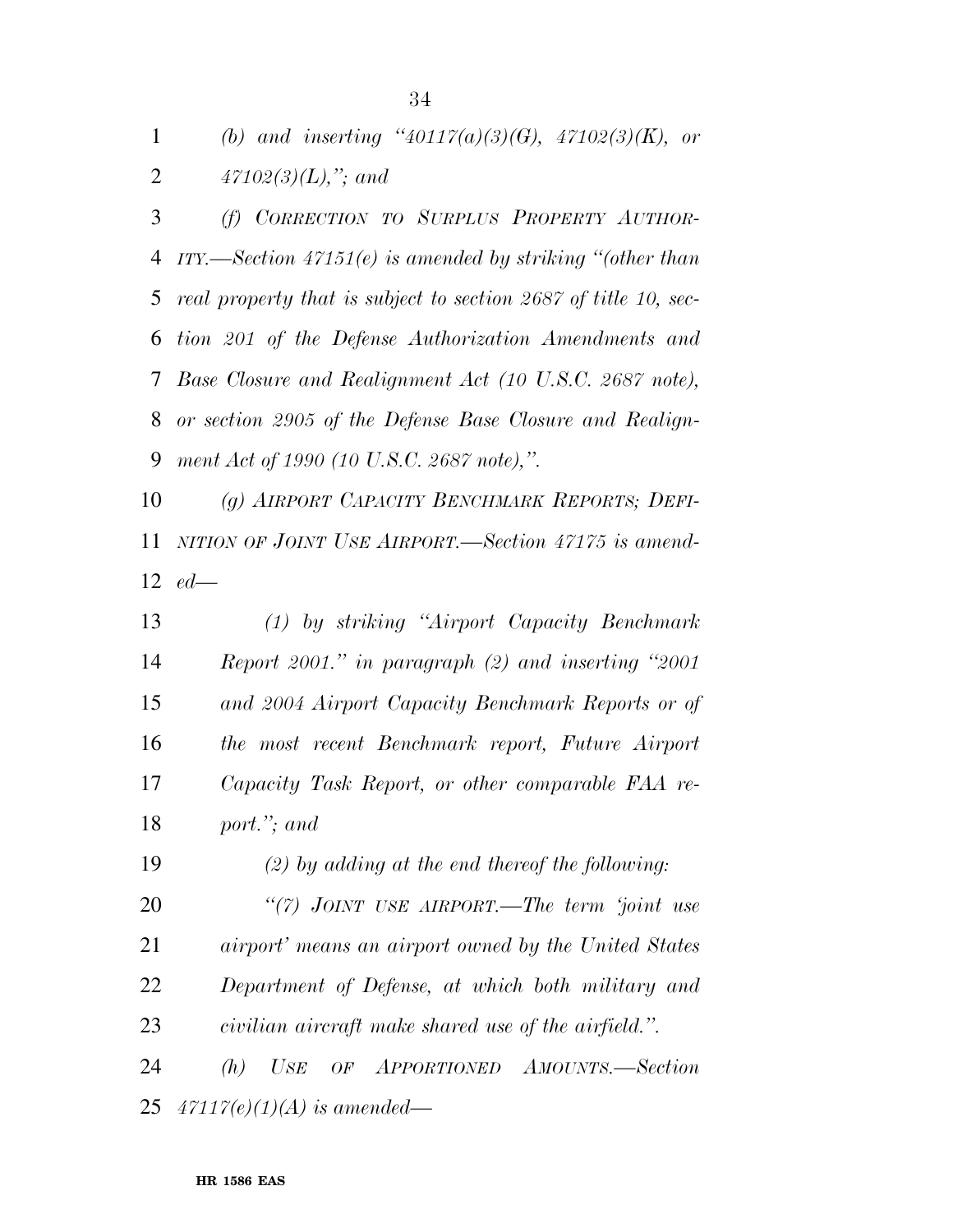*(b) and inserting ''40117(a)(3)(G), 47102(3)(K), or 47102(3)(L),''; and* 

 *(f) CORRECTION TO SURPLUS PROPERTY AUTHOR- ITY.—Section 47151(e) is amended by striking ''(other than real property that is subject to section 2687 of title 10, sec- tion 201 of the Defense Authorization Amendments and Base Closure and Realignment Act (10 U.S.C. 2687 note), or section 2905 of the Defense Base Closure and Realign-ment Act of 1990 (10 U.S.C. 2687 note),''.* 

 *(g) AIRPORT CAPACITY BENCHMARK REPORTS; DEFI- NITION OF JOINT USE AIRPORT.—Section 47175 is amend-ed—* 

 *(1) by striking ''Airport Capacity Benchmark Report 2001.'' in paragraph (2) and inserting ''2001 and 2004 Airport Capacity Benchmark Reports or of the most recent Benchmark report, Future Airport Capacity Task Report, or other comparable FAA re-port.''; and* 

 *(2) by adding at the end thereof the following: ''(7) JOINT USE AIRPORT.—The term 'joint use airport' means an airport owned by the United States Department of Defense, at which both military and civilian aircraft make shared use of the airfield.''.* 

 *(h) USE OF APPORTIONED AMOUNTS.—Section 47117(e)(1)(A) is amended—*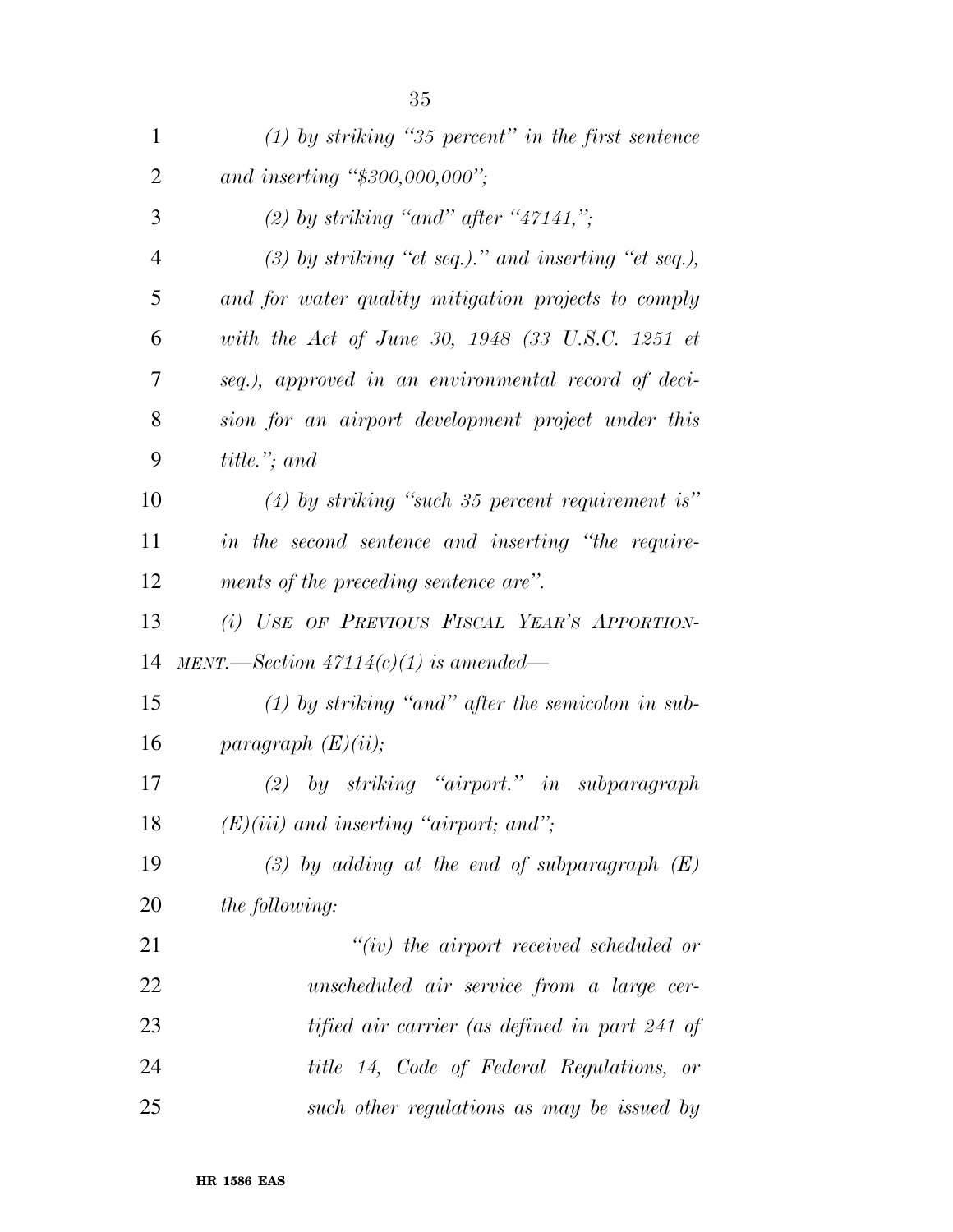| $\mathbf{1}$   | $(1)$ by striking "35 percent" in the first sentence   |
|----------------|--------------------------------------------------------|
| $\overline{2}$ | and inserting " $$300,000,000$ ";                      |
| 3              | (2) by striking "and" after "47141,";                  |
| $\overline{4}$ | $(3)$ by striking "et seq.)." and inserting "et seq.), |
| 5              | and for water quality mitigation projects to comply    |
| 6              | with the Act of June 30, 1948 (33 U.S.C. 1251 et       |
| 7              | seq.), approved in an environmental record of deci-    |
| 8              | sion for an airport development project under this     |
| 9              | $title.'$ ; and                                        |
| 10             | $(4)$ by striking "such 35 percent requirement is"     |
| 11             | in the second sentence and inserting "the require-     |
| 12             | ments of the preceding sentence are".                  |
| 13             | (i) USE OF PREVIOUS FISCAL YEAR'S APPORTION-           |
| 14             | MENT.—Section $47114(c)(1)$ is amended—                |
| 15             | $(1)$ by striking "and" after the semicolon in sub-    |
| 16             | paragraph $(E)(ii)$ ;                                  |
| 17             | $(2)$ by striking "airport." in subparagraph           |
| 18             | $(E)(iii)$ and inserting "airport; and";               |
| 19             | $(3)$ by adding at the end of subparagraph $(E)$       |
| 20             | <i>the following:</i>                                  |
| 21             | $``(iv)$ the airport received scheduled or             |
| 22             | unscheduled air service from a large cer-              |
| 23             | tified air carrier (as defined in part 241 of          |
| 24             | title 14, Code of Federal Regulations, or              |
| 25             | such other regulations as may be issued by             |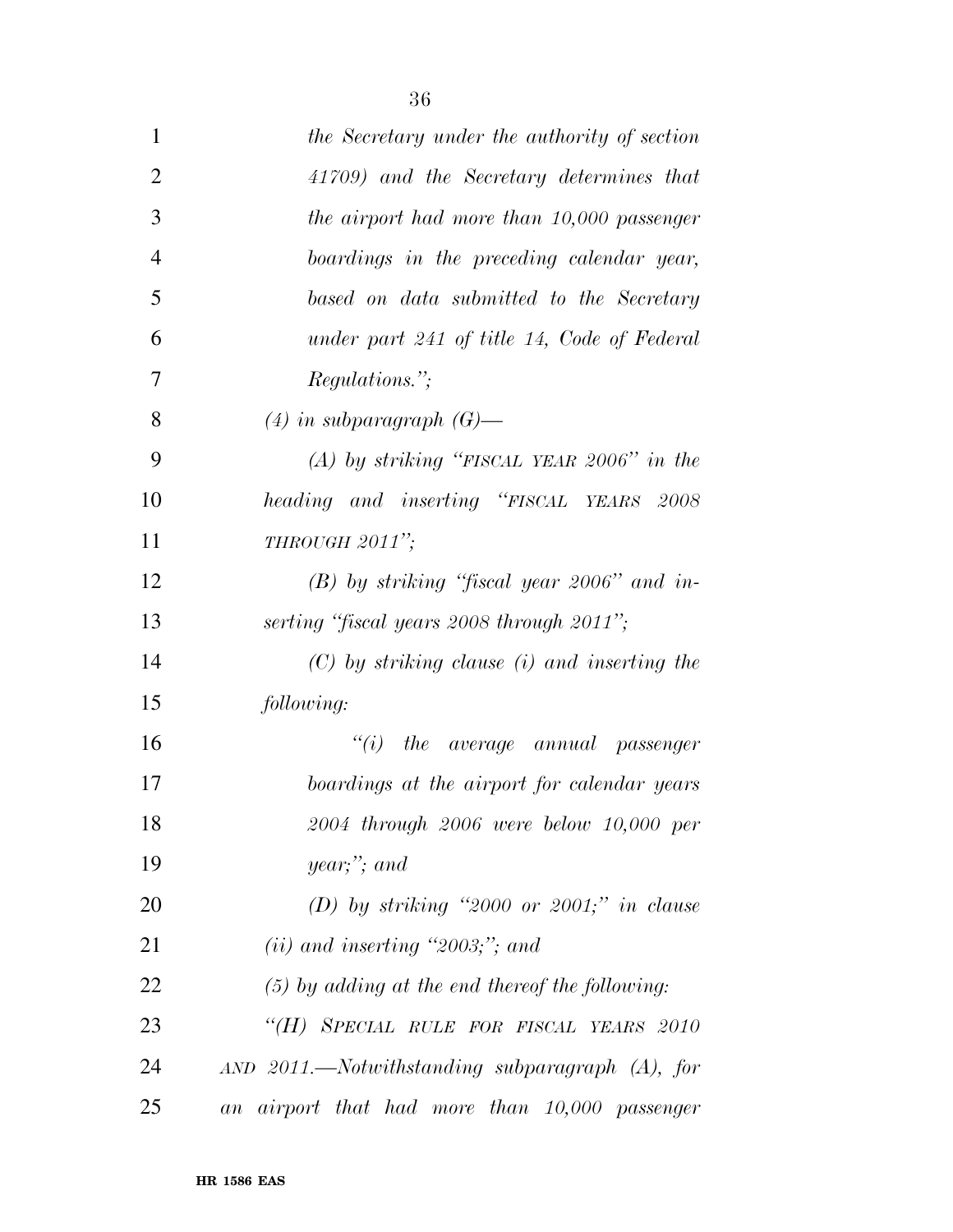| $\mathbf{1}$   | the Secretary under the authority of section         |
|----------------|------------------------------------------------------|
| $\overline{2}$ | 41709) and the Secretary determines that             |
| 3              | the airport had more than 10,000 passenger           |
| $\overline{4}$ | boardings in the preceding calendar year,            |
| 5              | based on data submitted to the Secretary             |
| 6              | under part 241 of title 14, Code of Federal          |
| 7              | <i>Regulations.</i> ";                               |
| 8              | $(4)$ in subparagraph $(G)$ —                        |
| 9              | $(A)$ by striking "FISCAL YEAR 2006" in the          |
| 10             | heading and inserting "FISCAL YEARS 2008             |
| 11             | THROUGH 2011";                                       |
| 12             | $(B)$ by striking "fiscal year 2006" and in-         |
| 13             | serting "fiscal years 2008 through 2011";            |
| 14             | $(C)$ by striking clause (i) and inserting the       |
| 15             | following:                                           |
| 16             | $"(i)$ the average annual passenger                  |
| 17             | boardings at the airport for calendar years          |
| 18             | $2004$ through $2006$ were below $10,000$ per        |
| 19             | year;"; and                                          |
| 20             | (D) by striking "2000 or 2001;" in clause            |
| 21             | $(ii)$ and inserting "2003;"; and                    |
| 22             | $(5)$ by adding at the end thereof the following:    |
| 23             | "(H) SPECIAL RULE FOR FISCAL YEARS 2010              |
| 24             | $AND$ 2011.—Notwithstanding subparagraph $(A)$ , for |
| 25             | airport that had more than 10,000 passenger<br>an    |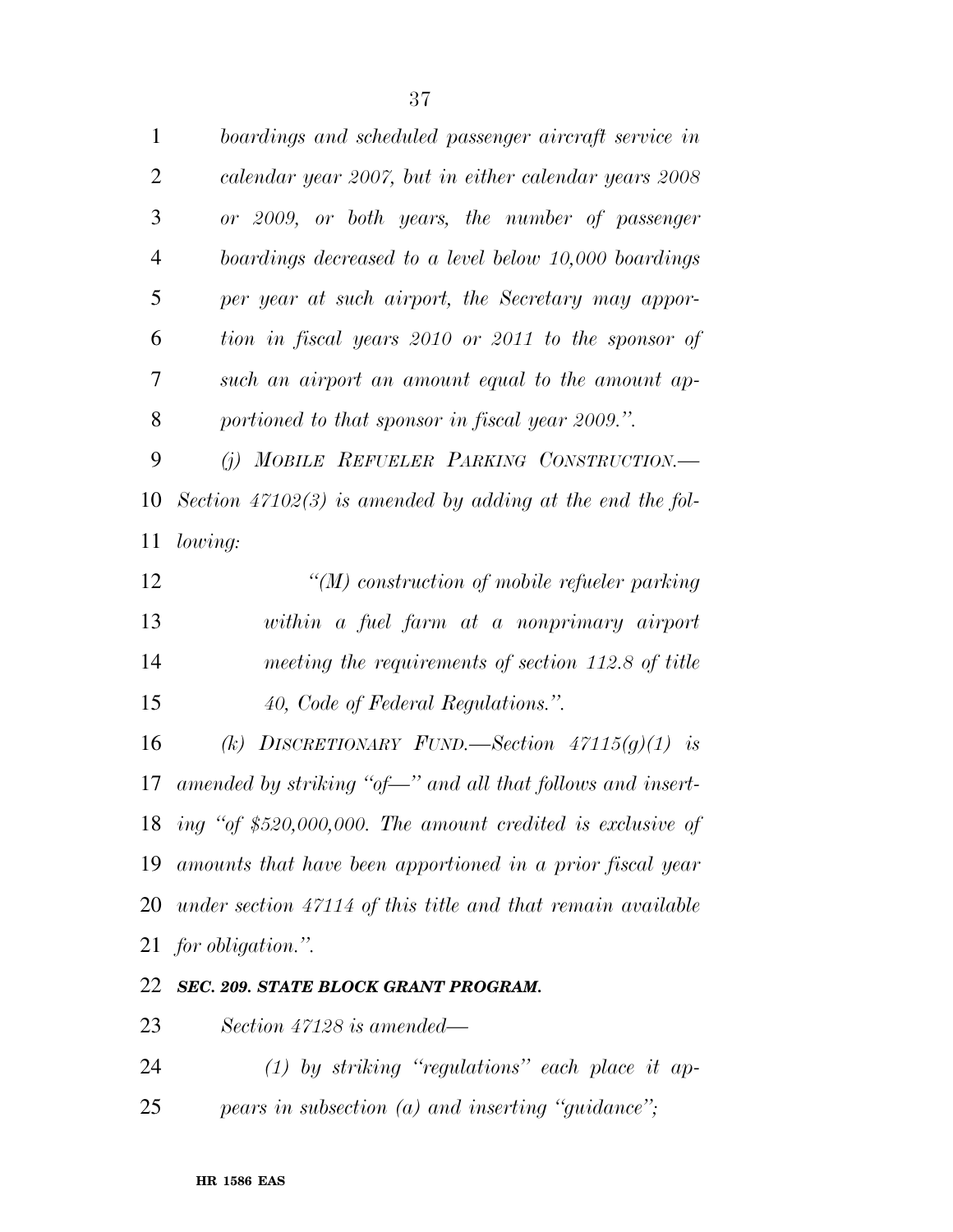| $\mathbf{1}$   | boardings and scheduled passenger aircraft service in           |
|----------------|-----------------------------------------------------------------|
| $\overline{2}$ | calendar year 2007, but in either calendar years 2008           |
| 3              | or 2009, or both years, the number of passenger                 |
| $\overline{4}$ | boardings decreased to a level below 10,000 boardings           |
| 5              | per year at such airport, the Secretary may appor-              |
| 6              | tion in fiscal years 2010 or 2011 to the sponsor of             |
| 7              | such an airport an amount equal to the amount ap-               |
| 8              | portioned to that sponsor in fiscal year 2009.".                |
| 9              | (j) MOBILE REFUELER PARKING CONSTRUCTION.-                      |
| 10             | Section $47102(3)$ is amended by adding at the end the fol-     |
| 11             | lowing:                                                         |
| 12             | $\lq (M)$ construction of mobile refueler parking               |
| 13             | within a fuel farm at a nonprimary airport                      |
| 14             | meeting the requirements of section 112.8 of title              |
| 15             | 40, Code of Federal Regulations.".                              |
| 16             | DISCRETIONARY FUND.—Section $47115(g)(1)$ is<br>(k)             |
| 17             | amended by striking "of—" and all that follows and insert-      |
|                | 18 ing "of $$520,000,000$ . The amount credited is exclusive of |
| 19             | amounts that have been apportioned in a prior fiscal year       |
| 20             | under section 47114 of this title and that remain available     |
|                | 21 for obligation.".                                            |

### *SEC. 209. STATE BLOCK GRANT PROGRAM.*

*Section 47128 is amended—* 

 *(1) by striking ''regulations'' each place it ap-pears in subsection (a) and inserting ''guidance'';*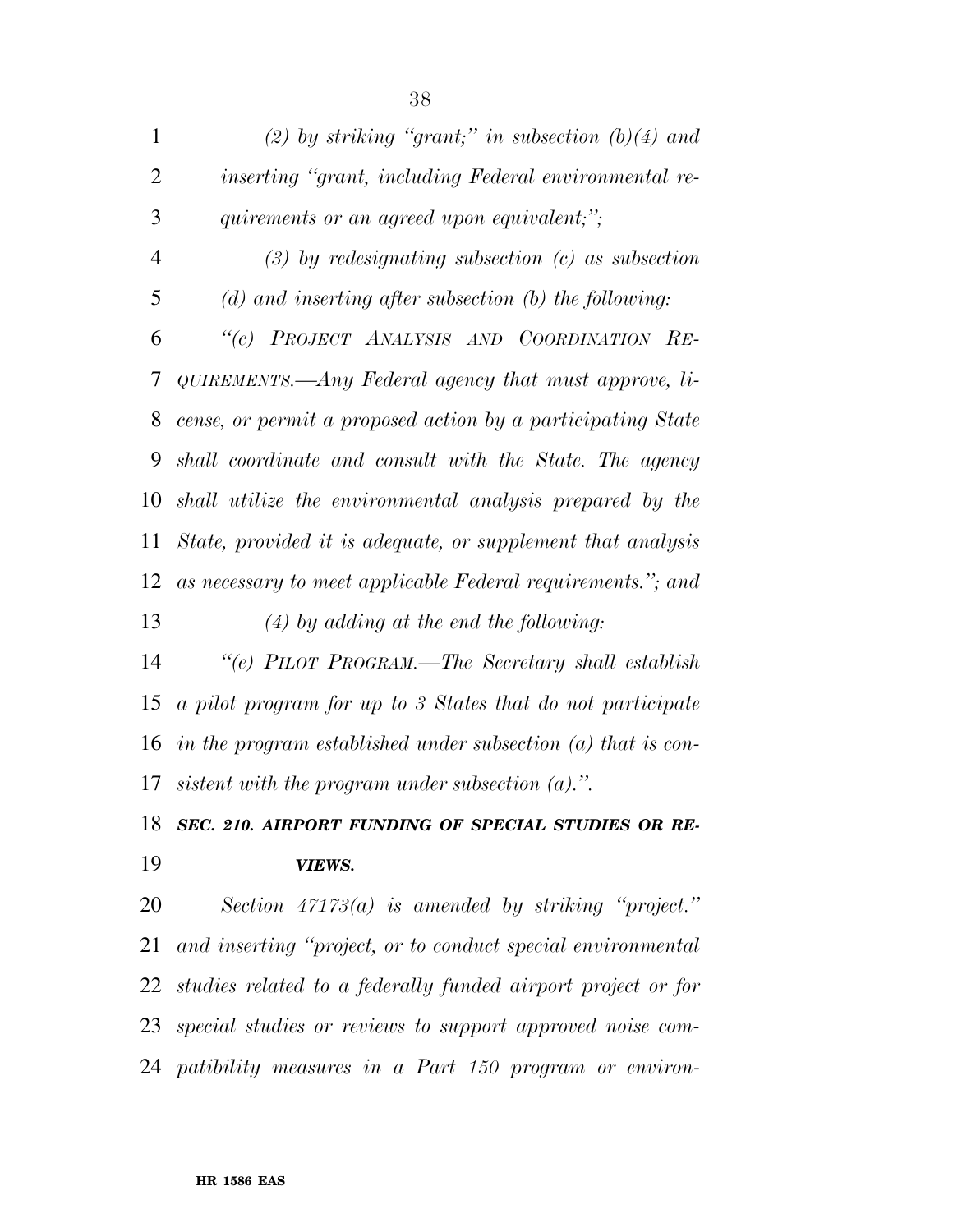| 1              | (2) by striking "grant;" in subsection $(b)(4)$ and               |
|----------------|-------------------------------------------------------------------|
| $\overline{2}$ | inserting "grant, including Federal environmental re-             |
| 3              | quirements or an agreed upon equivalent;";                        |
| 4              | $(3)$ by redesignating subsection $(c)$ as subsection             |
| 5              | $(d)$ and inserting after subsection $(b)$ the following:         |
| 6              | "(c) PROJECT ANALYSIS AND COORDINATION RE-                        |
| 7              | QUIREMENTS.—Any Federal agency that must approve, li-             |
| 8              | cense, or permit a proposed action by a participating State       |
| 9              | shall coordinate and consult with the State. The agency           |
| 10             | shall utilize the environmental analysis prepared by the          |
| 11             | State, provided it is adequate, or supplement that analysis       |
| 12             | as necessary to meet applicable Federal requirements."; and       |
| 13             | $(4)$ by adding at the end the following:                         |
| 14             | "(e) PILOT PROGRAM.—The Secretary shall establish                 |
| 15             | a pilot program for up to 3 States that do not participate        |
|                | 16 in the program established under subsection $(a)$ that is con- |

*sistent with the program under subsection (a).''.* 

 *SEC. 210. AIRPORT FUNDING OF SPECIAL STUDIES OR RE-VIEWS.* 

 *Section 47173(a) is amended by striking ''project.'' and inserting ''project, or to conduct special environmental studies related to a federally funded airport project or for special studies or reviews to support approved noise com-patibility measures in a Part 150 program or environ-*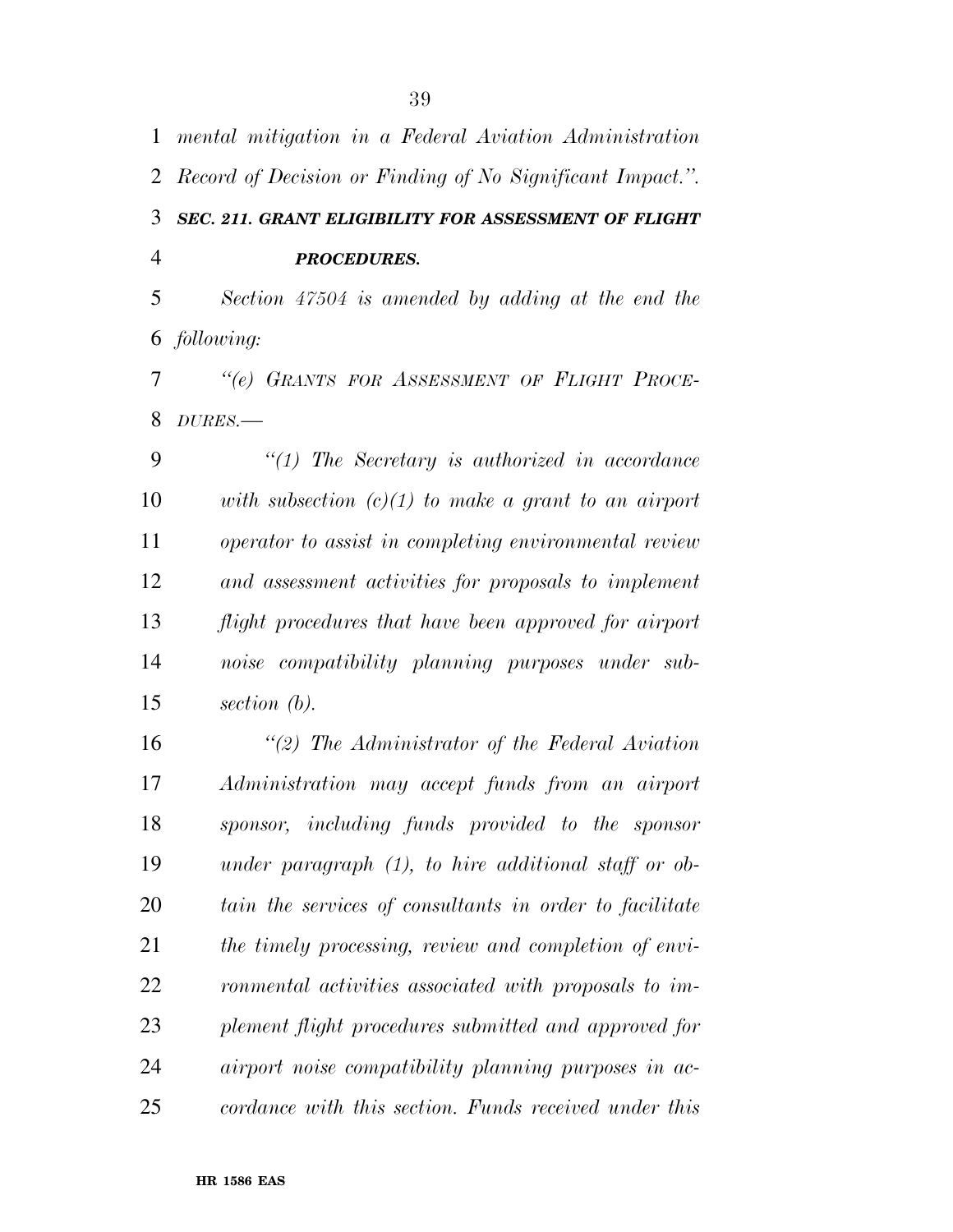| $\mathbf{1}$   | mental mitigation in a Federal Aviation Administration    |
|----------------|-----------------------------------------------------------|
| 2              | Record of Decision or Finding of No Significant Impact.". |
| 3              | SEC. 211. GRANT ELIGIBILITY FOR ASSESSMENT OF FLIGHT      |
| $\overline{4}$ | <b>PROCEDURES.</b>                                        |
| 5              | Section 47504 is amended by adding at the end the         |
| 6              | following:                                                |
| 7              | "(e) GRANTS FOR ASSESSMENT OF FLIGHT PROCE-               |
| 8              | $DURES$ .                                                 |
| 9              | $\lq(1)$ The Secretary is authorized in accordance        |
| 10             | with subsection $(c)(1)$ to make a grant to an airport    |
| 11             | operator to assist in completing environmental review     |
| 12             | and assessment activities for proposals to implement      |
| 13             | flight procedures that have been approved for airport     |
| 14             | noise compatibility planning purposes under sub-          |
| 15             | section (b).                                              |
| 16             | $\lq(2)$ The Administrator of the Federal Aviation        |
| 17             | Administration may accept funds from an airport           |
| 18             | sponsor, including funds provided to the sponsor          |
| 19             | under paragraph $(1)$ , to hire additional staff or ob-   |
| 20             | tain the services of consultants in order to facilitate   |
| 21             | the timely processing, review and completion of envi-     |
| 22             | ronmental activities associated with proposals to im-     |
| 23             | plement flight procedures submitted and approved for      |
| 24             | airport noise compatibility planning purposes in ac-      |
| 25             | cordance with this section. Funds received under this     |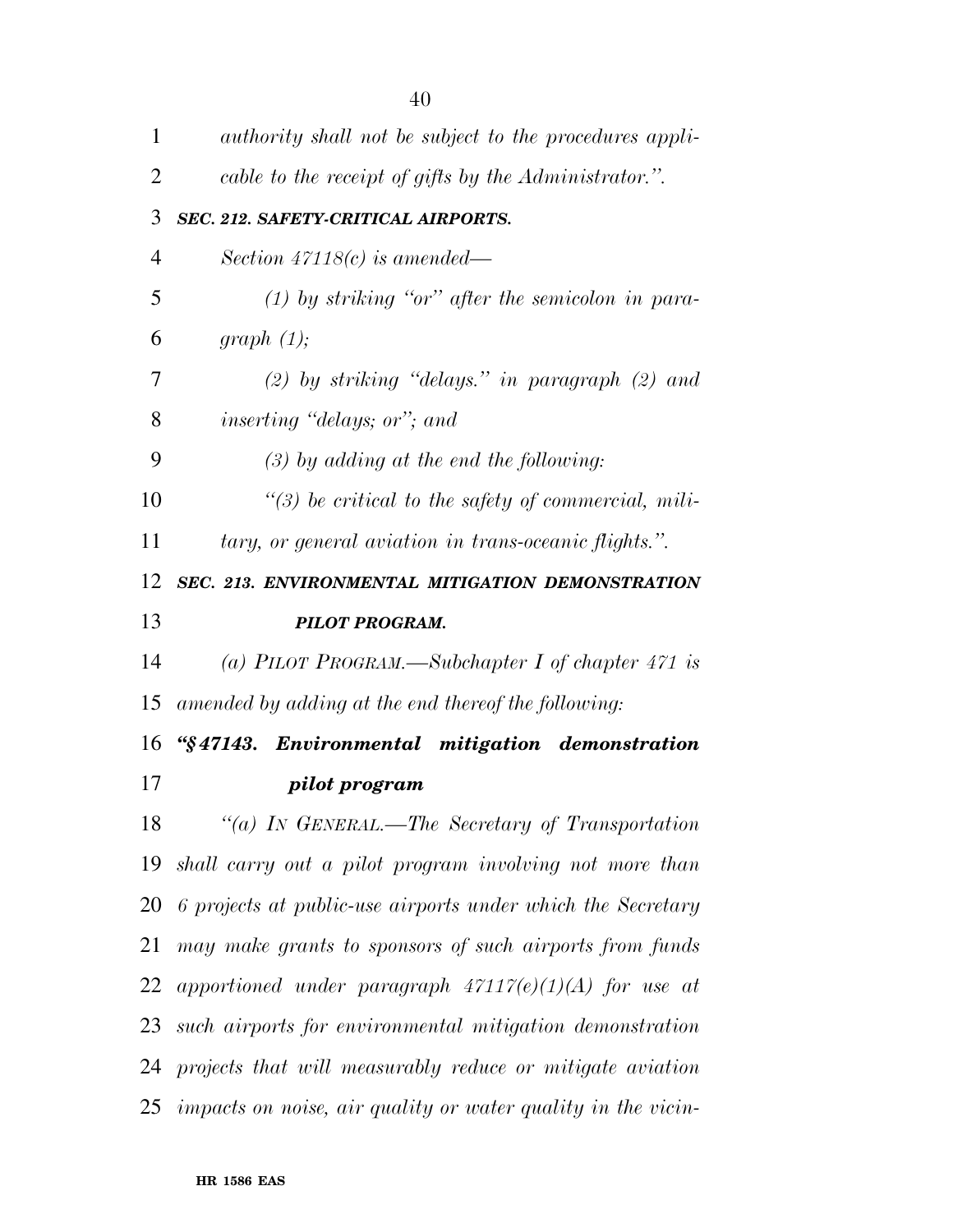| 1              | authority shall not be subject to the procedures appli-         |
|----------------|-----------------------------------------------------------------|
| $\overline{2}$ | cable to the receipt of gifts by the Administrator.".           |
| 3              | <b>SEC. 212. SAFETY-CRITICAL AIRPORTS.</b>                      |
| $\overline{4}$ | Section $47118(c)$ is amended—                                  |
| 5              | $(1)$ by striking "or" after the semicolon in para-             |
| 6              | graph $(1)$ ;                                                   |
| 7              | $(2)$ by striking "delays." in paragraph $(2)$ and              |
| 8              | <i>inserting "delays; or"; and</i>                              |
| 9              | $(3)$ by adding at the end the following:                       |
| 10             | $\lq(3)$ be critical to the safety of commercial, mili-         |
| 11             | tary, or general aviation in trans-oceanic flights.".           |
| 12             | SEC. 213. ENVIRONMENTAL MITIGATION DEMONSTRATION                |
| 13             | <b>PILOT PROGRAM.</b>                                           |
| 14             | (a) PILOT PROGRAM.—Subchapter I of chapter 471 is               |
| 15             | amended by adding at the end thereof the following:             |
| 16             | "§47143. Environmental mitigation demonstration                 |
| 17             | pilot program                                                   |
| 18             | "(a) IN GENERAL.—The Secretary of Transportation                |
|                | 19 shall carry out a pilot program involving not more than      |
|                | 20 6 projects at public-use airports under which the Secretary  |
| 21             | may make grants to sponsors of such airports from funds         |
| 22             | apportioned under paragraph $47117(e)(1)(A)$ for use at         |
| 23             | such airports for environmental mitigation demonstration        |
|                | 24 projects that will measurably reduce or mitigate aviation    |
|                | 25 impacts on noise, air quality or water quality in the vicin- |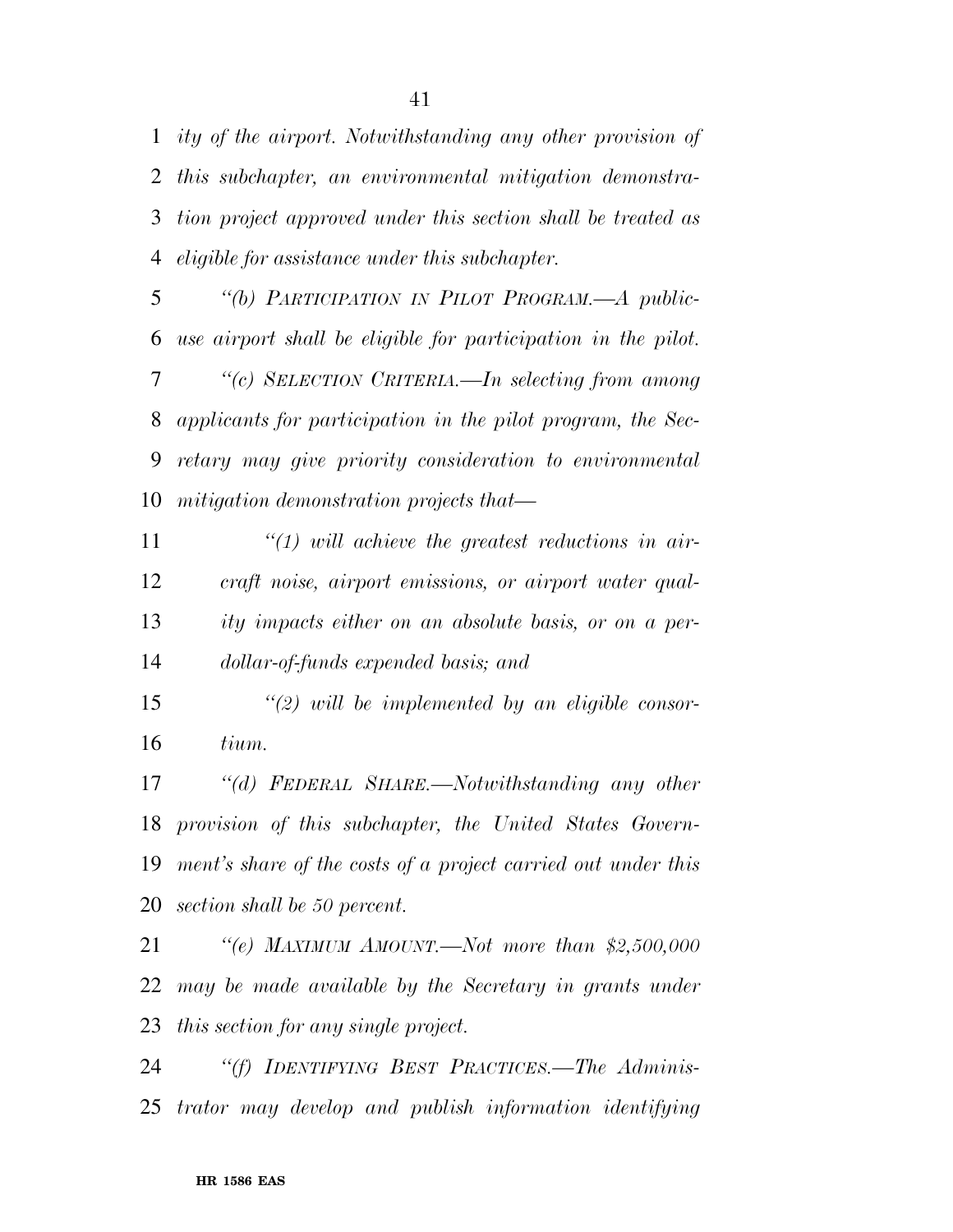*ity of the airport. Notwithstanding any other provision of this subchapter, an environmental mitigation demonstra- tion project approved under this section shall be treated as eligible for assistance under this subchapter.* 

 *''(b) PARTICIPATION IN PILOT PROGRAM.—A public- use airport shall be eligible for participation in the pilot. ''(c) SELECTION CRITERIA.—In selecting from among applicants for participation in the pilot program, the Sec- retary may give priority consideration to environmental mitigation demonstration projects that—* 

 *''(1) will achieve the greatest reductions in air- craft noise, airport emissions, or airport water qual- ity impacts either on an absolute basis, or on a per-dollar-of-funds expended basis; and* 

 *''(2) will be implemented by an eligible consor-tium.* 

 *''(d) FEDERAL SHARE.—Notwithstanding any other provision of this subchapter, the United States Govern- ment's share of the costs of a project carried out under this section shall be 50 percent.* 

 *''(e) MAXIMUM AMOUNT.—Not more than \$2,500,000 may be made available by the Secretary in grants under this section for any single project.* 

 *''(f) IDENTIFYING BEST PRACTICES.—The Adminis-trator may develop and publish information identifying*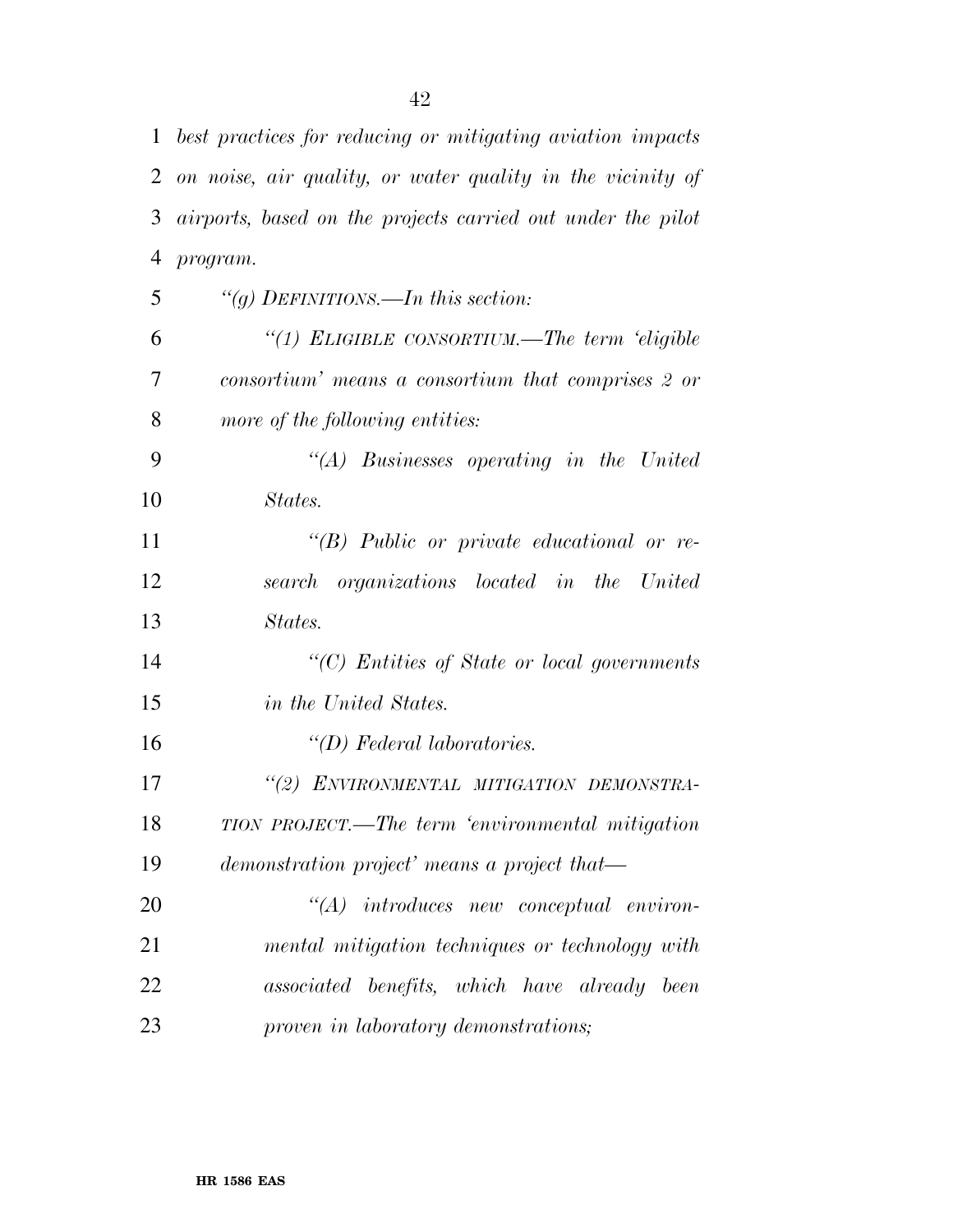|    | 1 best practices for reducing or mitigating aviation impacts |
|----|--------------------------------------------------------------|
| 2  | on noise, air quality, or water quality in the vicinity of   |
| 3  | airports, based on the projects carried out under the pilot  |
| 4  | program.                                                     |
| 5  | "(g) DEFINITIONS.—In this section:                           |
| 6  | "(1) ELIGIBLE CONSORTIUM.—The term 'eligible                 |
| 7  | consortium' means a consortium that comprises 2 or           |
| 8  | more of the following entities:                              |
| 9  | $\lq\lq (A)$ Businesses operating in the United              |
| 10 | States.                                                      |
| 11 | $\lq\lq B$ ) Public or private educational or re-            |
| 12 | search organizations located in the United                   |
| 13 | States.                                                      |
| 14 | $\lq\lq C$ ) Entities of State or local governments          |
| 15 | in the United States.                                        |
| 16 | $\lq (D)$ Federal laboratories.                              |
| 17 | "(2) ENVIRONMENTAL MITIGATION DEMONSTRA-                     |
| 18 | TION PROJECT.—The term 'environmental mitigation             |
| 19 | demonstration project' means a project that—                 |
| 20 | $\lq\lq (A)$ introduces new conceptual environ-              |
| 21 | mental mitigation techniques or technology with              |
| 22 | associated benefits, which have already been                 |
| 23 | proven in laboratory demonstrations;                         |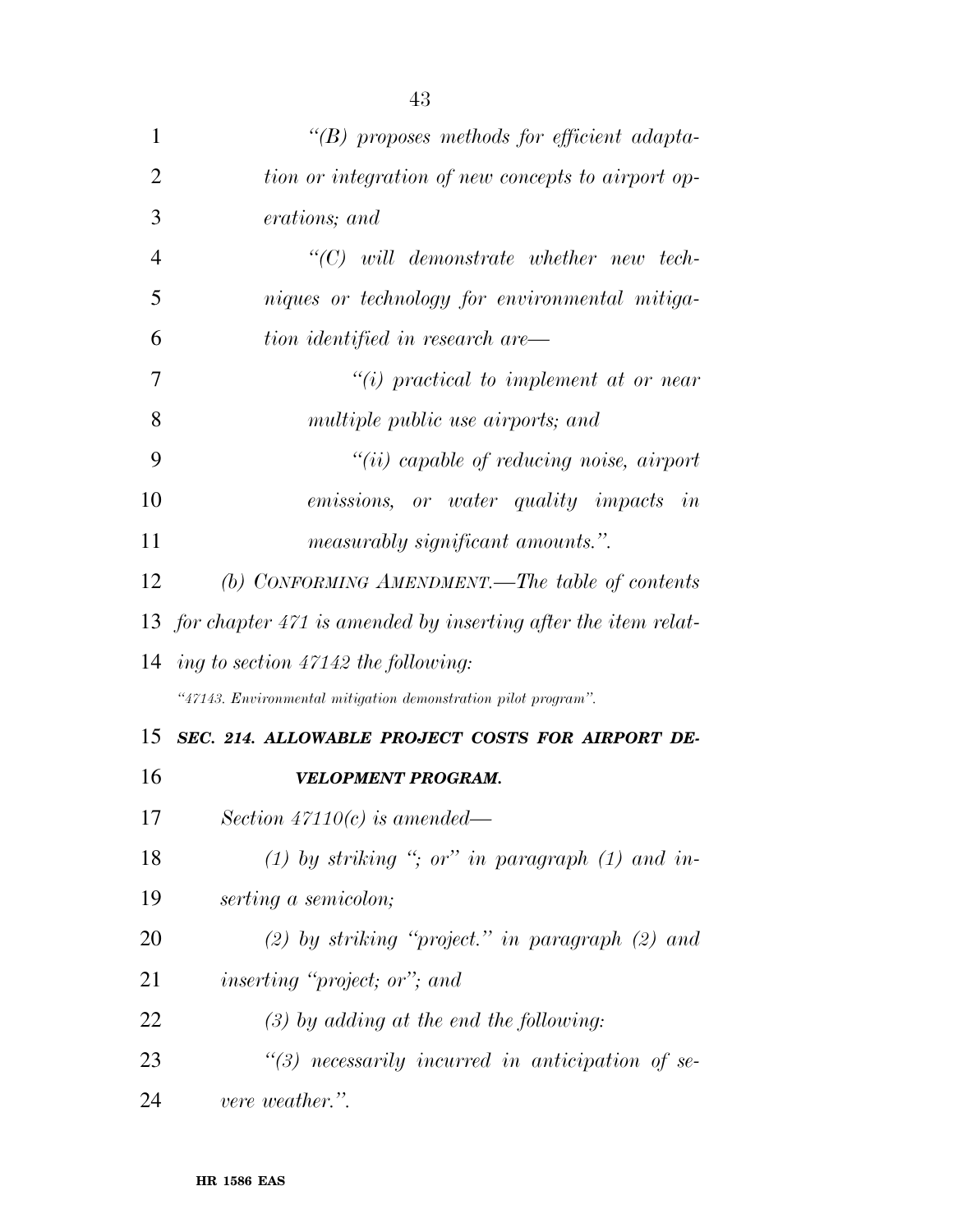| $\mathbf{1}$   | "(B) proposes methods for efficient adapta-                      |
|----------------|------------------------------------------------------------------|
| $\overline{2}$ | tion or integration of new concepts to airport op-               |
| 3              | erations; and                                                    |
| $\overline{4}$ | $\lq\lq C$ ) will demonstrate whether new tech-                  |
| 5              | niques or technology for environmental mitiga-                   |
| 6              | $\it{tion\; identified\; in\; research\; are}$                   |
| 7              | $``(i)$ practical to implement at or near                        |
| 8              | multiple public use airports; and                                |
| 9              | $``(ii) \textit{ capable of reducing noise}, \textit{ airport}$  |
| 10             | <i>emissions, or water quality impacts in</i>                    |
| 11             | <i>measurably significant amounts."</i>                          |
| 12             | (b) CONFORMING AMENDMENT.—The table of contents                  |
|                | 13 for chapter 471 is amended by inserting after the item relat- |
| 14             | ing to section $47142$ the following:                            |
|                | "47143. Environmental mitigation demonstration pilot program".   |
|                | 15 SEC. 214. ALLOWABLE PROJECT COSTS FOR AIRPORT DE-             |
| 16             | VELOPMENT PROGRAM.                                               |
| 17             | Section $47110(c)$ is amended—                                   |
| 18             | (1) by striking "; or" in paragraph $(1)$ and in-                |
| 19             | serting a semicolon;                                             |
| 20             | (2) by striking "project." in paragraph $(2)$ and                |
| 21             | <i>inserting "project; or"; and</i>                              |
| 22             | $(3)$ by adding at the end the following:                        |
| 23             | $\lq(3)$ necessarily incurred in anticipation of se-             |
| 24             | vere weather.".                                                  |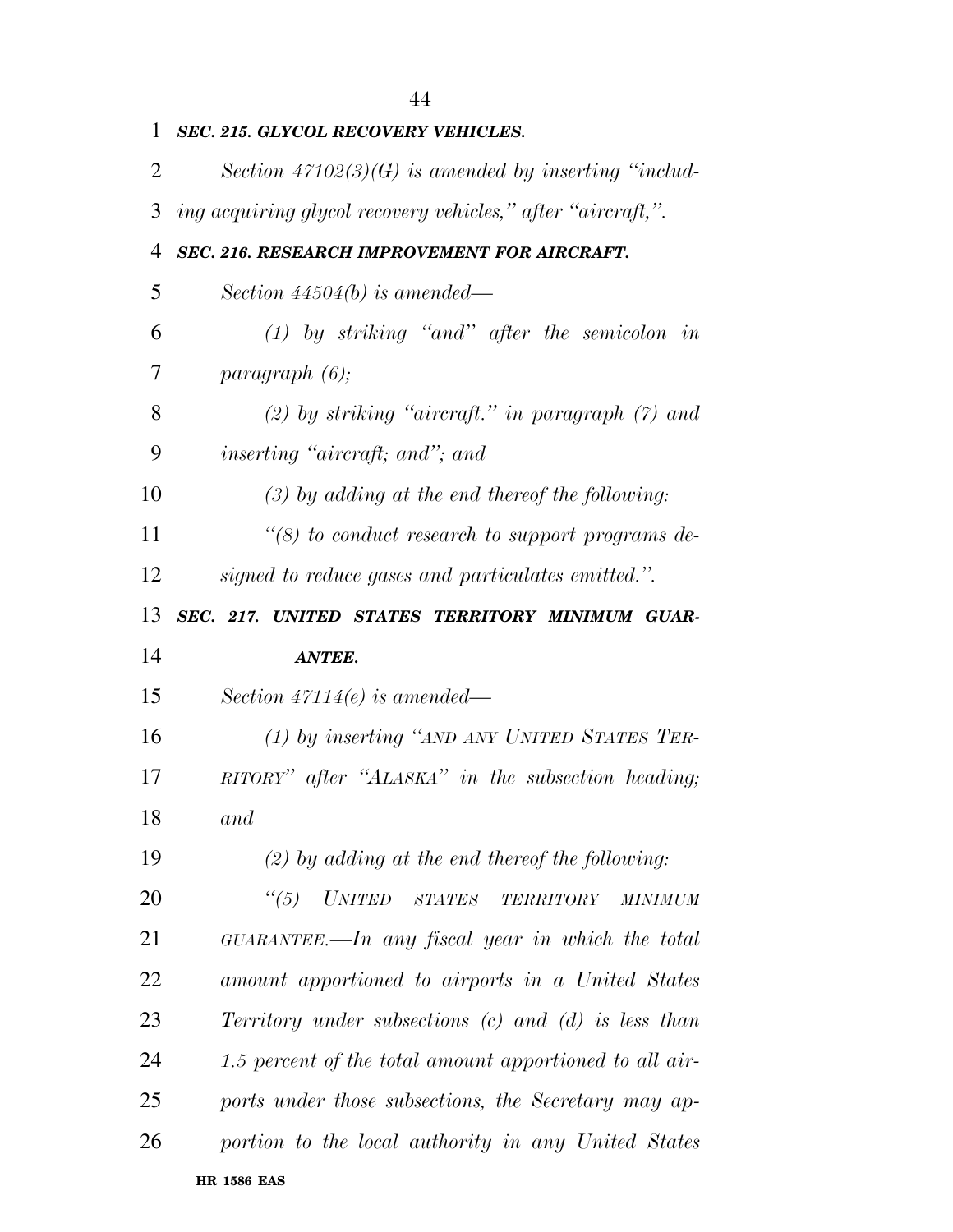| 1              | <b>SEC. 215. GLYCOL RECOVERY VEHICLES.</b>                                                           |
|----------------|------------------------------------------------------------------------------------------------------|
| $\overline{2}$ | Section $47102(3)(G)$ is amended by inserting "includ-                                               |
| 3              | ing acquiring glycol recovery vehicles," after "aircraft,".                                          |
| 4              | <b>SEC. 216. RESEARCH IMPROVEMENT FOR AIRCRAFT.</b>                                                  |
| 5              | Section $44504(b)$ is amended—                                                                       |
| 6              | $(1)$ by striking "and" after the semicolon in                                                       |
| 7              | paragnath(6);                                                                                        |
| 8              | $(2)$ by striking "aircraft." in paragraph $(7)$ and                                                 |
| 9              | <i>inserting "aircraft; and"; and</i>                                                                |
| 10             | $(3)$ by adding at the end thereof the following:                                                    |
| 11             | $\lq(8)$ to conduct research to support programs de-                                                 |
| 12             | signed to reduce gases and particulates emitted.".                                                   |
| 13             | SEC. 217. UNITED STATES TERRITORY MINIMUM GUAR-                                                      |
|                |                                                                                                      |
| 14             | <b>ANTEE.</b>                                                                                        |
| 15             | Section $47114(e)$ is amended—                                                                       |
| 16             | (1) by inserting "AND ANY UNITED STATES TER-                                                         |
| 17             | RITORY" after "ALASKA" in the subsection heading;                                                    |
| 18             | and                                                                                                  |
| 19             | $(2)$ by adding at the end thereof the following:                                                    |
| 20             | <b>UNITED</b><br>STATES<br>$\binom{11}{3}$<br>$\label{eq:approximation} TERRITORY$<br><b>MINIMUM</b> |
| 21             | $GUARANTEE.$ any fiscal year in which the total                                                      |
| 22             | amount apportioned to airports in a United States                                                    |
| 23             | Territory under subsections $(c)$ and $(d)$ is less than                                             |
| 24             | 1.5 percent of the total amount apportioned to all air-                                              |
| 25             | ports under those subsections, the Secretary may ap-                                                 |
| 26             | portion to the local authority in any United States                                                  |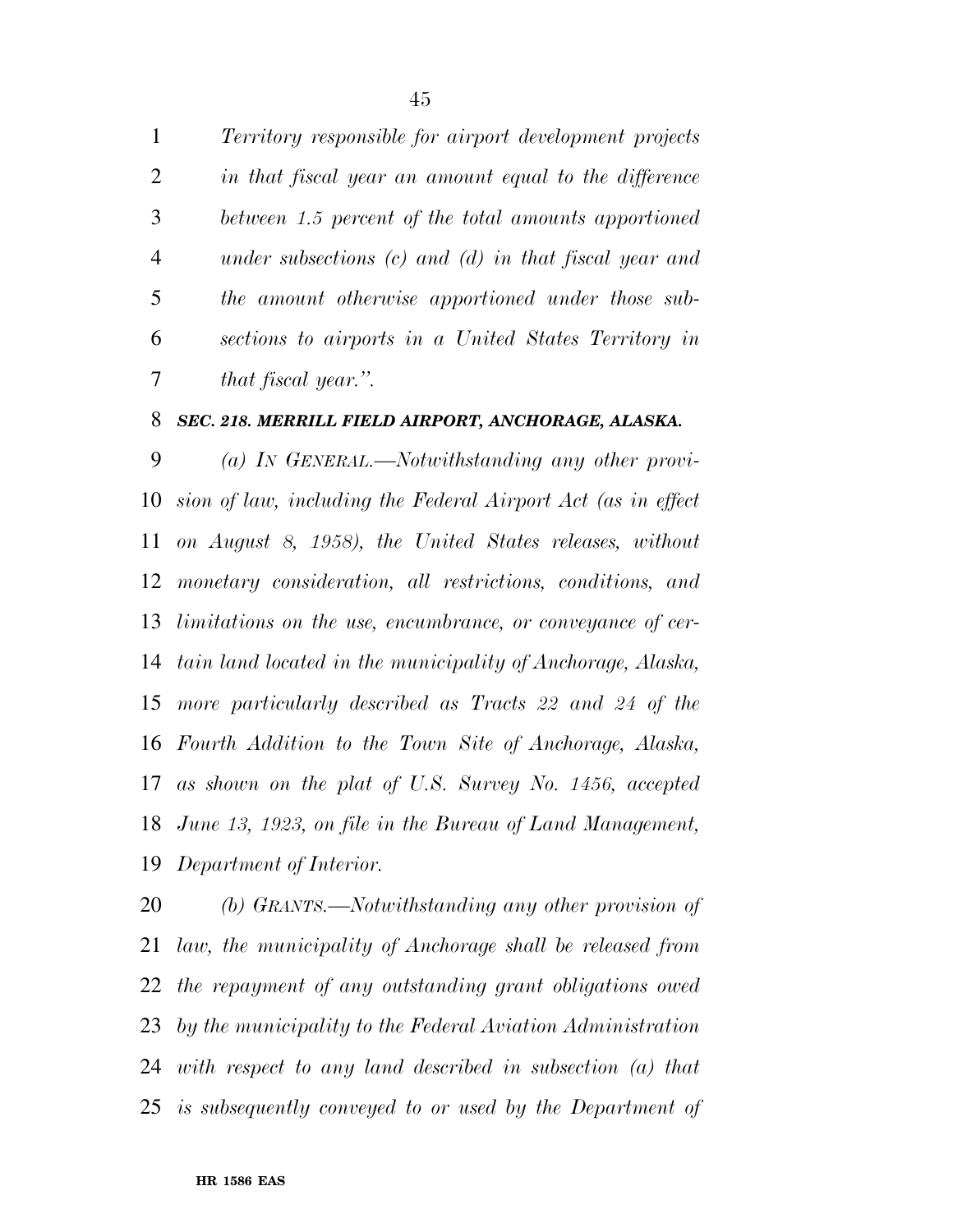*Territory responsible for airport development projects in that fiscal year an amount equal to the difference between 1.5 percent of the total amounts apportioned under subsections (c) and (d) in that fiscal year and the amount otherwise apportioned under those sub- sections to airports in a United States Territory in that fiscal year.''.* 

#### *SEC. 218. MERRILL FIELD AIRPORT, ANCHORAGE, ALASKA.*

 *(a) IN GENERAL.—Notwithstanding any other provi- sion of law, including the Federal Airport Act (as in effect on August 8, 1958), the United States releases, without monetary consideration, all restrictions, conditions, and limitations on the use, encumbrance, or conveyance of cer- tain land located in the municipality of Anchorage, Alaska, more particularly described as Tracts 22 and 24 of the Fourth Addition to the Town Site of Anchorage, Alaska, as shown on the plat of U.S. Survey No. 1456, accepted June 13, 1923, on file in the Bureau of Land Management, Department of Interior.* 

 *(b) GRANTS.—Notwithstanding any other provision of law, the municipality of Anchorage shall be released from the repayment of any outstanding grant obligations owed by the municipality to the Federal Aviation Administration with respect to any land described in subsection (a) that is subsequently conveyed to or used by the Department of*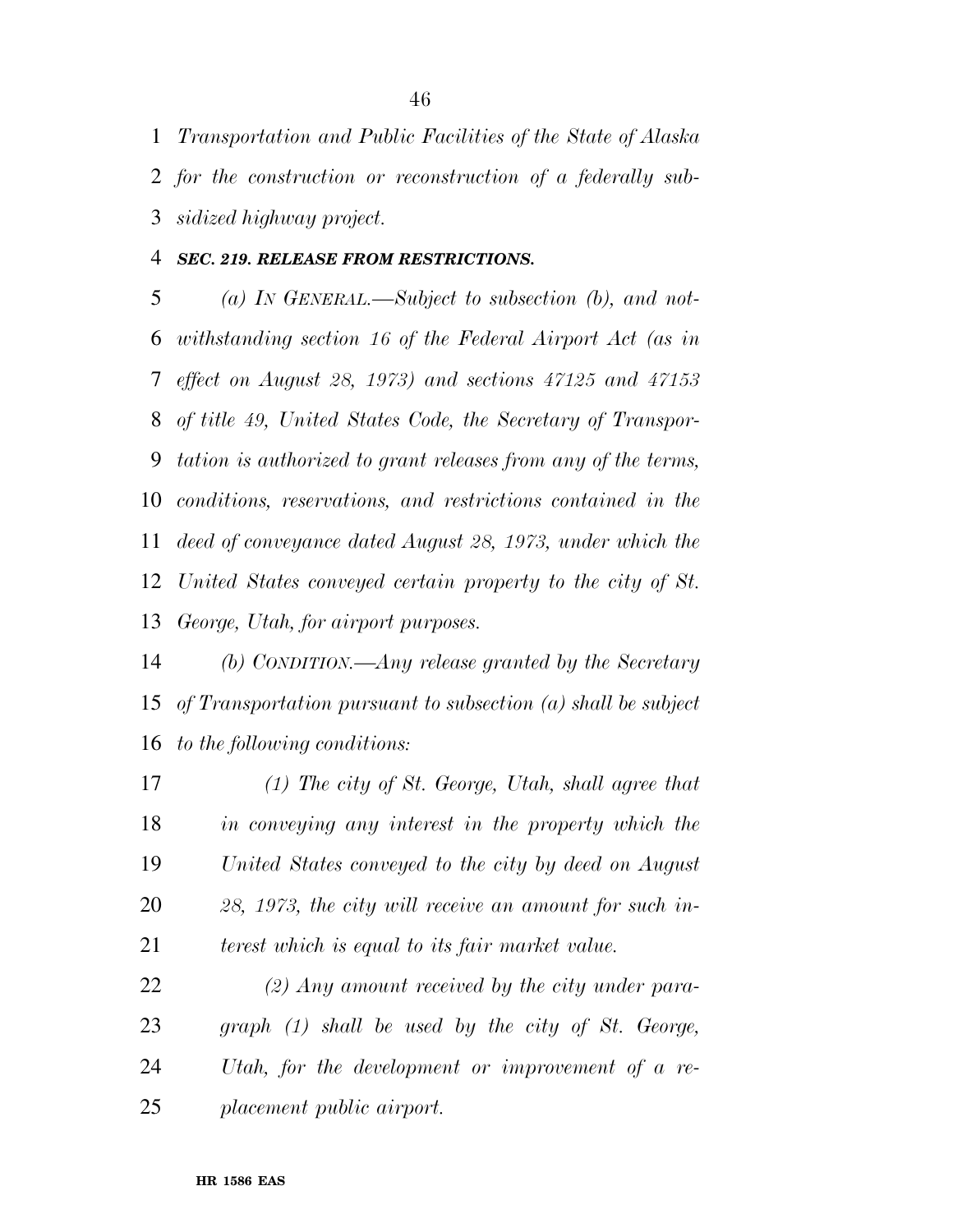*Transportation and Public Facilities of the State of Alaska for the construction or reconstruction of a federally sub-sidized highway project.* 

#### *SEC. 219. RELEASE FROM RESTRICTIONS.*

 *(a) IN GENERAL.—Subject to subsection (b), and not- withstanding section 16 of the Federal Airport Act (as in effect on August 28, 1973) and sections 47125 and 47153 of title 49, United States Code, the Secretary of Transpor- tation is authorized to grant releases from any of the terms, conditions, reservations, and restrictions contained in the deed of conveyance dated August 28, 1973, under which the United States conveyed certain property to the city of St. George, Utah, for airport purposes.* 

 *(b) CONDITION.—Any release granted by the Secretary of Transportation pursuant to subsection (a) shall be subject to the following conditions:* 

 *(1) The city of St. George, Utah, shall agree that in conveying any interest in the property which the United States conveyed to the city by deed on August 28, 1973, the city will receive an amount for such in-terest which is equal to its fair market value.* 

 *(2) Any amount received by the city under para- graph (1) shall be used by the city of St. George, Utah, for the development or improvement of a re-placement public airport.*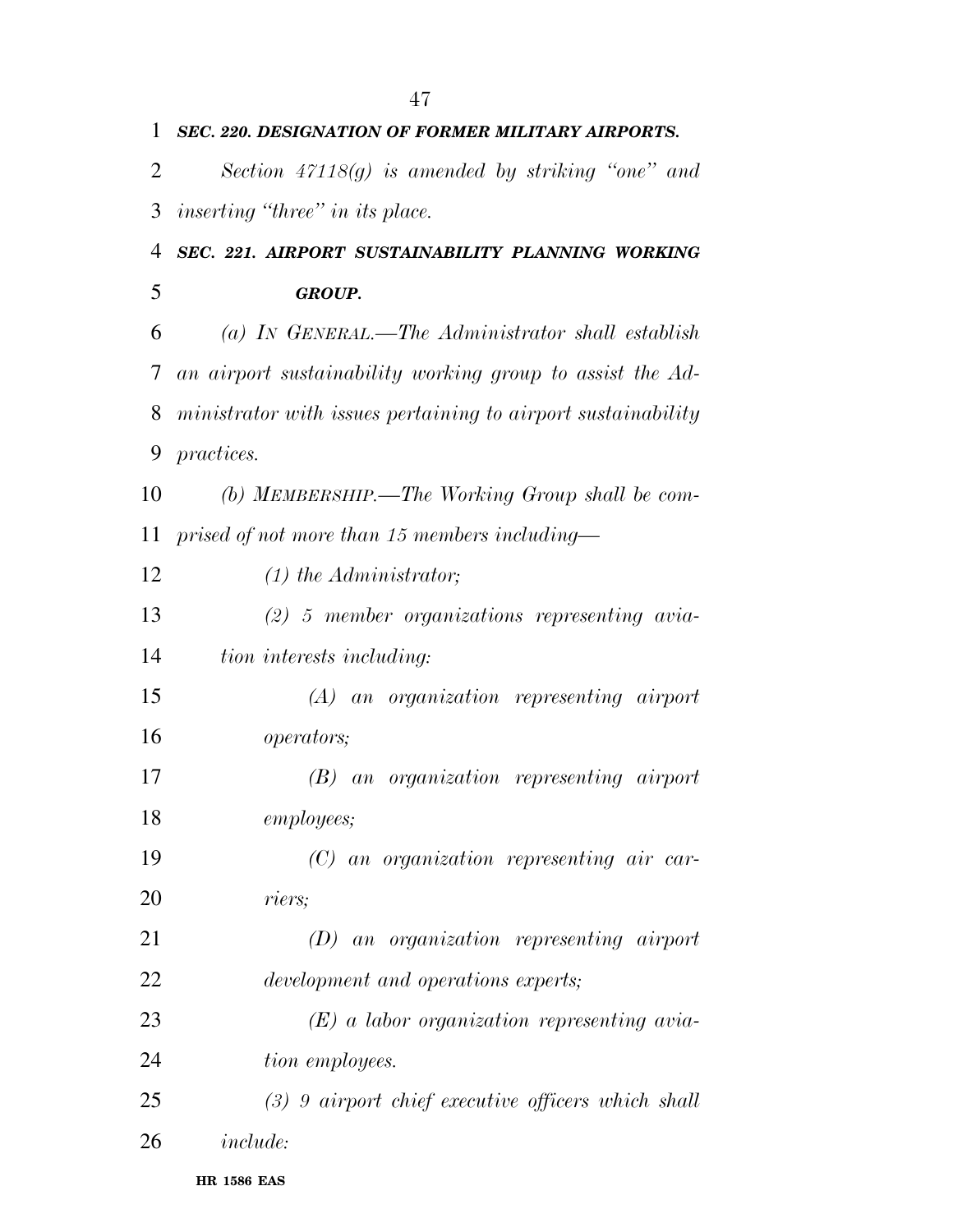| 1              | <b>SEC. 220. DESIGNATION OF FORMER MILITARY AIRPORTS.</b>    |
|----------------|--------------------------------------------------------------|
| $\overline{2}$ | Section $47118(q)$ is amended by striking "one" and          |
| 3              | <i>inserting</i> " <i>three</i> " <i>in its place.</i>       |
| 4              | SEC. 221. AIRPORT SUSTAINABILITY PLANNING WORKING            |
| 5              | <b>GROUP.</b>                                                |
| 6              | (a) IN GENERAL.—The Administrator shall establish            |
| 7              | an airport sustainability working group to assist the Ad-    |
| 8              | ministrator with issues pertaining to airport sustainability |
| 9              | <i>practices.</i>                                            |
| 10             | (b) MEMBERSHIP.—The Working Group shall be com-              |
| 11             | prised of not more than 15 members including—                |
| 12             | $(1)$ the Administrator;                                     |
| 13             | $(2)$ 5 member organizations representing avia-              |
| 14             | tion interests including:                                    |
| 15             | $(A)$ an organization representing airport                   |
| 16             | <i>operators</i> ;                                           |
| 17             | $(B)$ an organization representing airport                   |
| 18             | employees;                                                   |
| 19             | $(C)$ an organization representing air car-                  |
| 20             | riers;                                                       |
| 21             | $(D)$ an organization representing airport                   |
| 22             | development and operations experts;                          |
| 23             | $(E)$ a labor organization representing avia-                |
| 24             | tion employees.                                              |
| 25             | $(3)$ 9 airport chief executive officers which shall         |
| 26             | <i>include:</i>                                              |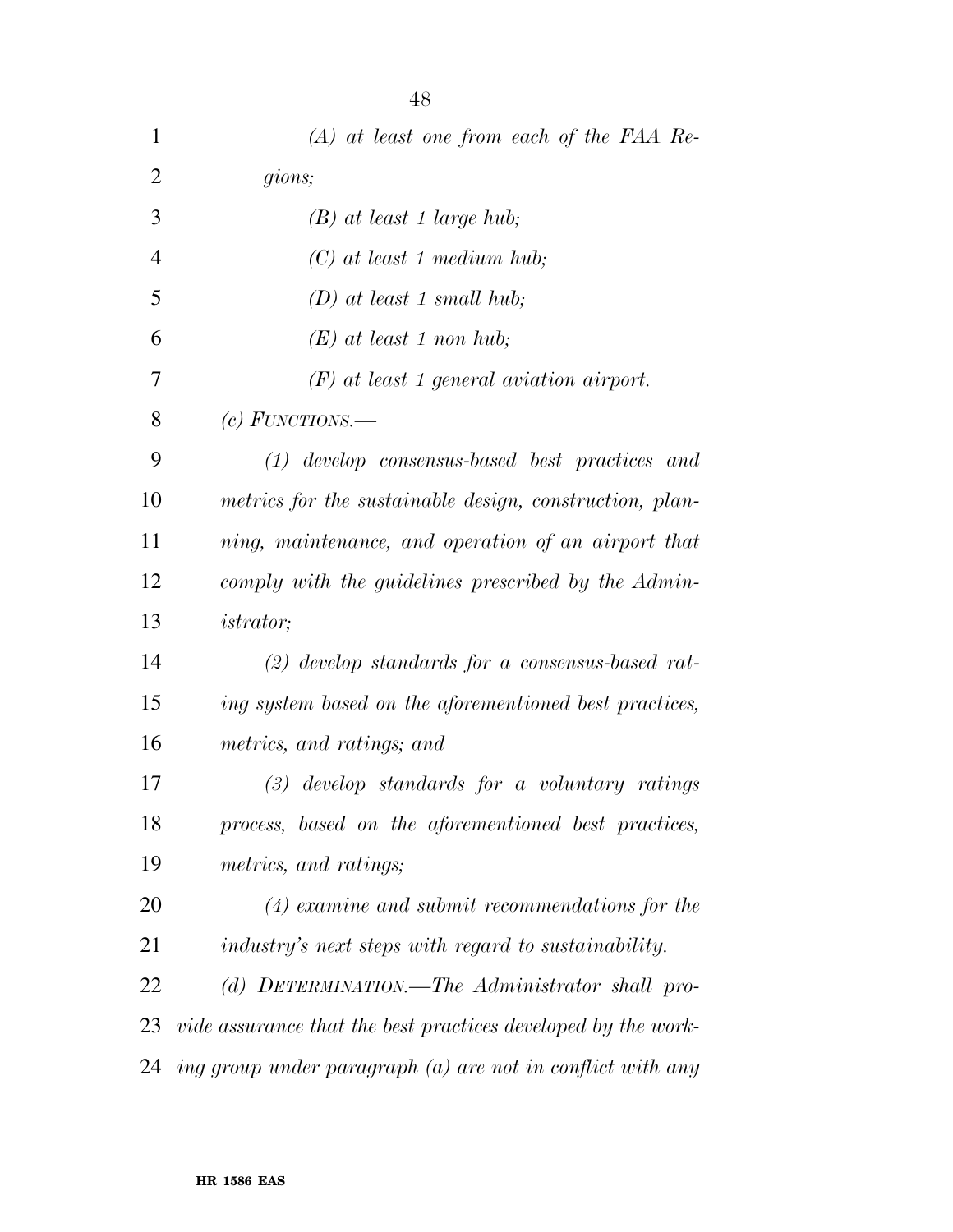| $\mathbf{1}$   | $(A)$ at least one from each of the FAA Re-                   |
|----------------|---------------------------------------------------------------|
| $\overline{2}$ | gions;                                                        |
| 3              | $(B)$ at least 1 large hub;                                   |
| $\overline{4}$ | $(C)$ at least 1 medium hub;                                  |
| 5              | $(D)$ at least 1 small hub;                                   |
| 6              | $(E)$ at least 1 non hub;                                     |
| 7              | $(F)$ at least 1 general aviation airport.                    |
| 8              | (c) FUNCTIONS.—                                               |
| 9              | $(1)$ develop consensus-based best practices and              |
| 10             | metrics for the sustainable design, construction, plan-       |
| 11             | ning, maintenance, and operation of an airport that           |
| 12             | comply with the guidelines prescribed by the Admin-           |
| 13             | <i>istrator</i> ;                                             |
| 14             | $(2)$ develop standards for a consensus-based rat-            |
| 15             | ing system based on the aforementioned best practices,        |
| 16             | metrics, and ratings; and                                     |
| 17             | $(3)$ develop standards for a voluntary ratings               |
| 18             | process, based on the aforementioned best practices,          |
| 19             | metrics, and ratings;                                         |
| 20             | $(4)$ examine and submit recommendations for the              |
| 21             | industry's next steps with regard to sustainability.          |
| 22             | (d) DETERMINATION.—The Administrator shall pro-               |
| 23             | vide assurance that the best practices developed by the work- |
| 24             | ing group under paragraph (a) are not in conflict with any    |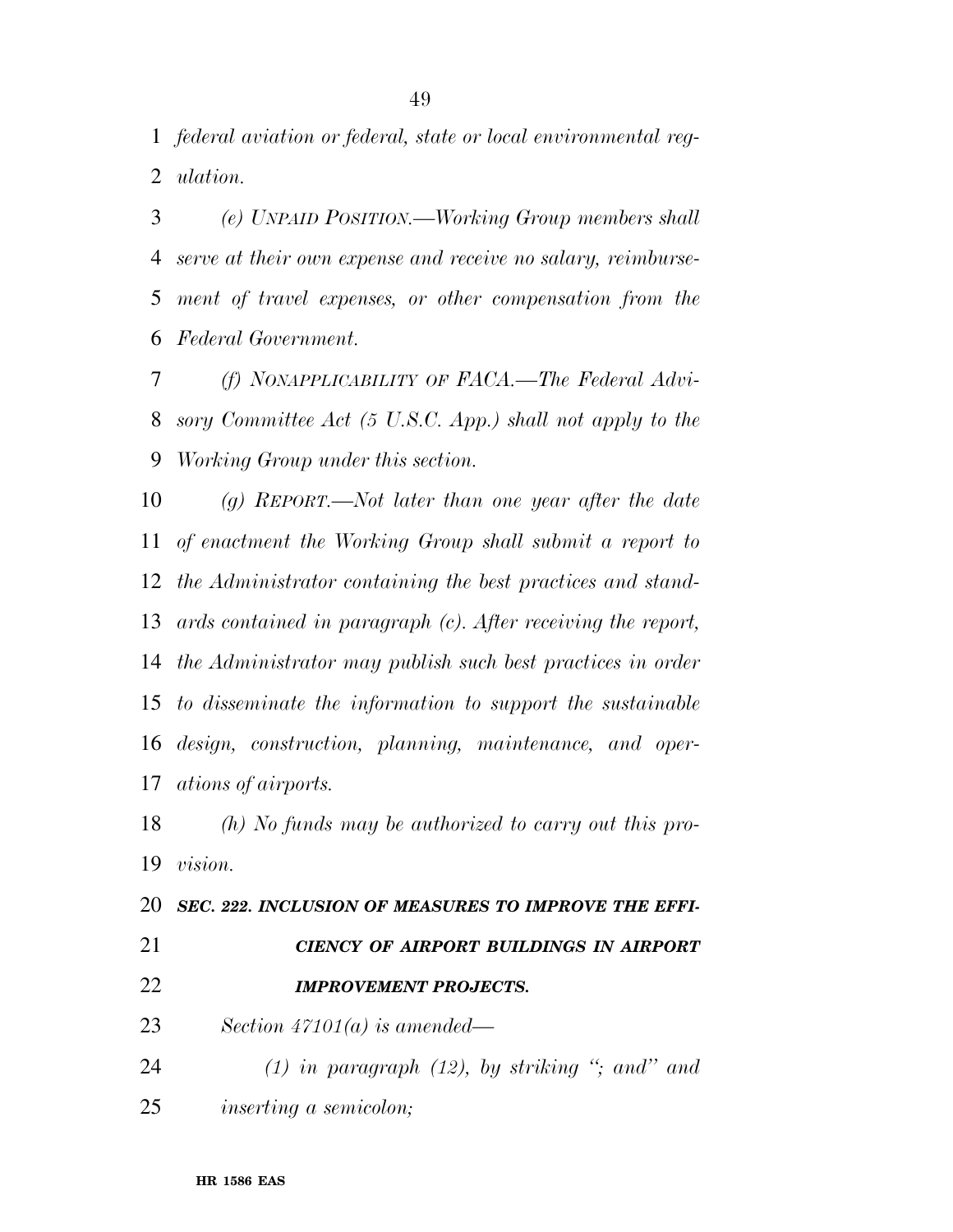*federal aviation or federal, state or local environmental reg-ulation.* 

 *(e) UNPAID POSITION.—Working Group members shall serve at their own expense and receive no salary, reimburse- ment of travel expenses, or other compensation from the Federal Government.* 

 *(f) NONAPPLICABILITY OF FACA.—The Federal Advi- sory Committee Act (5 U.S.C. App.) shall not apply to the Working Group under this section.* 

 *(g) REPORT.—Not later than one year after the date of enactment the Working Group shall submit a report to the Administrator containing the best practices and stand- ards contained in paragraph (c). After receiving the report, the Administrator may publish such best practices in order to disseminate the information to support the sustainable design, construction, planning, maintenance, and oper-ations of airports.* 

 *(h) No funds may be authorized to carry out this pro-vision.* 

 *SEC. 222. INCLUSION OF MEASURES TO IMPROVE THE EFFI- CIENCY OF AIRPORT BUILDINGS IN AIRPORT IMPROVEMENT PROJECTS.* 

*Section 47101(a) is amended—* 

 *(1) in paragraph (12), by striking ''; and'' and inserting a semicolon;*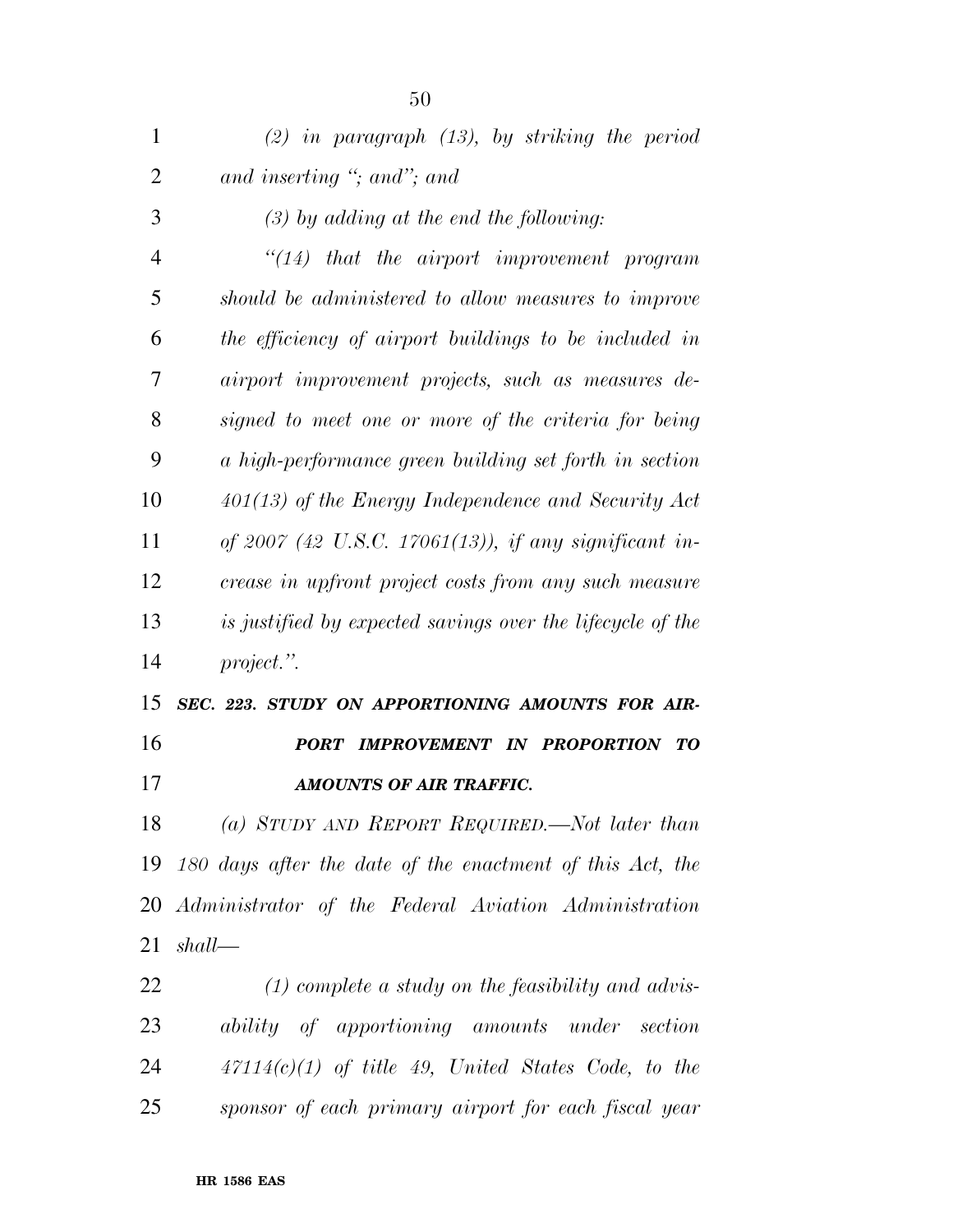| 1              | $(2)$ in paragraph $(13)$ , by striking the period         |
|----------------|------------------------------------------------------------|
| 2              | and inserting "; and"; and                                 |
| 3              | $(3)$ by adding at the end the following:                  |
| $\overline{4}$ | $``(14)$ that the airport improvement program              |
| 5              | should be administered to allow measures to improve        |
| 6              | the efficiency of airport buildings to be included in      |
| 7              | airport improvement projects, such as measures de-         |
| 8              | signed to meet one or more of the criteria for being       |
| 9              | a high-performance green building set forth in section     |
| 10             | $401(13)$ of the Energy Independence and Security Act      |
| 11             | of 2007 (42 U.S.C. 17061(13)), if any significant in-      |
| 12             | crease in upfront project costs from any such measure      |
| 13             | is justified by expected savings over the lifecycle of the |
|                |                                                            |
| 14             | project.".                                                 |
| 15             | SEC. 223. STUDY ON APPORTIONING AMOUNTS FOR AIR-           |
| 16             | IMPROVEMENT IN PROPORTION TO<br><i>PORT</i>                |
| 17             | <b>AMOUNTS OF AIR TRAFFIC.</b>                             |
| 18             | (a) STUDY AND REPORT REQUIRED.—Not later than              |
| 19             | 180 days after the date of the enactment of this Act, the  |
| 20             | Administrator of the Federal Aviation Administration       |
| 21             | shall                                                      |
| 22             | $(1)$ complete a study on the feasibility and advis-       |
| 23             | ability of apportioning amounts under<br>section           |
| 24             | $47114(c)(1)$ of title 49, United States Code, to the      |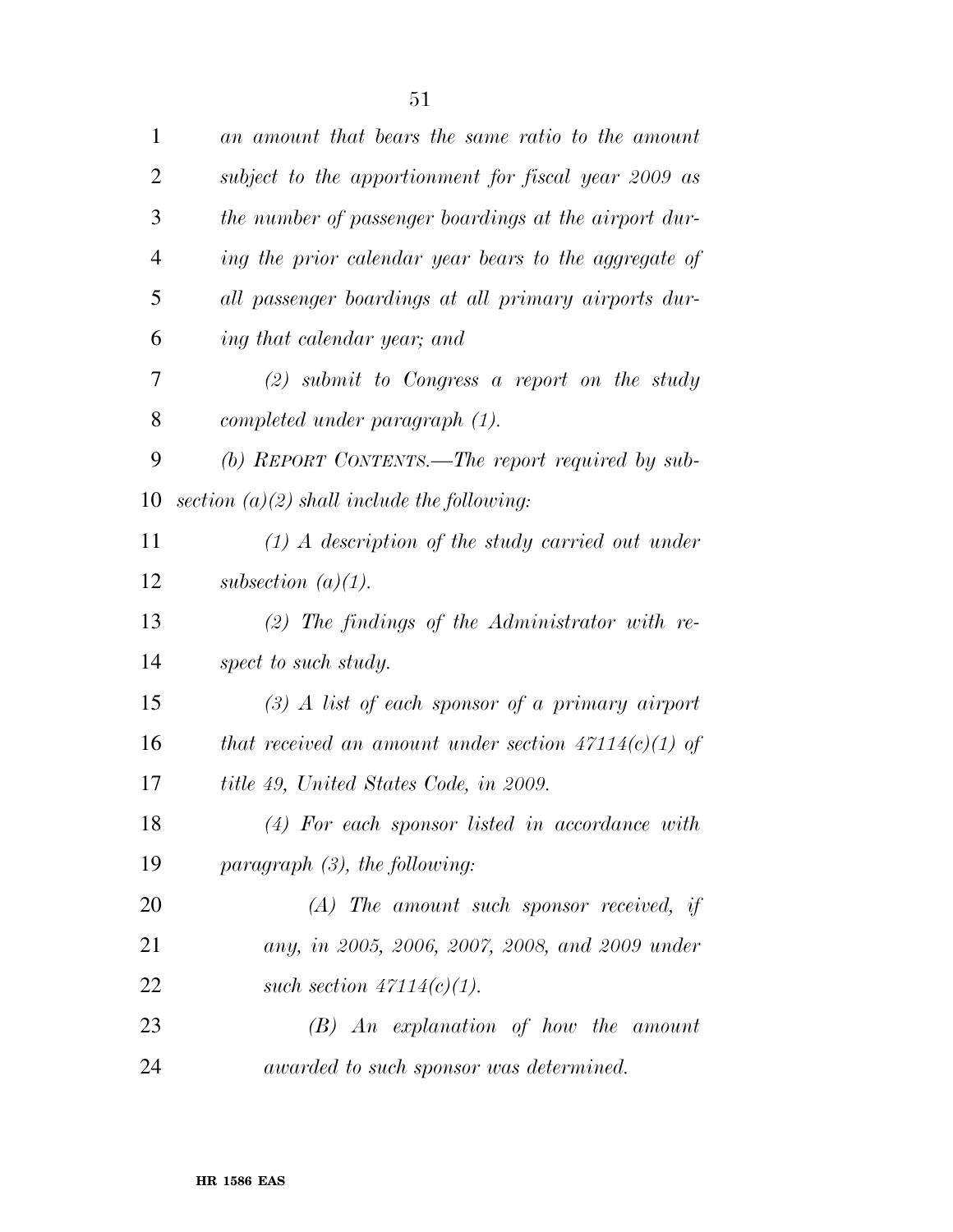| $\mathbf{1}$   | an amount that bears the same ratio to the amount      |
|----------------|--------------------------------------------------------|
| 2              | subject to the apportionment for fiscal year 2009 as   |
| 3              | the number of passenger boardings at the airport dur-  |
| $\overline{4}$ | ing the prior calendar year bears to the aggregate of  |
| 5              | all passenger boardings at all primary airports dur-   |
| 6              | ing that calendar year; and                            |
| 7              | $(2)$ submit to Congress a report on the study         |
| 8              | completed under paragraph (1).                         |
| 9              | (b) REPORT CONTENTS.—The report required by sub-       |
| 10             | section $(a)(2)$ shall include the following:          |
| 11             | $(1)$ A description of the study carried out under     |
| 12             | subsection $(a)(1)$ .                                  |
| 13             | (2) The findings of the Administrator with re-         |
| 14             | spect to such study.                                   |
| 15             | $(3)$ A list of each sponsor of a primary airport      |
| 16             | that received an amount under section $47114(c)(1)$ of |
| 17             | title 49, United States Code, in 2009.                 |
| 18             | $(4)$ For each sponsor listed in accordance with       |
| 19             | paragraph $(3)$ , the following:                       |
| 20             | $(A)$ The amount such sponsor received, if             |
| 21             | any, in 2005, 2006, 2007, 2008, and 2009 under         |
| 22             | such section $47114(c)(1)$ .                           |
| 23             | $(B)$ An explanation of how the amount                 |
| 24             | awarded to such sponsor was determined.                |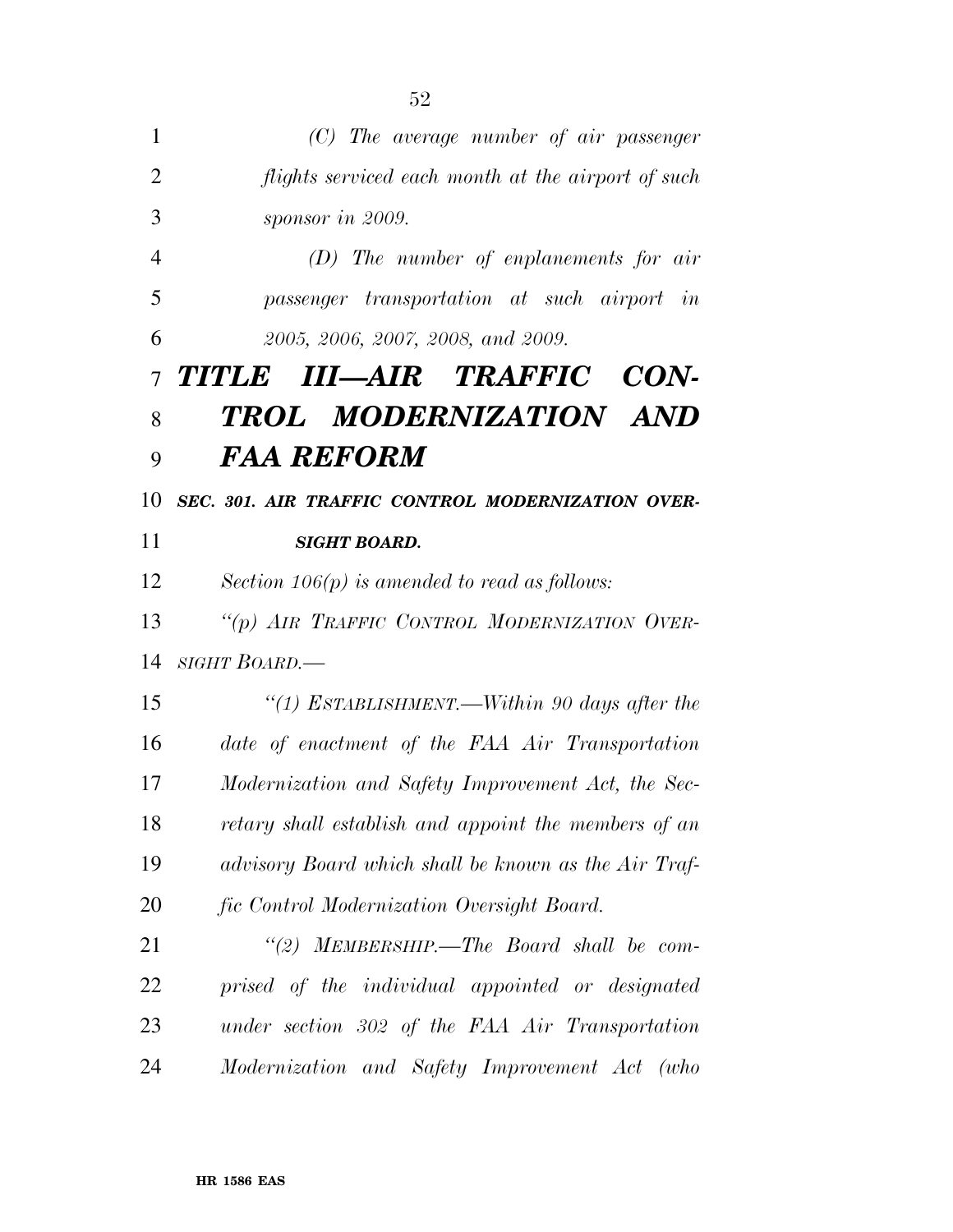| 1              | $(C)$ The average number of air passenger            |
|----------------|------------------------------------------------------|
| $\overline{2}$ | flights serviced each month at the airport of such   |
| 3              | sponsor in 2009.                                     |
| $\overline{4}$ | $(D)$ The number of enplanements for air             |
| 5              | passenger transportation at such airport in          |
| 6              | 2005, 2006, 2007, 2008, and 2009.                    |
| $\overline{7}$ | TITLE III—AIR TRAFFIC CON-                           |
| 8              | TROL MODERNIZATION AND                               |
| 9              | FAA REFORM                                           |
| 10             | SEC. 301. AIR TRAFFIC CONTROL MODERNIZATION OVER-    |
| 11             | <b>SIGHT BOARD.</b>                                  |
| 12             | Section $106(p)$ is amended to read as follows:      |
| 13             | "(p) AIR TRAFFIC CONTROL MODERNIZATION OVER-         |
| 14             | SIGHT BOARD.—                                        |
| 15             | "(1) ESTABLISHMENT.—Within 90 days after the         |
| 16             | date of enactment of the FAA Air Transportation      |
| 17             | Modernization and Safety Improvement Act, the Sec-   |
| 18             | retary shall establish and appoint the members of an |
| 19             | advisory Board which shall be known as the Air Traf- |
| 20             | fic Control Modernization Oversight Board.           |
| 21             | "(2) MEMBERSHIP.—The Board shall be com-             |
| 22             | prised of the individual appointed or designated     |
| 23             | under section 302 of the FAA Air Transportation      |
| 24             | Modernization and Safety Improvement Act (who        |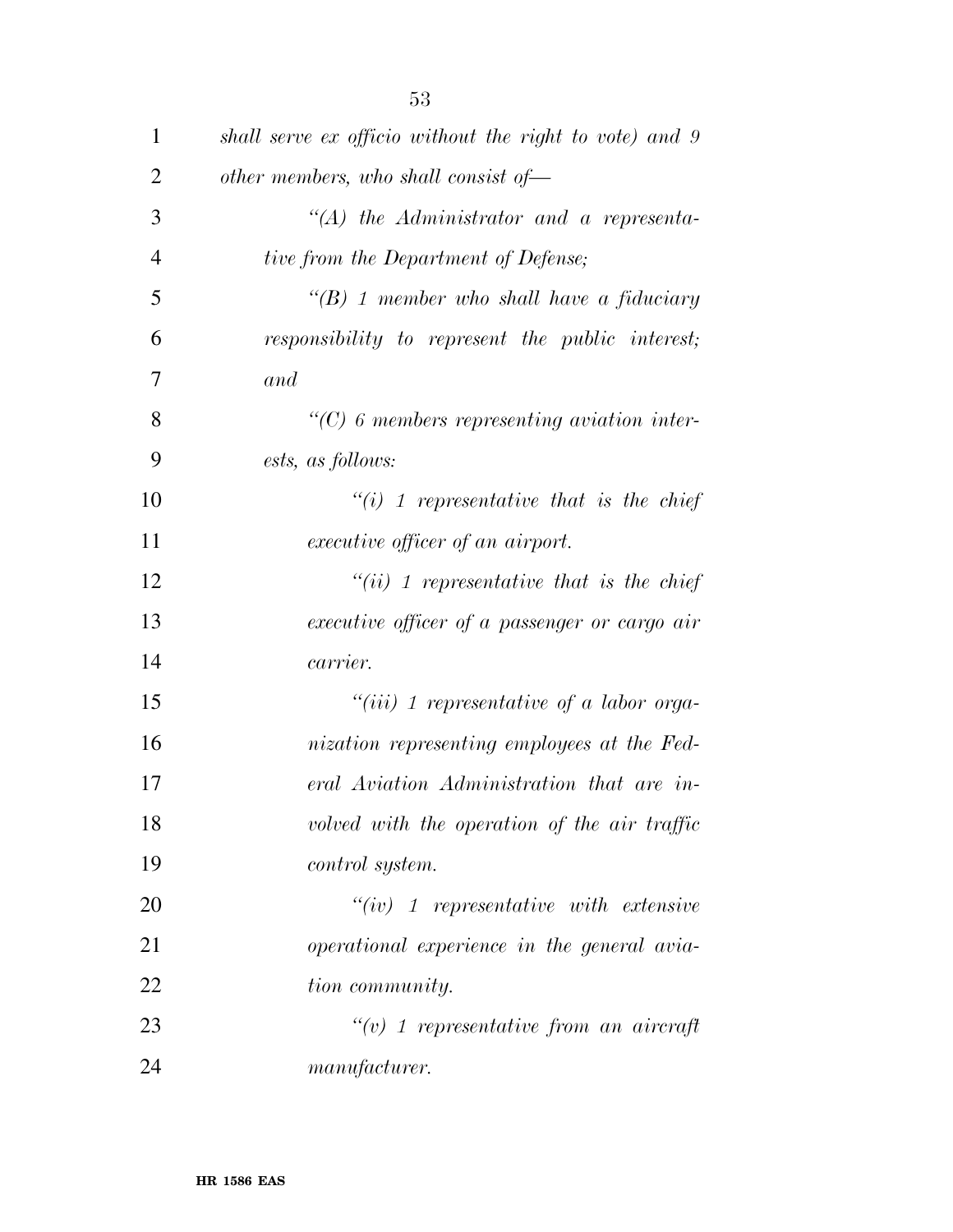| 1              | shall serve ex officio without the right to vote) and 9 |
|----------------|---------------------------------------------------------|
| $\overline{2}$ | other members, who shall consist of $-$                 |
| 3              | $\lq (A)$ the Administrator and a representa-           |
| $\overline{4}$ | tive from the Department of Defense;                    |
| 5              | $\lq (B)$ 1 member who shall have a fiduciary           |
| 6              | responsibility to represent the public interest;        |
| 7              | and                                                     |
| 8              | $"$ (C) 6 members representing aviation inter-          |
| 9              | ests, as follows:                                       |
| 10             | $``(i)$ 1 representative that is the chief              |
| 11             | executive officer of an airport.                        |
| 12             | $``(ii)$ 1 representative that is the chief             |
| 13             | executive officer of a passenger or cargo air           |
| 14             | carrier.                                                |
| 15             | "(iii) 1 representative of a labor orga-                |
| 16             | nization representing employees at the Fed-             |
| 17             | eral Aviation Administration that are in-               |
| 18             | volved with the operation of the air traffic            |
| 19             | control system.                                         |
| 20             | $``(iv)$ 1 representative with extensive                |
| 21             | operational experience in the general avia-             |
| 22             | tion community.                                         |
| 23             | $\lq\lq(v)$ 1 representative from an aircraft           |
| 24             | manufacturer.                                           |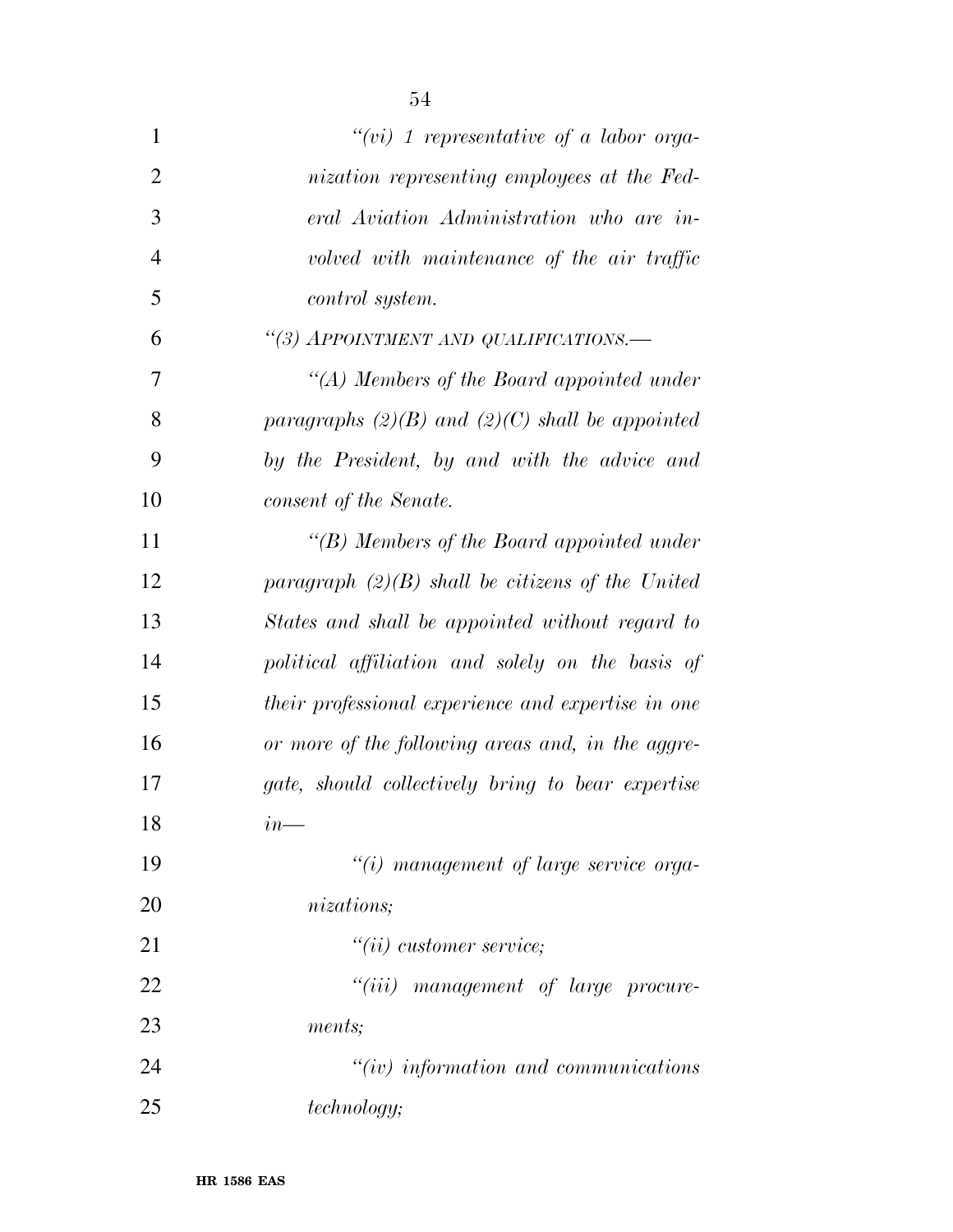| 1              | "(vi) 1 representative of a labor orga-             |
|----------------|-----------------------------------------------------|
| $\overline{2}$ | nization representing employees at the Fed-         |
| 3              | eral Aviation Administration who are in-            |
| $\overline{4}$ | volved with maintenance of the air traffic          |
| 5              | control system.                                     |
| 6              | "(3) APPOINTMENT AND QUALIFICATIONS.-               |
| 7              | "(A) Members of the Board appointed under           |
| 8              | paragraphs $(2)(B)$ and $(2)(C)$ shall be appointed |
| 9              | by the President, by and with the advice and        |
| 10             | consent of the Senate.                              |
| 11             | $\lq\lq(B)$ Members of the Board appointed under    |
| 12             | paragraph $(2)(B)$ shall be citizens of the United  |
| 13             | States and shall be appointed without regard to     |
| 14             | political affiliation and solely on the basis of    |
| 15             | their professional experience and expertise in one  |
| 16             | or more of the following areas and, in the aggre-   |
| 17             | gate, should collectively bring to bear expertise   |
| 18             | $in$ —                                              |
| 19             | $"(i)$ management of large service orga-            |
| 20             | <i>nizations</i> ;                                  |
| 21             | $``(ii)$ customer service;                          |
| 22             | "(iii) management of large procure-                 |
| 23             | ments;                                              |
| 24             | $``(iv)$ information and communications             |
| 25             | <i>technology</i> ;                                 |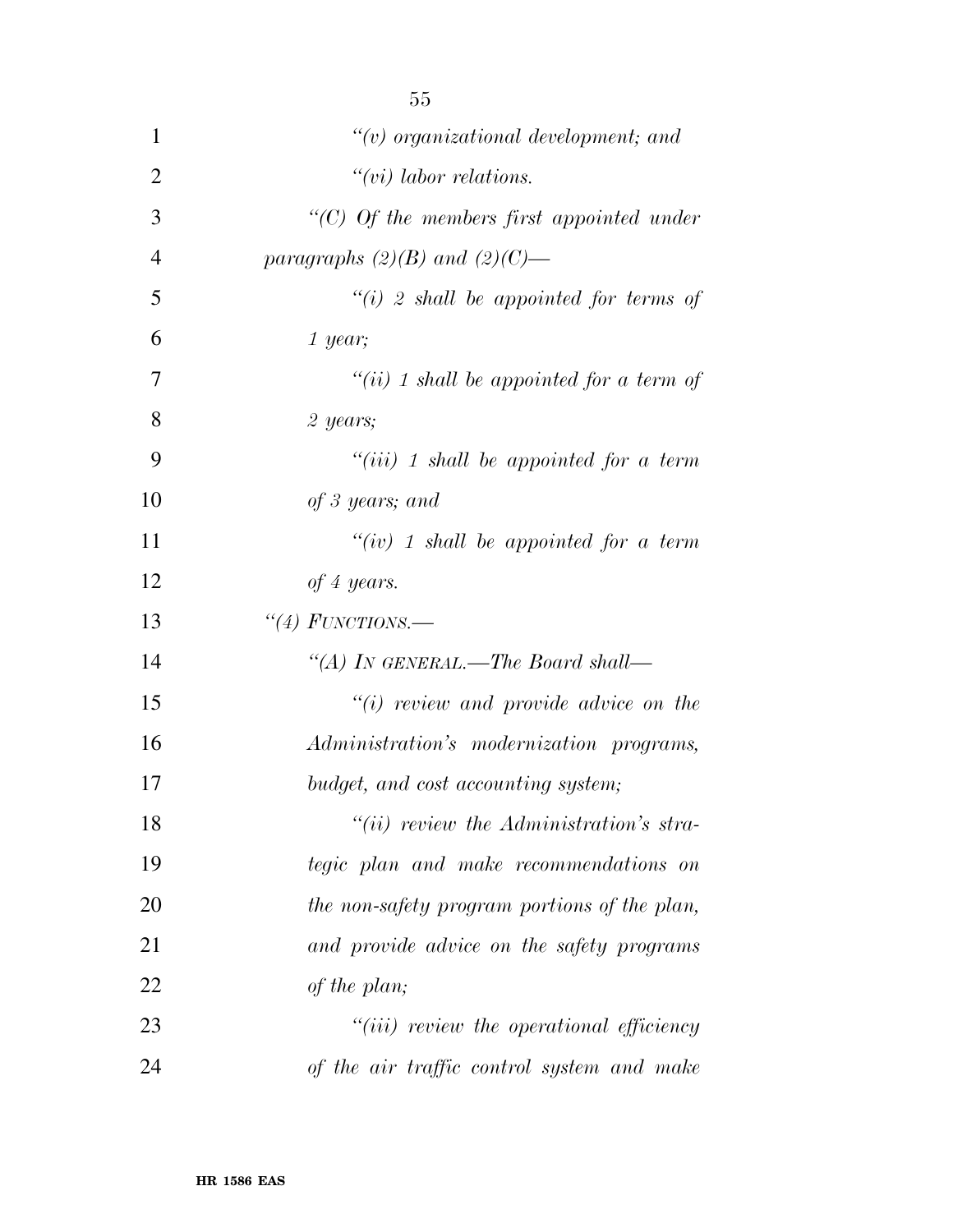| 1              | $\lq\lq(v)$ organizational development; and     |
|----------------|-------------------------------------------------|
| $\overline{2}$ | $``(vi)$ labor relations.                       |
| 3              | $\lq\lq C$ Of the members first appointed under |
| 4              | paragraphs $(2)(B)$ and $(2)(C)$ —              |
| 5              | "(i) 2 shall be appointed for terms of          |
| 6              | $1$ year;                                       |
| 7              | "(ii) 1 shall be appointed for a term of        |
| 8              | $2$ years;                                      |
| 9              | $``(iii)$ 1 shall be appointed for a term       |
| 10             | of 3 years; and                                 |
| 11             | "(iv) 1 shall be appointed for a term           |
| 12             | of 4 years.                                     |
| 13             | "(4) FUNCTIONS.—                                |
| 14             | "(A) IN GENERAL.—The Board shall—               |
| 15             | $"(i)$ review and provide advice on the         |
| 16             | Administration's modernization programs,        |
| 17             | budget, and cost accounting system;             |
| 18             | $``(ii)$ review the Administration's stra-      |
| 19             | tegic plan and make recommendations on          |
| 20             | the non-safety program portions of the plan,    |
| 21             | and provide advice on the safety programs       |
| 22             | of the plan;                                    |
| 23             | $``(iii)$ review the operational efficiency     |
| 24             | of the air traffic control system and make      |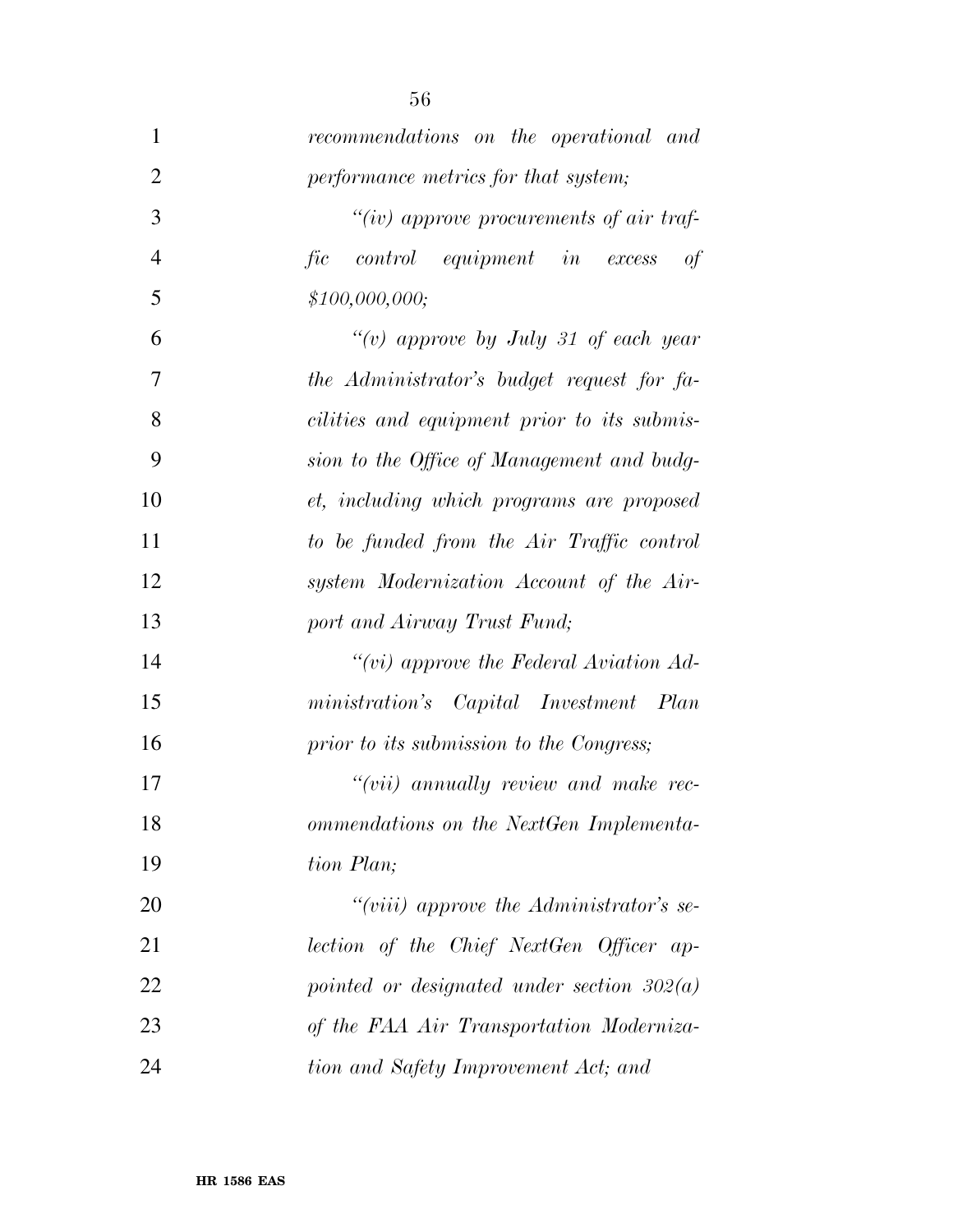| $\mathbf{1}$   | recommendations on the operational and             |
|----------------|----------------------------------------------------|
| $\overline{2}$ | performance metrics for that system;               |
| 3              | "(iv) approve procurements of air traf-            |
| $\overline{4}$ | fic control equipment in excess<br>of              |
| 5              | \$100,000,000;                                     |
| 6              | "(v) approve by July 31 of each year               |
| $\tau$         | the Administrator's budget request for fa-         |
| 8              | <i>cilities and equipment prior to its submis-</i> |
| 9              | sion to the Office of Management and budg-         |
| 10             | et, including which programs are proposed          |
| 11             | to be funded from the Air Traffic control          |
| 12             | system Modernization Account of the Air-           |
| 13             | port and Airway Trust Fund;                        |
| 14             | "(vi) approve the Federal Aviation $Ad$ -          |
| 15             | ministration's Capital Investment Plan             |
| 16             | prior to its submission to the Congress;           |
| 17             | "(vii) annually review and make rec-               |
| 18             | ommendations on the NextGen Implementa-            |
| 19             | tion Plan;                                         |
| 20             | "(viii) approve the Administrator's se-            |
| 21             | lection of the Chief NextGen Officer ap-           |
| 22             | pointed or designated under section $302(a)$       |
| 23             | of the FAA Air Transportation Moderniza-           |
| 24             | tion and Safety Improvement Act; and               |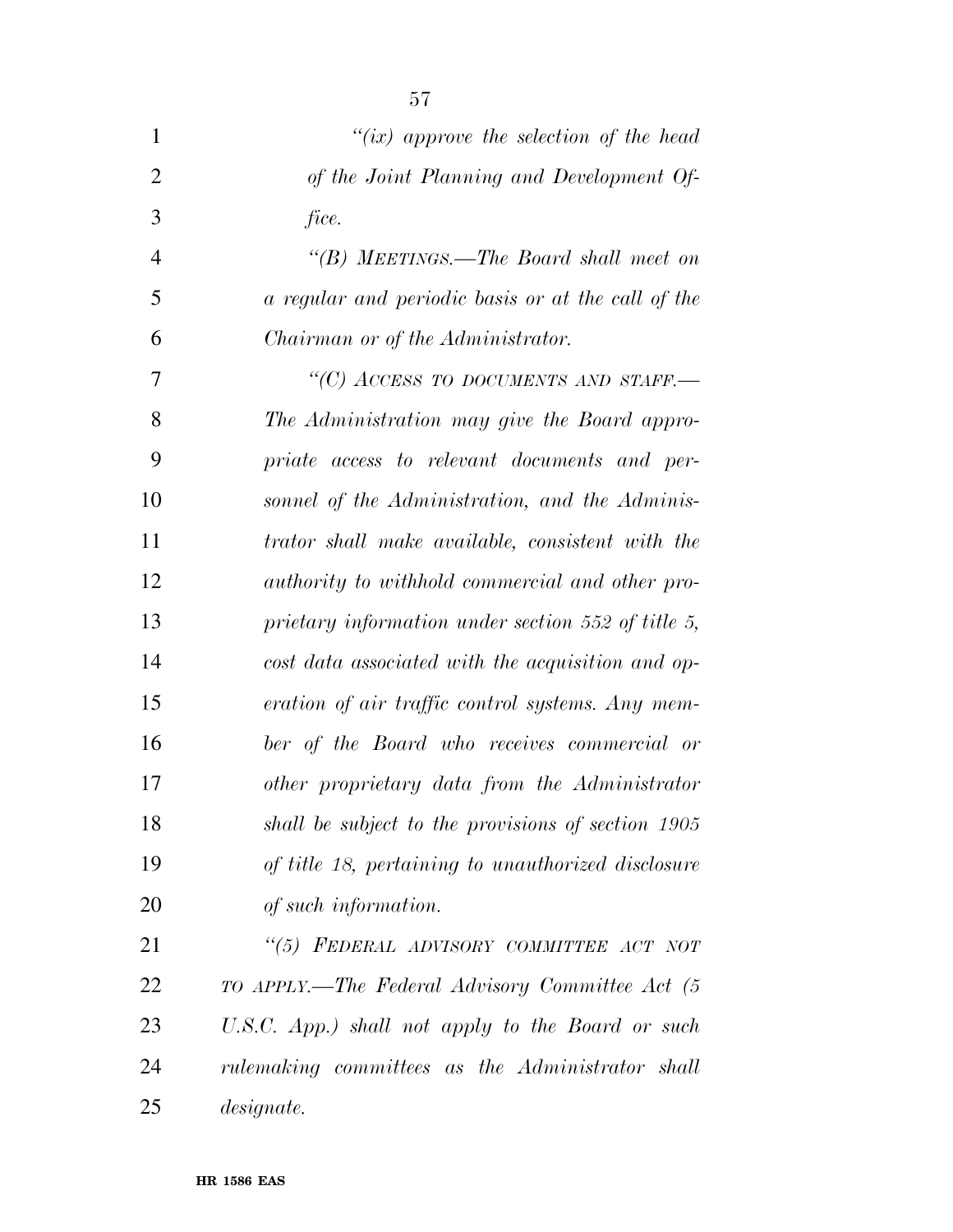| $\mathbf{1}$   | "(ix) approve the selection of the head            |
|----------------|----------------------------------------------------|
| 2              | of the Joint Planning and Development Of-          |
| 3              | fice.                                              |
| $\overline{4}$ | "(B) MEETINGS.—The Board shall meet on             |
| 5              | a regular and periodic basis or at the call of the |
| 6              | Chairman or of the Administrator.                  |
| 7              | "(C) ACCESS TO DOCUMENTS AND STAFF.-               |
| 8              | The Administration may give the Board appro-       |
| 9              | priate access to relevant documents and per-       |
| 10             | sonnel of the Administration, and the Adminis-     |
| 11             | trator shall make available, consistent with the   |
| 12             | authority to withhold commercial and other pro-    |
| 13             | prietary information under section 552 of title 5, |
| 14             | cost data associated with the acquisition and op-  |
| 15             | eration of air traffic control systems. Any mem-   |
| 16             | ber of the Board who receives commercial or        |
| 17             | other proprietary data from the Administrator      |
| 18             | shall be subject to the provisions of section 1905 |
| 19             | of title 18, pertaining to unauthorized disclosure |
| 20             | of such information.                               |
| 21             | "(5) FEDERAL ADVISORY COMMITTEE ACT NOT            |
| 22             | TO APPLY.—The Federal Advisory Committee Act (5    |
| 23             | U.S.C. App.) shall not apply to the Board or such  |
| 24             | rulemaking committees as the Administrator shall   |
| 25             | designate.                                         |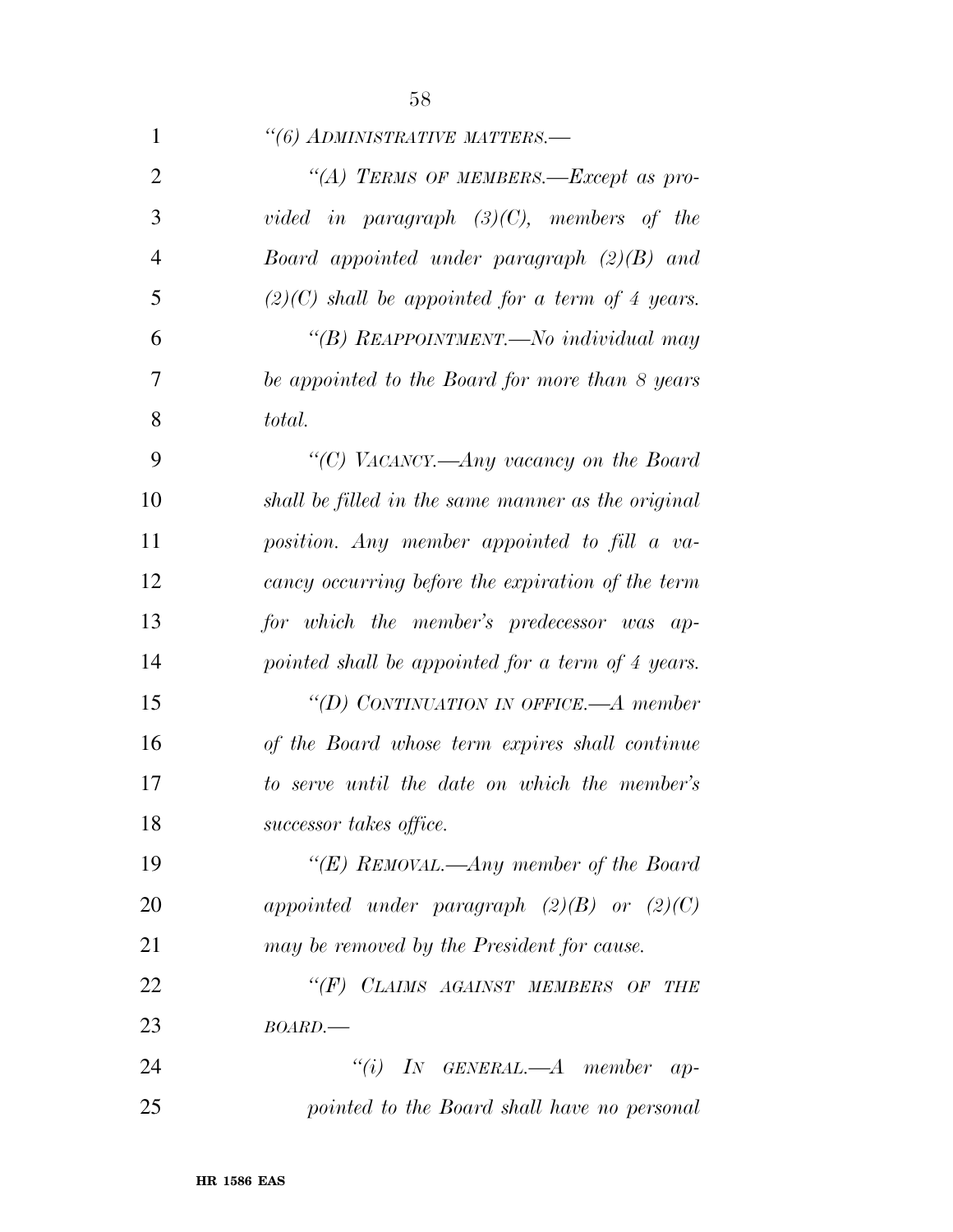| $\mathbf{1}$   | "(6) ADMINISTRATIVE MATTERS.-                       |
|----------------|-----------------------------------------------------|
| $\overline{2}$ | "(A) TERMS OF MEMBERS.—Except as pro-               |
| 3              | vided in paragraph $(3)(C)$ , members of the        |
| $\overline{4}$ | <i>Board appointed under paragraph</i> $(2)(B)$ and |
| 5              | $(2)(C)$ shall be appointed for a term of 4 years.  |
| 6              | "(B) REAPPOINTMENT.—No individual may               |
| 7              | be appointed to the Board for more than 8 years     |
| 8              | total.                                              |
| 9              | "(C) VACANCY.—Any vacancy on the Board              |
| 10             | shall be filled in the same manner as the original  |
| 11             | position. Any member appointed to fill a va-        |
| 12             | cancy occurring before the expiration of the term   |
| 13             | for which the member's predecessor was ap-          |
| 14             | pointed shall be appointed for a term of 4 years.   |
| 15             | "(D) CONTINUATION IN OFFICE.—A member               |
| 16             | of the Board whose term expires shall continue      |
| 17             | to serve until the date on which the member's       |
| 18             | successor takes office.                             |
| 19             | "(E) REMOVAL.—Any member of the Board               |
| 20             | appointed under paragraph $(2)(B)$ or $(2)(C)$      |
| 21             | may be removed by the President for cause.          |
| 22             | "(F) CLAIMS AGAINST MEMBERS OF THE                  |
| 23             | BOARD.                                              |
| 24             | $``(i)$ IN GENERAL.— $A$ member<br>$ap-$            |
| 25             | pointed to the Board shall have no personal         |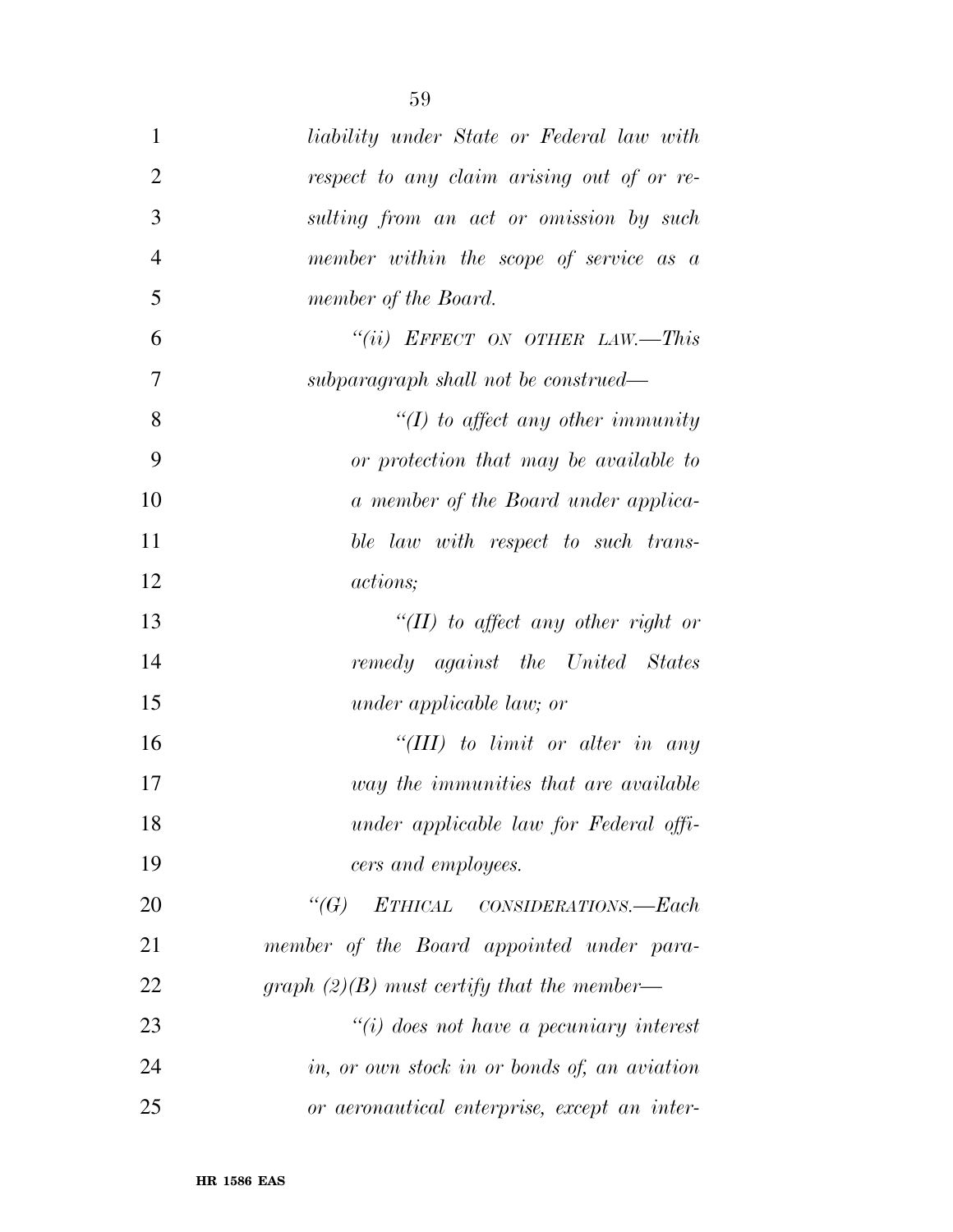| $\mathbf{1}$   | liability under State or Federal law with      |
|----------------|------------------------------------------------|
| $\overline{2}$ | respect to any claim arising out of or re-     |
| 3              | sulting from an act or omission by such        |
| $\overline{4}$ | member within the scope of service as a        |
| 5              | member of the Board.                           |
| 6              | "(ii) EFFECT ON OTHER LAW.—This                |
| 7              | subparagraph shall not be construed—           |
| 8              | $\lq (I)$ to affect any other immunity         |
| 9              | or protection that may be available to         |
| 10             | a member of the Board under applica-           |
| 11             | ble law with respect to such trans-            |
| 12             | <i>actions</i> ;                               |
| 13             | "(II) to affect any other right or             |
| 14             | remedy against the United States               |
| 15             | under applicable law; or                       |
| 16             | "(III) to limit or alter in any                |
| 17             | way the immunities that are available          |
| 18             | under applicable law for Federal offi-         |
| 19             | cers and employees.                            |
| 20             | "(G) ETHICAL CONSIDERATIONS.—Each              |
| 21             | member of the Board appointed under para-      |
| 22             | graph $(2)(B)$ must certify that the member—   |
| 23             | $\lq\lq(i)$ does not have a pecuniary interest |
| 24             | in, or own stock in or bonds of, an aviation   |
| 25             | or aeronautical enterprise, except an inter-   |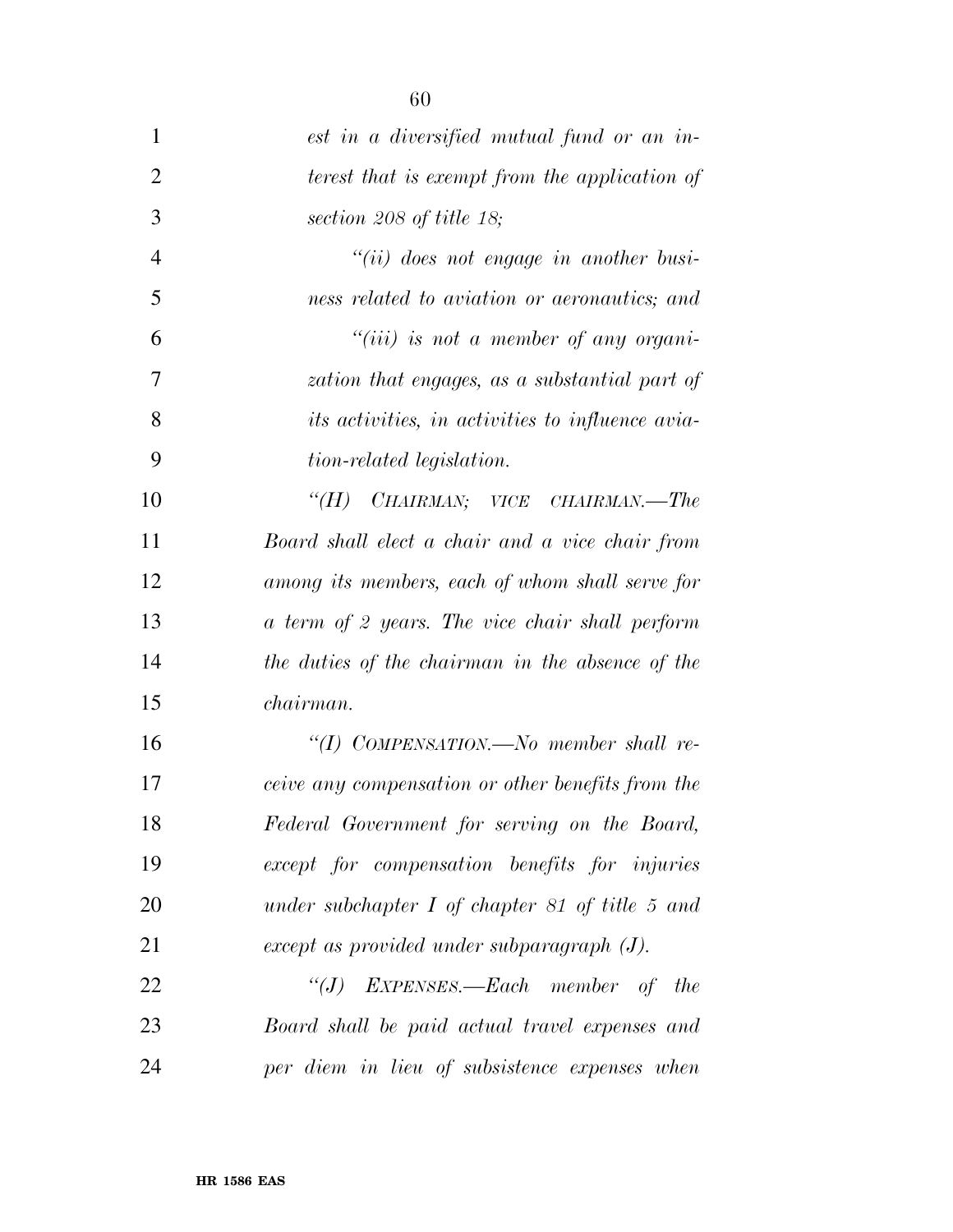| $\mathbf{1}$   | est in a diversified mutual fund or an in-              |
|----------------|---------------------------------------------------------|
| $\overline{2}$ | terest that is exempt from the application of           |
| 3              | section 208 of title 18;                                |
| $\overline{4}$ | $``(ii)$ does not engage in another busi-               |
| 5              | ness related to aviation or aeronautics; and            |
| 6              | $``(iii)$ is not a member of any organi-                |
| 7              | zation that engages, as a substantial part of           |
| 8              | <i>its activities, in activities to influence avia-</i> |
| 9              | tion-related legislation.                               |
| 10             | "(H) CHAIRMAN; VICE CHAIRMAN.—The                       |
| 11             | Board shall elect a chair and a vice chair from         |
| 12             | among its members, each of whom shall serve for         |
| 13             | a term of 2 years. The vice chair shall perform         |
| 14             | the duties of the chairman in the absence of the        |
| 15             | <i>chairman.</i>                                        |
| 16             | "(I) COMPENSATION.—No member shall re-                  |
| 17             | ceive any compensation or other benefits from the       |
| 18             | Federal Government for serving on the Board,            |
| 19             | except for compensation benefits for injuries           |
| 20             | under subchapter $I$ of chapter 81 of title 5 and       |
| 21             | $except$ as provided under subparagraph $(J)$ .         |
| 22             | "(J) EXPENSES.—Each member of the                       |
| 23             | Board shall be paid actual travel expenses and          |
| 24             | per diem in lieu of subsistence expenses when           |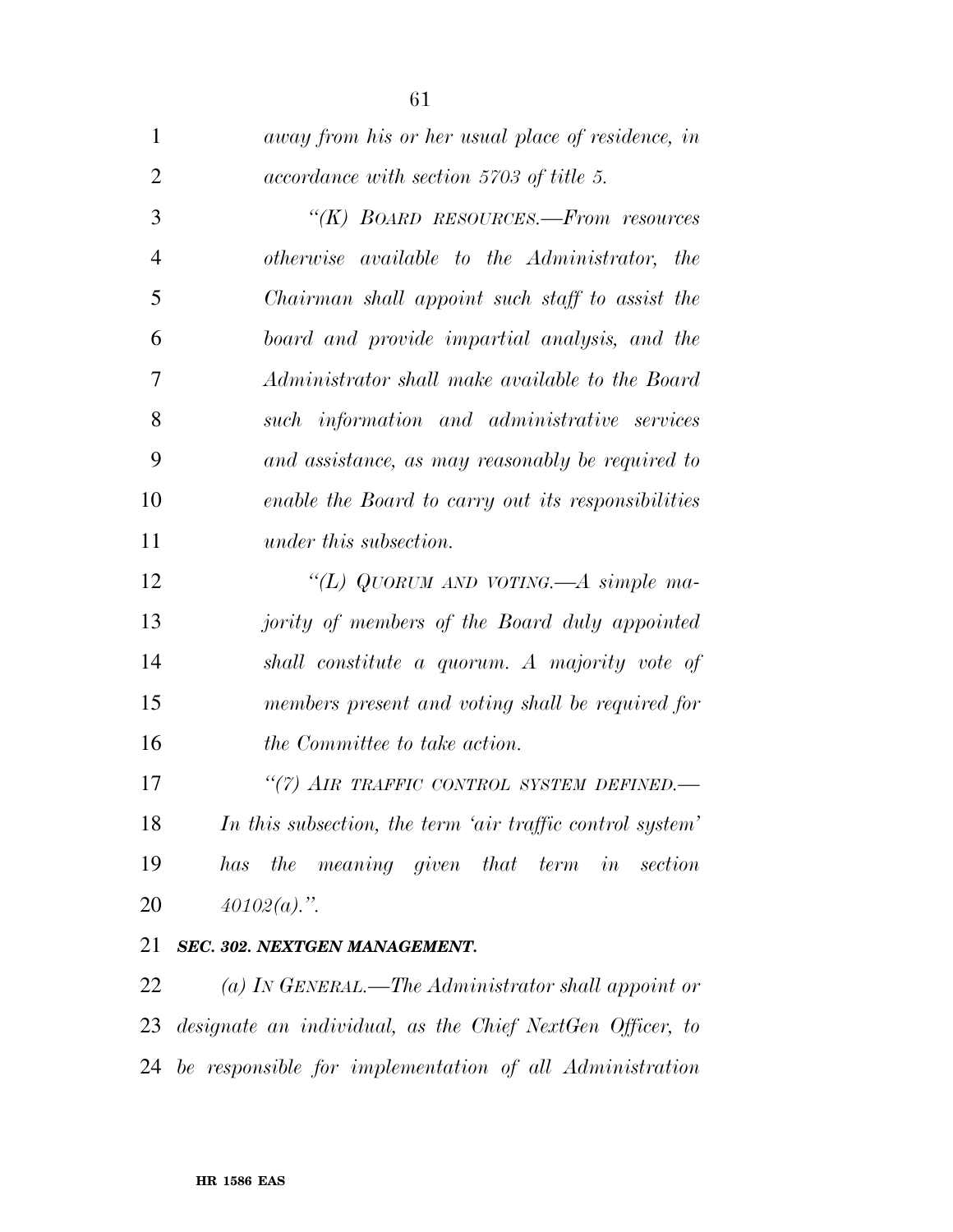| 1              | away from his or her usual place of residence, in         |
|----------------|-----------------------------------------------------------|
| $\overline{2}$ | accordance with section 5703 of title 5.                  |
| 3              | "(K) BOARD RESOURCES.—From resources                      |
| $\overline{4}$ | otherwise available to the Administrator, the             |
| 5              | Chairman shall appoint such staff to assist the           |
| 6              | board and provide impartial analysis, and the             |
| 7              | Administrator shall make available to the Board           |
| 8              | such information and administrative services              |
| 9              | and assistance, as may reasonably be required to          |
| 10             | enable the Board to carry out its responsibilities        |
| 11             | <i>under this subsection.</i>                             |
| 12             | "(L) QUORUM AND VOTING.—A simple ma-                      |
| 13             | jority of members of the Board duly appointed             |
| 14             | shall constitute a quorum. A majority vote of             |
| 15             | members present and voting shall be required for          |
| 16             | the Committee to take action.                             |
| 17             | "(7) AIR TRAFFIC CONTROL SYSTEM DEFINED.                  |
| 18             | In this subsection, the term 'air traffic control system' |
| 19             | has the meaning given that term in<br>section             |
| 20             | $40102(a)$ .".                                            |
| 21             | SEC. 302. NEXTGEN MANAGEMENT.                             |
|                |                                                           |

 *(a) IN GENERAL.—The Administrator shall appoint or designate an individual, as the Chief NextGen Officer, to be responsible for implementation of all Administration*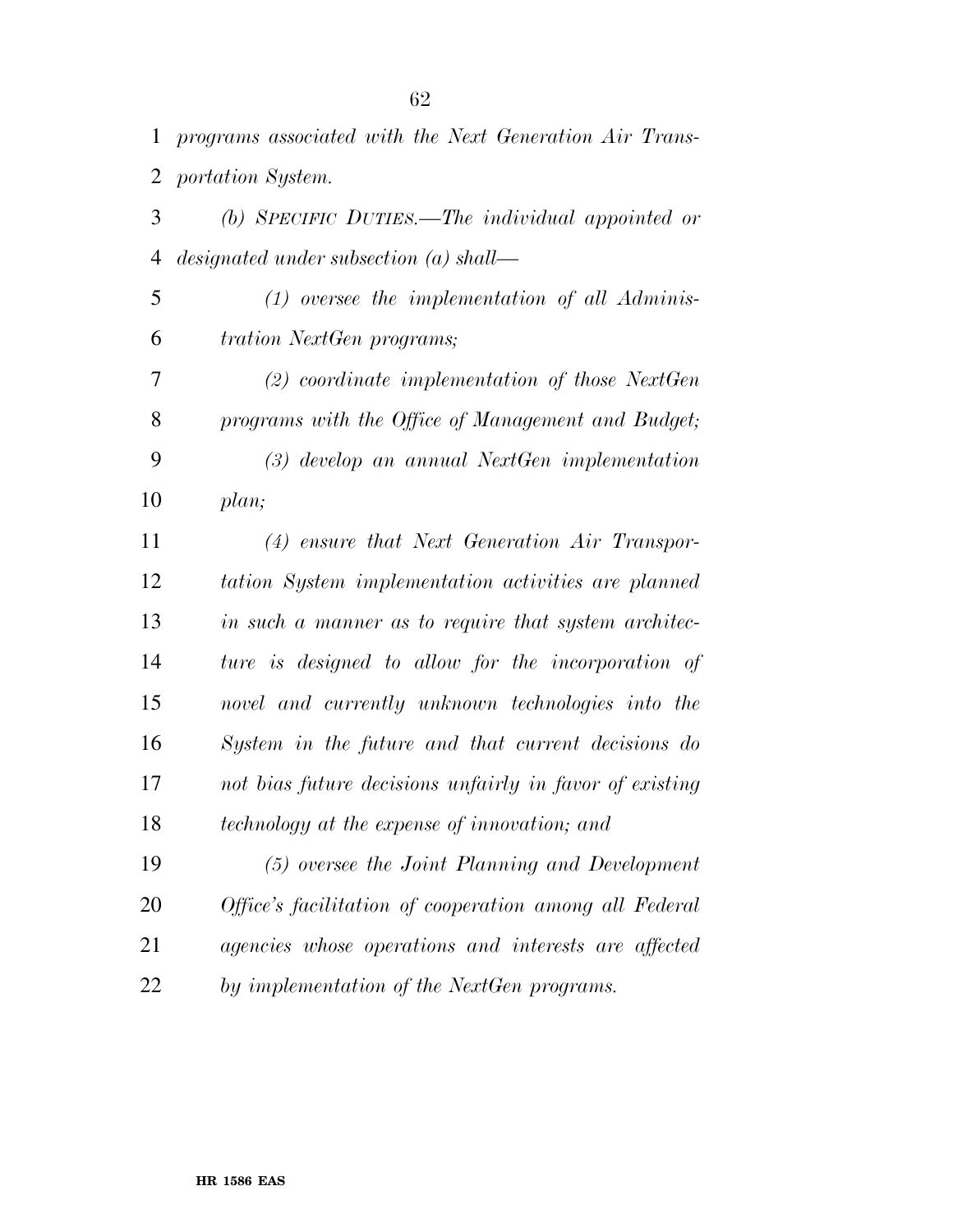| 2              | portation System.                                       |
|----------------|---------------------------------------------------------|
| 3              | (b) SPECIFIC DUTIES.—The individual appointed or        |
| $\overline{4}$ | $designed$ under subsection (a) shall—                  |
| 5              | $(1)$ oversee the implementation of all Adminis-        |
| 6              | tration NextGen programs;                               |
| 7              | $(2)$ coordinate implementation of those NextGen        |
| 8              | programs with the Office of Management and Budget;      |
| 9              | $(3)$ develop an annual NextGen implementation          |
| 10             | plan;                                                   |
| 11             | $(4)$ ensure that Next Generation Air Transpor-         |
| 12             | tation System implementation activities are planned     |
| 13             | in such a manner as to require that system architec-    |
| 14             | ture is designed to allow for the incorporation of      |
| 15             | novel and currently unknown technologies into the       |
| 16             | System in the future and that current decisions do      |
| 17             | not bias future decisions unfairly in favor of existing |
| 18             | technology at the expense of innovation; and            |
| 19             | (5) oversee the Joint Planning and Development          |
| 20             | Office's facilitation of cooperation among all Federal  |
| 21             | agencies whose operations and interests are affected    |

*by implementation of the NextGen programs.* 

*programs associated with the Next Generation Air Trans-*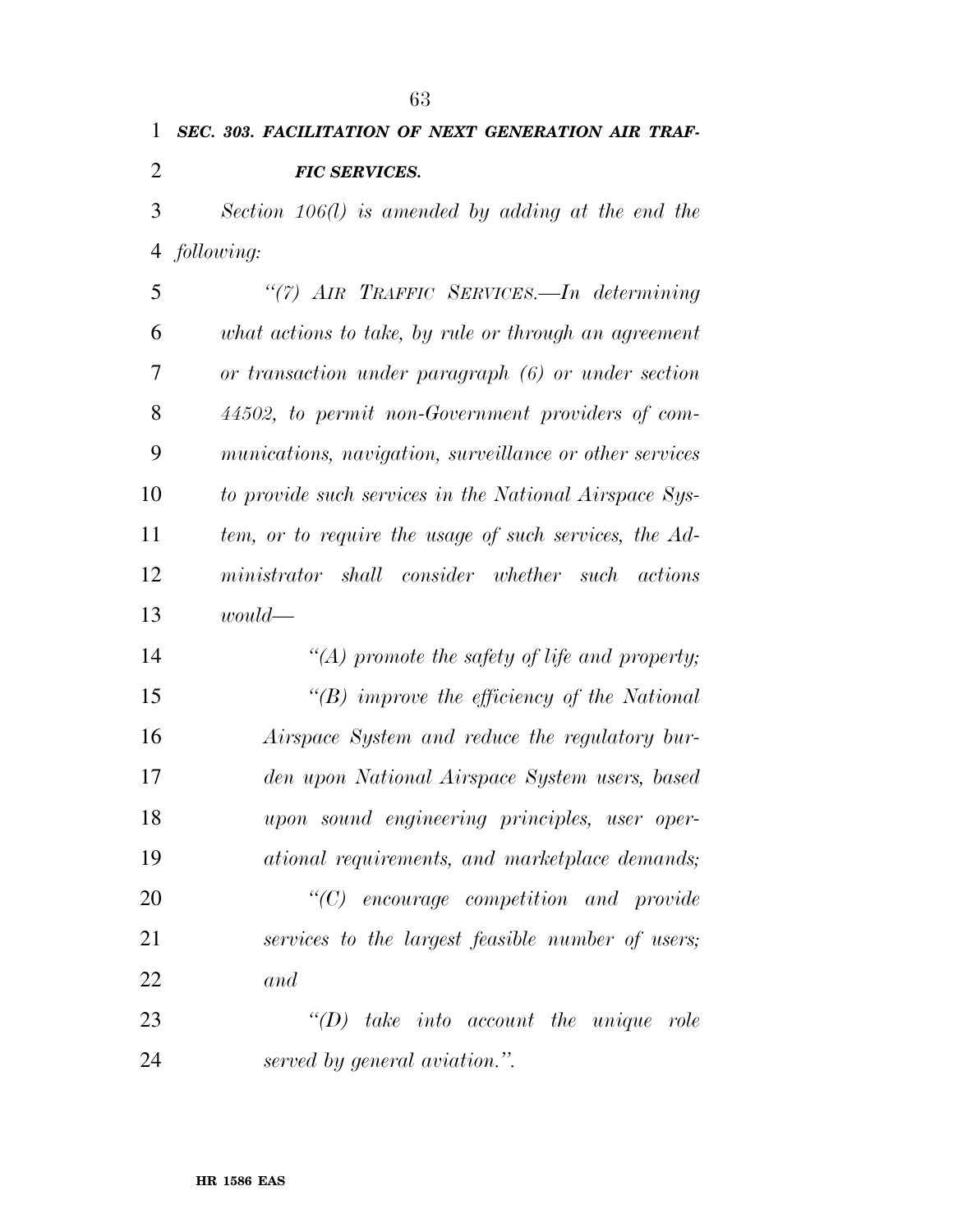# *SEC. 303. FACILITATION OF NEXT GENERATION AIR TRAF-FIC SERVICES.*

 *Section 106(l) is amended by adding at the end the following:* 

 *''(7) AIR TRAFFIC SERVICES.—In determining what actions to take, by rule or through an agreement or transaction under paragraph (6) or under section 44502, to permit non-Government providers of com- munications, navigation, surveillance or other services to provide such services in the National Airspace Sys- tem, or to require the usage of such services, the Ad- ministrator shall consider whether such actions would—* 

 *''(A) promote the safety of life and property; ''(B) improve the efficiency of the National Airspace System and reduce the regulatory bur- den upon National Airspace System users, based upon sound engineering principles, user oper- ational requirements, and marketplace demands; ''(C) encourage competition and provide services to the largest feasible number of users;* 

*and* 

 *''(D) take into account the unique role served by general aviation.''.*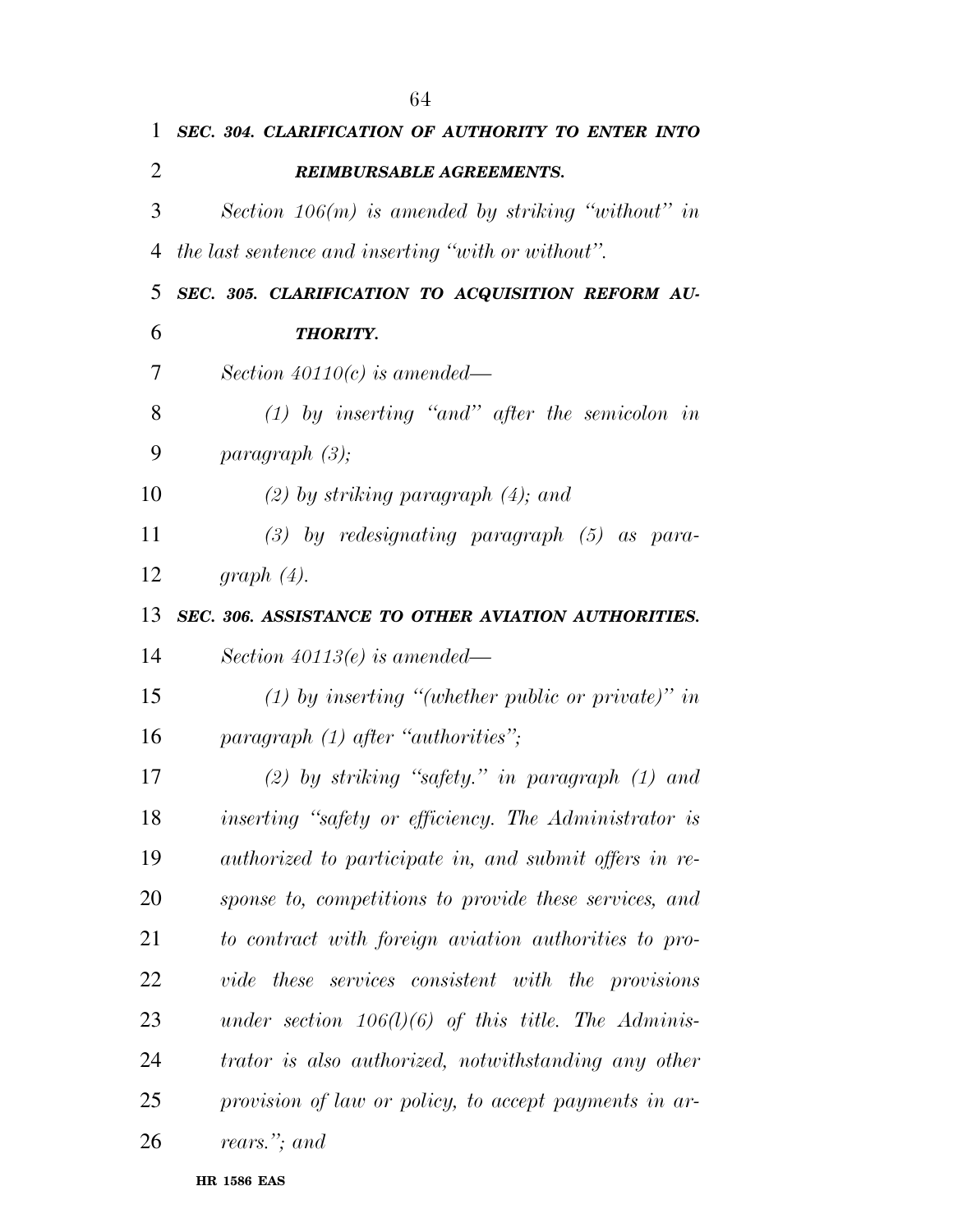| 1              | SEC. 304. CLARIFICATION OF AUTHORITY TO ENTER INTO     |
|----------------|--------------------------------------------------------|
| $\overline{2}$ | <b>REIMBURSABLE AGREEMENTS.</b>                        |
| 3              | Section 106 $(m)$ is amended by striking "without" in  |
| 4              | the last sentence and inserting "with or without".     |
| 5              | SEC. 305. CLARIFICATION TO ACQUISITION REFORM AU-      |
| 6              | THORITY.                                               |
| 7              | Section $40110(c)$ is amended—                         |
| 8              | $(1)$ by inserting "and" after the semicolon in        |
| 9              | paragnah(3);                                           |
| 10             | $(2)$ by striking paragraph $(4)$ ; and                |
| 11             | $(3)$ by redesignating paragraph $(5)$ as para-        |
| 12             | graph $(4)$ .                                          |
| 13             | SEC. 306. ASSISTANCE TO OTHER AVIATION AUTHORITIES.    |
| 14             | Section $40113(e)$ is amended—                         |
| 15             | (1) by inserting "(whether public or private)" in      |
| 16             | $paramph$ (1) after "authorities";                     |
| 17             | $(2)$ by striking "safety." in paragraph $(1)$ and     |
| 18             | inserting "safety or efficiency. The Administrator is  |
| 19             | authorized to participate in, and submit offers in re- |
| 20             | sponse to, competitions to provide these services, and |
| 21             | to contract with foreign aviation authorities to pro-  |
| 22             | vide these services consistent with the provisions     |
| 23             | under section $106(l)(6)$ of this title. The Adminis-  |
| 24             | trator is also authorized, notwithstanding any other   |
| 25             | provision of law or policy, to accept payments in ar-  |
| 26             | rears."; and                                           |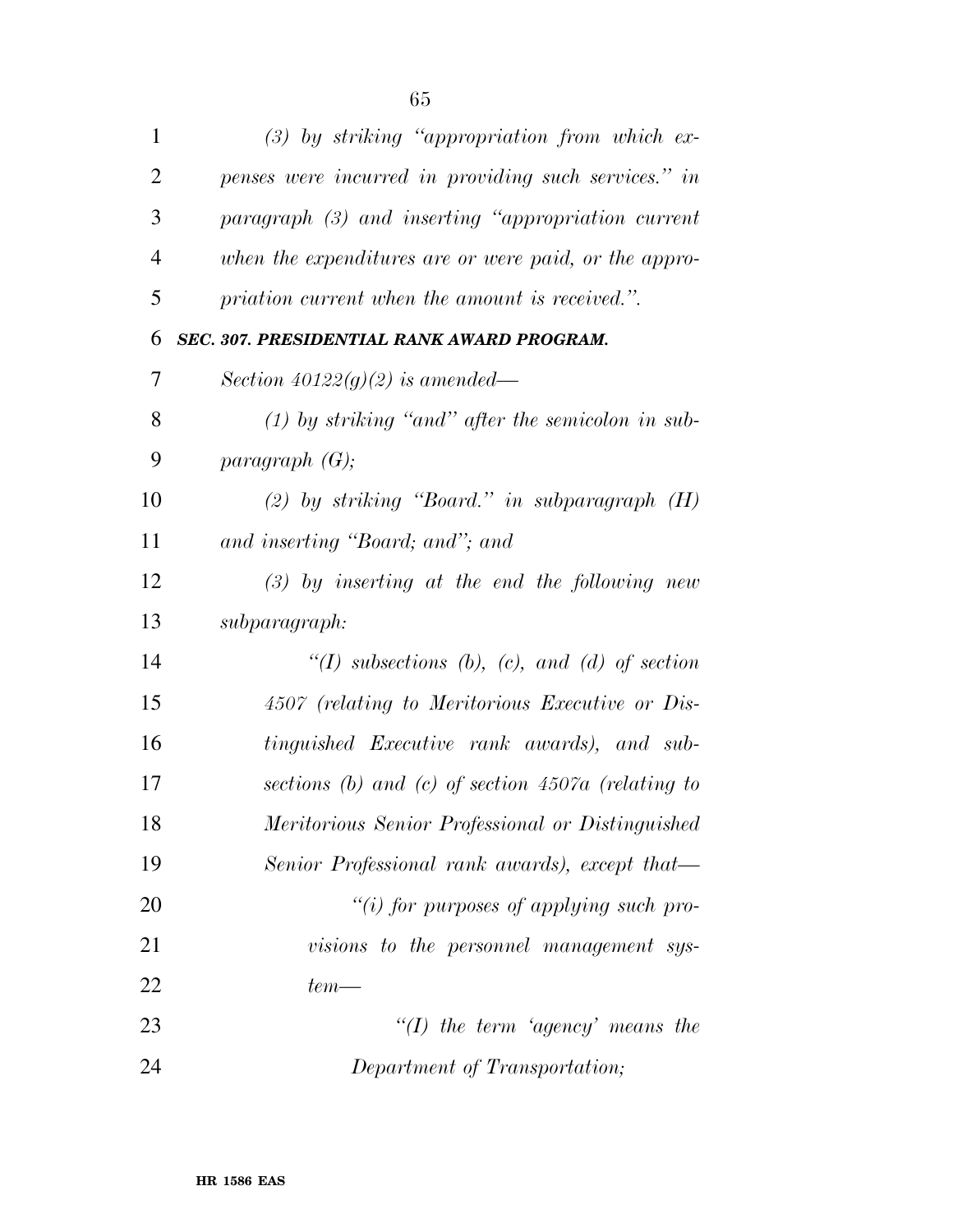| $\mathbf{1}$   | $(3)$ by striking "appropriation from which ex-       |
|----------------|-------------------------------------------------------|
| $\overline{2}$ | penses were incurred in providing such services." in  |
| 3              | paragraph (3) and inserting "appropriation current    |
| $\overline{4}$ | when the expenditures are or were paid, or the appro- |
| 5              | priation current when the amount is received.".       |
| 6              | SEC. 307. PRESIDENTIAL RANK AWARD PROGRAM.            |
| 7              | Section $40122(g)(2)$ is amended—                     |
| 8              | $(1)$ by striking "and" after the semicolon in sub-   |
| 9              | paragnph(G);                                          |
| 10             | (2) by striking "Board." in subparagraph $(H)$        |
| 11             | and inserting "Board; and"; and                       |
| 12             | $(3)$ by inserting at the end the following new       |
| 13             | subparagraph:                                         |
| 14             | "(I) subsections (b), (c), and (d) of section         |
| 15             | 4507 (relating to Meritorious Executive or Dis-       |
| 16             | tinguished Executive rank awards), and sub-           |
| 17             | sections (b) and (c) of section $4507a$ (relating to  |
| 18             | Meritorious Senior Professional or Distinguished      |
| 19             | Senior Professional rank awards), except that-        |
| 20             | "(i) for purposes of applying such pro-               |
| 21             | visions to the personnel management sys-              |
| 22             | $_{tem-}$                                             |
| 23             | "(I) the term 'agency' means the                      |
| 24             | Department of Transportation;                         |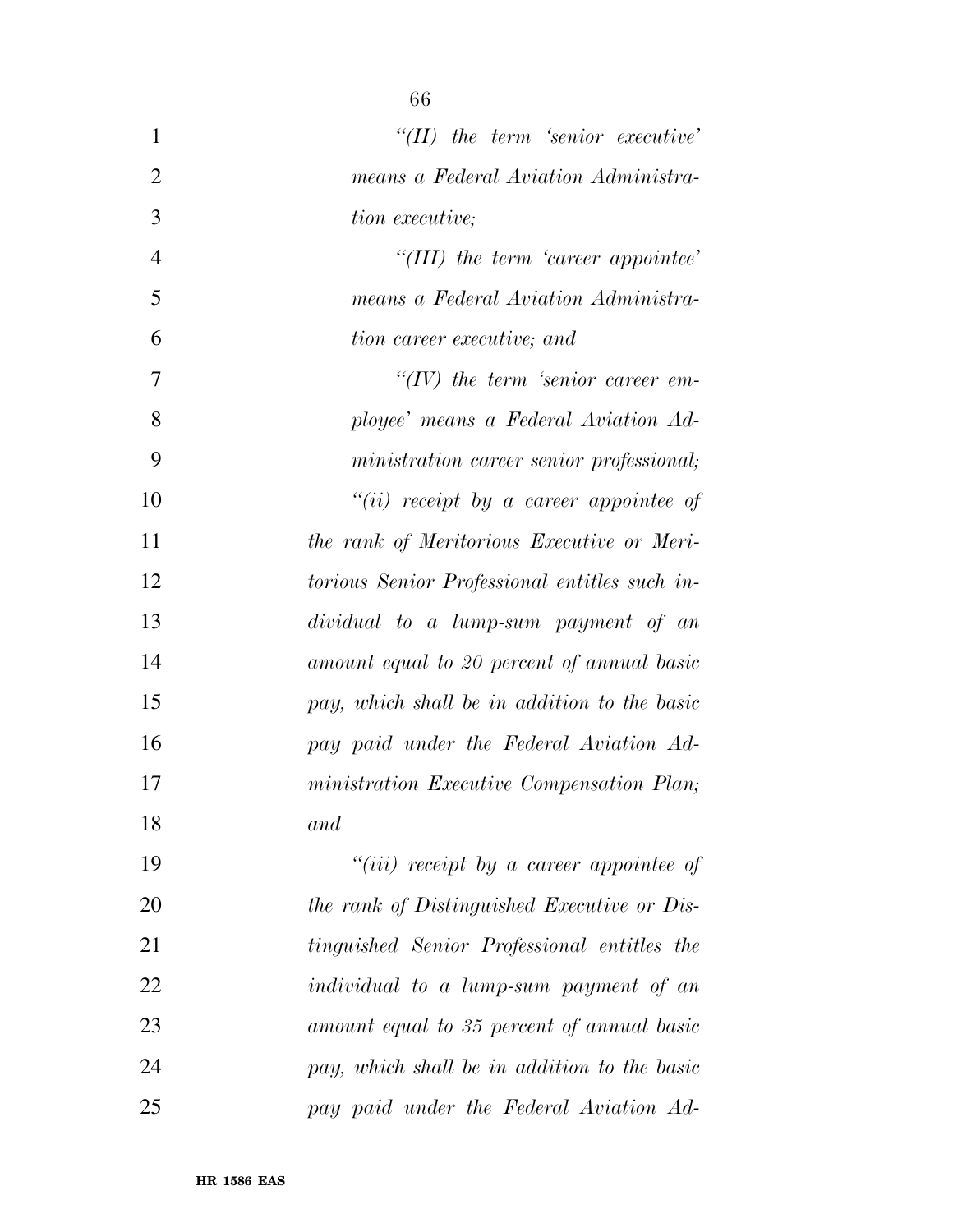| $\mathbf{1}$   | $``(II)$ the term 'senior executive'             |
|----------------|--------------------------------------------------|
| $\overline{2}$ | means a Federal Aviation Administra-             |
| 3              | tion executive;                                  |
| $\overline{4}$ | "(III) the term 'career appointee'               |
| 5              | means a Federal Aviation Administra-             |
| 6              | tion career executive; and                       |
| 7              | $\lq\lq (IV)$ the term 'senior career em-        |
| 8              | ployee' means a Federal Aviation Ad-             |
| 9              | ministration career senior professional;         |
| 10             | "(ii) receipt by a career appointee of           |
| 11             | the rank of Meritorious Executive or Meri-       |
| 12             | torious Senior Professional entitles such in-    |
| 13             | dividual to a lump-sum payment of an             |
| 14             | amount equal to 20 percent of annual basic       |
| 15             | pay, which shall be in addition to the basic     |
| 16             | pay paid under the Federal Aviation Ad-          |
| 17             | ministration Executive Compensation Plan;        |
| 18             | and                                              |
| 19             | "( <i>iii</i> ) receipt by a career appointee of |
| 20             | the rank of Distinguished Executive or Dis-      |
| 21             | tinguished Senior Professional entitles the      |
| 22             | <i>individual to a lump-sum payment of an</i>    |
| 23             | amount equal to 35 percent of annual basic       |
| 24             | pay, which shall be in addition to the basic     |
| 25             | pay paid under the Federal Aviation Ad-          |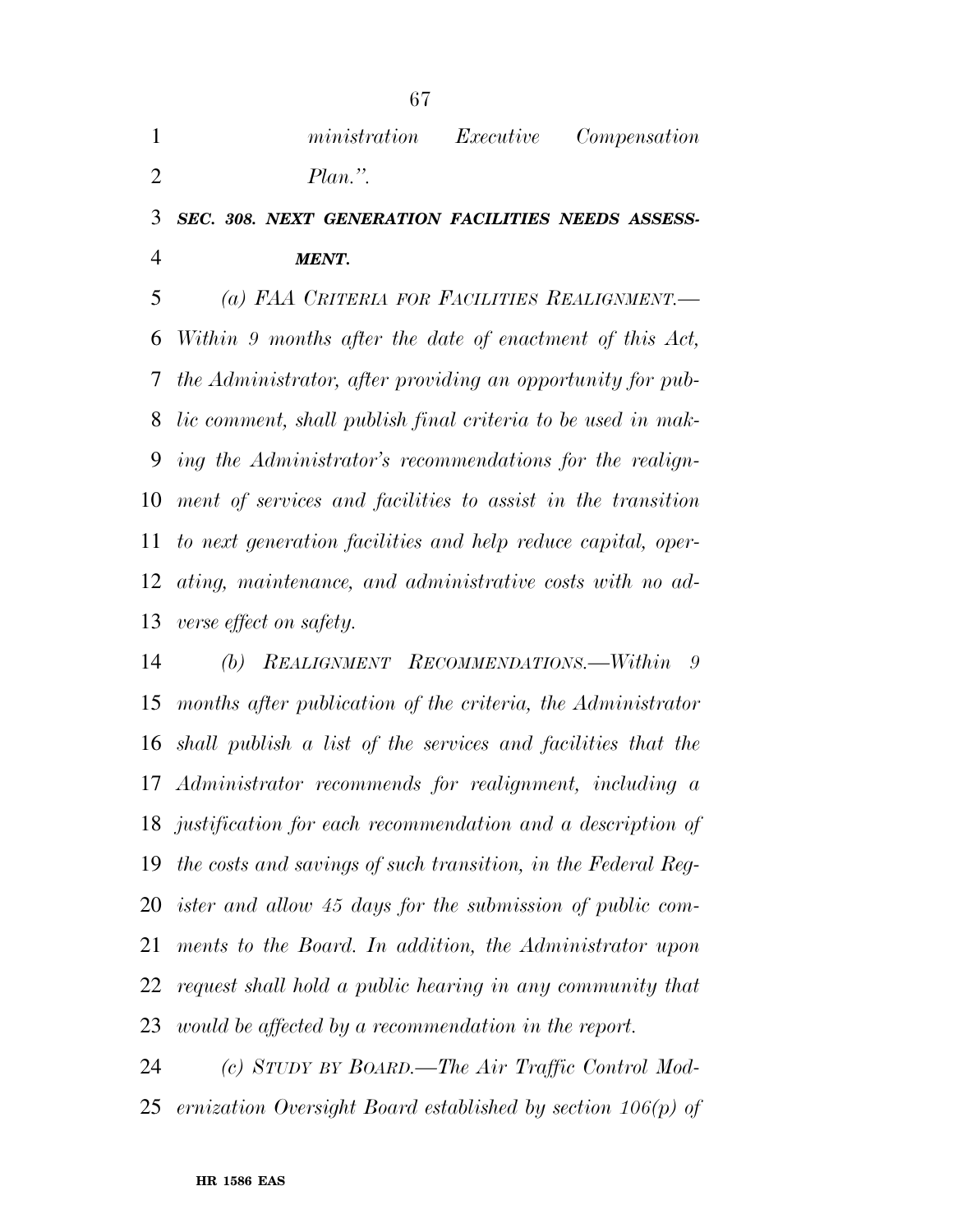|            | ministration Executive Compensation |
|------------|-------------------------------------|
| $Plan.$ ". |                                     |
|            |                                     |

## *SEC. 308. NEXT GENERATION FACILITIES NEEDS ASSESS-MENT.*

 *(a) FAA CRITERIA FOR FACILITIES REALIGNMENT.— Within 9 months after the date of enactment of this Act, the Administrator, after providing an opportunity for pub- lic comment, shall publish final criteria to be used in mak- ing the Administrator's recommendations for the realign- ment of services and facilities to assist in the transition to next generation facilities and help reduce capital, oper- ating, maintenance, and administrative costs with no ad-verse effect on safety.* 

 *(b) REALIGNMENT RECOMMENDATIONS.—Within 9 months after publication of the criteria, the Administrator shall publish a list of the services and facilities that the Administrator recommends for realignment, including a justification for each recommendation and a description of the costs and savings of such transition, in the Federal Reg- ister and allow 45 days for the submission of public com- ments to the Board. In addition, the Administrator upon request shall hold a public hearing in any community that would be affected by a recommendation in the report.* 

 *(c) STUDY BY BOARD.—The Air Traffic Control Mod-ernization Oversight Board established by section 106(p) of*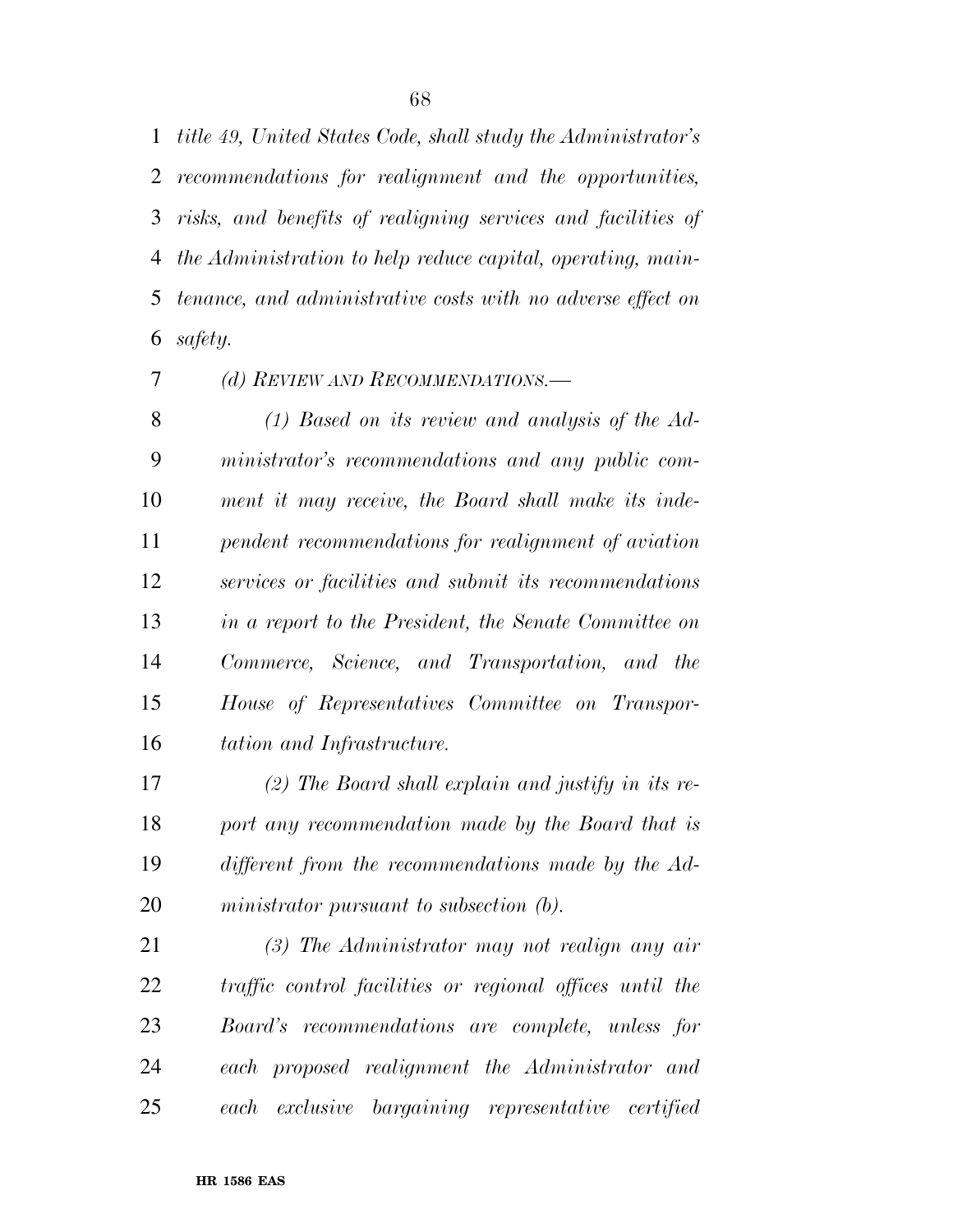*title 49, United States Code, shall study the Administrator's recommendations for realignment and the opportunities, risks, and benefits of realigning services and facilities of the Administration to help reduce capital, operating, main- tenance, and administrative costs with no adverse effect on safety.* 

*(d) REVIEW AND RECOMMENDATIONS.—* 

 *(1) Based on its review and analysis of the Ad- ministrator's recommendations and any public com- ment it may receive, the Board shall make its inde- pendent recommendations for realignment of aviation services or facilities and submit its recommendations in a report to the President, the Senate Committee on Commerce, Science, and Transportation, and the House of Representatives Committee on Transpor-tation and Infrastructure.* 

 *(2) The Board shall explain and justify in its re- port any recommendation made by the Board that is different from the recommendations made by the Ad-ministrator pursuant to subsection (b).* 

 *(3) The Administrator may not realign any air traffic control facilities or regional offices until the Board's recommendations are complete, unless for each proposed realignment the Administrator and each exclusive bargaining representative certified*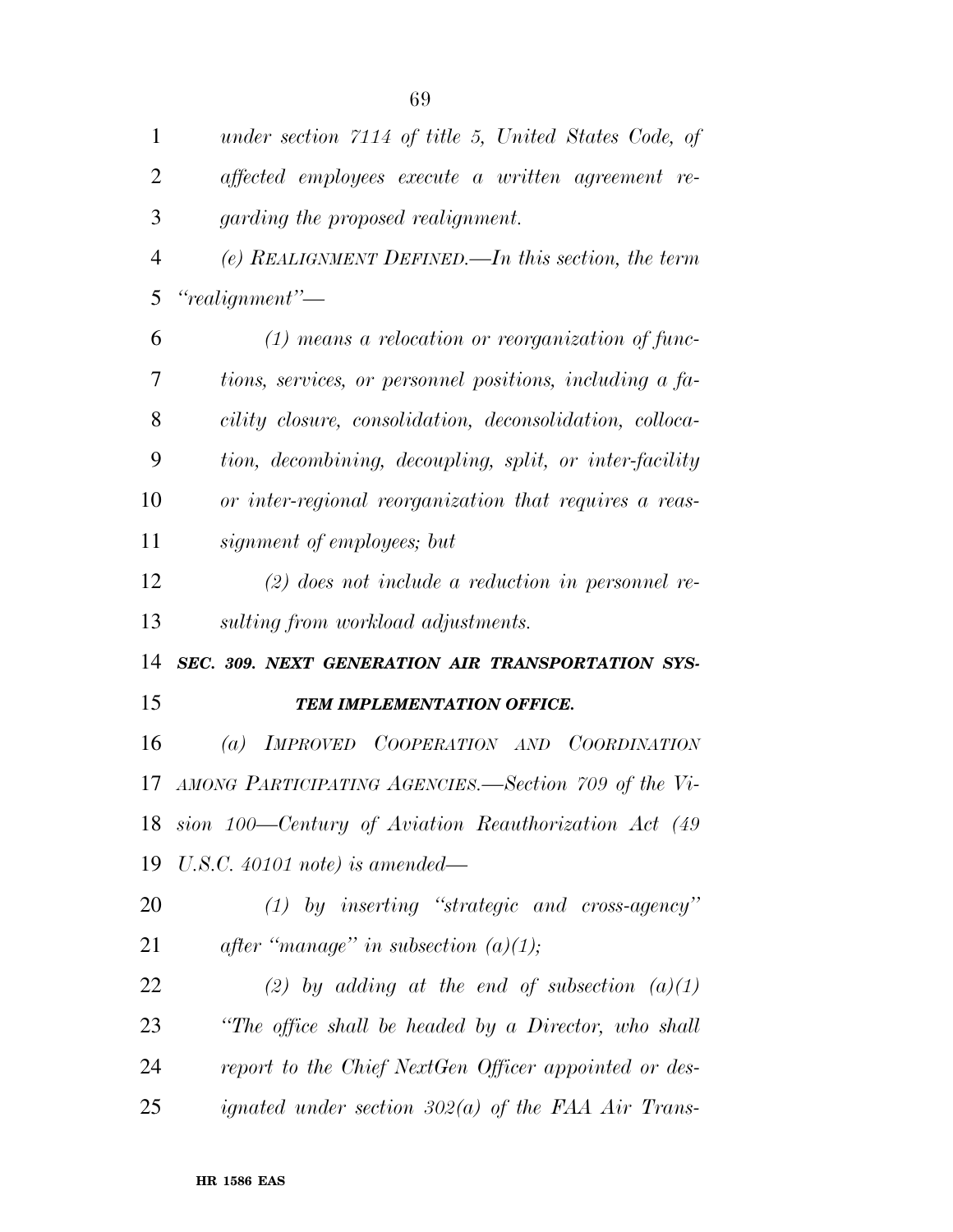| 1              | under section 7114 of title 5, United States Code, of    |
|----------------|----------------------------------------------------------|
| $\overline{2}$ | affected employees execute a written agreement re-       |
| 3              | <i>garding the proposed realignment.</i>                 |
| $\overline{4}$ | $(e)$ REALIGNMENT DEFINED.—In this section, the term     |
| 5              | "realignment"—                                           |
| 6              | $(1)$ means a relocation or reorganization of func-      |
| 7              | tions, services, or personnel positions, including a fa- |
| 8              | cility closure, consolidation, deconsolidation, colloca- |
| 9              | tion, decombining, decoupling, split, or inter-facility  |
| 10             | or inter-regional reorganization that requires a reas-   |
| 11             | signment of employees; but                               |
| 12             | $(2)$ does not include a reduction in personnel re-      |
| 13             | sulting from workload adjustments.                       |
| 14             | SEC. 309. NEXT GENERATION AIR TRANSPORTATION SYS-        |
| 15             | TEM IMPLEMENTATION OFFICE.                               |
| 16             | IMPROVED COOPERATION AND COORDINATION<br>(a)             |
| 17             | AMONG PARTICIPATING AGENCIES.—Section 709 of the Vi-     |
| 18             | sion 100—Century of Aviation Reauthorization Act (49)    |
| 19             | U.S.C. 40101 note) is amended—                           |
| 20             | $(1)$ by inserting "strategic and cross-agency"          |
| 21             | after "manage" in subsection $(a)(1)$ ;                  |
| 22             | (2) by adding at the end of subsection $(a)(1)$          |
|                |                                                          |
| 23             | "The office shall be headed by a Director, who shall     |
| 24             | report to the Chief NextGen Officer appointed or des-    |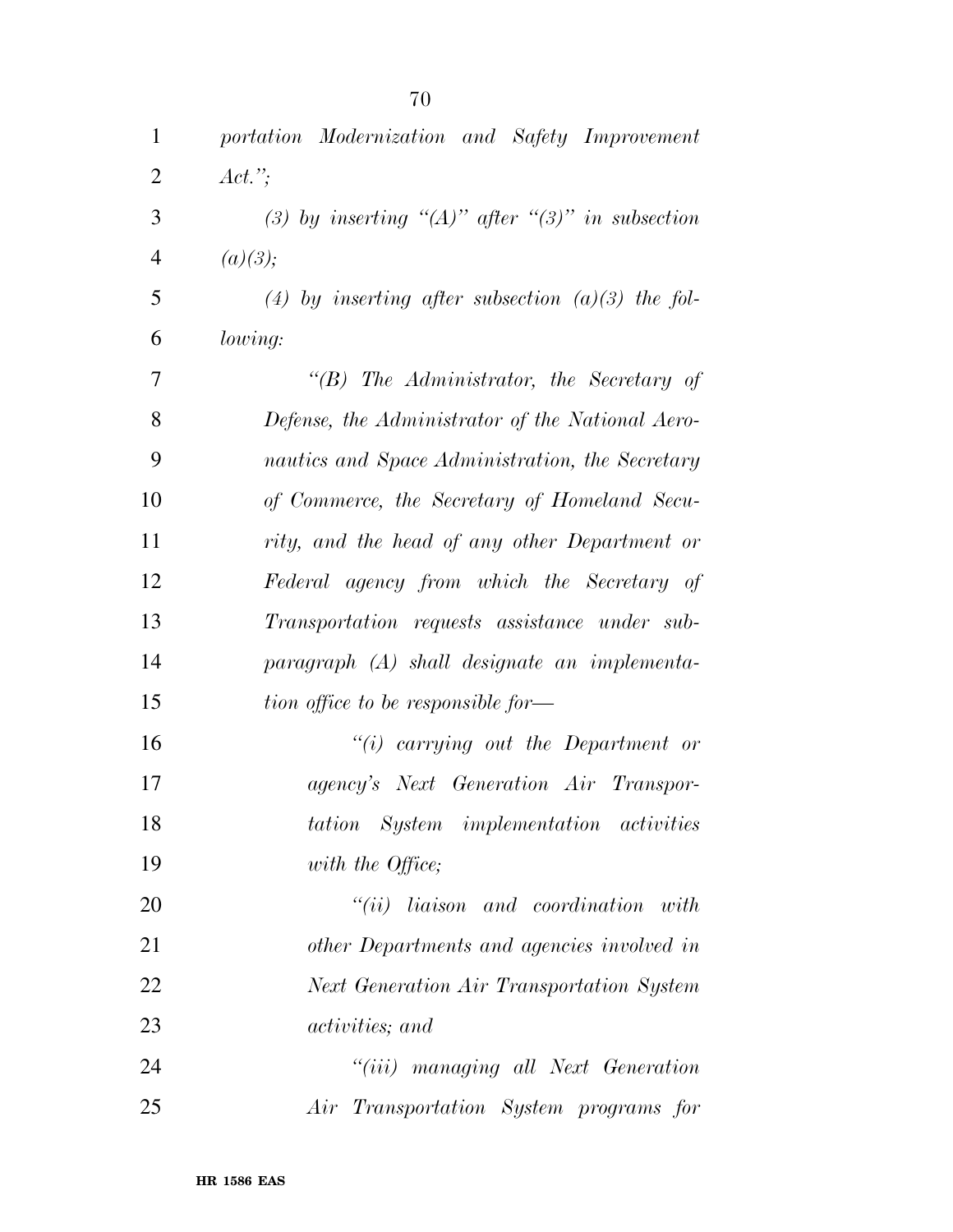| $\mathbf{1}$   | portation Modernization and Safety Improvement           |
|----------------|----------------------------------------------------------|
| $\overline{2}$ | $Act.$ ";                                                |
| 3              | (3) by inserting " $(A)$ " after " $(3)$ " in subsection |
| $\overline{4}$ | (a)(3);                                                  |
| 5              | (4) by inserting after subsection (a)(3) the fol-        |
| 6              | <i>lowing:</i>                                           |
| 7              | $\lq\lq B$ The Administrator, the Secretary of           |
| 8              | Defense, the Administrator of the National Aero-         |
| 9              | nautics and Space Administration, the Secretary          |
| 10             | of Commerce, the Secretary of Homeland Secu-             |
| 11             | rity, and the head of any other Department or            |
| 12             | Federal agency from which the Secretary of               |
| 13             | Transportation requests assistance under sub-            |
| 14             | paragraph (A) shall designate an implementa-             |
| 15             | tion office to be responsible for—                       |
| 16             | $``(i)$ carrying out the Department or                   |
| 17             | agency's Next Generation Air Transpor-                   |
| 18             | System implementation activities<br>tation               |
| 19             | with the Office;                                         |
| 20             | $``(ii)$ liaison and coordination with                   |
| 21             | other Departments and agencies involved in               |
| 22             | Next Generation Air Transportation System                |
| 23             | <i>activities</i> ; and                                  |
| 24             | "(iii) managing all Next Generation                      |
| 25             | Air Transportation System programs for                   |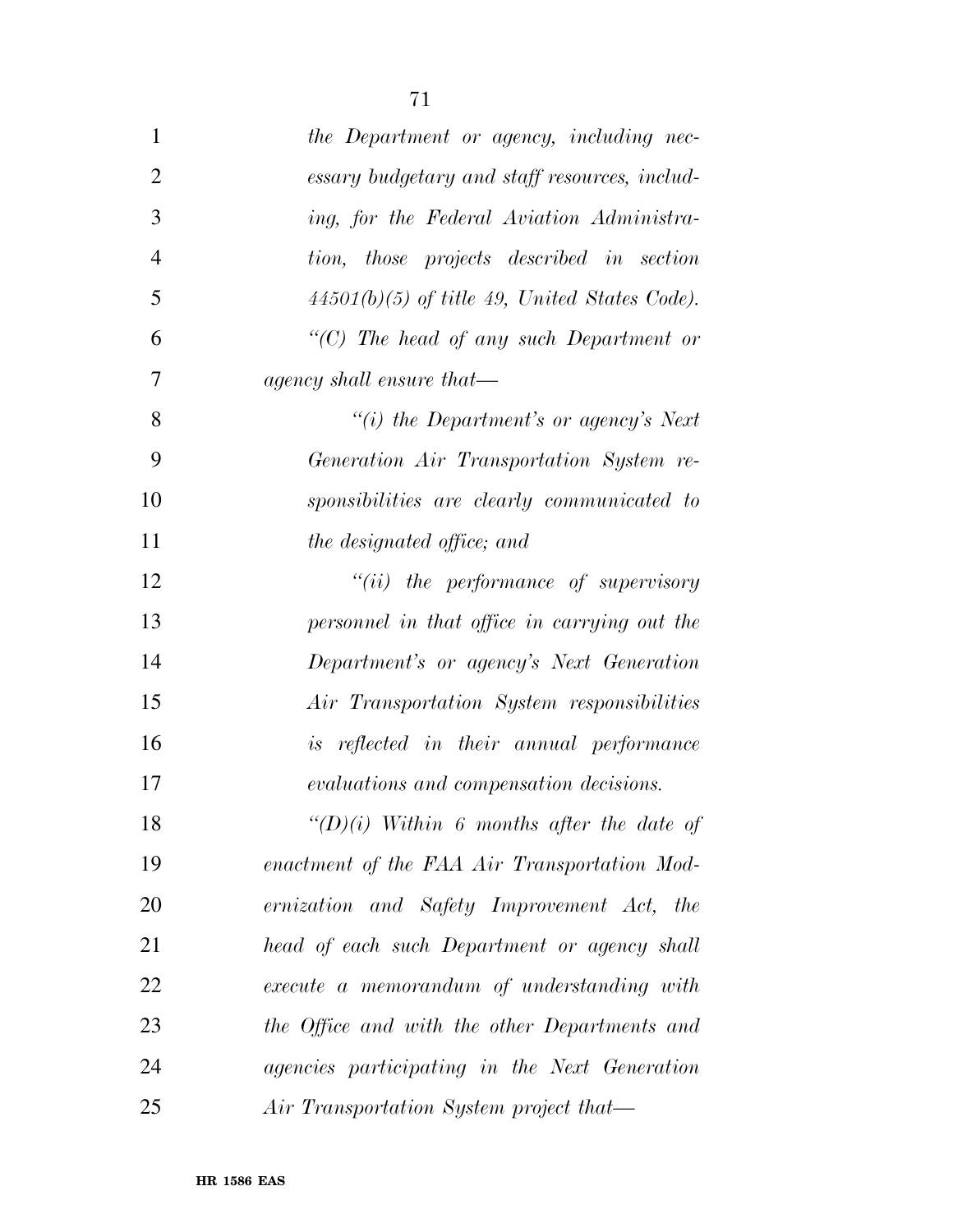| $\mathbf{1}$   | the Department or agency, including nec-        |
|----------------|-------------------------------------------------|
| $\overline{2}$ | essary budgetary and staff resources, includ-   |
| 3              | ing, for the Federal Aviation Administra-       |
| $\overline{4}$ | tion, those projects described in section       |
| 5              | $44501(b)(5)$ of title 49, United States Code). |
| 6              | "(C) The head of any such Department or         |
| 7              | agency shall ensure that—                       |
| 8              | "(i) the Department's or agency's Next          |
| 9              | Generation Air Transportation System re-        |
| 10             | sponsibilities are clearly communicated to      |
| 11             | the designated office; and                      |
| 12             | $``(ii)$ the performance of supervisory         |
| 13             | personnel in that office in carrying out the    |
| 14             | Department's or agency's Next Generation        |
| 15             | Air Transportation System responsibilities      |
| 16             | is reflected in their annual performance        |
| 17             | evaluations and compensation decisions.         |
| 18             | "(D)(i) Within 6 months after the date of       |
| 19             | enactment of the FAA Air Transportation Mod-    |
| 20             | ernization and Safety Improvement Act, the      |
| 21             | head of each such Department or agency shall    |
| 22             | execute a memorandum of understanding with      |
| 23             | the Office and with the other Departments and   |
| 24             | agencies participating in the Next Generation   |
| 25             | Air Transportation System project that—         |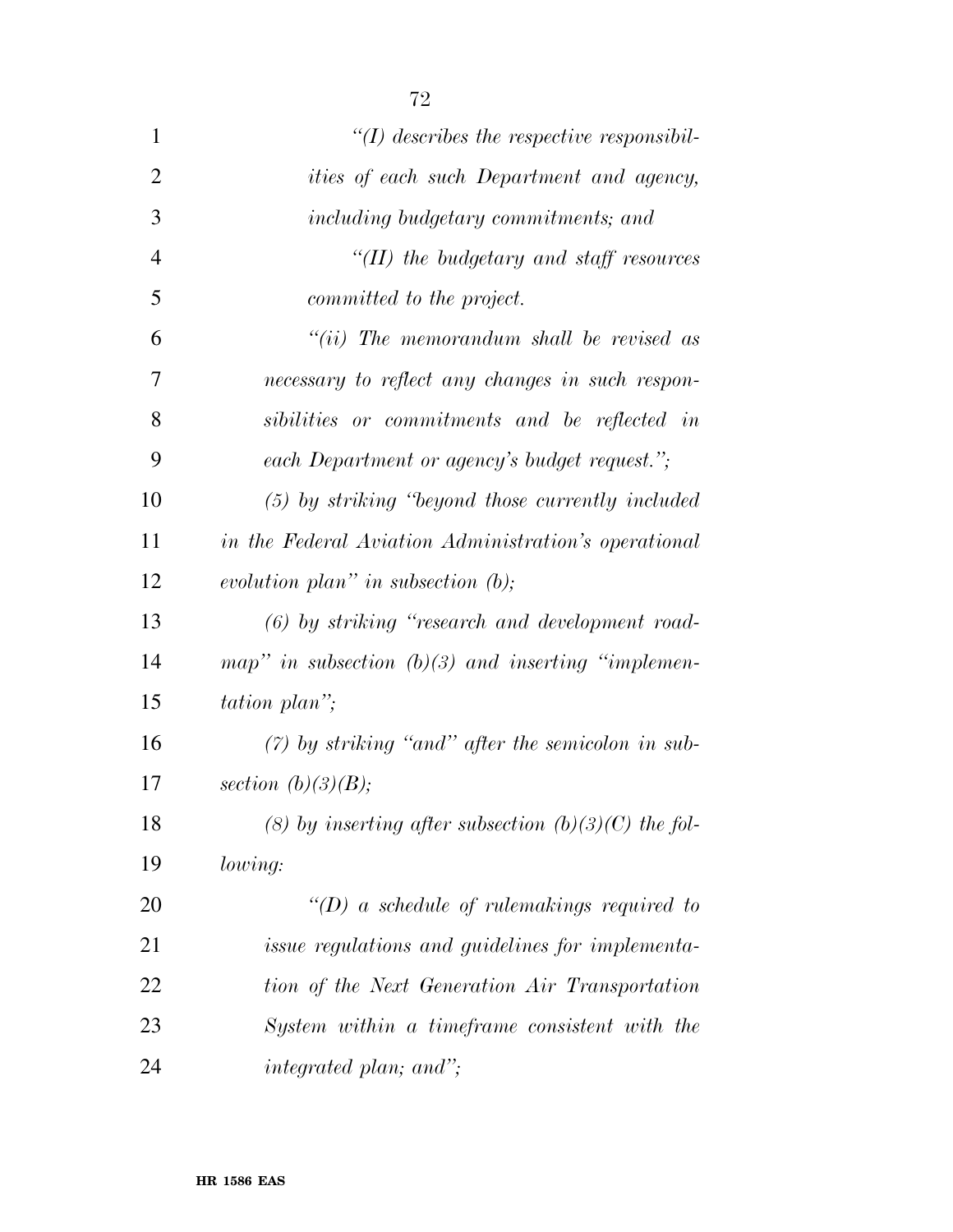| $\mathbf{1}$   | $\lq (I)$ describes the respective responsibil-        |
|----------------|--------------------------------------------------------|
| $\overline{2}$ | <i>ities of each such Department and agency,</i>       |
| 3              | including budgetary commitments; and                   |
| 4              | "(II) the budgetary and staff resources                |
| 5              | committed to the project.                              |
| 6              | $``(ii)$ The memorandum shall be revised as            |
| 7              | necessary to reflect any changes in such respon-       |
| 8              | sibilities or commitments and be reflected in          |
| 9              | each Department or agency's budget request.";          |
| 10             | $(5)$ by striking "beyond those currently included     |
| 11             | in the Federal Aviation Administration's operational   |
| 12             | evolution plan" in subsection $(b)$ ;                  |
| 13             | $(6)$ by striking "research and development road-      |
| 14             | map" in subsection $(b)(3)$ and inserting "implemen-   |
| 15             | <i>tation plan</i> ";                                  |
| 16             | $(7)$ by striking "and" after the semicolon in sub-    |
| 17             | section $(b)(3)(B);$                                   |
| 18             | (8) by inserting after subsection $(b)(3)(C)$ the fol- |
| 19             | lowing:                                                |
| 20             | $\lq\lq(D)$ a schedule of rulemakings required to      |
| 21             | issue regulations and guidelines for implementa-       |
| 22             | tion of the Next Generation Air Transportation         |
| 23             | System within a timeframe consistent with the          |
| 24             | integrated plan; and";                                 |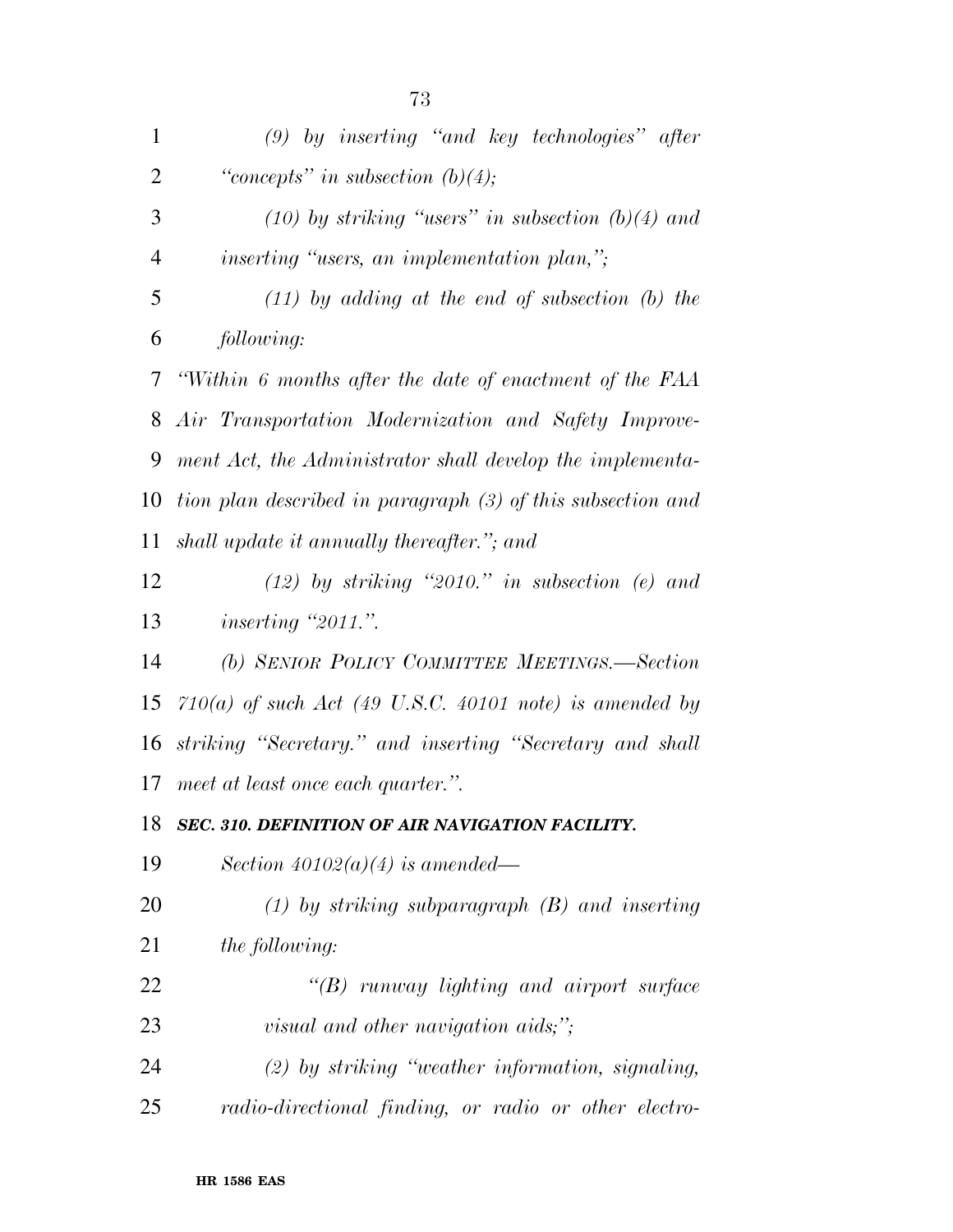| $\mathbf{1}$   | $(9)$ by inserting "and key technologies" after                     |
|----------------|---------------------------------------------------------------------|
| $\overline{2}$ | "concepts" in subsection $(b)(4)$ ;                                 |
| 3              | $(10)$ by striking "users" in subsection $(b)(4)$ and               |
| $\overline{4}$ | <i>inserting</i> " <i>users</i> , an <i>implementation plan</i> ,"; |
| 5              | $(11)$ by adding at the end of subsection $(b)$ the                 |
| 6              | following:                                                          |
| 7              | "Within 6 months after the date of enactment of the FAA             |
| 8              | Air Transportation Modernization and Safety Improve-                |
| 9              | ment Act, the Administrator shall develop the implementa-           |
| 10             | tion plan described in paragraph (3) of this subsection and         |
| 11             | shall update it annually thereafter."; and                          |
| 12             | $(12)$ by striking "2010." in subsection (e) and                    |
| 13             | inserting "2011.".                                                  |
| 14             | (b) SENIOR POLICY COMMITTEE MEETINGS.-Section                       |
| 15             | $710(a)$ of such Act (49 U.S.C. 40101 note) is amended by           |
| 16             | striking "Secretary." and inserting "Secretary and shall            |
| 17             | meet at least once each quarter.".                                  |
|                | 18 SEC. 310. DEFINITION OF AIR NAVIGATION FACILITY.                 |
| 19             | Section $40102(a)(4)$ is amended—                                   |
| 20             | $(1)$ by striking subparagraph $(B)$ and inserting                  |
| 21             | the following:                                                      |
| 22             | $\lq\lq B$ runway lighting and airport surface                      |
| 23             | visual and other navigation aids;";                                 |
| 24             | $(2)$ by striking "weather information, signaling,                  |
| 25             | radio-directional finding, or radio or other electro-               |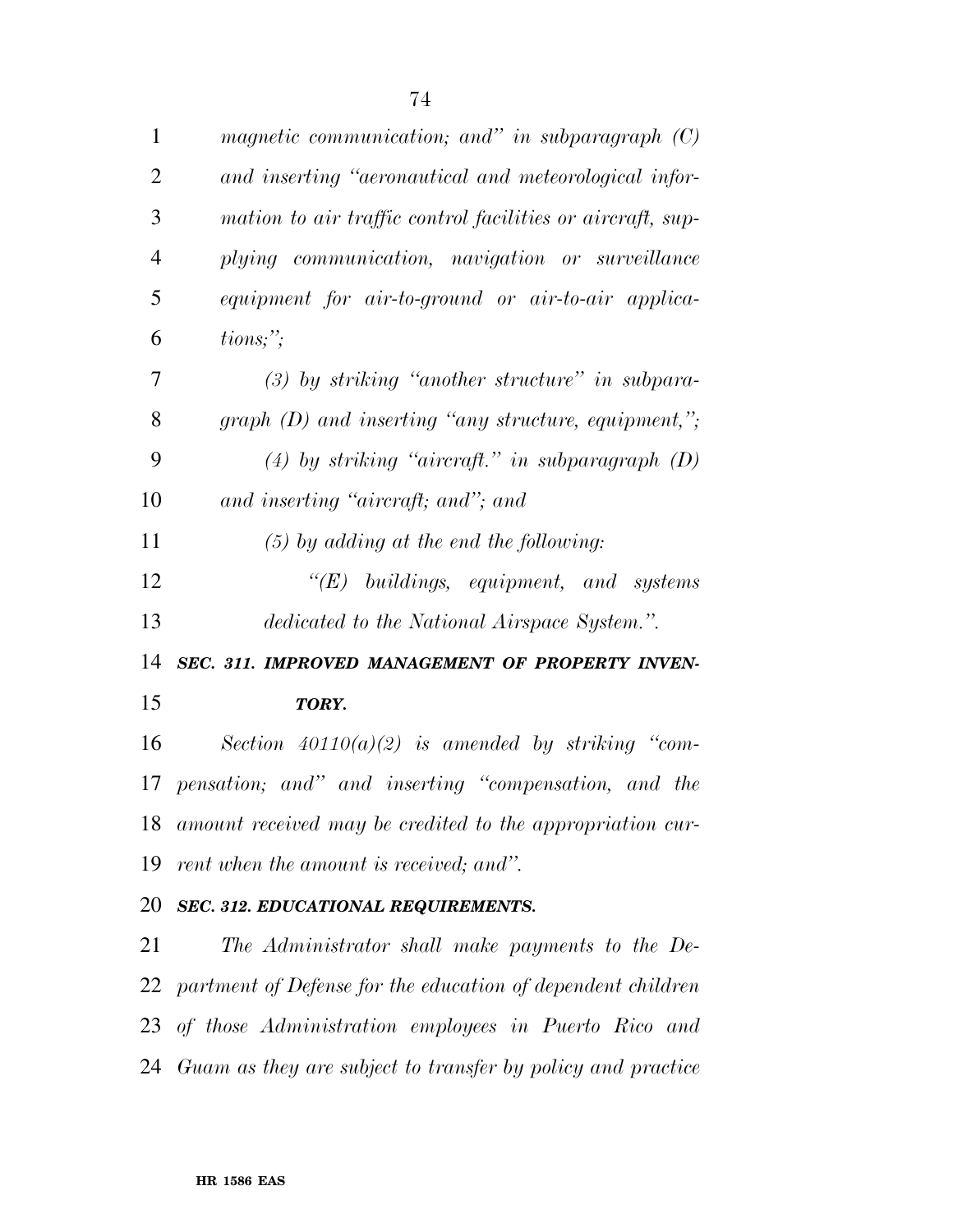| $\mathbf{1}$   | magnetic communication; and" in subparagraph $(C)$         |
|----------------|------------------------------------------------------------|
| 2              | and inserting "aeronautical and meteorological infor-      |
| 3              | mation to air traffic control facilities or aircraft, sup- |
| $\overline{4}$ | plying communication, navigation or surveillance           |
| 5              | equipment for air-to-ground or air-to-air applica-         |
| 6              | tions;                                                     |
| 7              | $(3)$ by striking "another structure" in subpara-          |
| 8              | graph $(D)$ and inserting "any structure, equipment,";     |
| 9              | $(4)$ by striking "aircraft." in subparagraph $(D)$        |
| 10             | and inserting "aircraft; and"; and                         |
| 11             | $(5)$ by adding at the end the following:                  |
| 12             | $\lq\lq E$ buildings, equipment, and systems               |
| 13             | dedicated to the National Airspace System.".               |
| 14             | SEC. 311. IMPROVED MANAGEMENT OF PROPERTY INVEN-           |
| 15             | TORY.                                                      |
| 16             | Section $40110(a)(2)$ is amended by striking "com-         |
|                | 17 pensation; and" and inserting "compensation, and the    |
| 18             | amount received may be credited to the appropriation cur-  |
| 19             | rent when the amount is received; and".                    |
| 20             | SEC. 312. EDUCATIONAL REQUIREMENTS.                        |
|                |                                                            |

 *The Administrator shall make payments to the De- partment of Defense for the education of dependent children of those Administration employees in Puerto Rico and Guam as they are subject to transfer by policy and practice*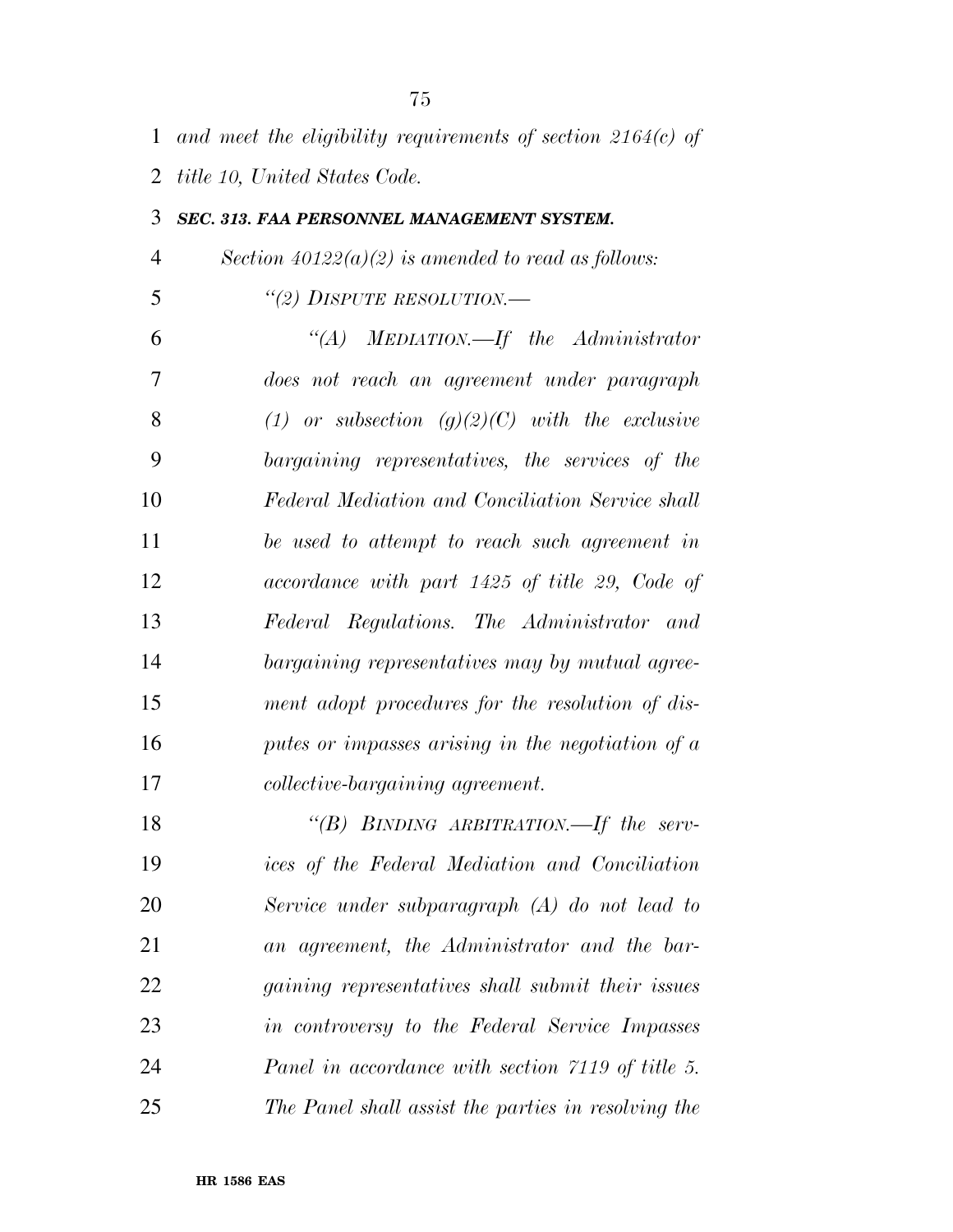*and meet the eligibility requirements of section 2164(c) of* 

*title 10, United States Code.* 

## *SEC. 313. FAA PERSONNEL MANAGEMENT SYSTEM.*

*Section 40122(a)(2) is amended to read as follows:* 

*''(2) DISPUTE RESOLUTION.—* 

 *''(A) MEDIATION.—If the Administrator does not reach an agreement under paragraph (1) or subsection (g)(2)(C) with the exclusive bargaining representatives, the services of the Federal Mediation and Conciliation Service shall be used to attempt to reach such agreement in accordance with part 1425 of title 29, Code of Federal Regulations. The Administrator and bargaining representatives may by mutual agree- ment adopt procedures for the resolution of dis- putes or impasses arising in the negotiation of a collective-bargaining agreement.* 

 *''(B) BINDING ARBITRATION.—If the serv- ices of the Federal Mediation and Conciliation Service under subparagraph (A) do not lead to an agreement, the Administrator and the bar- gaining representatives shall submit their issues in controversy to the Federal Service Impasses Panel in accordance with section 7119 of title 5. The Panel shall assist the parties in resolving the*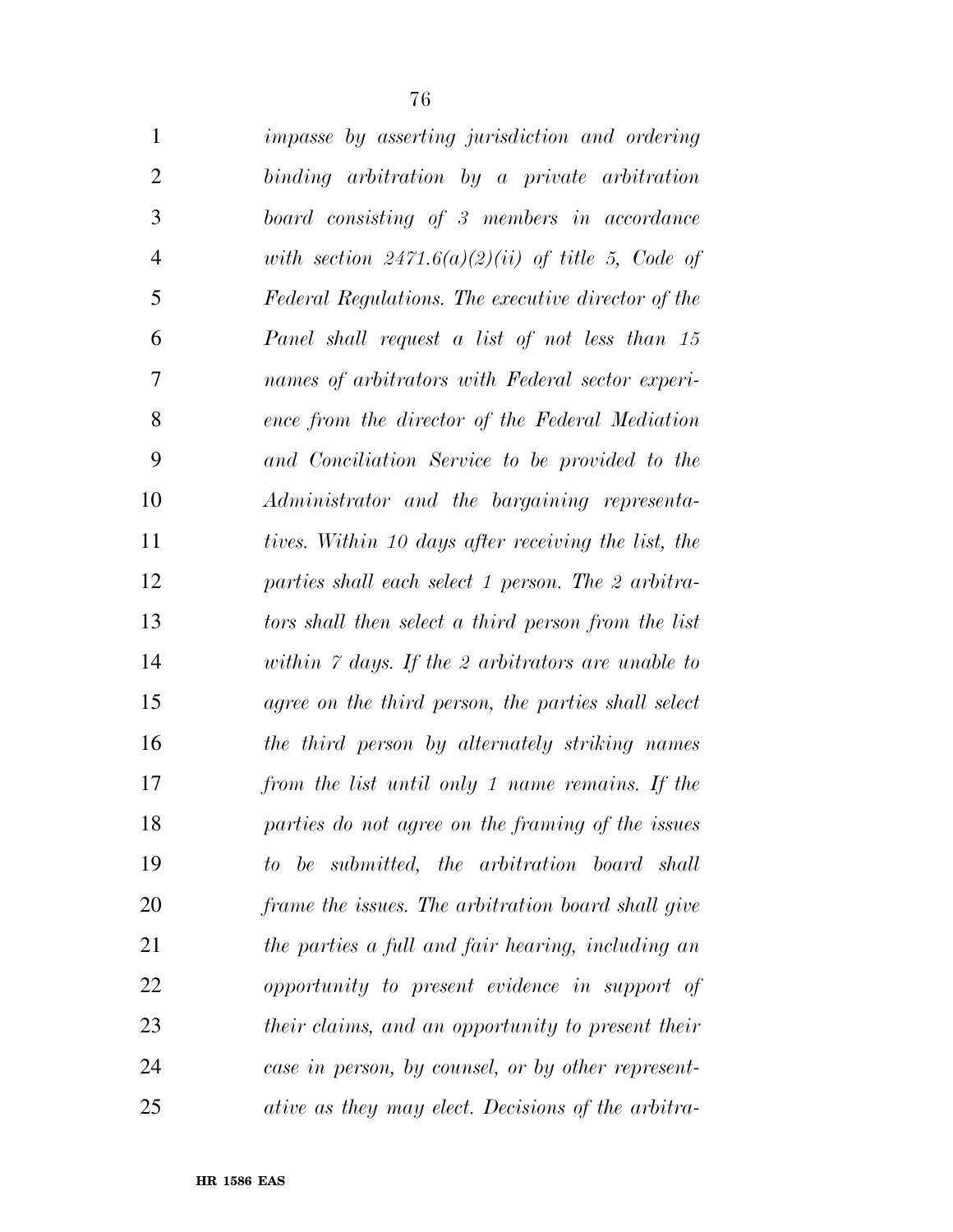| 1              | impasse by asserting jurisdiction and ordering             |
|----------------|------------------------------------------------------------|
| $\overline{2}$ | binding arbitration by a private arbitration               |
| 3              | board consisting of 3 members in accordance                |
| $\overline{4}$ | with section $2471.6(a)(2)(ii)$ of title 5, Code of        |
| 5              | Federal Regulations. The executive director of the         |
| 6              | Panel shall request a list of not less than 15             |
| 7              | names of arbitrators with Federal sector experi-           |
| 8              | ence from the director of the Federal Mediation            |
| 9              | and Conciliation Service to be provided to the             |
| 10             | Administrator and the bargaining representa-               |
| 11             | tives. Within 10 days after receiving the list, the        |
| 12             | parties shall each select 1 person. The 2 arbitra-         |
| 13             | tors shall then select a third person from the list        |
| 14             | within $\ddot{z}$ days. If the 2 arbitrators are unable to |
| 15             | agree on the third person, the parties shall select        |
| 16             | the third person by alternately striking names             |
| 17             | from the list until only 1 name remains. If the            |
| 18             | parties do not agree on the framing of the issues          |
| 19             | to be submitted, the arbitration board shall               |
| 20             | frame the issues. The arbitration board shall give         |
| 21             | the parties a full and fair hearing, including an          |
| 22             | opportunity to present evidence in support of              |
| 23             | their claims, and an opportunity to present their          |
| 24             | case in person, by counsel, or by other represent-         |
| 25             | ative as they may elect. Decisions of the arbitra-         |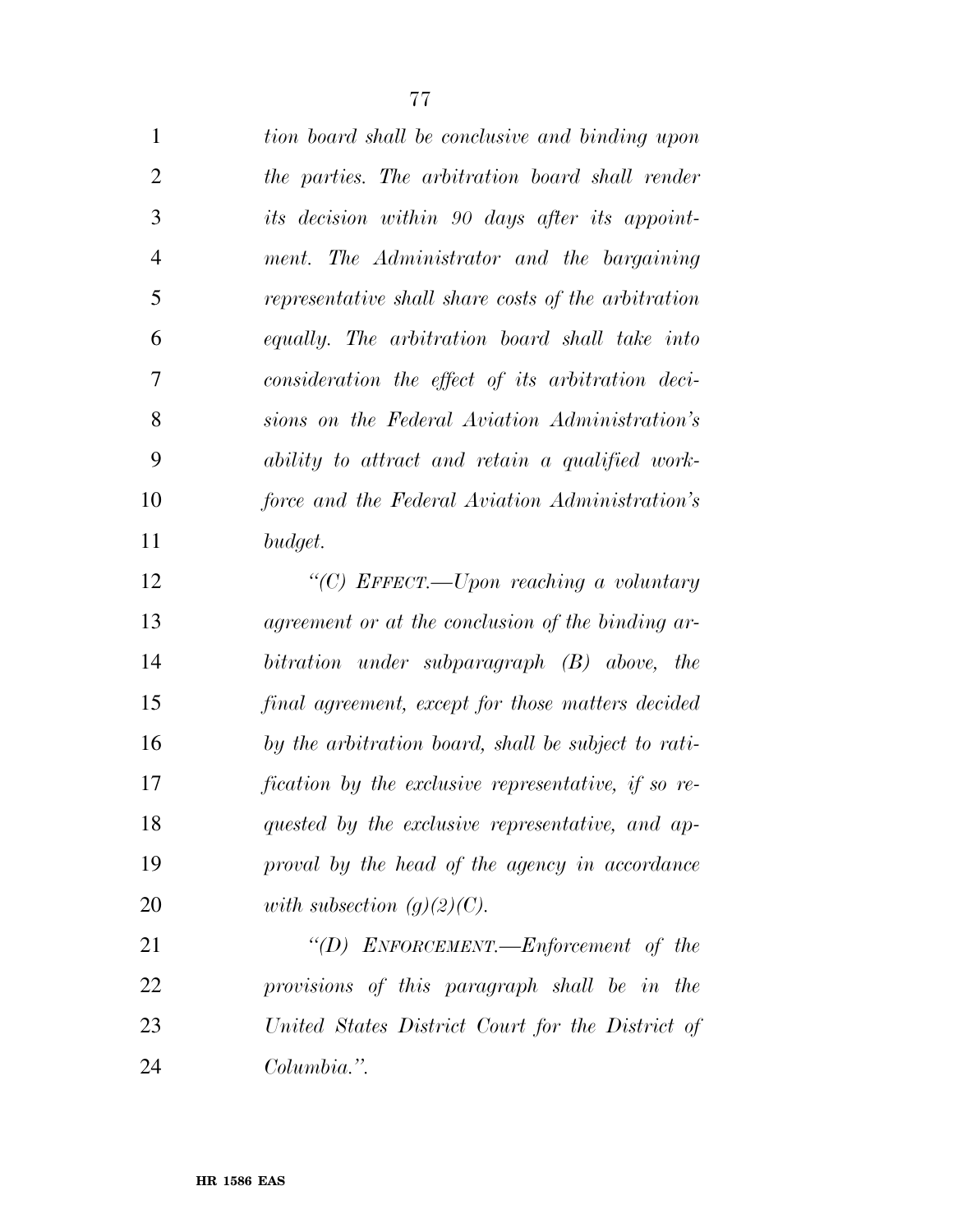| $\mathbf{1}$   | tion board shall be conclusive and binding upon     |
|----------------|-----------------------------------------------------|
| $\overline{2}$ | the parties. The arbitration board shall render     |
| 3              | its decision within 90 days after its appoint-      |
| $\overline{4}$ | ment. The Administrator and the bargaining          |
| 5              | representative shall share costs of the arbitration |
| 6              | equally. The arbitration board shall take into      |
| 7              | consideration the effect of its arbitration deci-   |
| 8              | sions on the Federal Aviation Administration's      |
| 9              | ability to attract and retain a qualified work-     |
| 10             | force and the Federal Aviation Administration's     |
| 11             | budget.                                             |
| 12             | "(C) EFFECT.—Upon reaching a voluntary              |
| 13             | agreement or at the conclusion of the binding ar-   |
| 14             | bitration under subparagraph (B) above, the         |
| 15             | final agreement, except for those matters decided   |
| 16             | by the arbitration board, shall be subject to rati- |
| 17             | fication by the exclusive representative, if so re- |
| 18             | quested by the exclusive representative, and ap-    |
| 19             | proval by the head of the agency in accordance      |
| 20             | with subsection $(g)(2)(C)$ .                       |
| 21             | "(D) ENFORCEMENT.—Enforcement of the                |
| 22             | provisions of this paragraph shall be in the        |
| 23             | United States District Court for the District of    |
| 24             | Columbia.".                                         |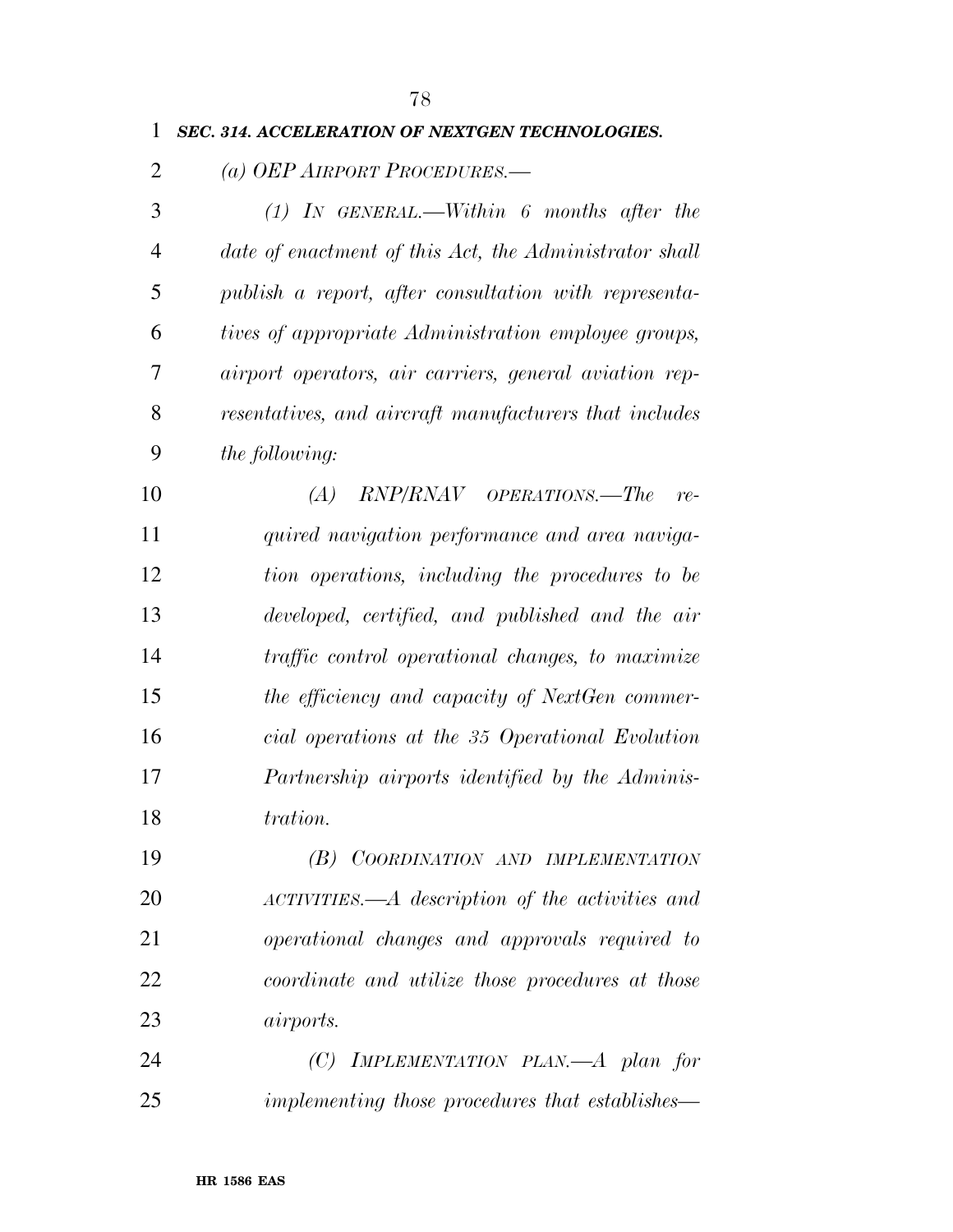## *SEC. 314. ACCELERATION OF NEXTGEN TECHNOLOGIES.*

*(a) OEP AIRPORT PROCEDURES.—* 

 *(1) IN GENERAL.—Within 6 months after the date of enactment of this Act, the Administrator shall publish a report, after consultation with representa- tives of appropriate Administration employee groups, airport operators, air carriers, general aviation rep- resentatives, and aircraft manufacturers that includes the following:* 

 *(A) RNP/RNAV OPERATIONS.—The re- quired navigation performance and area naviga- tion operations, including the procedures to be developed, certified, and published and the air traffic control operational changes, to maximize the efficiency and capacity of NextGen commer- cial operations at the 35 Operational Evolution Partnership airports identified by the Adminis-tration.* 

 *(B) COORDINATION AND IMPLEMENTATION ACTIVITIES.—A description of the activities and operational changes and approvals required to coordinate and utilize those procedures at those airports.* 

 *(C) IMPLEMENTATION PLAN.—A plan for implementing those procedures that establishes—*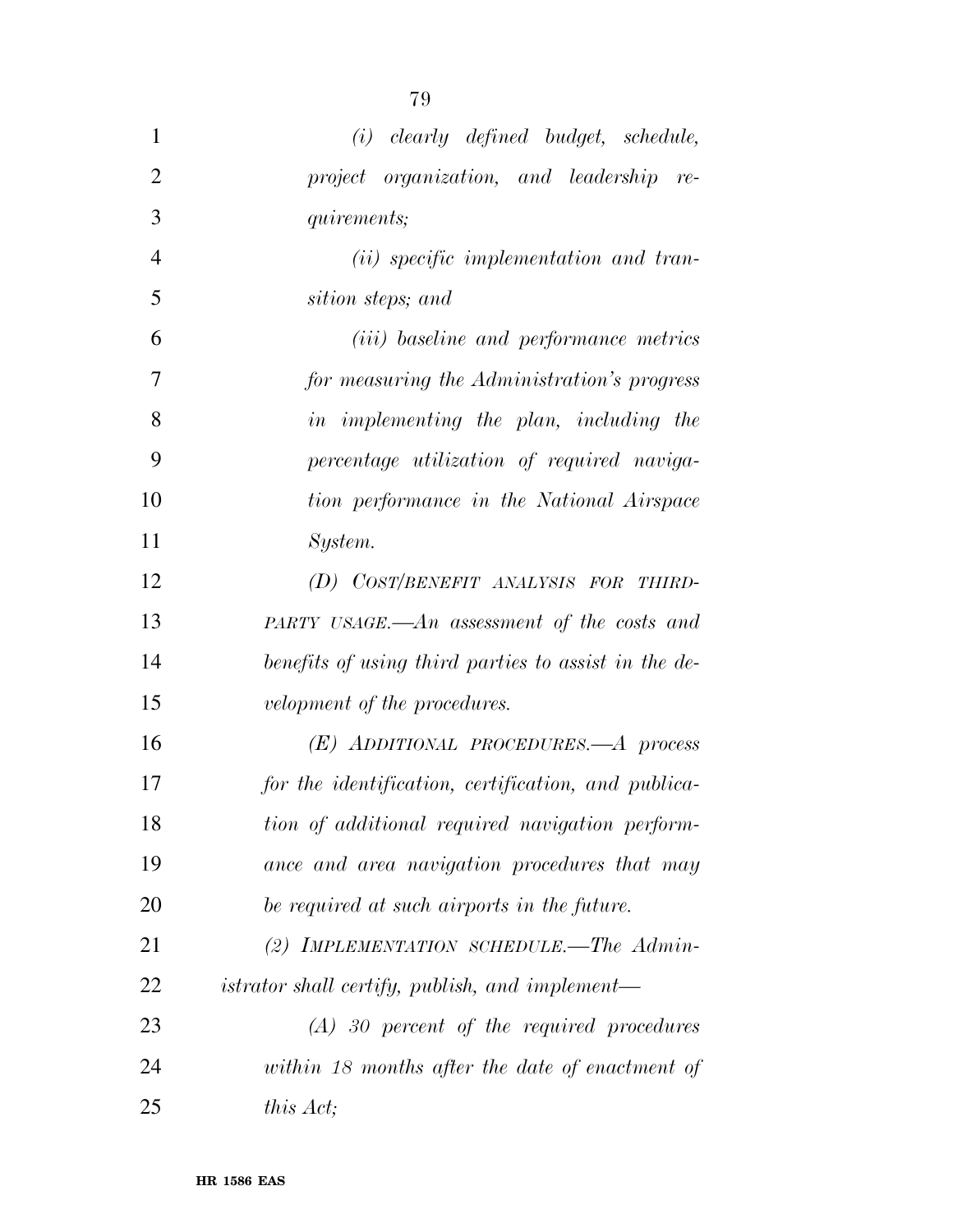| $\mathbf{1}$   | $(i)$ clearly defined budget, schedule,              |
|----------------|------------------------------------------------------|
| $\overline{2}$ | project organization, and leadership<br>re-          |
| 3              | <i>quirements;</i>                                   |
| $\overline{4}$ | ( <i>ii</i> ) specific implementation and tran-      |
| 5              | sition steps; and                                    |
| 6              | ( <i>iii</i> ) baseline and performance metrics      |
| 7              | for measuring the Administration's progress          |
| 8              | in implementing the plan, including the              |
| 9              | percentage utilization of required naviga-           |
| 10             | tion performance in the National Airspace            |
| 11             | System.                                              |
| 12             | (D) COST/BENEFIT ANALYSIS FOR THIRD-                 |
| 13             | PARTY USAGE.— $An$ assessment of the costs and       |
| 14             | benefits of using third parties to assist in the de- |
| 15             | velopment of the procedures.                         |
| 16             | $(E)$ ADDITIONAL PROCEDURES.—A process               |
| 17             | for the identification, certification, and publica-  |
| 18             | tion of additional required navigation perform-      |
| 19             | ance and area navigation procedures that may         |
| <b>20</b>      | be required at such airports in the future.          |
| 21             | (2) IMPLEMENTATION SCHEDULE.-The Admin-              |
| 22             | istrator shall certify, publish, and implement—      |
| 23             | $(A)$ 30 percent of the required procedures          |
| 24             | within 18 months after the date of enactment of      |
| 25             | this Act;                                            |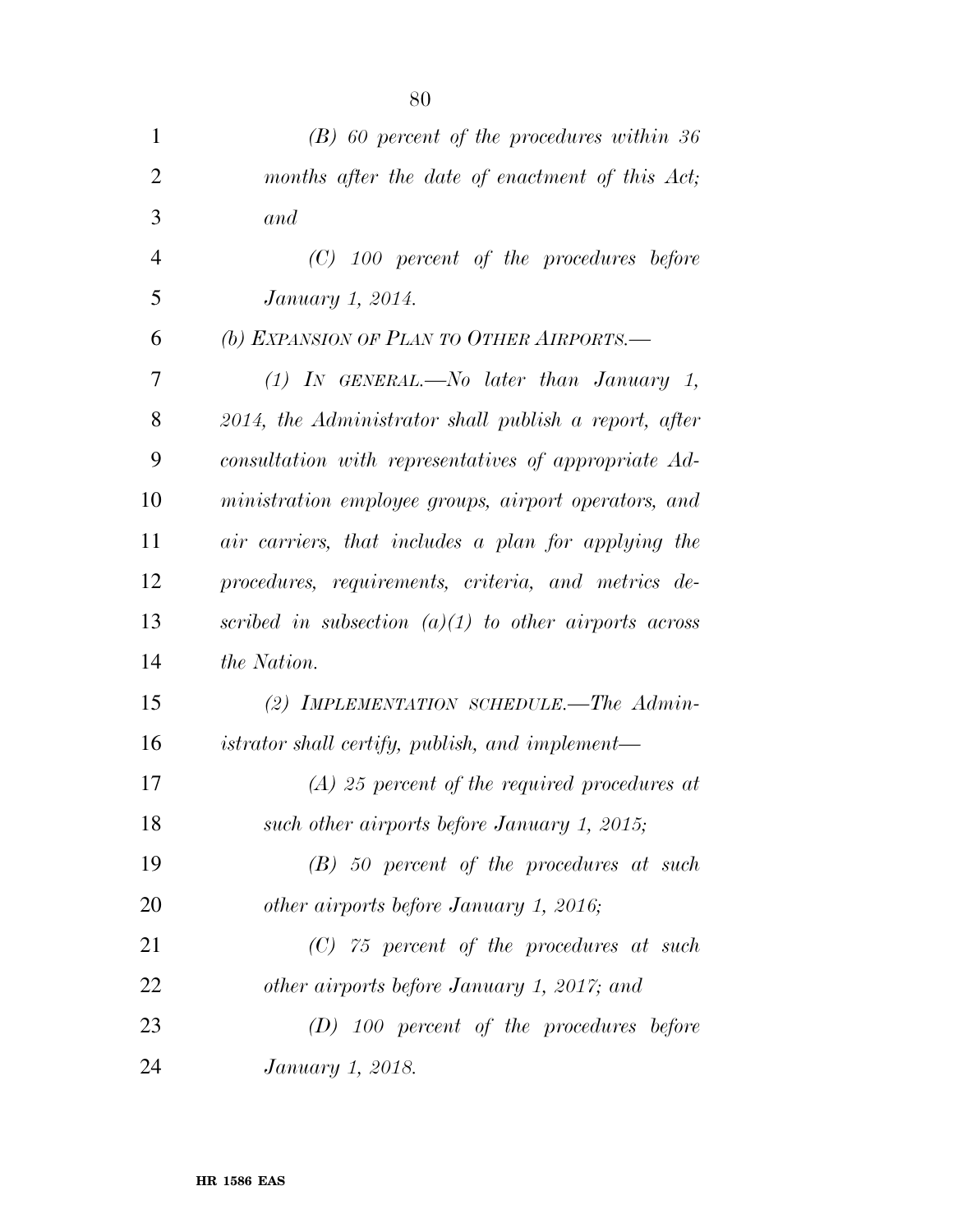| $\mathbf{1}$   | $(B)$ 60 percent of the procedures within 36             |
|----------------|----------------------------------------------------------|
| $\overline{2}$ | months after the date of enactment of this Act;          |
| 3              | and                                                      |
| 4              | $(C)$ 100 percent of the procedures before               |
| 5              | <i>January 1, 2014.</i>                                  |
| 6              | (b) EXPANSION OF PLAN TO OTHER AIRPORTS.-                |
| 7              | $(1)$ IN GENERAL.—No later than January 1,               |
| 8              | $2014$ , the Administrator shall publish a report, after |
| 9              | consultation with representatives of appropriate Ad-     |
| 10             | ministration employee groups, airport operators, and     |
| 11             | air carriers, that includes a plan for applying the      |
| 12             | procedures, requirements, criteria, and metrics de-      |
| 13             | scribed in subsection $(a)(1)$ to other airports across  |
| 14             | the Nation.                                              |
| 15             | (2) IMPLEMENTATION SCHEDULE.—The Admin-                  |
| 16             | istrator shall certify, publish, and implement—          |
| 17             | $(A)$ 25 percent of the required procedures at           |
| 18             | such other airports before January 1, 2015;              |
| 19             | $(B)$ 50 percent of the procedures at such               |
| 20             | other airports before January 1, 2016;                   |
| 21             | $(C)$ 75 percent of the procedures at such               |
| 22             | other airports before January 1, 2017; and               |
| 23             | $(D)$ 100 percent of the procedures before               |
| 24             | January 1, 2018.                                         |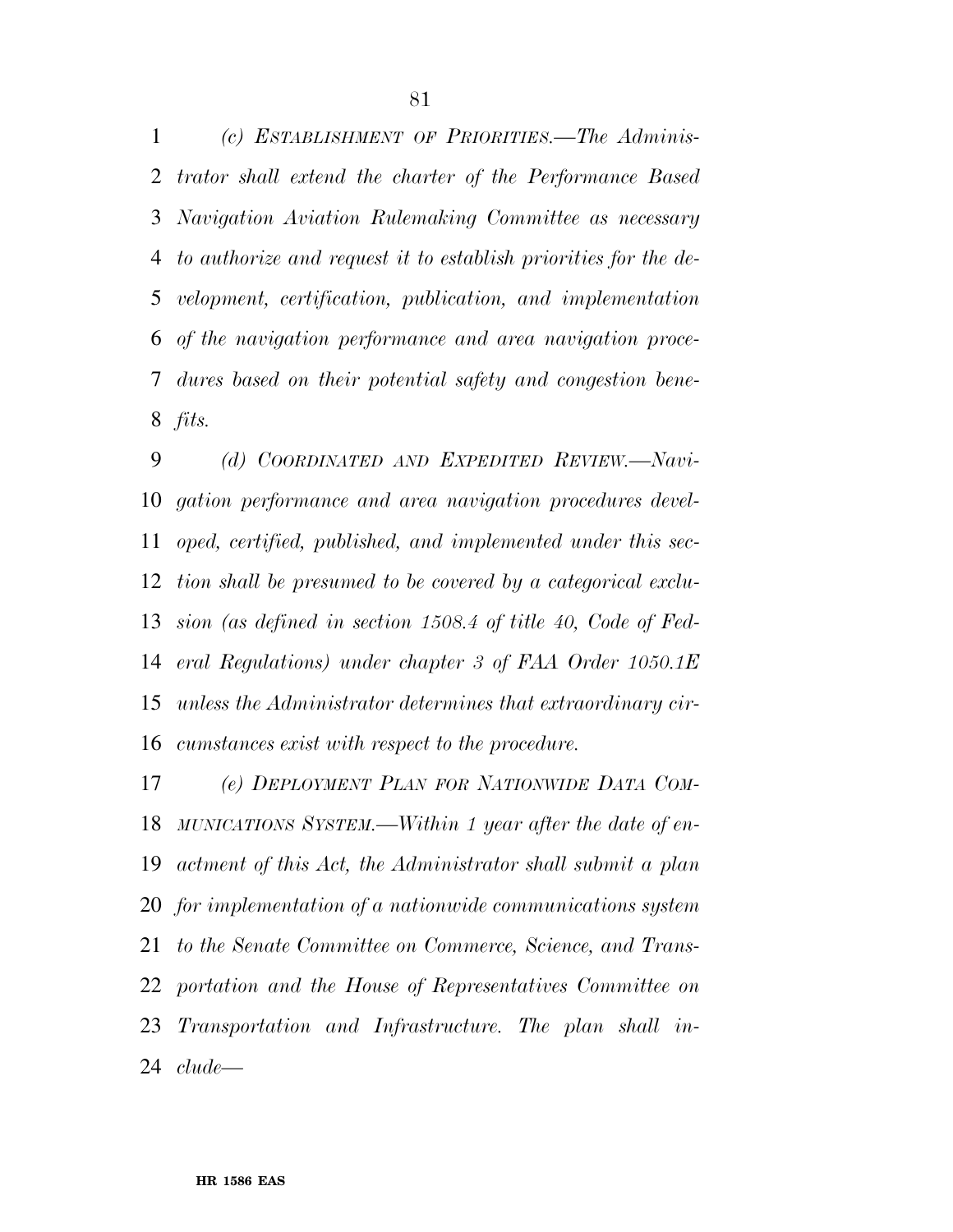*(c) ESTABLISHMENT OF PRIORITIES.—The Adminis- trator shall extend the charter of the Performance Based Navigation Aviation Rulemaking Committee as necessary to authorize and request it to establish priorities for the de- velopment, certification, publication, and implementation of the navigation performance and area navigation proce- dures based on their potential safety and congestion bene-fits.* 

 *(d) COORDINATED AND EXPEDITED REVIEW.—Navi- gation performance and area navigation procedures devel- oped, certified, published, and implemented under this sec- tion shall be presumed to be covered by a categorical exclu- sion (as defined in section 1508.4 of title 40, Code of Fed- eral Regulations) under chapter 3 of FAA Order 1050.1E unless the Administrator determines that extraordinary cir-cumstances exist with respect to the procedure.* 

 *(e) DEPLOYMENT PLAN FOR NATIONWIDE DATA COM- MUNICATIONS SYSTEM.—Within 1 year after the date of en- actment of this Act, the Administrator shall submit a plan for implementation of a nationwide communications system to the Senate Committee on Commerce, Science, and Trans- portation and the House of Representatives Committee on Transportation and Infrastructure. The plan shall in-clude—*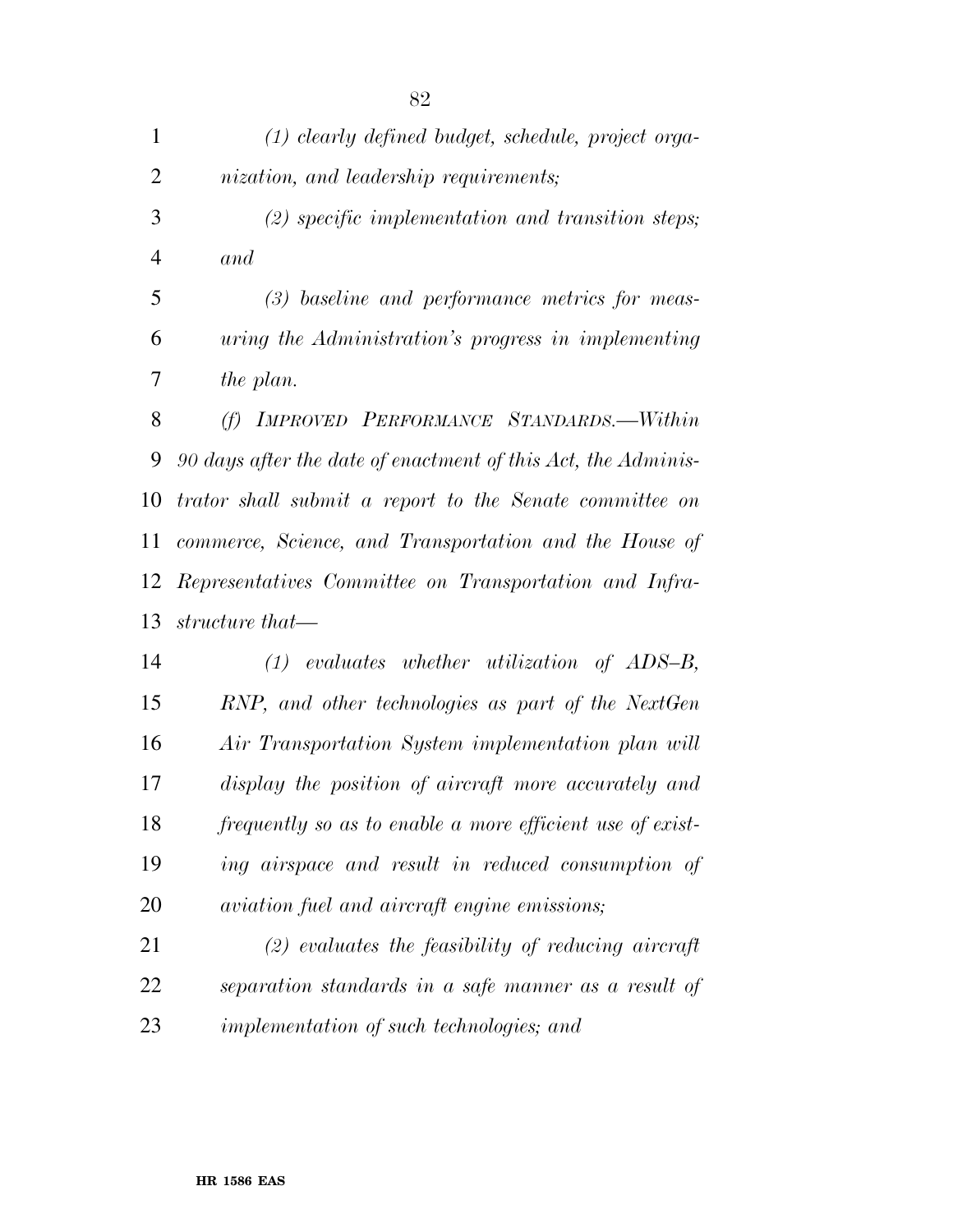| $\mathbf{1}$   | $(1)$ clearly defined budget, schedule, project orga-         |
|----------------|---------------------------------------------------------------|
| $\overline{2}$ | nization, and leadership requirements;                        |
| 3              | $(2)$ specific implementation and transition steps;           |
| $\overline{4}$ | and                                                           |
| 5              | (3) baseline and performance metrics for meas-                |
| 6              | uring the Administration's progress in implementing           |
| 7              | the plan.                                                     |
| 8              | (f) IMPROVED PERFORMANCE STANDARDS.—Within                    |
| 9              | 90 days after the date of enactment of this Act, the Adminis- |
| 10             | trator shall submit a report to the Senate committee on       |
| 11             | commerce, Science, and Transportation and the House of        |
| 12             | Representatives Committee on Transportation and Infra-        |
| 13             | structure that—                                               |
| 14             | $(1)$ evaluates whether utilization of ADS-B,                 |
| 15             | RNP, and other technologies as part of the NextGen            |
| 16             | Air Transportation System implementation plan will            |
| 17             | display the position of aircraft more accurately and          |
| 18             | frequently so as to enable a more efficient use of exist-     |
| 19             | ing airspace and result in reduced consumption of             |
| 20             | <i>aviation fuel and aircraft engine emissions;</i>           |
| 21             | $(2)$ evaluates the feasibility of reducing aircraft          |
| 22             | separation standards in a safe manner as a result of          |
| 23             | implementation of such technologies; and                      |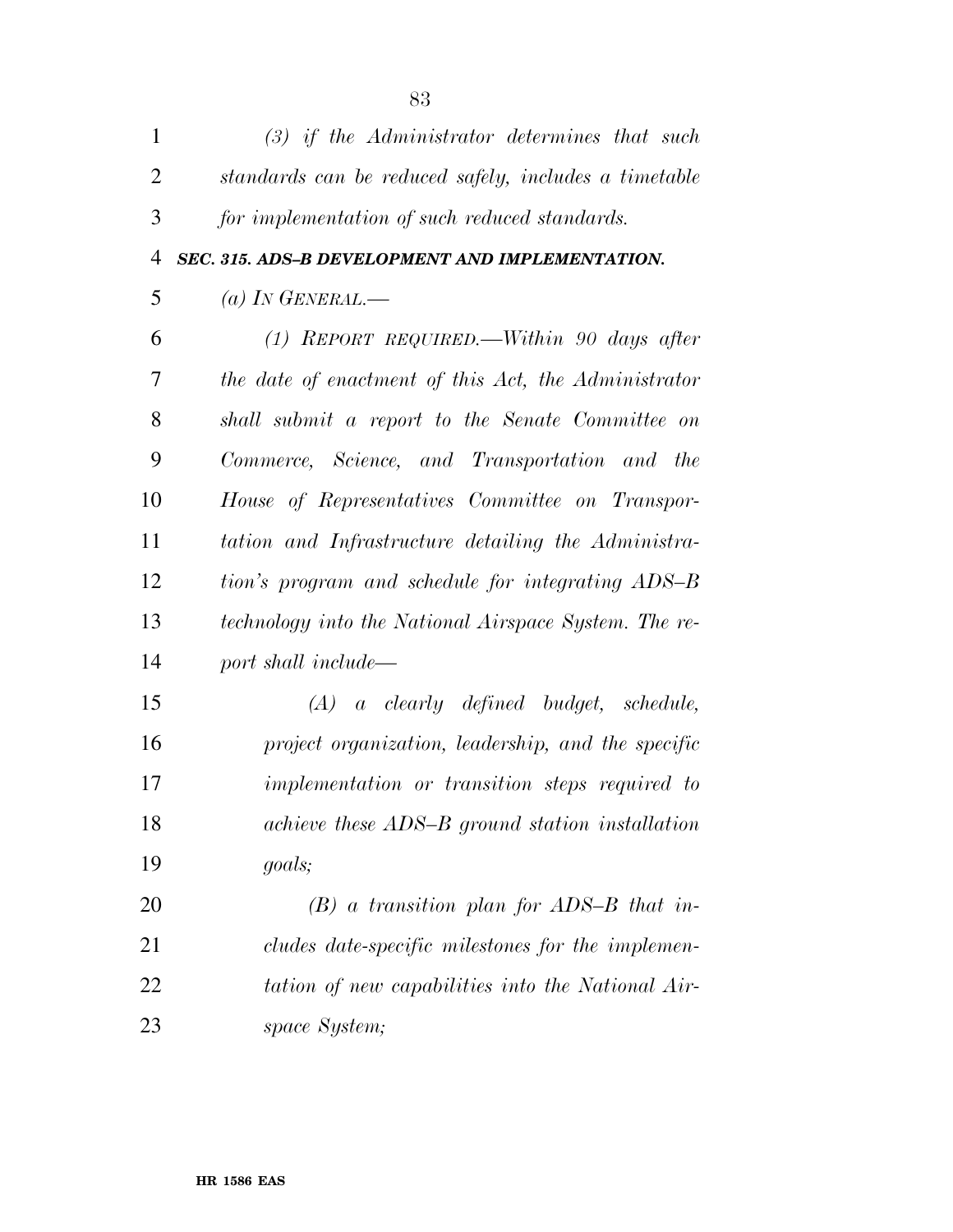| $\mathbf{1}$   | $(3)$ if the Administrator determines that such       |
|----------------|-------------------------------------------------------|
| $\overline{2}$ | standards can be reduced safely, includes a timetable |
| 3              | for implementation of such reduced standards.         |
| $\overline{4}$ | SEC. 315. ADS-B DEVELOPMENT AND IMPLEMENTATION.       |
| 5              | (a) IN GENERAL.—                                      |
| 6              | $(1)$ REPORT REQUIRED.—Within 90 days after           |
| 7              | the date of enactment of this Act, the Administrator  |
| 8              | shall submit a report to the Senate Committee on      |
| 9              | Commerce, Science, and Transportation and the         |
| 10             | House of Representatives Committee on Transpor-       |
| 11             | tation and Infrastructure detailing the Administra-   |
| 12             | tion's program and schedule for integrating ADS-B     |
| 13             | technology into the National Airspace System. The re- |
| 14             | port shall include—                                   |
| 15             | a clearly defined budget, schedule,<br>(A)            |
| 16             | project organization, leadership, and the specific    |
| 17             | implementation or transition steps required to        |
| 18             | achieve these ADS-B ground station installation       |
| 19             | goals;                                                |
| 20             | $(B)$ a transition plan for ADS-B that in-            |
| 21             | cludes date-specific milestones for the implemen-     |
| 22             | tation of new capabilities into the National Air-     |
| 23             | space System;                                         |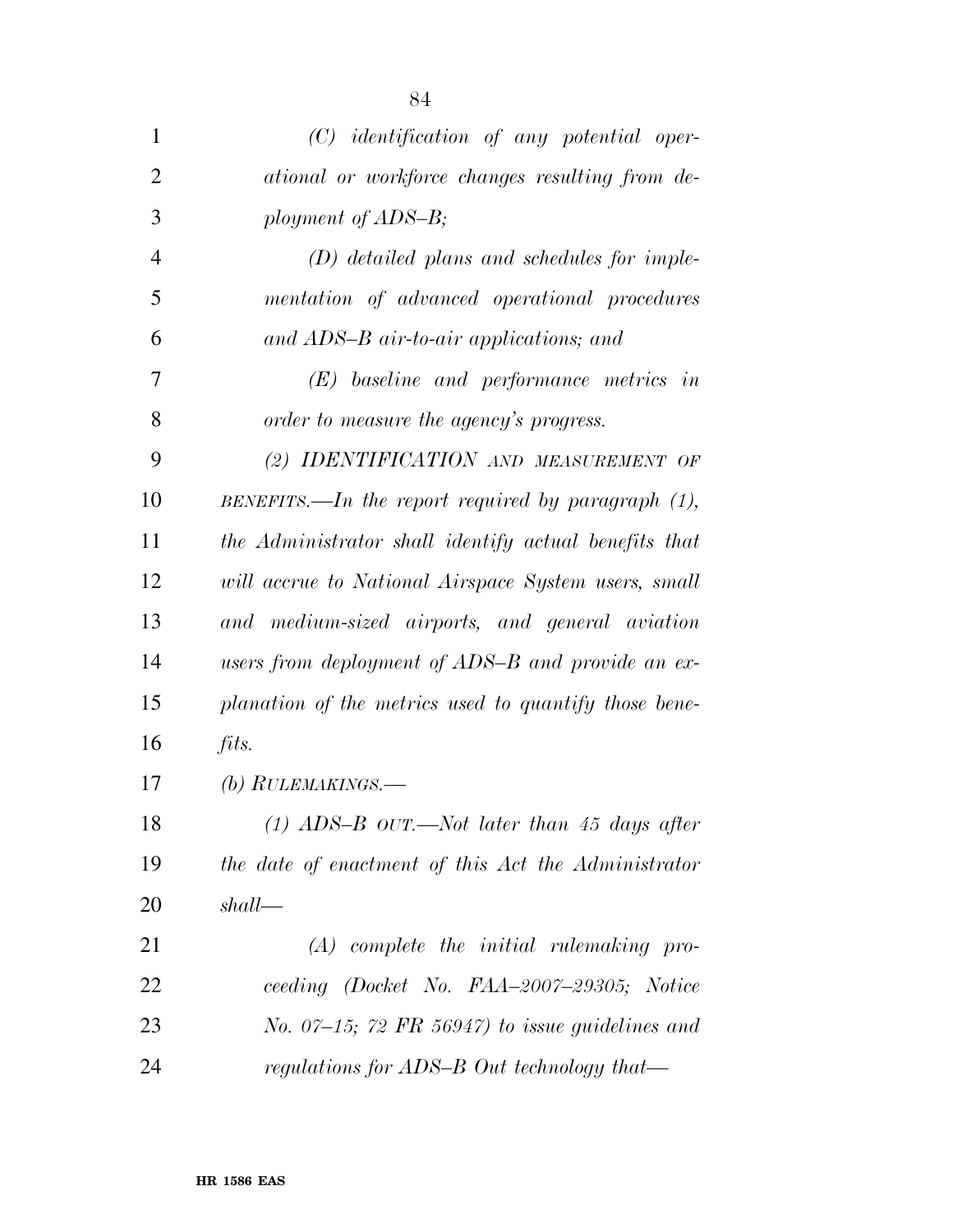| $\mathbf{1}$   | $(C)$ identification of any potential oper-           |
|----------------|-------------------------------------------------------|
| $\overline{2}$ | ational or workforce changes resulting from de-       |
| 3              | ployment of ADS-B;                                    |
| $\overline{4}$ | $(D)$ detailed plans and schedules for imple-         |
| 5              | mentation of advanced operational procedures          |
| 6              | and ADS-B air-to-air applications; and                |
| 7              | $(E)$ baseline and performance metrics in             |
| 8              | order to measure the agency's progress.               |
| 9              | (2) IDENTIFICATION AND MEASUREMENT OF                 |
| 10             | BENEFITS.—In the report required by paragraph $(1)$ , |
| 11             | the Administrator shall identify actual benefits that |
| 12             | will accrue to National Airspace System users, small  |
| 13             | and medium-sized airports, and general aviation       |
| 14             | users from deployment of ADS-B and provide an ex-     |
| 15             | planation of the metrics used to quantify those bene- |
| 16             | fits.                                                 |
| 17             | (b) $R$ <i>ULEMAKINGS</i> .—                          |
| 18             | $(1)$ ADS-B $OUT.$ —Not later than 45 days after      |
| 19             | the date of enactment of this Act the Administrator   |
| 20             | shall                                                 |
| 21             | $(A)$ complete the initial rulemaking pro-            |
| 22             | ceeding (Docket No. FAA-2007-29305; Notice            |
| 23             | No. 07-15; 72 $FR$ 56947) to issue guidelines and     |
| 24             | regulations for ADS-B Out technology that—            |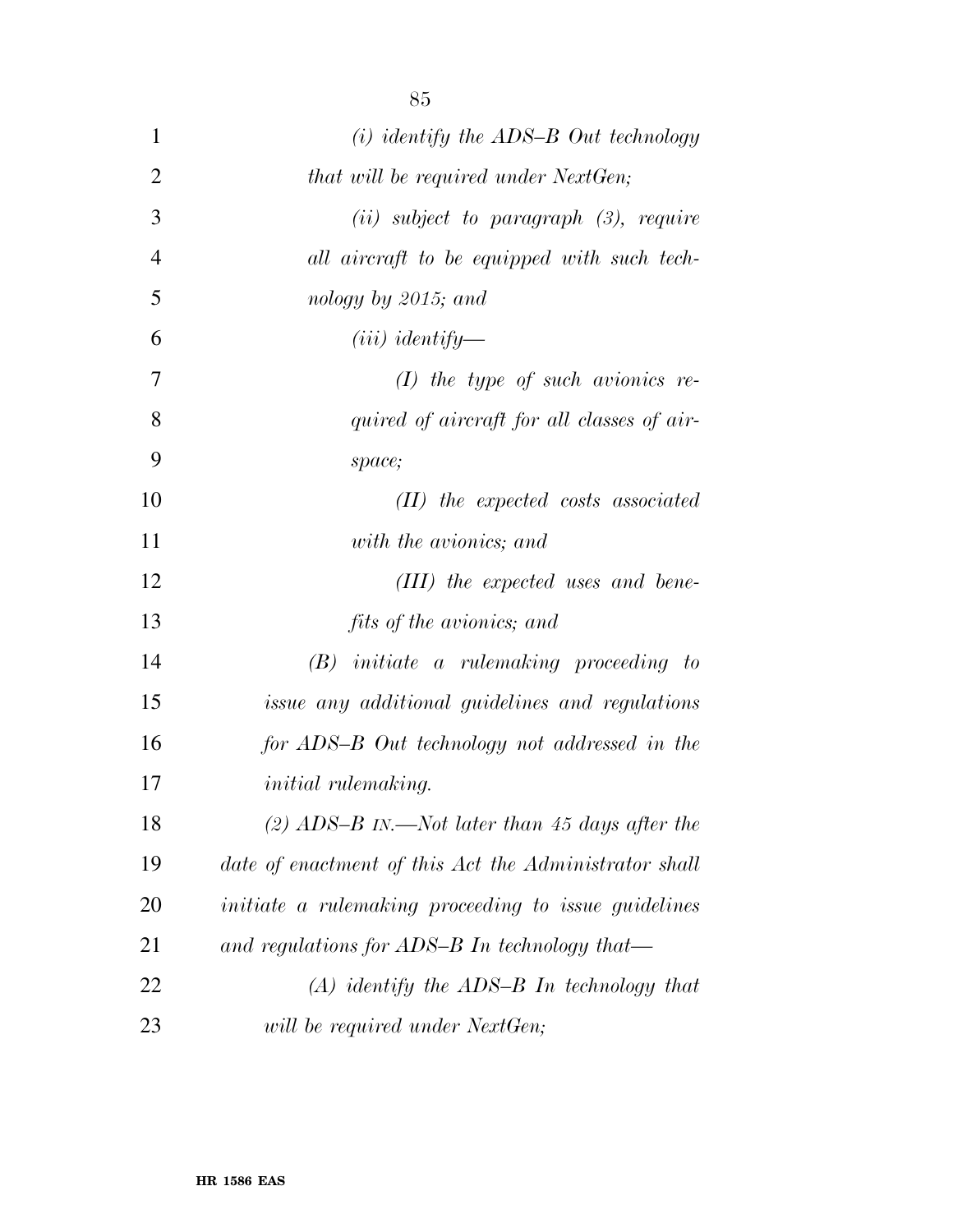| $\mathbf{1}$   | $(i)$ identify the ADS-B Out technology               |
|----------------|-------------------------------------------------------|
| $\overline{2}$ | that will be required under NextGen;                  |
| 3              | $(ii)$ subject to paragraph $(3)$ , require           |
| $\overline{4}$ | all aircraft to be equipped with such tech-           |
| 5              | nology by 2015; and                                   |
| 6              | $(iii)$ identify—                                     |
| 7              | $(I)$ the type of such avionics re-                   |
| 8              | quired of aircraft for all classes of air-            |
| 9              | space;                                                |
| 10             | $(II)$ the expected costs associated                  |
| 11             | with the avionics; and                                |
| 12             | $(III)$ the expected uses and bene-                   |
| 13             | fits of the avionics; and                             |
| 14             | $(B)$ initiate a rulemaking proceeding to             |
| 15             | issue any additional guidelines and regulations       |
| 16             | for ADS-B Out technology not addressed in the         |
| 17             | <i>initial</i> rulemaking.                            |
| 18             | (2) ADS-B IN.—Not later than 45 days after the        |
| 19             | date of enactment of this Act the Administrator shall |
| 20             | initiate a rulemaking proceeding to issue guidelines  |
| 21             | and regulations for ADS-B In technology that—         |
| 22             | $(A)$ identify the ADS-B In technology that           |
| 23             | will be required under NextGen;                       |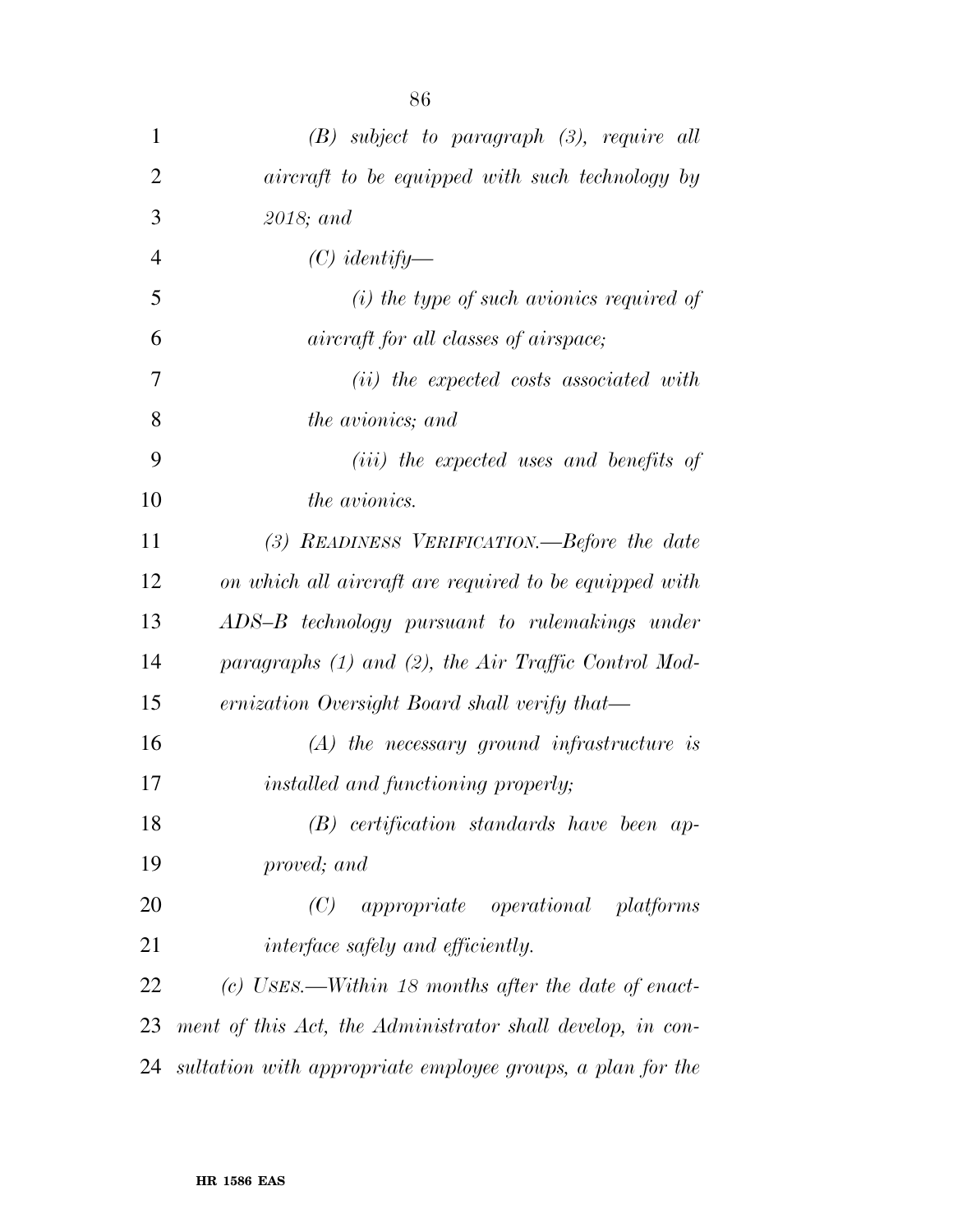| $\mathbf{1}$   | $(B)$ subject to paragraph $(3)$ , require all             |
|----------------|------------------------------------------------------------|
| $\overline{2}$ | aircraft to be equipped with such technology by            |
| 3              | $2018$ ; and                                               |
| $\overline{4}$ | $(C)$ identify—                                            |
| 5              | $(i)$ the type of such avionics required of                |
| 6              | <i>aircraft for all classes of airspace;</i>               |
| 7              | (ii) the expected costs associated with                    |
| 8              | the avionics; and                                          |
| 9              | ( <i>iii</i> ) the expected uses and benefits of           |
| 10             | <i>the avionics.</i>                                       |
| 11             | (3) READINESS VERIFICATION.—Before the date                |
| 12             | on which all aircraft are required to be equipped with     |
| 13             | ADS-B technology pursuant to rulemakings under             |
| 14             | paragraphs $(1)$ and $(2)$ , the Air Traffic Control Mod-  |
| 15             | ernization Oversight Board shall verify that—              |
| 16             | $(A)$ the necessary ground infrastructure is               |
| 17             | installed and functioning properly;                        |
| 18             | (B) certification standards have been ap-                  |
| 19             | proved; and                                                |
| 20             | <i>appropriate operational platforms</i><br>(C)            |
| 21             | interface safely and efficiently.                          |
| 22             | $(c)$ USES.—Within 18 months after the date of enact-      |
| 23             | ment of this Act, the Administrator shall develop, in con- |
| 24             | sultation with appropriate employee groups, a plan for the |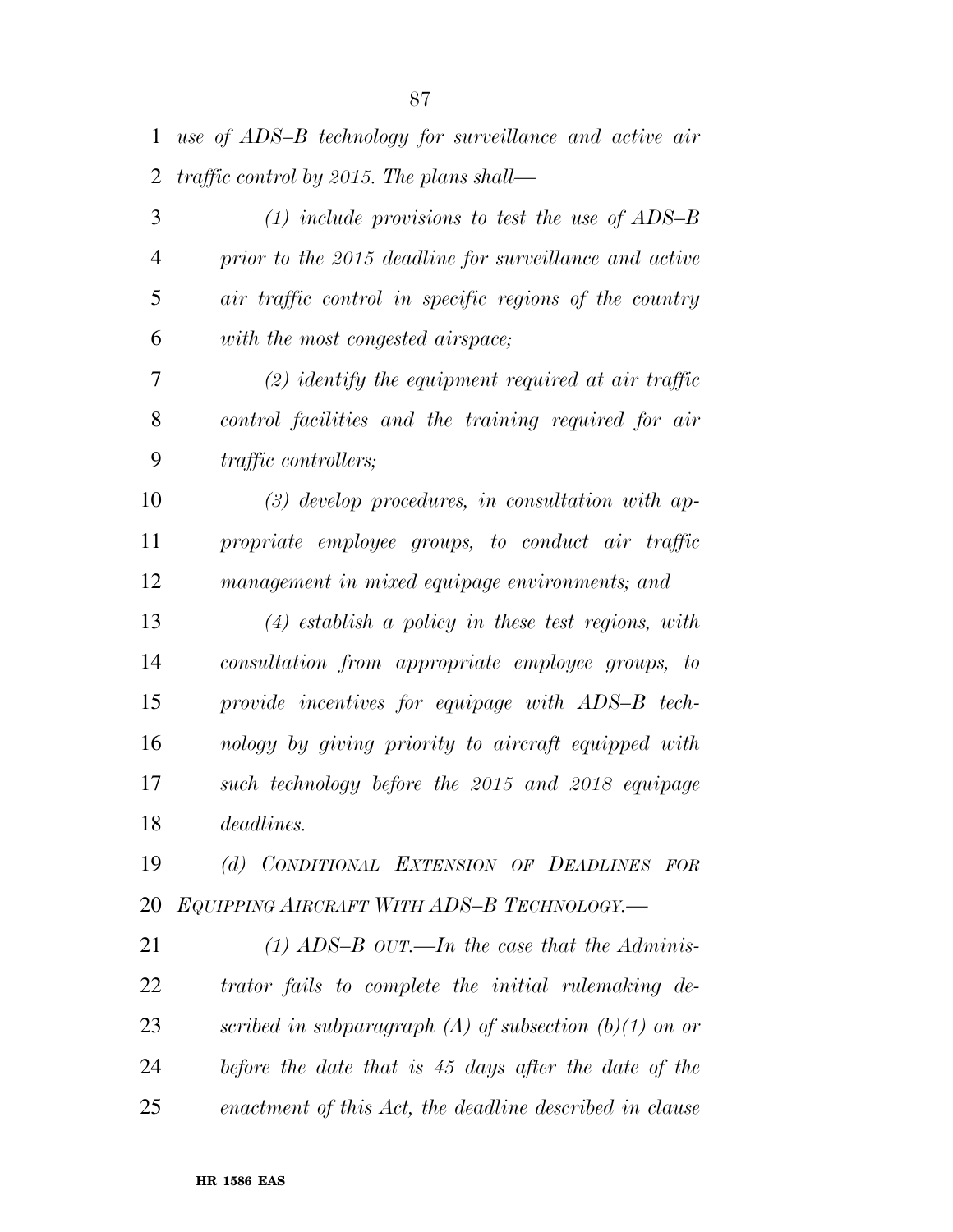*use of ADS–B technology for surveillance and active air traffic control by 2015. The plans shall—* 

 *(1) include provisions to test the use of ADS–B prior to the 2015 deadline for surveillance and active air traffic control in specific regions of the country with the most congested airspace;* 

 *(2) identify the equipment required at air traffic control facilities and the training required for air traffic controllers;* 

 *(3) develop procedures, in consultation with ap- propriate employee groups, to conduct air traffic management in mixed equipage environments; and* 

 *(4) establish a policy in these test regions, with consultation from appropriate employee groups, to provide incentives for equipage with ADS–B tech- nology by giving priority to aircraft equipped with such technology before the 2015 and 2018 equipage deadlines.* 

 *(d) CONDITIONAL EXTENSION OF DEADLINES FOR EQUIPPING AIRCRAFT WITH ADS–B TECHNOLOGY.—* 

 *(1) ADS–B OUT.—In the case that the Adminis- trator fails to complete the initial rulemaking de- scribed in subparagraph (A) of subsection (b)(1) on or before the date that is 45 days after the date of the enactment of this Act, the deadline described in clause*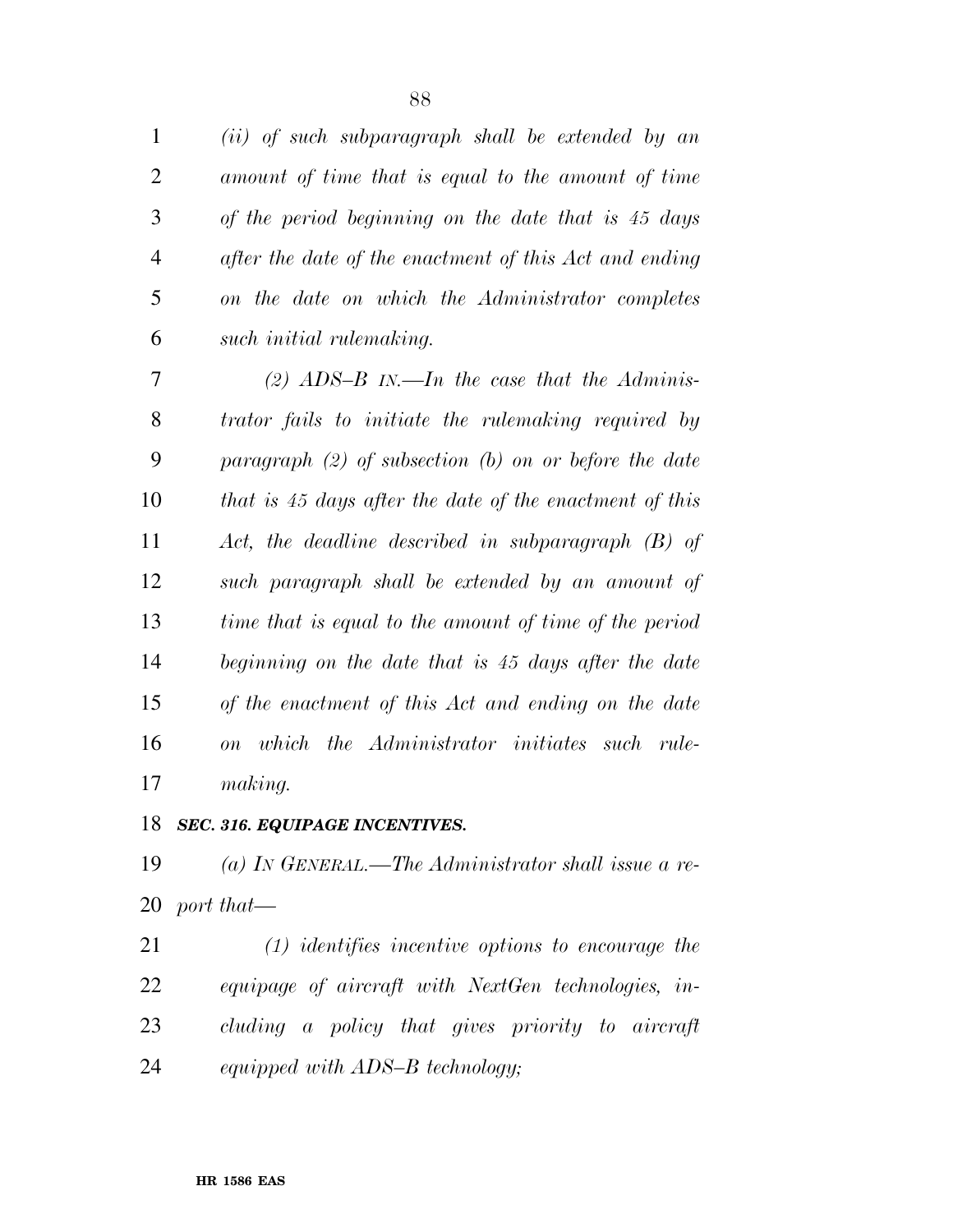*(ii) of such subparagraph shall be extended by an amount of time that is equal to the amount of time of the period beginning on the date that is 45 days after the date of the enactment of this Act and ending on the date on which the Administrator completes such initial rulemaking.* 

 *(2) ADS–B IN.—In the case that the Adminis- trator fails to initiate the rulemaking required by paragraph (2) of subsection (b) on or before the date that is 45 days after the date of the enactment of this Act, the deadline described in subparagraph (B) of such paragraph shall be extended by an amount of time that is equal to the amount of time of the period beginning on the date that is 45 days after the date of the enactment of this Act and ending on the date on which the Administrator initiates such rule-making.* 

*SEC. 316. EQUIPAGE INCENTIVES.* 

 *(a) IN GENERAL.—The Administrator shall issue a re-port that—* 

 *(1) identifies incentive options to encourage the equipage of aircraft with NextGen technologies, in- cluding a policy that gives priority to aircraft equipped with ADS–B technology;*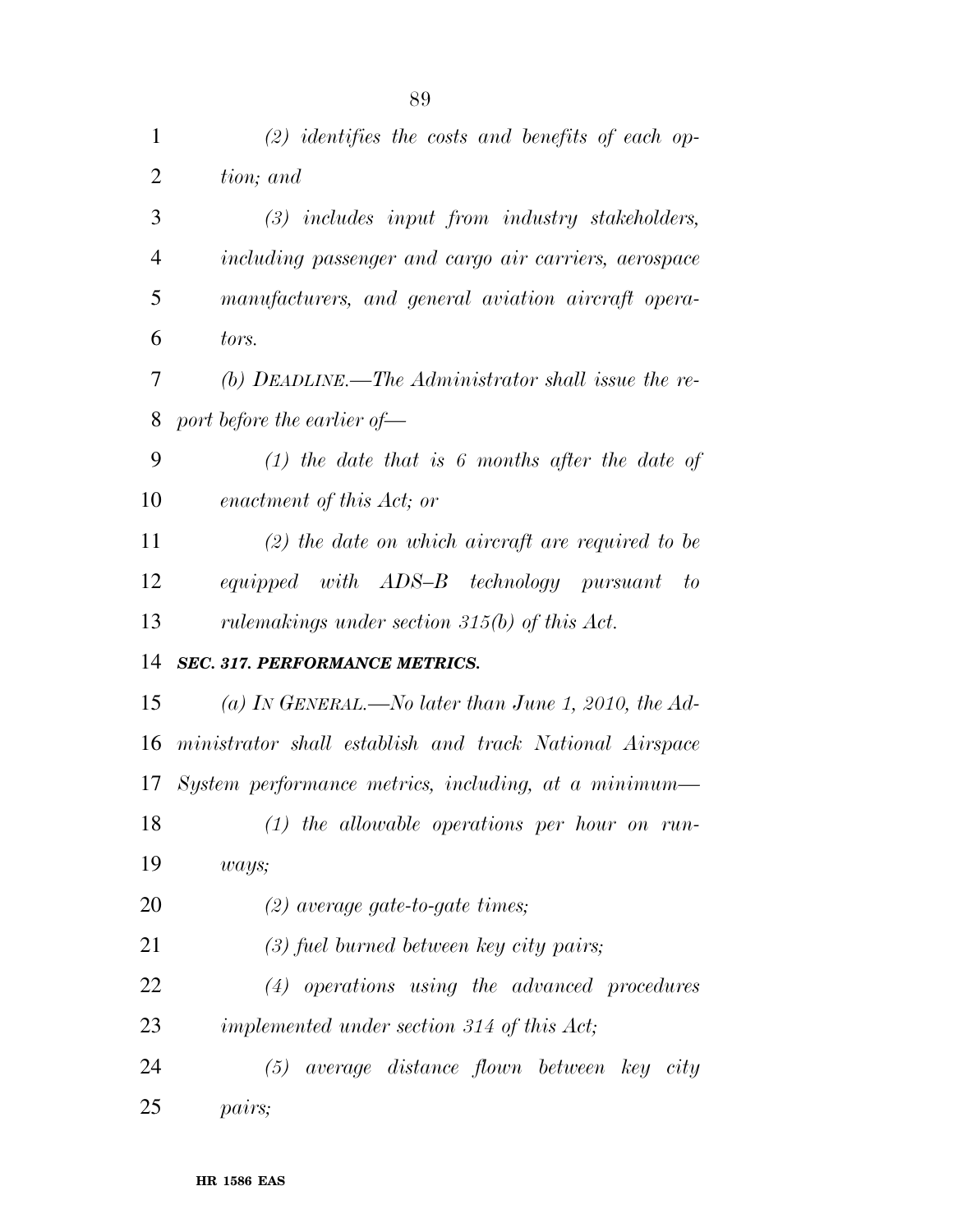| $\mathbf{1}$   | $(2)$ identifies the costs and benefits of each op-     |
|----------------|---------------------------------------------------------|
| $\overline{2}$ | tion; and                                               |
| 3              | $(3)$ includes input from industry stakeholders,        |
| $\overline{4}$ | including passenger and cargo air carriers, aerospace   |
| 5              | manufacturers, and general aviation aircraft opera-     |
| 6              | tors.                                                   |
| 7              | (b) DEADLINE.—The Administrator shall issue the re-     |
| 8              | port before the earlier of $-$                          |
| 9              | $(1)$ the date that is 6 months after the date of       |
| 10             | enactment of this Act; or                               |
| 11             | $(2)$ the date on which aircraft are required to be     |
| 12             | equipped with $ADS-B$ technology pursuant<br>$\tau$     |
| 13             | rulemakings under section $315(b)$ of this Act.         |
| 14             | <b>SEC. 317. PERFORMANCE METRICS.</b>                   |
| 15             | (a) IN GENERAL.—No later than June 1, 2010, the $Ad-$   |
| 16             | ministrator shall establish and track National Airspace |
| 17             | System performance metrics, including, at a minimum—    |
| 18             | $(1)$ the allowable operations per hour on run-         |
| 19             | ways;                                                   |
| 20             | $(2)$ average gate-to-gate times;                       |
| 21             | $(3)$ fuel burned between key city pairs;               |
| 22             | $(4)$ operations using the advanced procedures          |
| 23             | implemented under section 314 of this Act;              |
| 24             | $(5)$ average distance flown between key city           |
| 25             | pairs;                                                  |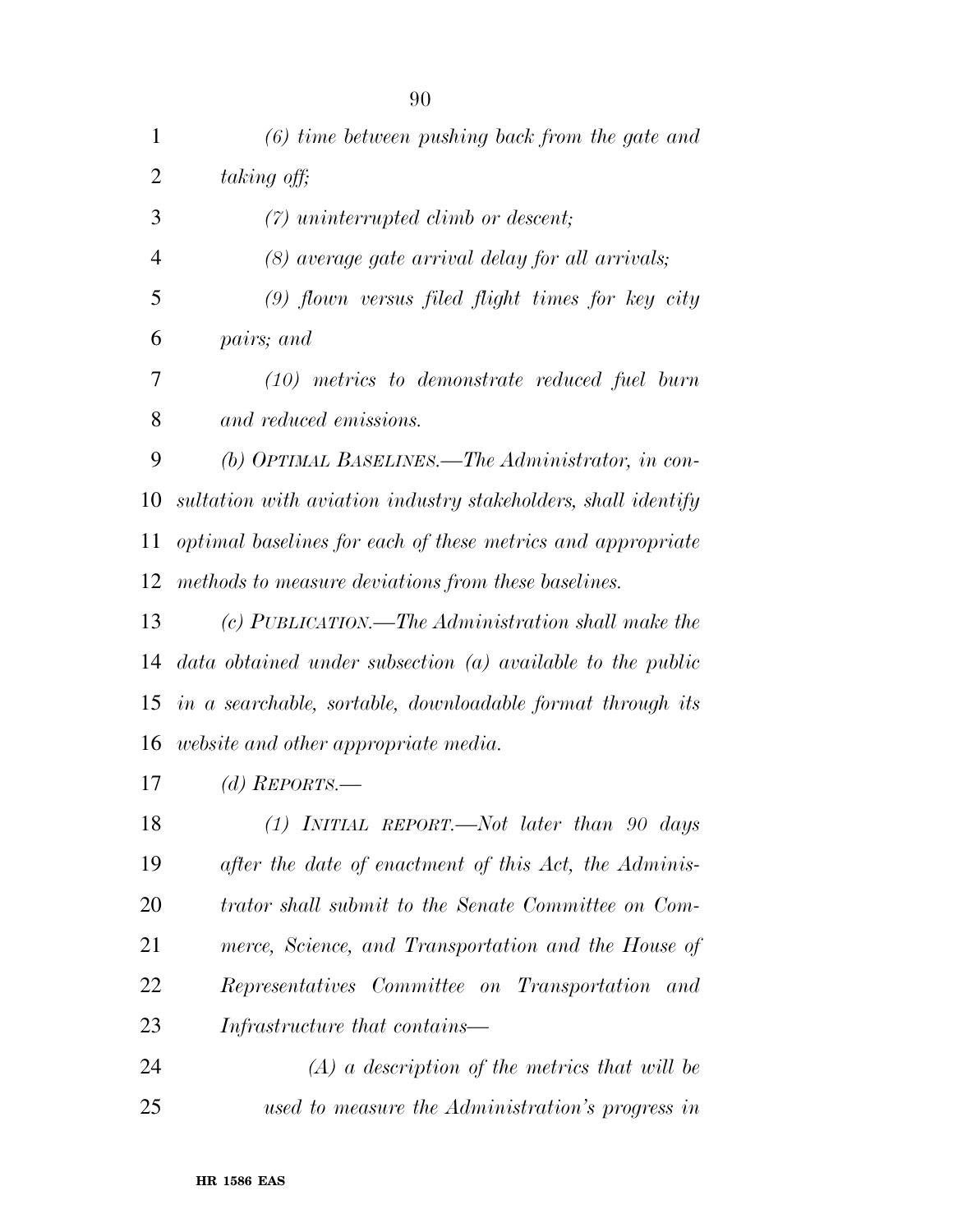| $\mathbf{1}$   | $(6)$ time between pushing back from the gate and             |
|----------------|---------------------------------------------------------------|
| $\overline{2}$ | taking off;                                                   |
| 3              | (7) uninterrupted climb or descent;                           |
| $\overline{4}$ | (8) average gate arrival delay for all arrivals;              |
| 5              | $(9)$ flown versus filed flight times for key city            |
| 6              | pairs; and                                                    |
| 7              | $(10)$ metrics to demonstrate reduced fuel burn               |
| 8              | and reduced emissions.                                        |
| 9              | (b) OPTIMAL BASELINES.—The Administrator, in con-             |
| 10             | sultation with aviation industry stakeholders, shall identify |
| 11             | optimal baselines for each of these metrics and appropriate   |
| 12             | methods to measure deviations from these baselines.           |
| 13             | (c) PUBLICATION.—The Administration shall make the            |
| 14             | $data obtained$ under subsection (a) available to the public  |
| 15             | in a searchable, sortable, downloadable format through its    |
| 16             | website and other appropriate media.                          |
| 17             | (d) REPORTS.—                                                 |
| 18             | $(1)$ INITIAL REPORT.—Not later than 90 days                  |
| 19             | after the date of enactment of this Act, the Adminis-         |
| 20             | trator shall submit to the Senate Committee on Com-           |
| 21             | merce, Science, and Transportation and the House of           |
| 22             | Representatives Committee on Transportation and               |
| 23             | Infrastructure that contains—                                 |
| 24             | $(A)$ a description of the metrics that will be               |
| 25             | used to measure the Administration's progress in              |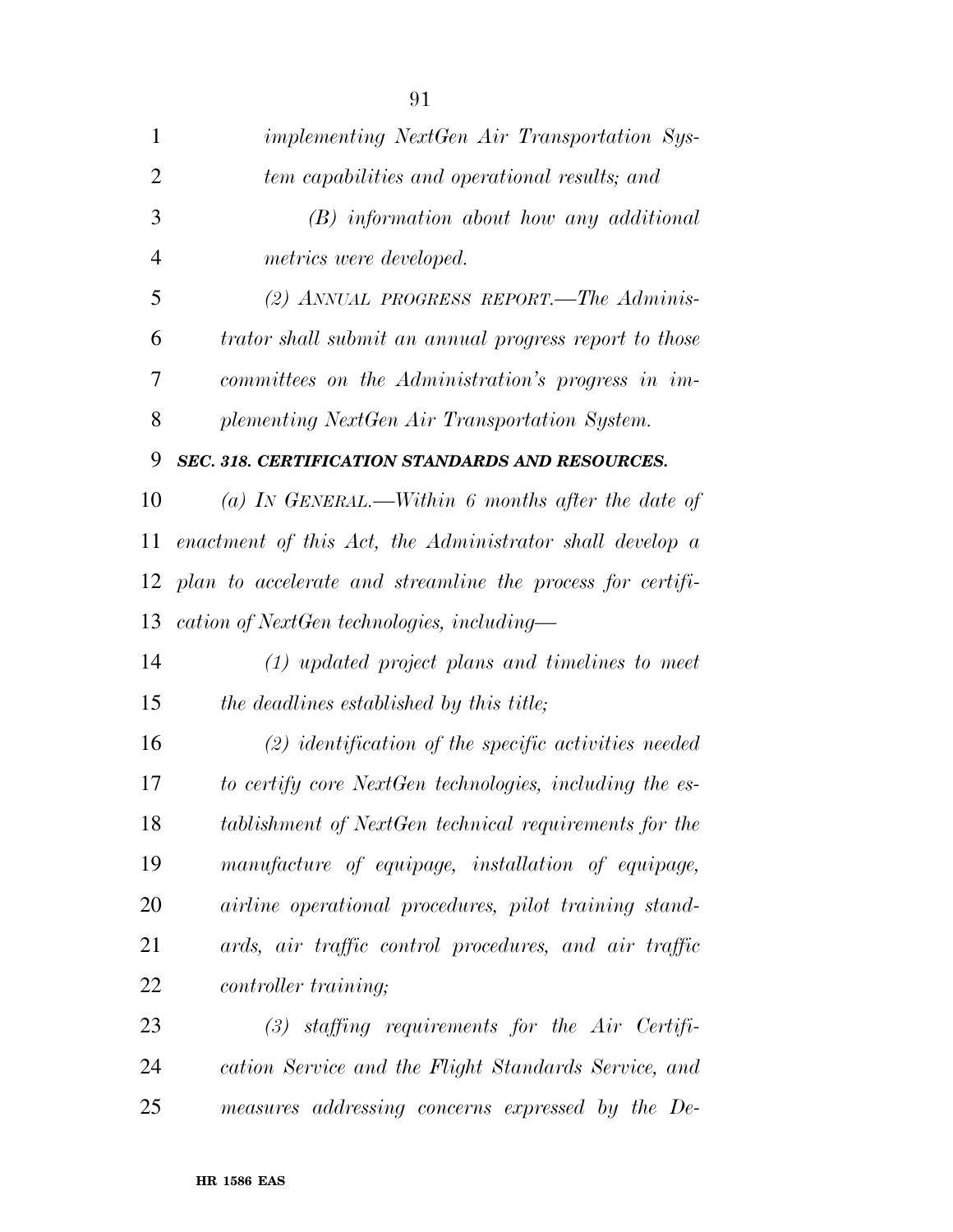| 1              | <i>implementing NextGen Air Transportation Sys-</i>        |
|----------------|------------------------------------------------------------|
| $\overline{2}$ | tem capabilities and operational results; and              |
| 3              | $(B)$ information about how any additional                 |
| $\overline{4}$ | metrics were developed.                                    |
| 5              | (2) ANNUAL PROGRESS REPORT.—The Adminis-                   |
| 6              | trator shall submit an annual progress report to those     |
| 7              | committees on the Administration's progress in im-         |
| 8              | plementing NextGen Air Transportation System.              |
| 9              | SEC. 318. CERTIFICATION STANDARDS AND RESOURCES.           |
| 10             | (a) IN GENERAL.—Within 6 months after the date of          |
| 11             | enactment of this Act, the Administrator shall develop a   |
| 12             | plan to accelerate and streamline the process for certifi- |
| 13             | cation of NextGen technologies, including-                 |
| 14             | $(1)$ updated project plans and timelines to meet          |
| 15             | the deadlines established by this title;                   |
| 16             | $(2)$ identification of the specific activities needed     |
| 17             | to certify core NextGen technologies, including the es-    |
| 18             | tablishment of NextGen technical requirements for the      |
| 19             | manufacture of equipage, installation of equipage,         |
| 20             | airline operational procedures, pilot training stand-      |
| 21             | ards, air traffic control procedures, and air traffic      |
| 22             | controller training;                                       |
| 23             | $(3)$ staffing requirements for the Air Certifi-           |
| 24             | cation Service and the Flight Standards Service, and       |
| 25             | measures addressing concerns expressed by the De-          |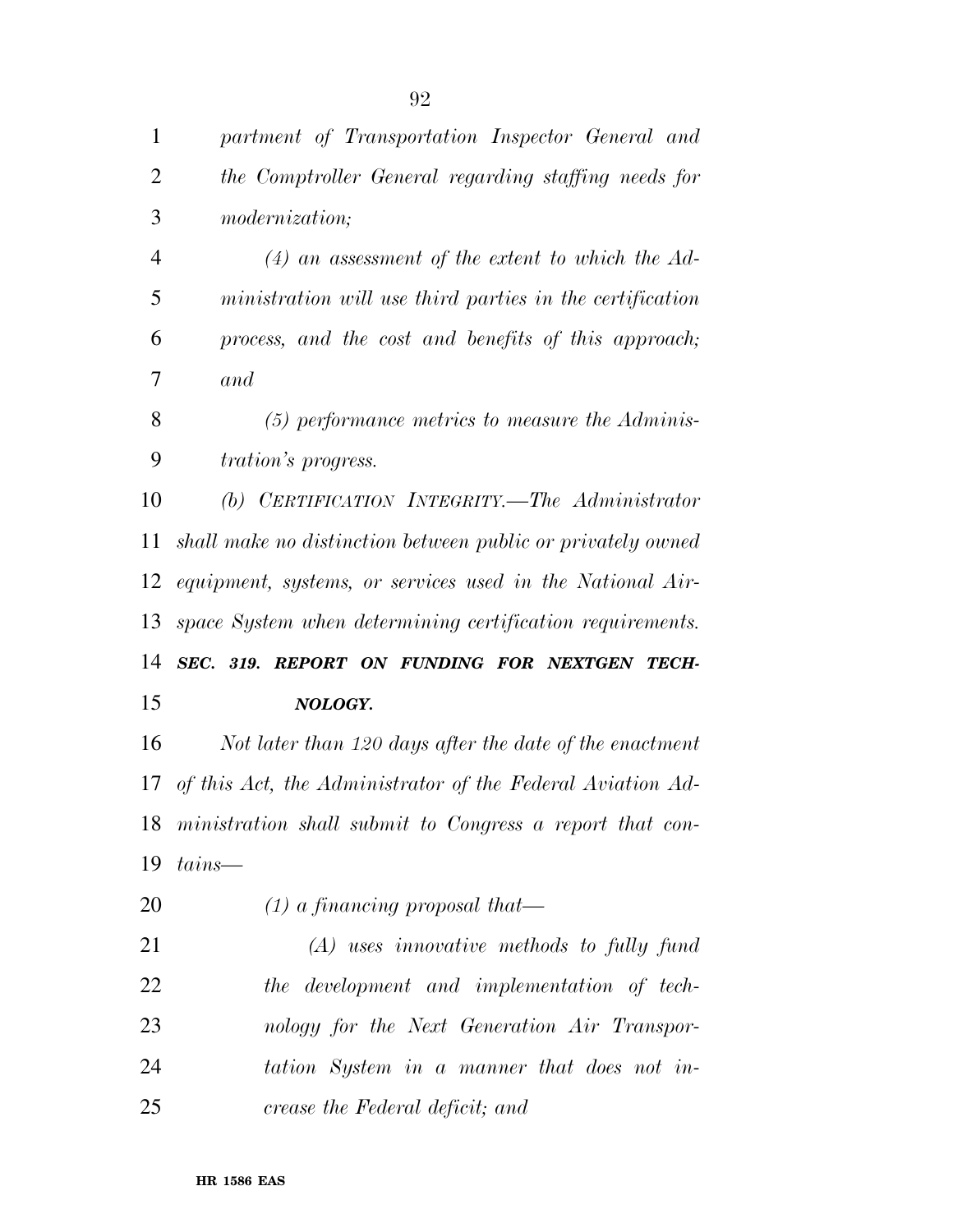| $\overline{2}$ | the Comptroller General regarding staffing needs for        |
|----------------|-------------------------------------------------------------|
| 3              | <i>modernization</i> ;                                      |
| $\overline{4}$ | $(4)$ an assessment of the extent to which the Ad-          |
| 5              | ministration will use third parties in the certification    |
| 6              | process, and the cost and benefits of this approach;        |
| 7              | and                                                         |
| 8              | $(5)$ performance metrics to measure the Adminis-           |
| 9              | <i>tration's progress.</i>                                  |
| 10             | (b) CERTIFICATION INTEGRITY.—The Administrator              |
| 11             | shall make no distinction between public or privately owned |
| 12             | equipment, systems, or services used in the National Air-   |
| 13             | space System when determining certification requirements.   |
|                |                                                             |
|                | SEC. 319. REPORT ON FUNDING FOR NEXTGEN TECH-               |
| 14<br>15       | NOLOGY.                                                     |
| 16             | Not later than 120 days after the date of the enactment     |
| 17             | of this Act, the Administrator of the Federal Aviation Ad-  |
| 18             | ministration shall submit to Congress a report that con-    |
|                | 19 $tains$                                                  |
| 20             | $(1)$ a financing proposal that—                            |
| 21             | $(A)$ uses innovative methods to fully fund                 |
| 22             | the development and implementation of tech-                 |
| 23             | nology for the Next Generation Air Transpor-                |
| 24             | tation System in a manner that does not in-                 |

*partment of Transportation Inspector General and*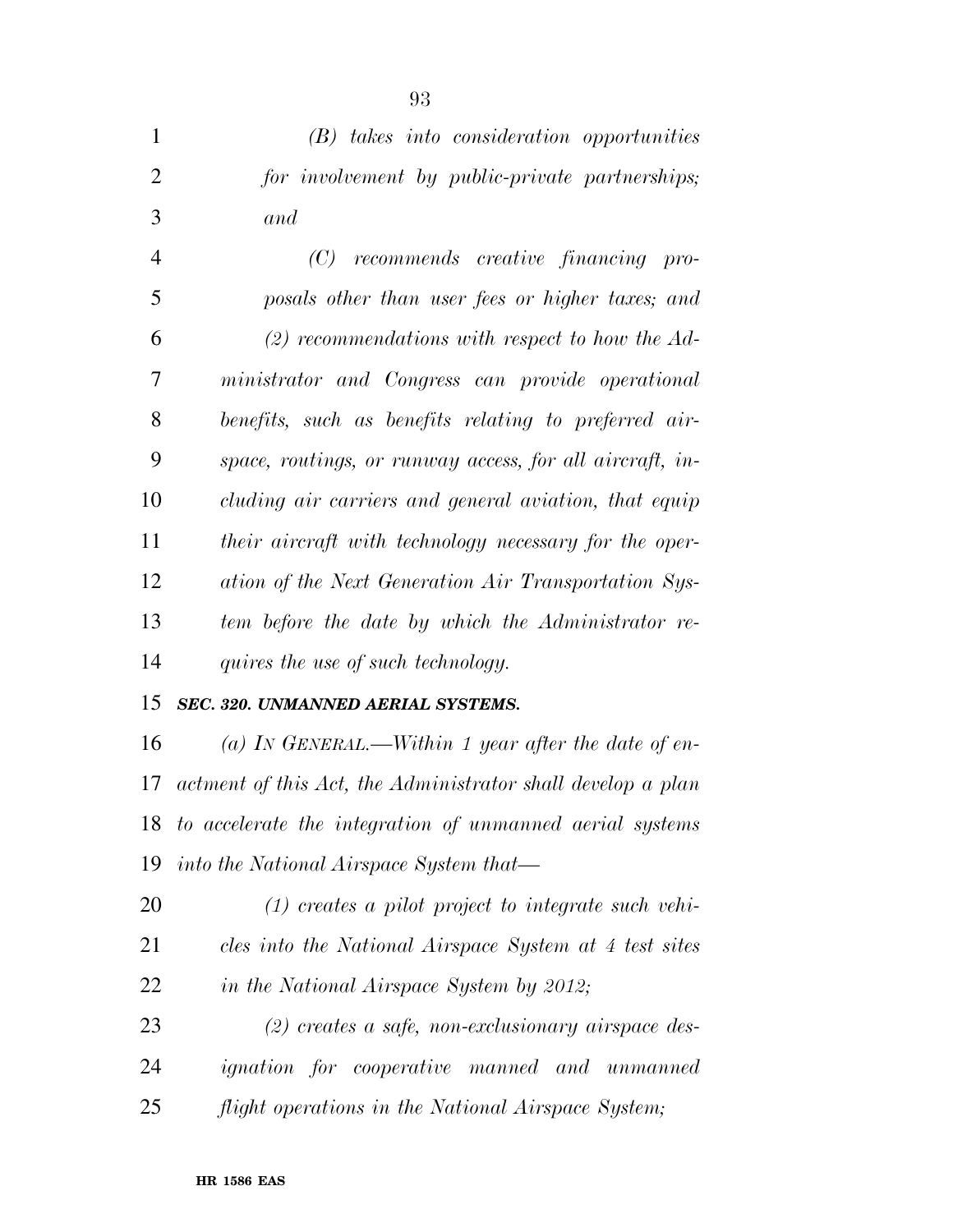*(B) takes into consideration opportunities for involvement by public-private partnerships; and (C) recommends creative financing pro- posals other than user fees or higher taxes; and (2) recommendations with respect to how the Ad- ministrator and Congress can provide operational benefits, such as benefits relating to preferred air- space, routings, or runway access, for all aircraft, in- cluding air carriers and general aviation, that equip their aircraft with technology necessary for the oper- ation of the Next Generation Air Transportation Sys- tem before the date by which the Administrator re-quires the use of such technology.* 

## *SEC. 320. UNMANNED AERIAL SYSTEMS.*

 *(a) IN GENERAL.—Within 1 year after the date of en- actment of this Act, the Administrator shall develop a plan to accelerate the integration of unmanned aerial systems into the National Airspace System that—* 

 *(1) creates a pilot project to integrate such vehi- cles into the National Airspace System at 4 test sites in the National Airspace System by 2012;* 

 *(2) creates a safe, non-exclusionary airspace des- ignation for cooperative manned and unmanned flight operations in the National Airspace System;*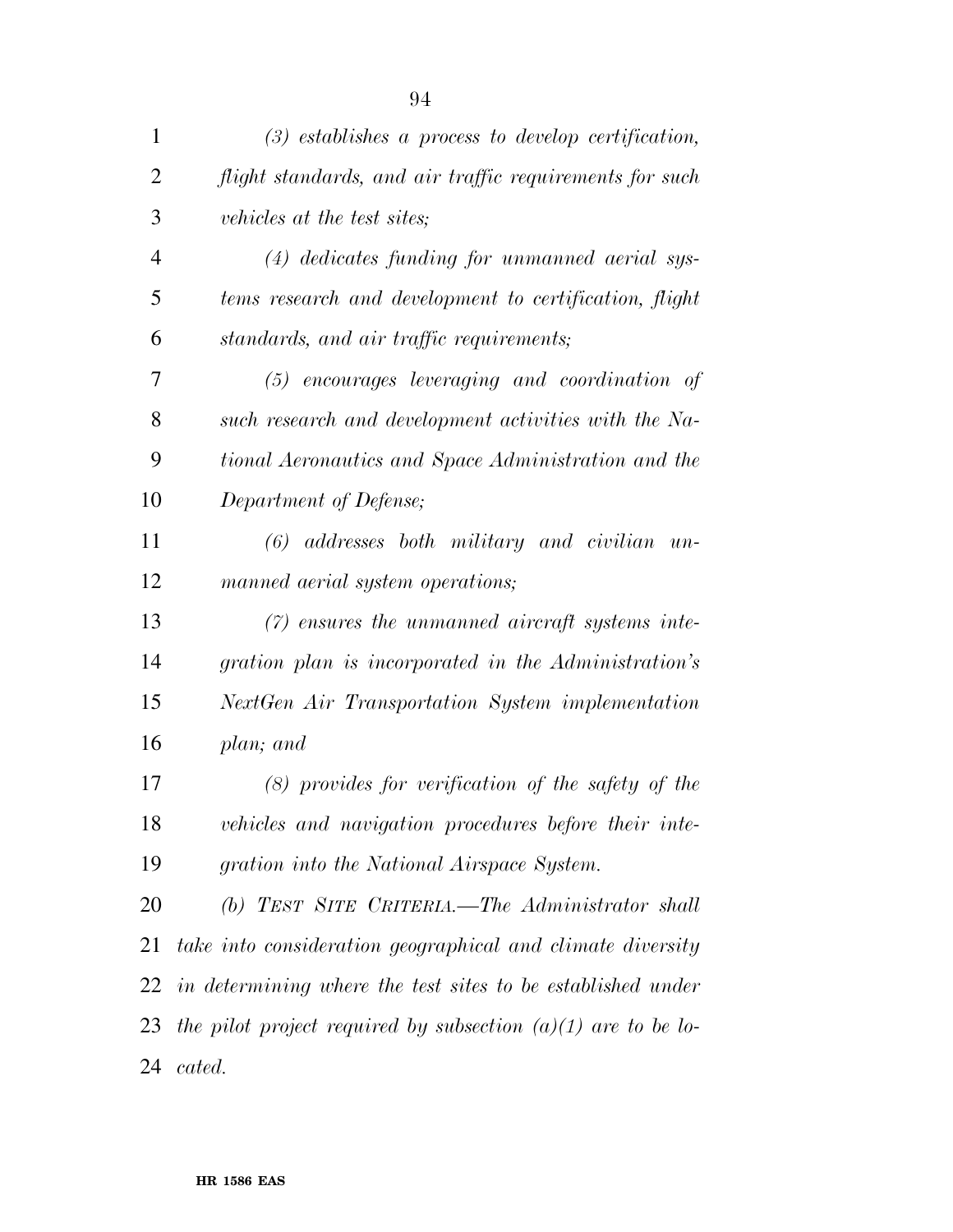| $\mathbf{1}$   | $(3)$ establishes a process to develop certification,           |
|----------------|-----------------------------------------------------------------|
| $\overline{2}$ | flight standards, and air traffic requirements for such         |
| 3              | vehicles at the test sites;                                     |
| 4              | (4) dedicates funding for unmanned aerial sys-                  |
| 5              | tems research and development to certification, flight          |
| 6              | standards, and air traffic requirements;                        |
| 7              | $(5)$ encourages leveraging and coordination of                 |
| 8              | such research and development activities with the Na-           |
| 9              | tional Aeronautics and Space Administration and the             |
| 10             | Department of Defense;                                          |
| 11             | $(6)$ addresses both military and civilian un-                  |
| 12             | manned aerial system operations;                                |
| 13             | $(7)$ ensures the unmanned aircraft systems inte-               |
| 14             | gration plan is incorporated in the Administration's            |
| 15             | NextGen Air Transportation System implementation                |
| 16             | plan; and                                                       |
| 17             | $(8)$ provides for verification of the safety of the            |
| 18             | vehicles and navigation procedures before their inte-           |
| 19             | gration into the National Airspace System.                      |
| 20             | (b) TEST SITE CRITERIA.—The Administrator shall                 |
| 21             | take into consideration geographical and climate diversity      |
| 22             | in determining where the test sites to be established under     |
| 23             | the pilot project required by subsection $(a)(1)$ are to be lo- |
| 24             | cated.                                                          |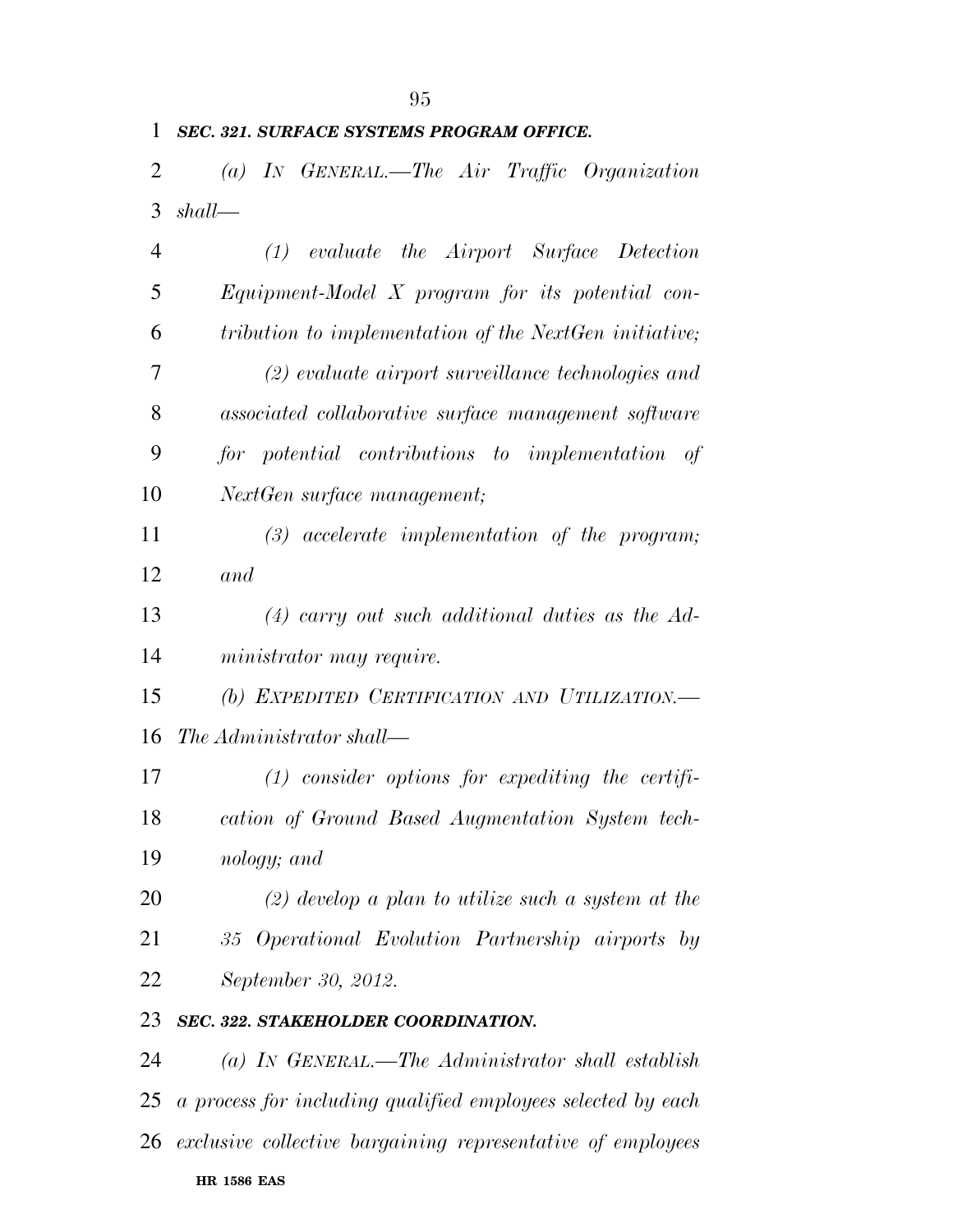*(a) IN GENERAL.—The Air Traffic Organization* 

*shall—* 

*SEC. 321. SURFACE SYSTEMS PROGRAM OFFICE.* 

| 4  | $(1)$ evaluate the Airport Surface Detection                 |
|----|--------------------------------------------------------------|
| 5  | $Equipment-Model X program for its potential con-$           |
| 6  | tribution to implementation of the NextGen initiative;       |
| 7  | $(2)$ evaluate airport surveillance technologies and         |
| 8  | associated collaborative surface management software         |
| 9  | for potential contributions to implementation of             |
| 10 | NextGen surface management;                                  |
| 11 | $(3)$ accelerate implementation of the program;              |
| 12 | and                                                          |
| 13 | $(4)$ carry out such additional duties as the Ad-            |
| 14 | ministrator may require.                                     |
| 15 | (b) EXPEDITED CERTIFICATION AND UTILIZATION.-                |
| 16 | The Administrator shall—                                     |
| 17 | $(1)$ consider options for expediting the certifi-           |
| 18 | cation of Ground Based Augmentation System tech-             |
| 19 | nology; and                                                  |
| 20 | $(2)$ develop a plan to utilize such a system at the         |
| 21 | 35 Operational Evolution Partnership airports by             |
| 22 | September 30, 2012.                                          |
| 23 | SEC. 322. STAKEHOLDER COORDINATION.                          |
| 24 | (a) IN GENERAL.—The Administrator shall establish            |
| 25 | a process for including qualified employees selected by each |
| 26 | exclusive collective bargaining representative of employees  |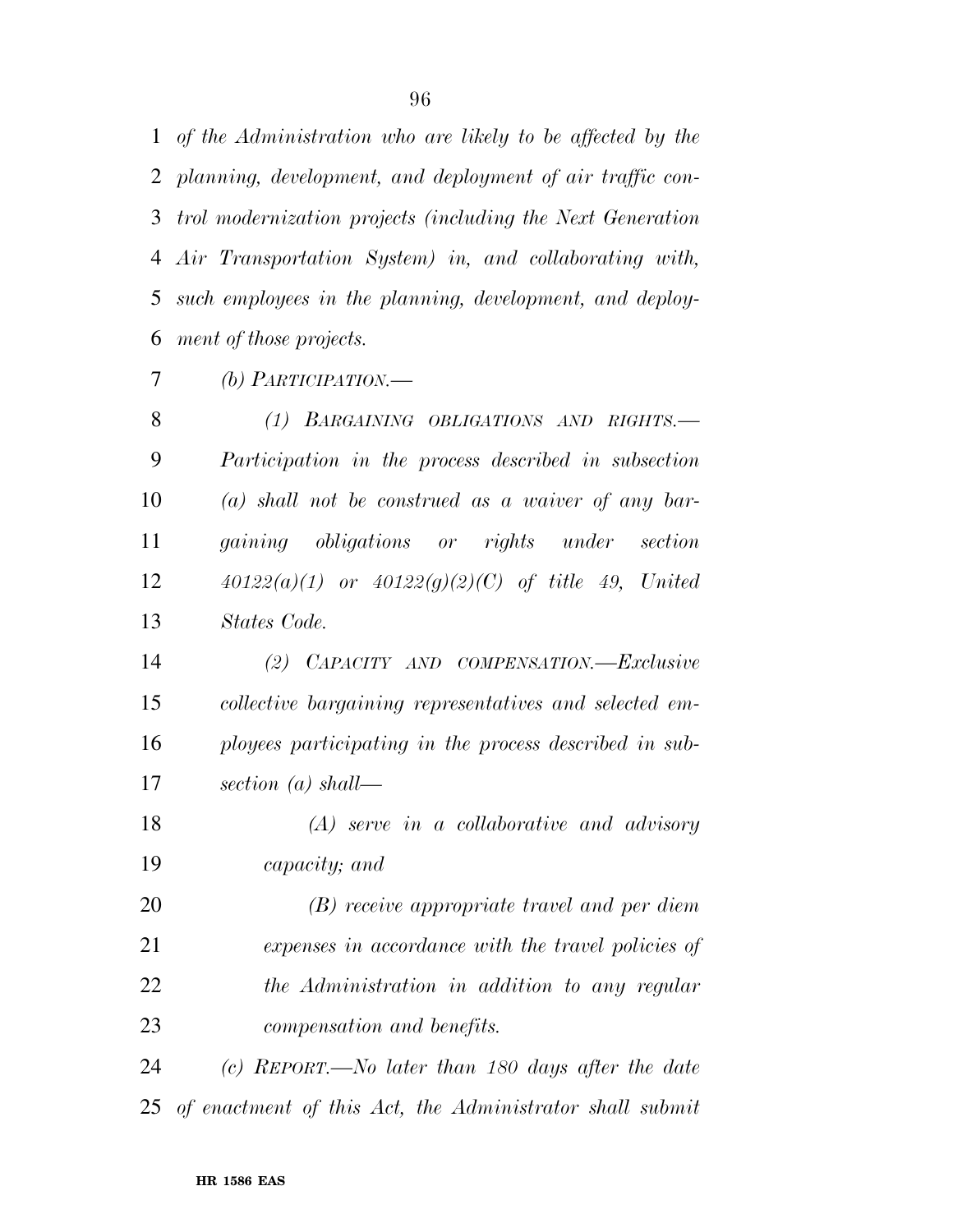*of the Administration who are likely to be affected by the planning, development, and deployment of air traffic con- trol modernization projects (including the Next Generation Air Transportation System) in, and collaborating with, such employees in the planning, development, and deploy-ment of those projects.* 

*(b) PARTICIPATION.—* 

 *(1) BARGAINING OBLIGATIONS AND RIGHTS.— Participation in the process described in subsection (a) shall not be construed as a waiver of any bar- gaining obligations or rights under section 40122(a)(1) or 40122(g)(2)(C) of title 49, United States Code.* 

 *(2) CAPACITY AND COMPENSATION.—Exclusive collective bargaining representatives and selected em- ployees participating in the process described in sub-section (a) shall—* 

 *(A) serve in a collaborative and advisory capacity; and* 

 *(B) receive appropriate travel and per diem expenses in accordance with the travel policies of the Administration in addition to any regular compensation and benefits.* 

 *(c) REPORT.—No later than 180 days after the date of enactment of this Act, the Administrator shall submit*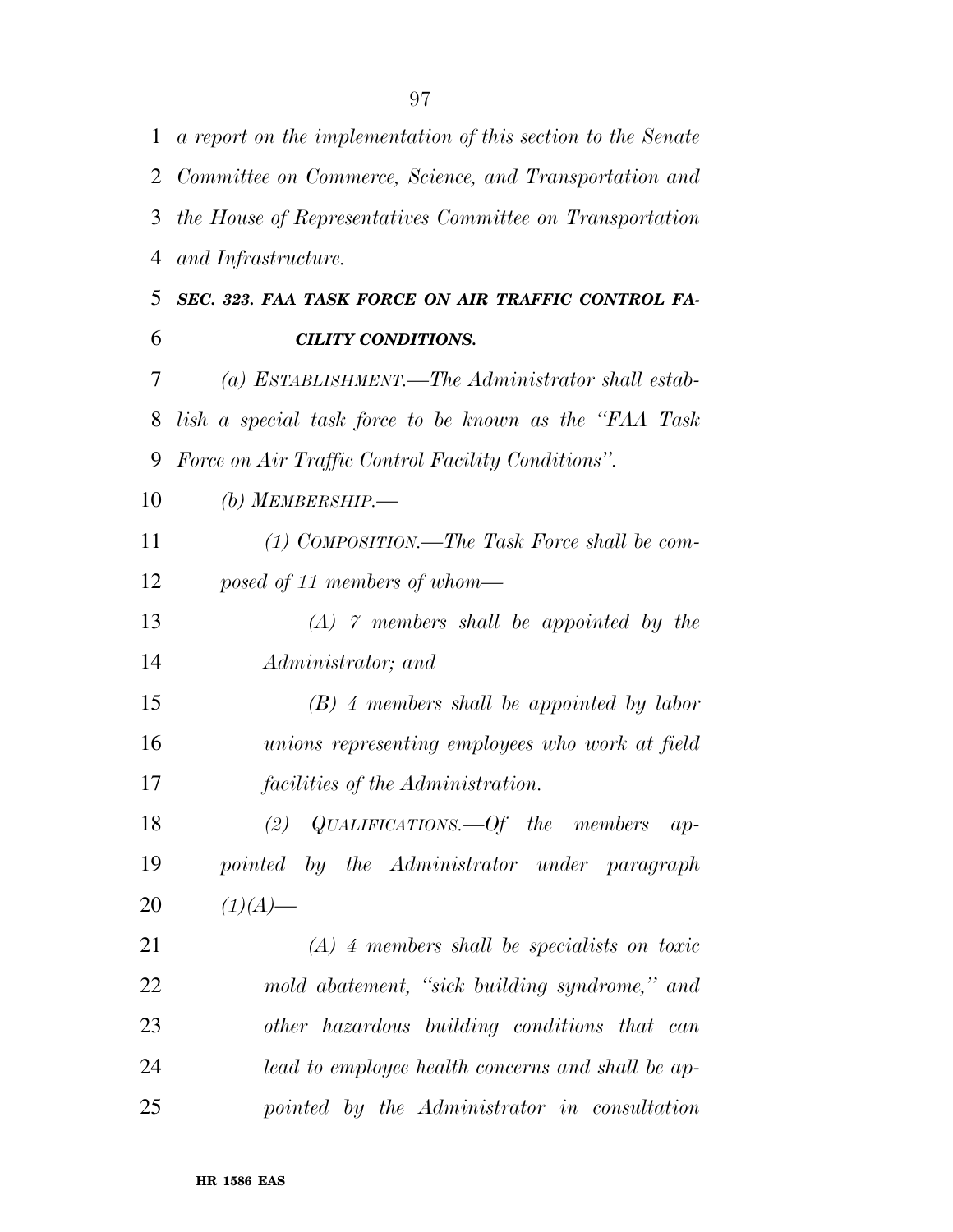*a report on the implementation of this section to the Senate Committee on Commerce, Science, and Transportation and the House of Representatives Committee on Transportation and Infrastructure. SEC. 323. FAA TASK FORCE ON AIR TRAFFIC CONTROL FA- CILITY CONDITIONS. (a) ESTABLISHMENT.—The Administrator shall estab- lish a special task force to be known as the ''FAA Task Force on Air Traffic Control Facility Conditions''. (b) MEMBERSHIP.— (1) COMPOSITION.—The Task Force shall be com- posed of 11 members of whom— (A) 7 members shall be appointed by the Administrator; and (B) 4 members shall be appointed by labor unions representing employees who work at field facilities of the Administration. (2) QUALIFICATIONS.—Of the members ap- pointed by the Administrator under paragraph*  20  $(1)(A)$ — *(A) 4 members shall be specialists on toxic mold abatement, ''sick building syndrome,'' and other hazardous building conditions that can lead to employee health concerns and shall be ap-pointed by the Administrator in consultation*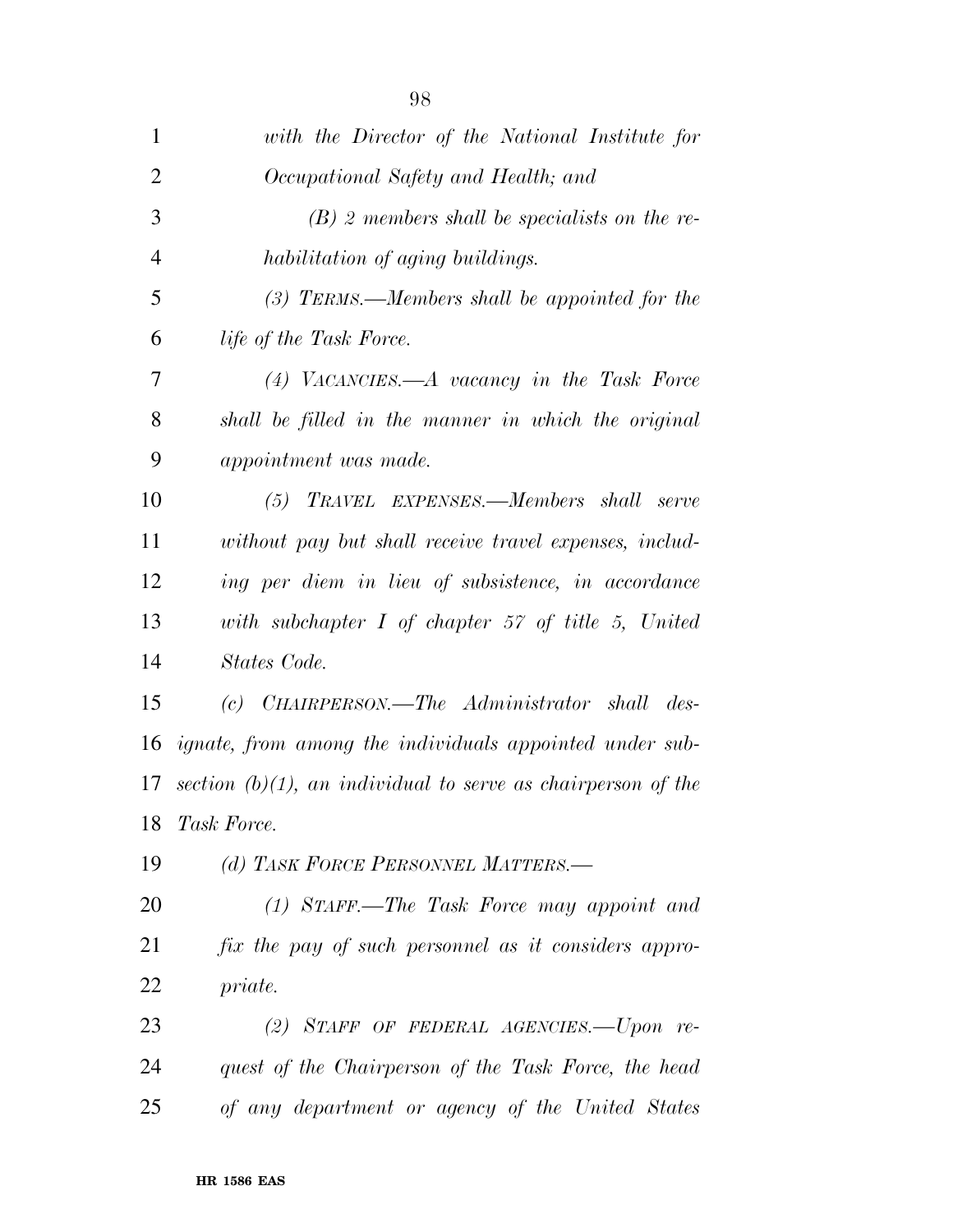| $\mathbf{1}$   | with the Director of the National Institute for                 |
|----------------|-----------------------------------------------------------------|
| $\overline{2}$ | Occupational Safety and Health; and                             |
| 3              | $(B)$ 2 members shall be specialists on the re-                 |
| $\overline{4}$ | habilitation of aging buildings.                                |
| 5              | $(3)$ TERMS.—Members shall be appointed for the                 |
| 6              | <i>life of the Task Force.</i>                                  |
| 7              | $(4)$ VACANCIES.— $A$ vacancy in the Task Force                 |
| 8              | shall be filled in the manner in which the original             |
| 9              | appointment was made.                                           |
| 10             | (5) TRAVEL EXPENSES.—Members shall serve                        |
| 11             | without pay but shall receive travel expenses, includ-          |
| 12             | ing per diem in lieu of subsistence, in accordance              |
| 13             | with subchapter $I$ of chapter $57$ of title $5$ , United       |
| 14             | States Code.                                                    |
| 15             | (c) CHAIRPERSON.—The Administrator shall des-                   |
| 16             | <i>ignate, from among the individuals appointed under sub-</i>  |
| 17             | section $(b)(1)$ , an individual to serve as chairperson of the |
|                | 18 Task Force.                                                  |
| 19             | (d) TASK FORCE PERSONNEL MATTERS.-                              |
| 20             | $(1)$ STAFF.—The Task Force may appoint and                     |
| 21             | fix the pay of such personnel as it considers appro-            |
| 22             | priate.                                                         |
| 23             | (2) STAFF OF FEDERAL AGENCIES.-Upon re-                         |
| 24             | quest of the Chairperson of the Task Force, the head            |
| 25             | of any department or agency of the United States                |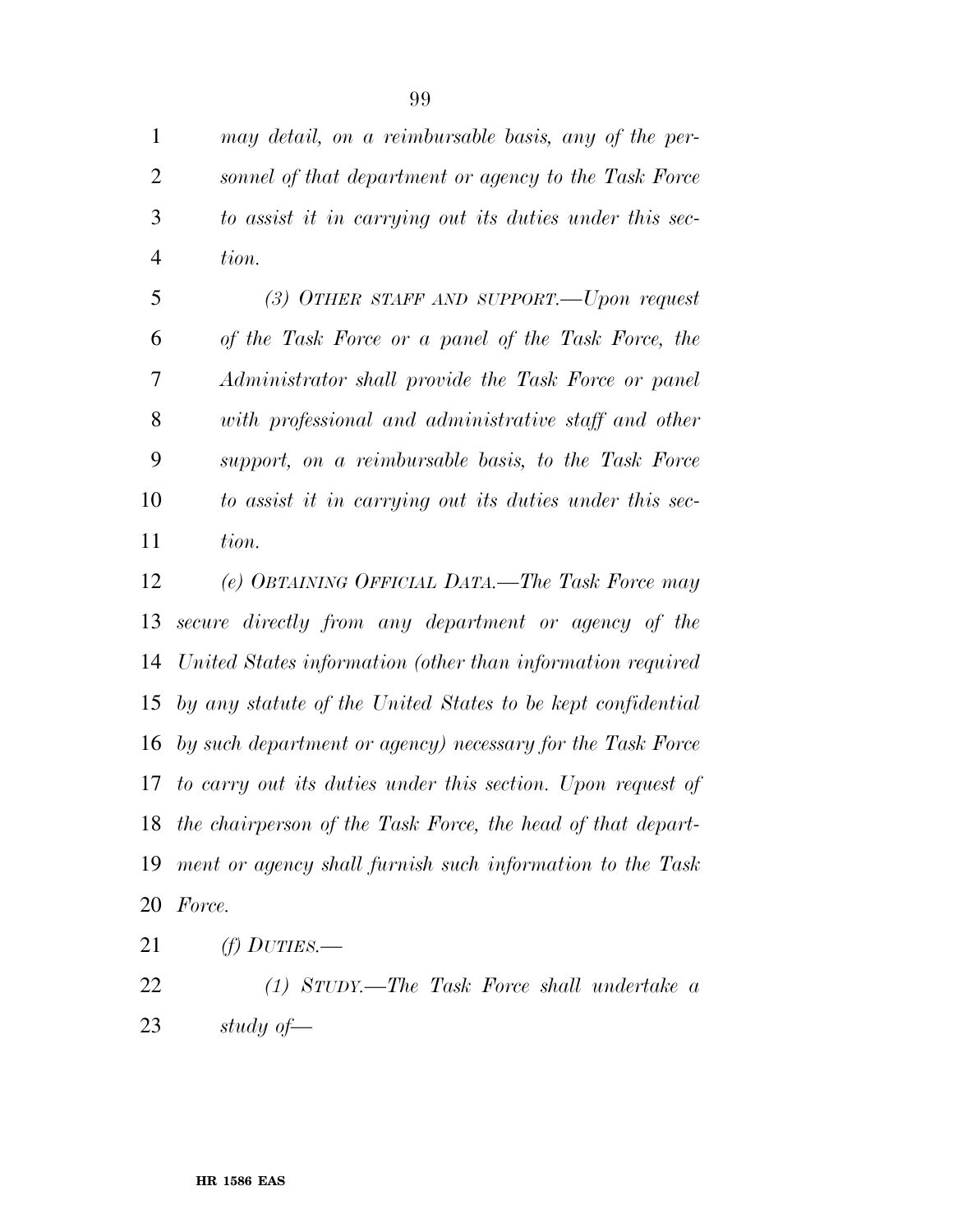*may detail, on a reimbursable basis, any of the per- sonnel of that department or agency to the Task Force to assist it in carrying out its duties under this sec-tion.* 

 *(3) OTHER STAFF AND SUPPORT.—Upon request of the Task Force or a panel of the Task Force, the Administrator shall provide the Task Force or panel with professional and administrative staff and other support, on a reimbursable basis, to the Task Force to assist it in carrying out its duties under this sec-tion.* 

 *(e) OBTAINING OFFICIAL DATA.—The Task Force may secure directly from any department or agency of the United States information (other than information required by any statute of the United States to be kept confidential by such department or agency) necessary for the Task Force to carry out its duties under this section. Upon request of the chairperson of the Task Force, the head of that depart- ment or agency shall furnish such information to the Task Force.* 

- *(f) DUTIES.—*
- 

 *(1) STUDY.—The Task Force shall undertake a study of—*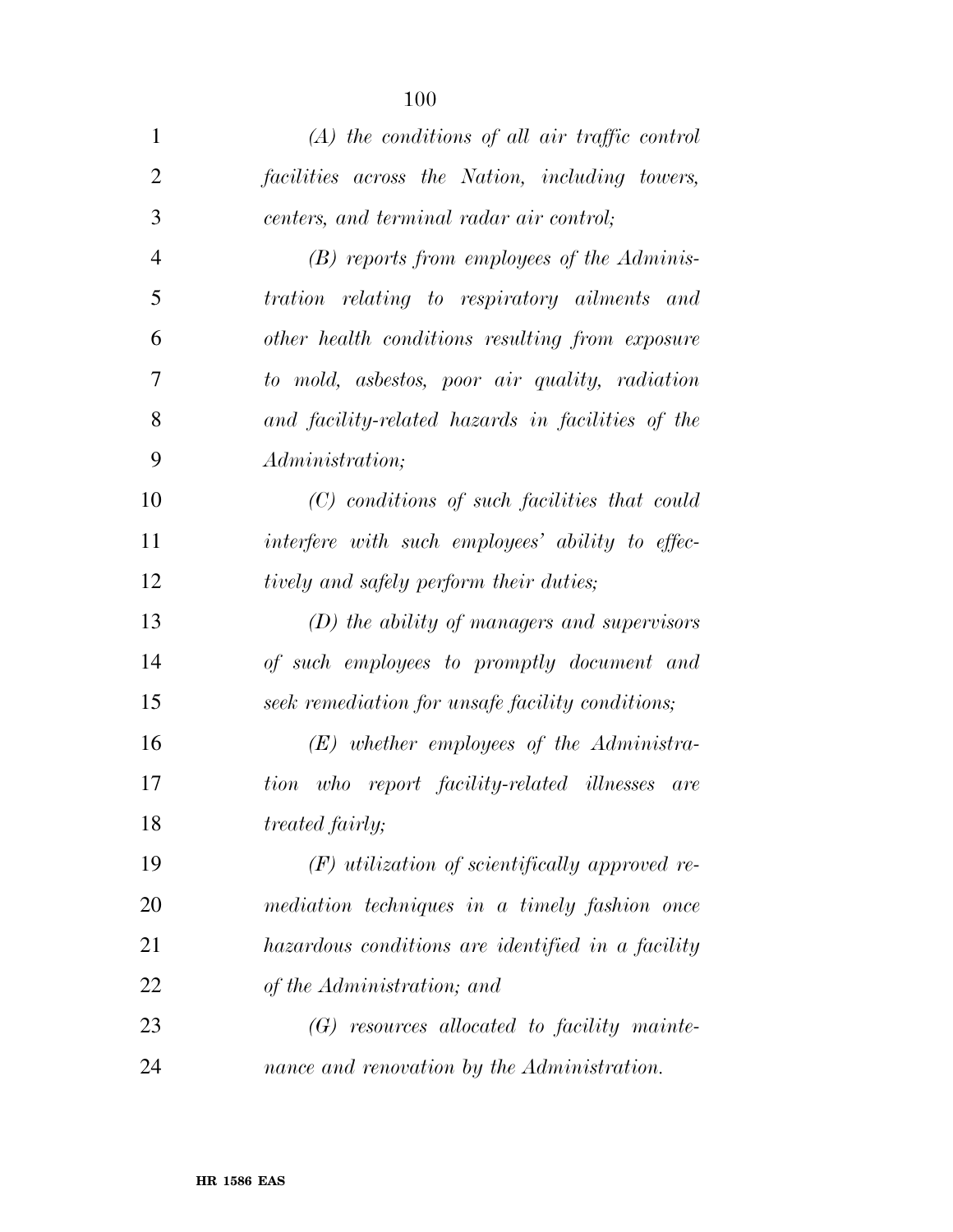| $\mathbf{1}$   | $(A)$ the conditions of all air traffic control      |
|----------------|------------------------------------------------------|
| $\overline{2}$ | facilities across the Nation, including towers,      |
| 3              | centers, and terminal radar air control;             |
| $\overline{4}$ | $(B)$ reports from employees of the Adminis-         |
| 5              | tration relating to respiratory ailments and         |
| 6              | other health conditions resulting from exposure      |
| 7              | to mold, asbestos, poor air quality, radiation       |
| 8              | and facility-related hazards in facilities of the    |
| 9              | Administration;                                      |
| 10             | (C) conditions of such facilities that could         |
| 11             | interfere with such employees' ability to effec-     |
| 12             | tively and safely perform their duties;              |
| 13             | $(D)$ the ability of managers and supervisors        |
| 14             | of such employees to promptly document and           |
| 15             | seek remediation for unsafe facility conditions;     |
| 16             | $(E)$ whether employees of the Administra-           |
| 17             | tion<br>who report facility-related illnesses<br>are |
| 18             | <i>treated fairly;</i>                               |
| 19             | $(F)$ utilization of scientifically approved re-     |
| 20             | mediation techniques in a timely fashion once        |
| 21             | hazardous conditions are identified in a facility    |
| 22             | of the Administration; and                           |
| 23             | $(G)$ resources allocated to facility mainte-        |
| 24             | nance and renovation by the Administration.          |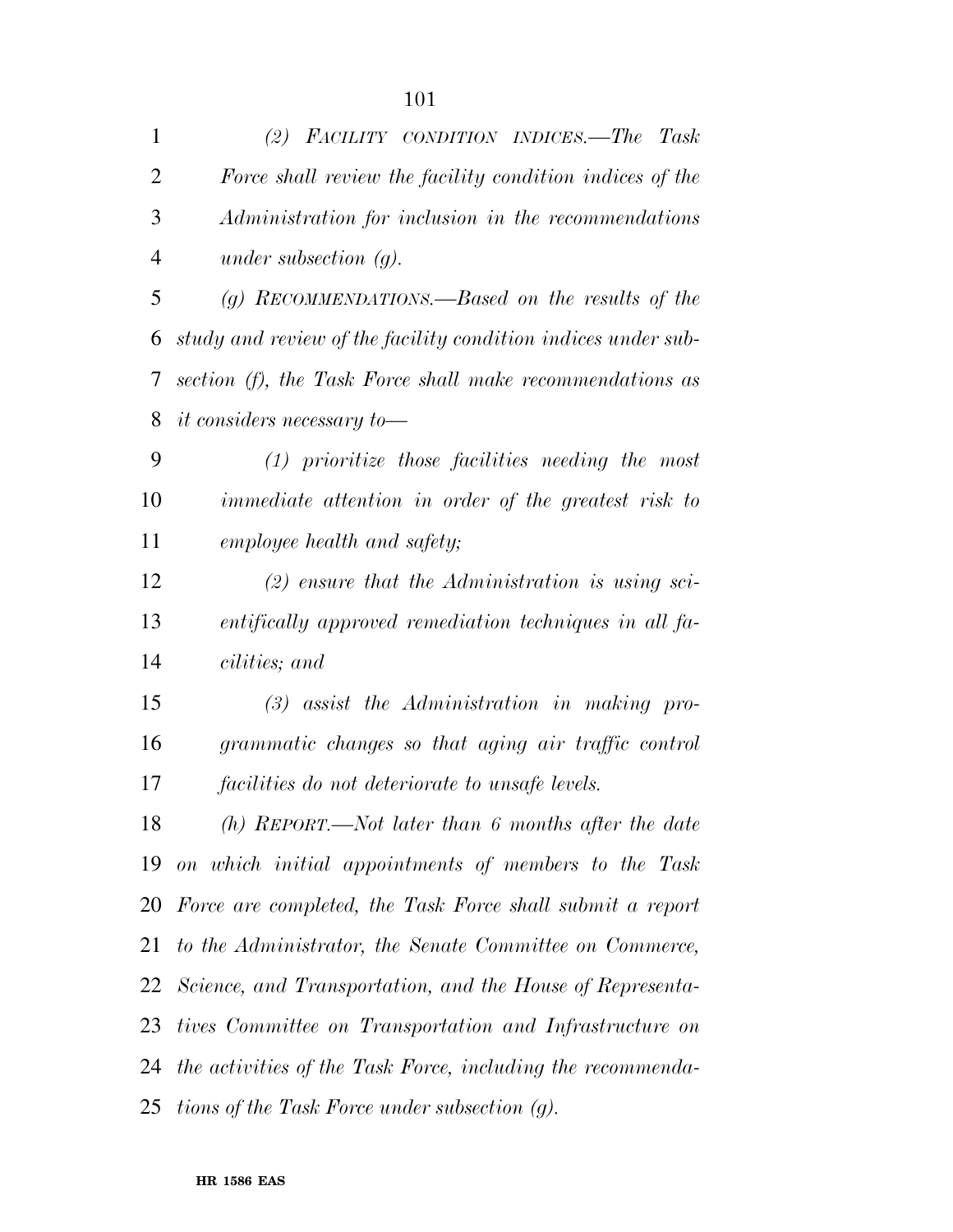| $\mathbf{1}$   | (2) FACILITY CONDITION INDICES.—The Task                      |
|----------------|---------------------------------------------------------------|
| $\overline{2}$ | Force shall review the facility condition indices of the      |
| 3              | Administration for inclusion in the recommendations           |
| $\overline{4}$ | under subsection $(g)$ .                                      |
| 5              | (g) RECOMMENDATIONS.—Based on the results of the              |
| 6              | study and review of the facility condition indices under sub- |
| 7              | section (f), the Task Force shall make recommendations as     |
| 8              | $it$ considers necessary to —                                 |
| 9              | $(1)$ prioritize those facilities needing the most            |
| 10             | immediate attention in order of the greatest risk to          |
| 11             | employee health and safety;                                   |
| 12             | $(2)$ ensure that the Administration is using sci-            |
| 13             | entifically approved remediation techniques in all fa-        |
| 14             | <i>cilities</i> ; and                                         |
| 15             | $(3)$ assist the Administration in making pro-                |
| 16             | grammatic changes so that aging air traffic control           |
| 17             | facilities do not deteriorate to unsafe levels.               |
| 18             | $(h)$ REPORT.—Not later than 6 months after the date          |
| 19             | on which initial appointments of members to the Task          |
| 20             | Force are completed, the Task Force shall submit a report     |
| 21             | to the Administrator, the Senate Committee on Commerce,       |
| 22             | Science, and Transportation, and the House of Representa-     |
| 23             | tives Committee on Transportation and Infrastructure on       |
| 24             | the activities of the Task Force, including the recommenda-   |
| 25             | tions of the Task Force under subsection (g).                 |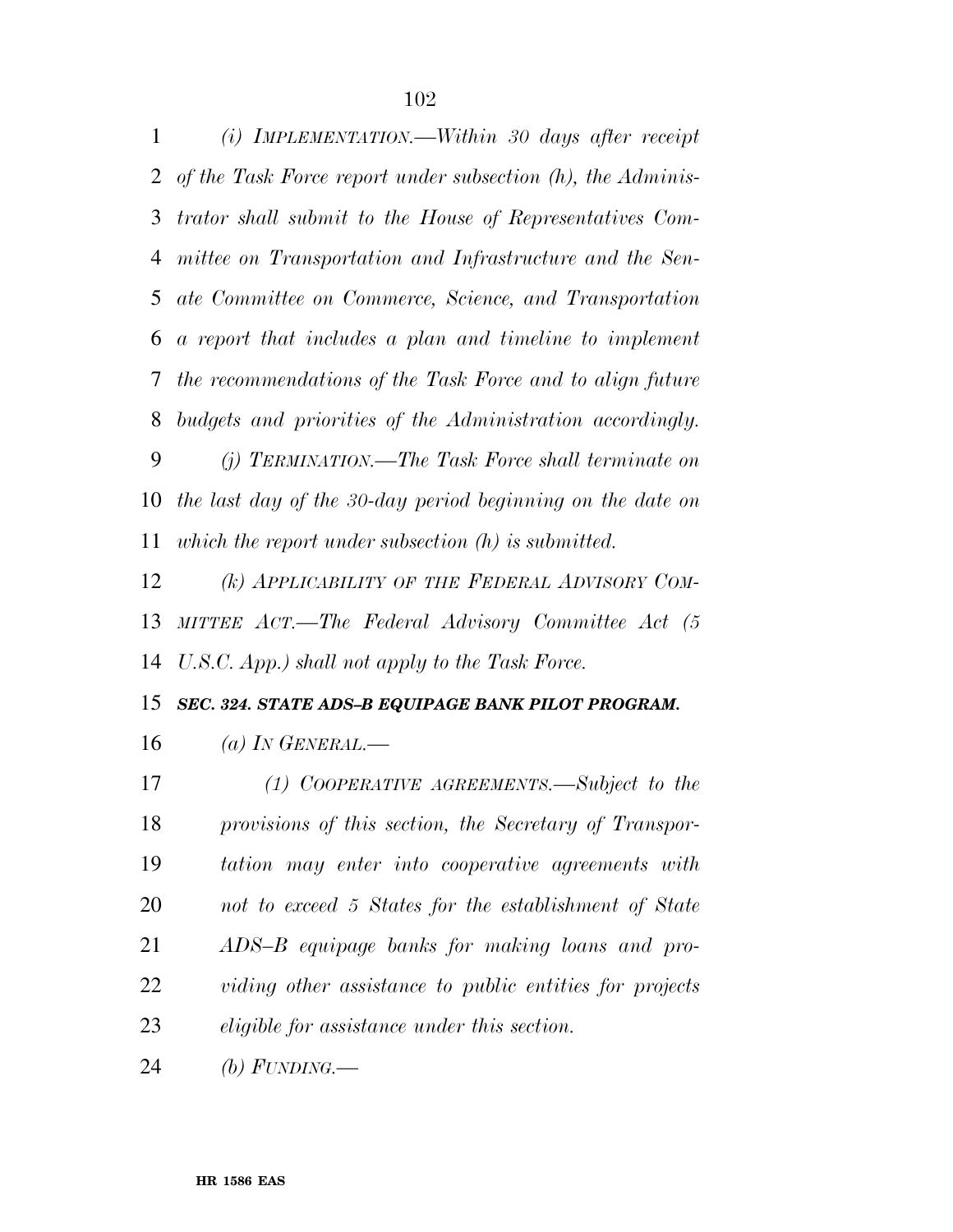| 1  | (i) IMPLEMENTATION.—Within 30 days after receipt               |
|----|----------------------------------------------------------------|
| 2  | of the Task Force report under subsection $(h)$ , the Adminis- |
| 3  | trator shall submit to the House of Representatives Com-       |
| 4  | mittee on Transportation and Infrastructure and the Sen-       |
| 5  | ate Committee on Commerce, Science, and Transportation         |
| 6  | a report that includes a plan and timeline to implement        |
| 7  | the recommendations of the Task Force and to align future      |
| 8  | budgets and priorities of the Administration accordingly.      |
| 9  | $(j)$ TERMINATION.—The Task Force shall terminate on           |
| 10 | the last day of the 30-day period beginning on the date on     |
| 11 | which the report under subsection $(h)$ is submitted.          |
| 12 | (k) APPLICABILITY OF THE FEDERAL ADVISORY COM-                 |
| 13 | MITTEE ACT.—The Federal Advisory Committee Act (5              |
| 14 | U.S.C. App.) shall not apply to the Task Force.                |
| 15 | SEC. 324. STATE ADS-B EQUIPAGE BANK PILOT PROGRAM.             |
| 16 | (a) IN GENERAL.—                                               |
| 17 | (1) COOPERATIVE AGREEMENTS.—Subject to the                     |
| 18 | provisions of this section, the Secretary of Transpor-         |
| 19 | tation may enter into cooperative agreements with              |
| 20 | not to exceed 5 States for the establishment of State          |
| 21 | ADS-B equipage banks for making loans and pro-                 |
| 22 | viding other assistance to public entities for projects        |
| 23 | eligible for assistance under this section.                    |

*(b) FUNDING.—*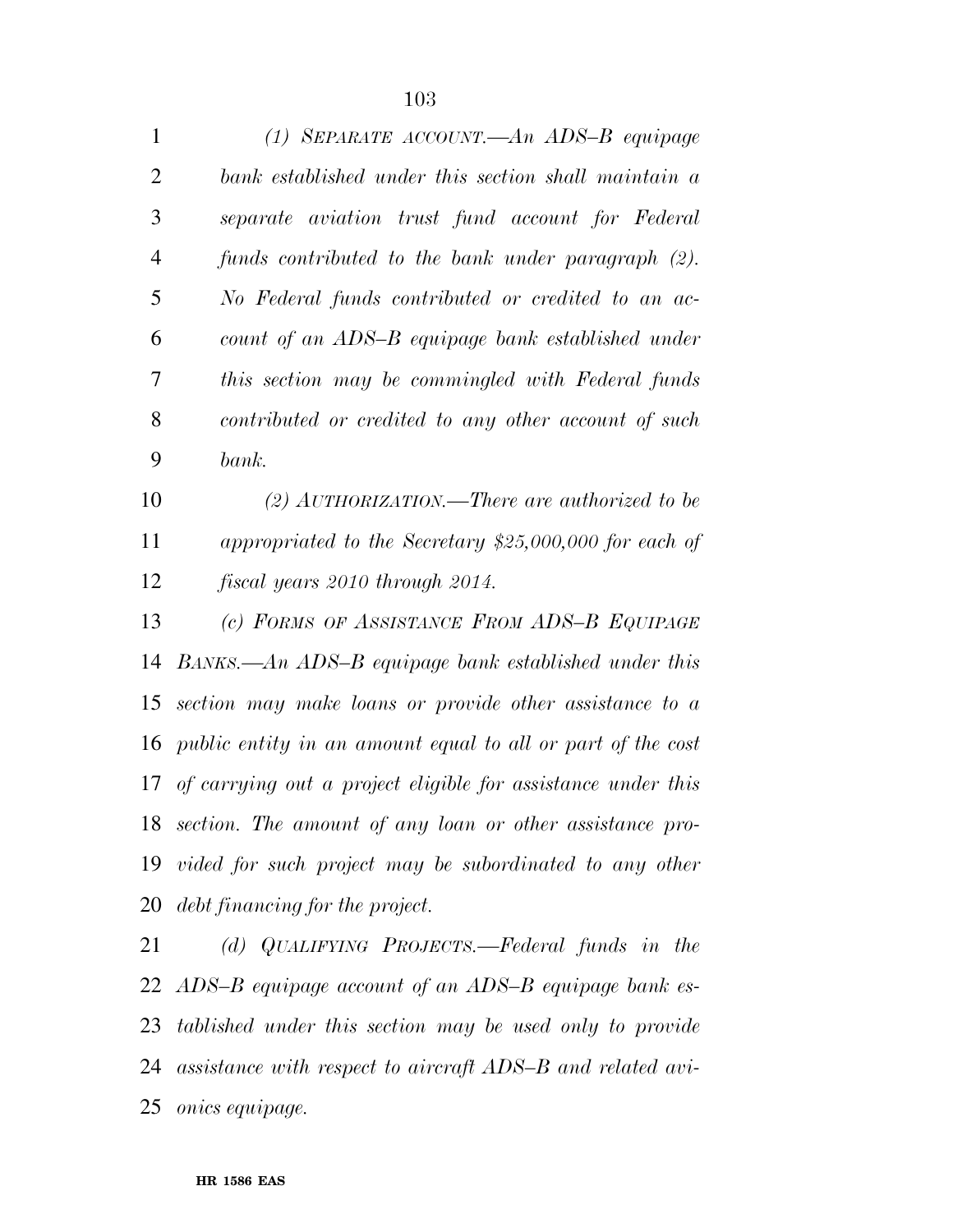| 1              | (1) SEPARATE ACCOUNT.—An ADS-B equipage                       |
|----------------|---------------------------------------------------------------|
| $\overline{2}$ | bank established under this section shall maintain a          |
| 3              | separate aviation trust fund account for Federal              |
| 4              | funds contributed to the bank under paragraph (2).            |
| 5              | No Federal funds contributed or credited to an ac-            |
| 6              | count of an ADS-B equipage bank established under             |
| 7              | this section may be commingled with Federal funds             |
| 8              | contributed or credited to any other account of such          |
| 9              | bank.                                                         |
| 10             | (2) $AUTHORIZATION$ . There are authorized to be              |
| 11             | appropriated to the Secretary $$25,000,000$ for each of       |
| 12             | fiscal years 2010 through 2014.                               |
| 13             | (c) FORMS OF ASSISTANCE FROM ADS-B EQUIPAGE                   |
| 14             | $BANKS. - An ADS-B\ equipage\ bank\ established\ under\ this$ |
|                |                                                               |

 *section may make loans or provide other assistance to a public entity in an amount equal to all or part of the cost of carrying out a project eligible for assistance under this section. The amount of any loan or other assistance pro- vided for such project may be subordinated to any other debt financing for the project.* 

 *(d) QUALIFYING PROJECTS.—Federal funds in the ADS–B equipage account of an ADS–B equipage bank es- tablished under this section may be used only to provide assistance with respect to aircraft ADS–B and related avi-onics equipage.*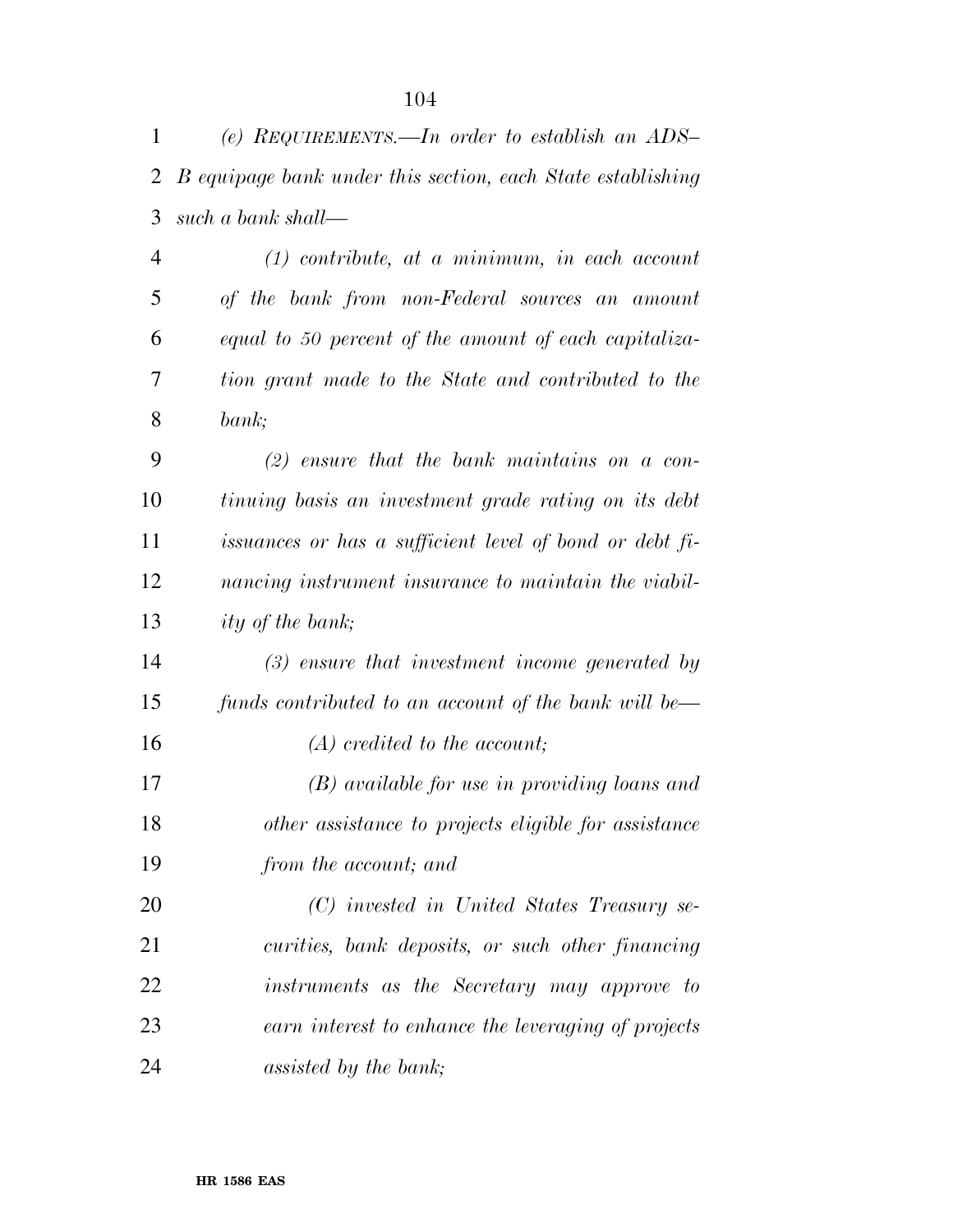*(e) REQUIREMENTS.—In order to establish an ADS– B equipage bank under this section, each State establishing such a bank shall—* 

 *(1) contribute, at a minimum, in each account of the bank from non-Federal sources an amount equal to 50 percent of the amount of each capitaliza- tion grant made to the State and contributed to the bank;* 

 *(2) ensure that the bank maintains on a con- tinuing basis an investment grade rating on its debt issuances or has a sufficient level of bond or debt fi- nancing instrument insurance to maintain the viabil-ity of the bank;* 

 *(3) ensure that investment income generated by funds contributed to an account of the bank will be— (A) credited to the account; (B) available for use in providing loans and other assistance to projects eligible for assistance from the account; and* 

 *(C) invested in United States Treasury se- curities, bank deposits, or such other financing instruments as the Secretary may approve to earn interest to enhance the leveraging of projects assisted by the bank;*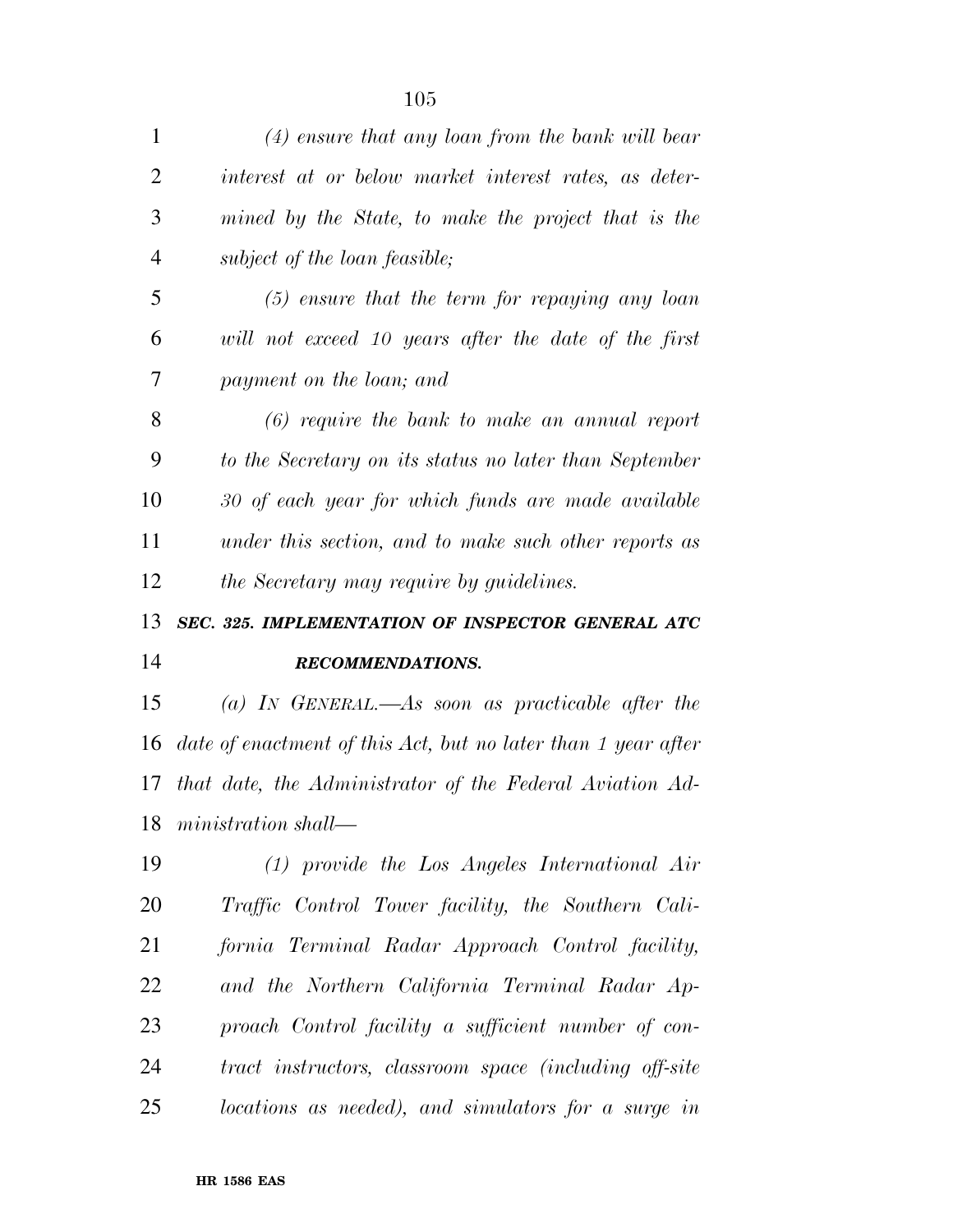| 1              | $(4)$ ensure that any loan from the bank will bear            |
|----------------|---------------------------------------------------------------|
| $\overline{2}$ | interest at or below market interest rates, as deter-         |
| 3              | mined by the State, to make the project that is the           |
| $\overline{4}$ | subject of the loan feasible;                                 |
| 5              | $(5)$ ensure that the term for repaying any loan              |
| 6              | will not exceed 10 years after the date of the first          |
| 7              | payment on the loan; and                                      |
| 8              | $(6)$ require the bank to make an annual report               |
| 9              | to the Secretary on its status no later than September        |
| 10             | 30 of each year for which funds are made available            |
| 11             | under this section, and to make such other reports as         |
| 12             | the Secretary may require by guidelines.                      |
|                |                                                               |
| 13             | SEC. 325. IMPLEMENTATION OF INSPECTOR GENERAL ATC             |
| 14             | <b>RECOMMENDATIONS.</b>                                       |
| 15             | (a) IN GENERAL.—As soon as practicable after the              |
| 16             | date of enactment of this Act, but no later than 1 year after |
| 17             | that date, the Administrator of the Federal Aviation Ad-      |
|                | 18 ministration shall—                                        |
| 19             | $(1)$ provide the Los Angeles International Air               |
| 20             | Traffic Control Tower facility, the Southern Cali-            |
| 21             | fornia Terminal Radar Approach Control facility,              |
| 22             | and the Northern California Terminal Radar Ap-                |
| 23             | proach Control facility a sufficient number of con-           |
| 24             | tract instructors, classroom space (including off-site        |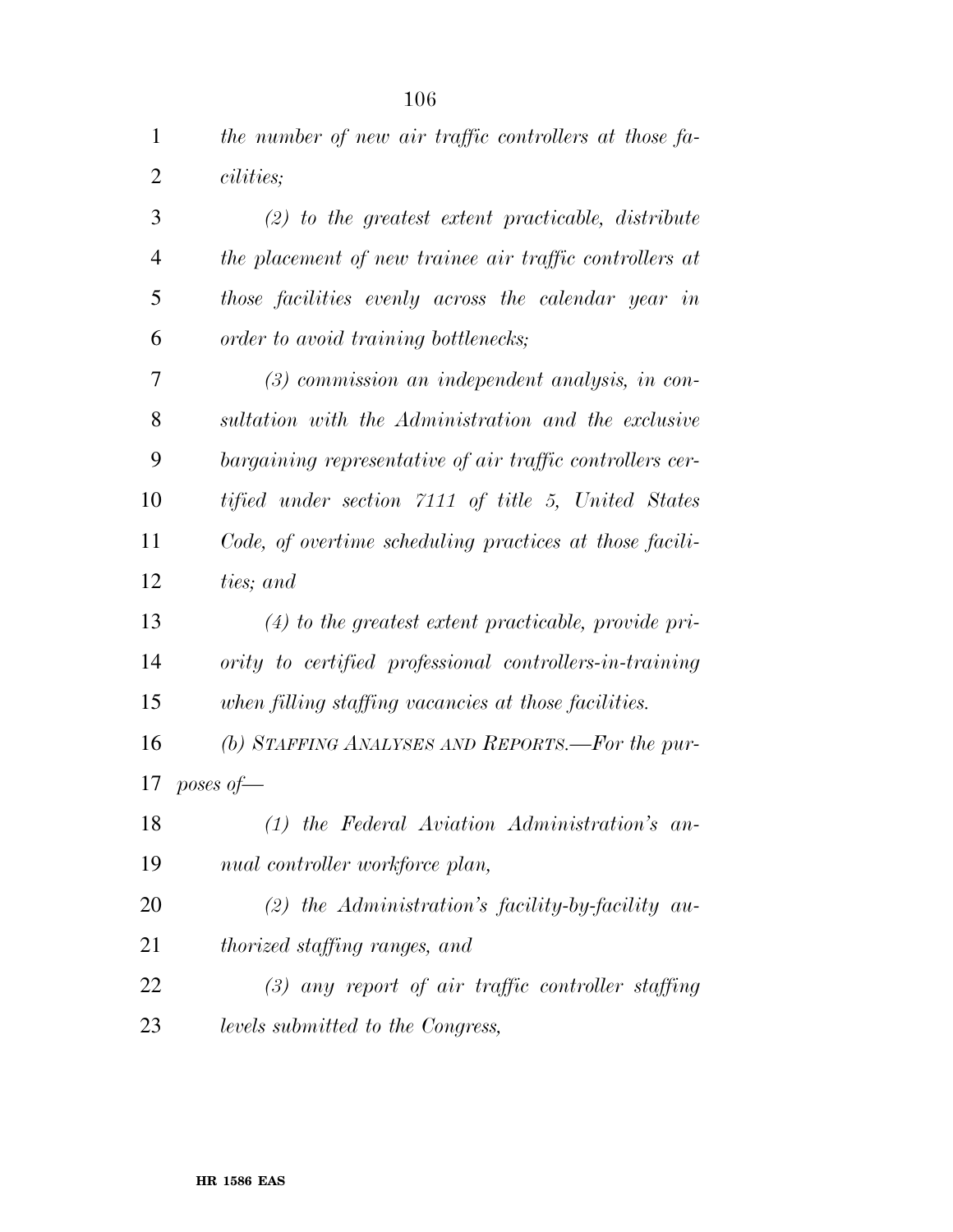| $\mathbf{1}$   | the number of new air traffic controllers at those fa-    |
|----------------|-----------------------------------------------------------|
| $\overline{2}$ | <i>cilities</i> ;                                         |
| 3              | $(2)$ to the greatest extent practicable, distribute      |
| $\overline{4}$ | the placement of new trainee air traffic controllers at   |
| 5              | those facilities evenly across the calendar year in       |
| 6              | order to avoid training bottlenecks;                      |
| 7              | $(3)$ commission an independent analysis, in con-         |
| 8              | sultation with the Administration and the exclusive       |
| 9              | bargaining representative of air traffic controllers cer- |
| 10             | tified under section 7111 of title 5, United States       |
| 11             | Code, of overtime scheduling practices at those facili-   |
| 12             | ties; and                                                 |
| 13             | $(4)$ to the greatest extent practicable, provide pri-    |
| 14             | ority to certified professional controllers-in-training   |
| 15             | when filling staffing vacancies at those facilities.      |
| 16             | (b) STAFFING ANALYSES AND REPORTS.—For the pur-           |
| 17             | poses of $-$                                              |
| 18             | (1) the Federal Aviation Administration's an-             |
| 19             | nual controller workforce plan,                           |
| 20             | $(2)$ the Administration's facility-by-facility au-       |
| 21             | thorized staffing ranges, and                             |

 *(3) any report of air traffic controller staffing levels submitted to the Congress,*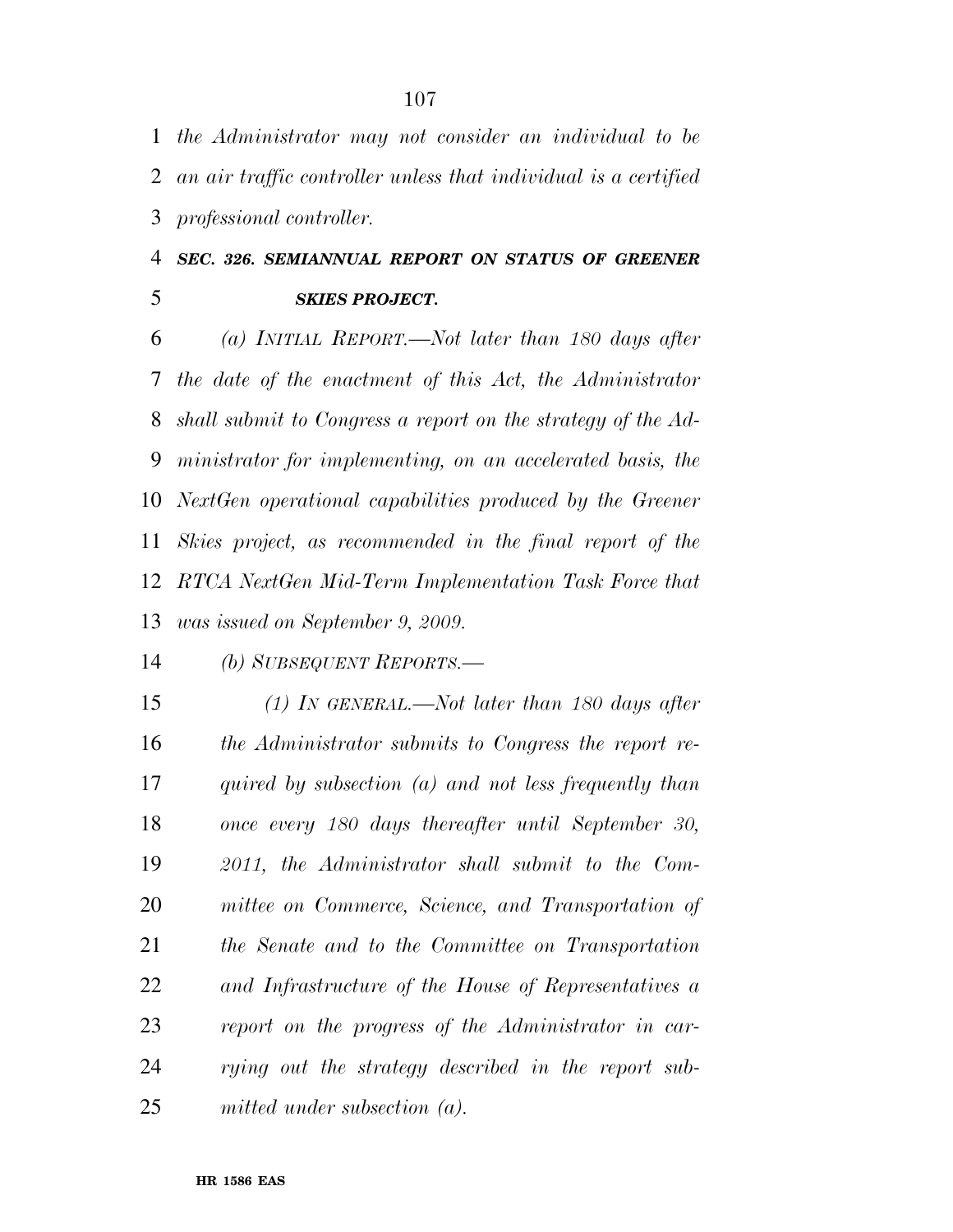*the Administrator may not consider an individual to be an air traffic controller unless that individual is a certified professional controller.* 

## *SEC. 326. SEMIANNUAL REPORT ON STATUS OF GREENER SKIES PROJECT.*

 *(a) INITIAL REPORT.—Not later than 180 days after the date of the enactment of this Act, the Administrator shall submit to Congress a report on the strategy of the Ad- ministrator for implementing, on an accelerated basis, the NextGen operational capabilities produced by the Greener Skies project, as recommended in the final report of the RTCA NextGen Mid-Term Implementation Task Force that was issued on September 9, 2009.* 

*(b) SUBSEQUENT REPORTS.—* 

 *(1) IN GENERAL.—Not later than 180 days after the Administrator submits to Congress the report re- quired by subsection (a) and not less frequently than once every 180 days thereafter until September 30, 2011, the Administrator shall submit to the Com- mittee on Commerce, Science, and Transportation of the Senate and to the Committee on Transportation and Infrastructure of the House of Representatives a report on the progress of the Administrator in car- rying out the strategy described in the report sub-mitted under subsection (a).*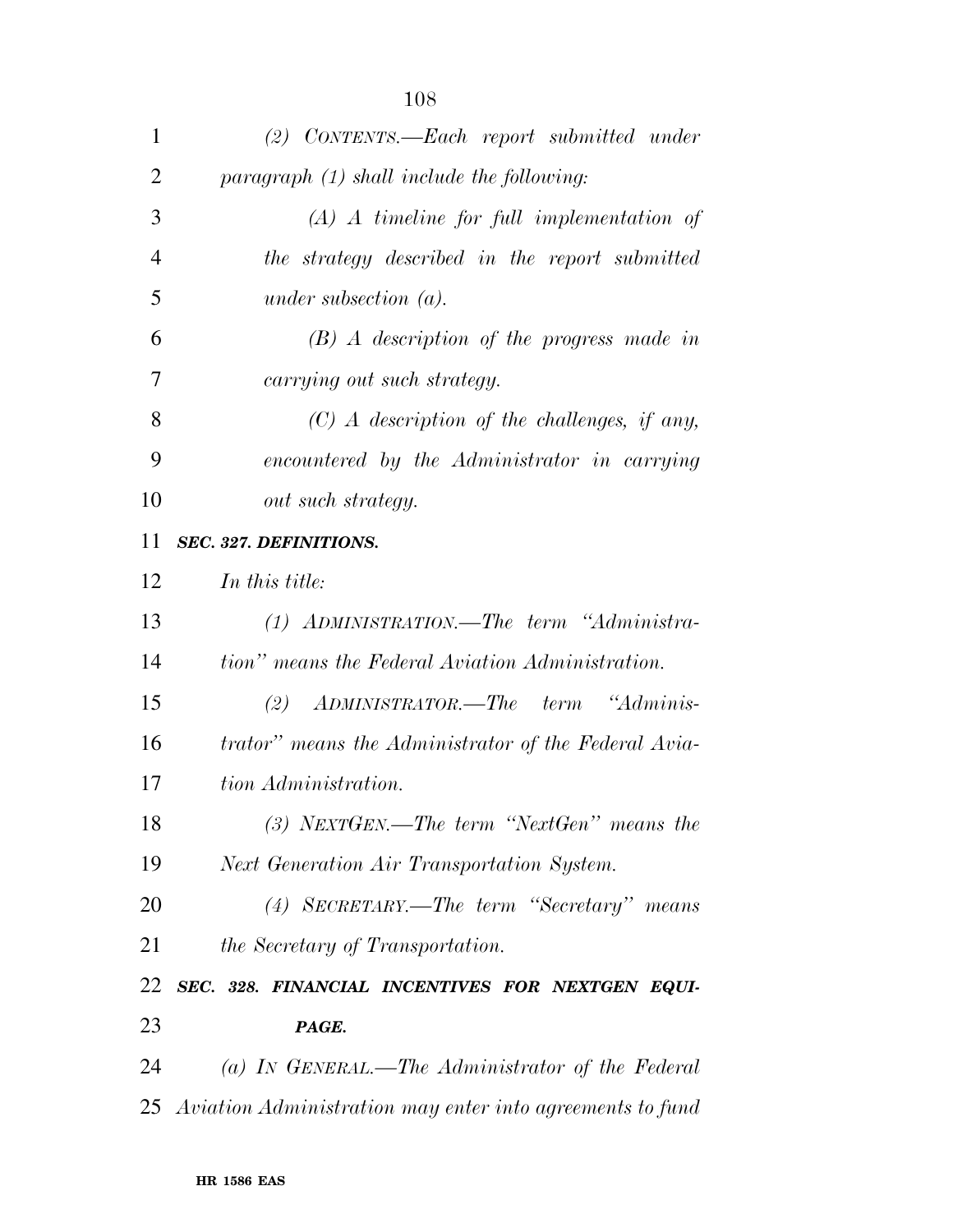| 1              | (2) CONTENTS.—Each report submitted under                    |
|----------------|--------------------------------------------------------------|
| $\overline{2}$ | $paramph (1) shall include the following:$                   |
| 3              | $(A)$ A timeline for full implementation of                  |
| $\overline{4}$ | the strategy described in the report submitted               |
| 5              | under subsection $(a)$ .                                     |
| 6              | $(B)$ A description of the progress made in                  |
| 7              | carrying out such strategy.                                  |
| 8              | $(C)$ A description of the challenges, if any,               |
| 9              | encountered by the Administrator in carrying                 |
| 10             | out such strategy.                                           |
| 11             | SEC. 327. DEFINITIONS.                                       |
| 12             | In this title:                                               |
| 13             | (1) ADMINISTRATION.—The term "Administra-                    |
| 14             | tion" means the Federal Aviation Administration.             |
| 15             | ADMINISTRATOR.-The term "Adminis-<br>(2)                     |
| 16             | trator" means the Administrator of the Federal Avia-         |
| 17             | tion Administration.                                         |
| 18             | $(3)$ NEXTGEN.—The term "NextGen" means the                  |
| 19             | Next Generation Air Transportation System.                   |
| 20             | (4) SECRETARY.—The term "Secretary" means                    |
| 21             | the Secretary of Transportation.                             |
| 22             | SEC. 328. FINANCIAL INCENTIVES FOR NEXTGEN EQUI-             |
| 23             | PAGE.                                                        |
| 24             | (a) IN GENERAL.—The Administrator of the Federal             |
|                | 25 Aviation Administration may enter into agreements to fund |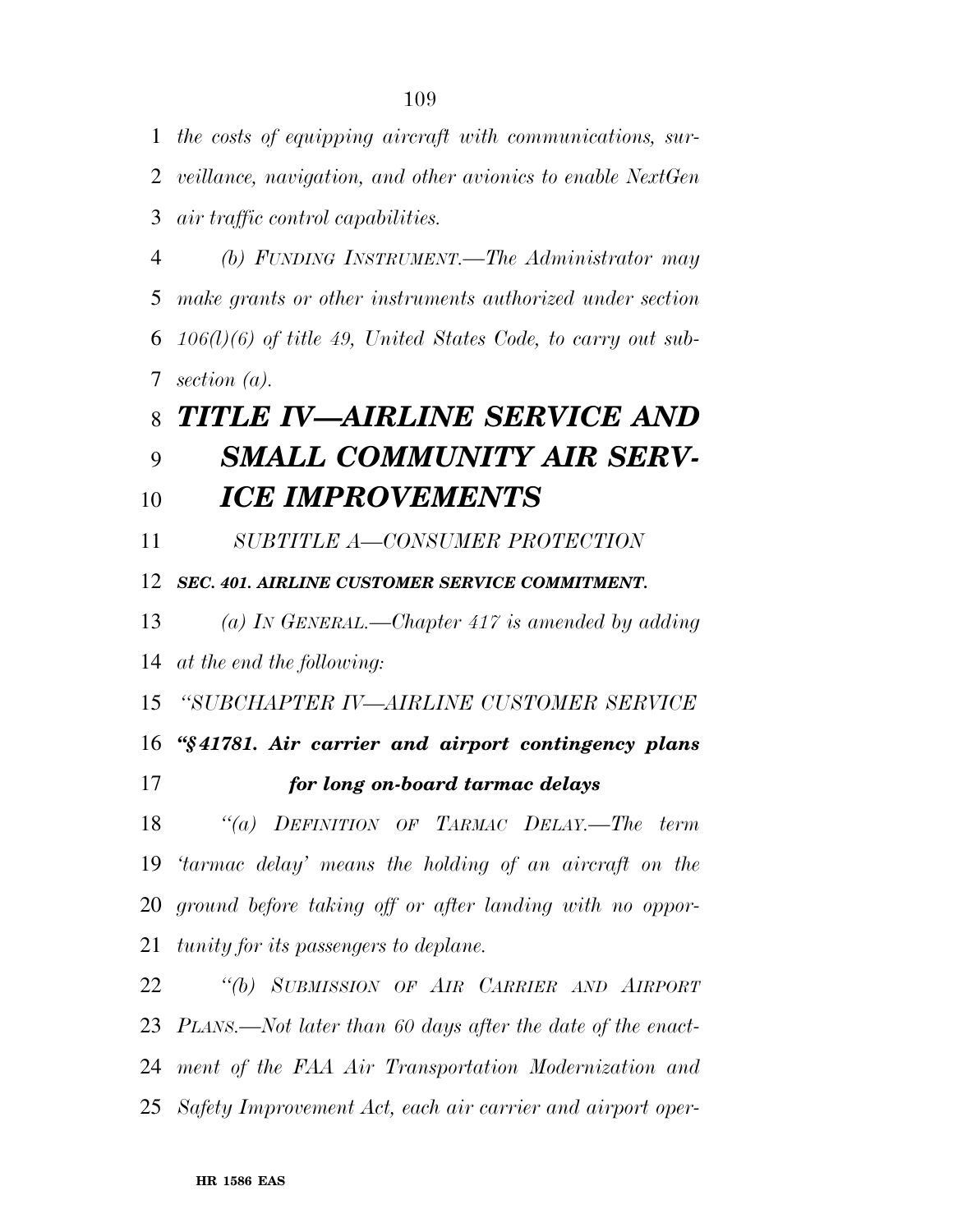*the costs of equipping aircraft with communications, sur- veillance, navigation, and other avionics to enable NextGen air traffic control capabilities.* 

 *(b) FUNDING INSTRUMENT.—The Administrator may make grants or other instruments authorized under section 106(l)(6) of title 49, United States Code, to carry out sub-section (a).* 

# *TITLE IV—AIRLINE SERVICE AND SMALL COMMUNITY AIR SERV-*

### *ICE IMPROVEMENTS*

*SUBTITLE A—CONSUMER PROTECTION* 

#### *SEC. 401. AIRLINE CUSTOMER SERVICE COMMITMENT.*

*(a) IN GENERAL.—Chapter 417 is amended by adding* 

*at the end the following:* 

*''SUBCHAPTER IV—AIRLINE CUSTOMER SERVICE* 

 *''§ 41781. Air carrier and airport contingency plans for long on-board tarmac delays* 

 *''(a) DEFINITION OF TARMAC DELAY.—The term 'tarmac delay' means the holding of an aircraft on the ground before taking off or after landing with no oppor-tunity for its passengers to deplane.* 

 *''(b) SUBMISSION OF AIR CARRIER AND AIRPORT PLANS.—Not later than 60 days after the date of the enact- ment of the FAA Air Transportation Modernization and Safety Improvement Act, each air carrier and airport oper-*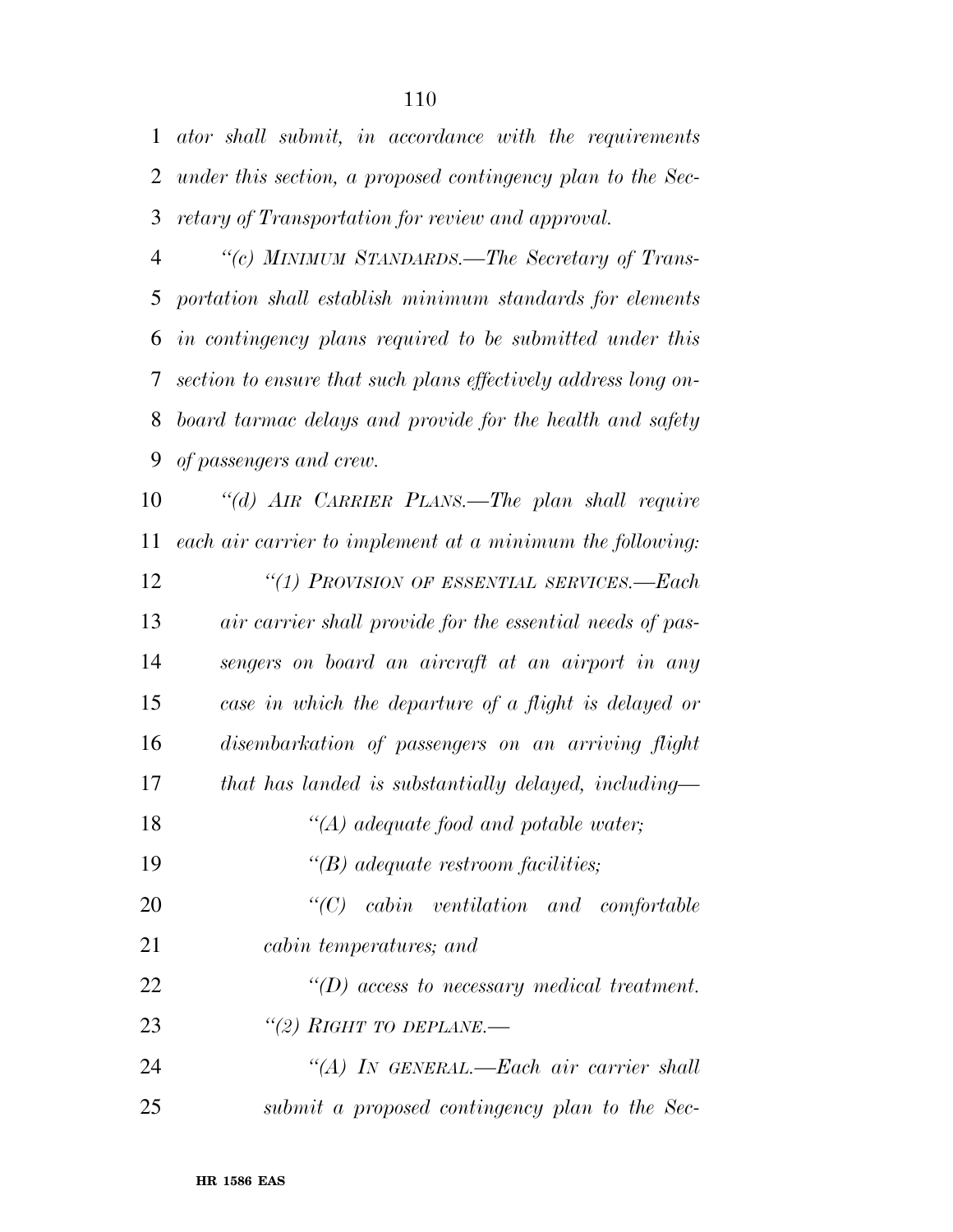*ator shall submit, in accordance with the requirements under this section, a proposed contingency plan to the Sec-retary of Transportation for review and approval.* 

 *''(c) MINIMUM STANDARDS.—The Secretary of Trans- portation shall establish minimum standards for elements in contingency plans required to be submitted under this section to ensure that such plans effectively address long on- board tarmac delays and provide for the health and safety of passengers and crew.* 

 *''(d) AIR CARRIER PLANS.—The plan shall require each air carrier to implement at a minimum the following: ''(1) PROVISION OF ESSENTIAL SERVICES.—Each air carrier shall provide for the essential needs of pas- sengers on board an aircraft at an airport in any case in which the departure of a flight is delayed or disembarkation of passengers on an arriving flight that has landed is substantially delayed, including— ''(A) adequate food and potable water; ''(B) adequate restroom facilities; ''(C) cabin ventilation and comfortable cabin temperatures; and ''(D) access to necessary medical treatment. ''(2) RIGHT TO DEPLANE.— ''(A) IN GENERAL.—Each air carrier shall submit a proposed contingency plan to the Sec-*

**HR 1586 EAS**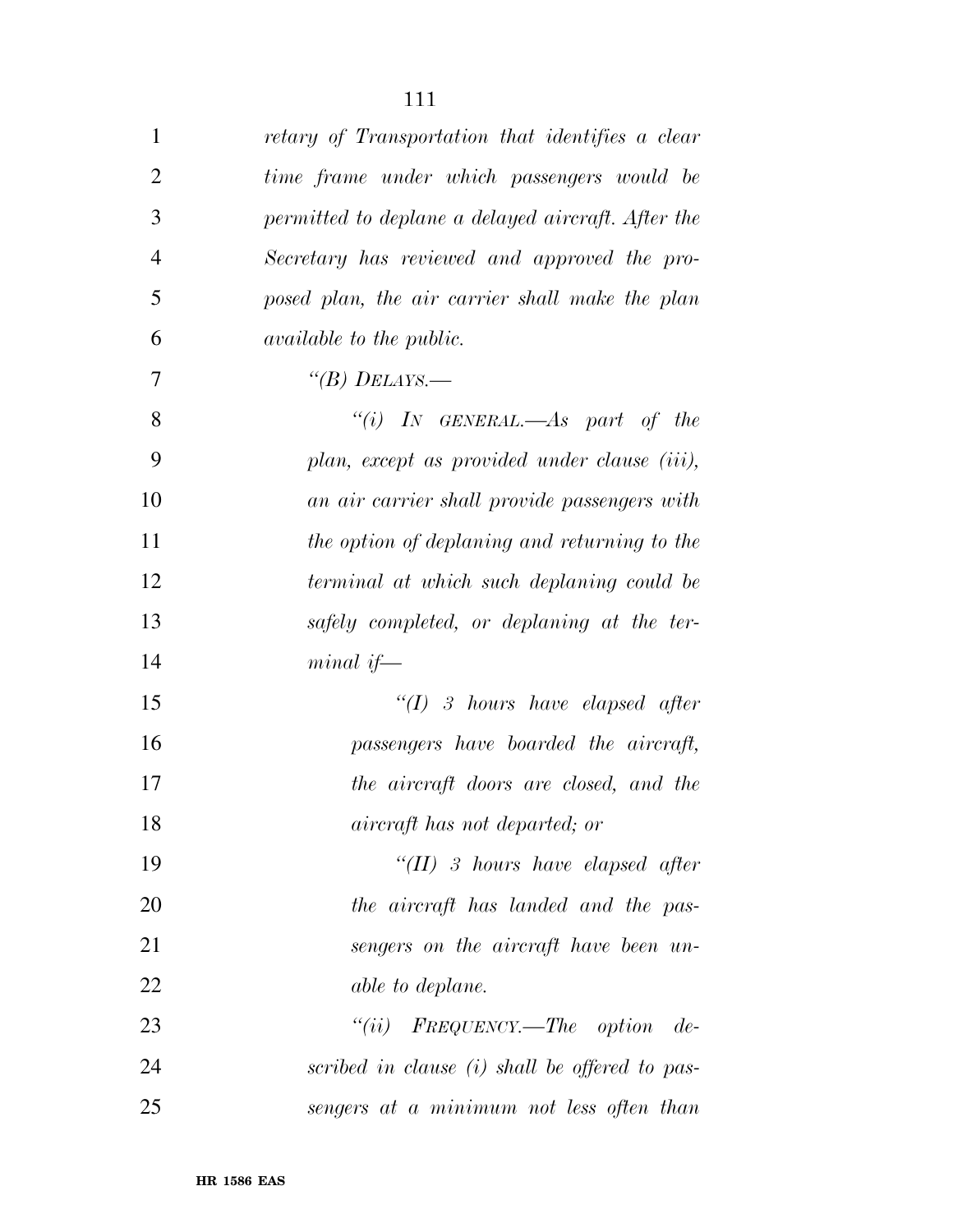| $\mathbf{1}$   | retary of Transportation that identifies a clear   |
|----------------|----------------------------------------------------|
| $\overline{2}$ | time frame under which passengers would be         |
| 3              | permitted to deplane a delayed aircraft. After the |
| $\overline{4}$ | Secretary has reviewed and approved the pro-       |
| 5              | posed plan, the air carrier shall make the plan    |
| 6              | <i>available to the public.</i>                    |
| 7              | "(B) DELAYS.—                                      |
| 8              | "(i) IN GENERAL.—As part of the                    |
| 9              | plan, except as provided under clause (iii),       |
| 10             | an air carrier shall provide passengers with       |
| 11             | the option of deplaning and returning to the       |
| 12             | terminal at which such deplaning could be          |
| 13             | safely completed, or deplaning at the ter-         |
| 14             | $minal$ if—                                        |
| 15             | " $(I)$ 3 hours have elapsed after                 |
| 16             | passengers have boarded the aircraft,              |
| 17             | the aircraft doors are closed, and the             |
| 18             | aircraft has not departed; or                      |
| 19             | "(II) 3 hours have elapsed after                   |
| 20             | the aircraft has landed and the pas-               |
| 21             | sengers on the aircraft have been un-              |
| 22             | <i>able to deplane.</i>                            |
| 23             | "(ii) $F_{REQUENCY.}$ —The option de-              |
| 24             | scribed in clause (i) shall be offered to pas-     |
| 25             | sengers at a minimum not less often than           |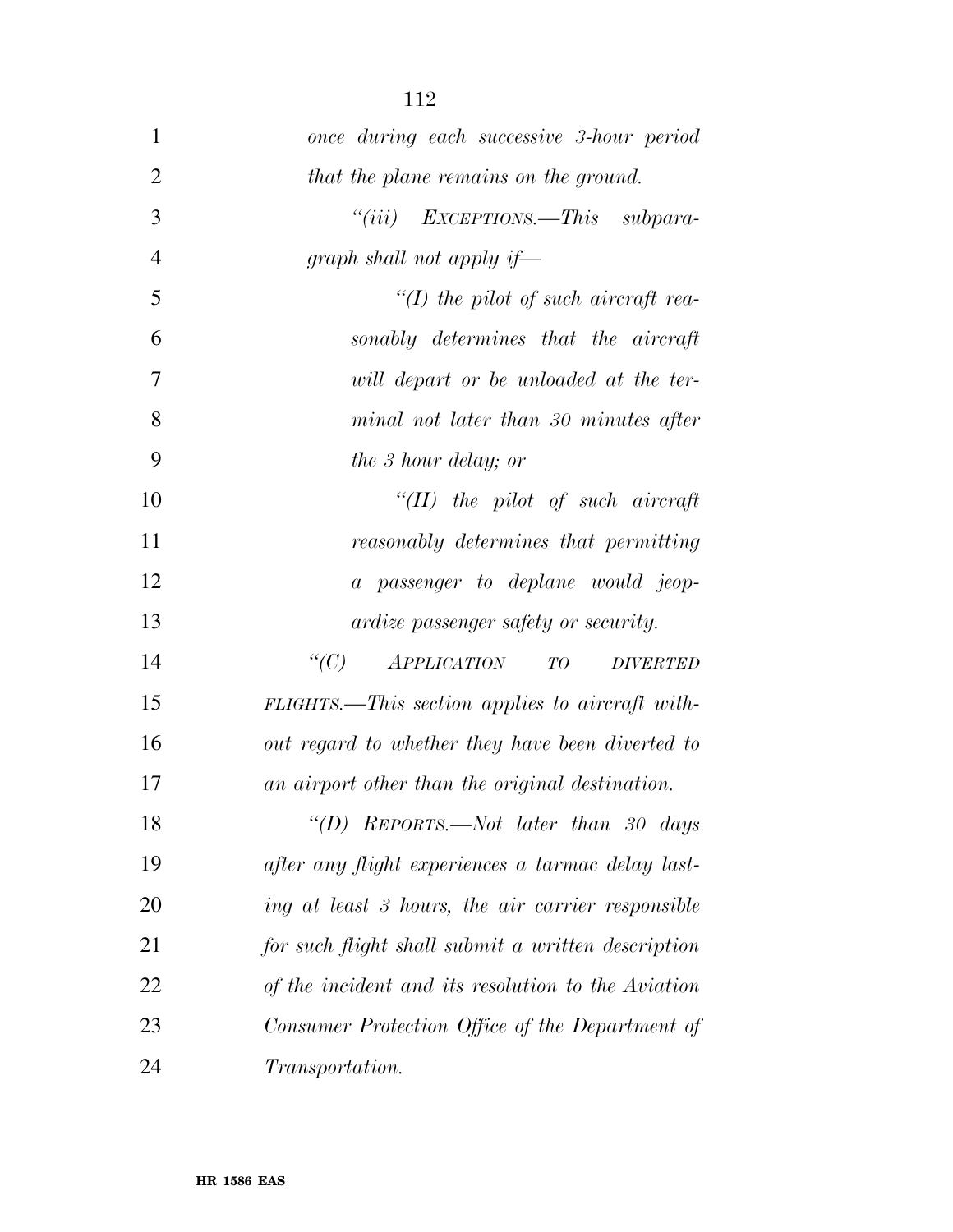| $\mathbf{1}$   | once during each successive 3-hour period          |
|----------------|----------------------------------------------------|
| $\overline{2}$ | that the plane remains on the ground.              |
| 3              | "(iii) $EXCEPTIONS$ —This subpara-                 |
| $\overline{4}$ | graph shall not apply if—                          |
| 5              | $\lq (I)$ the pilot of such aircraft rea-          |
| 6              | sonably determines that the aircraft               |
| 7              | will depart or be unloaded at the ter-             |
| 8              | minal not later than 30 minutes after              |
| 9              | the 3 hour delay; or                               |
| 10             | $``(II)$ the pilot of such aircraft                |
| 11             | reasonably determines that permitting              |
| 12             | a passenger to deplane would jeop-                 |
| 13             | <i>ardize passenger safety or security.</i>        |
| 14             | $APPLICATION$ TO<br>$\lq\lq C$<br>DIVERTED         |
| 15             | FLIGHTS.—This section applies to aircraft with-    |
| 16             | out regard to whether they have been diverted to   |
| 17             | an airport other than the original destination.    |
| 18             | "(D) REPORTS.—Not later than 30 days               |
| 19             | after any flight experiences a tarmac delay last-  |
| 20             | ing at least 3 hours, the air carrier responsible  |
| 21             | for such flight shall submit a written description |
| 22             | of the incident and its resolution to the Aviation |
| 23             | Consumer Protection Office of the Department of    |
| 24             | <i>Transportation.</i>                             |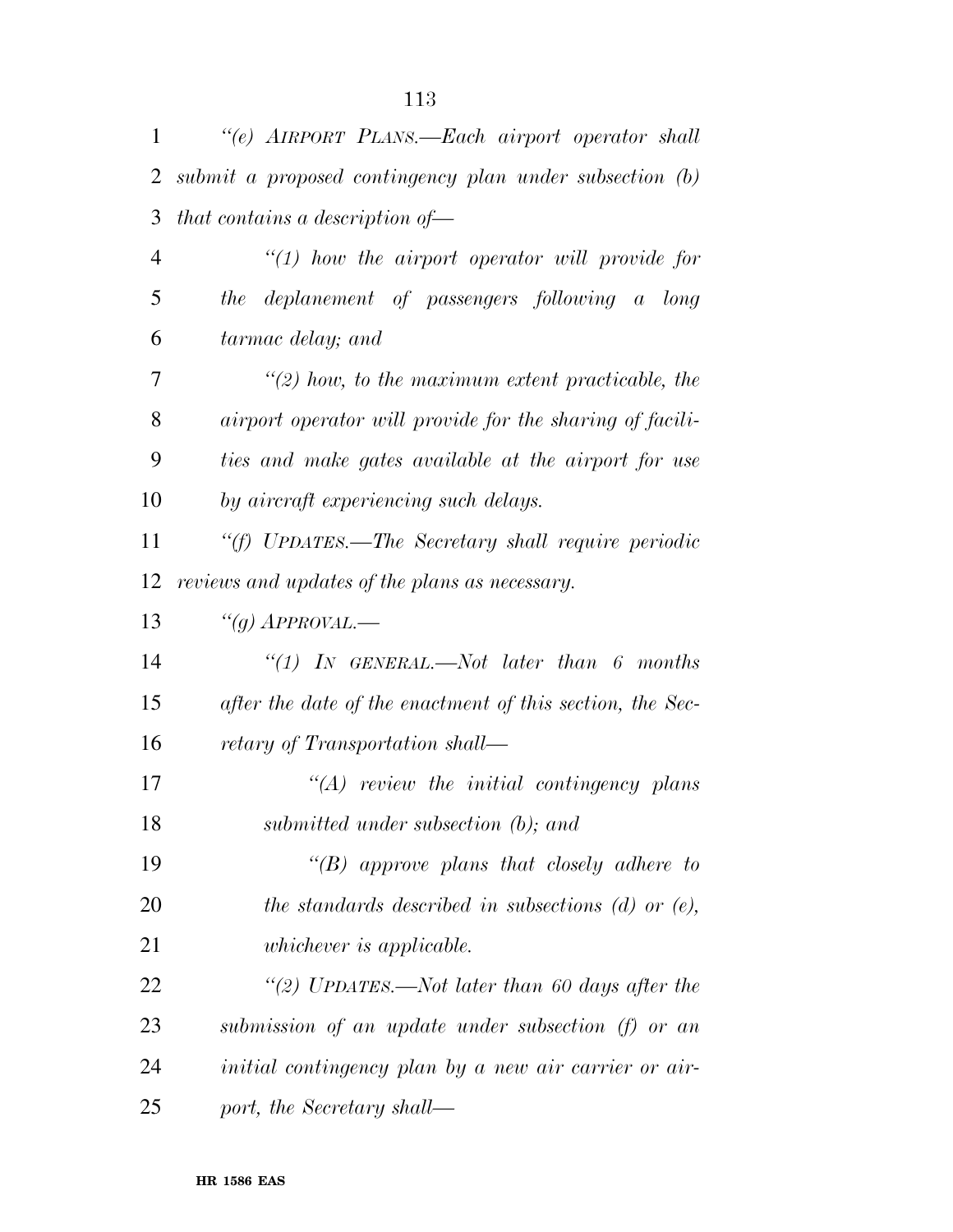| 1  | "(e) AIRPORT PLANS.—Each airport operator shall           |
|----|-----------------------------------------------------------|
| 2  | submit a proposed contingency plan under subsection (b)   |
| 3  | that contains a description of-                           |
| 4  | $\lq(1)$ how the airport operator will provide for        |
| 5  | the deplanement of passengers following a long            |
| 6  | tarmac delay; and                                         |
| 7  | $\lq(2)$ how, to the maximum extent practicable, the      |
| 8  | airport operator will provide for the sharing of facili-  |
| 9  | ties and make gates available at the airport for use      |
| 10 | by aircraft experiencing such delays.                     |
| 11 | "(f) UPDATES.—The Secretary shall require periodic        |
| 12 | reviews and updates of the plans as necessary.            |
| 13 | "(g) $APPROVAL$ .                                         |
| 14 | "(1) IN GENERAL.—Not later than 6 months                  |
| 15 | after the date of the enactment of this section, the Sec- |
| 16 | retary of Transportation shall—                           |
| 17 | $\lq (A)$ review the initial contingency plans            |
| 18 | submitted under subsection (b); and                       |
| 19 | $\lq\lq(B)$ approve plans that closely adhere to          |
| 20 | the standards described in subsections $(d)$ or $(e)$ ,   |
| 21 | <i>whichever is applicable.</i>                           |
| 22 | "(2) UPDATES.—Not later than 60 days after the            |
| 23 | submission of an update under subsection (f) or an        |
| 24 | initial contingency plan by a new air carrier or air-     |
| 25 | port, the Secretary shall—                                |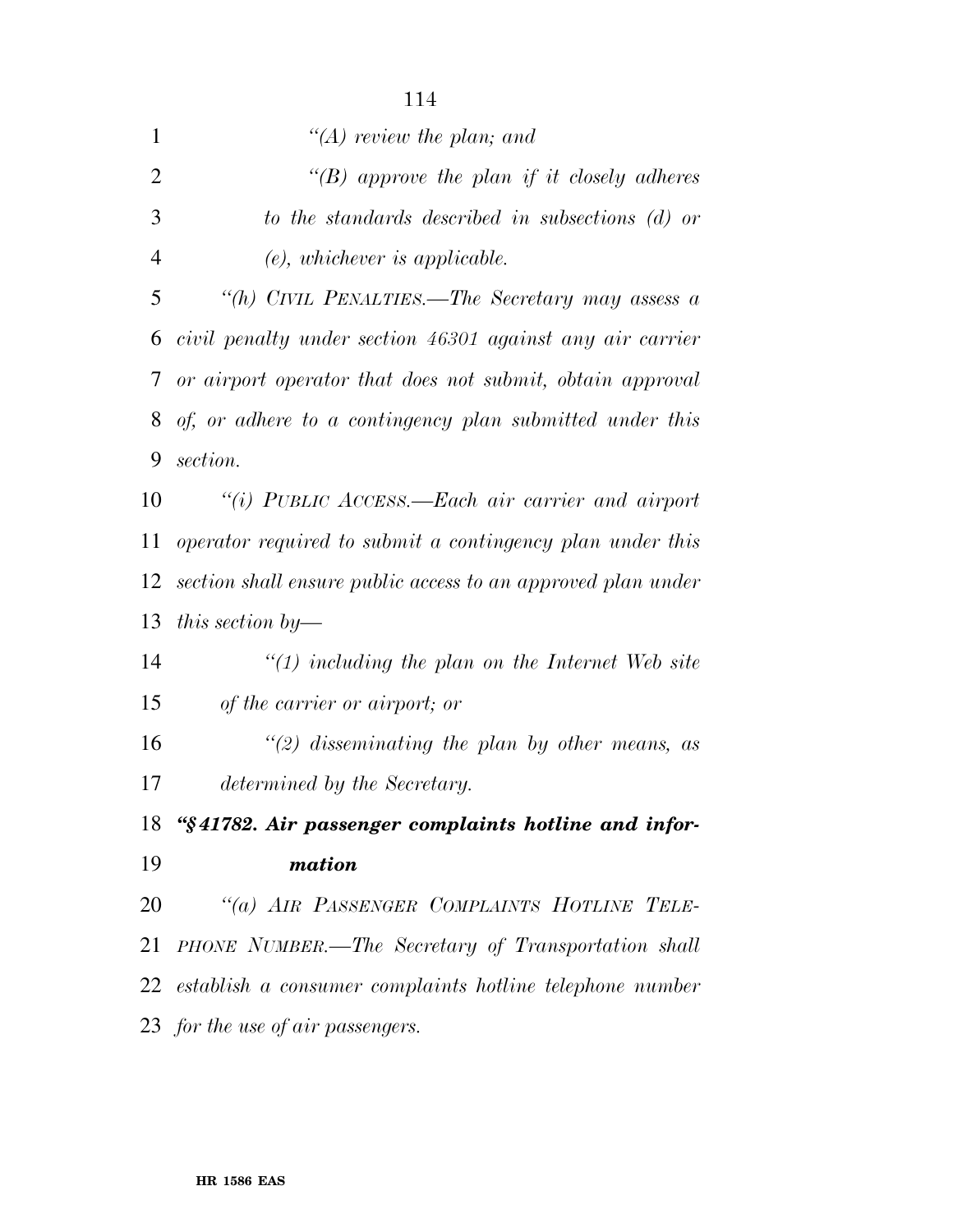| 1              | "(A) review the plan; and                                    |
|----------------|--------------------------------------------------------------|
| $\overline{2}$ | "(B) approve the plan if it closely adheres                  |
| 3              | to the standards described in subsections (d) or             |
| 4              | $(e)$ , whichever is applicable.                             |
| 5              | "(h) CIVIL PENALTIES.—The Secretary may assess a             |
| 6              | civil penalty under section 46301 against any air carrier    |
| 7              | or airport operator that does not submit, obtain approval    |
| 8              | of, or adhere to a contingency plan submitted under this     |
| 9              | section.                                                     |
| 10             | "(i) PUBLIC ACCESS.—Each air carrier and airport             |
| 11             | operator required to submit a contingency plan under this    |
| 12             | section shall ensure public access to an approved plan under |
| 13             | this section by—                                             |
| 14             | $\lq(1)$ including the plan on the Internet Web site         |
| 15             | of the carrier or airport; or                                |
| 16             | $\lq(2)$ disseminating the plan by other means, as           |
| 17             | determined by the Secretary.                                 |
| 18             | "§41782. Air passenger complaints hotline and infor-         |
| 19             | mation                                                       |
| 20             | "(a) AIR PASSENGER COMPLAINTS HOTLINE TELE-                  |
| 21             | PHONE NUMBER.—The Secretary of Transportation shall          |
|                | 22 establish a consumer complaints hotline telephone number  |
|                | 23 for the use of air passengers.                            |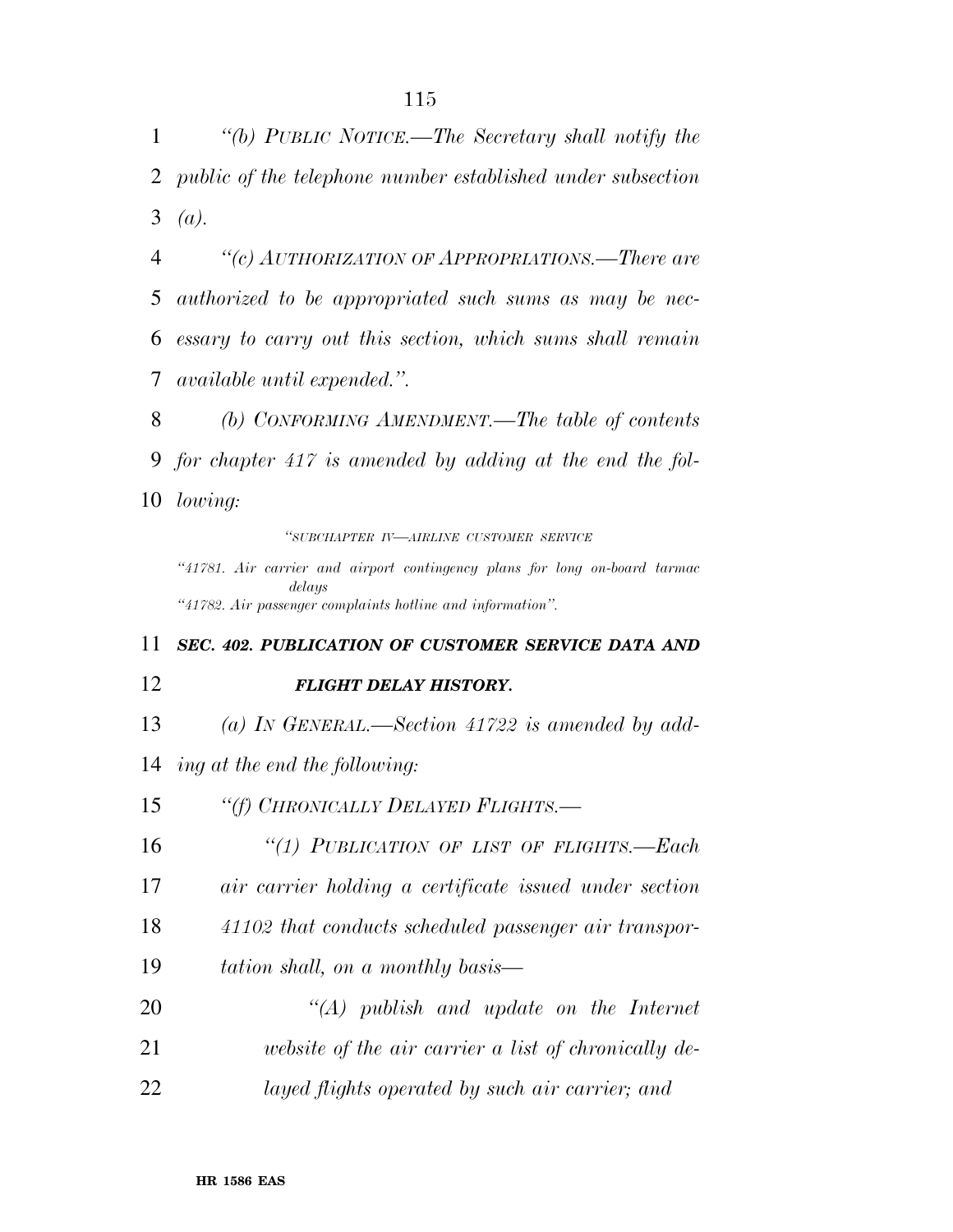*''(b) PUBLIC NOTICE.—The Secretary shall notify the public of the telephone number established under subsection (a).* 

 *''(c) AUTHORIZATION OF APPROPRIATIONS.—There are authorized to be appropriated such sums as may be nec- essary to carry out this section, which sums shall remain available until expended.''.* 

 *(b) CONFORMING AMENDMENT.—The table of contents for chapter 417 is amended by adding at the end the fol-lowing:* 

*''SUBCHAPTER IV—AIRLINE CUSTOMER SERVICE*

*''41781. Air carrier and airport contingency plans for long on-board tarmac delays ''41782. Air passenger complaints hotline and information''.* 

#### *SEC. 402. PUBLICATION OF CUSTOMER SERVICE DATA AND*

#### *FLIGHT DELAY HISTORY.*

*(a) IN GENERAL.—Section 41722 is amended by add-*

*ing at the end the following:* 

*''(f) CHRONICALLY DELAYED FLIGHTS.—* 

 *''(1) PUBLICATION OF LIST OF FLIGHTS.—Each air carrier holding a certificate issued under section 41102 that conducts scheduled passenger air transpor- tation shall, on a monthly basis— ''(A) publish and update on the Internet* 

- *website of the air carrier a list of chronically de-*
- *layed flights operated by such air carrier; and*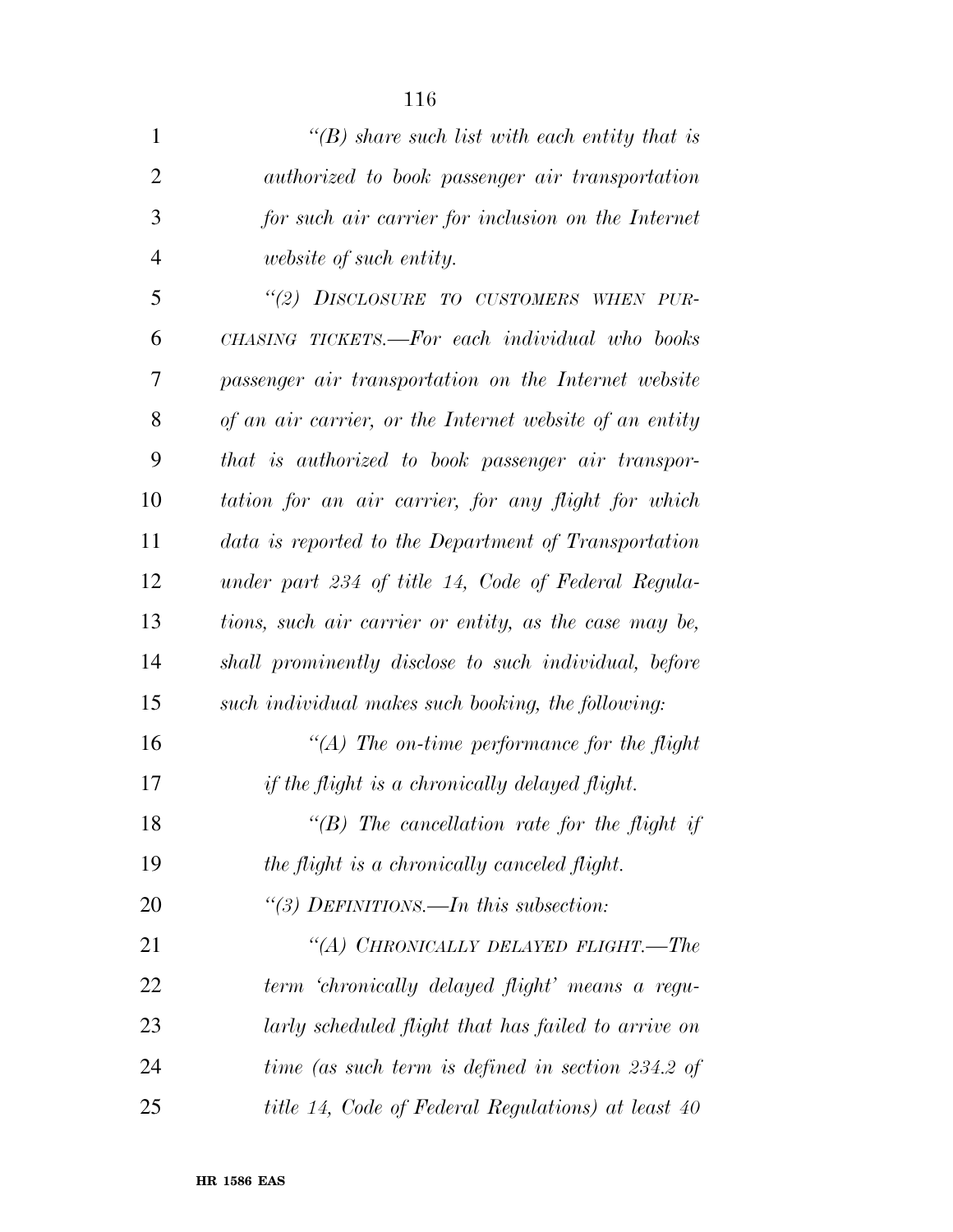| $\mathbf{1}$   | $\lq (B)$ share such list with each entity that is      |
|----------------|---------------------------------------------------------|
| $\overline{2}$ | <i>authorized to book passenger air transportation</i>  |
| 3              | for such air carrier for inclusion on the Internet      |
| $\overline{4}$ | website of such entity.                                 |
| 5              | "(2) DISCLOSURE TO CUSTOMERS WHEN PUR-                  |
| 6              | CHASING TICKETS.—For each individual who books          |
| 7              | passenger air transportation on the Internet website    |
| 8              | of an air carrier, or the Internet website of an entity |
| 9              | that is authorized to book passenger air transpor-      |
| 10             | tation for an air carrier, for any flight for which     |
| 11             | data is reported to the Department of Transportation    |
| 12             | under part 234 of title 14, Code of Federal Regula-     |
| 13             | tions, such air carrier or entity, as the case may be,  |
| 14             | shall prominently disclose to such individual, before   |
| 15             | such individual makes such booking, the following:      |
| 16             | $\lq (A)$ The on-time performance for the flight        |
| 17             | if the flight is a chronically delayed flight.          |
| 18             | "(B) The cancellation rate for the flight if            |
| 19             | the flight is a chronically canceled flight.            |
| 20             | "(3) DEFINITIONS.—In this subsection:                   |
| 21             | "(A) CHRONICALLY DELAYED FLIGHT.—The                    |
| 22             | term 'chronically delayed flight' means a regu-         |
| 23             | larly scheduled flight that has failed to arrive on     |
| 24             | time (as such term is defined in section 234.2 of       |
| 25             | title 14, Code of Federal Regulations) at least 40      |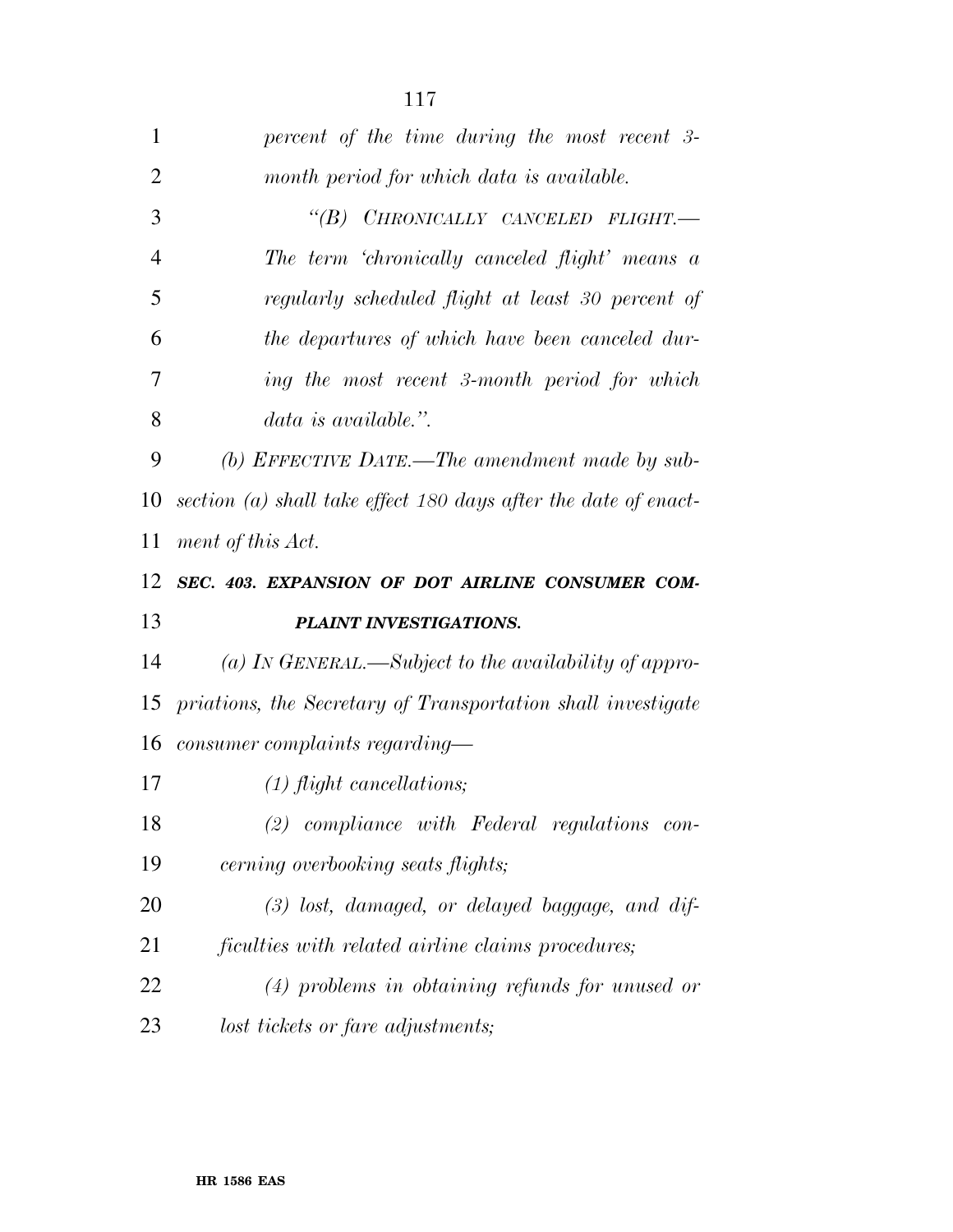| $\mathbf{1}$   | percent of the time during the most recent 3-                   |
|----------------|-----------------------------------------------------------------|
| $\overline{2}$ | month period for which data is available.                       |
| 3              | "(B) CHRONICALLY CANCELED FLIGHT.-                              |
| $\overline{4}$ | The term 'chronically canceled flight' means a                  |
| 5              | regularly scheduled flight at least 30 percent of               |
| 6              | the departures of which have been canceled dur-                 |
| 7              | ing the most recent 3-month period for which                    |
| 8              | data is available.".                                            |
| 9              | (b) EFFECTIVE DATE.—The amendment made by sub-                  |
| 10             | section (a) shall take effect 180 days after the date of enact- |
| 11             | ment of this Act.                                               |
|                |                                                                 |
| 12             | SEC. 403. EXPANSION OF DOT AIRLINE CONSUMER COM-                |
| 13             | PLAINT INVESTIGATIONS.                                          |
| 14             | (a) In GENERAL.—Subject to the availability of appro-           |
| 15             | priations, the Secretary of Transportation shall investigate    |
| 16             | $consumer\ compla ints\ regarding -$                            |
| 17             | $(1)$ flight cancellations;                                     |
| 18             | $(2)$ compliance with Federal regulations con-                  |
| 19             | cerning overbooking seats flights;                              |
| 20             | $(3)$ lost, damaged, or delayed baggage, and dif-               |
| 21             | ficulties with related airline claims procedures;               |
| 22             | $(4)$ problems in obtaining refunds for unused or               |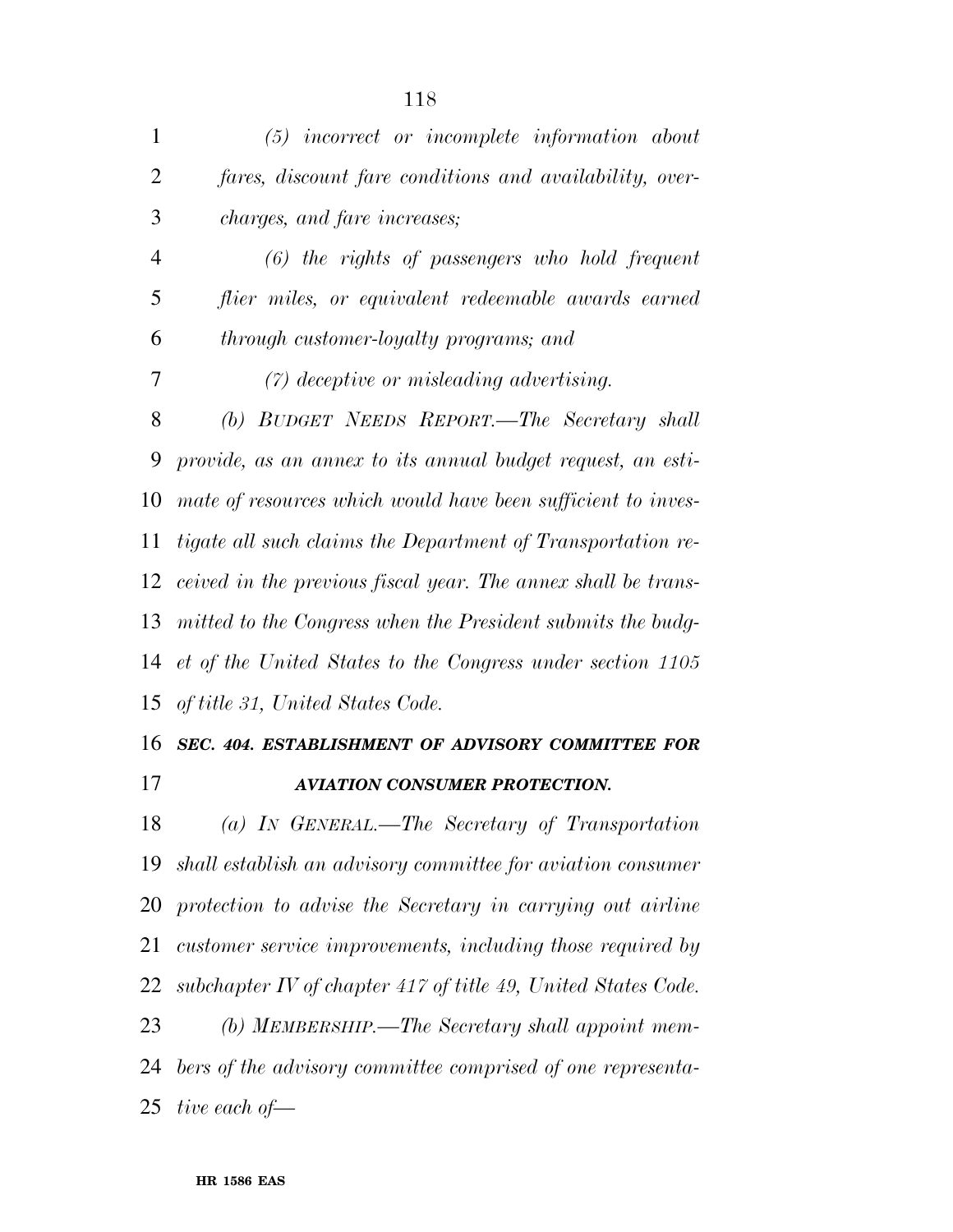| 1              | $(5)$ incorrect or incomplete information about                    |
|----------------|--------------------------------------------------------------------|
| $\overline{2}$ | fares, discount fare conditions and availability, over-            |
| 3              | charges, and fare increases;                                       |
| $\overline{4}$ | $(6)$ the rights of passengers who hold frequent                   |
| 5              | flier miles, or equivalent redeemable awards earned                |
| 6              | through customer-loyalty programs; and                             |
| 7              | $(7)$ deceptive or misleading advertising.                         |
| 8              | (b) BUDGET NEEDS REPORT.—The Secretary shall                       |
| 9              | provide, as an annex to its annual budget request, an esti-        |
| 10             | mate of resources which would have been sufficient to inves-       |
| 11             | tigate all such claims the Department of Transportation re-        |
| 12             | ceived in the previous fiscal year. The annex shall be trans-      |
| 13             | mitted to the Congress when the President submits the budg-        |
| 14             | et of the United States to the Congress under section 1105         |
|                | 15 of title 31, United States Code.                                |
|                |                                                                    |
|                | 16 SEC. 404. ESTABLISHMENT OF ADVISORY COMMITTEE FOR               |
| 17             | <b>AVIATION CONSUMER PROTECTION.</b>                               |
| 18             | (a) IN GENERAL.—The Secretary of Transportation                    |
|                | 19 shall establish an advisory committee for aviation consumer     |
|                | 20 protection to advise the Secretary in carrying out airline      |
| 21             | customer service improvements, including those required by         |
| 22             | subchapter IV of chapter $417$ of title $49$ , United States Code. |
| 23             | (b) MEMBERSHIP.—The Secretary shall appoint mem-                   |
|                | 24 bers of the advisory committee comprised of one representa-     |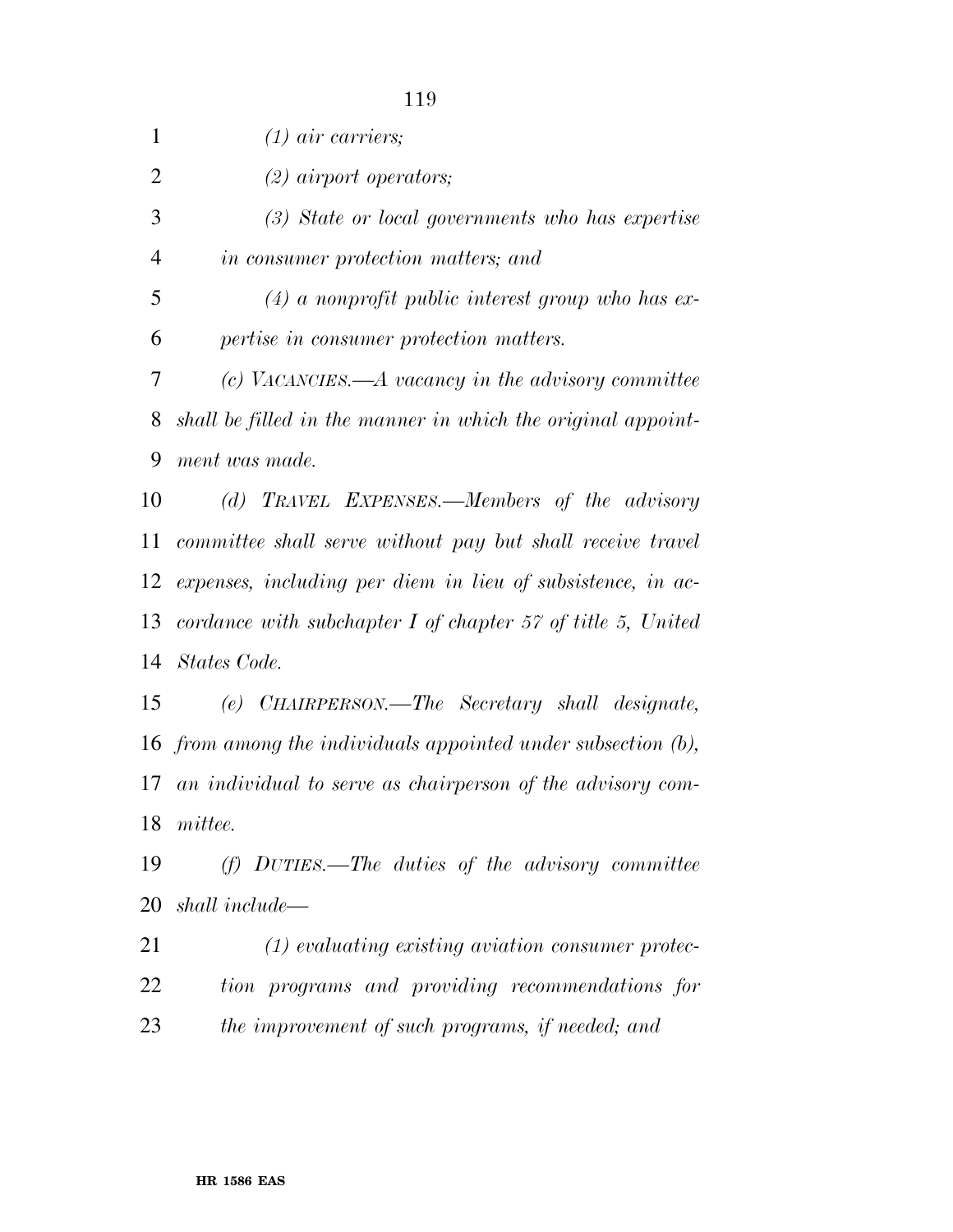| $\mathbf{1}$   | $(1)$ air carriers;                                           |
|----------------|---------------------------------------------------------------|
| $\overline{2}$ | $(2)$ airport operators;                                      |
| 3              | (3) State or local governments who has expertise              |
| $\overline{4}$ | in consumer protection matters; and                           |
| 5              | $(4)$ a nonprofit public interest group who has ex-           |
| 6              | pertise in consumer protection matters.                       |
| 7              | (c) VACANCIES.— $A$ vacancy in the advisory committee         |
| 8              | shall be filled in the manner in which the original appoint-  |
| 9              | ment was made.                                                |
| 10             | (d) TRAVEL EXPENSES.—Members of the advisory                  |
| 11             | committee shall serve without pay but shall receive travel    |
| 12             | expenses, including per diem in lieu of subsistence, in ac-   |
| 13             | cordance with subchapter $I$ of chapter 57 of title 5, United |
| 14             | States Code.                                                  |
| 15             | (e) CHAIRPERSON.—The Secretary shall designate,               |
|                | 16 from among the individuals appointed under subsection (b), |
| 17             | an individual to serve as chairperson of the advisory com-    |
| 18             | mittee.                                                       |
| 19             | $(f)$ DUTIES.—The duties of the advisory committee            |
| 20             | shall include—                                                |
| 21             | $(1)$ evaluating existing aviation consumer protec-           |
| 22             | tion programs and providing recommendations for               |
| 23             | the improvement of such programs, if needed; and              |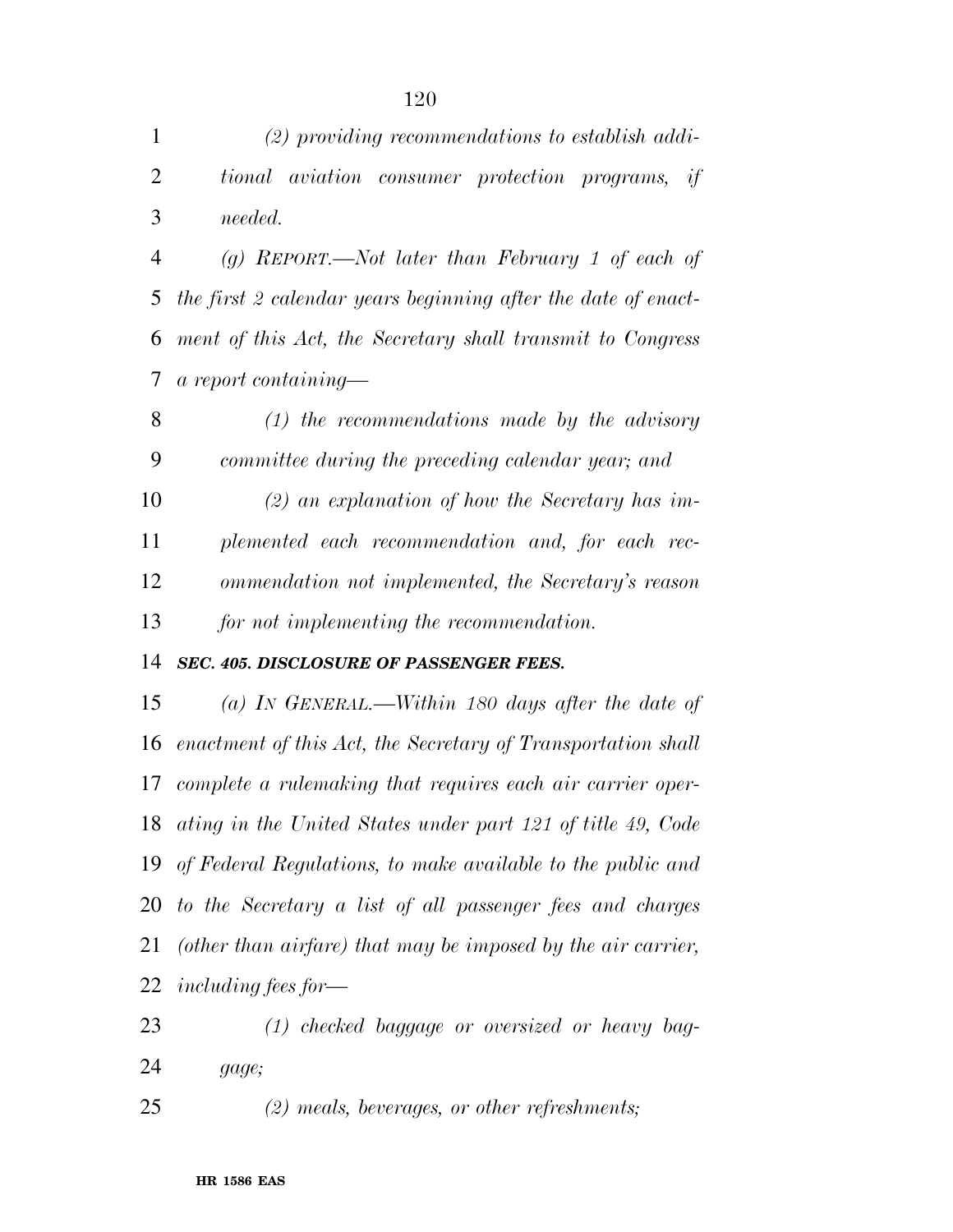| 1              | $(2)$ providing recommendations to establish addi-            |
|----------------|---------------------------------------------------------------|
| $\overline{2}$ | tional aviation consumer protection programs, if              |
| 3              | needed.                                                       |
| 4              | (g) REPORT.—Not later than February 1 of each of              |
| 5              | the first 2 calendar years beginning after the date of enact- |
| 6              | ment of this Act, the Secretary shall transmit to Congress    |
| 7              | a report containing-                                          |
| 8              | $(1)$ the recommendations made by the advisory                |
| 9              | committee during the preceding calendar year; and             |
| 10             | $(2)$ an explanation of how the Secretary has im-             |
| 11             | plemented each recommendation and, for each rec-              |
| 12             | ommendation not implemented, the Secretary's reason           |
| 13             | for not implementing the recommendation.                      |
| 14             | <b>SEC. 405. DISCLOSURE OF PASSENGER FEES.</b>                |

 *(a) IN GENERAL.—Within 180 days after the date of enactment of this Act, the Secretary of Transportation shall complete a rulemaking that requires each air carrier oper- ating in the United States under part 121 of title 49, Code of Federal Regulations, to make available to the public and to the Secretary a list of all passenger fees and charges (other than airfare) that may be imposed by the air carrier, including fees for—* 

 *(1) checked baggage or oversized or heavy bag-gage;* 

*(2) meals, beverages, or other refreshments;*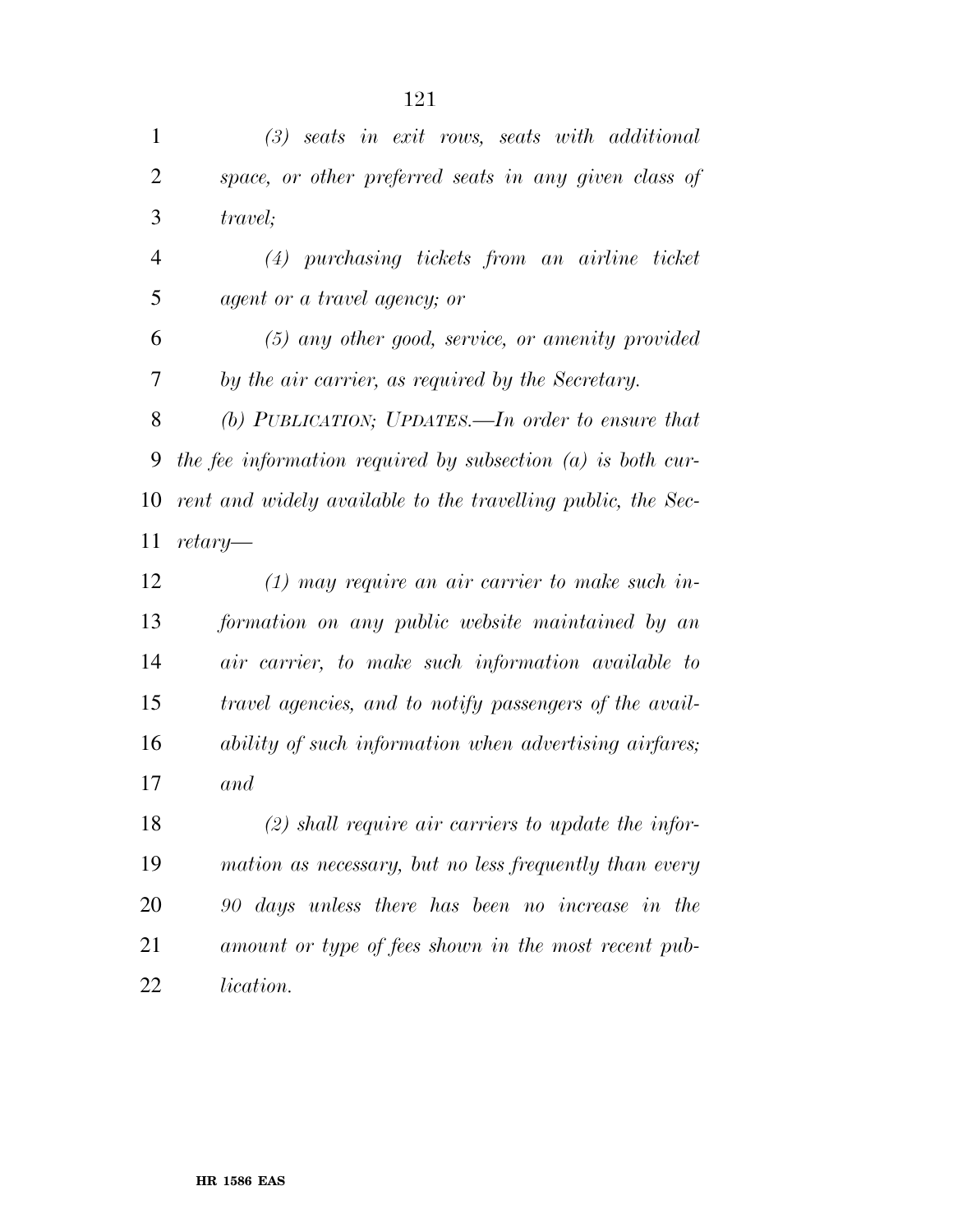| $\mathbf{1}$   | $(3)$ seats in exit rows, seats with additional               |
|----------------|---------------------------------------------------------------|
| $\overline{2}$ | space, or other preferred seats in any given class of         |
| 3              | <i>travel</i> ;                                               |
| $\overline{4}$ | (4) purchasing tickets from an airline ticket                 |
| 5              | agent or a travel agency; or                                  |
| 6              | $(5)$ any other good, service, or amenity provided            |
| 7              | by the air carrier, as required by the Secretary.             |
| 8              | (b) PUBLICATION; UPDATES.—In order to ensure that             |
| 9              | the fee information required by subsection $(a)$ is both cur- |
| 10             | rent and widely available to the travelling public, the Sec-  |
| 11             | $return$ —                                                    |
| 12             | $(1)$ may require an air carrier to make such in-             |
| 13             | formation on any public website maintained by an              |
| 14             | air carrier, to make such information available to            |
| 15             | travel agencies, and to notify passengers of the avail-       |
| 16             | ability of such information when advertising airfares;        |
| 17             | and                                                           |
| 18             | $(2)$ shall require air carriers to update the infor-         |
| 19             | mation as necessary, but no less frequently than every        |
| 20             | 90 days unless there has been no increase in the              |
| 21             | amount or type of fees shown in the most recent pub-          |
| 22             |                                                               |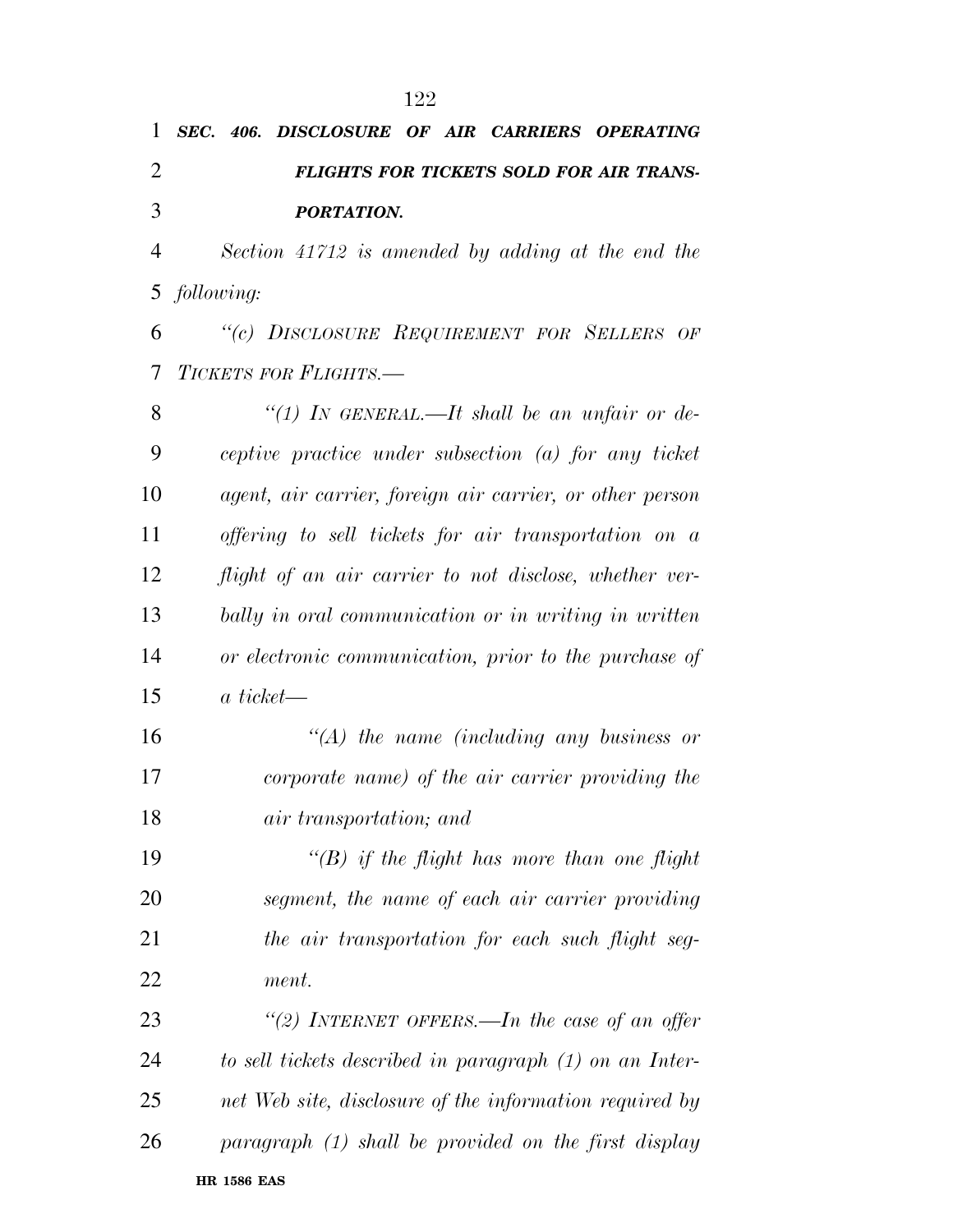| 1              | SEC. 406. DISCLOSURE OF AIR CARRIERS OPERATING           |
|----------------|----------------------------------------------------------|
| $\overline{2}$ | <b>FLIGHTS FOR TICKETS SOLD FOR AIR TRANS-</b>           |
| 3              | PORTATION.                                               |
| $\overline{4}$ | Section 41712 is amended by adding at the end the        |
| 5 <sup>5</sup> | following:                                               |
| 6              | "(c) DISCLOSURE REQUIREMENT FOR SELLERS OF               |
| 7              | TICKETS FOR FLIGHTS.-                                    |
| 8              | "(1) IN GENERAL.—It shall be an unfair or de-            |
| 9              | ceptive practice under subsection $(a)$ for any ticket   |
| 10             | agent, air carrier, foreign air carrier, or other person |
| 11             | offering to sell tickets for air transportation on a     |
| 12             | flight of an air carrier to not disclose, whether ver-   |
| 13             | bally in oral communication or in writing in written     |
| 14             | or electronic communication, prior to the purchase of    |
| 15             | $a\ ticket$                                              |
| 16             | $\lq (A)$ the name (including any business or            |
| 17             | corporate name) of the air carrier providing the         |
| 18             | <i>air transportation</i> ; and                          |
| 19             | "(B) if the flight has more than one flight              |
| 20             | segment, the name of each air carrier providing          |
| 21             | the air transportation for each such flight seg-         |
| 22             | ment.                                                    |
| 23             | "(2) INTERNET OFFERS.—In the case of an offer            |
| 24             | to sell tickets described in paragraph (1) on an Inter-  |
| 25             | net Web site, disclosure of the information required by  |
| 26             | paragraph (1) shall be provided on the first display     |
|                |                                                          |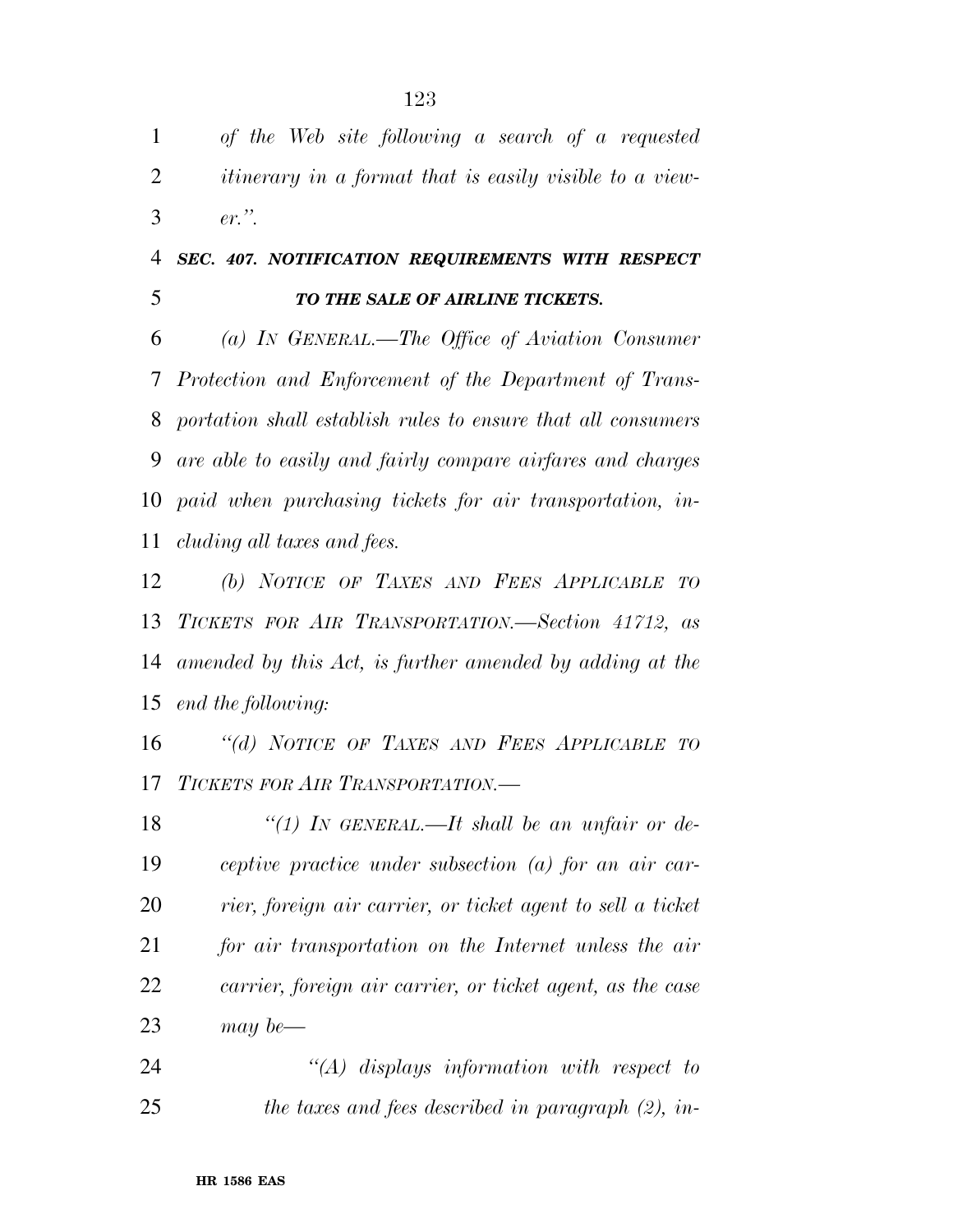*of the Web site following a search of a requested itinerary in a format that is easily visible to a view-*3  $er''$ 

### *SEC. 407. NOTIFICATION REQUIREMENTS WITH RESPECT TO THE SALE OF AIRLINE TICKETS.*

 *(a) IN GENERAL.—The Office of Aviation Consumer Protection and Enforcement of the Department of Trans- portation shall establish rules to ensure that all consumers are able to easily and fairly compare airfares and charges paid when purchasing tickets for air transportation, in-cluding all taxes and fees.* 

 *(b) NOTICE OF TAXES AND FEES APPLICABLE TO TICKETS FOR AIR TRANSPORTATION.—Section 41712, as amended by this Act, is further amended by adding at the end the following:* 

 *''(d) NOTICE OF TAXES AND FEES APPLICABLE TO TICKETS FOR AIR TRANSPORTATION.—* 

 *''(1) IN GENERAL.—It shall be an unfair or de- ceptive practice under subsection (a) for an air car- rier, foreign air carrier, or ticket agent to sell a ticket for air transportation on the Internet unless the air carrier, foreign air carrier, or ticket agent, as the case may be—* 

 *''(A) displays information with respect to the taxes and fees described in paragraph (2), in-*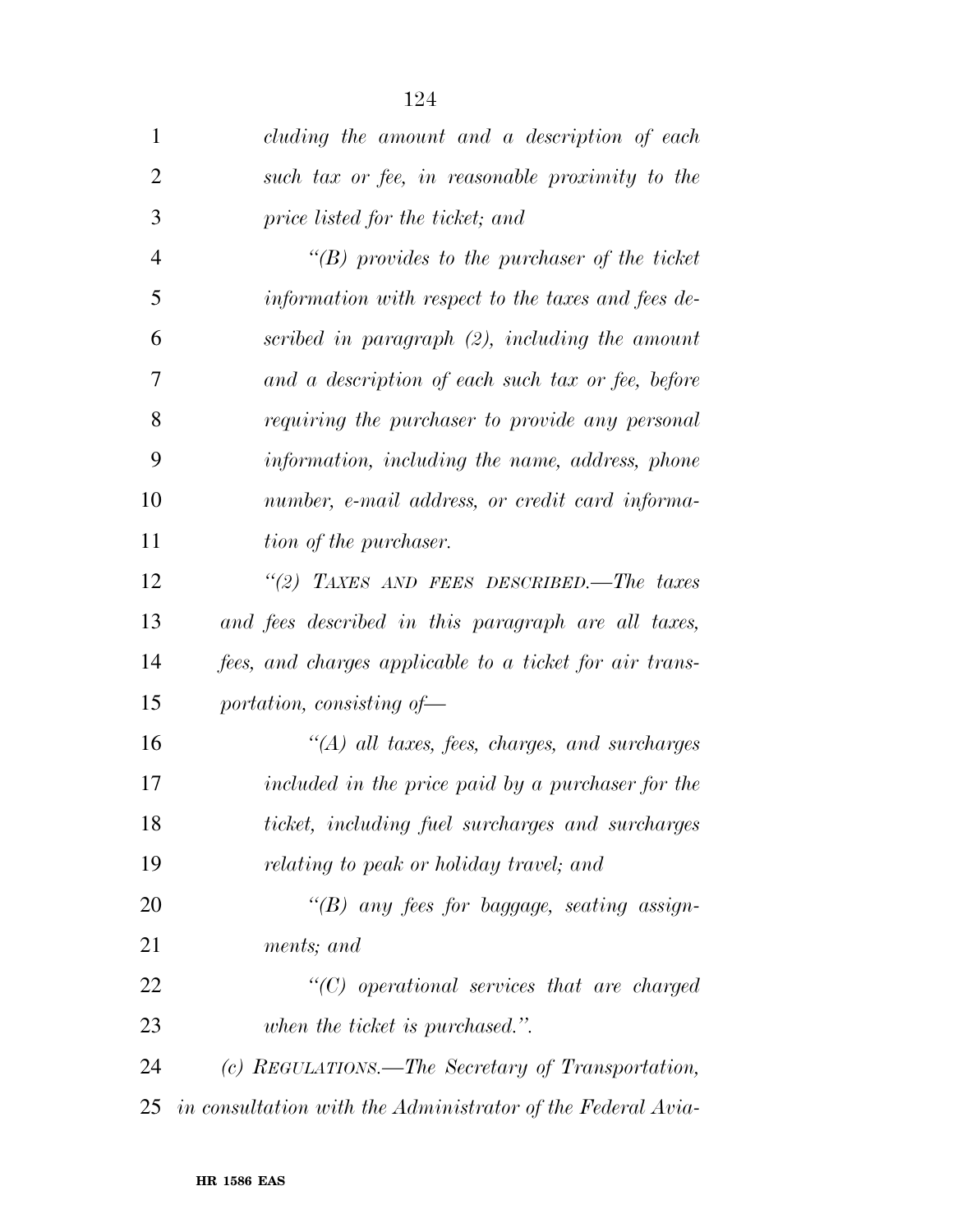| $\mathbf{1}$   | cluding the amount and a description of each                |
|----------------|-------------------------------------------------------------|
| $\overline{2}$ | such tax or fee, in reasonable proximity to the             |
| 3              | price listed for the ticket; and                            |
| $\overline{4}$ | $\lq\lq(B)$ provides to the purchaser of the ticket         |
| 5              | information with respect to the taxes and fees de-          |
| 6              | scribed in paragraph $(2)$ , including the amount           |
| 7              | and a description of each such tax or fee, before           |
| 8              | requiring the purchaser to provide any personal             |
| 9              | information, including the name, address, phone             |
| 10             | number, e-mail address, or credit card informa-             |
| 11             | tion of the purchaser.                                      |
| 12             | "(2) TAXES AND FEES DESCRIBED.—The taxes                    |
| 13             | and fees described in this paragraph are all taxes,         |
| 14             | fees, and charges applicable to a ticket for air trans-     |
| 15             | portation, consisting of-                                   |
| 16             | $\lq (A)$ all taxes, fees, charges, and surcharges          |
| 17             | included in the price paid by a purchaser for the           |
| 18             | ticket, including fuel surcharges and surcharges            |
| 19             | relating to peak or holiday travel; and                     |
| 20             | " $(B)$ any fees for baggage, seating assign-               |
| 21             | ments; and                                                  |
| 22             | $"$ (C) operational services that are charged               |
| 23             | when the ticket is purchased.".                             |
| 24             | (c) REGULATIONS.—The Secretary of Transportation,           |
| 25             | in consultation with the Administrator of the Federal Avia- |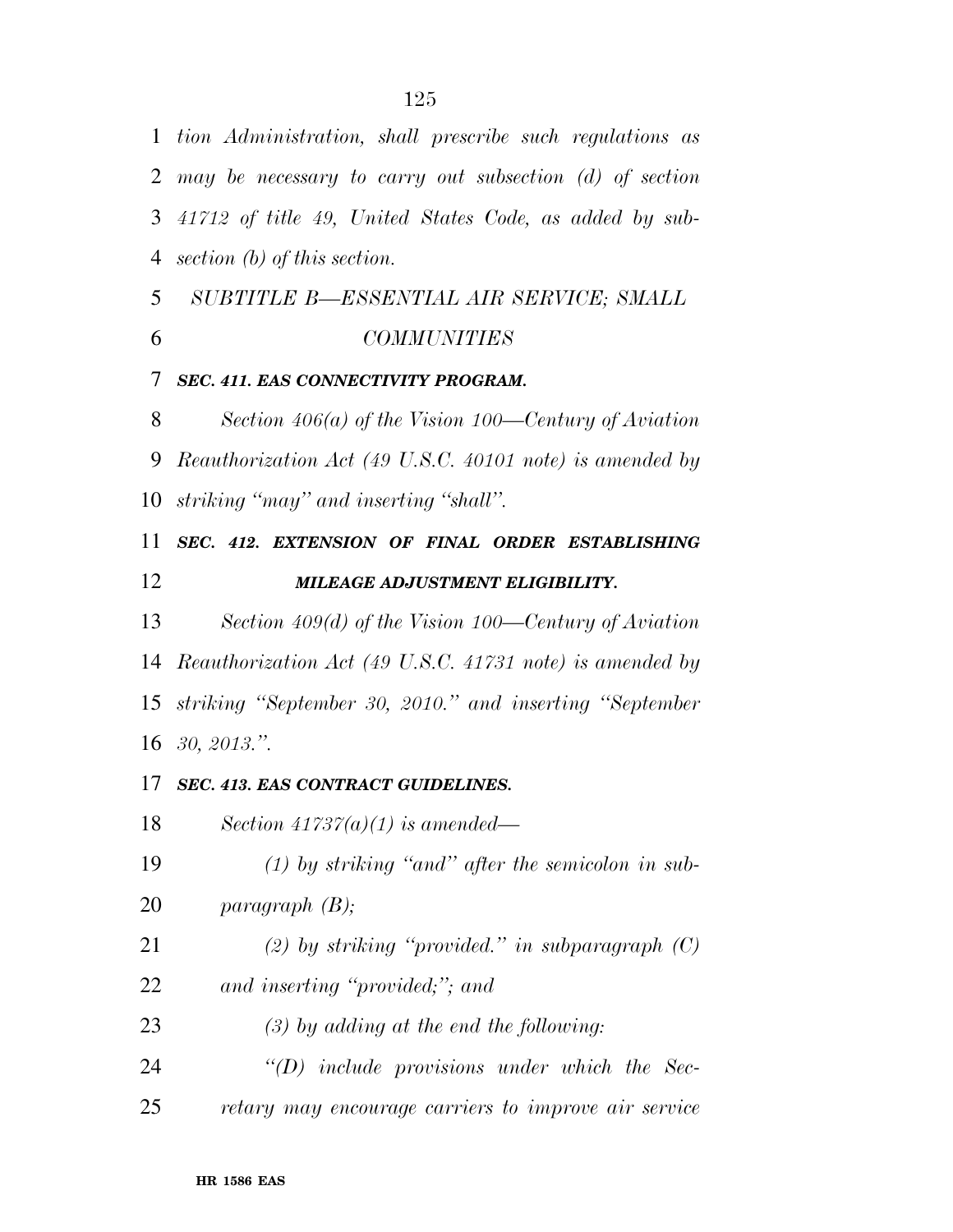*tion Administration, shall prescribe such regulations as may be necessary to carry out subsection (d) of section 41712 of title 49, United States Code, as added by sub-section (b) of this section.* 

*SUBTITLE B—ESSENTIAL AIR SERVICE; SMALL* 

- *COMMUNITIES*
- *SEC. 411. EAS CONNECTIVITY PROGRAM.*

 *Section 406(a) of the Vision 100—Century of Aviation Reauthorization Act (49 U.S.C. 40101 note) is amended by striking ''may'' and inserting ''shall''.* 

### *SEC. 412. EXTENSION OF FINAL ORDER ESTABLISHING MILEAGE ADJUSTMENT ELIGIBILITY.*

 *Section 409(d) of the Vision 100—Century of Aviation Reauthorization Act (49 U.S.C. 41731 note) is amended by striking ''September 30, 2010.'' and inserting ''September 30, 2013.''.* 

#### *SEC. 413. EAS CONTRACT GUIDELINES.*

*Section 41737(a)(1) is amended—* 

 *(1) by striking ''and'' after the semicolon in sub-paragraph (B);* 

- *(2) by striking ''provided.'' in subparagraph (C)*
- *and inserting ''provided;''; and*
- *(3) by adding at the end the following:*
- *''(D) include provisions under which the Sec-retary may encourage carriers to improve air service*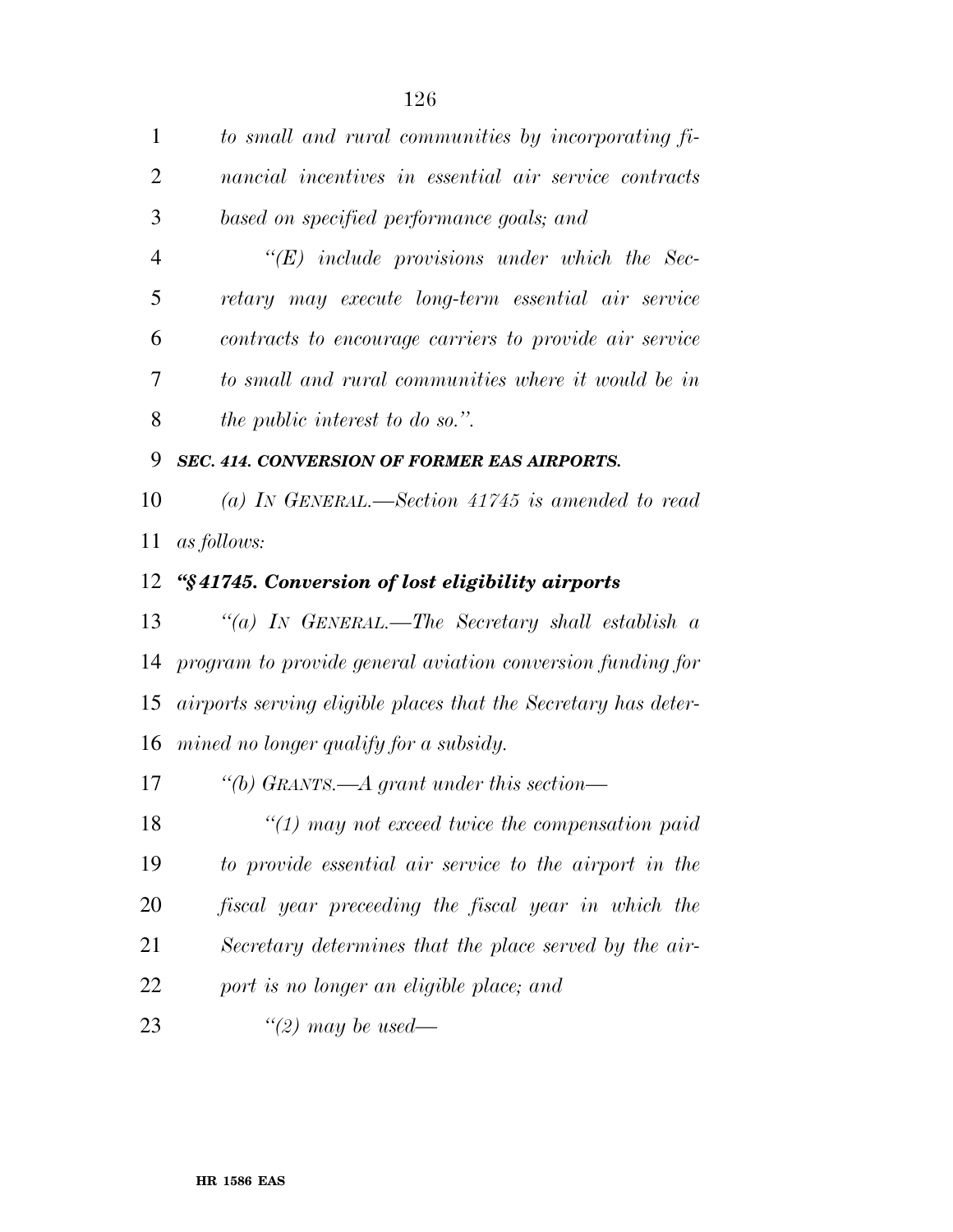*to small and rural communities by incorporating fi- nancial incentives in essential air service contracts based on specified performance goals; and ''(E) include provisions under which the Sec- retary may execute long-term essential air service contracts to encourage carriers to provide air service to small and rural communities where it would be in the public interest to do so.''. SEC. 414. CONVERSION OF FORMER EAS AIRPORTS. (a) IN GENERAL.—Section 41745 is amended to read as follows: ''§ 41745. Conversion of lost eligibility airports ''(a) IN GENERAL.—The Secretary shall establish a program to provide general aviation conversion funding for airports serving eligible places that the Secretary has deter- mined no longer qualify for a subsidy. ''(b) GRANTS.—A grant under this section— ''(1) may not exceed twice the compensation paid to provide essential air service to the airport in the fiscal year preceeding the fiscal year in which the Secretary determines that the place served by the air-port is no longer an eligible place; and* 

*''(2) may be used—*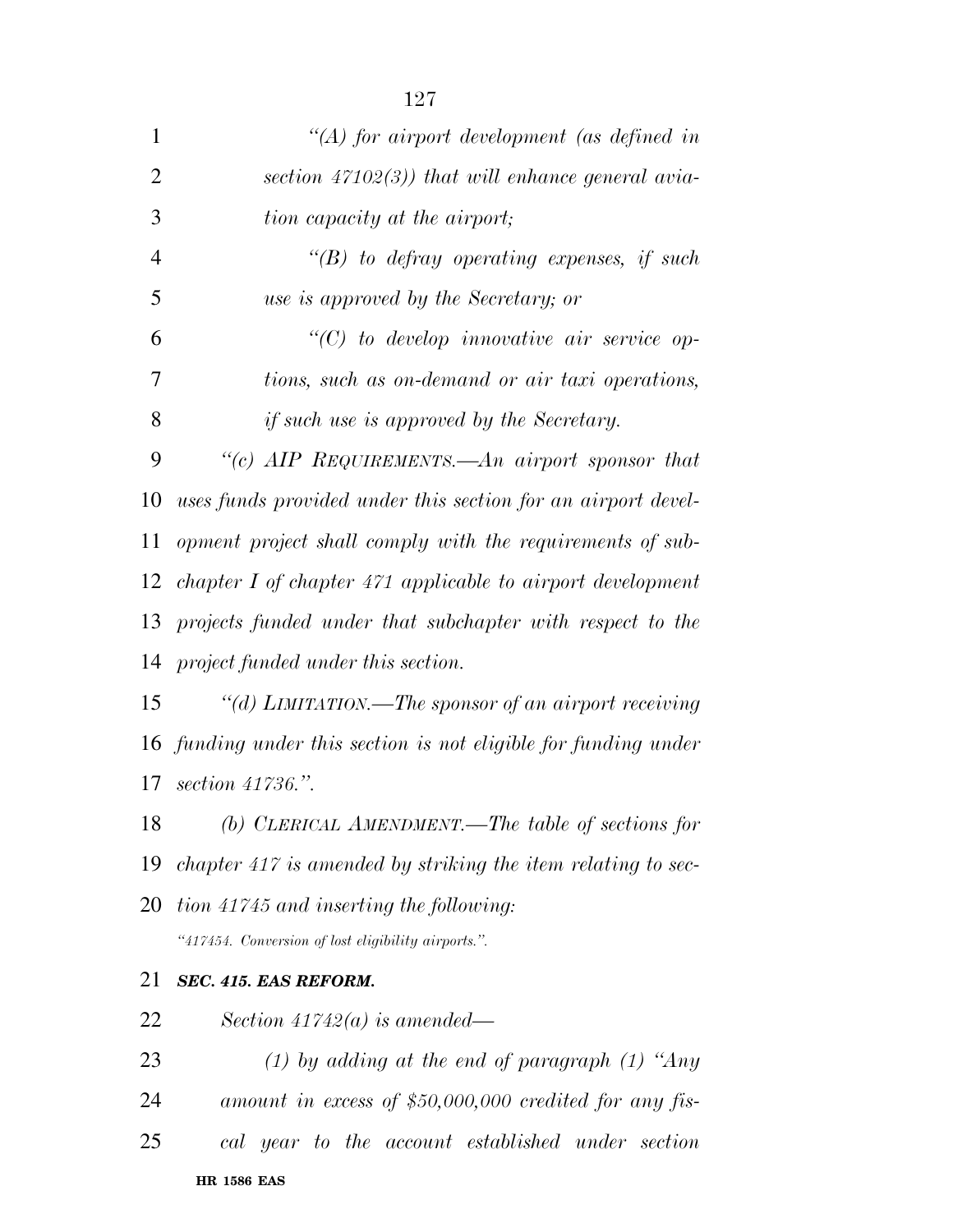| 1              | "(A) for airport development (as defined in                     |
|----------------|-----------------------------------------------------------------|
| $\overline{2}$ | section $47102(3)$ ) that will enhance general avia-            |
| 3              | tion capacity at the airport;                                   |
| $\overline{4}$ | $\lq\lq(B)$ to defray operating expenses, if such               |
| 5              | use is approved by the Secretary; or                            |
| 6              | $\lq\lq C$ to develop innovative air service op-                |
| 7              | tions, such as on-demand or air taxi operations,                |
| 8              | <i>if such use is approved by the Secretary.</i>                |
| 9              | "(c) AIP REQUIREMENTS.—An airport sponsor that                  |
| 10             | uses funds provided under this section for an airport devel-    |
| 11             | opment project shall comply with the requirements of sub-       |
| 12             | chapter $I$ of chapter 471 applicable to airport development    |
| 13             | projects funded under that subchapter with respect to the       |
| 14             | project funded under this section.                              |
| 15             | "(d) LIMITATION.—The sponsor of an airport receiving            |
|                | 16 funding under this section is not eligible for funding under |
| 17             | section 41736.".                                                |
| 18             | (b) CLERICAL AMENDMENT.—The table of sections for               |
| 19             | chapter 417 is amended by striking the item relating to sec-    |
| 20             | tion 41745 and inserting the following:                         |
|                | "417454. Conversion of lost eligibility airports.".             |
| 21             | SEC. 415. EAS REFORM.                                           |
| 22             | Section $41742(a)$ is amended—                                  |
| 23             | (1) by adding at the end of paragraph (1) "Any                  |
| 24             | amount in excess of \$50,000,000 credited for any fis-          |
| 25             | cal year to the account established under section               |
|                | <b>HR 1586 EAS</b>                                              |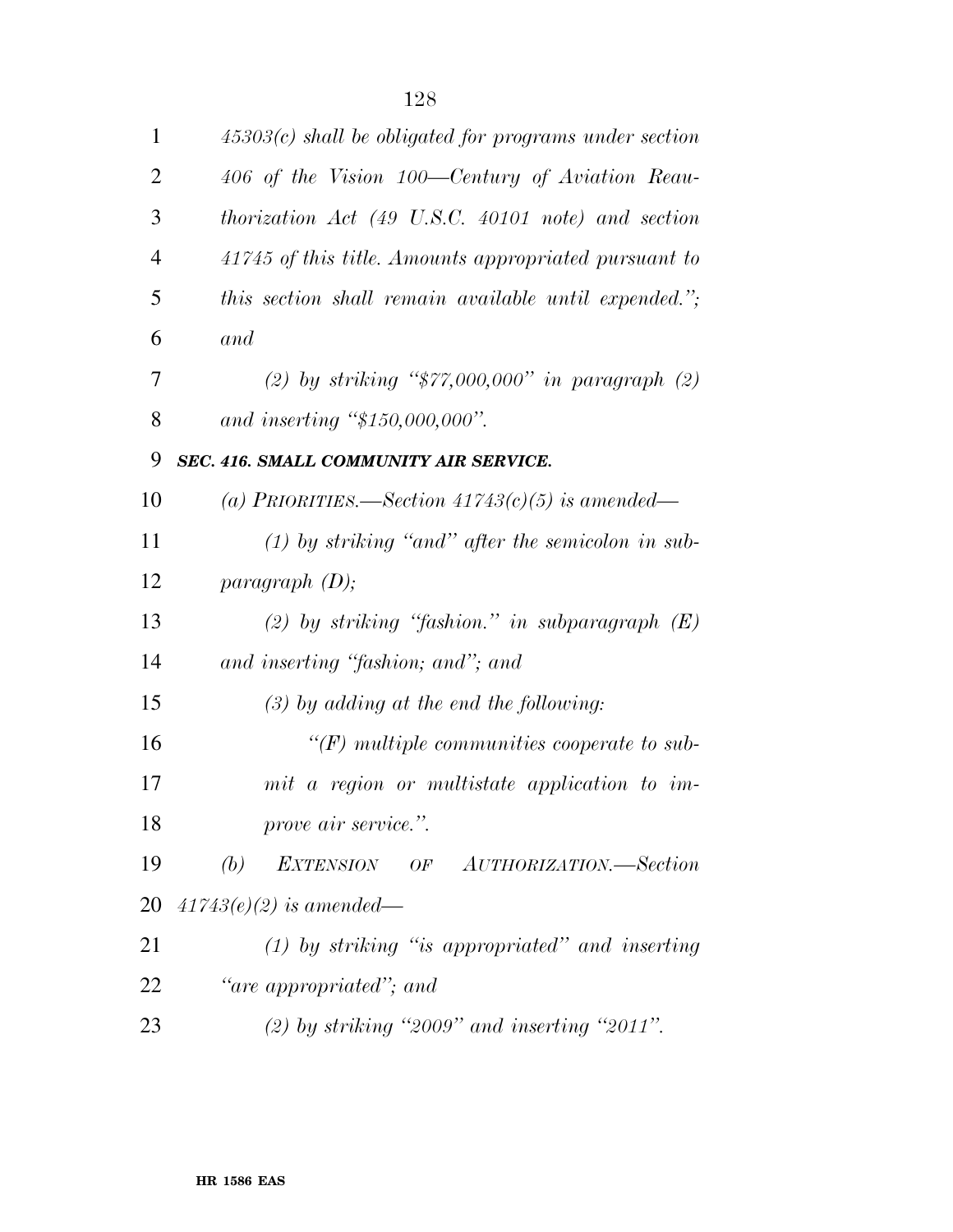| $\mathbf{1}$   | $45303(c)$ shall be obligated for programs under section    |
|----------------|-------------------------------------------------------------|
| 2              | 406 of the Vision 100—Century of Aviation Reau-             |
| 3              | thorization Act (49 U.S.C. 40101 note) and section          |
| $\overline{4}$ | 41745 of this title. Amounts appropriated pursuant to       |
| 5              | this section shall remain available until expended.";       |
| 6              | and                                                         |
| 7              | (2) by striking " $\frac{27}{7}$ ,000,000" in paragraph (2) |
| 8              | and inserting " $$150,000,000$ ".                           |
| 9              | SEC. 416. SMALL COMMUNITY AIR SERVICE.                      |
| 10             | (a) PRIORITIES.—Section $41743(c)(5)$ is amended—           |
| 11             | $(1)$ by striking "and" after the semicolon in sub-         |
| 12             | paragnph(D);                                                |
| 13             | (2) by striking "fashion." in subparagraph $(E)$            |
| 14             | and inserting "fashion; and"; and                           |
| 15             | $(3)$ by adding at the end the following:                   |
| 16             | $\lq\lq(F)$ multiple communities cooperate to sub-          |
| 17             | mit a region or multistate application to im-               |
| 18             | prove air service.".                                        |
| 19             | (b)<br>EXTENSION OF AUTHORIZATION.—Section                  |
| 20             | $41743(e)(2)$ is amended—                                   |
| 21             | $(1)$ by striking "is appropriated" and inserting           |
| 22             | "are appropriated"; and                                     |
| 23             | $(2)$ by striking "2009" and inserting "2011".              |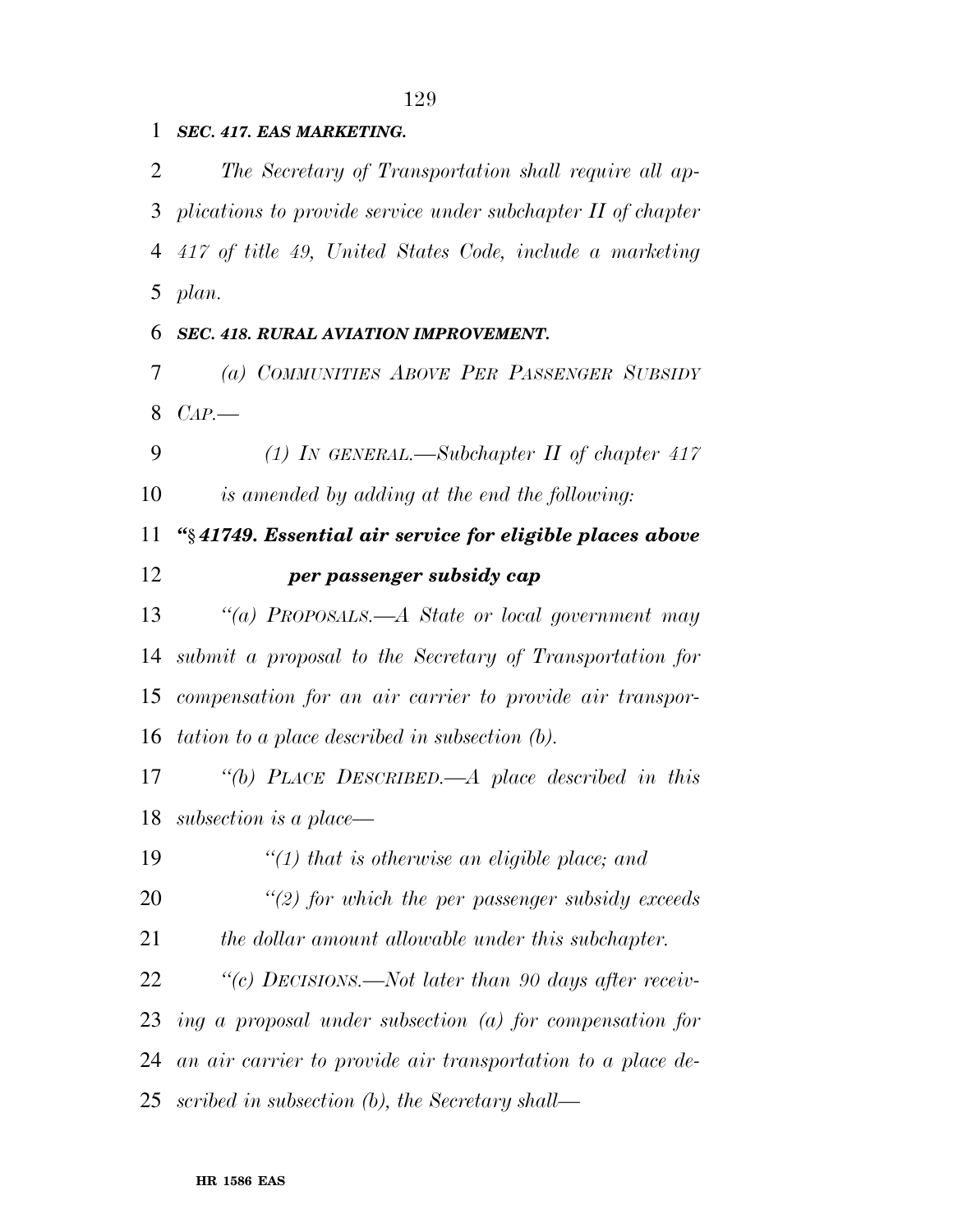#### *SEC. 417. EAS MARKETING.*

 *The Secretary of Transportation shall require all ap- plications to provide service under subchapter II of chapter 417 of title 49, United States Code, include a marketing plan.* 

#### *SEC. 418. RURAL AVIATION IMPROVEMENT.*

 *(a) COMMUNITIES ABOVE PER PASSENGER SUBSIDY CAP.—* 

*(1) IN GENERAL.—Subchapter II of chapter 417* 

*is amended by adding at the end the following:* 

## *''*§ *41749. Essential air service for eligible places above per passenger subsidy cap*

 *''(a) PROPOSALS.—A State or local government may submit a proposal to the Secretary of Transportation for compensation for an air carrier to provide air transpor-tation to a place described in subsection (b).* 

 *''(b) PLACE DESCRIBED.—A place described in this subsection is a place—* 

- *''(1) that is otherwise an eligible place; and*
- *''(2) for which the per passenger subsidy exceeds the dollar amount allowable under this subchapter.*

 *''(c) DECISIONS.—Not later than 90 days after receiv- ing a proposal under subsection (a) for compensation for an air carrier to provide air transportation to a place de-scribed in subsection (b), the Secretary shall—*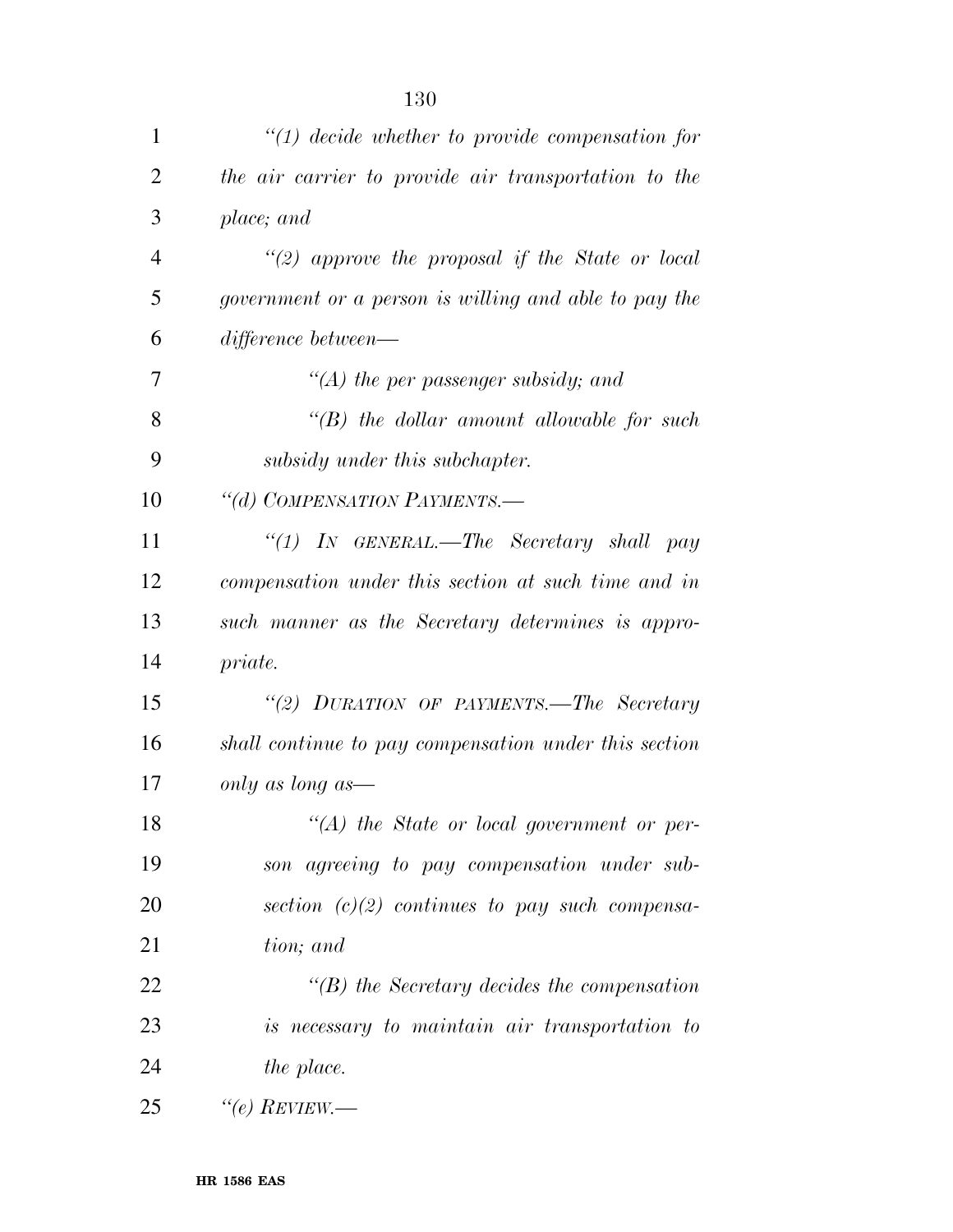| 1              | $\lq(1)$ decide whether to provide compensation for   |
|----------------|-------------------------------------------------------|
| $\overline{2}$ | the air carrier to provide air transportation to the  |
| 3              | place; and                                            |
| $\overline{4}$ | "(2) approve the proposal if the State or local       |
| 5              | government or a person is willing and able to pay the |
| 6              | difference between—                                   |
| 7              | $\lq (A)$ the per passenger subsidy; and              |
| 8              | $\lq\lq B$ the dollar amount allowable for such       |
| 9              | subsidy under this subchapter.                        |
| 10             | "(d) COMPENSATION PAYMENTS.-                          |
| 11             | "(1) IN GENERAL.—The Secretary shall pay              |
| 12             | compensation under this section at such time and in   |
| 13             | such manner as the Secretary determines is appro-     |
| 14             | priate.                                               |
| 15             | "(2) DURATION OF PAYMENTS.—The Secretary              |
| 16             | shall continue to pay compensation under this section |
| 17             | only as long as—                                      |
| 18             | $H(A)$ the State or local government or per-          |
| 19             | son agreeing to pay compensation under sub-           |
| 20             | section $(c)(2)$ continues to pay such compensa-      |
| 21             | tion; and                                             |
| 22             | $\lq\lq(B)$ the Secretary decides the compensation    |
| 23             | is necessary to maintain air transportation to        |
| 24             | the place.                                            |
| 25             | "(e) $REVIEW$ .                                       |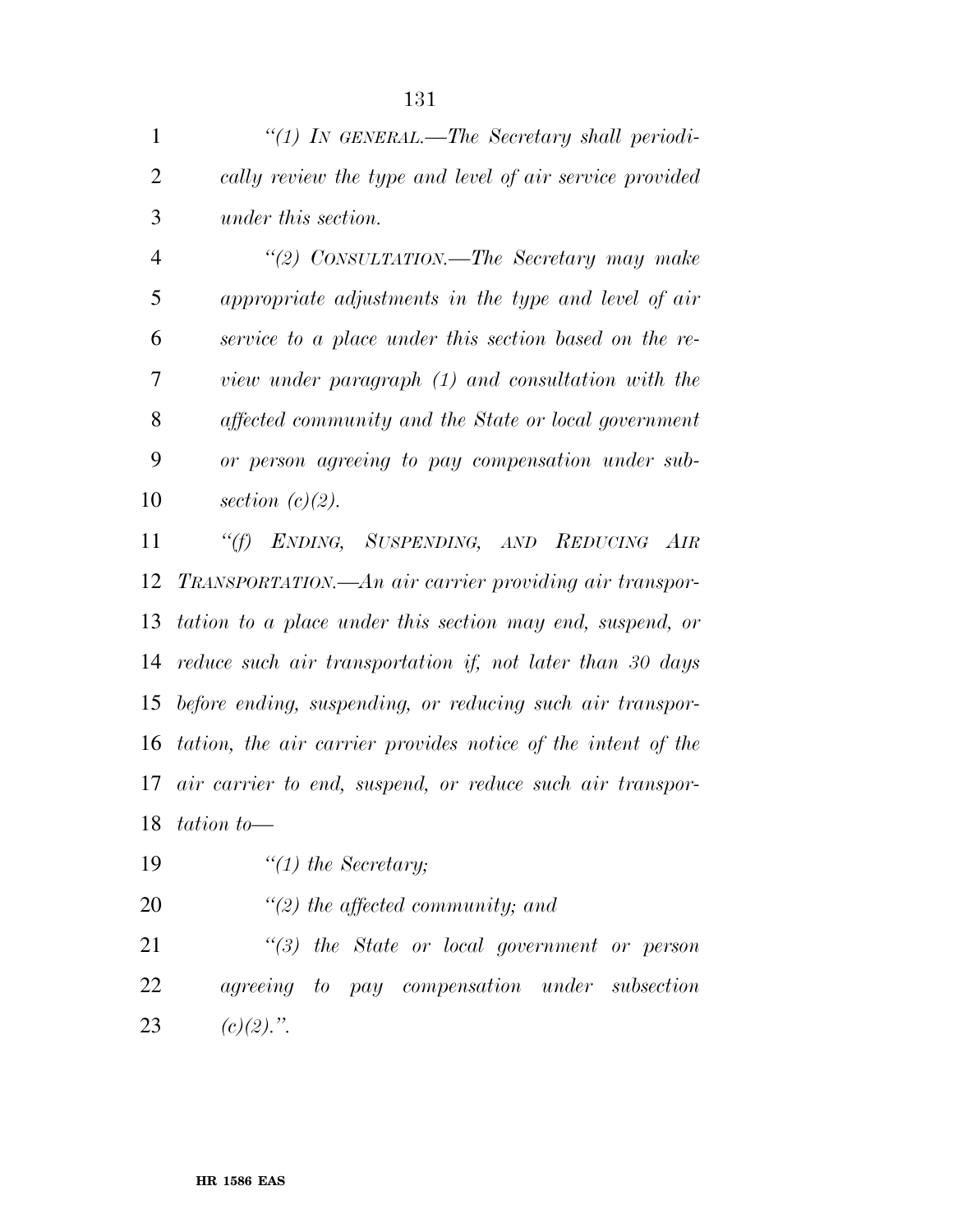*''(1) IN GENERAL.—The Secretary shall periodi- cally review the type and level of air service provided under this section.* 

 *''(2) CONSULTATION.—The Secretary may make appropriate adjustments in the type and level of air service to a place under this section based on the re- view under paragraph (1) and consultation with the affected community and the State or local government or person agreeing to pay compensation under sub-section (c)(2).* 

 *''(f) ENDING, SUSPENDING, AND REDUCING AIR TRANSPORTATION.—An air carrier providing air transpor- tation to a place under this section may end, suspend, or reduce such air transportation if, not later than 30 days before ending, suspending, or reducing such air transpor-tation, the air carrier provides notice of the intent of the air carrier to end, suspend, or reduce such air transpor-tation to—* 

*''(1) the Secretary;* 

*''(2) the affected community; and* 

 *''(3) the State or local government or person agreeing to pay compensation under subsection*  23  $(c)(2)$ ."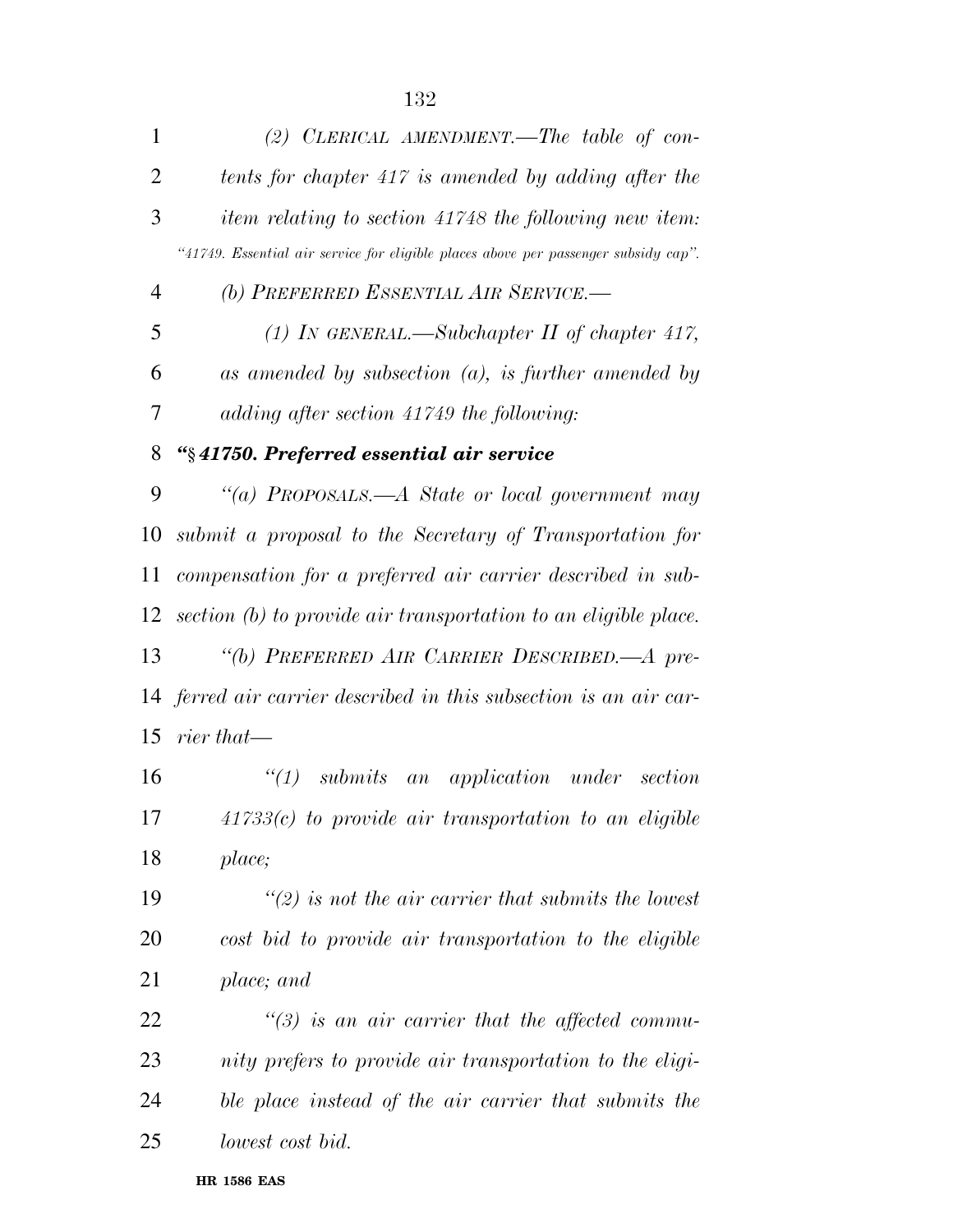| 1              | (2) CLERICAL AMENDMENT.—The table of con-                                           |
|----------------|-------------------------------------------------------------------------------------|
| $\overline{2}$ | tents for chapter 417 is amended by adding after the                                |
| 3              | <i>item relating to section 41748 the following new item:</i>                       |
|                | "41749. Essential air service for eligible places above per passenger subsidy cap". |
| $\overline{4}$ | (b) PREFERRED ESSENTIAL AIR SERVICE.-                                               |
| 5              | (1) IN GENERAL.—Subchapter II of chapter 417,                                       |
| 6              | as amended by subsection $(a)$ , is further amended by                              |
| 7              | adding after section 41749 the following:                                           |
| 8              | "§41750. Preferred essential air service                                            |
| 9              | "(a) PROPOSALS.—A State or local government may                                     |
| 10             | submit a proposal to the Secretary of Transportation for                            |
| 11             | compensation for a preferred air carrier described in sub-                          |
| 12             | section $(b)$ to provide air transportation to an eligible place.                   |
| 13             | "(b) PREFERRED AIR CARRIER DESCRIBED.—A pre-                                        |
|                | 14 ferred air carrier described in this subsection is an air car-                   |
| 15             | rier that—                                                                          |
| 16             | $\lq (1)$ submits an application under section                                      |
| 17             | $41733(c)$ to provide air transportation to an eligible                             |
| 18             | place;                                                                              |
| 19             | $\lq(2)$ is not the air carrier that submits the lowest                             |
| 20             | cost bid to provide air transportation to the eligible                              |
| 21             | place; and                                                                          |
| 22             | $\lq(3)$ is an air carrier that the affected commu-                                 |
| 23             | nity prefers to provide air transportation to the eligi-                            |
| 24             | ble place instead of the air carrier that submits the                               |
| 25             | lowest cost bid.                                                                    |
|                |                                                                                     |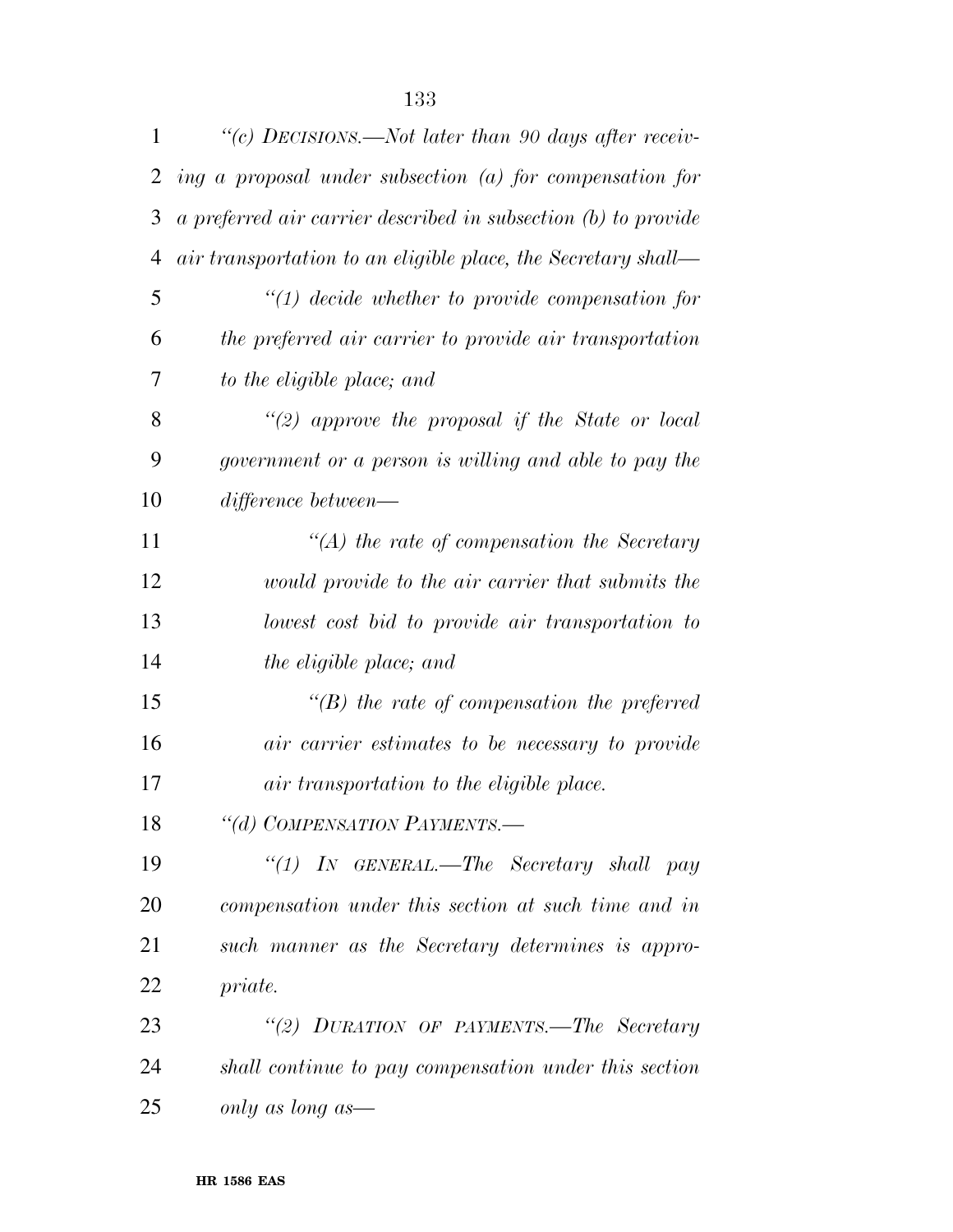| $\mathbf{1}$ | "(c) DECISIONS.—Not later than 90 days after receiv-           |
|--------------|----------------------------------------------------------------|
| 2            | ing a proposal under subsection $(a)$ for compensation for     |
| 3            | a preferred air carrier described in subsection (b) to provide |
| 4            | air transportation to an eligible place, the Secretary shall—  |
| 5            | $\lq(1)$ decide whether to provide compensation for            |
| 6            | the preferred air carrier to provide air transportation        |
| 7            | to the eligible place; and                                     |
| 8            | "(2) approve the proposal if the State or local                |
| 9            | government or a person is willing and able to pay the          |
| 10           | difference between—                                            |
| 11           | $\lq (A)$ the rate of compensation the Secretary               |
| 12           | would provide to the air carrier that submits the              |
| 13           | lowest cost bid to provide air transportation to               |
| 14           | the eligible place; and                                        |
| 15           | $\lq\lq(B)$ the rate of compensation the preferred             |
| 16           | air carrier estimates to be necessary to provide               |
| 17           | air transportation to the eligible place.                      |
| 18           | "(d) COMPENSATION PAYMENTS.-                                   |
| 19           | "(1) IN GENERAL.—The Secretary shall pay                       |
| 20           | compensation under this section at such time and in            |
| 21           | such manner as the Secretary determines is appro-              |
| 22           | priate.                                                        |
| 23           | "(2) DURATION OF PAYMENTS.—The Secretary                       |
| 24           | shall continue to pay compensation under this section          |
| 25           | only as long as—                                               |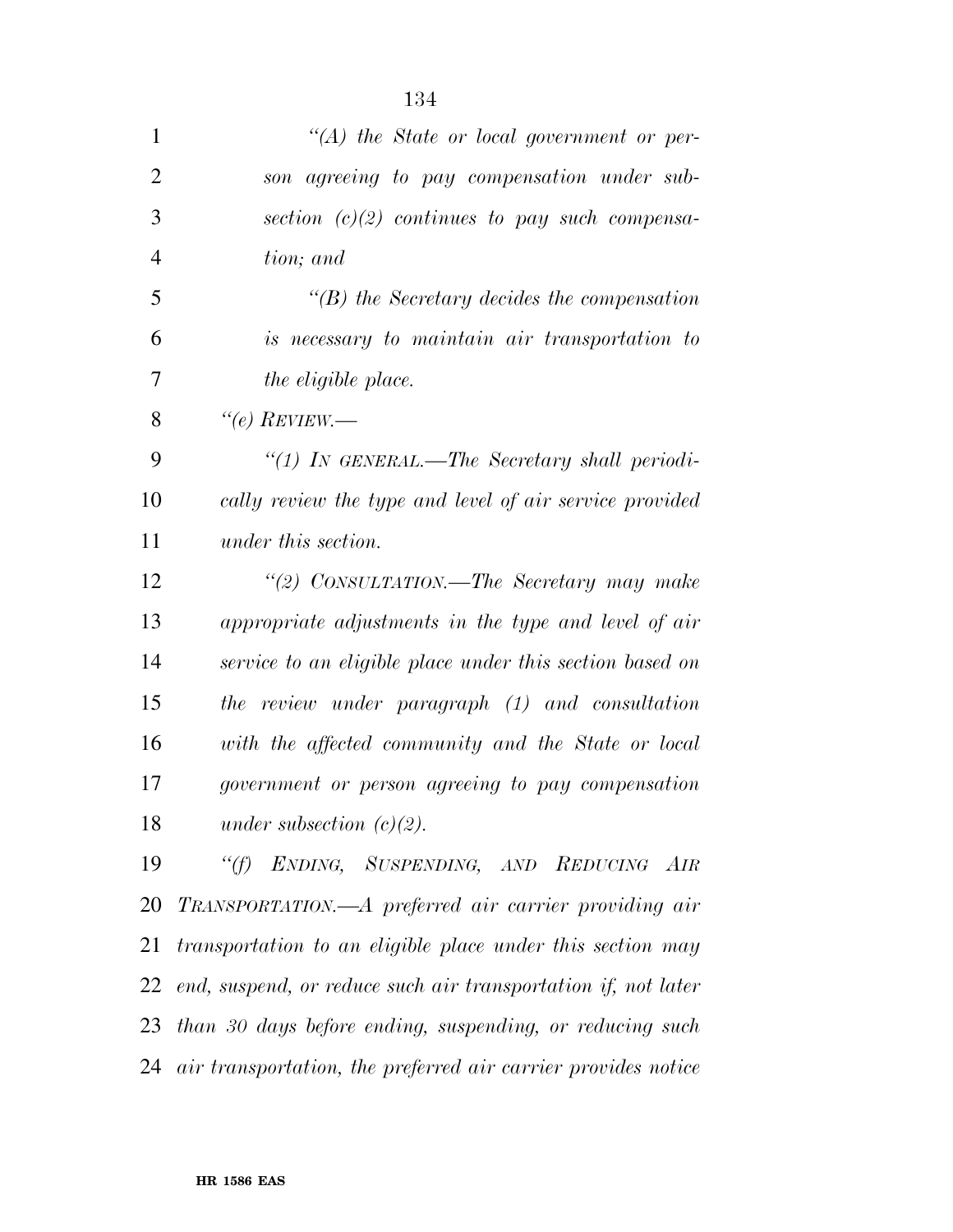| 1              | $"(A)$ the State or local government or per-                  |
|----------------|---------------------------------------------------------------|
| $\overline{2}$ | son agreeing to pay compensation under sub-                   |
| 3              | section $(c)(2)$ continues to pay such compensa-              |
| $\overline{4}$ | tion; and                                                     |
| 5              | $\lq\lq(B)$ the Secretary decides the compensation            |
| 6              | is necessary to maintain air transportation to                |
| 7              | <i>the eligible place.</i>                                    |
| 8              | "(e) $REVIEW$ .                                               |
| 9              | "(1) IN GENERAL.—The Secretary shall periodi-                 |
| 10             | cally review the type and level of air service provided       |
| 11             | under this section.                                           |
| 12             | "(2) CONSULTATION.—The Secretary may make                     |
| 13             | appropriate adjustments in the type and level of air          |
| 14             | service to an eligible place under this section based on      |
| 15             | the review under paragraph (1) and consultation               |
| 16             | with the affected community and the State or local            |
| 17             | government or person agreeing to pay compensation             |
| 18             | under subsection $(c)(2)$ .                                   |
| 19             | "(f) ENDING, SUSPENDING, AND REDUCING AIR                     |
| 20             | TRANSPORTATION.—A preferred air carrier providing air         |
| 21             | transportation to an eligible place under this section may    |
| 22             | end, suspend, or reduce such air transportation if, not later |
| 23             | than 30 days before ending, suspending, or reducing such      |
| 24             | air transportation, the preferred air carrier provides notice |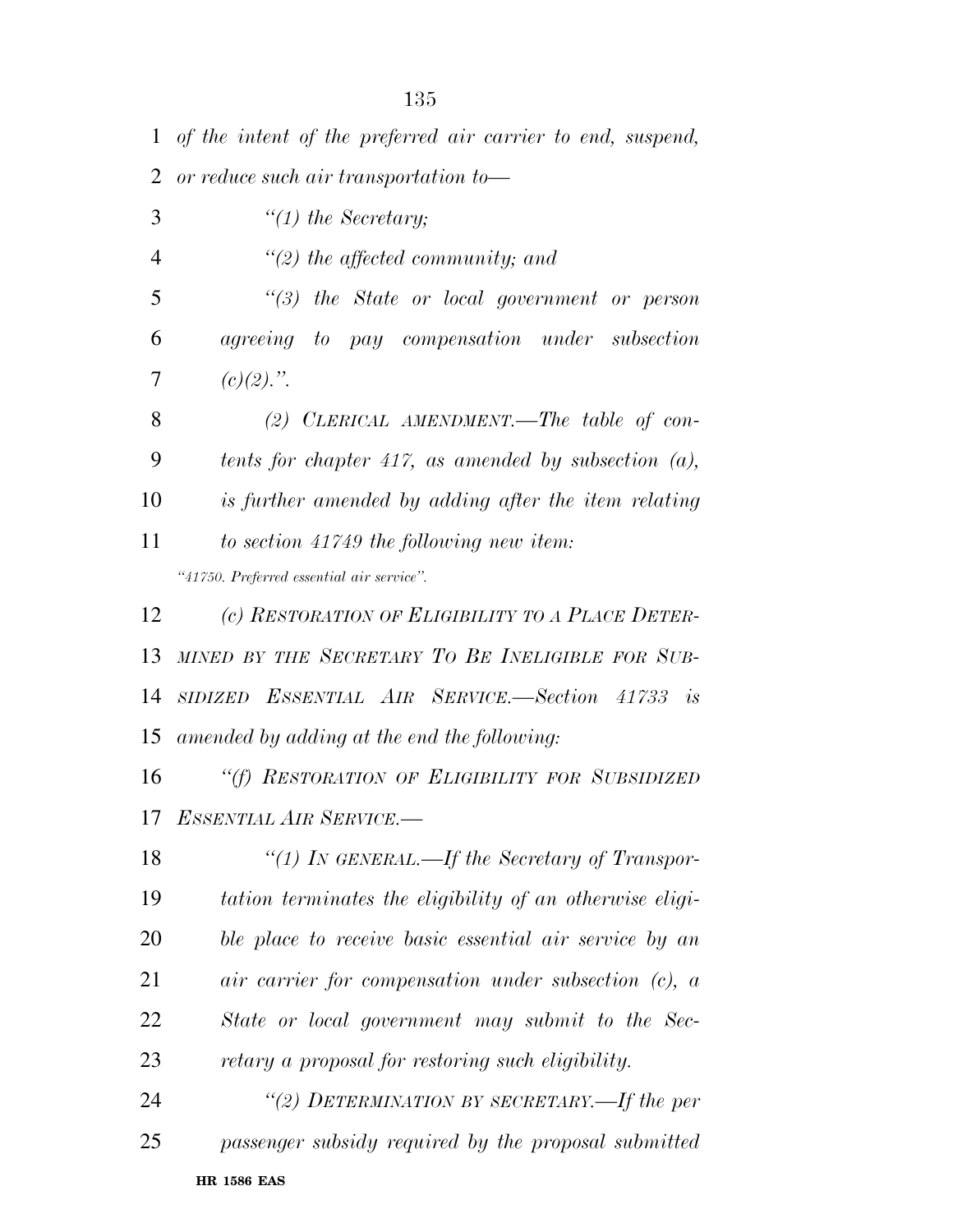*of the intent of the preferred air carrier to end, suspend, or reduce such air transportation to—* 

| 3              | $\lq(1)$ the Secretary;                                 |
|----------------|---------------------------------------------------------|
| $\overline{4}$ | $\lq(2)$ the affected community; and                    |
| 5              | $\lq(3)$ the State or local government or person        |
| 6              | agreeing to pay compensation under subsection           |
| 7              | $(c)(2)$ .".                                            |
| 8              | (2) CLERICAL AMENDMENT.—The table of con-               |
| 9              | tents for chapter 417, as amended by subsection $(a)$ , |
| 10             | is further amended by adding after the item relating    |
| 11             | to section 41749 the following new item:                |
|                | "41750. Preferred essential air service".               |
| 12             | (c) RESTORATION OF ELIGIBILITY TO A PLACE DETER-        |
| 13             | MINED BY THE SECRETARY TO BE INELIGIBLE FOR SUB-        |

 *SIDIZED ESSENTIAL AIR SERVICE.—Section 41733 is amended by adding at the end the following:* 

 *''(f) RESTORATION OF ELIGIBILITY FOR SUBSIDIZED ESSENTIAL AIR SERVICE.—* 

 *''(1) IN GENERAL.—If the Secretary of Transpor- tation terminates the eligibility of an otherwise eligi- ble place to receive basic essential air service by an air carrier for compensation under subsection (c), a State or local government may submit to the Sec-retary a proposal for restoring such eligibility.* 

**HR 1586 EAS**  *''(2) DETERMINATION BY SECRETARY.—If the per passenger subsidy required by the proposal submitted*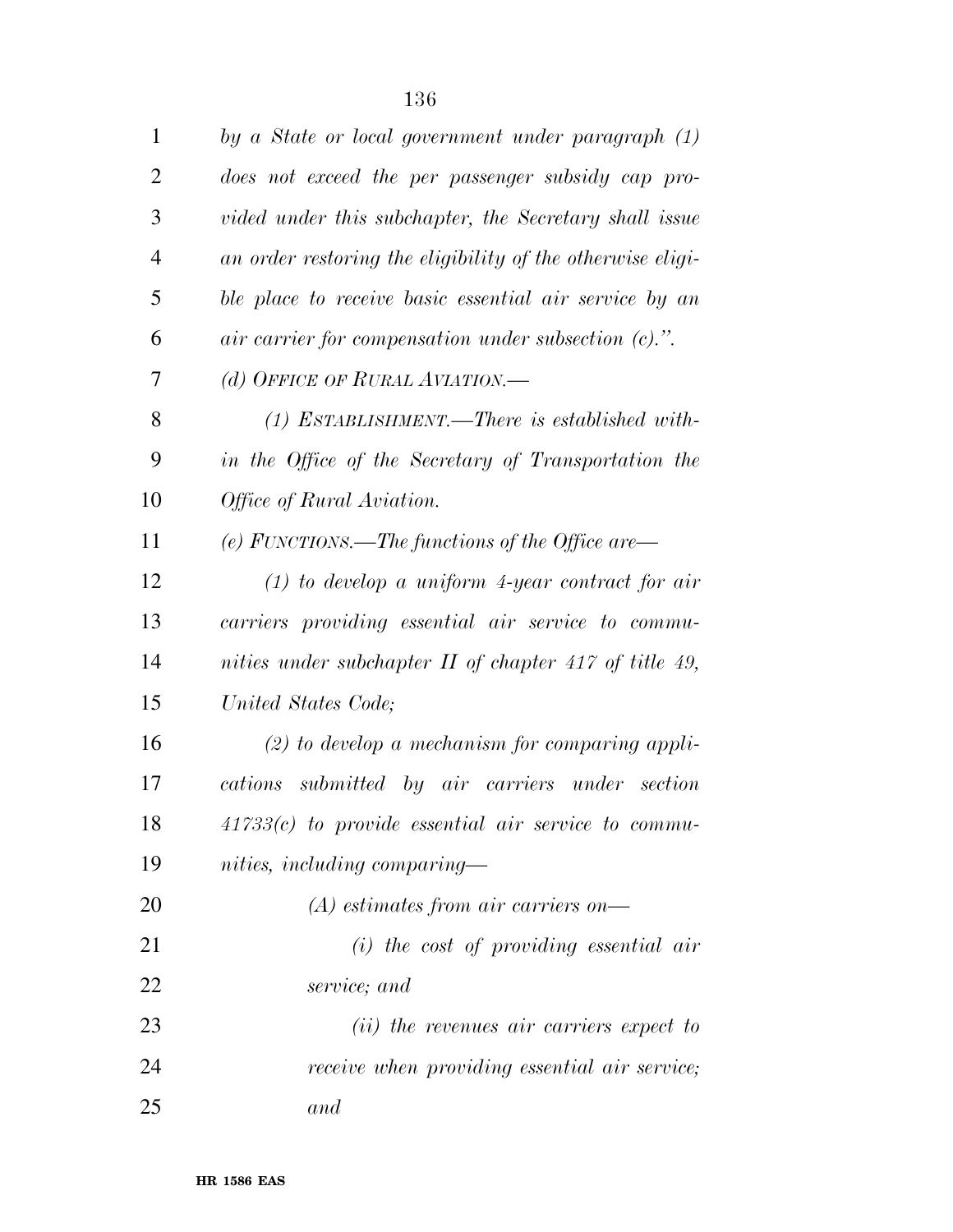| 1  | by a State or local government under paragraph (1)         |
|----|------------------------------------------------------------|
| 2  | does not exceed the per passenger subsidy cap pro-         |
| 3  | vided under this subchapter, the Secretary shall issue     |
| 4  | an order restoring the eligibility of the otherwise eligi- |
| 5  | ble place to receive basic essential air service by an     |
| 6  | $air$ carrier for compensation under subsection $(c)$ .".  |
| 7  | (d) OFFICE OF RURAL AVIATION.—                             |
| 8  | $(1)$ ESTABLISHMENT.—There is established with-            |
| 9  | in the Office of the Secretary of Transportation the       |
| 10 | Office of Rural Aviation.                                  |
| 11 | (e) FUNCTIONS.—The functions of the Office are—            |
| 12 | $(1)$ to develop a uniform 4-year contract for air         |
| 13 | carriers providing essential air service to commu-         |
| 14 | nities under subchapter $II$ of chapter 417 of title 49,   |
| 15 | United States Code;                                        |
| 16 | $(2)$ to develop a mechanism for comparing appli-          |
| 17 | submitted by air carriers under section<br>cations         |
| 18 | $41733(c)$ to provide essential air service to commu-      |
| 19 | nities, including comparing—                               |
| 20 | $(A)$ estimates from air carriers on—                      |
| 21 | $(i)$ the cost of providing essential air                  |
| 22 | service; and                                               |
| 23 | ( <i>ii</i> ) the revenues air carriers expect to          |
| 24 | receive when providing essential air service;              |
| 25 | and                                                        |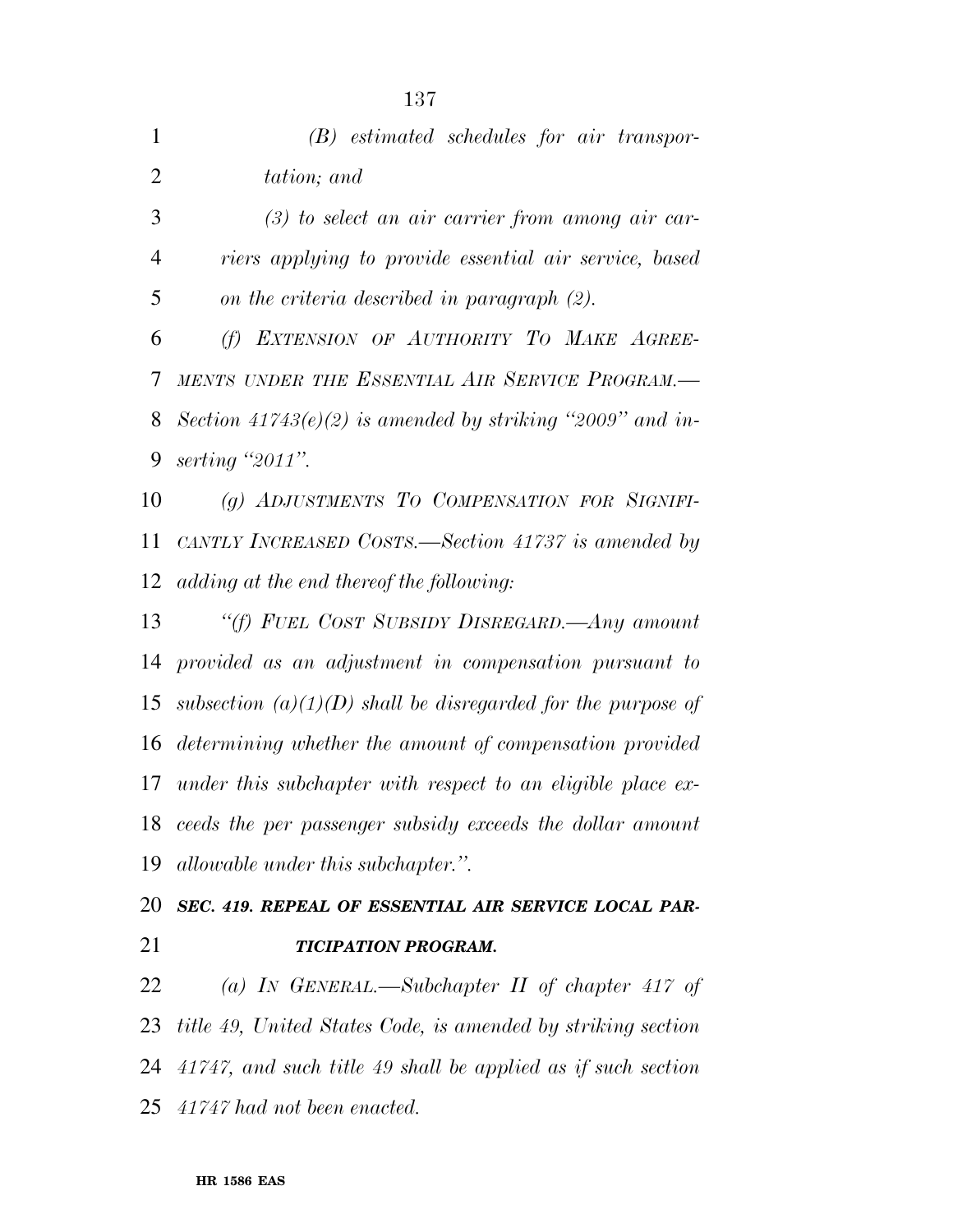| 1              | $(B)$ estimated schedules for air transpor-                     |
|----------------|-----------------------------------------------------------------|
| $\overline{2}$ | tation; and                                                     |
| 3              | $(3)$ to select an air carrier from among air car-              |
| $\overline{4}$ | riers applying to provide essential air service, based          |
| 5              | on the criteria described in paragraph (2).                     |
| 6              | (f) EXTENSION OF AUTHORITY TO MAKE AGREE-                       |
| 7              | MENTS UNDER THE ESSENTIAL AIR SERVICE PROGRAM.-                 |
| 8              | Section $41743(e)(2)$ is amended by striking "2009" and in-     |
| 9              | serting $"2011"$ .                                              |
| 10             | (g) ADJUSTMENTS TO COMPENSATION FOR SIGNIFI-                    |
| 11             | CANTLY INCREASED COSTS.—Section 41737 is amended by             |
| 12             | adding at the end thereof the following:                        |
| 13             | "(f) FUEL COST SUBSIDY DISREGARD.—Any amount                    |
|                | 14 provided as an adjustment in compensation pursuant to        |
| 15             | subsection $(a)(1)(D)$ shall be disregarded for the purpose of  |
|                | 16 determining whether the amount of compensation provided      |
| 17             | under this subchapter with respect to an eligible place ex-     |
|                | 18 ceeds the per passenger subsidy exceeds the dollar amount    |
| 19             | allowable under this subchapter.".                              |
| 20             | SEC. 419. REPEAL OF ESSENTIAL AIR SERVICE LOCAL PAR-            |
| 21             | <b>TICIPATION PROGRAM.</b>                                      |
| 22             | (a) IN GENERAL.—Subchapter II of chapter 417 of                 |
| 23             | title 49, United States Code, is amended by striking section    |
| 24             | $41747$ , and such title 49 shall be applied as if such section |
|                | 25 41747 had not been enacted.                                  |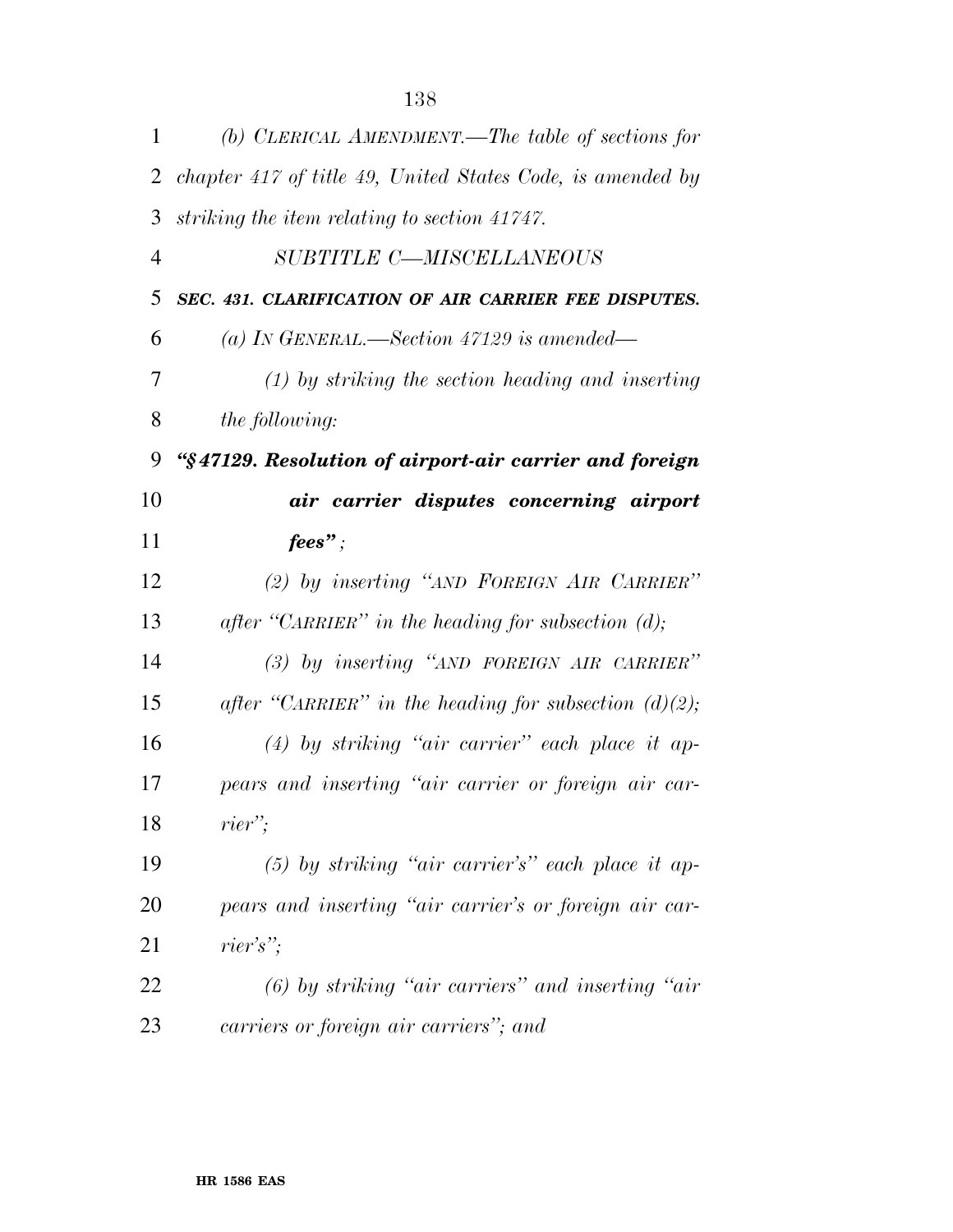| 1              | (b) CLERICAL AMENDMENT.—The table of sections for          |
|----------------|------------------------------------------------------------|
| 2              | chapter 417 of title 49, United States Code, is amended by |
| 3              | striking the item relating to section 41747.               |
| $\overline{4}$ | SUBTITLE C-MISCELLANEOUS                                   |
| 5              | SEC. 431. CLARIFICATION OF AIR CARRIER FEE DISPUTES.       |
| 6              | (a) In GENERAL.—Section 47129 is amended—                  |
| 7              | $(1)$ by striking the section heading and inserting        |
| 8              | the following:                                             |
| 9              | "§47129. Resolution of airport-air carrier and foreign     |
| 10             | air carrier disputes concerning airport                    |
| 11             | $fees$ ";                                                  |
| 12             | (2) by inserting "AND FOREIGN AIR CARRIER"                 |
| 13             | after "CARRIER" in the heading for subsection $(d)$ ;      |
| 14             | (3) by inserting "AND FOREIGN AIR CARRIER"                 |
| 15             | after "CARRIER" in the heading for subsection $(d)(2)$ ;   |
| 16             | $(4)$ by striking "air carrier" each place it ap-          |
| 17             | pears and inserting "air carrier or foreign air car-       |
| 18             | $rier$ ";                                                  |
| 19             | $(5)$ by striking "air carrier's" each place it ap-        |
| 20             | pears and inserting "air carrier's or foreign air car-     |
| 21             | $rier's$ ";                                                |
| 22             | $(6)$ by striking "air carriers" and inserting "air        |
| 23             | carriers or foreign air carriers"; and                     |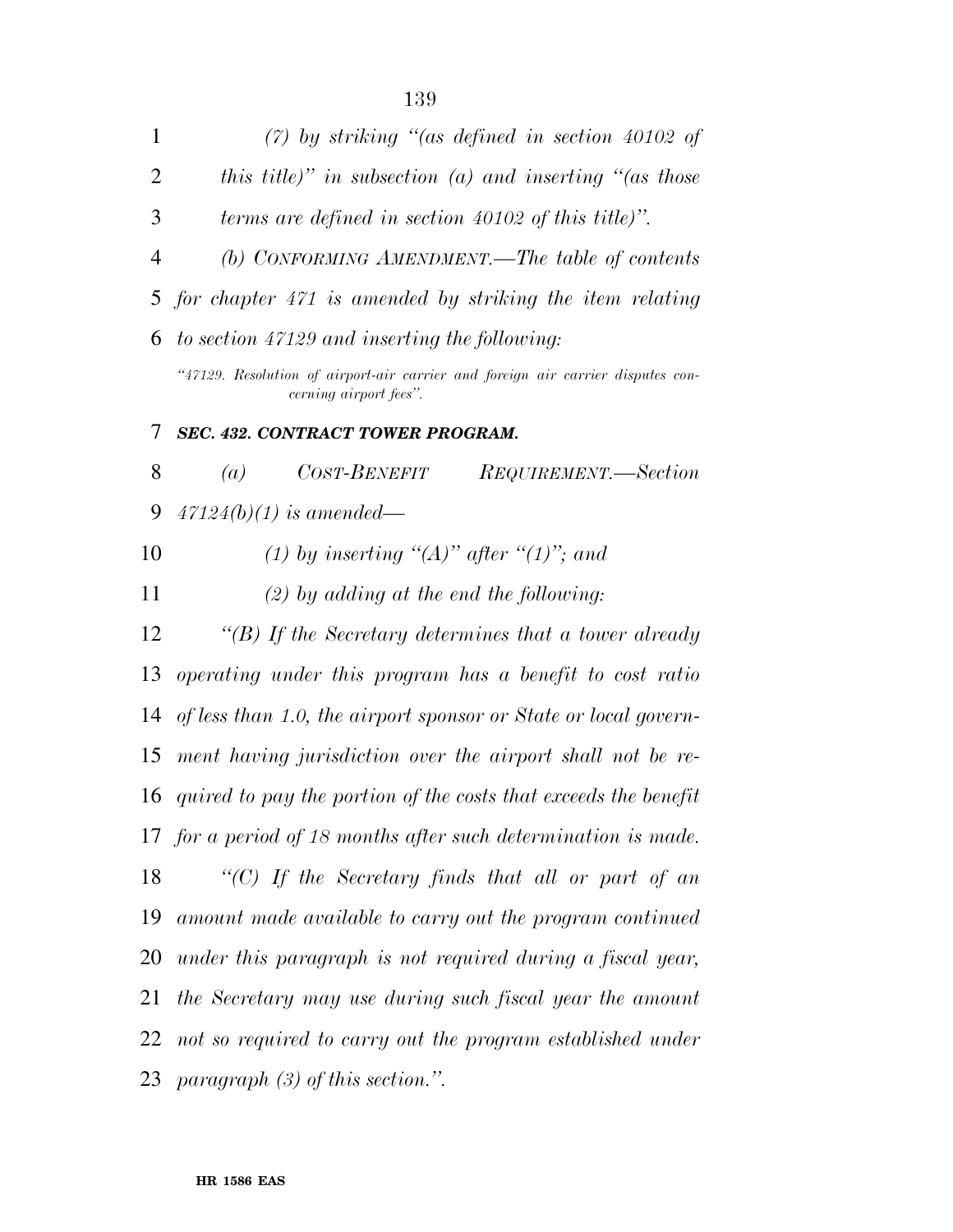| 1              | $(7)$ by striking "(as defined in section 40102 of                                                        |
|----------------|-----------------------------------------------------------------------------------------------------------|
| 2              | this title)" in subsection (a) and inserting "(as those                                                   |
| 3              | terms are defined in section $40102$ of this title)".                                                     |
| $\overline{4}$ | (b) CONFORMING AMENDMENT.—The table of contents                                                           |
| 5              | for chapter 471 is amended by striking the item relating                                                  |
| 6              | to section 47129 and inserting the following:                                                             |
|                | "47129. Resolution of airport-air carrier and foreign air carrier disputes con-<br>cerning airport fees". |
| 7              | <b>SEC. 432. CONTRACT TOWER PROGRAM.</b>                                                                  |
| 8              | COST-BENEFIT<br>REQUIREMENT.-Section<br>$\left( a\right)$                                                 |
| 9              | $47124(b)(1)$ is amended—                                                                                 |
| 10             | (1) by inserting "(A)" after "(1)"; and                                                                   |
| 11             | $(2)$ by adding at the end the following:                                                                 |
| 12             | "(B) If the Secretary determines that a tower already                                                     |
| 13             | operating under this program has a benefit to cost ratio                                                  |
| 14             | of less than 1.0, the airport sponsor or State or local govern-                                           |
| 15             | ment having jurisdiction over the airport shall not be re-                                                |
|                | 16 quired to pay the portion of the costs that exceeds the benefit                                        |
|                | 17 for a period of 18 months after such determination is made.                                            |
| 18             | " $(C)$ If the Secretary finds that all or part of an                                                     |
| 19             | amount made available to carry out the program continued                                                  |
| 20             | under this paragraph is not required during a fiscal year,                                                |
| 21             | the Secretary may use during such fiscal year the amount                                                  |
| 22             | not so required to carry out the program established under                                                |
| 23             | paragraph $(3)$ of this section.".                                                                        |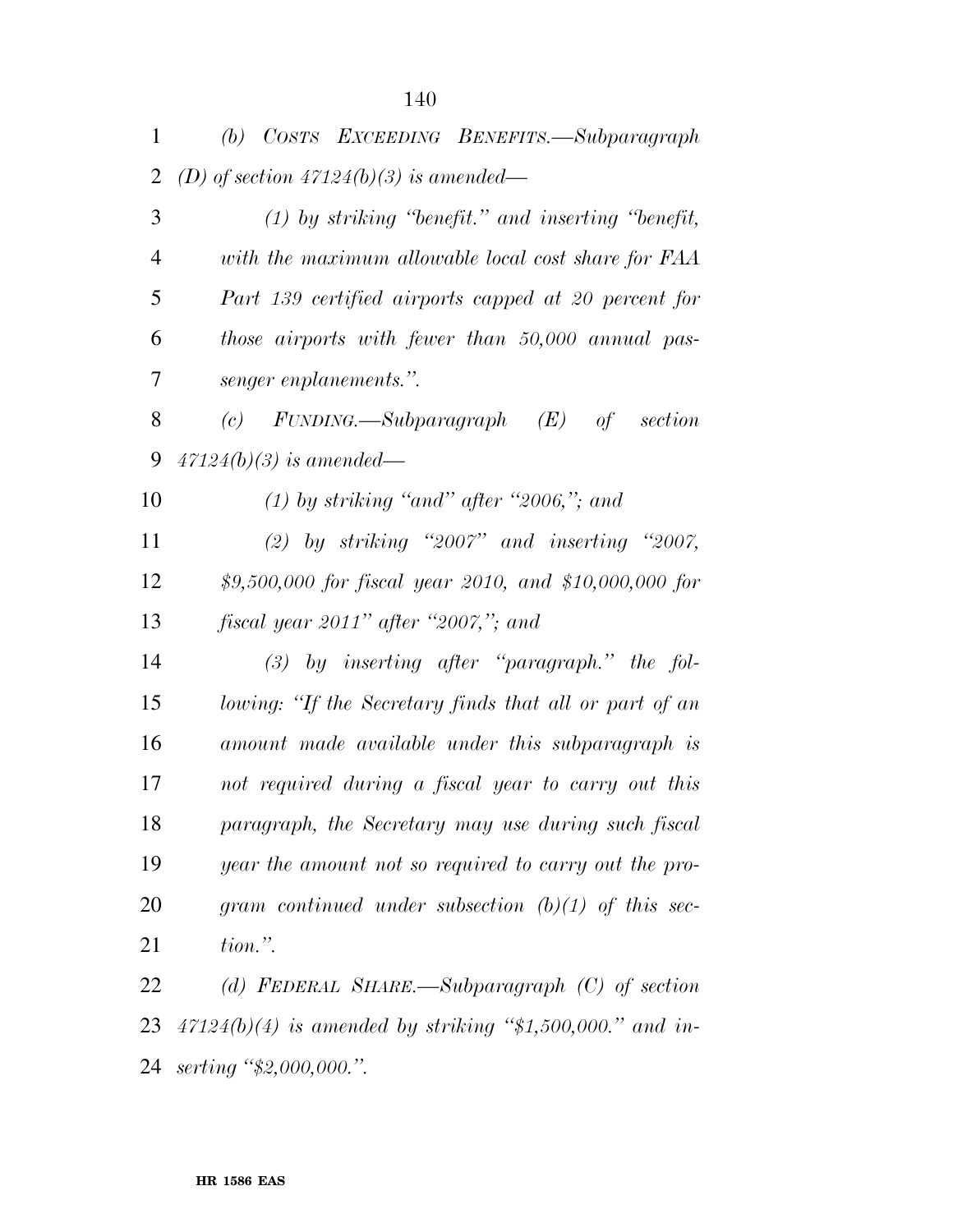| $\mathbf{1}$ | (b) COSTS EXCEEDING BENEFITS.-Subparagraph                  |
|--------------|-------------------------------------------------------------|
| 2            | (D) of section $47124(b)(3)$ is amended—                    |
| 3            | $(1)$ by striking "benefit." and inserting "benefit,        |
| 4            | with the maximum allowable local cost share for FAA         |
| 5            | Part 139 certified airports capped at 20 percent for        |
| 6            | those airports with fewer than 50,000 annual pas-           |
| 7            | senger enplanements.".                                      |
| 8            | of section                                                  |
| 9            | $47124(b)(3)$ is amended—                                   |
| 10           | $(1)$ by striking "and" after "2006,"; and                  |
| 11           | (2) by striking "2007" and inserting "2007,                 |
| 12           | \$9,500,000 for fiscal year 2010, and \$10,000,000 for      |
| 13           | fiscal year 2011" after "2007,"; and                        |
| 14           | $(3)$ by inserting after "paragraph." the fol-              |
| 15           | lowing: "If the Secretary finds that all or part of an      |
| 16           | amount made available under this subparagraph is            |
| 17           | not required during a fiscal year to carry out this         |
| 18           | paragraph, the Secretary may use during such fiscal         |
| 19           | year the amount not so required to carry out the pro-       |
| 20           | gram continued under subsection $(b)(1)$ of this sec-       |
| 21           | $tion.$ ".                                                  |
| 22           | (d) FEDERAL SHARE.—Subparagraph $(C)$ of section            |
| 23           | $47124(b)(4)$ is amended by striking "\$1,500,000." and in- |

*serting ''\$2,000,000.''.*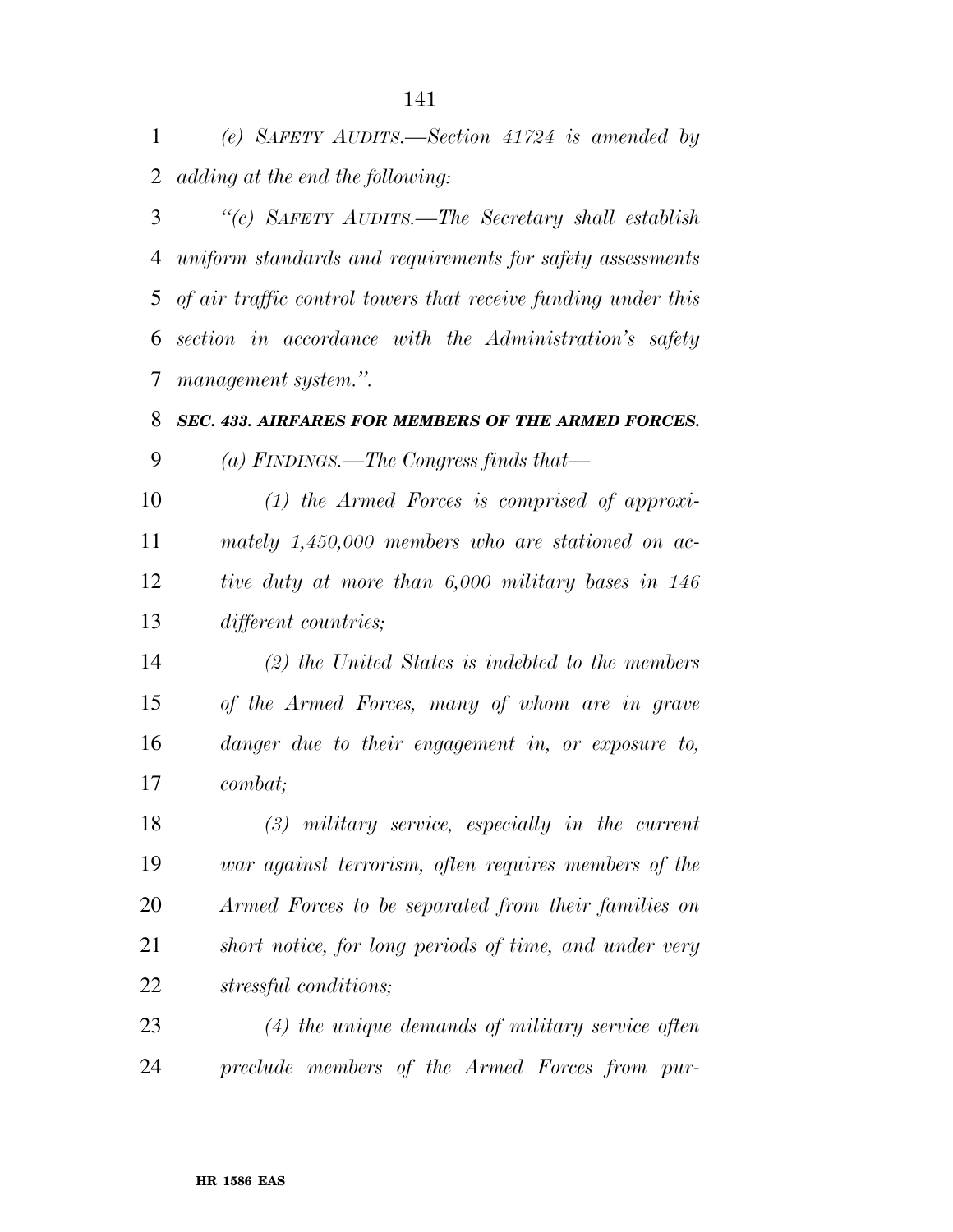*(e) SAFETY AUDITS.—Section 41724 is amended by adding at the end the following:* 

 *''(c) SAFETY AUDITS.—The Secretary shall establish uniform standards and requirements for safety assessments of air traffic control towers that receive funding under this section in accordance with the Administration's safety management system.''.* 

*SEC. 433. AIRFARES FOR MEMBERS OF THE ARMED FORCES.* 

*(a) FINDINGS.—The Congress finds that—* 

 *(1) the Armed Forces is comprised of approxi- mately 1,450,000 members who are stationed on ac- tive duty at more than 6,000 military bases in 146 different countries;* 

 *(2) the United States is indebted to the members of the Armed Forces, many of whom are in grave danger due to their engagement in, or exposure to, combat;* 

 *(3) military service, especially in the current war against terrorism, often requires members of the Armed Forces to be separated from their families on short notice, for long periods of time, and under very stressful conditions;* 

 *(4) the unique demands of military service often preclude members of the Armed Forces from pur-*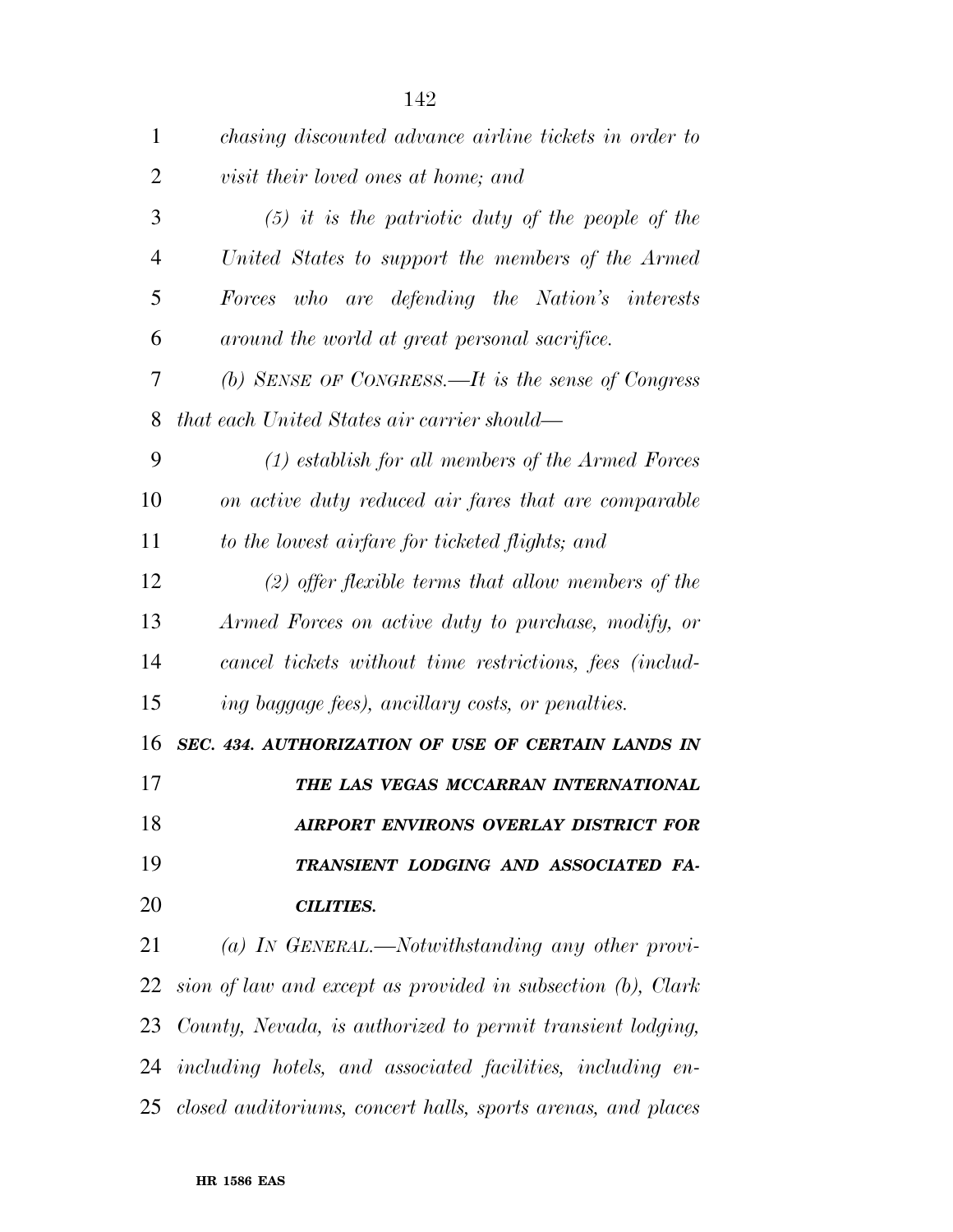| $\mathbf{1}$   | chasing discounted advance airline tickets in order to          |
|----------------|-----------------------------------------------------------------|
| $\overline{2}$ | visit their loved ones at home; and                             |
| 3              | $(5)$ it is the patriotic duty of the people of the             |
| $\overline{4}$ | United States to support the members of the Armed               |
| 5              | Forces who are defending the Nation's interests                 |
| 6              | around the world at great personal sacrifice.                   |
| 7              | (b) SENSE OF CONGRESS.—It is the sense of Congress              |
| 8              | that each United States air carrier should—                     |
| 9              | $(1)$ establish for all members of the Armed Forces             |
| 10             | on active duty reduced air fares that are comparable            |
| 11             | to the lowest airfare for ticketed flights; and                 |
| 12             | $(2)$ offer flexible terms that allow members of the            |
| 13             | Armed Forces on active duty to purchase, modify, or             |
| 14             | cancel tickets without time restrictions, fees (includ-         |
| 15             | ing baggage fees), ancillary costs, or penalties.               |
| 16             | SEC. 434. AUTHORIZATION OF USE OF CERTAIN LANDS IN              |
| 17             | THE LAS VEGAS MCCARRAN INTERNATIONAL                            |
| 18             | AIRPORT ENVIRONS OVERLAY DISTRICT FOR                           |
| 19             | TRANSIENT LODGING AND ASSOCIATED FA-                            |
| 20             | <b>CILITIES.</b>                                                |
| 21             | (a) IN GENERAL.—Notwithstanding any other provi-                |
|                | 22 sion of law and except as provided in subsection (b), Clark  |
| 23             | County, Nevada, is authorized to permit transient lodging,      |
|                | 24 including hotels, and associated facilities, including en-   |
|                | 25 closed auditoriums, concert halls, sports arenas, and places |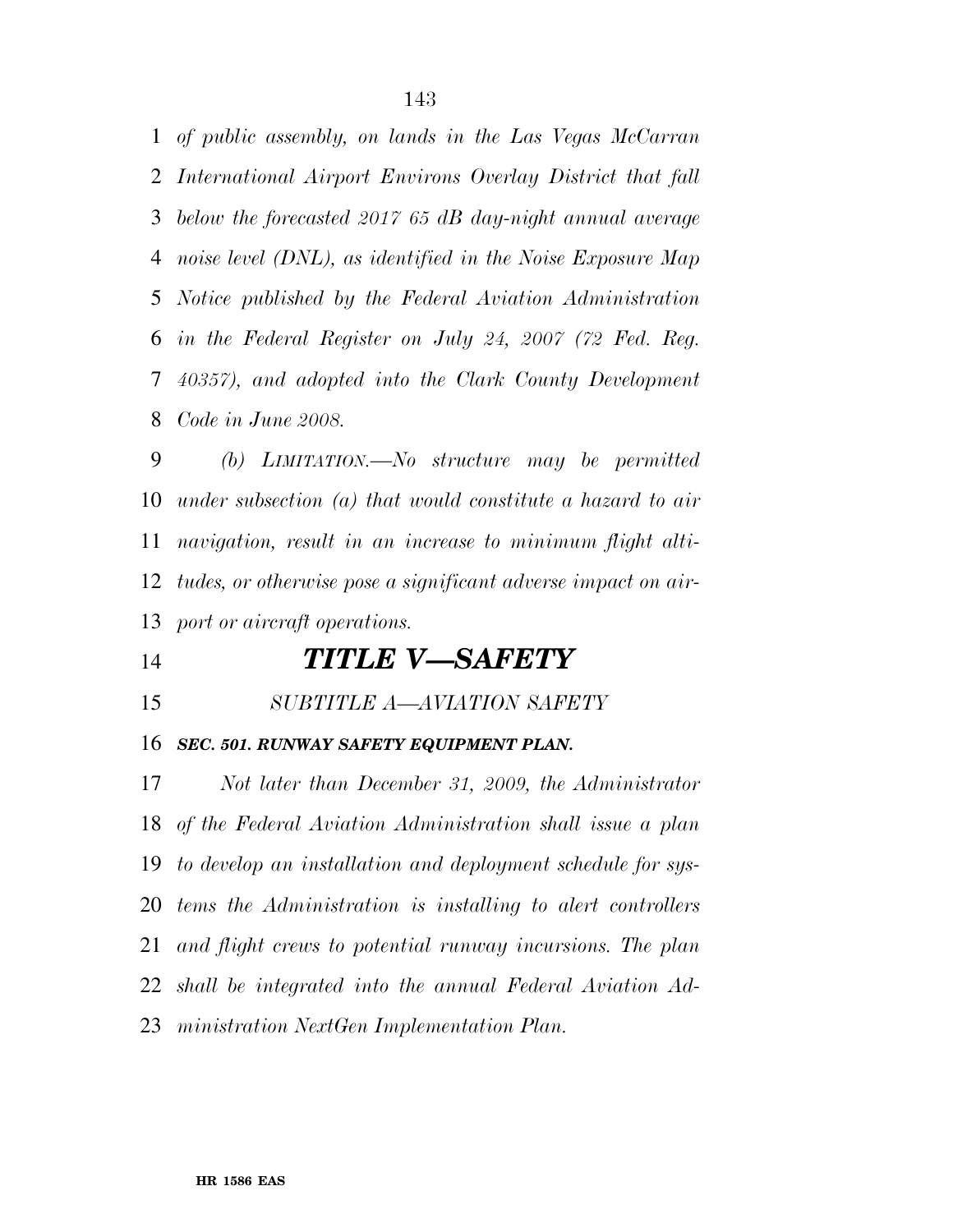*of public assembly, on lands in the Las Vegas McCarran International Airport Environs Overlay District that fall below the forecasted 2017 65 dB day-night annual average noise level (DNL), as identified in the Noise Exposure Map Notice published by the Federal Aviation Administration in the Federal Register on July 24, 2007 (72 Fed. Reg. 40357), and adopted into the Clark County Development Code in June 2008.* 

 *(b) LIMITATION.—No structure may be permitted under subsection (a) that would constitute a hazard to air navigation, result in an increase to minimum flight alti- tudes, or otherwise pose a significant adverse impact on air-port or aircraft operations.* 

### *TITLE V—SAFETY*

*SUBTITLE A—AVIATION SAFETY* 

#### *SEC. 501. RUNWAY SAFETY EQUIPMENT PLAN.*

 *Not later than December 31, 2009, the Administrator of the Federal Aviation Administration shall issue a plan to develop an installation and deployment schedule for sys- tems the Administration is installing to alert controllers and flight crews to potential runway incursions. The plan shall be integrated into the annual Federal Aviation Ad-ministration NextGen Implementation Plan.*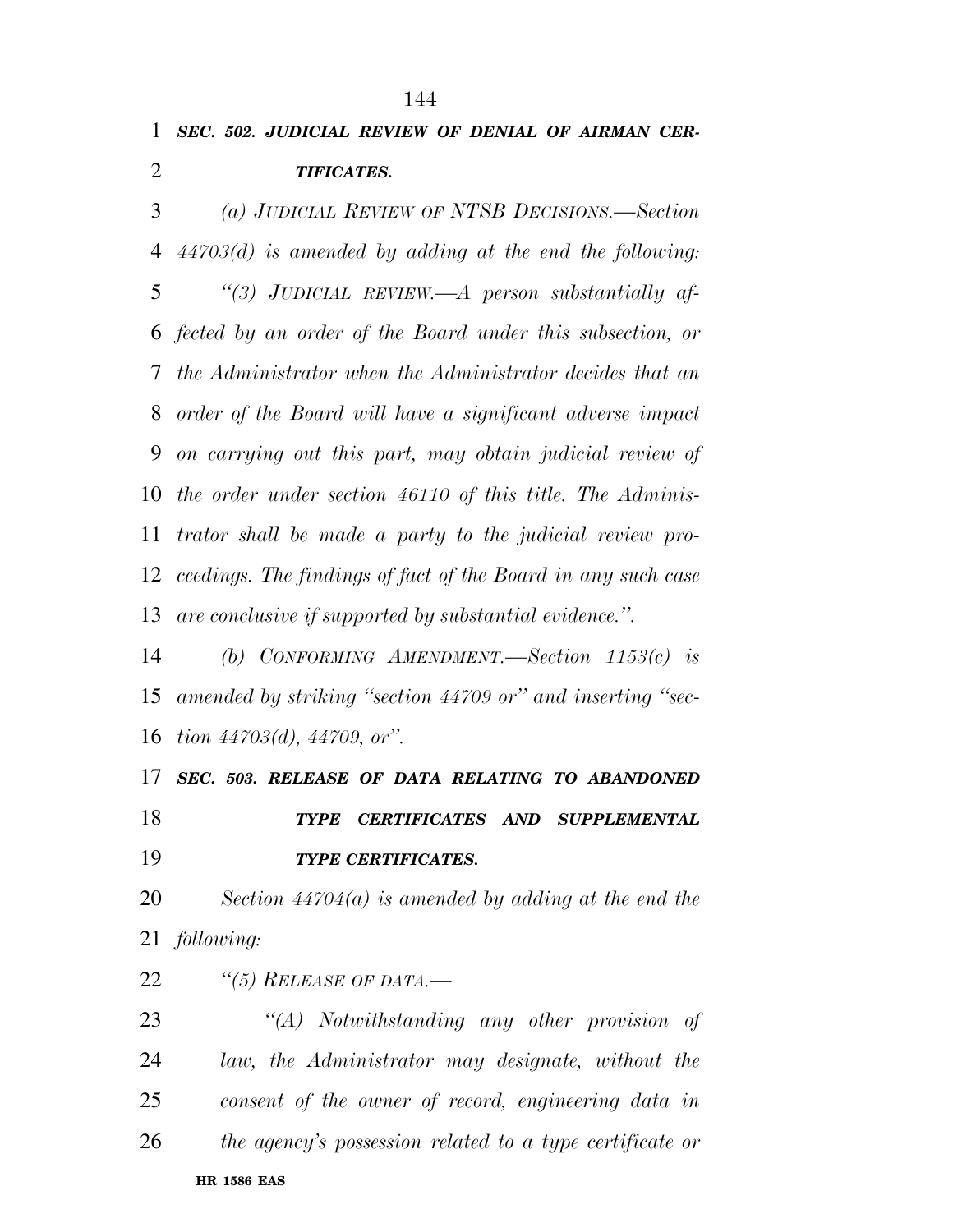*(a) JUDICIAL REVIEW OF NTSB DECISIONS.—Section 44703(d) is amended by adding at the end the following: ''(3) JUDICIAL REVIEW.—A person substantially af- fected by an order of the Board under this subsection, or the Administrator when the Administrator decides that an order of the Board will have a significant adverse impact on carrying out this part, may obtain judicial review of the order under section 46110 of this title. The Adminis- trator shall be made a party to the judicial review pro- ceedings. The findings of fact of the Board in any such case are conclusive if supported by substantial evidence.''.* 

 *(b) CONFORMING AMENDMENT.—Section 1153(c) is amended by striking ''section 44709 or'' and inserting ''sec-tion 44703(d), 44709, or''.* 

 *SEC. 503. RELEASE OF DATA RELATING TO ABANDONED TYPE CERTIFICATES AND SUPPLEMENTAL TYPE CERTIFICATES.* 

 *Section 44704(a) is amended by adding at the end the following:* 

*''(5) RELEASE OF DATA.—* 

**HR 1586 EAS**  *''(A) Notwithstanding any other provision of law, the Administrator may designate, without the consent of the owner of record, engineering data in the agency's possession related to a type certificate or*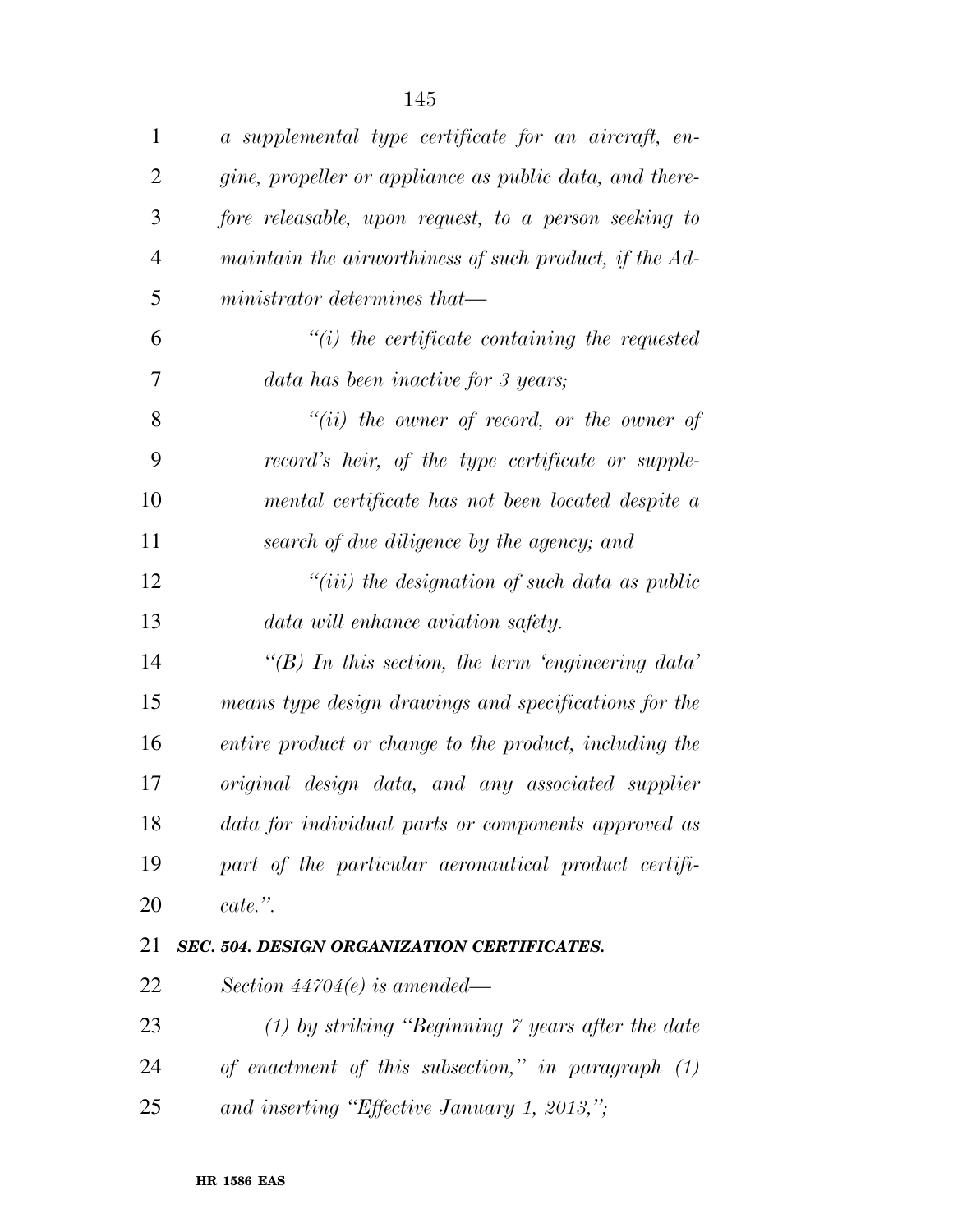| $\mathbf{1}$   | a supplemental type certificate for an aircraft, en-    |
|----------------|---------------------------------------------------------|
| 2              | gine, propeller or appliance as public data, and there- |
| 3              | fore releasable, upon request, to a person seeking to   |
| $\overline{4}$ | maintain the airworthiness of such product, if the Ad-  |
| 5              | $ministrator$ determines that—                          |
| 6              | $\tilde{f}(i)$ the certificate containing the requested |
| 7              | data has been inactive for 3 years;                     |
| 8              | $``(ii)$ the owner of record, or the owner of           |
| 9              | record's heir, of the type certificate or supple-       |
| 10             | mental certificate has not been located despite a       |
| 11             | search of due diligence by the agency; and              |
| 12             | $``(iii)$ the designation of such data as public        |
| 13             | data will enhance aviation safety.                      |
| 14             | $\lq (B)$ In this section, the term 'engineering data'  |
| 15             | means type design drawings and specifications for the   |
| 16             | entire product or change to the product, including the  |
| 17             | original design data, and any associated supplier       |
| 18             | data for individual parts or components approved as     |
| 19             | part of the particular aeronautical product certifi-    |
| 20             | $\textit{cate."}.$                                      |
| 21             | SEC. 504. DESIGN ORGANIZATION CERTIFICATES.             |
| 22             | Section $44704(e)$ is amended—                          |
| 23             | $(1)$ by striking "Beginning 7 years after the date     |
| 24             | of enactment of this subsection," in paragraph $(1)$    |
| 25             | and inserting "Effective January 1, 2013,";             |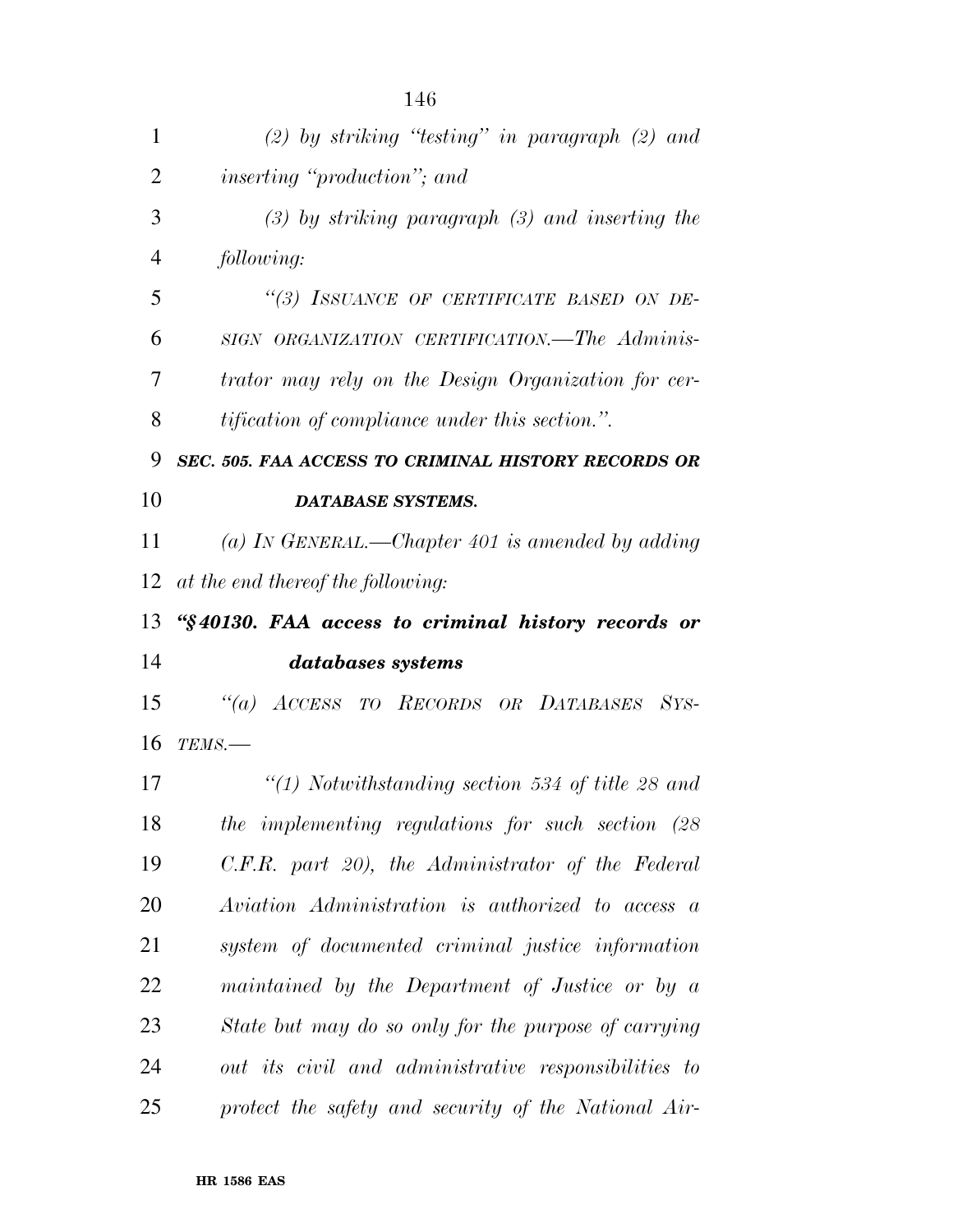| 1              | $(2)$ by striking "testing" in paragraph $(2)$ and     |
|----------------|--------------------------------------------------------|
| $\overline{2}$ | <i>inserting "production"</i> ; and                    |
| 3              | $(3)$ by striking paragraph $(3)$ and inserting the    |
| $\overline{4}$ | following:                                             |
| 5              | "(3) ISSUANCE OF CERTIFICATE BASED ON DE-              |
| 6              | SIGN ORGANIZATION CERTIFICATION. The Adminis-          |
| 7              | trator may rely on the Design Organization for cer-    |
| 8              | <i>tification of compliance under this section."</i> . |
| 9              | SEC. 505. FAA ACCESS TO CRIMINAL HISTORY RECORDS OR    |
| 10             | <b>DATABASE SYSTEMS.</b>                               |
| 11             | (a) In GENERAL.—Chapter 401 is amended by adding       |
| 12             | at the end thereof the following:                      |
| 13             | "§40130. FAA access to criminal history records or     |
|                | databases systems                                      |
| 14             |                                                        |
| 15             | "(a) ACCESS TO RECORDS OR DATABASES SYS-               |
| 16             | TEMS.-                                                 |
| 17             | $\lq(1)$ Notwithstanding section 534 of title 28 and   |
| 18             | the implementing regulations for such section $(28)$   |
| 19             | C.F.R. part 20), the Administrator of the Federal      |
| 20             | Aviation Administration is authorized to access a      |
| 21             | system of documented criminal justice information      |
| 22             | maintained by the Department of Justice or by a        |
| 23             | State but may do so only for the purpose of carrying   |
| 24             | out its civil and administrative responsibilities to   |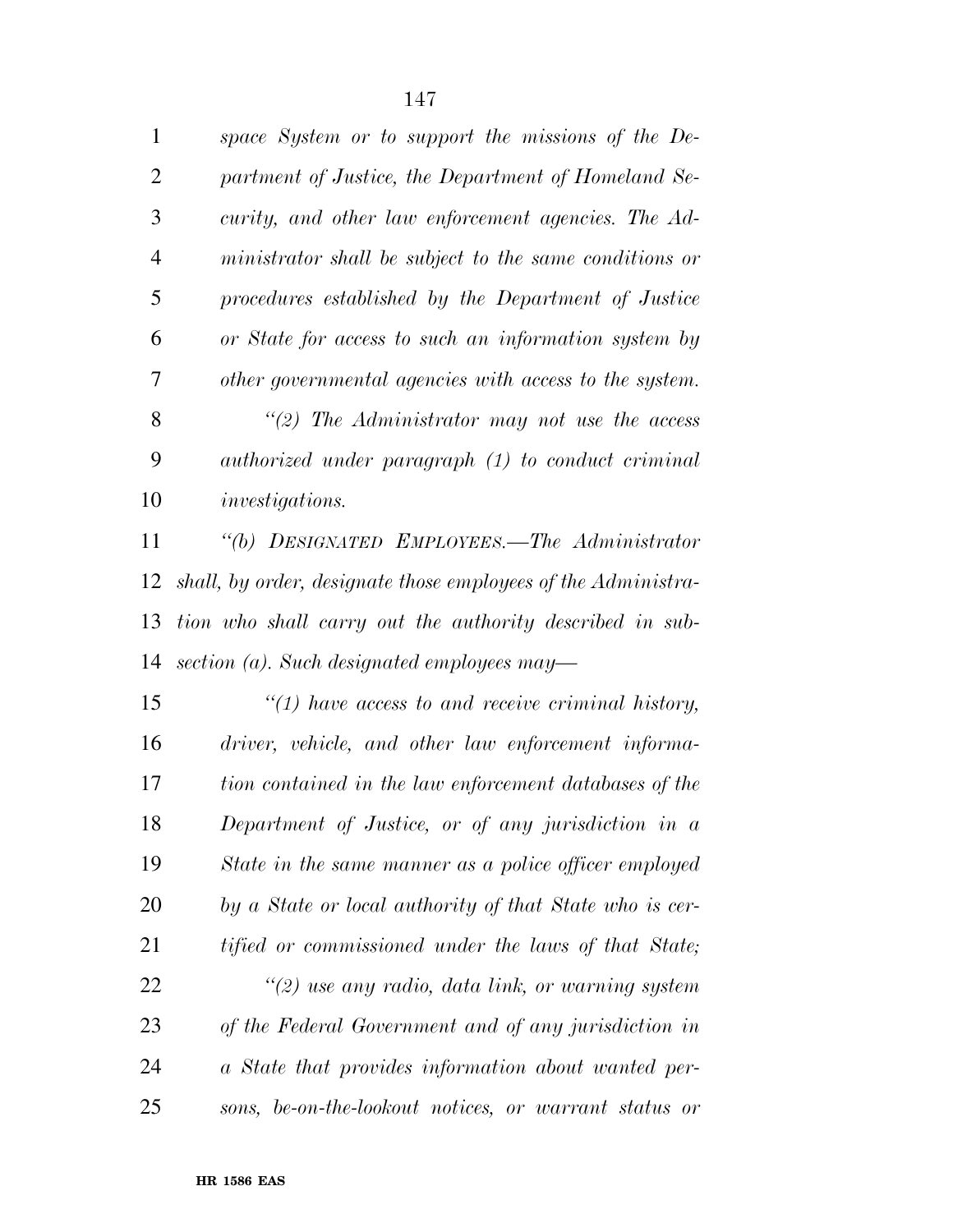| $\mathbf{1}$ | space System or to support the missions of the De-     |
|--------------|--------------------------------------------------------|
| 2            | partment of Justice, the Department of Homeland Se-    |
| 3            | curity, and other law enforcement agencies. The Ad-    |
| 4            | ministrator shall be subject to the same conditions or |
| 5            | procedures established by the Department of Justice    |
| 6            | or State for access to such an information system by   |
| 7            | other governmental agencies with access to the system. |
| 8            | "(2) The Administrator may not use the access          |
| 9            | authorized under paragraph (1) to conduct criminal     |
| 10           | <i>investigations.</i>                                 |
| 11           | "(b) DESIGNATED EMPLOYEES.—The Administrator           |

 *shall, by order, designate those employees of the Administra- tion who shall carry out the authority described in sub-section (a). Such designated employees may—* 

 *''(1) have access to and receive criminal history, driver, vehicle, and other law enforcement informa- tion contained in the law enforcement databases of the Department of Justice, or of any jurisdiction in a State in the same manner as a police officer employed by a State or local authority of that State who is cer- tified or commissioned under the laws of that State; ''(2) use any radio, data link, or warning system of the Federal Government and of any jurisdiction in a State that provides information about wanted per-*

*sons, be-on-the-lookout notices, or warrant status or*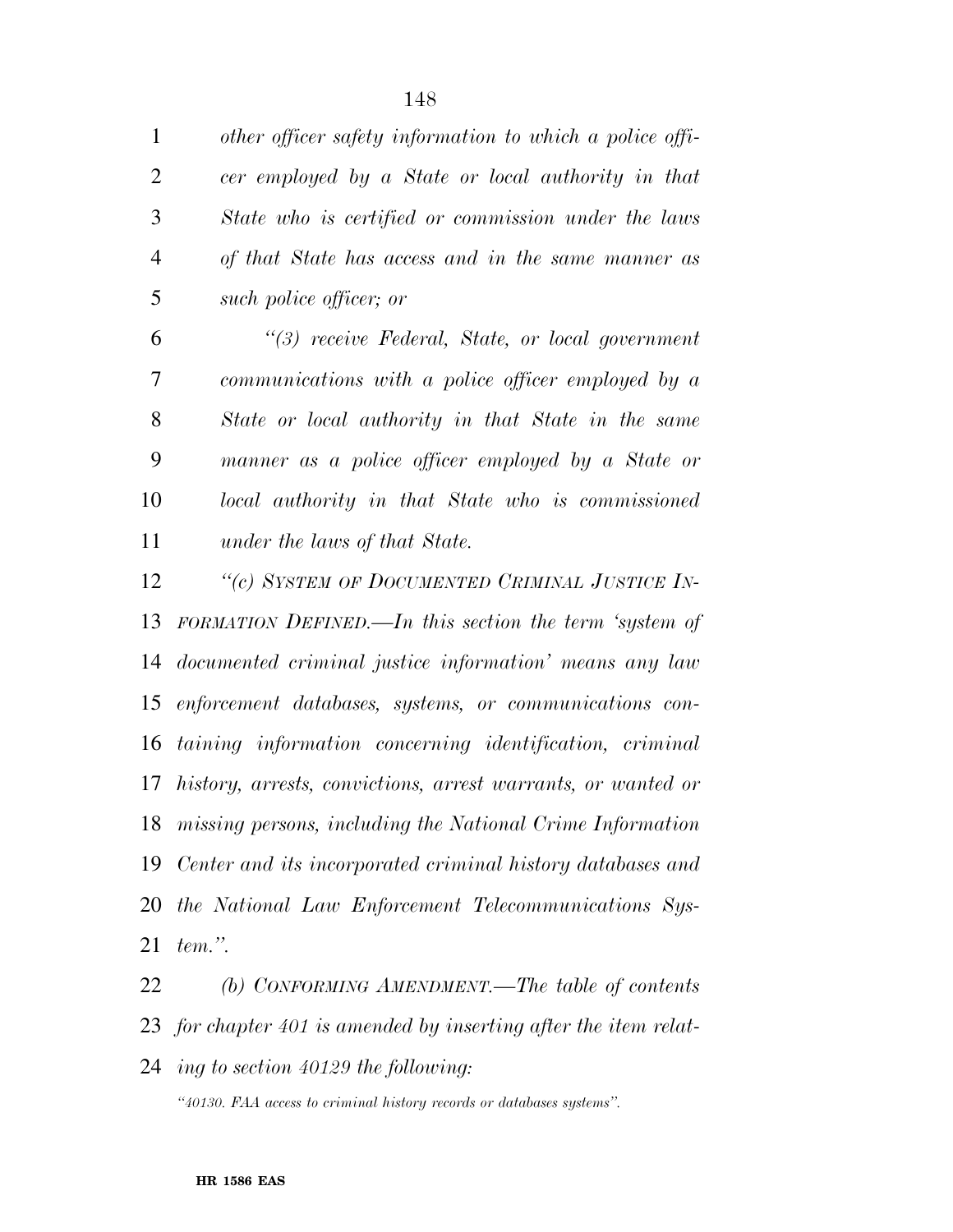*other officer safety information to which a police offi- cer employed by a State or local authority in that State who is certified or commission under the laws of that State has access and in the same manner as such police officer; or* 

 *''(3) receive Federal, State, or local government communications with a police officer employed by a State or local authority in that State in the same manner as a police officer employed by a State or local authority in that State who is commissioned under the laws of that State.* 

 *''(c) SYSTEM OF DOCUMENTED CRIMINAL JUSTICE IN- FORMATION DEFINED.—In this section the term 'system of documented criminal justice information' means any law enforcement databases, systems, or communications con- taining information concerning identification, criminal history, arrests, convictions, arrest warrants, or wanted or missing persons, including the National Crime Information Center and its incorporated criminal history databases and the National Law Enforcement Telecommunications Sys-tem.''.* 

 *(b) CONFORMING AMENDMENT.—The table of contents for chapter 401 is amended by inserting after the item relat-ing to section 40129 the following:* 

*''40130. FAA access to criminal history records or databases systems''.*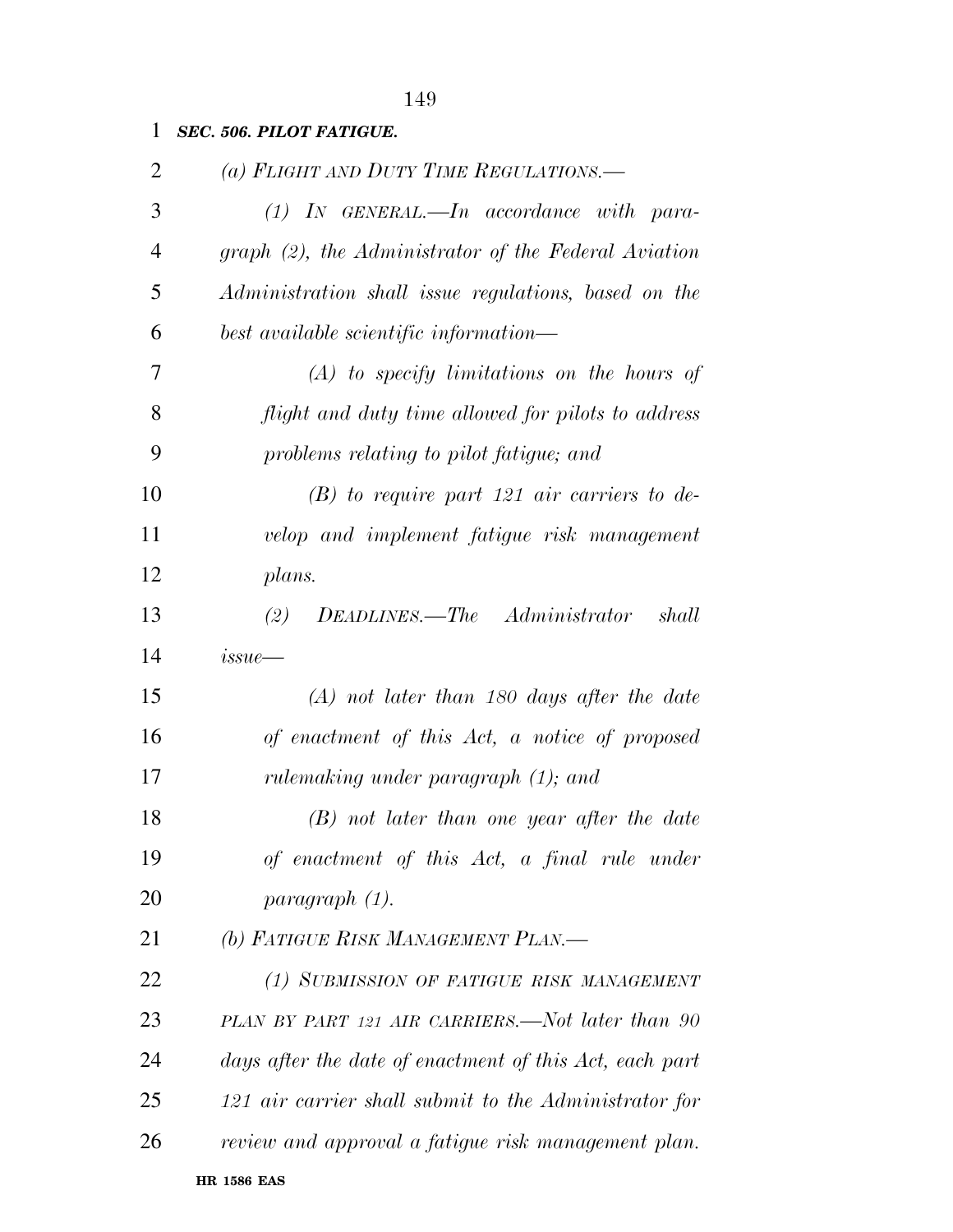| 2              | (a) FLIGHT AND DUTY TIME REGULATIONS.—               |
|----------------|------------------------------------------------------|
| 3              | $(1)$ In GENERAL.—In accordance with para-           |
| $\overline{4}$ | graph (2), the Administrator of the Federal Aviation |
| 5              | Administration shall issue regulations, based on the |
| 6              | best available scientific information—               |
| 7              | $(A)$ to specify limitations on the hours of         |
| 8              | flight and duty time allowed for pilots to address   |
| 9              | problems relating to pilot fatigue; and              |
| 10             | $(B)$ to require part 121 air carriers to de-        |
|                |                                                      |

*SEC. 506. PILOT FATIGUE.* 

| 10 | $(B)$ to require part 121 air carriers to de- |
|----|-----------------------------------------------|
| 11 | velop and implement fatigue risk management   |
| 12 | plans.                                        |

 *(2) DEADLINES.—The Administrator shall issue—* 

 *(A) not later than 180 days after the date of enactment of this Act, a notice of proposed rulemaking under paragraph (1); and* 

 *(B) not later than one year after the date of enactment of this Act, a final rule under paragraph (1).* 

*(b) FATIGUE RISK MANAGEMENT PLAN.—* 

 *(1) SUBMISSION OF FATIGUE RISK MANAGEMENT PLAN BY PART 121 AIR CARRIERS.—Not later than 90 days after the date of enactment of this Act, each part 121 air carrier shall submit to the Administrator for review and approval a fatigue risk management plan.*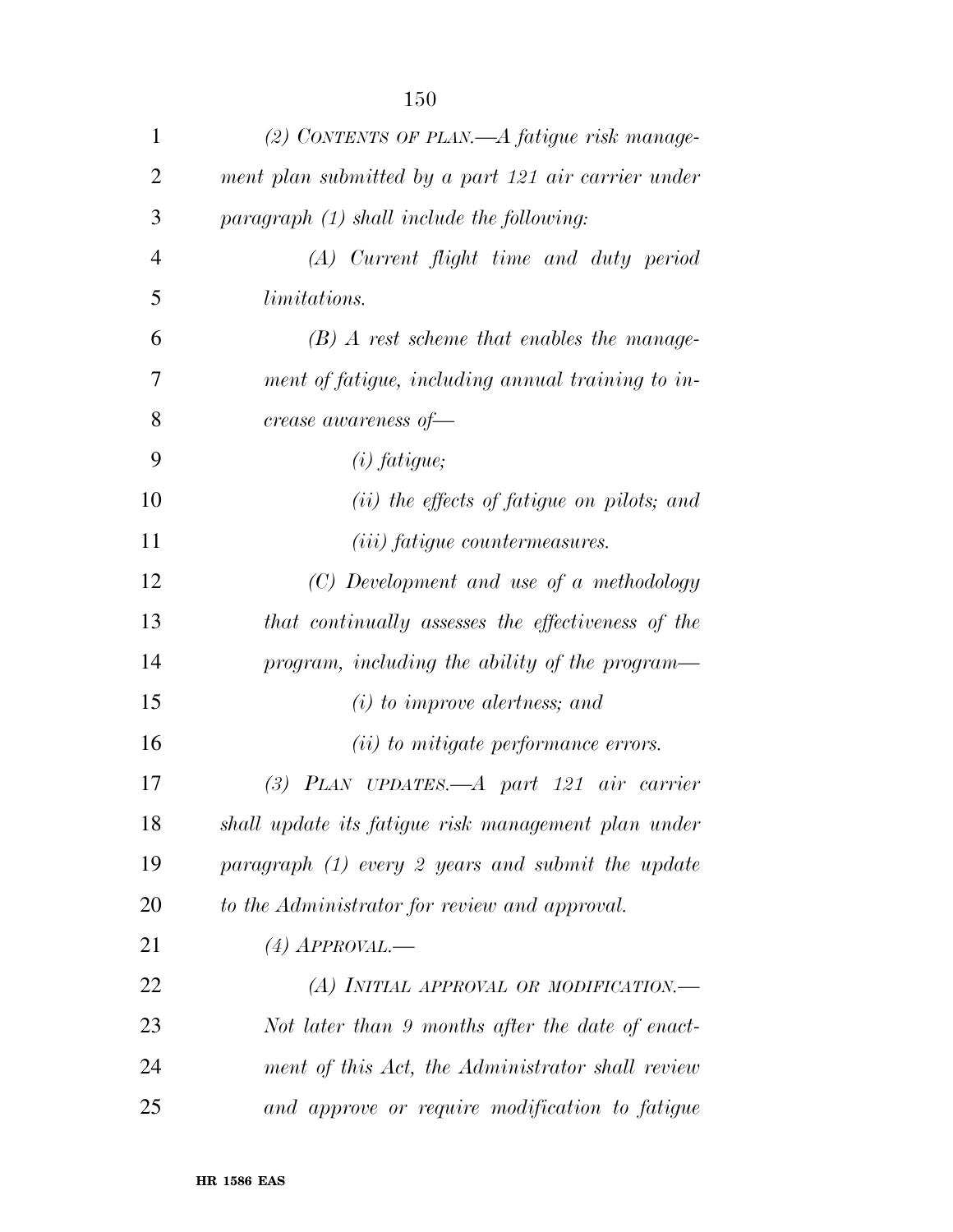| $\mathbf{1}$   | (2) CONTENTS OF PLAN.—A fatigue risk manage-        |
|----------------|-----------------------------------------------------|
| $\overline{2}$ | ment plan submitted by a part 121 air carrier under |
| 3              | paragraph (1) shall include the following:          |
| $\overline{4}$ | (A) Current flight time and duty period             |
| 5              | <i>limitations.</i>                                 |
| 6              | $(B)$ A rest scheme that enables the manage-        |
| 7              | ment of fatigue, including annual training to in-   |
| 8              | $creese \ a vareness \ of \frown$                   |
| 9              | $(i)$ fatigue;                                      |
| 10             | ( <i>ii</i> ) the effects of fatigue on pilots; and |
| 11             | <i>(iii) fatigue countermeasures.</i>               |
| 12             | (C) Development and use of a methodology            |
| 13             | that continually assesses the effectiveness of the  |
| 14             | program, including the ability of the program—      |
| 15             | $(i)$ to improve alertness; and                     |
| 16             | ( <i>ii</i> ) to mitigate performance errors.       |
| 17             | $(3)$ PLAN UPDATES.— $A$ part 121 air carrier       |
| 18             | shall update its fatigue risk management plan under |
| 19             | paragraph $(1)$ every 2 years and submit the update |
| 20             | to the Administrator for review and approval.       |
| 21             | $(4)$ APPROVAL.—                                    |
| 22             | (A) INITIAL APPROVAL OR MODIFICATION.               |
| 23             | Not later than 9 months after the date of enact-    |
| 24             | ment of this Act, the Administrator shall review    |
| 25             | and approve or require modification to fatigue      |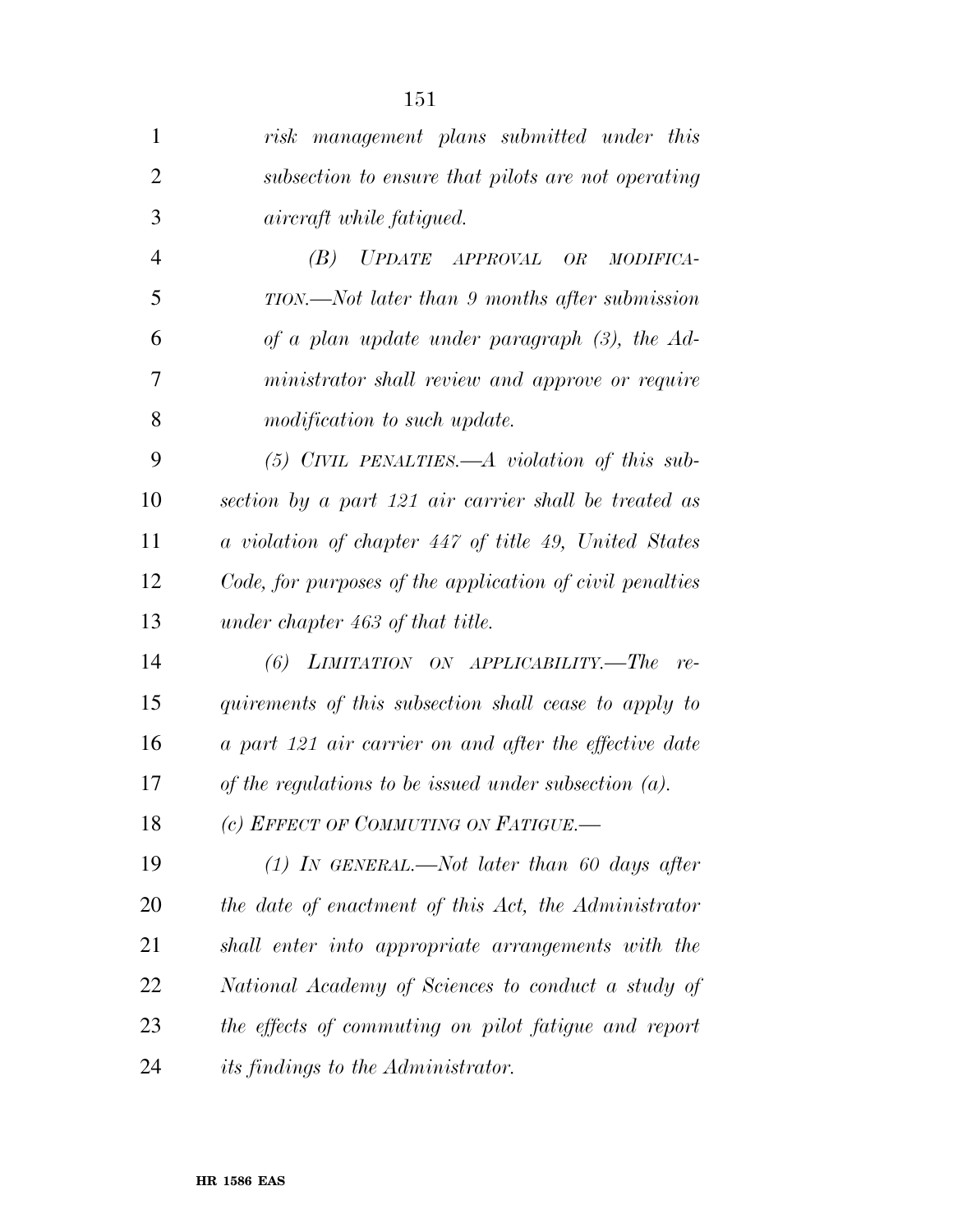| 1              | risk management plans submitted under this               |
|----------------|----------------------------------------------------------|
| $\overline{2}$ | subsection to ensure that pilots are not operating       |
| 3              | <i>aircraft while fatigued.</i>                          |
| $\overline{4}$ | (B)<br>UPDATE APPROVAL<br>OR<br>MODIFICA-                |
| 5              | TION.—Not later than 9 months after submission           |
| 6              | of a plan update under paragraph $(3)$ , the Ad-         |
| 7              | ministrator shall review and approve or require          |
| 8              | modification to such update.                             |
| 9              | $(5)$ CIVIL PENALTIES.—A violation of this sub-          |
| 10             | section by a part 121 air carrier shall be treated as    |
| 11             | a violation of chapter 447 of title 49, United States    |
| 12             | Code, for purposes of the application of civil penalties |
| 13             | under chapter 463 of that title.                         |
| 14             | LIMITATION ON APPLICABILITY.—The<br>(6)<br>re-           |
| 15             | quirements of this subsection shall cease to apply to    |
| 16             | a part 121 air carrier on and after the effective date   |
| 17             | of the regulations to be issued under subsection $(a)$ . |
| 18             | (c) EFFECT OF COMMUTING ON FATIGUE.—                     |
| 19             | $(1)$ IN GENERAL.—Not later than 60 days after           |
| 20             | the date of enactment of this Act, the Administrator     |
| 21             | shall enter into appropriate arrangements with the       |
| 22             | National Academy of Sciences to conduct a study of       |
| 23             | the effects of commuting on pilot fatigue and report     |
| 24             | <i>its findings to the Administrator.</i>                |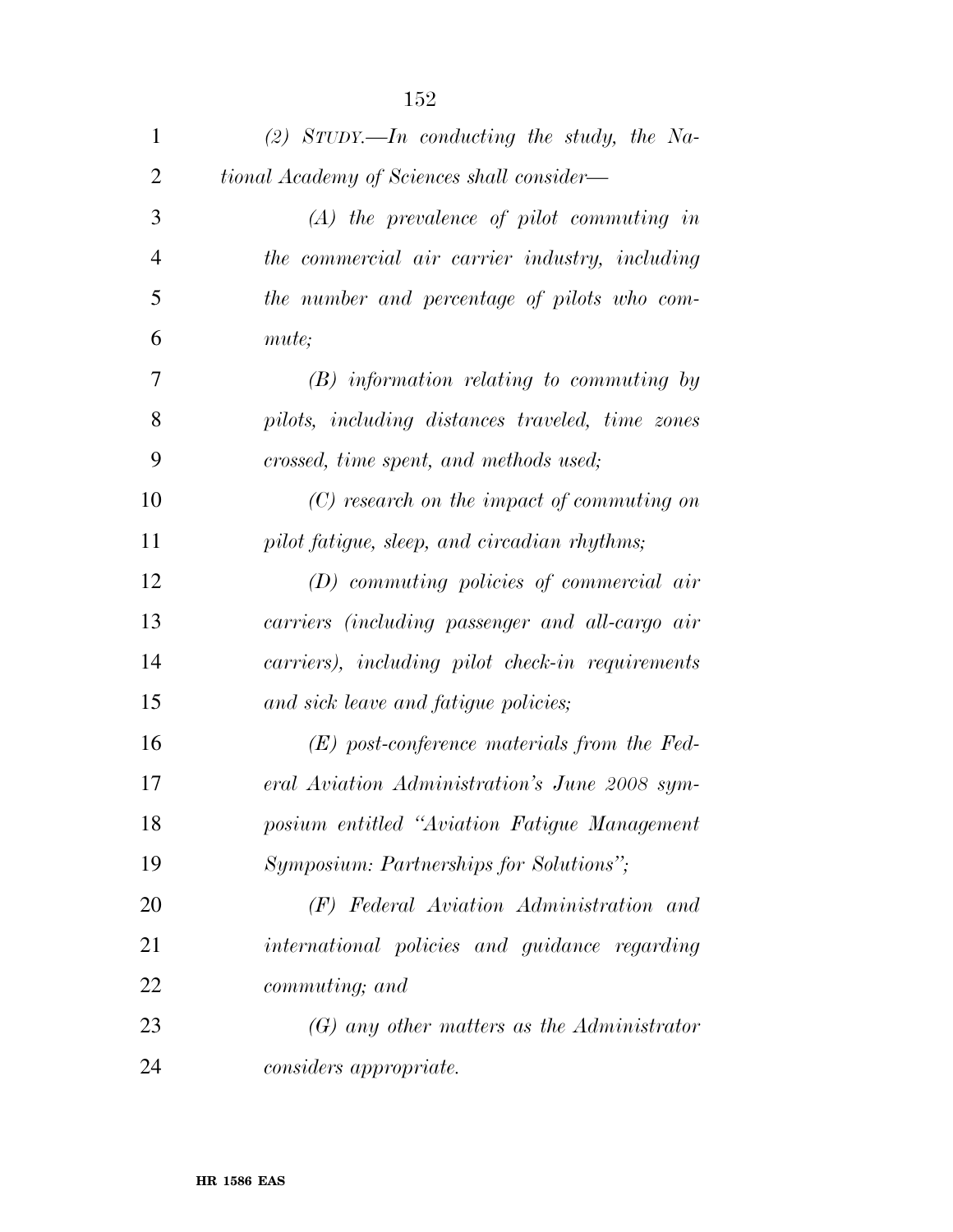| $\mathbf{1}$   | (2) STUDY.—In conducting the study, the Na-      |
|----------------|--------------------------------------------------|
| $\overline{2}$ | tional Academy of Sciences shall consider—       |
| 3              | $(A)$ the prevalence of pilot commuting in       |
| $\overline{4}$ | the commercial air carrier industry, including   |
| 5              | the number and percentage of pilots who com-     |
| 6              | mute;                                            |
| 7              | $(B)$ information relating to commuting by       |
| 8              | pilots, including distances traveled, time zones |
| 9              | crossed, time spent, and methods used;           |
| 10             | $(C)$ research on the impact of commuting on     |
| 11             | pilot fatigue, sleep, and circadian rhythms;     |
| 12             | $(D)$ commuting policies of commercial air       |
| 13             | carriers (including passenger and all-cargo air  |
| 14             | carriers), including pilot check-in requirements |
| 15             | and sick leave and fatigue policies;             |
| 16             | $(E)$ post-conference materials from the Fed-    |
| 17             | eral Aviation Administration's June 2008 sym-    |
| 18             | posium entitled "Aviation Fatigue Management     |
| 19             | Symposium: Partnerships for Solutions";          |
| 20             | (F) Federal Aviation Administration and          |
| 21             | international policies and guidance regarding    |
| 22             | commuting; and                                   |
| 23             | $(G)$ any other matters as the Administrator     |
| 24             | considers appropriate.                           |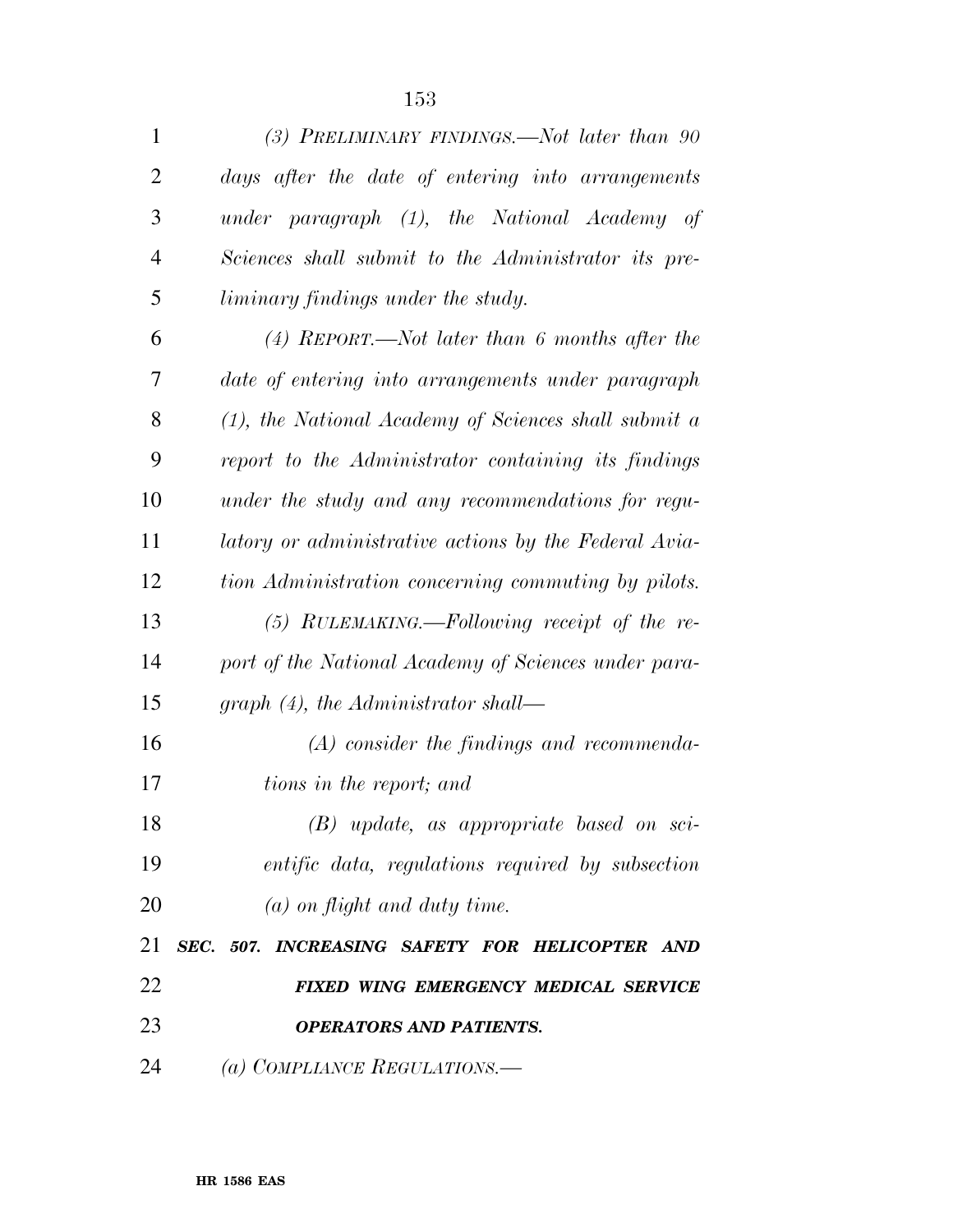| 1              | (3) PRELIMINARY FINDINGS.—Not later than 90             |
|----------------|---------------------------------------------------------|
| $\overline{2}$ | days after the date of entering into arrangements       |
| 3              | under paragraph (1), the National Academy of            |
| $\overline{4}$ | Sciences shall submit to the Administrator its pre-     |
| 5              | liminary findings under the study.                      |
| 6              | $(4)$ REPORT.—Not later than 6 months after the         |
| 7              | date of entering into arrangements under paragraph      |
| 8              | $(1)$ , the National Academy of Sciences shall submit a |
| 9              | report to the Administrator containing its findings     |
| 10             | under the study and any recommendations for regu-       |
| 11             | latory or administrative actions by the Federal Avia-   |
| 12             | tion Administration concerning commuting by pilots.     |
| 13             | $(5)$ RULEMAKING.—Following receipt of the re-          |
| 14             | port of the National Academy of Sciences under para-    |
| 15             | graph $(4)$ , the Administrator shall—                  |
| 16             | $(A)$ consider the findings and recommenda-             |
| 17             | tions in the report; and                                |
| 18             | $(B)$ update, as appropriate based on sci-              |
| 19             | <i>entific data, regulations required by subsection</i> |
| 20             | $(a)$ on flight and duty time.                          |
| 21             | SEC. 507. INCREASING SAFETY FOR HELICOPTER AND          |
| 22             | FIXED WING EMERGENCY MEDICAL SERVICE                    |
| 23             | <b>OPERATORS AND PATIENTS.</b>                          |
| 24             | (a) COMPLIANCE REGULATIONS.—                            |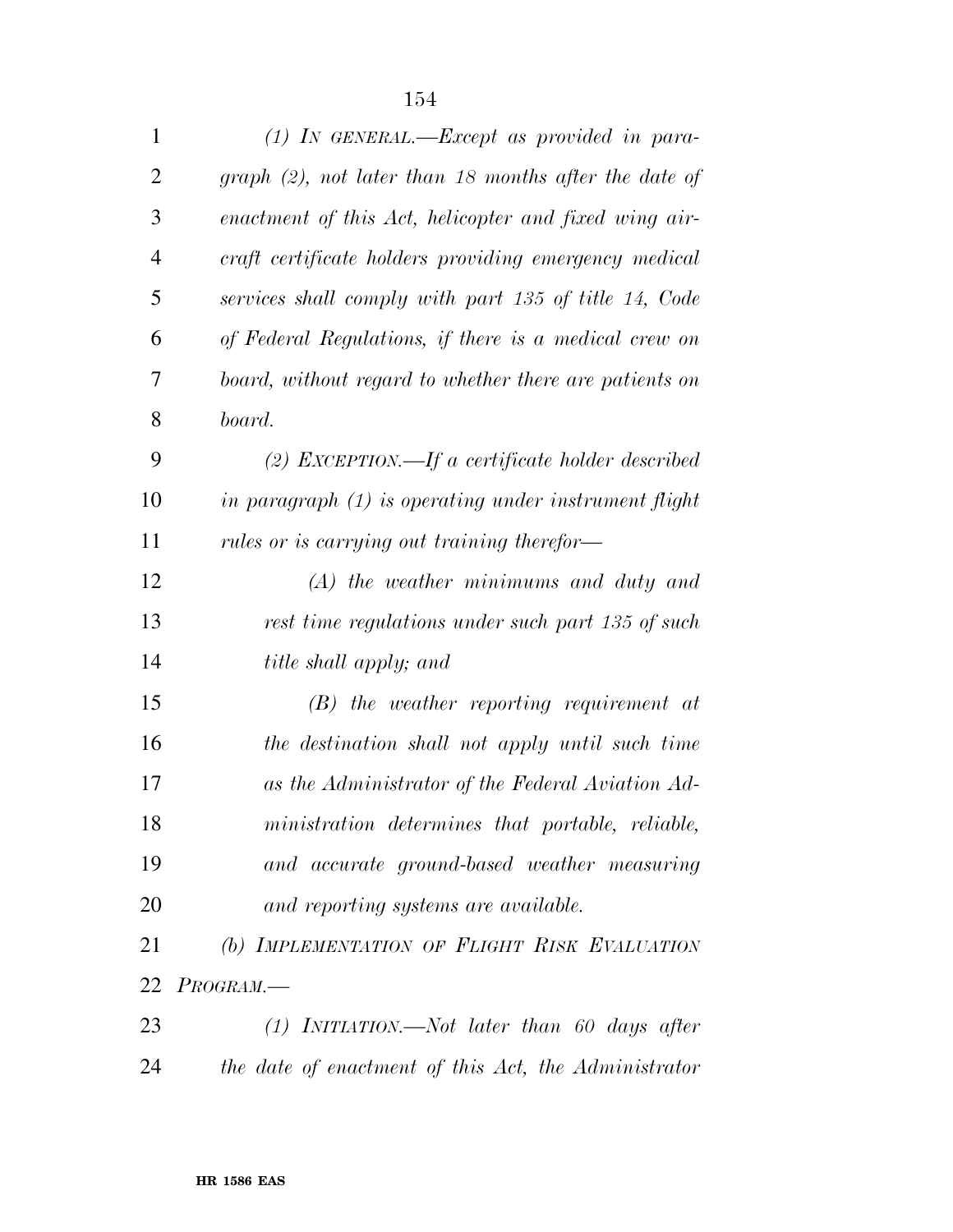| $\mathbf{1}$   | $(1)$ IN GENERAL.—Except as provided in para-            |
|----------------|----------------------------------------------------------|
| 2              | $graph (2)$ , not later than 18 months after the date of |
| 3              | enactment of this Act, helicopter and fixed wing air-    |
| $\overline{4}$ | craft certificate holders providing emergency medical    |
| 5              | services shall comply with part 135 of title 14, Code    |
| 6              | of Federal Regulations, if there is a medical crew on    |
| 7              | board, without regard to whether there are patients on   |
| 8              | board.                                                   |
| 9              | (2) EXCEPTION.—If a certificate holder described         |
| 10             | in paragraph (1) is operating under instrument flight    |
| 11             | rules or is carrying out training therefor—              |
| 12             | $(A)$ the weather minimums and duty and                  |
| 13             | rest time regulations under such part 135 of such        |
| 14             | title shall apply; and                                   |
| 15             | $(B)$ the weather reporting requirement at               |
| 16             | the destination shall not apply until such time          |
| 17             | as the Administrator of the Federal Aviation Ad-         |
| 18             | ministration determines that portable, reliable,         |
| 19             | and accurate ground-based weather measuring              |
| 20             | and reporting systems are available.                     |
| 21             | (b) IMPLEMENTATION OF FLIGHT RISK EVALUATION             |
| 22             | PROGRAM.                                                 |
| 23             | $(1)$ INITIATION.—Not later than 60 days after           |
| 24             | the date of enactment of this Act, the Administrator     |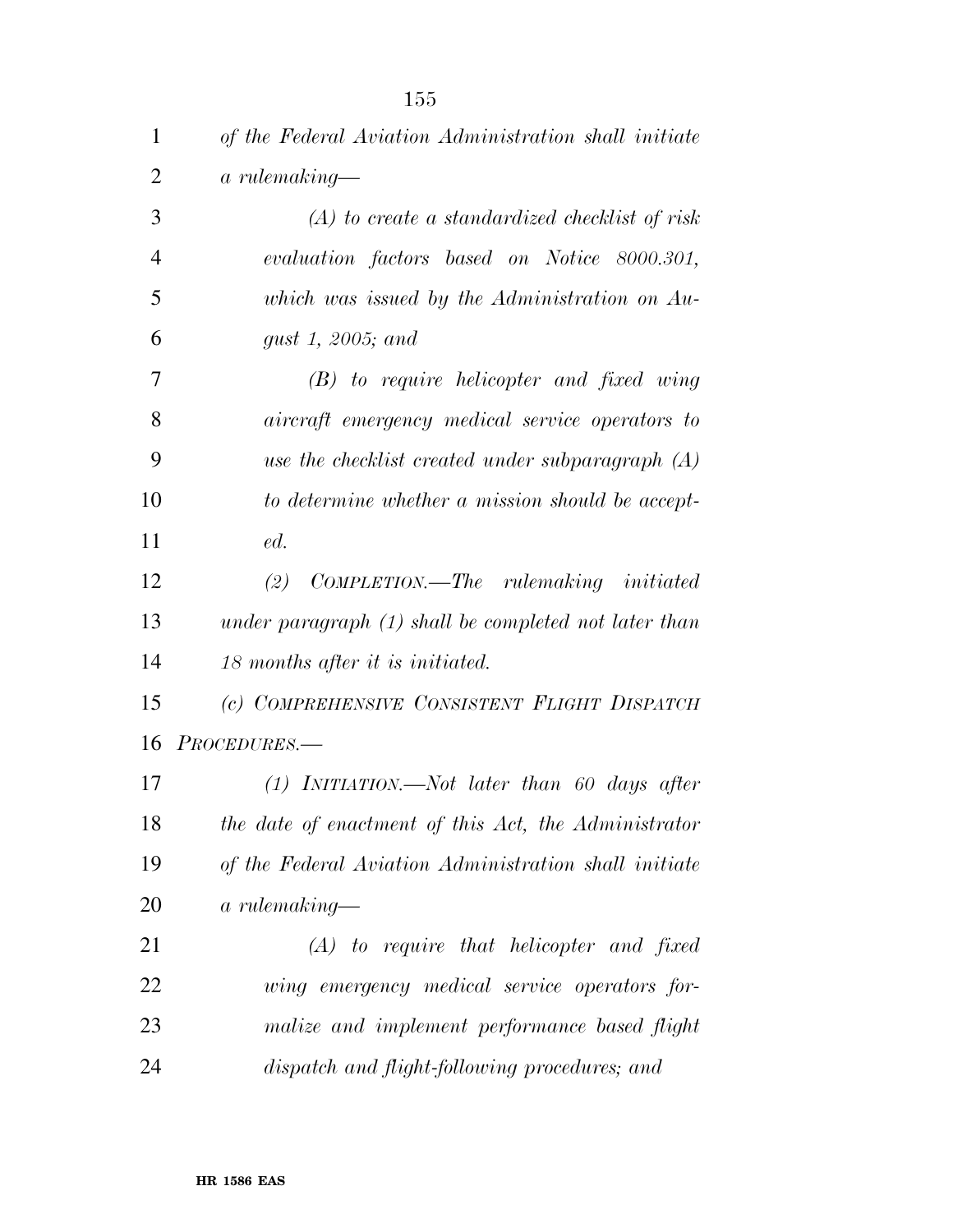| 1              | of the Federal Aviation Administration shall initiate   |
|----------------|---------------------------------------------------------|
| $\overline{2}$ | a rulemaking—                                           |
| 3              | $(A)$ to create a standardized checklist of risk        |
| $\overline{4}$ | evaluation factors based on Notice 8000.301,            |
| 5              | which was issued by the Administration on $Au$          |
| 6              | gust 1, 2005; and                                       |
| 7              | $(B)$ to require helicopter and fixed wing              |
| 8              | aircraft emergency medical service operators to         |
| 9              | use the checklist created under subparagraph $(A)$      |
| 10             | to determine whether a mission should be accept-        |
| 11             | ed.                                                     |
| 12             | COMPLETION.—The rulemaking initiated<br>(2)             |
| 13             | under paragraph $(1)$ shall be completed not later than |
| 14             | 18 months after it is initiated.                        |
| 15             | (c) COMPREHENSIVE CONSISTENT FLIGHT DISPATCH            |
| 16             | PROCEDURES.—                                            |
| 17             | $(1)$ INITIATION.—Not later than 60 days after          |
| 18             | the date of enactment of this Act, the Administrator    |
| 19             | of the Federal Aviation Administration shall initiate   |
| 20             | $a\ rule making -$                                      |
| 21             | $(A)$ to require that helicopter and fixed              |
| 22             | wing emergency medical service operators for-           |
| 23             | malize and implement performance based flight           |
| 24             | dispatch and flight-following procedures; and           |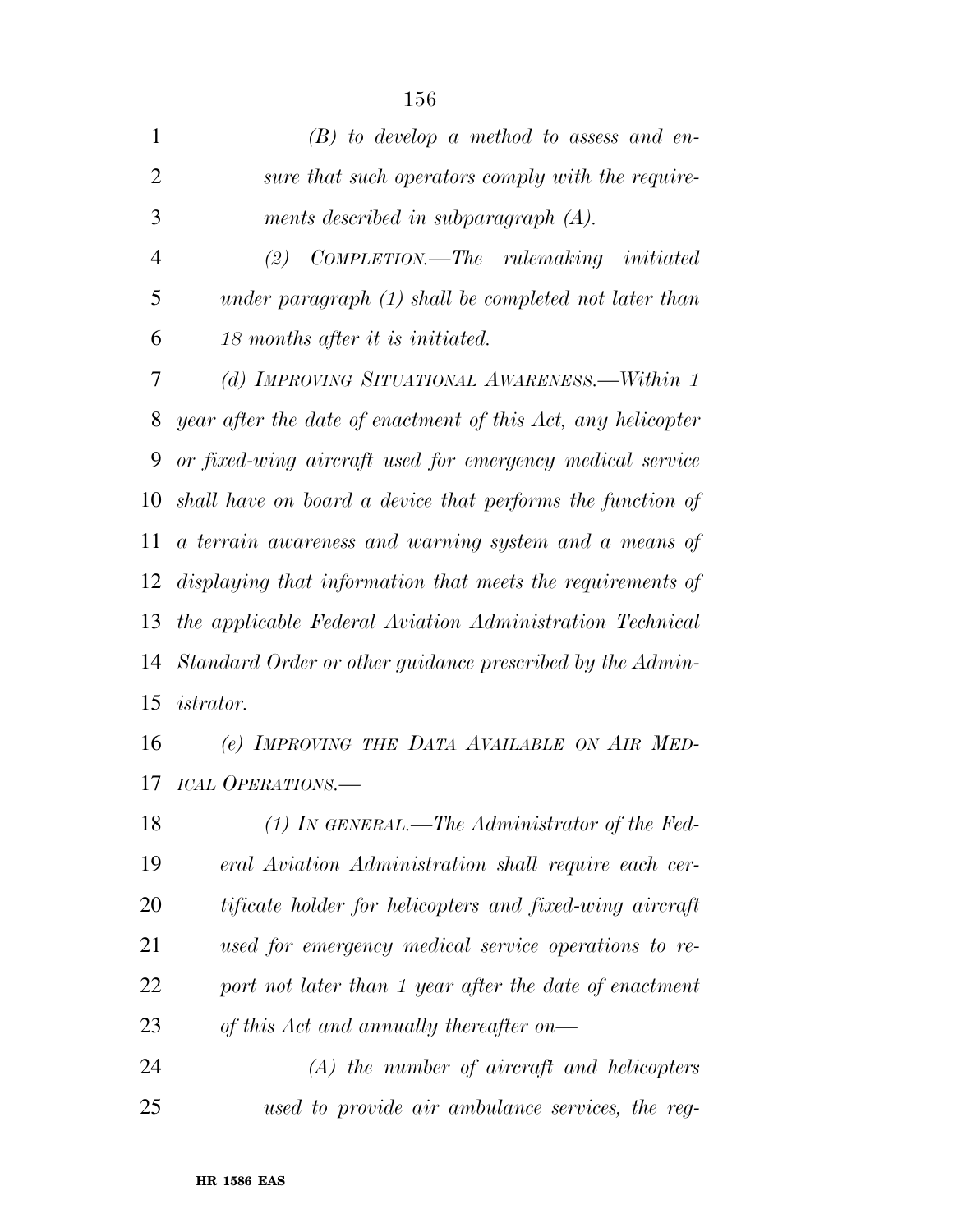| $\mathbf{1}$   | $(B)$ to develop a method to assess and en-                    |
|----------------|----------------------------------------------------------------|
| $\overline{2}$ | sure that such operators comply with the require-              |
| 3              | ments described in subparagraph $(A)$ .                        |
| $\overline{4}$ | COMPLETION.—The rulemaking initiated<br>(2)                    |
| 5              | under paragraph $(1)$ shall be completed not later than        |
| 6              | 18 months after it is initiated.                               |
| 7              | (d) IMPROVING SITUATIONAL AWARENESS.—Within 1                  |
| 8              | year after the date of enactment of this Act, any helicopter   |
| 9              | or fixed-wing aircraft used for emergency medical service      |
| 10             | shall have on board a device that performs the function of     |
| 11             | a terrain awareness and warning system and a means of          |
| 12             | displaying that information that meets the requirements of     |
| 13             | the applicable Federal Aviation Administration Technical       |
| 14             | Standard Order or other guidance prescribed by the Admin-      |
|                | 15 <i>istrator</i> .                                           |
| 16             | (e) IMPROVING THE DATA AVAILABLE ON AIR MED-                   |
| 17             | ICAL OPERATIONS.                                               |
| 18             | (1) IN GENERAL.—The Administrator of the Fed-                  |
| 19             | eral Aviation Administration shall require each cer-           |
| 20             | <i>tificate holder for helicopters and fixed-wing aircraft</i> |
| 21             | used for emergency medical service operations to re-           |
| 22             | port not later than 1 year after the date of enactment         |
| 23             | of this Act and annually thereafter on—                        |
| 24             | $(A)$ the number of aircraft and helicopters                   |
| 25             | used to provide air ambulance services, the reg-               |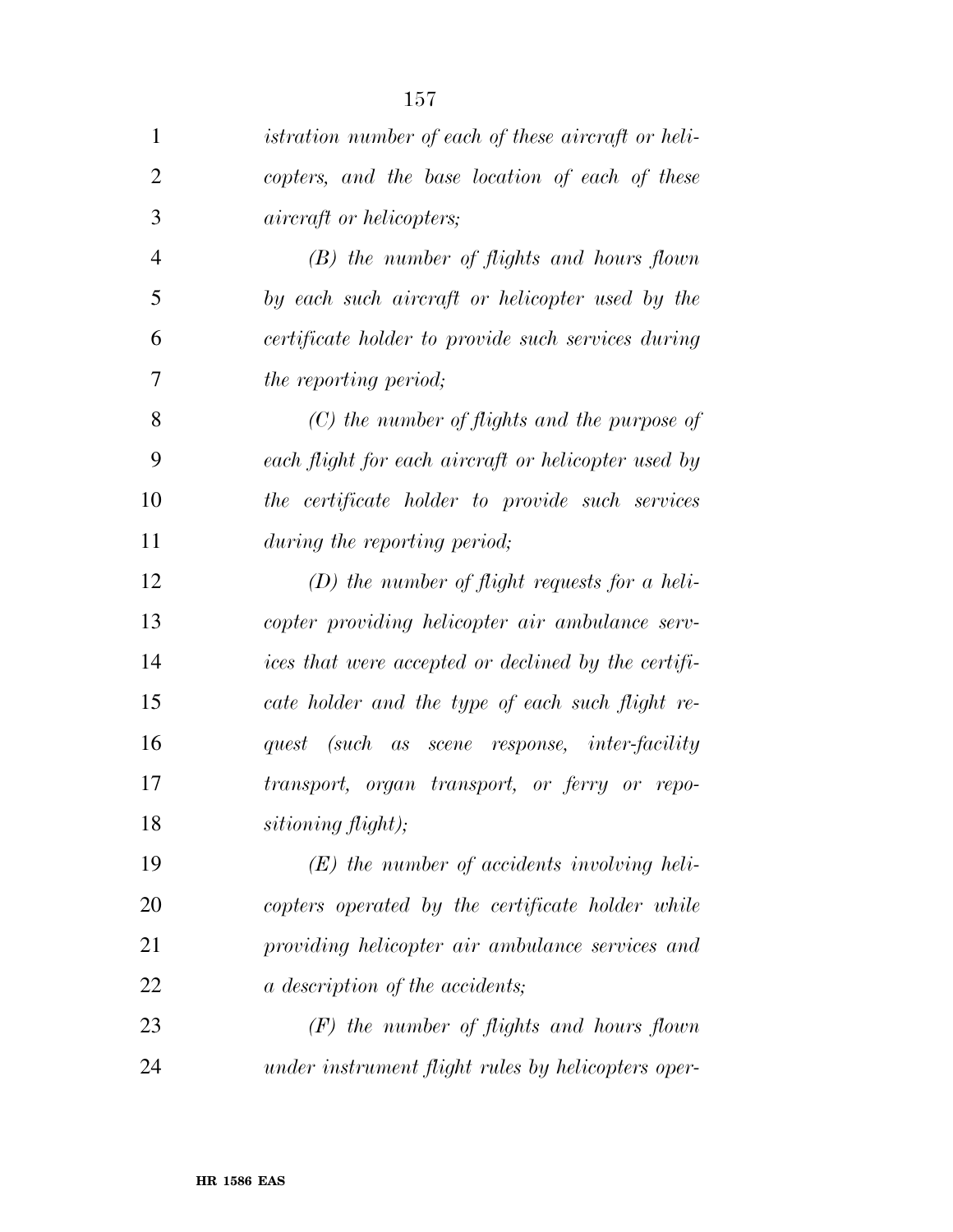| 1              | <i>istration number of each of these aircraft or heli-</i> |
|----------------|------------------------------------------------------------|
| $\overline{2}$ | copters, and the base location of each of these            |
| 3              | <i>aircraft</i> or <i>helicopters</i> ;                    |
| $\overline{4}$ | $(B)$ the number of flights and hours flown                |
| 5              | by each such aircraft or helicopter used by the            |
| 6              | certificate holder to provide such services during         |
| 7              | the reporting period;                                      |
| 8              | $(C)$ the number of flights and the purpose of             |
| 9              | each flight for each aircraft or helicopter used by        |
| 10             | the certificate holder to provide such services            |
| 11             | during the reporting period;                               |
| 12             | $(D)$ the number of flight requests for a heli-            |
| 13             | copter providing helicopter air ambulance serv-            |
| 14             | ices that were accepted or declined by the certifi-        |
| 15             | cate holder and the type of each such flight re-           |
| 16             | quest (such as scene response, inter-facility              |
| 17             | transport, organ transport, or ferry or repo-              |
| 18             | sitioning flight);                                         |
| 19             | $(E)$ the number of accidents involving heli-              |
| 20             | copters operated by the certificate holder while           |
| 21             | providing helicopter air ambulance services and            |
| 22             | a description of the accidents;                            |
| 23             | $(F)$ the number of flights and hours flown                |
| 24             | under instrument flight rules by helicopters oper-         |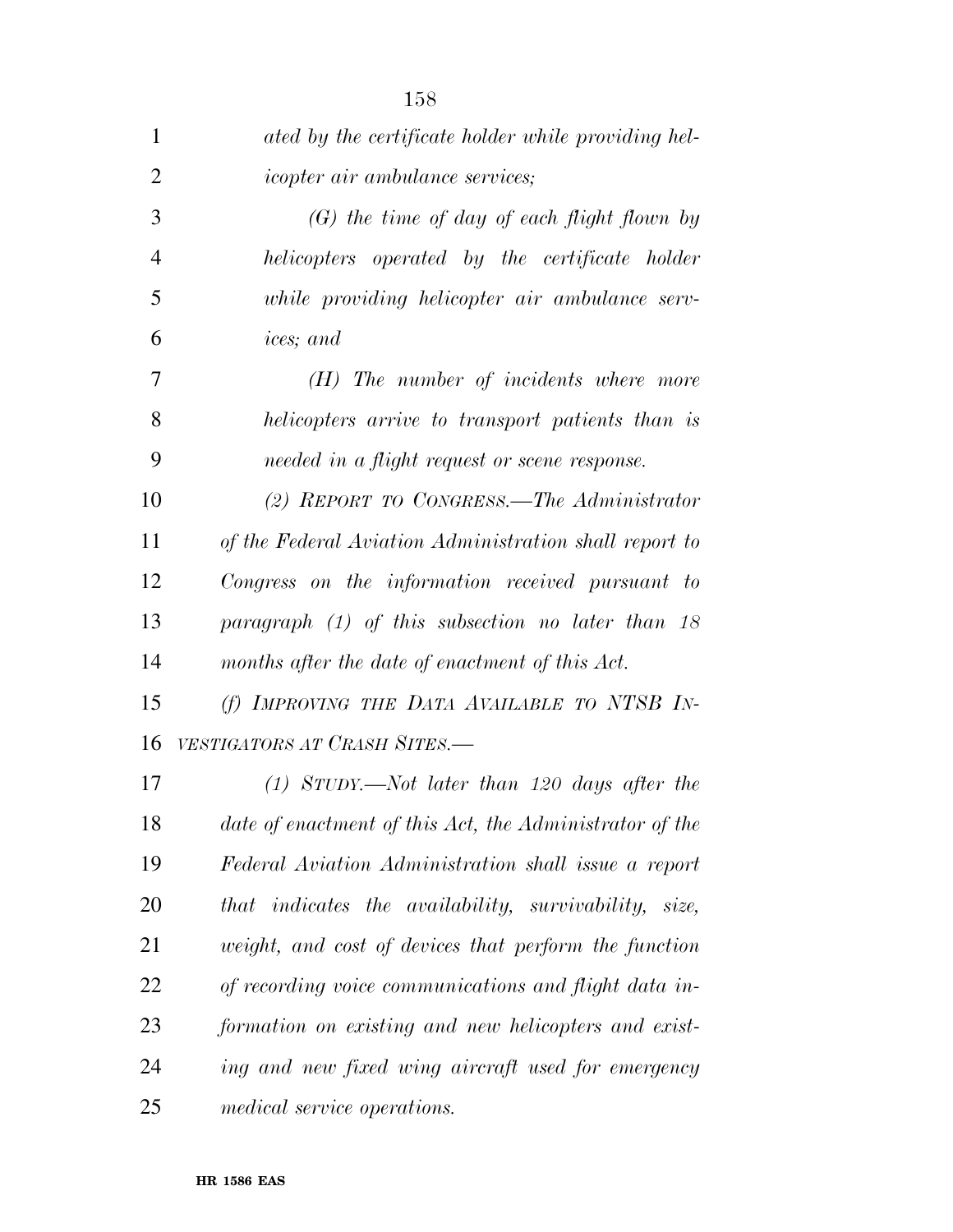| 1              | ated by the certificate holder while providing hel-      |
|----------------|----------------------------------------------------------|
| $\overline{2}$ | <i>icopter air ambulance services;</i>                   |
| 3              | $(G)$ the time of day of each flight flown by            |
| $\overline{4}$ | helicopters operated by the certificate holder           |
| 5              | while providing helicopter air ambulance serv-           |
| 6              | ices; and                                                |
| 7              | $(H)$ The number of incidents where more                 |
| 8              | helicopters arrive to transport patients than is         |
| 9              | needed in a flight request or scene response.            |
| 10             | (2) REPORT TO CONGRESS.—The Administrator                |
| 11             | of the Federal Aviation Administration shall report to   |
| 12             | Congress on the information received pursuant to         |
| 13             | paragraph $(1)$ of this subsection no later than 18      |
| 14             | months after the date of enactment of this Act.          |
| 15             | (f) IMPROVING THE DATA AVAILABLE TO NTSB IN-             |
| 16             | VESTIGATORS AT CRASH SITES.-                             |
| 17             | $(1)$ STUDY.—Not later than 120 days after the           |
| 18             | date of enactment of this Act, the Administrator of the  |
| 19             | Federal Aviation Administration shall issue a report     |
| 20             | that indicates the availability, survivability,<br>size, |
| 21             | weight, and cost of devices that perform the function    |
| 22             | of recording voice communications and flight data in-    |
| 23             | formation on existing and new helicopters and exist-     |
| 24             | ing and new fixed wing aircraft used for emergency       |
| 25             | medical service operations.                              |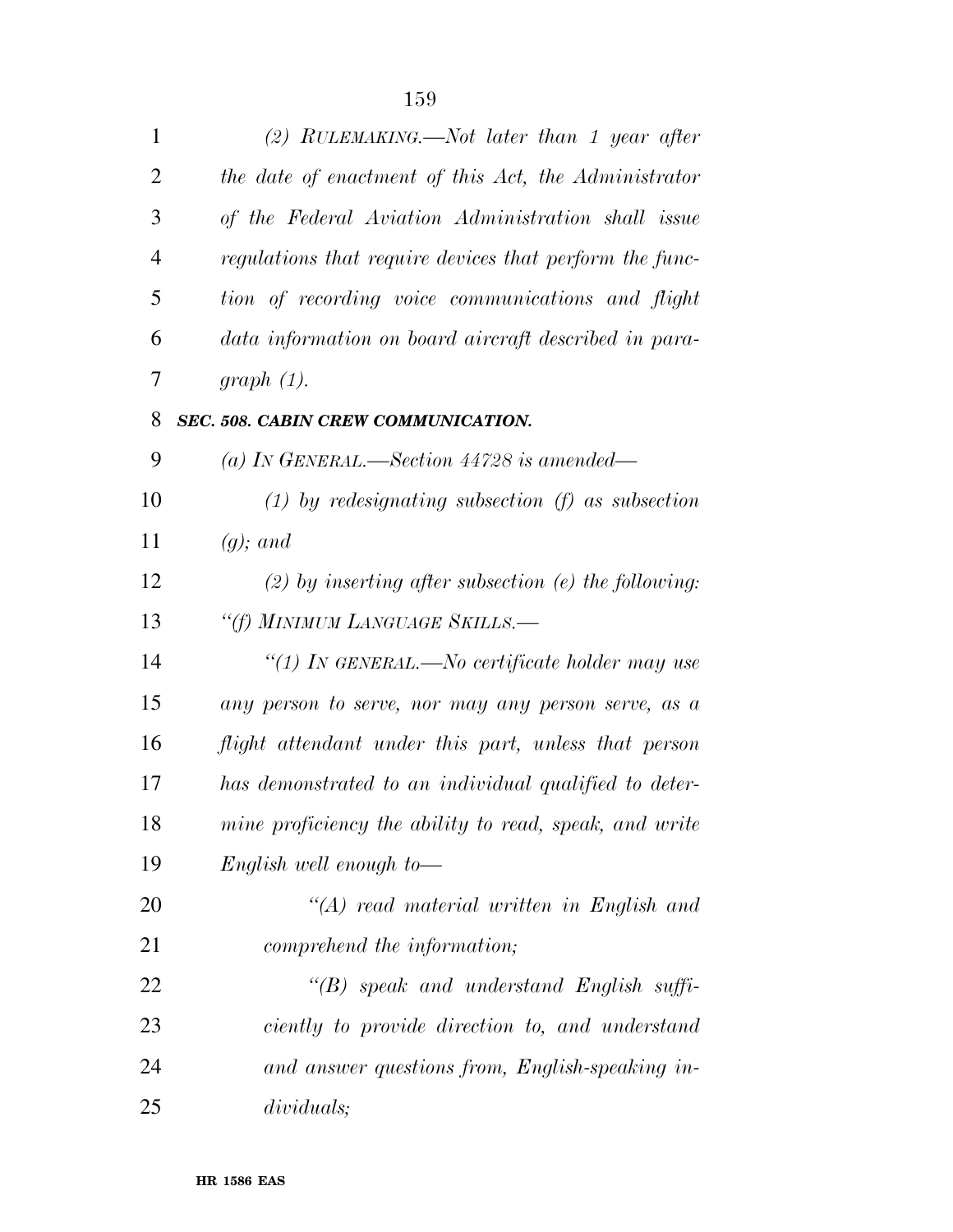| 1              | (2) RULEMAKING.—Not later than 1 year after             |
|----------------|---------------------------------------------------------|
| $\overline{2}$ | the date of enactment of this Act, the Administrator    |
| 3              | of the Federal Aviation Administration shall issue      |
| $\overline{4}$ | regulations that require devices that perform the func- |
| 5              | tion of recording voice communications and flight       |
| 6              | data information on board aircraft described in para-   |
| 7              | $graph(1)$ .                                            |
| 8              | SEC. 508. CABIN CREW COMMUNICATION.                     |
| 9              | (a) IN GENERAL.—Section $44728$ is amended—             |
| 10             | $(1)$ by redesignating subsection $(f)$ as subsection   |
| 11             | $(g);$ and                                              |
| 12             | $(2)$ by inserting after subsection (e) the following:  |
| 13             | "(f) MINIMUM LANGUAGE SKILLS.-                          |
| 14             | "(1) IN GENERAL.—No certificate holder may use          |
| 15             | any person to serve, nor may any person serve, as a     |
| 16             | flight attendant under this part, unless that person    |
| 17             | has demonstrated to an individual qualified to deter-   |
| 18             | mine proficiency the ability to read, speak, and write  |
| 19             | English well enough to-                                 |
| 20             | $\lq (A)$ read material written in English and          |
| 21             | comprehend the information;                             |
| 22             | $\lq\lq(B)$ speak and understand English suffi-         |
| 23             | ciently to provide direction to, and understand         |
| 24             | and answer questions from, English-speaking in-         |
| 25             | dividuals;                                              |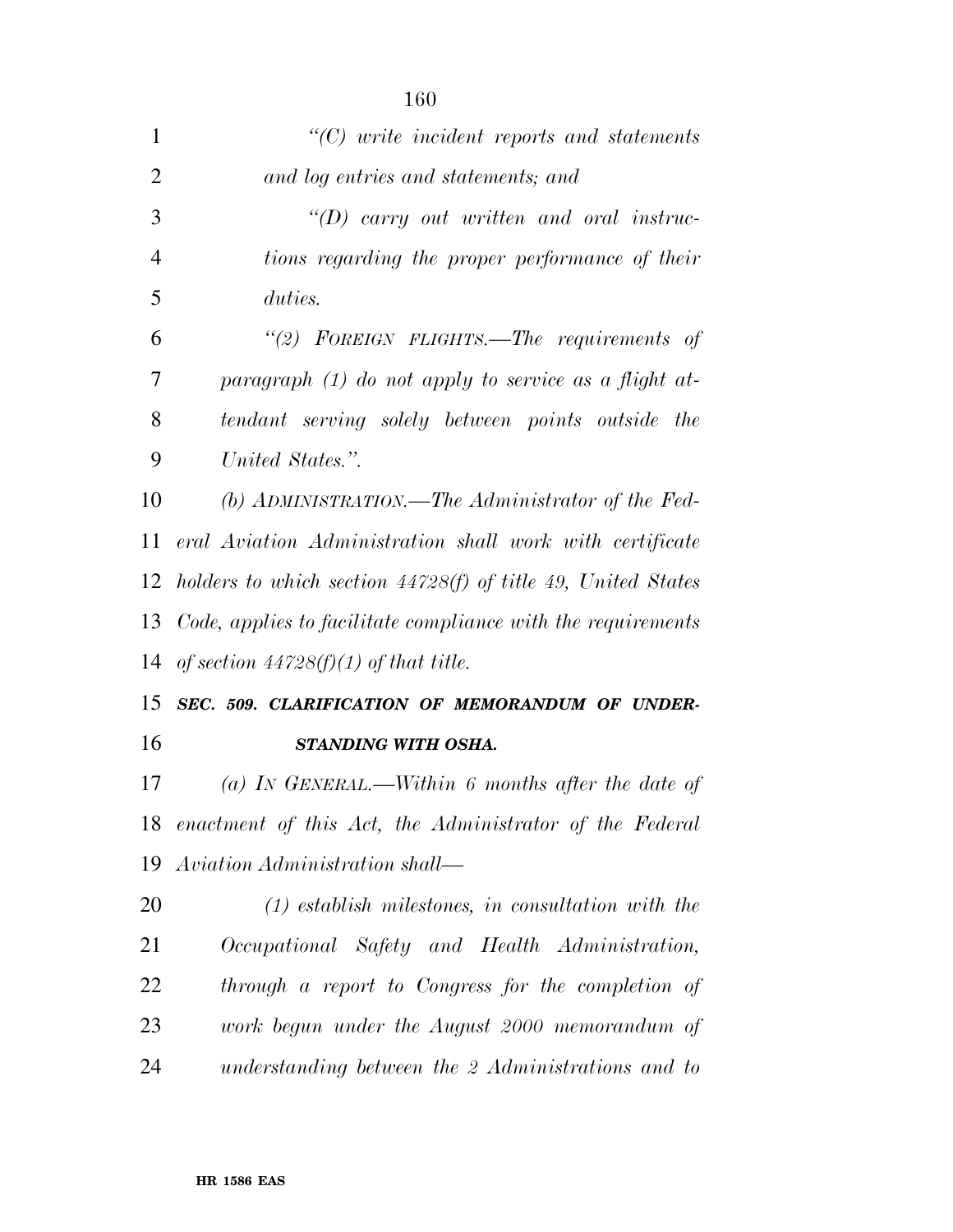| $\mathbf{1}$   | $"$ (C) write incident reports and statements                  |
|----------------|----------------------------------------------------------------|
| $\overline{2}$ | and log entries and statements; and                            |
| 3              | $\lq (D)$ carry out written and oral instruc-                  |
| $\overline{4}$ | tions regarding the proper performance of their                |
| 5              | duties.                                                        |
| 6              | "(2) FOREIGN FLIGHTS.—The requirements of                      |
| 7              | paragraph $(1)$ do not apply to service as a flight at-        |
| 8              | tendant serving solely between points outside the              |
| 9              | United States.".                                               |
| 10             | (b) ADMINISTRATION.—The Administrator of the Fed-              |
| 11             | eral Aviation Administration shall work with certificate       |
| 12             | holders to which section $44728(f)$ of title 49, United States |
|                |                                                                |
| 13             | Code, applies to facilitate compliance with the requirements   |
| 14             | of section $44728(f)(1)$ of that title.                        |
| 15             | SEC. 509. CLARIFICATION OF MEMORANDUM OF UNDER-                |
| 16             | STANDING WITH OSHA.                                            |
| 17             | (a) IN GENERAL.—Within 6 months after the date of              |
|                | 18 enactment of this Act, the Administrator of the Federal     |
| 19             | Aviation Administration shall—                                 |
| 20             | $(1)$ establish milestones, in consultation with the           |
| 21             | Occupational Safety and Health Administration,                 |
| 22             | through a report to Congress for the completion of             |
| 23             | work begun under the August 2000 memorandum of                 |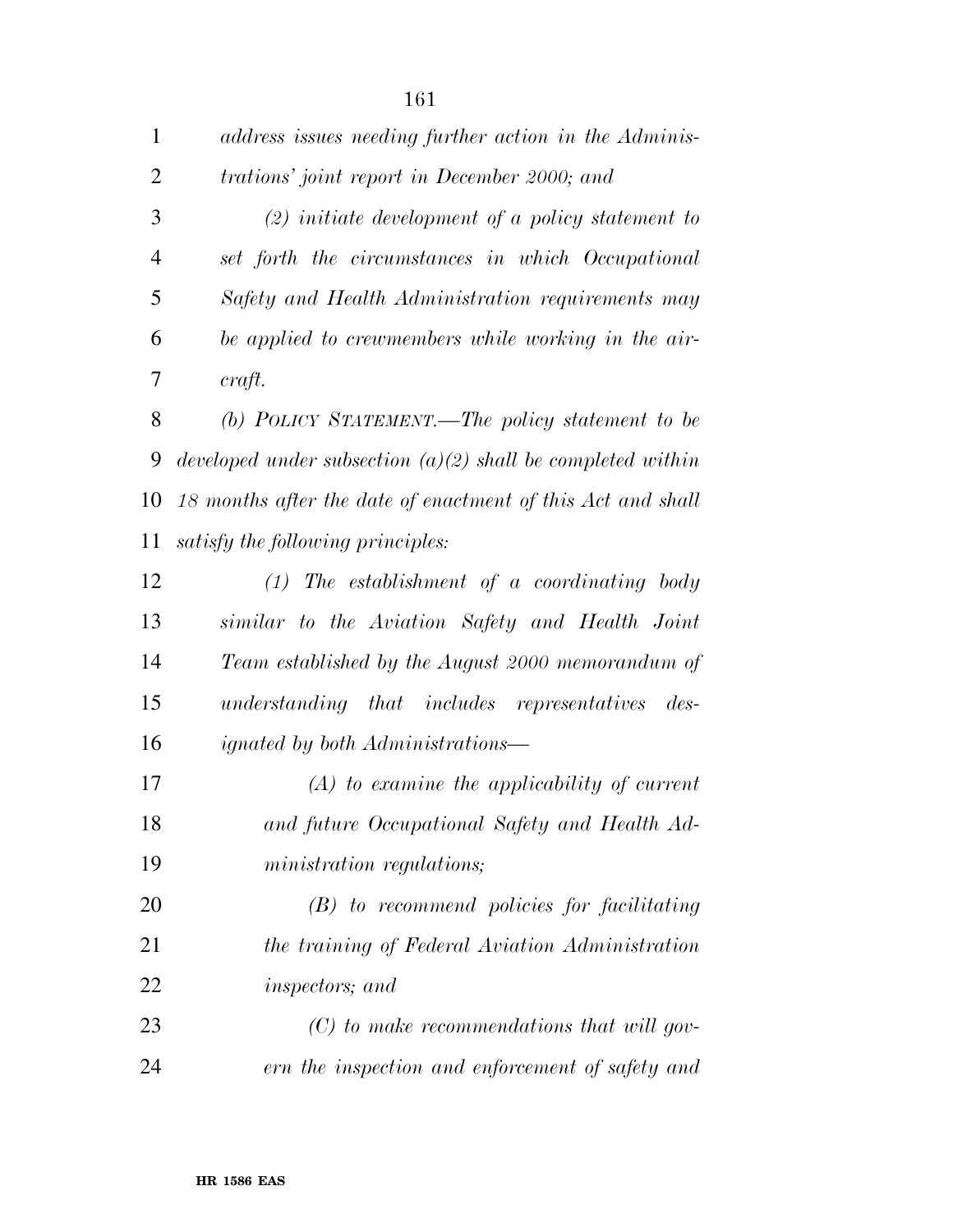| $\mathbf{1}$   | address issues needing further action in the Adminis-         |
|----------------|---------------------------------------------------------------|
| $\overline{2}$ | trations' joint report in December 2000; and                  |
| 3              | $(2)$ initiate development of a policy statement to           |
| $\overline{4}$ | set forth the circumstances in which Occupational             |
| 5              | Safety and Health Administration requirements may             |
| 6              | be applied to crewmembers while working in the air-           |
| 7              | craft.                                                        |
| 8              | (b) POLICY STATEMENT.—The policy statement to be              |
| 9              | developed under subsection $(a)(2)$ shall be completed within |
| 10             | 18 months after the date of enactment of this Act and shall   |
| 11             | satisfy the following principles:                             |
| 12             | $(1)$ The establishment of a coordinating body                |
| 13             | similar to the Aviation Safety and Health Joint               |
| 14             | Team established by the August 2000 memorandum of             |
| 15             | understanding that includes representatives des-              |
| 16             | <i>ignated by both Administrations—</i>                       |
| 17             | $(A)$ to examine the applicability of current                 |
| 18             | and future Occupational Safety and Health Ad-                 |
| 19             | ministration regulations;                                     |
| 20             | $(B)$ to recommend policies for facilitating                  |
| 21             | the training of Federal Aviation Administration               |
| 22             | inspectors; and                                               |
| 23             | $(C)$ to make recommendations that will gov-                  |
| 24             | ern the inspection and enforcement of safety and              |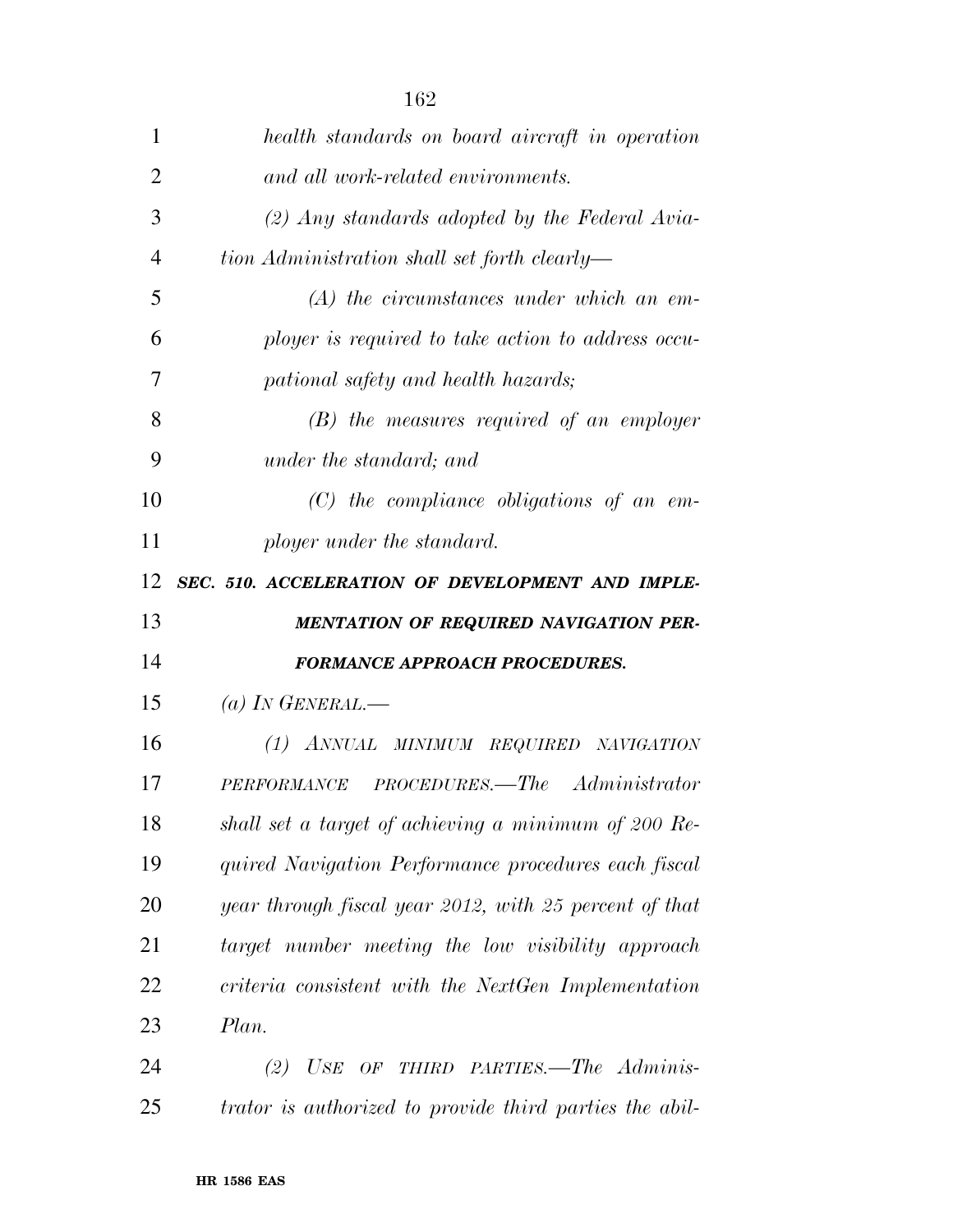| 1  | health standards on board aircraft in operation        |
|----|--------------------------------------------------------|
| 2  | and all work-related environments.                     |
| 3  | $(2)$ Any standards adopted by the Federal Avia-       |
| 4  | tion Administration shall set forth clearly—           |
| 5  | $(A)$ the circumstances under which an em-             |
| 6  | ployer is required to take action to address occu-     |
| 7  | pational safety and health hazards;                    |
| 8  | $(B)$ the measures required of an employer             |
| 9  | under the standard; and                                |
| 10 | $(C)$ the compliance obligations of an em-             |
| 11 | ployer under the standard.                             |
| 12 | SEC. 510. ACCELERATION OF DEVELOPMENT AND IMPLE-       |
| 13 | <b>MENTATION OF REQUIRED NAVIGATION PER-</b>           |
|    |                                                        |
| 14 | <b>FORMANCE APPROACH PROCEDURES.</b>                   |
| 15 | (a) IN GENERAL.—                                       |
| 16 | (1) ANNUAL MINIMUM REQUIRED NAVIGATION                 |
| 17 | PERFORMANCE PROCEDURES.—The Administrator              |
| 18 | shall set a target of achieving a minimum of 200 Re-   |
| 19 | quired Navigation Performance procedures each fiscal   |
| 20 | year through fiscal year 2012, with 25 percent of that |
| 21 | target number meeting the low visibility approach      |
| 22 | criteria consistent with the NextGen Implementation    |
| 23 | Plan.                                                  |
| 24 | OF THIRD PARTIES.—The Adminis-<br>(2)<br>USE           |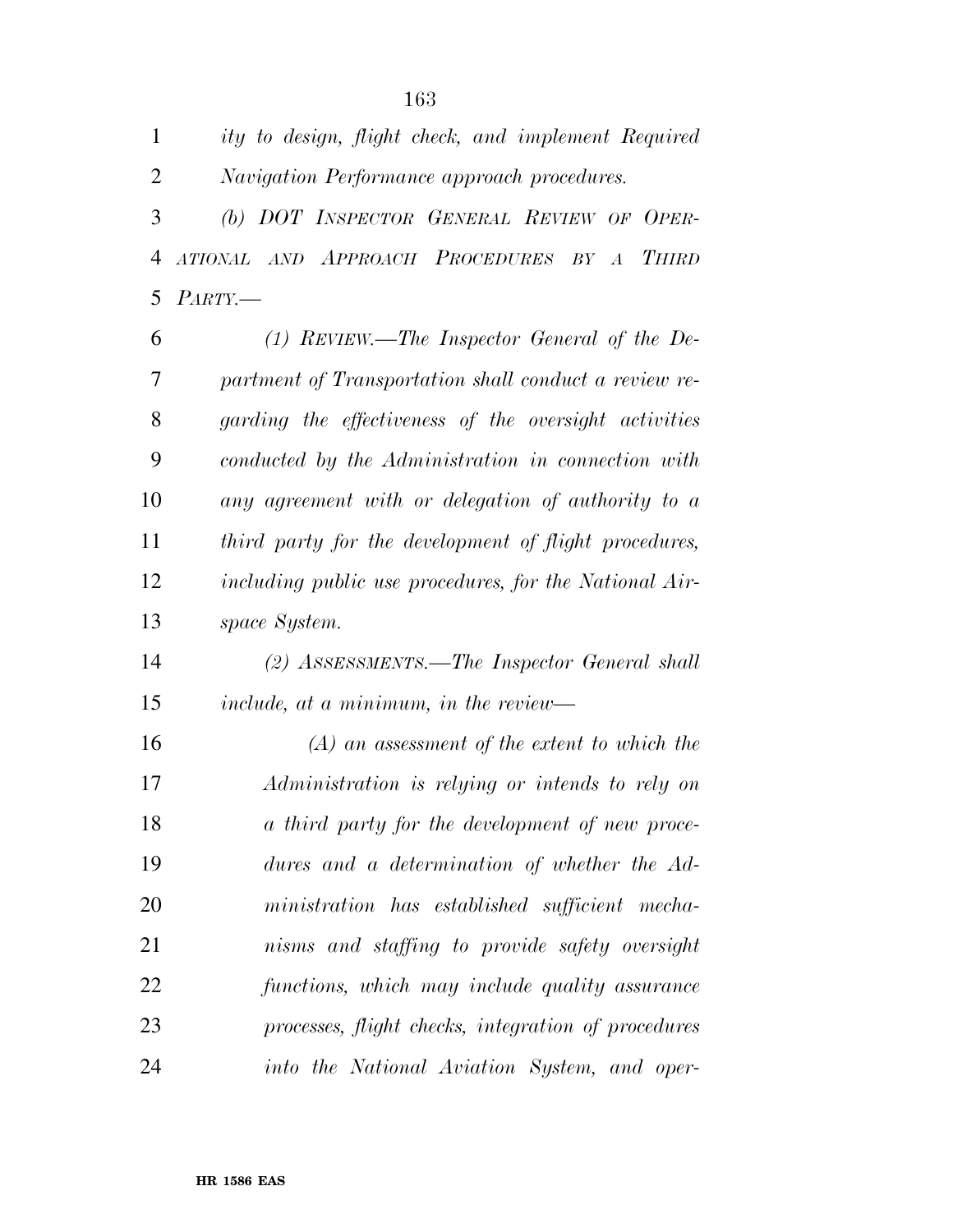| $\mathbf{1}$   | ity to design, flight check, and implement Required    |
|----------------|--------------------------------------------------------|
| 2              | Navigation Performance approach procedures.            |
| 3              | (b) DOT INSPECTOR GENERAL REVIEW OF OPER-              |
| $\overline{4}$ | ATIONAL AND APPROACH PROCEDURES BY A THIRD             |
| 5              | $PARTY$ .                                              |
| 6              | $(1)$ REVIEW.—The Inspector General of the De-         |
| 7              | partment of Transportation shall conduct a review re-  |
| 8              | garding the effectiveness of the oversight activities  |
| 9              | conducted by the Administration in connection with     |
| 10             | any agreement with or delegation of authority to a     |
| 11             | third party for the development of flight procedures,  |
| 12             | including public use procedures, for the National Air- |
| 13             | space System.                                          |
| 14             | (2) ASSESSMENTS.—The Inspector General shall           |
| 15             | include, at a minimum, in the review—                  |
| 16             | $(A)$ an assessment of the extent to which the         |
| 17             | Administration is relying or intends to rely on        |
| 18             | a third party for the development of new proce-        |
| 19             | dures and a determination of whether the Ad-           |
| 20             | ministration has established sufficient mecha-         |
| 21             | nisms and staffing to provide safety oversight         |
| 22             | functions, which may include quality assurance         |
| 23             | processes, flight checks, integration of procedures    |
| 24             | into the National Aviation System, and oper-           |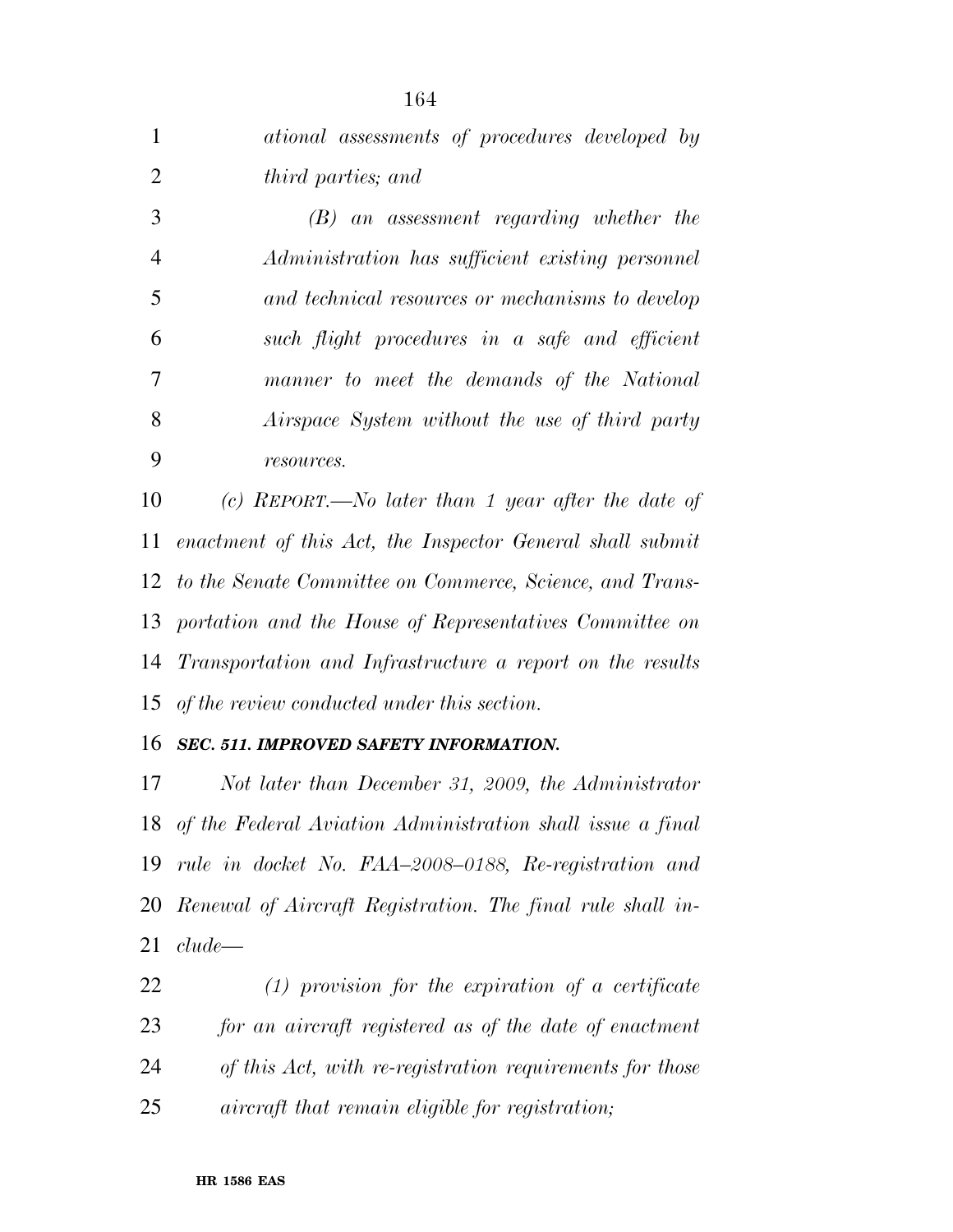| $\mathbf{1}$   | ational assessments of procedures developed by               |
|----------------|--------------------------------------------------------------|
| $\overline{2}$ | <i>third parties</i> ; and                                   |
| 3              | $(B)$ an assessment regarding whether the                    |
| $\overline{4}$ | Administration has sufficient existing personnel             |
| 5              | and technical resources or mechanisms to develop             |
| 6              | such flight procedures in a safe and efficient               |
| 7              | manner to meet the demands of the National                   |
| 8              | Airspace System without the use of third party               |
| 9              | resources.                                                   |
| 10             | (c) REPORT.—No later than 1 year after the date of           |
| 11             | enactment of this Act, the Inspector General shall submit    |
|                | 12 to the Senate Committee on Commerce, Science, and Trans-  |
|                | 13 portation and the House of Representatives Committee on   |
|                | 14 Transportation and Infrastructure a report on the results |
|                | 15 of the review conducted under this section.               |

## *SEC. 511. IMPROVED SAFETY INFORMATION.*

 *Not later than December 31, 2009, the Administrator of the Federal Aviation Administration shall issue a final rule in docket No. FAA–2008–0188, Re-registration and Renewal of Aircraft Registration. The final rule shall in-clude—* 

 *(1) provision for the expiration of a certificate for an aircraft registered as of the date of enactment of this Act, with re-registration requirements for those aircraft that remain eligible for registration;*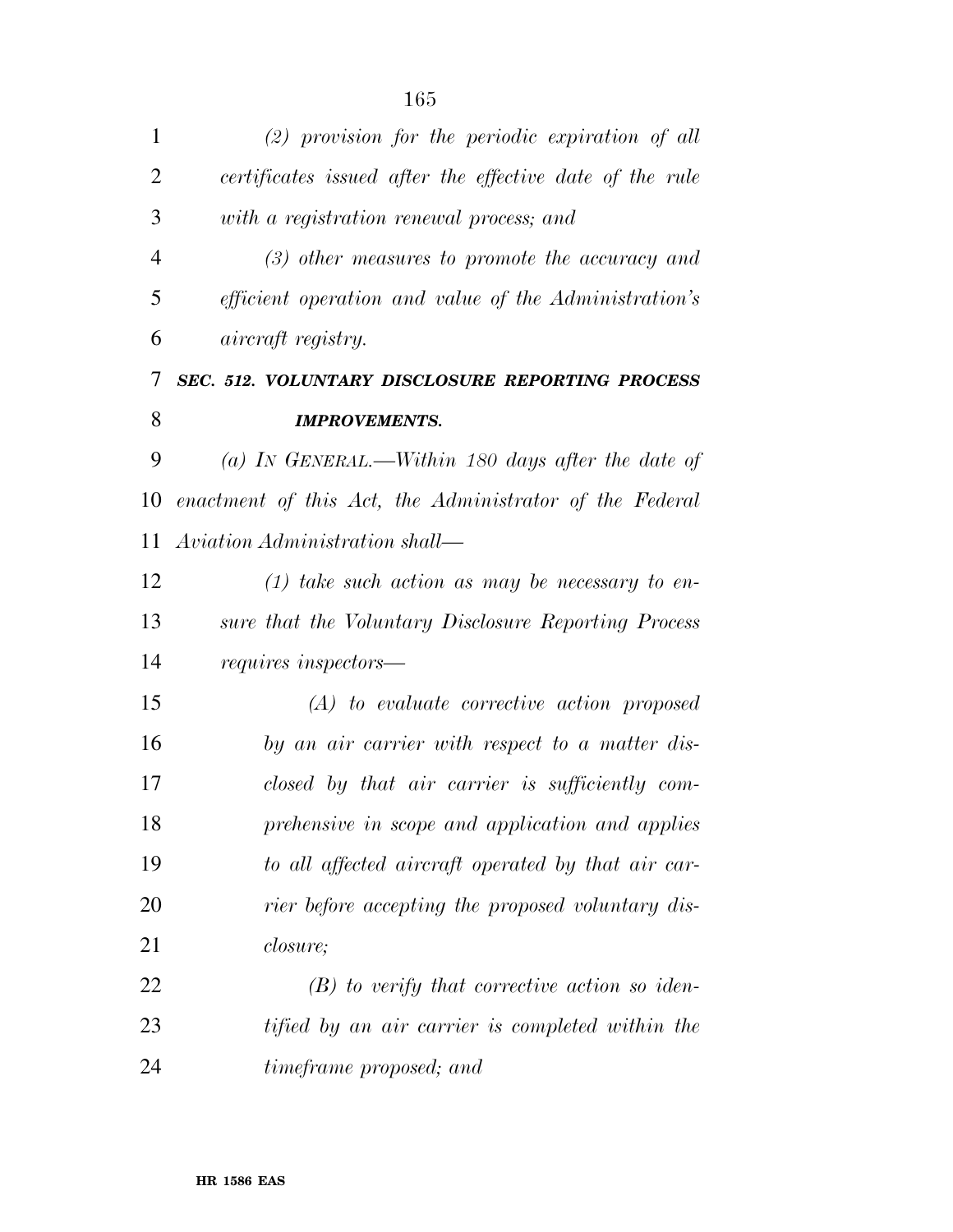| $\mathbf{1}$   | $(2)$ provision for the periodic expiration of all           |
|----------------|--------------------------------------------------------------|
| 2              | certificates issued after the effective date of the rule     |
| 3              | with a registration renewal process; and                     |
| $\overline{4}$ | $(3)$ other measures to promote the accuracy and             |
| 5              | <i>efficient operation and value of the Administration's</i> |
| 6              | <i>aircraft registry.</i>                                    |
| 7              | SEC. 512. VOLUNTARY DISCLOSURE REPORTING PROCESS             |
| 8              | <b>IMPROVEMENTS.</b>                                         |
| 9              | (a) IN GENERAL.—Within 180 days after the date of            |
| 10             | enactment of this Act, the Administrator of the Federal      |
| 11             | Aviation Administration shall—                               |
| 12             | $(1)$ take such action as may be necessary to en-            |
| 13             | sure that the Voluntary Disclosure Reporting Process         |
| 14             | requires inspectors—                                         |
| 15             | $(A)$ to evaluate corrective action proposed                 |
| 16             | by an air carrier with respect to a matter dis-              |
| 17             | closed by that air carrier is sufficiently com-              |
| 18             | prehensive in scope and application and applies              |
| 19             | to all affected aircraft operated by that air car-           |
| 20             | rier before accepting the proposed voluntary dis-            |
| 21             | <i>closure</i> ;                                             |
| 22             | $(B)$ to verify that corrective action so iden-              |
| 23             | tified by an air carrier is completed within the             |
| 24             | timeframe proposed; and                                      |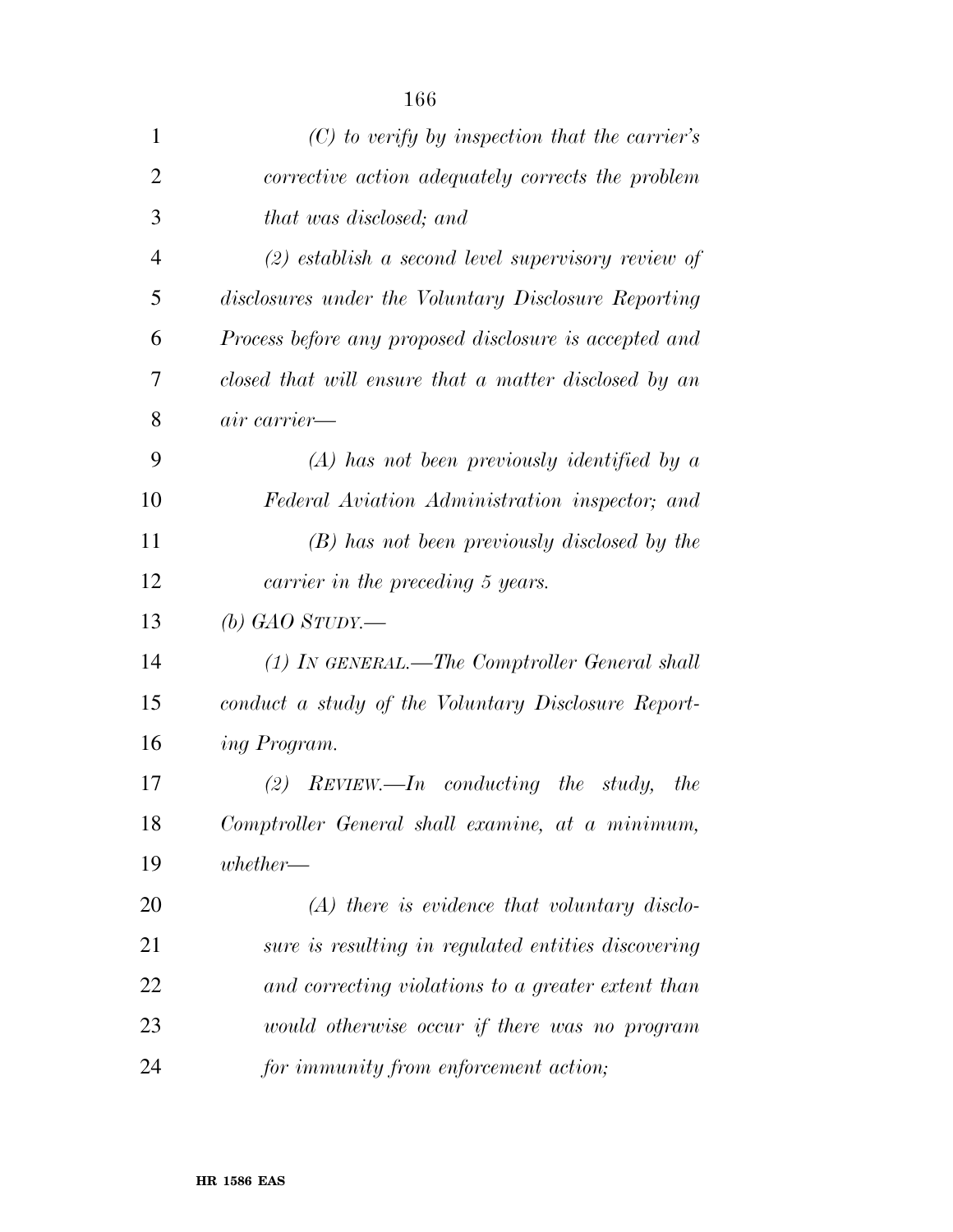| 1              | $(C)$ to verify by inspection that the carrier's       |
|----------------|--------------------------------------------------------|
| $\overline{2}$ | corrective action adequately corrects the problem      |
| 3              | that was disclosed; and                                |
| 4              | $(2)$ establish a second level supervisory review of   |
| 5              | disclosures under the Voluntary Disclosure Reporting   |
| 6              | Process before any proposed disclosure is accepted and |
| 7              | closed that will ensure that a matter disclosed by an  |
| 8              | air carrier—                                           |
| 9              | $(A)$ has not been previously identified by a          |
| 10             | Federal Aviation Administration inspector; and         |
| 11             | (B) has not been previously disclosed by the           |
| 12             | carrier in the preceding 5 years.                      |
| 13             | (b) GAO STUDY.—                                        |
| 14             | $(1)$ IN GENERAL.—The Comptroller General shall        |
| 15             | conduct a study of the Voluntary Disclosure Report-    |
| 16             | <i>ing Program.</i>                                    |
| 17             | $REVIEW. - In$ conducting the study,<br>(2)<br>the     |
| 18             | Comptroller General shall examine, at a minimum,       |
| 19             | $whether-$                                             |
| 20             | $(A)$ there is evidence that voluntary disclo-         |
| 21             | sure is resulting in regulated entities discovering    |
| 22             | and correcting violations to a greater extent than     |
| 23             | would otherwise occur if there was no program          |
| 24             | for immunity from enforcement action;                  |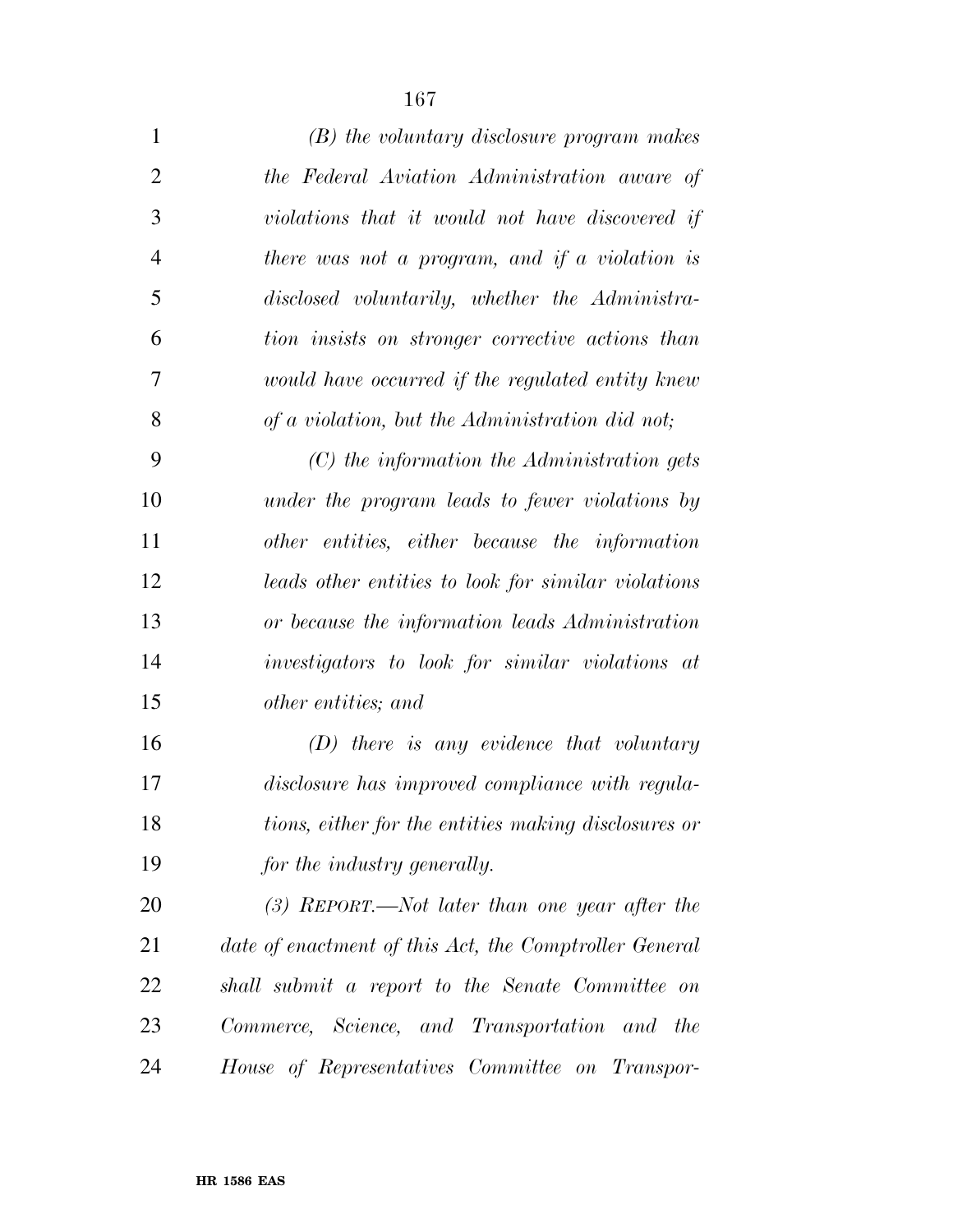| $\mathbf{1}$   | $(B)$ the voluntary disclosure program makes           |
|----------------|--------------------------------------------------------|
| $\overline{2}$ | the Federal Aviation Administration aware of           |
| 3              | violations that it would not have discovered if        |
| $\overline{4}$ | there was not a program, and if a violation is         |
| 5              | disclosed voluntarily, whether the Administra-         |
| 6              | tion insists on stronger corrective actions than       |
| 7              | would have occurred if the regulated entity knew       |
| 8              | of a violation, but the Administration did not;        |
| 9              | $(C)$ the information the Administration gets          |
| 10             | under the program leads to fewer violations by         |
| 11             | other entities, either because the information         |
| 12             | leads other entities to look for similar violations    |
| 13             | or because the information leads Administration        |
| 14             | investigators to look for similar violations at        |
| 15             | other entities; and                                    |
| 16             | $(D)$ there is any evidence that voluntary             |
| 17             | disclosure has improved compliance with regula-        |
| 18             | tions, either for the entities making disclosures or   |
| 19             | for the industry generally.                            |
| 20             | $(3)$ REPORT.—Not later than one year after the        |
| 21             | date of enactment of this Act, the Comptroller General |
| 22             | shall submit a report to the Senate Committee on       |
| 23             | Commerce, Science, and Transportation and the          |
| 24             | House of Representatives Committee on Transpor-        |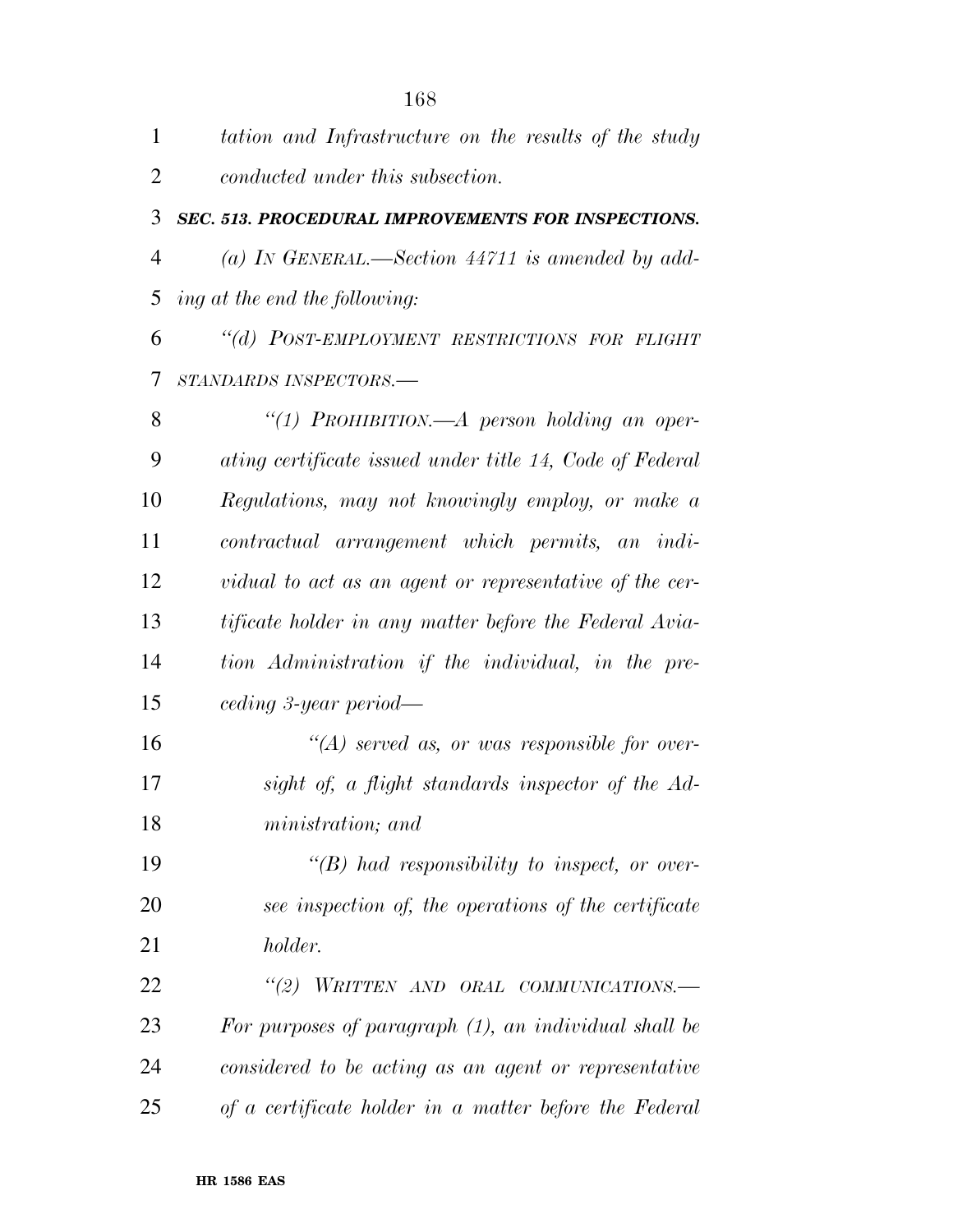*tation and Infrastructure on the results of the study conducted under this subsection.* 

*SEC. 513. PROCEDURAL IMPROVEMENTS FOR INSPECTIONS.* 

 *(a) IN GENERAL.—Section 44711 is amended by add-ing at the end the following:* 

 *''(d) POST-EMPLOYMENT RESTRICTIONS FOR FLIGHT STANDARDS INSPECTORS.—* 

 *''(1) PROHIBITION.—A person holding an oper- ating certificate issued under title 14, Code of Federal Regulations, may not knowingly employ, or make a contractual arrangement which permits, an indi- vidual to act as an agent or representative of the cer- tificate holder in any matter before the Federal Avia- tion Administration if the individual, in the pre-ceding 3-year period—* 

 *''(A) served as, or was responsible for over- sight of, a flight standards inspector of the Ad-ministration; and* 

 *''(B) had responsibility to inspect, or over- see inspection of, the operations of the certificate holder.* 

 *''(2) WRITTEN AND ORAL COMMUNICATIONS.— For purposes of paragraph (1), an individual shall be considered to be acting as an agent or representative of a certificate holder in a matter before the Federal*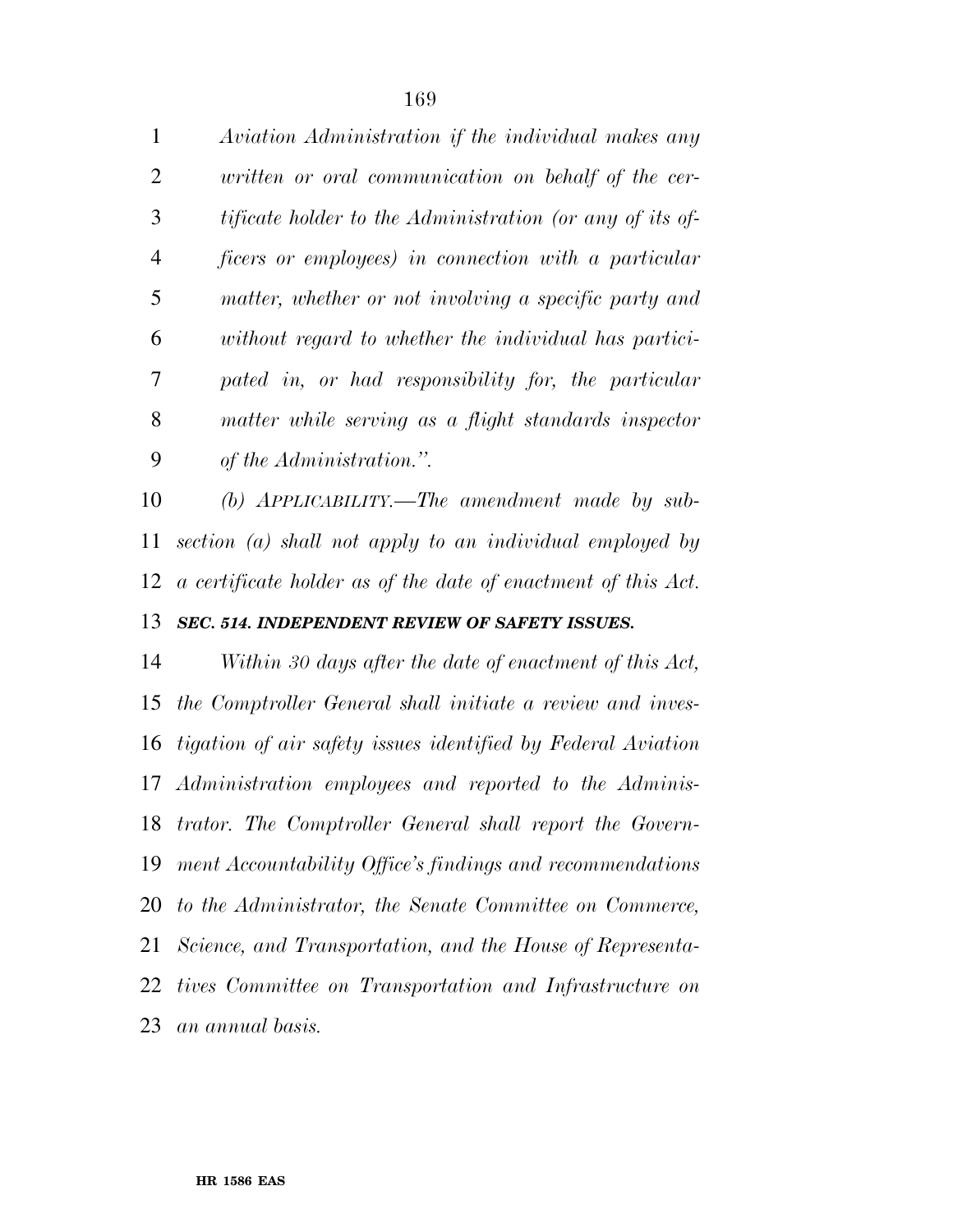*Aviation Administration if the individual makes any written or oral communication on behalf of the cer- tificate holder to the Administration (or any of its of- ficers or employees) in connection with a particular matter, whether or not involving a specific party and without regard to whether the individual has partici- pated in, or had responsibility for, the particular matter while serving as a flight standards inspector of the Administration.''.* 

 *(b) APPLICABILITY.—The amendment made by sub- section (a) shall not apply to an individual employed by a certificate holder as of the date of enactment of this Act.* 

#### *SEC. 514. INDEPENDENT REVIEW OF SAFETY ISSUES.*

 *Within 30 days after the date of enactment of this Act, the Comptroller General shall initiate a review and inves- tigation of air safety issues identified by Federal Aviation Administration employees and reported to the Adminis- trator. The Comptroller General shall report the Govern- ment Accountability Office's findings and recommendations to the Administrator, the Senate Committee on Commerce, Science, and Transportation, and the House of Representa- tives Committee on Transportation and Infrastructure on an annual basis.*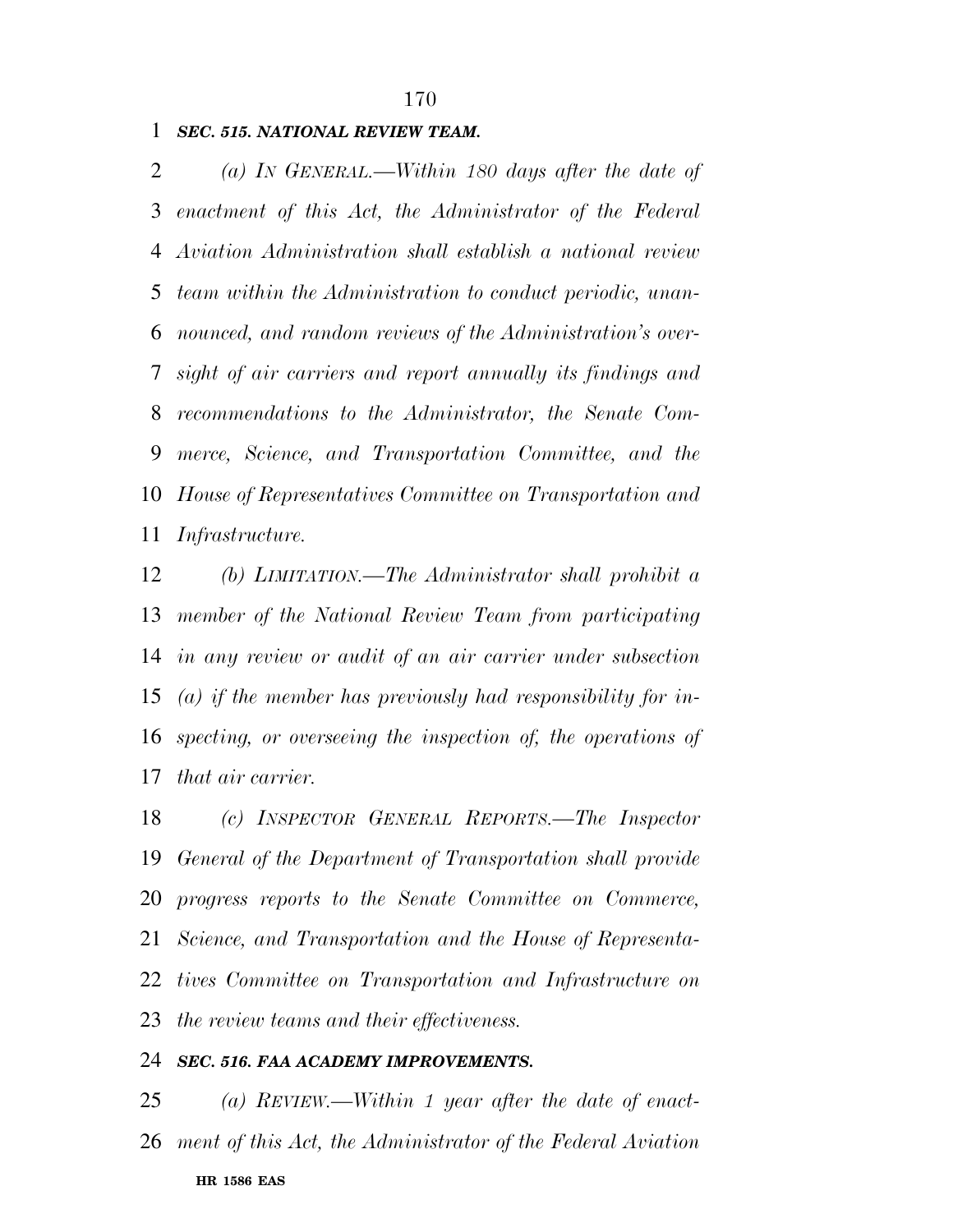### *SEC. 515. NATIONAL REVIEW TEAM.*

 *(a) IN GENERAL.—Within 180 days after the date of enactment of this Act, the Administrator of the Federal Aviation Administration shall establish a national review team within the Administration to conduct periodic, unan- nounced, and random reviews of the Administration's over- sight of air carriers and report annually its findings and recommendations to the Administrator, the Senate Com- merce, Science, and Transportation Committee, and the House of Representatives Committee on Transportation and Infrastructure.* 

 *(b) LIMITATION.—The Administrator shall prohibit a member of the National Review Team from participating in any review or audit of an air carrier under subsection (a) if the member has previously had responsibility for in- specting, or overseeing the inspection of, the operations of that air carrier.* 

 *(c) INSPECTOR GENERAL REPORTS.—The Inspector General of the Department of Transportation shall provide progress reports to the Senate Committee on Commerce, Science, and Transportation and the House of Representa- tives Committee on Transportation and Infrastructure on the review teams and their effectiveness.* 

# *SEC. 516. FAA ACADEMY IMPROVEMENTS.*

**HR 1586 EAS**  *(a) REVIEW.—Within 1 year after the date of enact-ment of this Act, the Administrator of the Federal Aviation*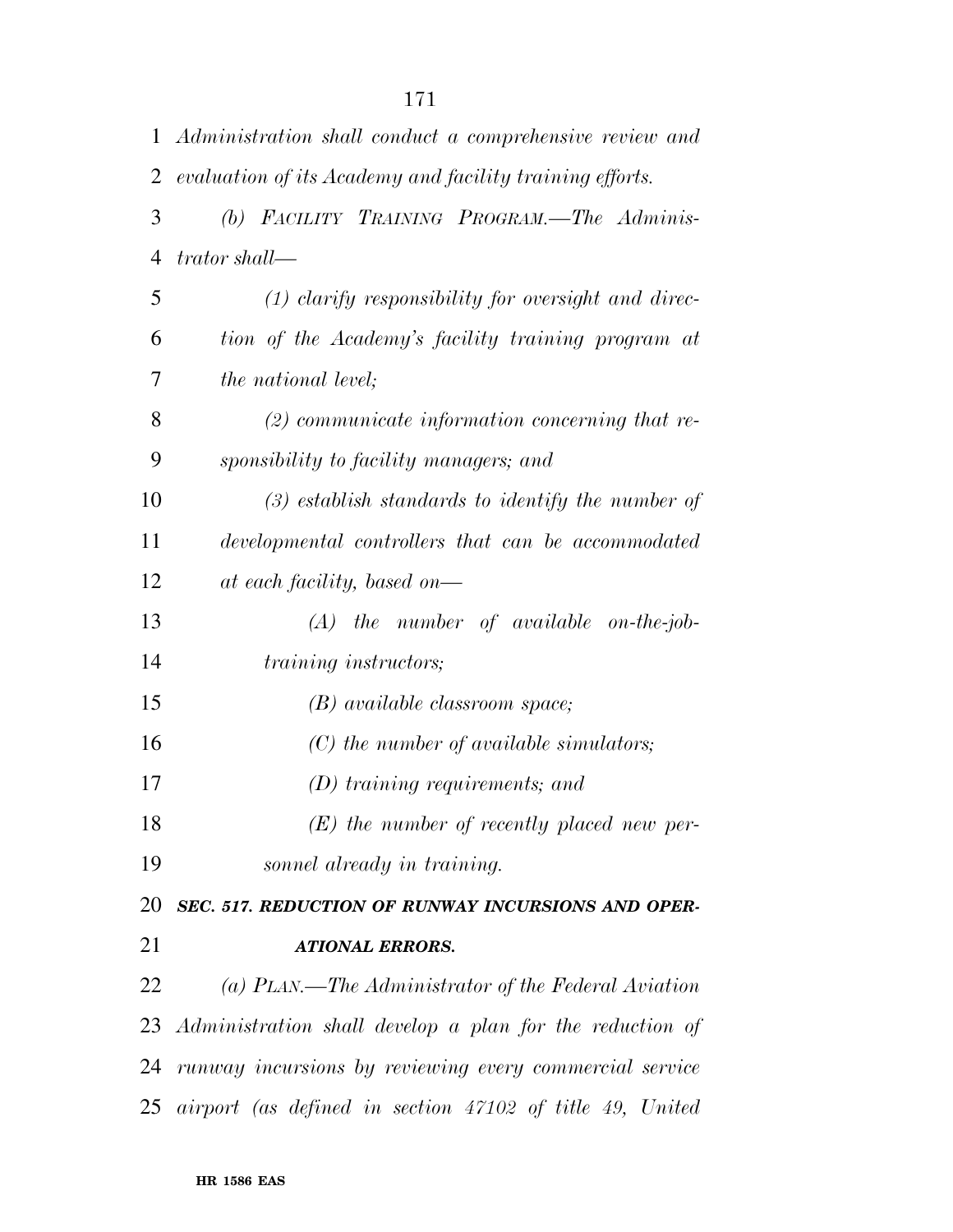|                | 1 Administration shall conduct a comprehensive review and |
|----------------|-----------------------------------------------------------|
| 2              | evaluation of its Academy and facility training efforts.  |
| 3              | (b) FACILITY TRAINING PROGRAM.—The Adminis-               |
| $\overline{4}$ | trator shall—                                             |
| 5              | $(1)$ clarify responsibility for oversight and direc-     |
| 6              | tion of the Academy's facility training program at        |
| 7              | <i>the national level;</i>                                |
| 8              | $(2)$ communicate information concerning that re-         |
| 9              | sponsibility to facility managers; and                    |
| 10             | $(3)$ establish standards to identify the number of       |
| 11             | developmental controllers that can be accommodated        |
| 12             | at each facility, based on—                               |
| 13             | $(A)$ the number of available on-the-job-                 |
| 14             | <i>training instructors;</i>                              |
| 15             | $(B)$ available classroom space;                          |
| 16             | $(C)$ the number of available simulators;                 |
| 17             | $(D)$ training requirements; and                          |
| 18             | $(E)$ the number of recently placed new per-              |
| 19             | sonnel already in training.                               |
| 20             | SEC. 517. REDUCTION OF RUNWAY INCURSIONS AND OPER-        |
| 21             | <b>ATIONAL ERRORS.</b>                                    |
| 22             | (a) PLAN.—The Administrator of the Federal Aviation       |
| 23             | Administration shall develop a plan for the reduction of  |
| 24             | runway incursions by reviewing every commercial service   |
| 25             | airport (as defined in section 47102 of title 49, United  |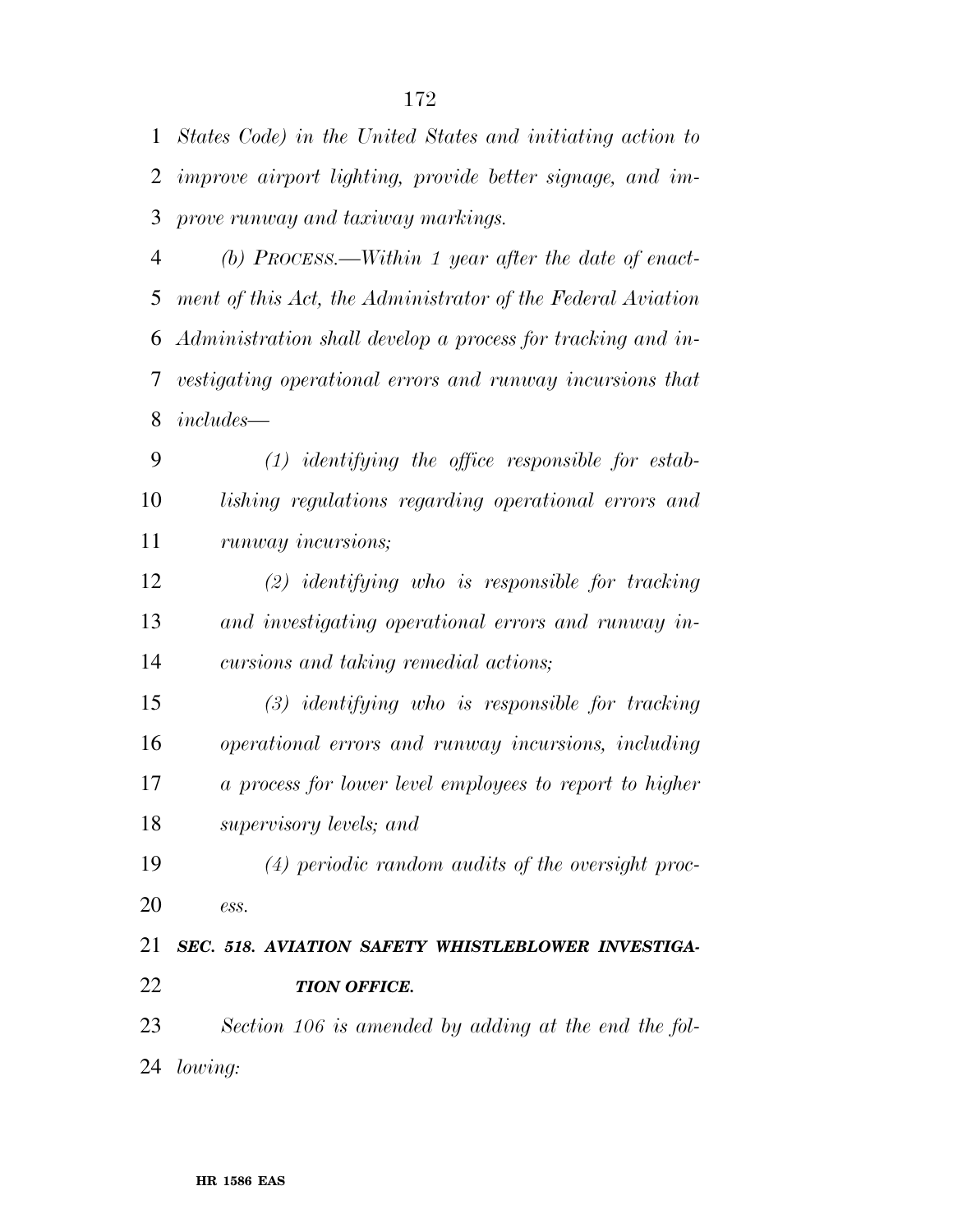*States Code) in the United States and initiating action to improve airport lighting, provide better signage, and im-prove runway and taxiway markings.* 

 *(b) PROCESS.—Within 1 year after the date of enact- ment of this Act, the Administrator of the Federal Aviation Administration shall develop a process for tracking and in- vestigating operational errors and runway incursions that includes—* 

 *(1) identifying the office responsible for estab- lishing regulations regarding operational errors and runway incursions;* 

 *(2) identifying who is responsible for tracking and investigating operational errors and runway in-cursions and taking remedial actions;* 

 *(3) identifying who is responsible for tracking operational errors and runway incursions, including a process for lower level employees to report to higher supervisory levels; and* 

 *(4) periodic random audits of the oversight proc-ess.* 

 *SEC. 518. AVIATION SAFETY WHISTLEBLOWER INVESTIGA- TION OFFICE. Section 106 is amended by adding at the end the fol-*

*lowing:*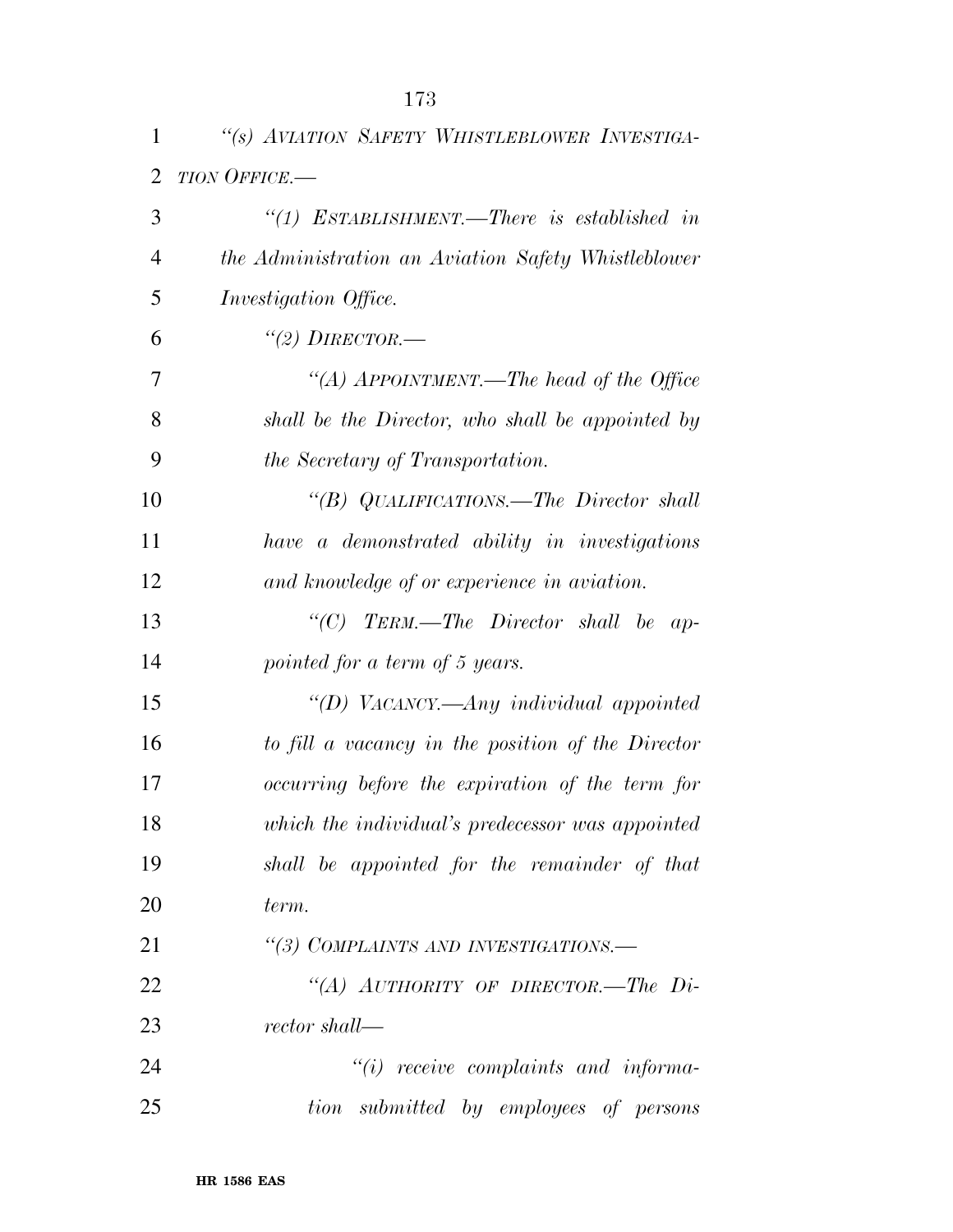| 1              | "(s) AVIATION SAFETY WHISTLEBLOWER INVESTIGA-       |
|----------------|-----------------------------------------------------|
| $\overline{2}$ | <b>TION OFFICE.—</b>                                |
| 3              | "(1) ESTABLISHMENT.—There is established in         |
| $\overline{4}$ | the Administration an Aviation Safety Whistleblower |
| 5              | <i>Investigation Office.</i>                        |
| 6              | "(2) $DIRECTOR$ .                                   |
| 7              | "(A) APPOINTMENT.—The head of the Office            |
| 8              | shall be the Director, who shall be appointed by    |
| 9              | the Secretary of Transportation.                    |
| 10             | "(B) QUALIFICATIONS.—The Director shall             |
| 11             | have a demonstrated ability in investigations       |
| 12             | and knowledge of or experience in aviation.         |
| 13             | "(C) $T$ ERM.—The Director shall be ap-             |
| 14             | pointed for a term of 5 years.                      |
| 15             | "(D) VACANCY.—Any individual appointed              |
| 16             | to fill a vacancy in the position of the Director   |
| 17             | occurring before the expiration of the term for     |
| 18             | which the individual's predecessor was appointed    |
| 19             | shall be appointed for the remainder of that        |
| 20             | term.                                               |
| 21             | "(3) COMPLAINTS AND INVESTIGATIONS.-                |
| 22             | "(A) AUTHORITY OF DIRECTOR.—The $Di$ -              |
| 23             | rector shall—                                       |
| 24             | $``(i)$ receive complaints and informa-             |
| 25             | tion submitted by employees of persons              |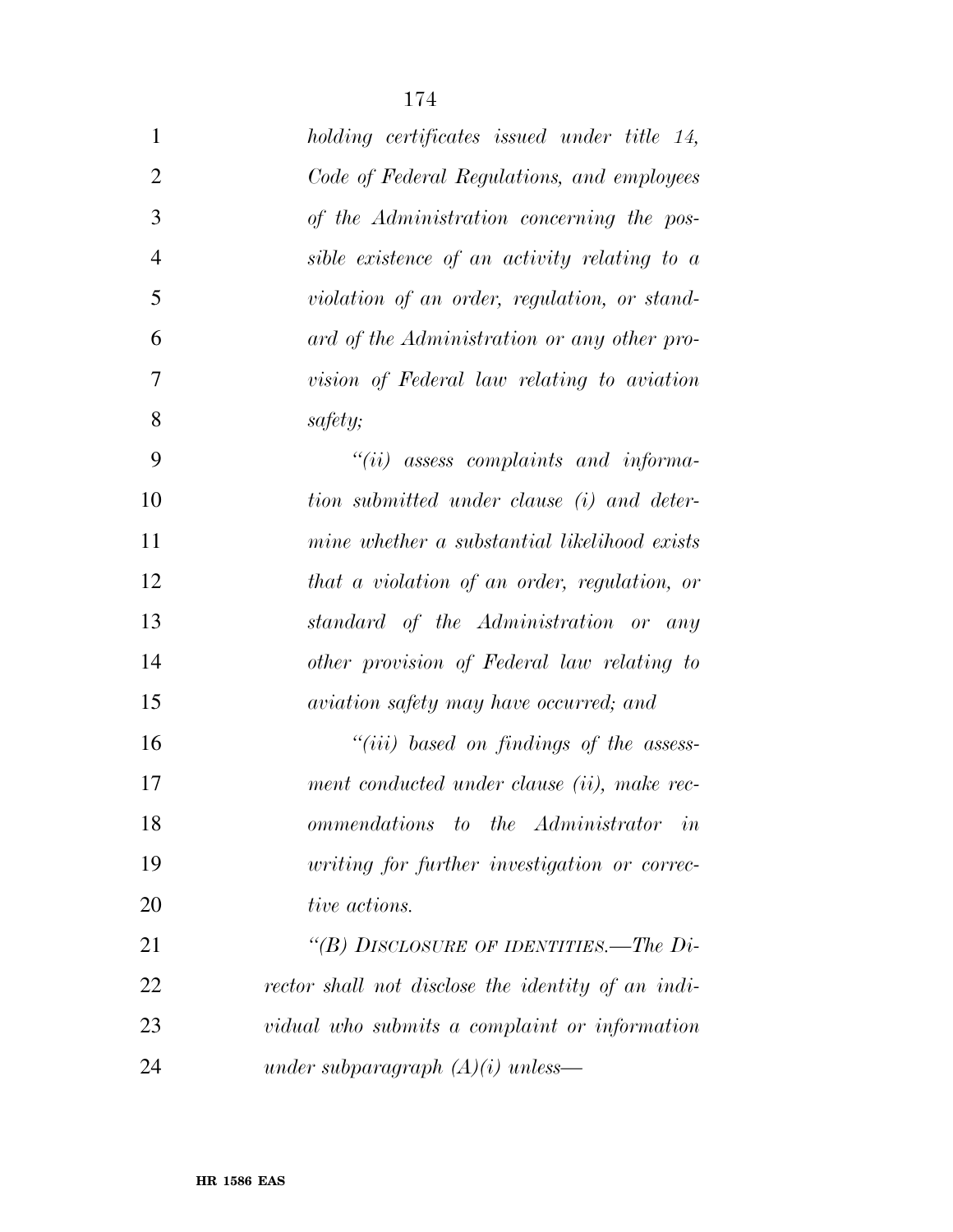| $\mathbf{1}$   | holding certificates issued under title 14,        |
|----------------|----------------------------------------------------|
| $\overline{2}$ | Code of Federal Regulations, and employees         |
| 3              | of the Administration concerning the pos-          |
| $\overline{4}$ | sible existence of an activity relating to a       |
| 5              | violation of an order, regulation, or stand-       |
| 6              | ard of the Administration or any other pro-        |
| 7              | vision of Federal law relating to aviation         |
| 8              | safety;                                            |
| 9              | $``(ii)$ assess complaints and informa-            |
| 10             | tion submitted under clause (i) and deter-         |
| 11             | mine whether a substantial likelihood exists       |
| 12             | that a violation of an order, regulation, or       |
| 13             | standard of the Administration or any              |
| 14             | other provision of Federal law relating to         |
| 15             | aviation safety may have occurred; and             |
| 16             | $``(iii)$ based on findings of the assess-         |
| 17             | ment conducted under clause (ii), make rec-        |
| 18             | ommendations to the Administrator<br>in            |
| 19             | writing for further investigation or correc-       |
| 20             | tive actions.                                      |
| 21             | "(B) DISCLOSURE OF IDENTITIES.—The Di-             |
| 22             | rector shall not disclose the identity of an indi- |
| 23             | vidual who submits a complaint or information      |
| 24             | under subparagraph $(A)(i)$ unless—                |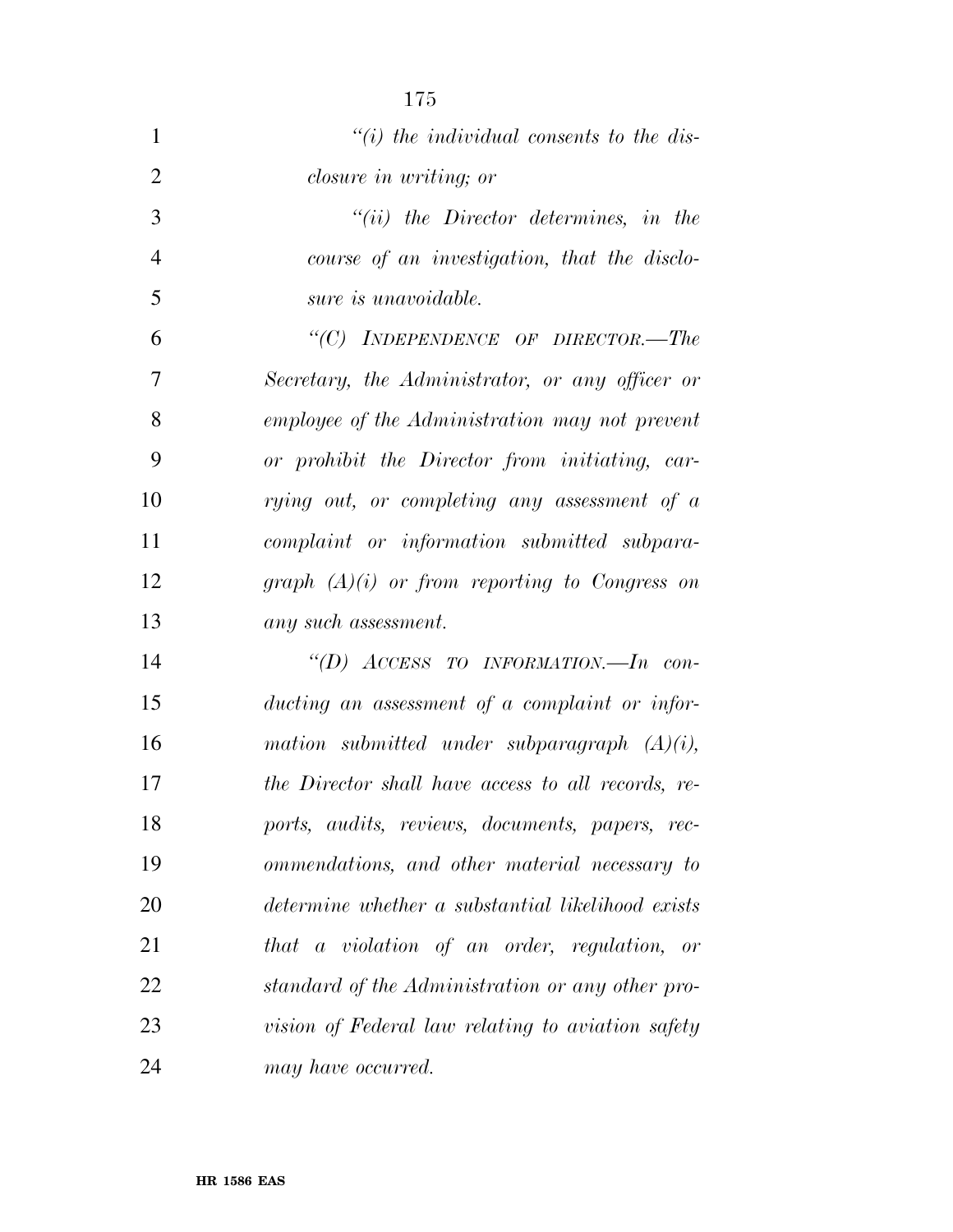| $\mathbf{1}$   | $\lq\lq(i)$ the individual consents to the dis-    |
|----------------|----------------------------------------------------|
| $\overline{2}$ | <i>closure in writing; or</i>                      |
| 3              | $``(ii)$ the Director determines, in the           |
| $\overline{4}$ | course of an investigation, that the disclo-       |
| 5              | sure is unavoidable.                               |
| 6              | "(C) INDEPENDENCE OF DIRECTOR.—The                 |
| 7              | Secretary, the Administrator, or any officer or    |
| 8              | employee of the Administration may not prevent     |
| 9              | or prohibit the Director from initiating, car-     |
| 10             | rying out, or completing any assessment of a       |
| 11             | complaint or information submitted subpara-        |
| 12             | graph $(A)(i)$ or from reporting to Congress on    |
| 13             | any such assessment.                               |
| 14             | "(D) $ACCESS$ TO INFORMATION.—In con-              |
| 15             | ducting an assessment of a complaint or infor-     |
| 16             | mation submitted under subparagraph $(A)(i)$ ,     |
| 17             | the Director shall have access to all records, re- |
| 18             | ports, audits, reviews, documents, papers, rec-    |
| 19             | ommendations, and other material necessary to      |
| 20             | determine whether a substantial likelihood exists  |
| 21             | that a violation of an order, regulation, or       |
| 22             | standard of the Administration or any other pro-   |
| 23             | vision of Federal law relating to aviation safety  |
| 24             | may have occurred.                                 |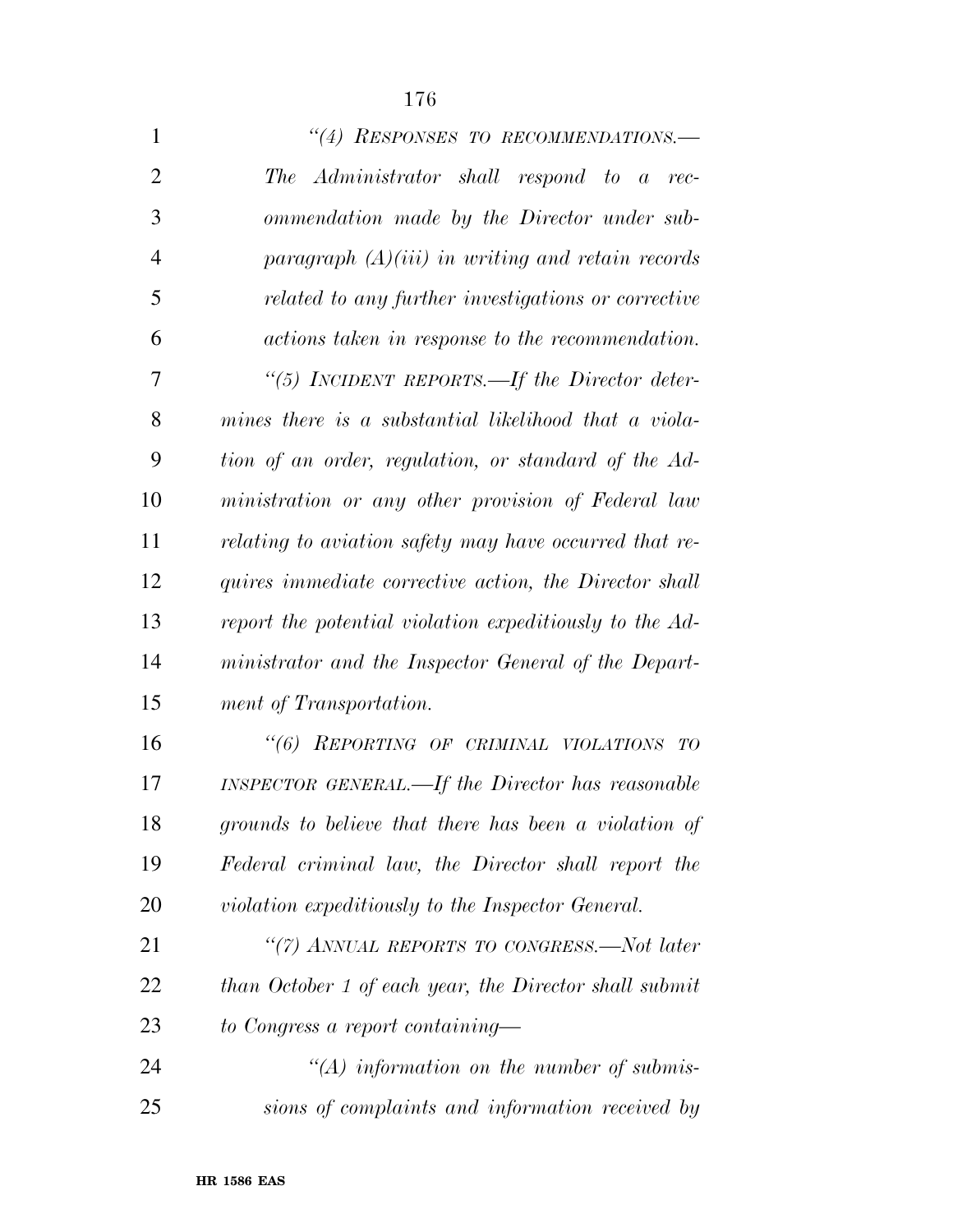| 1              | "(4) RESPONSES TO RECOMMENDATIONS.-                     |
|----------------|---------------------------------------------------------|
| $\overline{2}$ | The Administrator shall respond to a rec-               |
| 3              | ommendation made by the Director under sub-             |
| 4              | paragraph $(A)(iii)$ in writing and retain records      |
| 5              | related to any further investigations or corrective     |
| 6              | actions taken in response to the recommendation.        |
| 7              | "(5) INCIDENT REPORTS.—If the Director deter-           |
| 8              | mines there is a substantial likelihood that a viola-   |
| 9              | tion of an order, regulation, or standard of the Ad-    |
| 10             | ministration or any other provision of Federal law      |
| 11             | relating to aviation safety may have occurred that re-  |
| 12             | quires immediate corrective action, the Director shall  |
| 13             | report the potential violation expeditionsly to the Ad- |
| 14             | ministrator and the Inspector General of the Depart-    |
| 15             | ment of Transportation.                                 |

 *''(6) REPORTING OF CRIMINAL VIOLATIONS TO INSPECTOR GENERAL.—If the Director has reasonable grounds to believe that there has been a violation of Federal criminal law, the Director shall report the violation expeditiously to the Inspector General.* 

 *''(7) ANNUAL REPORTS TO CONGRESS.—Not later than October 1 of each year, the Director shall submit to Congress a report containing—* 

 *''(A) information on the number of submis-sions of complaints and information received by*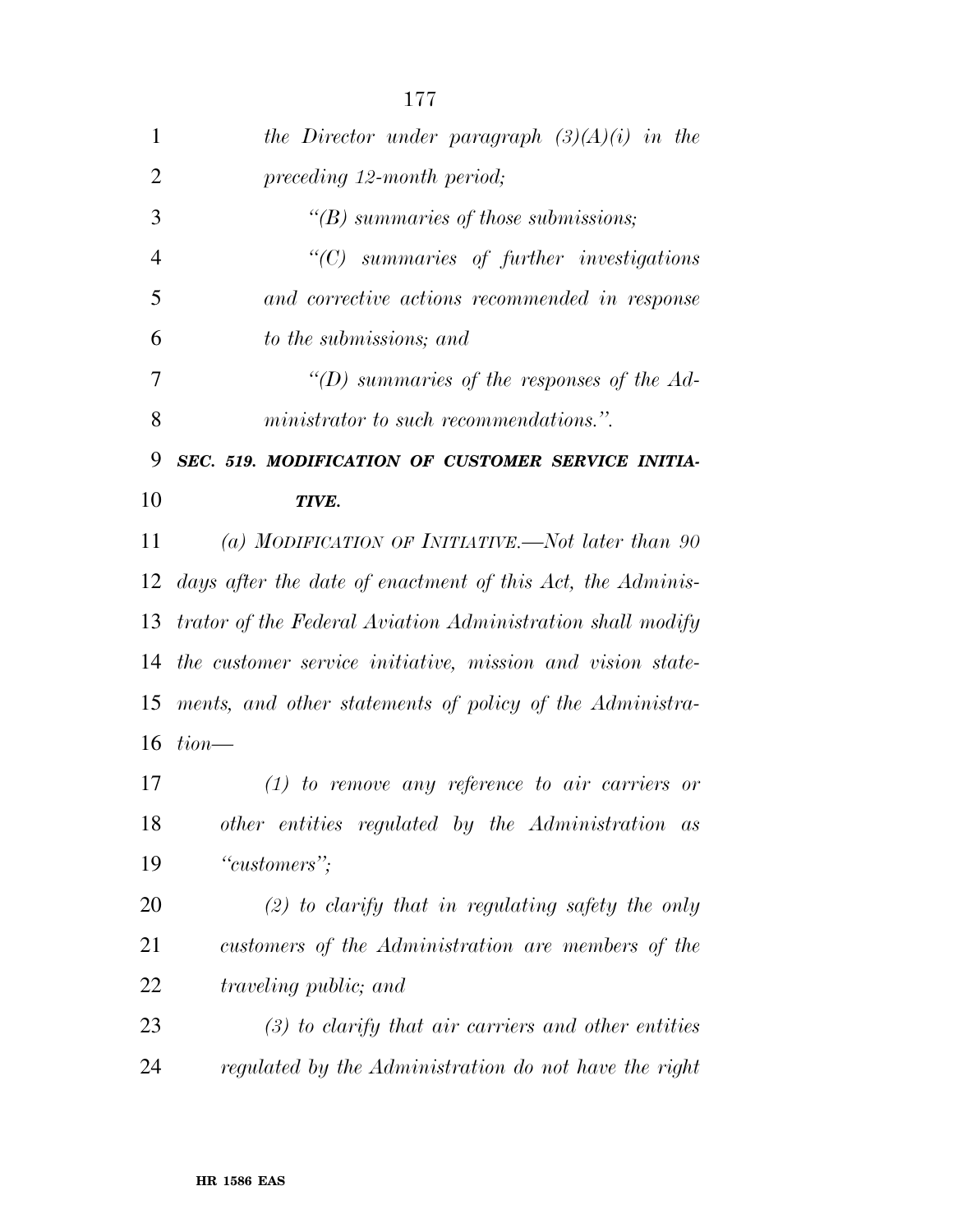| $\mathbf{1}$   | the Director under paragraph $(3)(A)(i)$ in the            |
|----------------|------------------------------------------------------------|
| $\overline{2}$ | preceding 12-month period;                                 |
| 3              | $\lq\lq(B)$ summaries of those submissions;                |
| $\overline{4}$ | $"$ (C) summaries of further investigations                |
| 5              | and corrective actions recommended in response             |
| 6              | to the submissions; and                                    |
| 7              | "(D) summaries of the responses of the $Ad$ -              |
| 8              | ministrator to such recommendations.".                     |
| 9              | SEC. 519. MODIFICATION OF CUSTOMER SERVICE INITIA-         |
| 10             | TIVE.                                                      |
| 11             | (a) MODIFICATION OF INITIATIVE.—Not later than 90          |
| 12             | days after the date of enactment of this Act, the Adminis- |
| 13             | trator of the Federal Aviation Administration shall modify |
| 14             | the customer service initiative, mission and vision state- |
| 15             | ments, and other statements of policy of the Administra-   |
| 16             | $tion$ —                                                   |
| 17             | $(1)$ to remove any reference to air carriers or           |
| 18             | other entities regulated by the Administration<br>as       |
| 19             | "customers";                                               |
| 20             | $(2)$ to clarify that in regulating safety the only        |
| 21             | customers of the Administration are members of the         |
| 22             | <i>traveling public; and</i>                               |
| 23             | $(3)$ to clarify that air carriers and other entities      |
| 24             | regulated by the Administration do not have the right      |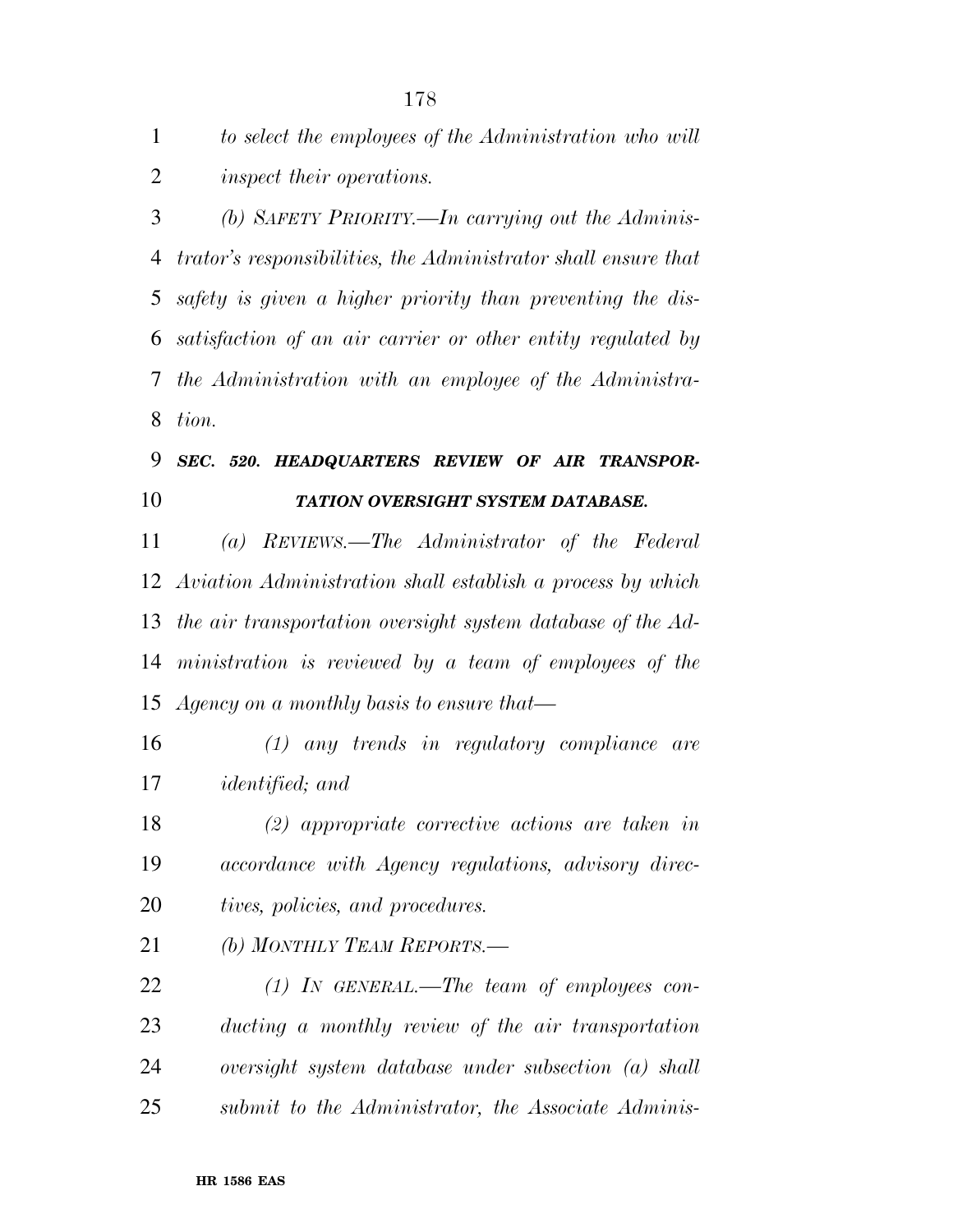*to select the employees of the Administration who will inspect their operations.* 

 *(b) SAFETY PRIORITY.—In carrying out the Adminis- trator's responsibilities, the Administrator shall ensure that safety is given a higher priority than preventing the dis- satisfaction of an air carrier or other entity regulated by the Administration with an employee of the Administra-tion.* 

# *SEC. 520. HEADQUARTERS REVIEW OF AIR TRANSPOR-TATION OVERSIGHT SYSTEM DATABASE.*

 *(a) REVIEWS.—The Administrator of the Federal Aviation Administration shall establish a process by which the air transportation oversight system database of the Ad- ministration is reviewed by a team of employees of the Agency on a monthly basis to ensure that—* 

 *(1) any trends in regulatory compliance are identified; and* 

 *(2) appropriate corrective actions are taken in accordance with Agency regulations, advisory direc-tives, policies, and procedures.* 

*(b) MONTHLY TEAM REPORTS.—* 

 *(1) IN GENERAL.—The team of employees con- ducting a monthly review of the air transportation oversight system database under subsection (a) shall submit to the Administrator, the Associate Adminis-*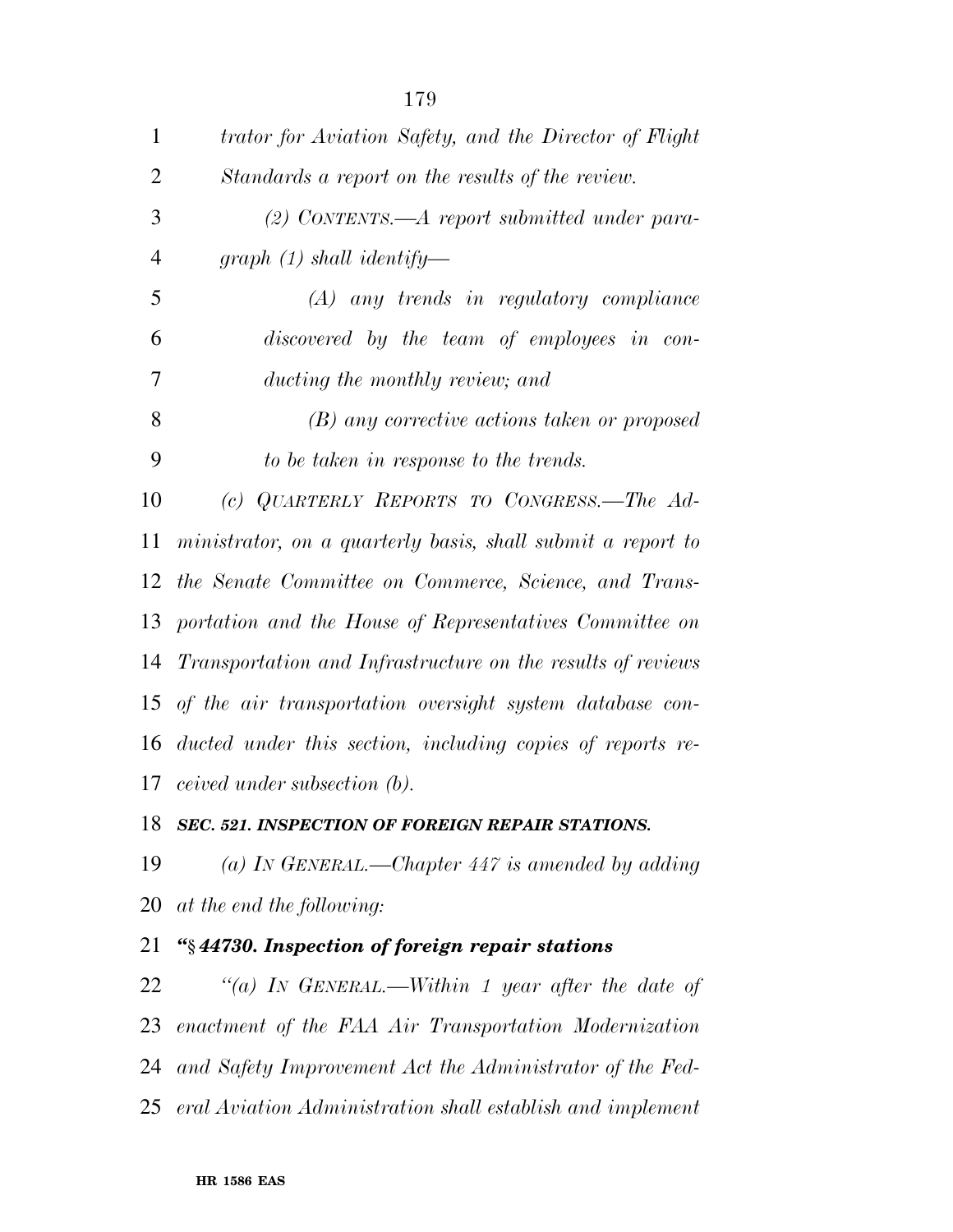| $\mathbf{1}$   | trator for Aviation Safety, and the Director of Flight      |
|----------------|-------------------------------------------------------------|
| 2              | Standards a report on the results of the review.            |
| 3              | $(2)$ CONTENTS.—A report submitted under para-              |
| $\overline{4}$ | graph $(1)$ shall identify—                                 |
| 5              | $(A)$ any trends in regulatory compliance                   |
| 6              | discovered by the team of employees in con-                 |
| 7              | ducting the monthly review; and                             |
| 8              | (B) any corrective actions taken or proposed                |
| 9              | to be taken in response to the trends.                      |
| 10             | (c) QUARTERLY REPORTS TO CONGRESS.—The Ad-                  |
| 11             | ministrator, on a quarterly basis, shall submit a report to |
| 12             | the Senate Committee on Commerce, Science, and Trans-       |
| 13             | portation and the House of Representatives Committee on     |
| 14             | Transportation and Infrastructure on the results of reviews |
| 15             | of the air transportation oversight system database con-    |
| 16             | ducted under this section, including copies of reports re-  |
| 17             | <i>ceived under subsection (b).</i>                         |
| 18             | SEC. 521. INSPECTION OF FOREIGN REPAIR STATIONS.            |
| 19             | (a) IN GENERAL.—Chapter 447 is amended by adding            |
| 20             | at the end the following:                                   |
| 21             | "§44730. Inspection of foreign repair stations              |
| 22             | "(a) In GENERAL.—Within 1 year after the date of            |
| 23             | enactment of the FAA Air Transportation Modernization       |

*and Safety Improvement Act the Administrator of the Fed-*

*eral Aviation Administration shall establish and implement*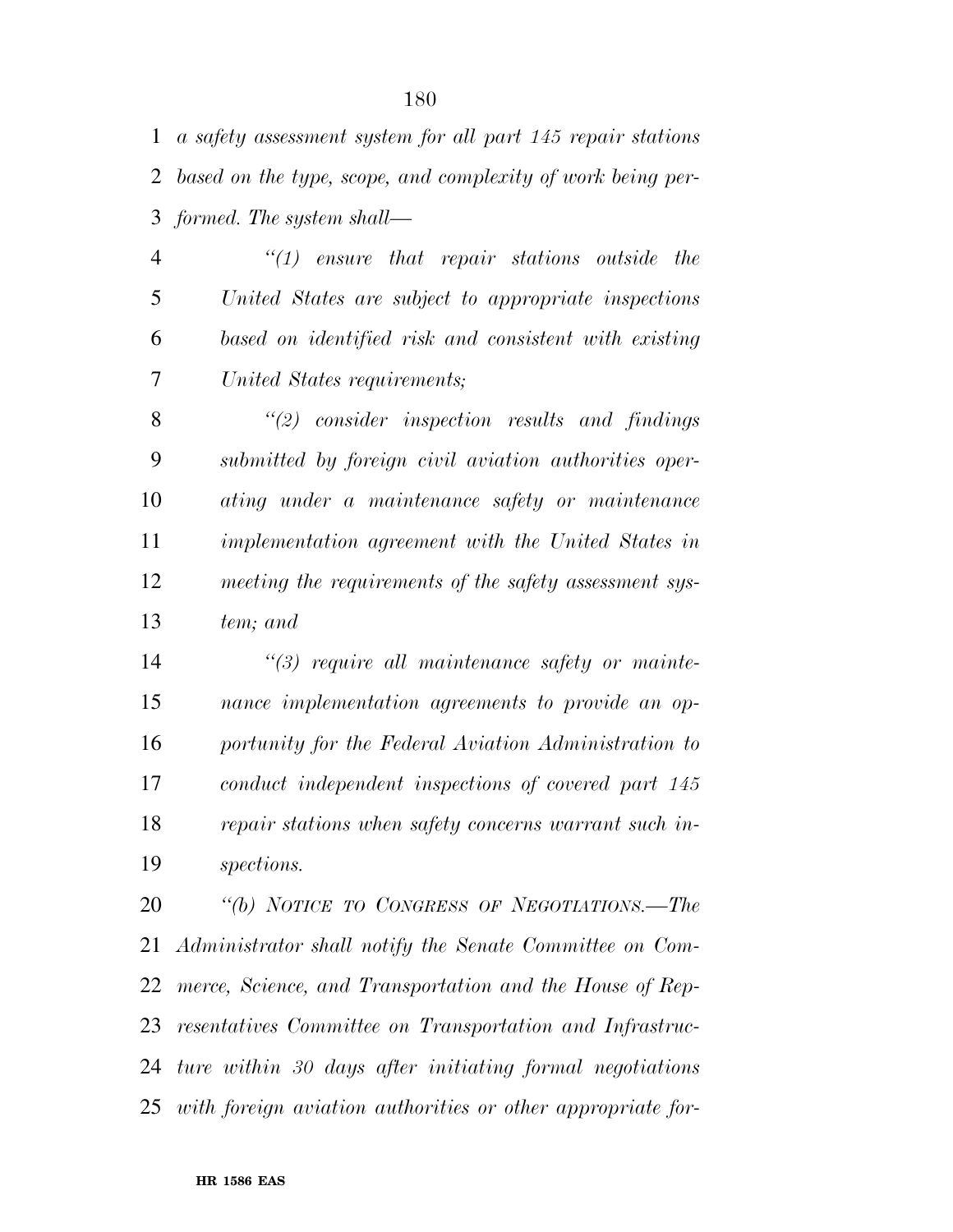*a safety assessment system for all part 145 repair stations based on the type, scope, and complexity of work being per-formed. The system shall—* 

 *''(1) ensure that repair stations outside the United States are subject to appropriate inspections based on identified risk and consistent with existing United States requirements;* 

 *''(2) consider inspection results and findings submitted by foreign civil aviation authorities oper- ating under a maintenance safety or maintenance implementation agreement with the United States in meeting the requirements of the safety assessment sys-tem; and* 

 *''(3) require all maintenance safety or mainte- nance implementation agreements to provide an op- portunity for the Federal Aviation Administration to conduct independent inspections of covered part 145 repair stations when safety concerns warrant such in-spections.* 

 *''(b) NOTICE TO CONGRESS OF NEGOTIATIONS.—The Administrator shall notify the Senate Committee on Com- merce, Science, and Transportation and the House of Rep- resentatives Committee on Transportation and Infrastruc- ture within 30 days after initiating formal negotiations with foreign aviation authorities or other appropriate for-*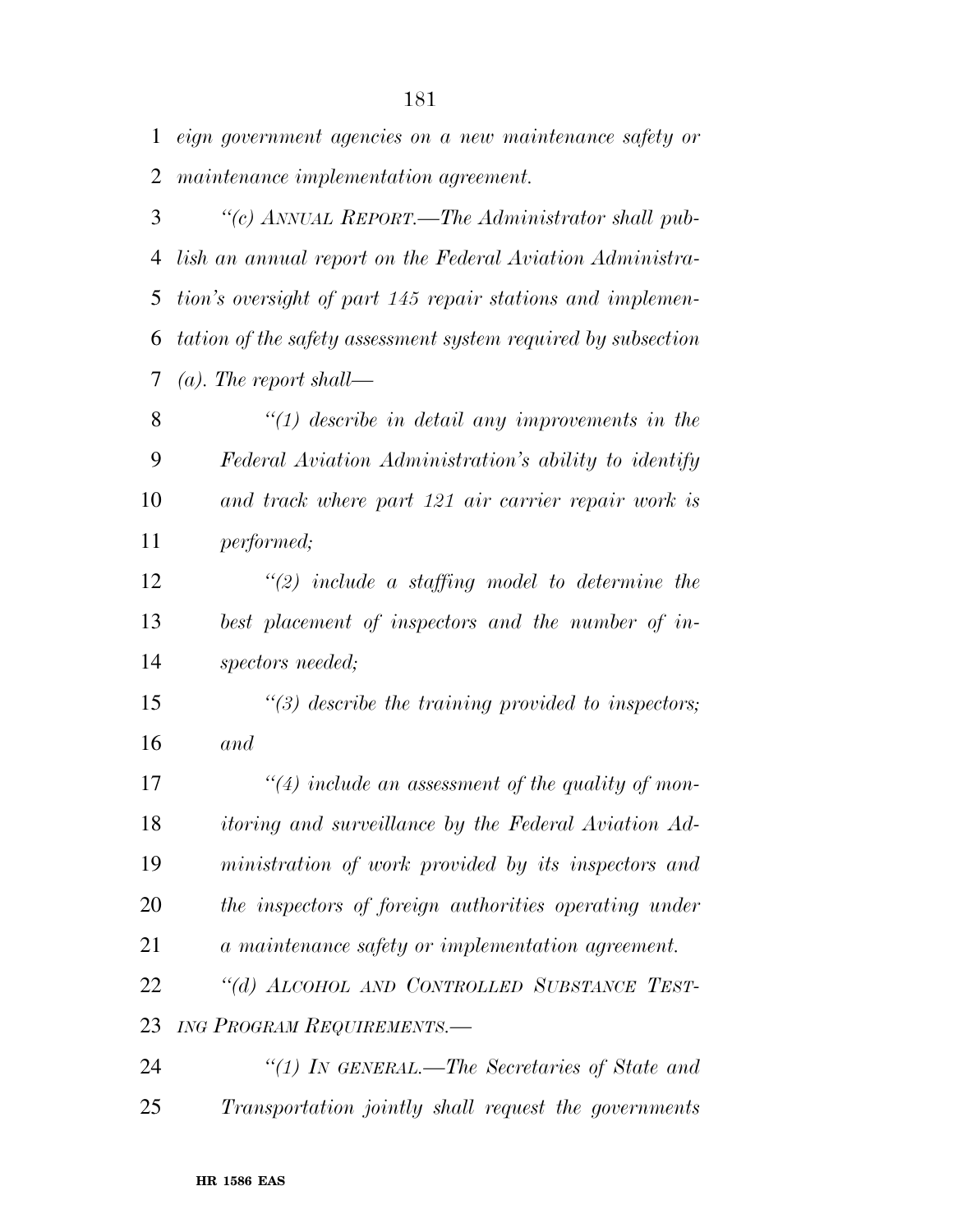*eign government agencies on a new maintenance safety or maintenance implementation agreement.* 

 *''(c) ANNUAL REPORT.—The Administrator shall pub- lish an annual report on the Federal Aviation Administra- tion's oversight of part 145 repair stations and implemen- tation of the safety assessment system required by subsection (a). The report shall—* 

 *''(1) describe in detail any improvements in the Federal Aviation Administration's ability to identify and track where part 121 air carrier repair work is performed;* 

 *''(2) include a staffing model to determine the best placement of inspectors and the number of in-spectors needed;* 

 *''(3) describe the training provided to inspectors; and* 

 *''(4) include an assessment of the quality of mon- itoring and surveillance by the Federal Aviation Ad- ministration of work provided by its inspectors and the inspectors of foreign authorities operating under a maintenance safety or implementation agreement. ''(d) ALCOHOL AND CONTROLLED SUBSTANCE TEST-*

*ING PROGRAM REQUIREMENTS.—* 

 *''(1) IN GENERAL.—The Secretaries of State and Transportation jointly shall request the governments*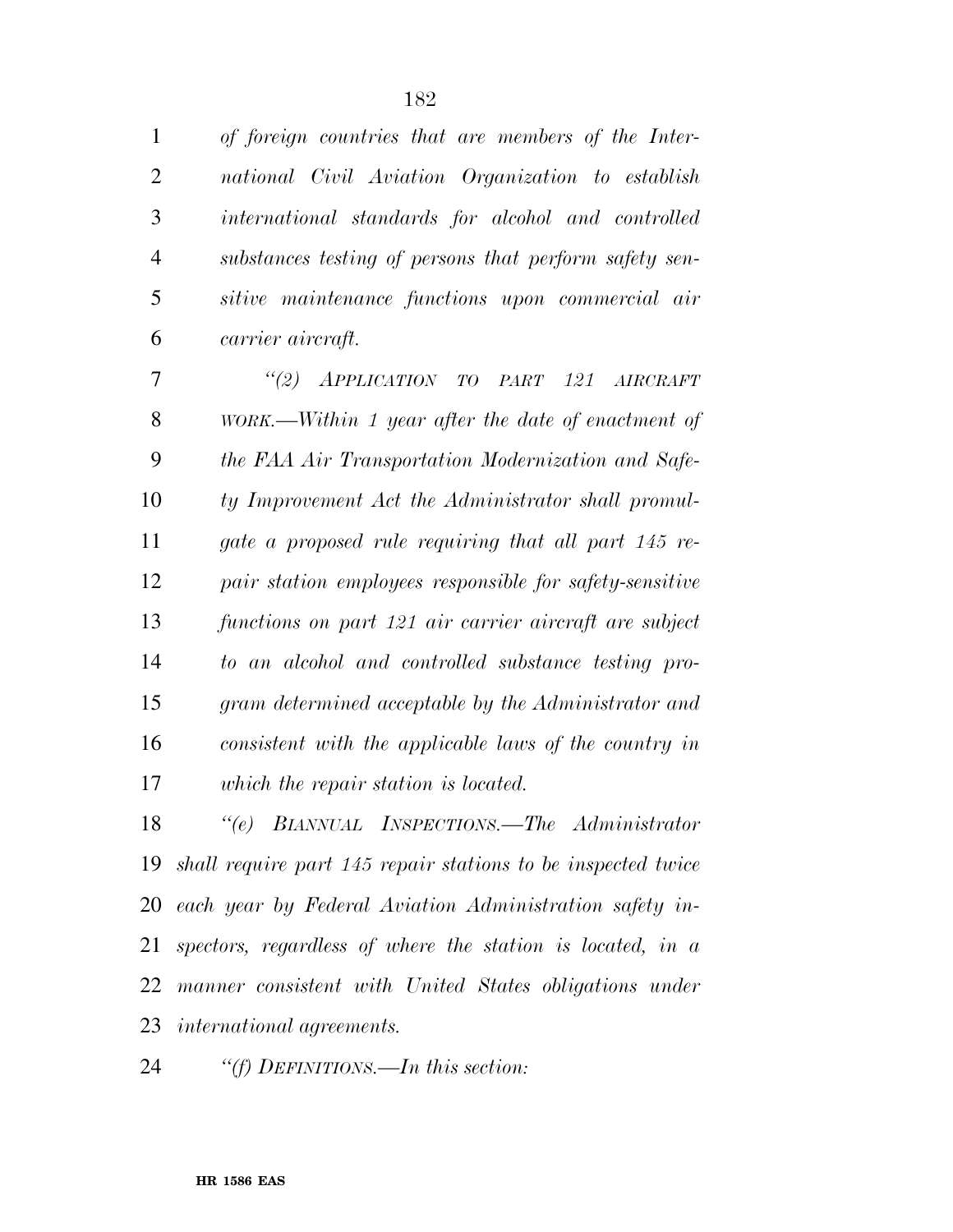*of foreign countries that are members of the Inter- national Civil Aviation Organization to establish international standards for alcohol and controlled substances testing of persons that perform safety sen- sitive maintenance functions upon commercial air carrier aircraft.* 

 *''(2) APPLICATION TO PART 121 AIRCRAFT WORK.—Within 1 year after the date of enactment of the FAA Air Transportation Modernization and Safe- ty Improvement Act the Administrator shall promul- gate a proposed rule requiring that all part 145 re- pair station employees responsible for safety-sensitive functions on part 121 air carrier aircraft are subject to an alcohol and controlled substance testing pro- gram determined acceptable by the Administrator and consistent with the applicable laws of the country in which the repair station is located.* 

 *''(e) BIANNUAL INSPECTIONS.—The Administrator shall require part 145 repair stations to be inspected twice each year by Federal Aviation Administration safety in- spectors, regardless of where the station is located, in a manner consistent with United States obligations under international agreements.* 

*''(f) DEFINITIONS.—In this section:*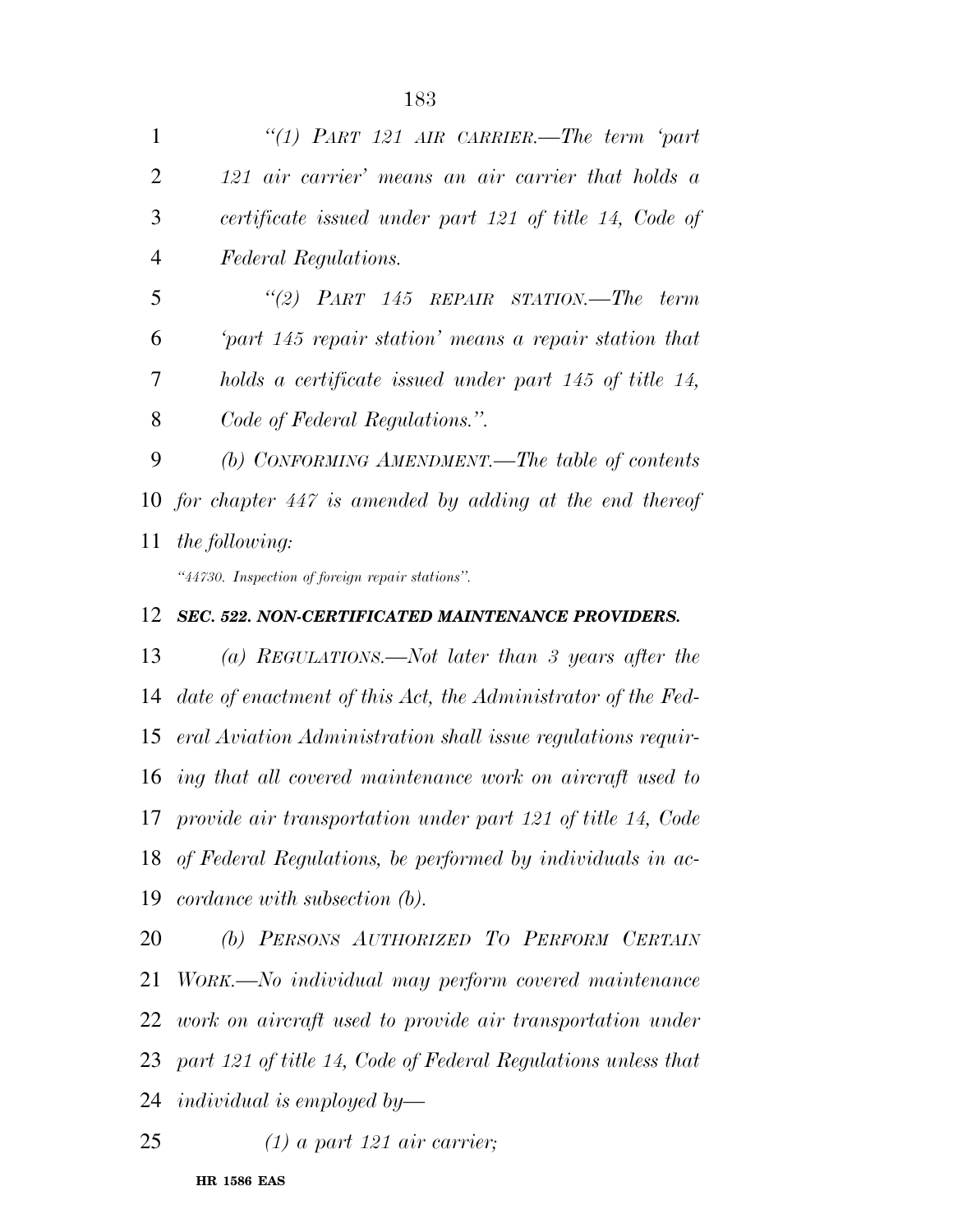|                | "(1) PART 121 AIR CARRIER.—The term 'part                  |
|----------------|------------------------------------------------------------|
| $\overline{2}$ | 121 air carrier' means an air carrier that holds a         |
| 3              | certificate issued under part 121 of title 14, Code of     |
| $\overline{4}$ | <i>Federal Regulations.</i>                                |
| 5              | "(2) $PART$ 145 $REPAIR$ $STATION$ . The term              |
| 6              | part 145 repair station' means a repair station that       |
| 7              | holds a certificate issued under part 145 of title 14,     |
| 8              | Code of Federal Regulations.".                             |
| 9              | (b) CONFORMING AMENDMENT.—The table of contents            |
|                | 10 for chapter 447 is amended by adding at the end thereof |
| 11 -           | <i>the following:</i>                                      |
|                |                                                            |

*''44730. Inspection of foreign repair stations''.* 

## *SEC. 522. NON-CERTIFICATED MAINTENANCE PROVIDERS.*

 *(a) REGULATIONS.—Not later than 3 years after the date of enactment of this Act, the Administrator of the Fed- eral Aviation Administration shall issue regulations requir- ing that all covered maintenance work on aircraft used to provide air transportation under part 121 of title 14, Code of Federal Regulations, be performed by individuals in ac-cordance with subsection (b).* 

 *(b) PERSONS AUTHORIZED TO PERFORM CERTAIN WORK.—No individual may perform covered maintenance work on aircraft used to provide air transportation under part 121 of title 14, Code of Federal Regulations unless that individual is employed by—*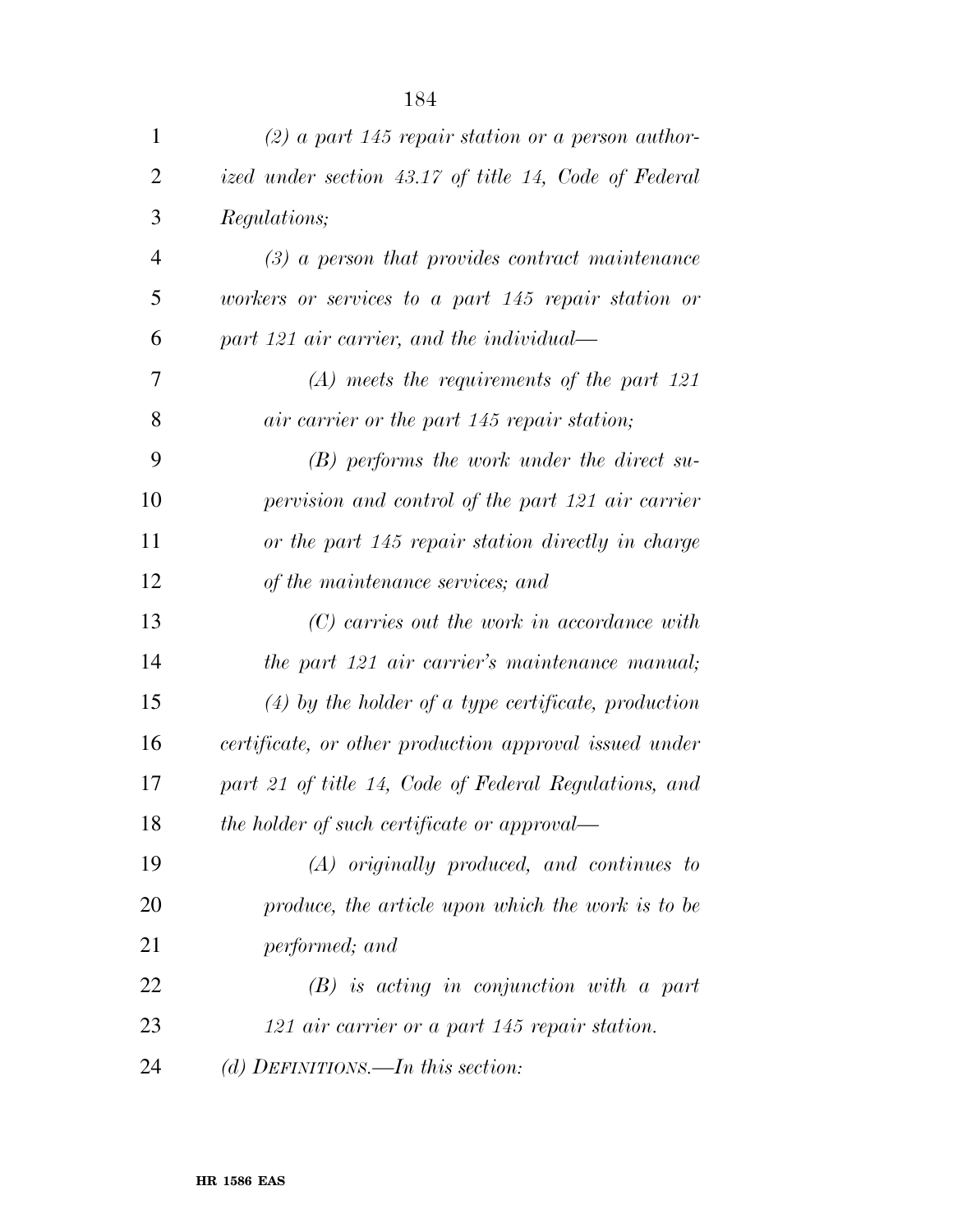| $\mathbf{1}$   | $(2)$ a part 145 repair station or a person author-    |
|----------------|--------------------------------------------------------|
| $\overline{2}$ | ized under section 43.17 of title 14, Code of Federal  |
| 3              | <i>Regulations</i> ;                                   |
| $\overline{4}$ | $(3)$ a person that provides contract maintenance      |
| 5              | workers or services to a part 145 repair station or    |
| 6              | part 121 air carrier, and the individual—              |
| 7              | $(A)$ meets the requirements of the part 121           |
| 8              | air carrier or the part 145 repair station;            |
| 9              | $(B)$ performs the work under the direct su-           |
| 10             | pervision and control of the part 121 air carrier      |
| 11             | or the part 145 repair station directly in charge      |
| 12             | of the maintenance services; and                       |
| 13             | $(C)$ carries out the work in accordance with          |
| 14             | the part 121 air carrier's maintenance manual;         |
| 15             | $(4)$ by the holder of a type certificate, production  |
| 16             | certificate, or other production approval issued under |
| 17             | part 21 of title 14, Code of Federal Regulations, and  |
| 18             | the holder of such certificate or approval—            |
| 19             | $(A)$ originally produced, and continues to            |
| 20             | produce, the article upon which the work is to be      |
| 21             | performed; and                                         |
| 22             | $(B)$ is acting in conjunction with a part             |
| 23             | 121 air carrier or a part 145 repair station.          |
| 24             | (d) DEFINITIONS.—In this section:                      |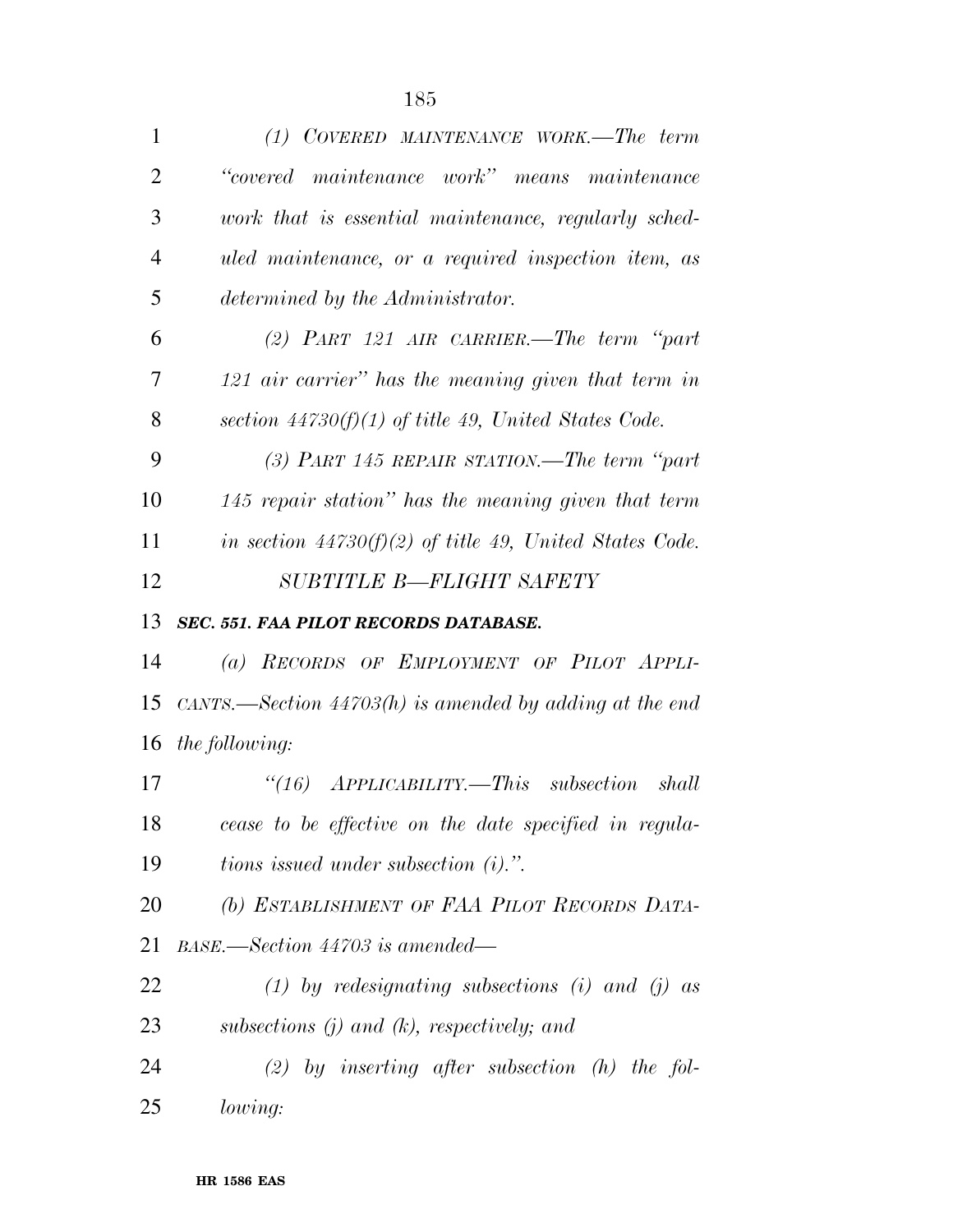| $\mathbf{1}$   | (1) COVERED MAINTENANCE WORK.—The term                    |
|----------------|-----------------------------------------------------------|
| $\overline{2}$ | "covered maintenance work" means maintenance              |
| 3              | work that is essential maintenance, regularly sched-      |
| $\overline{4}$ | uled maintenance, or a required inspection item, as       |
| 5              | determined by the Administrator.                          |
| 6              | $(2)$ PART 121 AIR CARRIER.—The term "part"               |
| 7              | 121 air carrier" has the meaning given that term in       |
| 8              | section $44730(f)(1)$ of title 49, United States Code.    |
| 9              | (3) PART 145 REPAIR STATION.—The term "part               |
| 10             | 145 repair station" has the meaning given that term       |
| 11             | in section $44730(f)(2)$ of title 49, United States Code. |
| 12             | SUBTITLE B-FLIGHT SAFETY                                  |
| 13             | SEC. 551. FAA PILOT RECORDS DATABASE.                     |
| 14             | (a) RECORDS OF EMPLOYMENT OF PILOT APPLI-                 |
| 15             | CANTS.—Section $44703(h)$ is amended by adding at the end |
| 16             | <i>the following:</i>                                     |
| 17             | "(16) $APPLICABILITY. - This$<br>subsection<br>shall      |
| 18             | cease to be effective on the date specified in regula-    |
| 19             | tions issued under subsection $(i)$ .".                   |
| 20             | (b) ESTABLISHMENT OF FAA PILOT RECORDS DATA-              |
| 21             | BASE.—Section 44703 is amended—                           |
| 22             | (1) by redesignating subsections (i) and (j) as           |
| 23             | subsections $(j)$ and $(k)$ , respectively; and           |
| 24             | $(2)$ by inserting after subsection $(h)$ the fol-        |
| 25             | lowing:                                                   |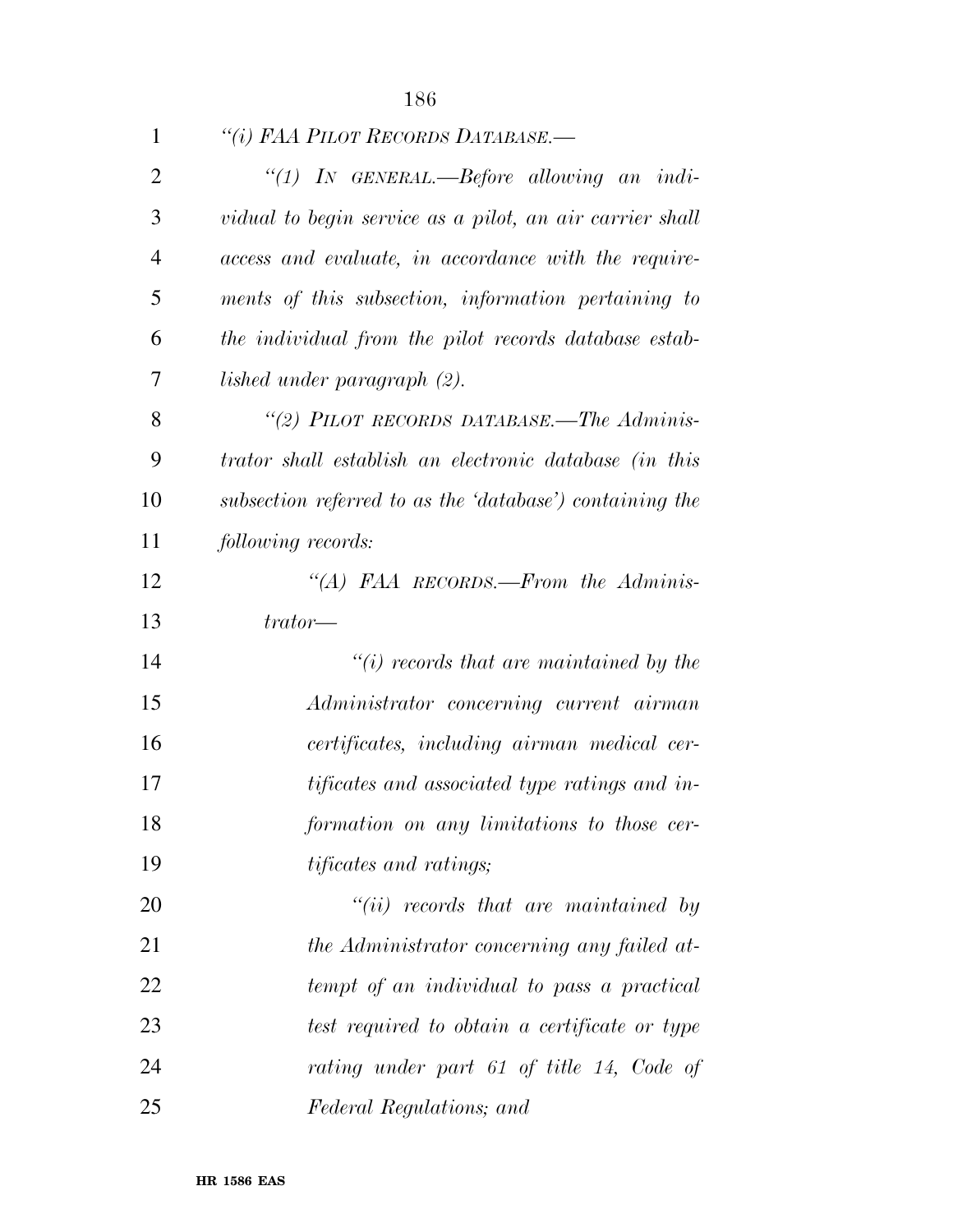| 1              | "(i) FAA PILOT RECORDS DATABASE.—                        |
|----------------|----------------------------------------------------------|
| $\overline{2}$ | "(1) In GENERAL.—Before allowing an indi-                |
| 3              | vidual to begin service as a pilot, an air carrier shall |
| $\overline{4}$ | access and evaluate, in accordance with the require-     |
| 5              | ments of this subsection, information pertaining to      |
| 6              | the individual from the pilot records database estab-    |
| 7              | lished under paragraph (2).                              |
| 8              | "(2) PILOT RECORDS DATABASE.—The Adminis-                |
| 9              | trator shall establish an electronic database (in this   |
| 10             | subsection referred to as the 'database') containing the |
| 11             | following records:                                       |
| 12             | "(A) FAA RECORDS.—From the Adminis-                      |
| 13             | $trator -$                                               |
| 14             | $\lq\lq(i)$ records that are maintained by the           |
| 15             | Administrator concerning current airman                  |
| 16             | certificates, including airman medical cer-              |
| 17             | tificates and associated type ratings and in-            |
| 18             | formation on any limitations to those cer-               |
| 19             | <i>tificates and ratings;</i>                            |
| 20             | $``(ii)$ records that are maintained by                  |
| 21             | the Administrator concerning any failed at-              |
| 22             | tempt of an individual to pass a practical               |
| 23             | test required to obtain a certificate or type            |
| 24             | rating under part 61 of title 14, Code of                |
| 25             | Federal Regulations; and                                 |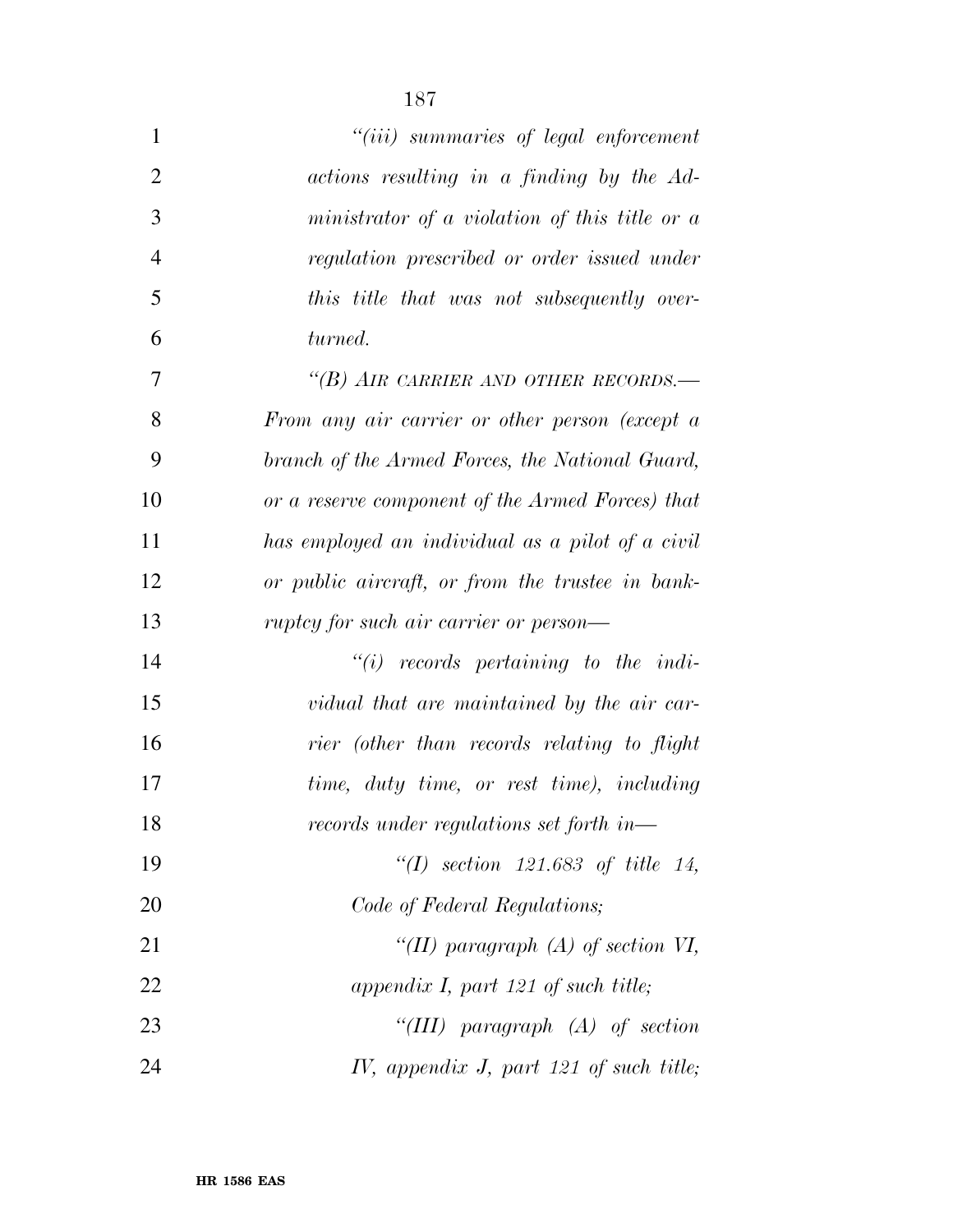| $\mathbf{1}$   | "(iii) summaries of legal enforcement            |
|----------------|--------------------------------------------------|
|                |                                                  |
| $\overline{2}$ | actions resulting in a finding by the Ad-        |
| 3              | ministrator of a violation of this title or a    |
| $\overline{4}$ | regulation prescribed or order issued under      |
| 5              | this title that was not subsequently over-       |
| 6              | turned.                                          |
| 7              | "(B) AIR CARRIER AND OTHER RECORDS.-             |
| 8              | From any air carrier or other person (except a   |
| 9              | branch of the Armed Forces, the National Guard,  |
| 10             | or a reserve component of the Armed Forces) that |
| 11             | has employed an individual as a pilot of a civil |
| 12             | or public aircraft, or from the trustee in bank- |
| 13             | ruptcy for such air carrier or person—           |
| 14             | $``(i)$ records pertaining to the indi-          |
| 15             | vidual that are maintained by the air car-       |
| 16             | rier (other than records relating to flight      |
| 17             | time, duty time, or rest time), including        |
| 18             | records under regulations set forth in—          |
| 19             | "(I) section $121.683$ of title $14$ ,           |
| 20             | Code of Federal Regulations;                     |
| 21             | "(II) paragraph (A) of section VI,               |
| 22             | appendix I, part 121 of such title;              |
| 23             | "(III) paragraph $(A)$ of section                |
| 24             | IV, appendix J, part 121 of such title;          |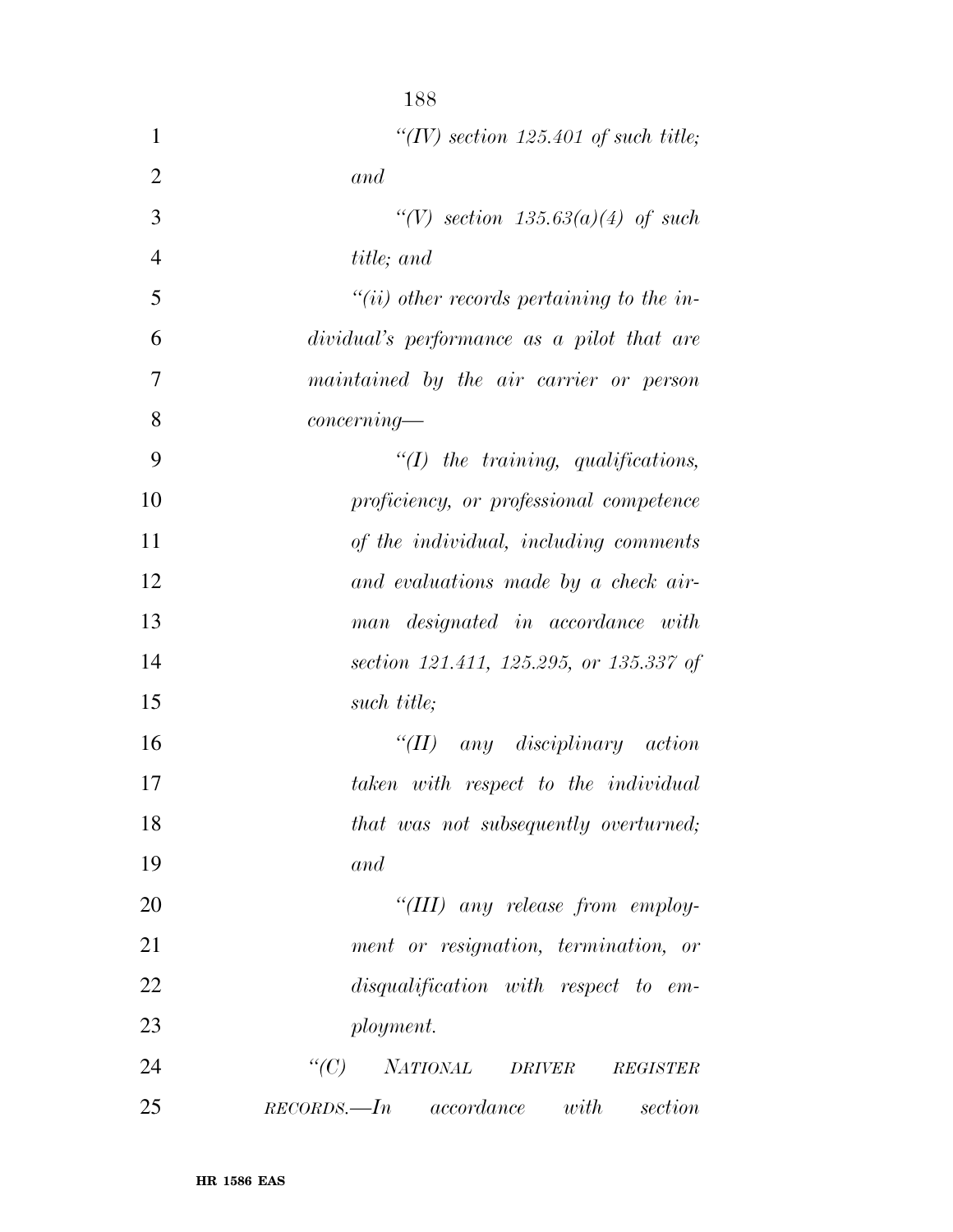|                | 188                                                        |
|----------------|------------------------------------------------------------|
| $\mathbf{1}$   | "(IV) section $125.401$ of such title;                     |
| $\overline{2}$ | and                                                        |
| 3              | "(V) section $135.63(a)(4)$ of such                        |
| $\overline{4}$ | title; and                                                 |
| 5              | $``(ii)$ other records pertaining to the in-               |
| 6              | dividual's performance as a pilot that are                 |
| 7              | maintained by the air carrier or person                    |
| 8              | concerning                                                 |
| 9              | $\lq (I)$ the training, qualifications,                    |
| 10             | proficiency, or professional competence                    |
| 11             | of the individual, including comments                      |
| 12             | and evaluations made by a check air-                       |
| 13             | man designated in accordance with                          |
| 14             | section 121.411, 125.295, or 135.337 of                    |
| 15             | such title;                                                |
| 16             | $\lq$ (II) any disciplinary action                         |
| 17             | taken with respect to the individual                       |
| 18             | that was not subsequently overturned;                      |
| 19             | and                                                        |
| 20             | "(III) any release from employ-                            |
| 21             | ment or resignation, termination, or                       |
| 22             | disqualification with respect to em-                       |
| 23             | ployment.                                                  |
| 24             | $\lq\lq C$<br>NATIONAL<br><b>DRIVER</b><br><b>REGISTER</b> |
| 25             | with<br>RECORDS. — In a coordinate<br>section              |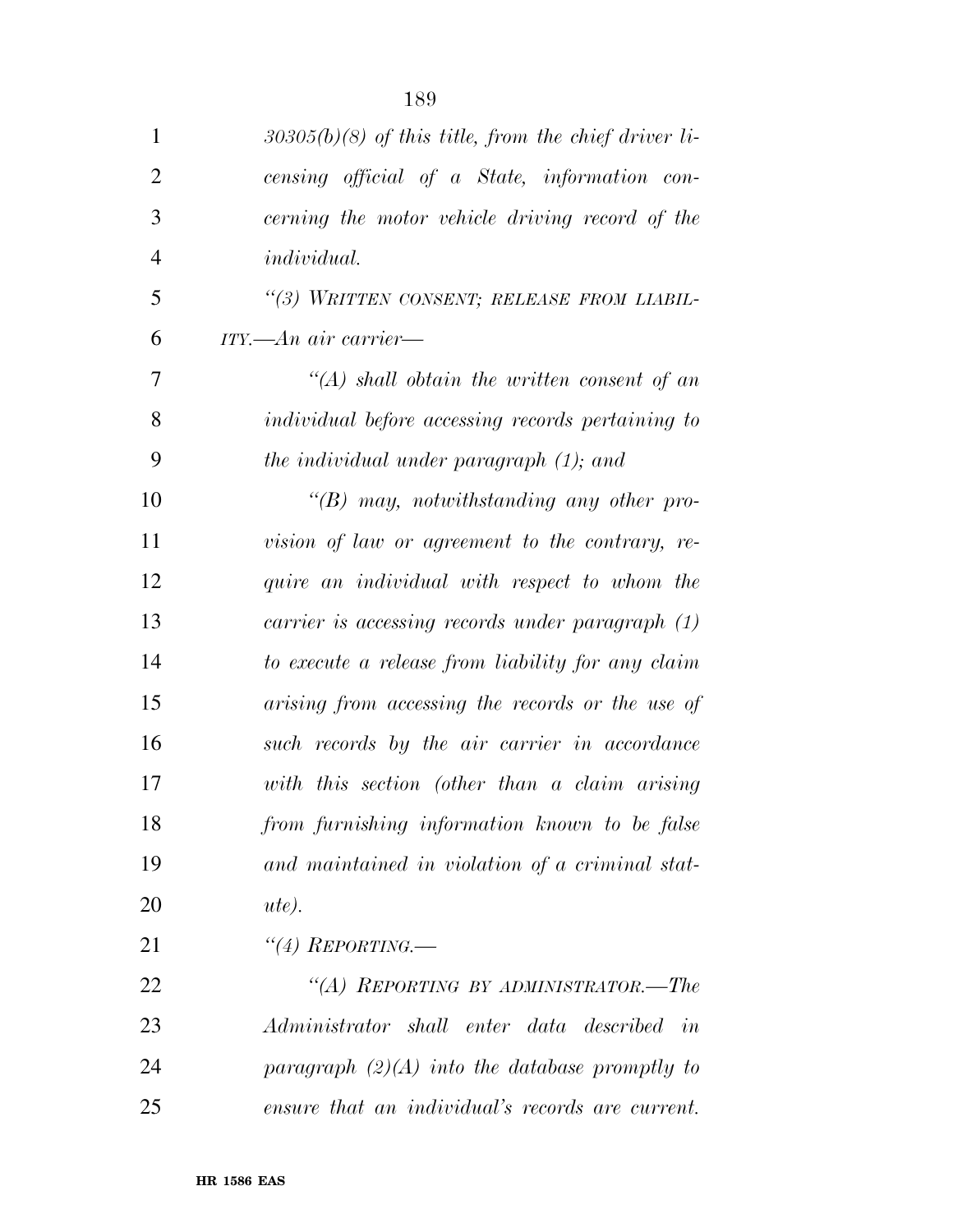| $\mathbf{1}$   | $30305(b)(8)$ of this title, from the chief driver li- |
|----------------|--------------------------------------------------------|
| $\overline{2}$ | censing official of a State, information con-          |
| 3              | cerning the motor vehicle driving record of the        |
| $\overline{4}$ | <i>individual.</i>                                     |
| 5              | "(3) WRITTEN CONSENT; RELEASE FROM LIABIL-             |
| 6              | ITY.—An air carrier—                                   |
| 7              | $\lq (A)$ shall obtain the written consent of an       |
| 8              | individual before accessing records pertaining to      |
| 9              | the individual under paragraph (1); and                |
| 10             | "(B) may, notwithstanding any other pro-               |
| 11             | vision of law or agreement to the contrary, re-        |
| 12             | quire an individual with respect to whom the           |
| 13             | carrier is accessing records under paragraph $(1)$     |
| 14             | to execute a release from liability for any claim      |
| 15             | arising from accessing the records or the use of       |
| 16             | such records by the air carrier in accordance          |
| 17             | with this section (other than a claim arising          |
| 18             | from furnishing information known to be false          |
| 19             | and maintained in violation of a criminal stat-        |
| 20             | $ute)$ .                                               |
| 21             | "(4) REPORTING.—                                       |
| 22             | "(A) REPORTING BY ADMINISTRATOR.—The                   |
| 23             | Administrator shall enter data described in            |
| 24             | paragraph $(2)(A)$ into the database promptly to       |
| 25             | ensure that an individual's records are current.       |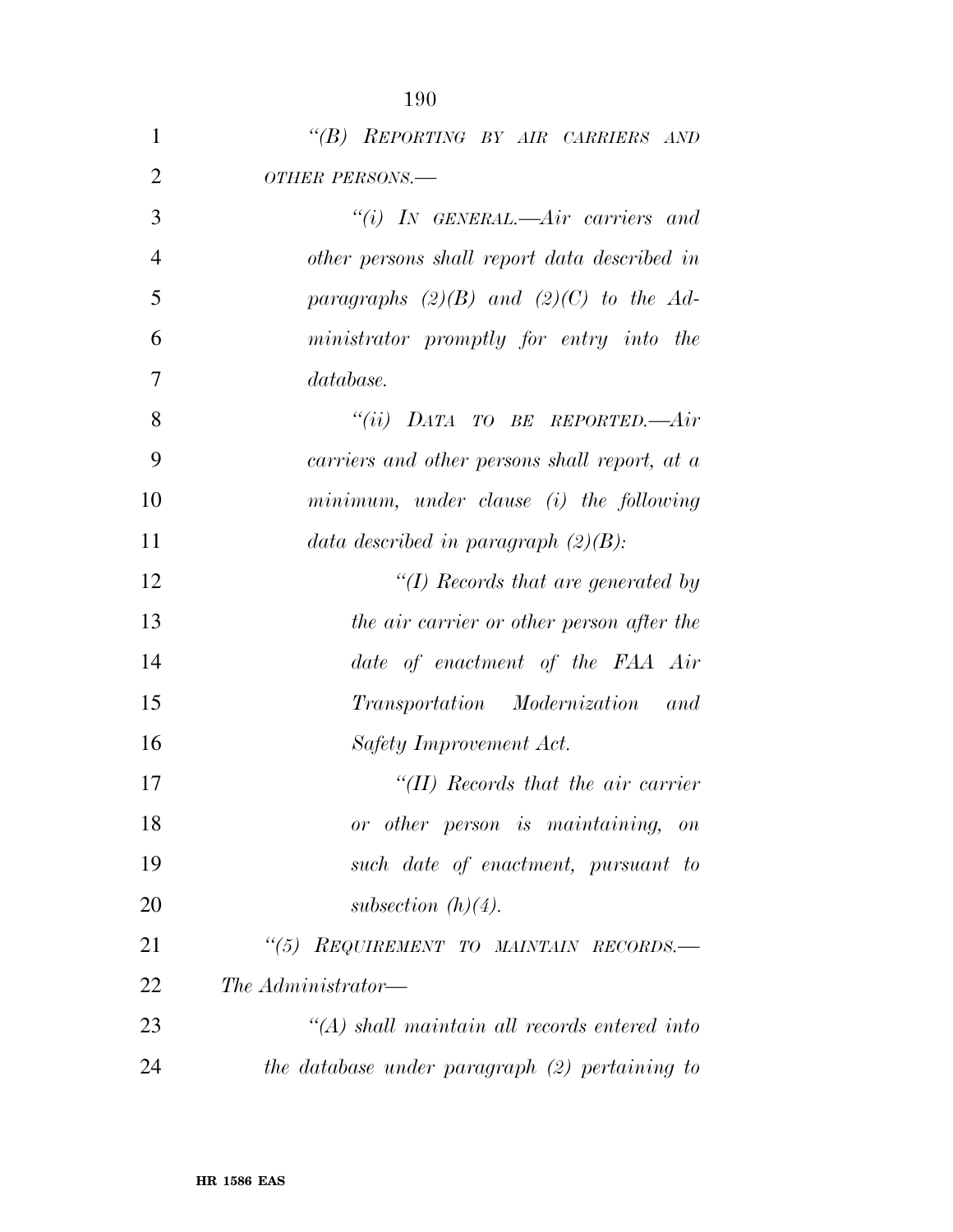| $\mathbf{1}$   | "(B) REPORTING BY AIR CARRIERS AND             |
|----------------|------------------------------------------------|
| $\overline{2}$ | OTHER PERSONS.-                                |
| 3              | "(i) IN GENERAL.—Air carriers and              |
| $\overline{4}$ | other persons shall report data described in   |
| 5              | paragraphs $(2)(B)$ and $(2)(C)$ to the Ad-    |
| 6              | ministrator promptly for entry into the        |
| 7              | database.                                      |
| 8              | "(ii) DATA TO BE REPORTED.— $Air$              |
| 9              | carriers and other persons shall report, at a  |
| 10             | minimum, under clause (i) the following        |
| 11             | data described in paragraph $(2)(B)$ :         |
| 12             | "(I) Records that are generated by             |
| 13             | the air carrier or other person after the      |
| 14             | date of enactment of the FAA Air               |
| 15             | Transportation Modernization<br>and            |
| 16             | Safety Improvement Act.                        |
| 17             | $\lq$ (II) Records that the air carrier        |
| 18             | or other person is maintaining, on             |
| 19             | such date of enactment, pursuant to            |
| <b>20</b>      | subsection $(h)(4)$ .                          |
| 21             | "(5) REQUIREMENT TO MAINTAIN RECORDS.-         |
| 22             | The Administrator—                             |
| 23             | "(A) shall maintain all records entered into   |
| 24             | the database under paragraph (2) pertaining to |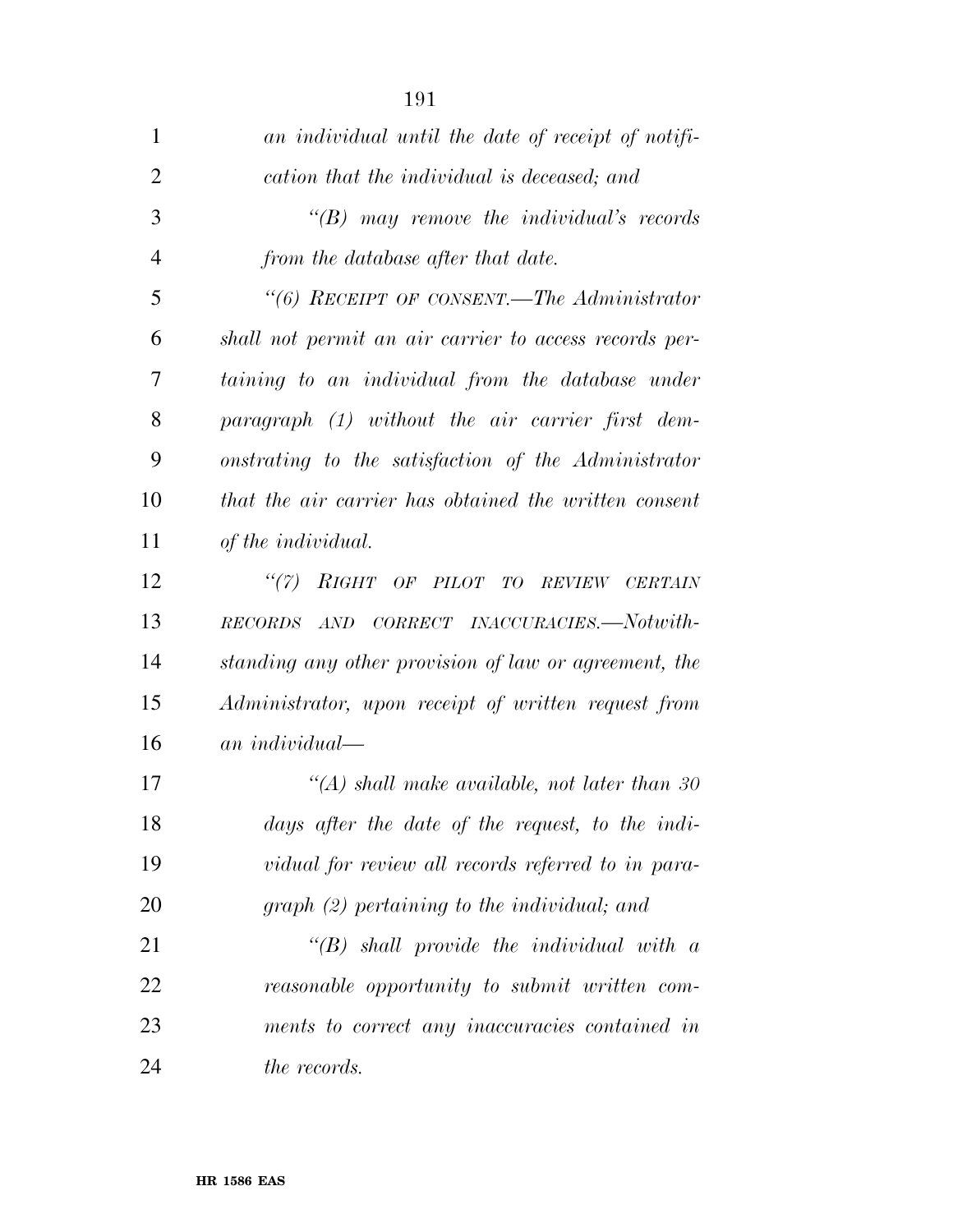| 1              | an individual until the date of receipt of notifi-     |
|----------------|--------------------------------------------------------|
| 2              | cation that the individual is deceased; and            |
| 3              | $\lq\lq(B)$ may remove the individual's records        |
| $\overline{4}$ | from the database after that date.                     |
| 5              | "(6) RECEIPT OF CONSENT.—The Administrator             |
| 6              | shall not permit an air carrier to access records per- |
| 7              | taining to an individual from the database under       |
| 8              | paragraph (1) without the air carrier first dem-       |
| 9              | onstrating to the satisfaction of the Administrator    |
| 10             | that the air carrier has obtained the written consent  |
| 11             | of the individual.                                     |
| 12             | "(7) RIGHT OF PILOT TO REVIEW<br><b>CERTAIN</b>        |
| 13             | AND CORRECT INACCURACIES.—Notwith-<br><b>RECORDS</b>   |
| 14             | standing any other provision of law or agreement, the  |
| 15             | Administrator, upon receipt of written request from    |
| 16             | an individual—                                         |
| 17             | $\lq (A)$ shall make available, not later than 30      |
| 18             | days after the date of the request, to the indi-       |
| 19             | vidual for review all records referred to in para-     |
| 20             | graph (2) pertaining to the individual; and            |
| 21             | $\lq\lq B$ shall provide the individual with a         |
| 22             | reasonable opportunity to submit written com-          |
| 23             | ments to correct any inaccuracies contained in         |
| 24             | <i>the records.</i>                                    |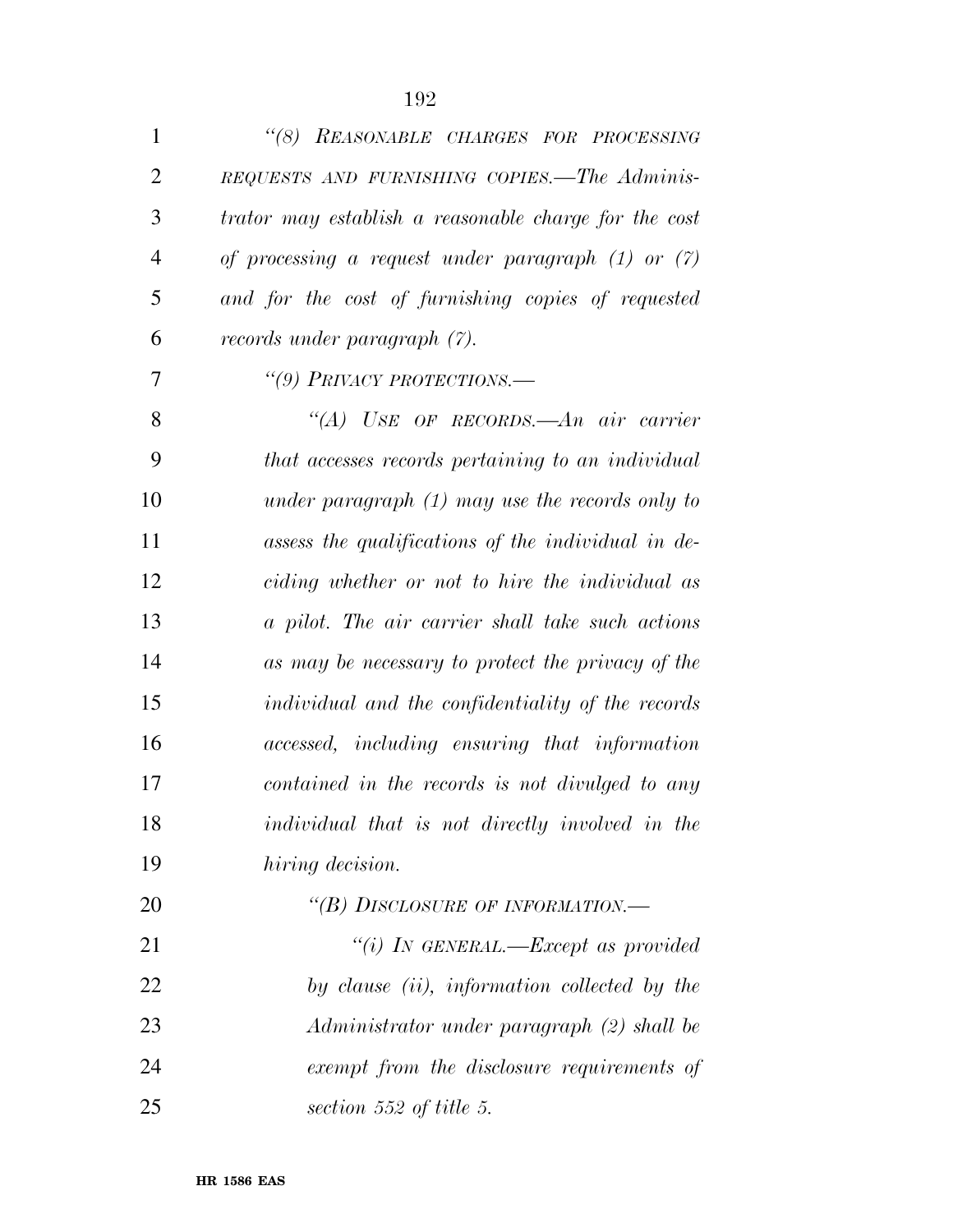| $\mathbf{1}$   | "(8) REASONABLE CHARGES FOR PROCESSING                 |
|----------------|--------------------------------------------------------|
| $\overline{2}$ | REQUESTS AND FURNISHING COPIES.-The Adminis-           |
| 3              | trator may establish a reasonable charge for the cost  |
| $\overline{4}$ | of processing a request under paragraph $(1)$ or $(7)$ |
| 5              | and for the cost of furnishing copies of requested     |
| 6              | records under paragraph (7).                           |
| 7              | "(9) PRIVACY PROTECTIONS.—                             |
| 8              | "(A) USE OF RECORDS.—An air carrier                    |
| 9              | that accesses records pertaining to an individual      |
| 10             | under paragraph $(1)$ may use the records only to      |
| 11             | assess the qualifications of the individual in de-     |
| 12             | ciding whether or not to hire the individual as        |
| 13             | a pilot. The air carrier shall take such actions       |
| 14             | as may be necessary to protect the privacy of the      |
| 15             | individual and the confidentiality of the records      |
| 16             | accessed, including ensuring that information          |
| 17             | contained in the records is not divulged to any        |
| 18             | individual that is not directly involved in the        |
| 19             | hiring decision.                                       |
| 20             | "(B) DISCLOSURE OF INFORMATION.-                       |
| 21             | "(i) IN GENERAL.—Except as provided                    |
| 22             | by clause (ii), information collected by the           |
| 23             | Administrator under paragraph (2) shall be             |
| 24             | exempt from the disclosure requirements of             |

*section 552 of title 5.*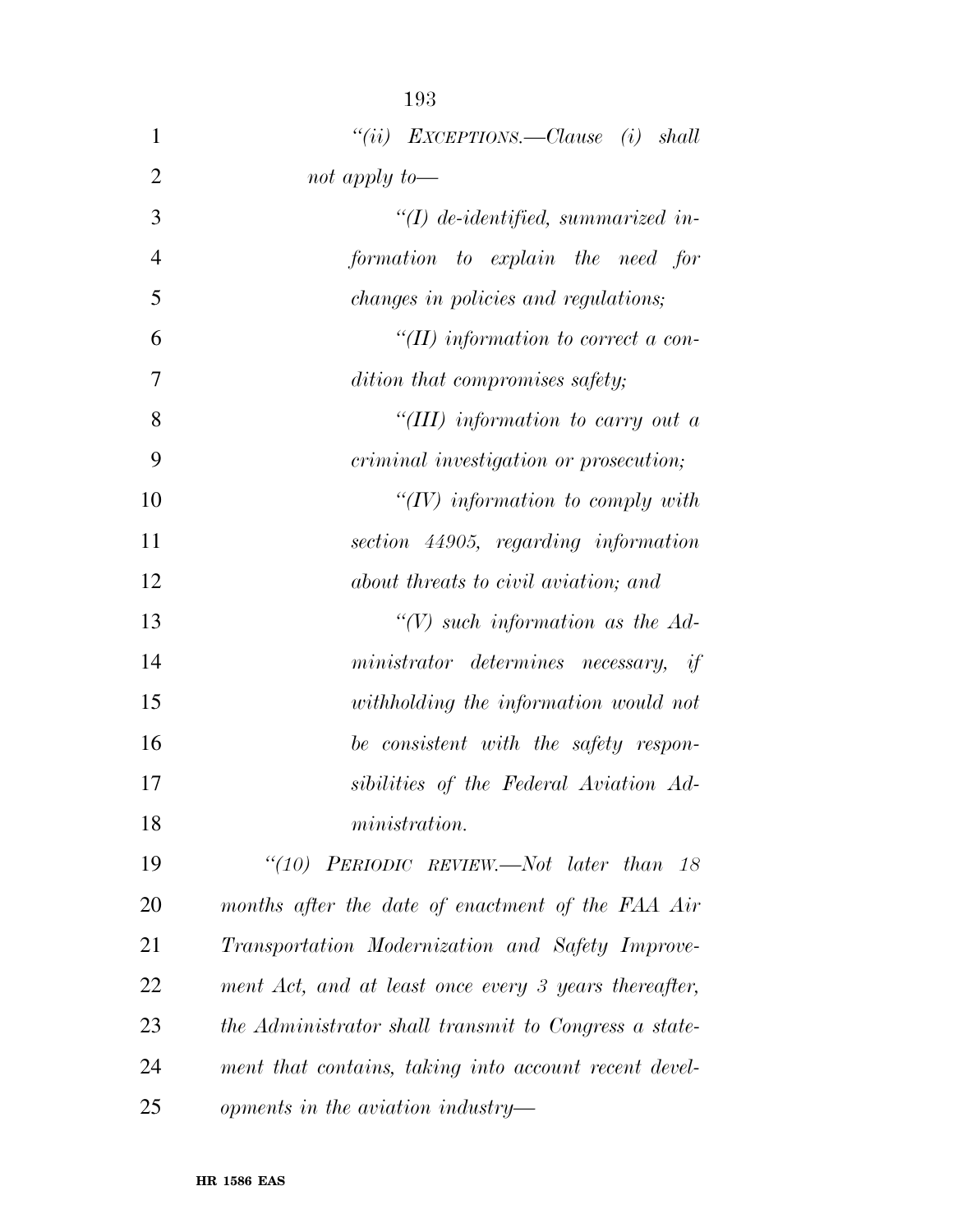| $\mathbf{1}$   | "(ii) $EXCEPTIONS$ . Clause (i) shall                 |
|----------------|-------------------------------------------------------|
| $\overline{2}$ | not apply to—                                         |
| 3              | $\lq (I)$ de-identified, summarized in-               |
| $\overline{4}$ | formation to explain the need for                     |
| 5              | <i>changes in policies and regulations;</i>           |
| 6              | "(II) information to correct a con-                   |
| 7              | dition that compromises safety;                       |
| 8              | "(III) information to carry out a                     |
| 9              | criminal investigation or prosecution;                |
| 10             | " $(IV)$ information to comply with                   |
| 11             | section 44905, regarding information                  |
| 12             | about threats to civil aviation; and                  |
| 13             | $\lq (V)$ such information as the Ad-                 |
| 14             | ministrator determines necessary, if                  |
| 15             | withholding the information would not                 |
| 16             | be consistent with the safety respon-                 |
| 17             | sibilities of the Federal Aviation Ad-                |
| 18             | ministration.                                         |
| 19             | "(10) PERIODIC REVIEW.—Not later than<br>- 18         |
| 20             | months after the date of enactment of the FAA Air     |
| 21             | Transportation Modernization and Safety Improve-      |
| 22             | ment Act, and at least once every 3 years thereafter, |
| 23             | the Administrator shall transmit to Congress a state- |
| 24             | ment that contains, taking into account recent devel- |
| 25             | $opments$ in the aviation industry—                   |

**HR 1586 EAS**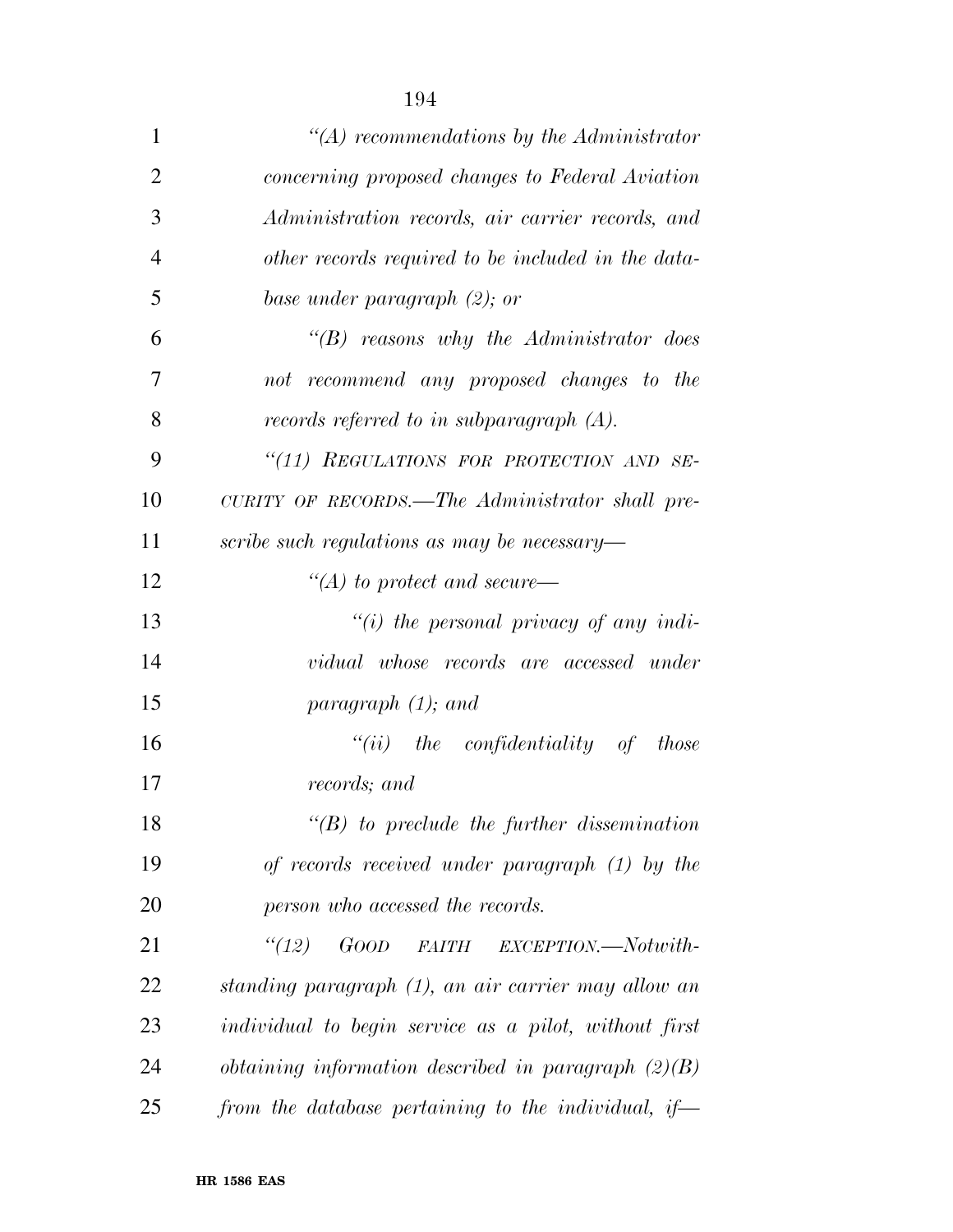| $\mathbf{1}$   | $\lq (A)$ recommendations by the Administrator        |
|----------------|-------------------------------------------------------|
| $\overline{2}$ | concerning proposed changes to Federal Aviation       |
| 3              | Administration records, air carrier records, and      |
| $\overline{4}$ | other records required to be included in the data-    |
| 5              | base under paragraph $(2)$ ; or                       |
| 6              | $\lq\lq B$ reasons why the Administrator does         |
| 7              | not recommend any proposed changes to the             |
| 8              | records referred to in subparagraph $(A)$ .           |
| 9              | "(11) REGULATIONS FOR PROTECTION AND SE-              |
| 10             | CURITY OF RECORDS.—The Administrator shall pre-       |
| 11             | scribe such regulations as may be necessary—          |
| 12             | $\lq (A)$ to protect and secure—                      |
| 13             | $\lq\lq(i)$ the personal privacy of any indi-         |
| 14             | vidual whose records are accessed under               |
| 15             | paragraph $(1)$ ; and                                 |
| 16             | $``(ii)$ the confidentiality of<br><i>those</i>       |
| 17             | records; and                                          |
| 18             | $\lq\lq(B)$ to preclude the further dissemination     |
| 19             | of records received under paragraph (1) by the        |
| 20             | person who accessed the records.                      |
| 21             | (12)<br>GOOD FAITH EXCEPTION.-Notwith-                |
| 22             | standing paragraph (1), an air carrier may allow an   |
| 23             | individual to begin service as a pilot, without first |
| 24             | obtaining information described in paragraph $(2)(B)$ |
| 25             | from the database pertaining to the individual, if    |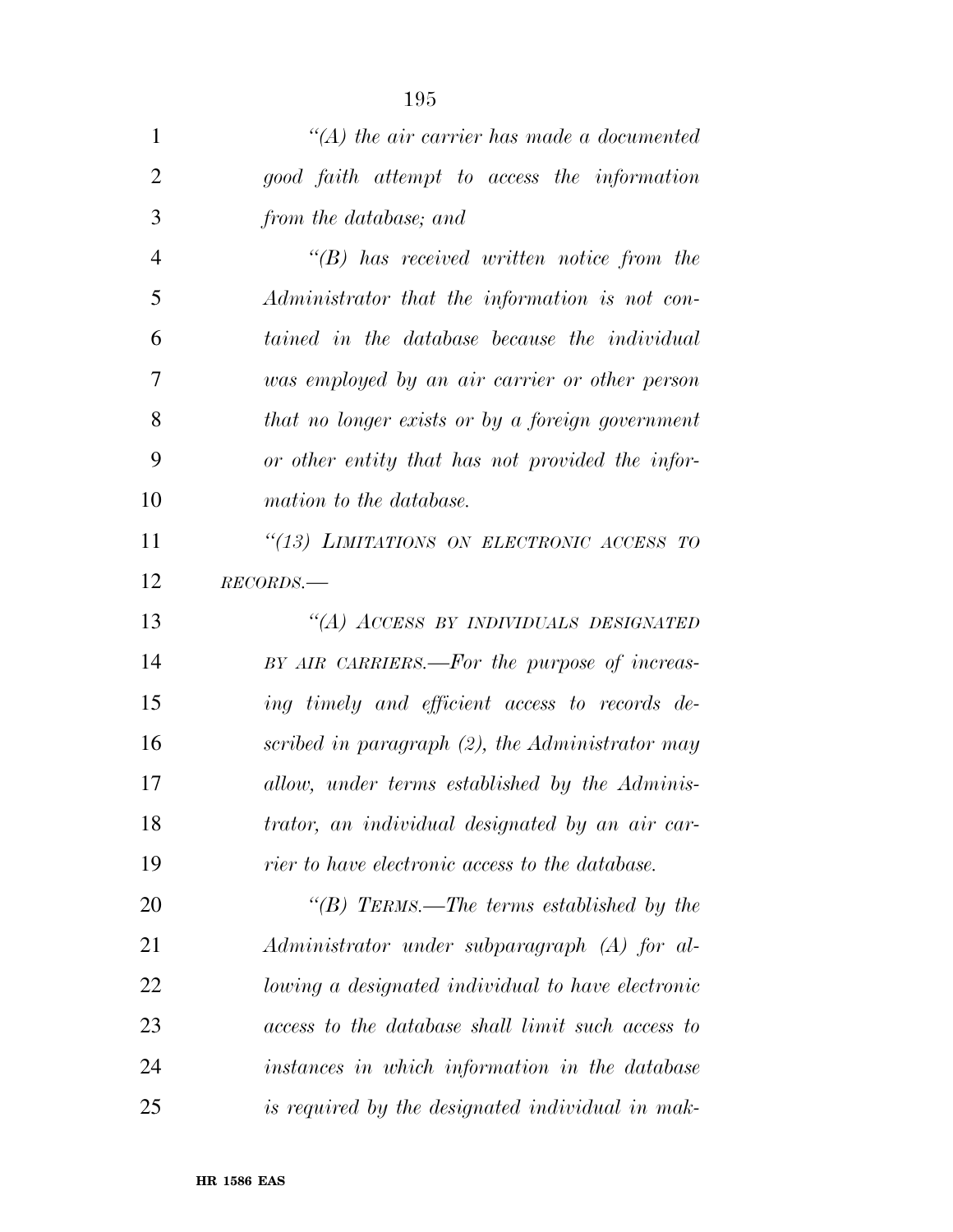| $\mathbf{1}$   | $\lq (A)$ the air carrier has made a documented    |
|----------------|----------------------------------------------------|
| $\overline{2}$ | good faith attempt to access the information       |
| 3              | from the database; and                             |
| $\overline{4}$ | $\lq\lq B$ ) has received written notice from the  |
| 5              | Administrator that the information is not con-     |
| 6              | tained in the database because the individual      |
| 7              | was employed by an air carrier or other person     |
| 8              | that no longer exists or by a foreign government   |
| 9              | or other entity that has not provided the infor-   |
| 10             | mation to the database.                            |
| 11             | "(13) LIMITATIONS ON ELECTRONIC ACCESS TO          |
| 12             | $RECORDS$ .                                        |
| 13             | "(A) ACCESS BY INDIVIDUALS DESIGNATED              |
| 14             | BY AIR CARRIERS.—For the purpose of increas-       |
| 15             | ing timely and efficient access to records de-     |
| 16             | scribed in paragraph $(2)$ , the Administrator may |
| 17             | allow, under terms established by the Adminis-     |
| 18             | trator, an individual designated by an air car-    |
| 19             | rier to have electronic access to the database.    |
| 20             | "(B) TERMS.—The terms established by the           |
| 21             | Administrator under subparagraph (A) for al-       |
| 22             | lowing a designated individual to have electronic  |
| 23             | access to the database shall limit such access to  |
| 24             | instances in which information in the database     |
| 25             | is required by the designated individual in mak-   |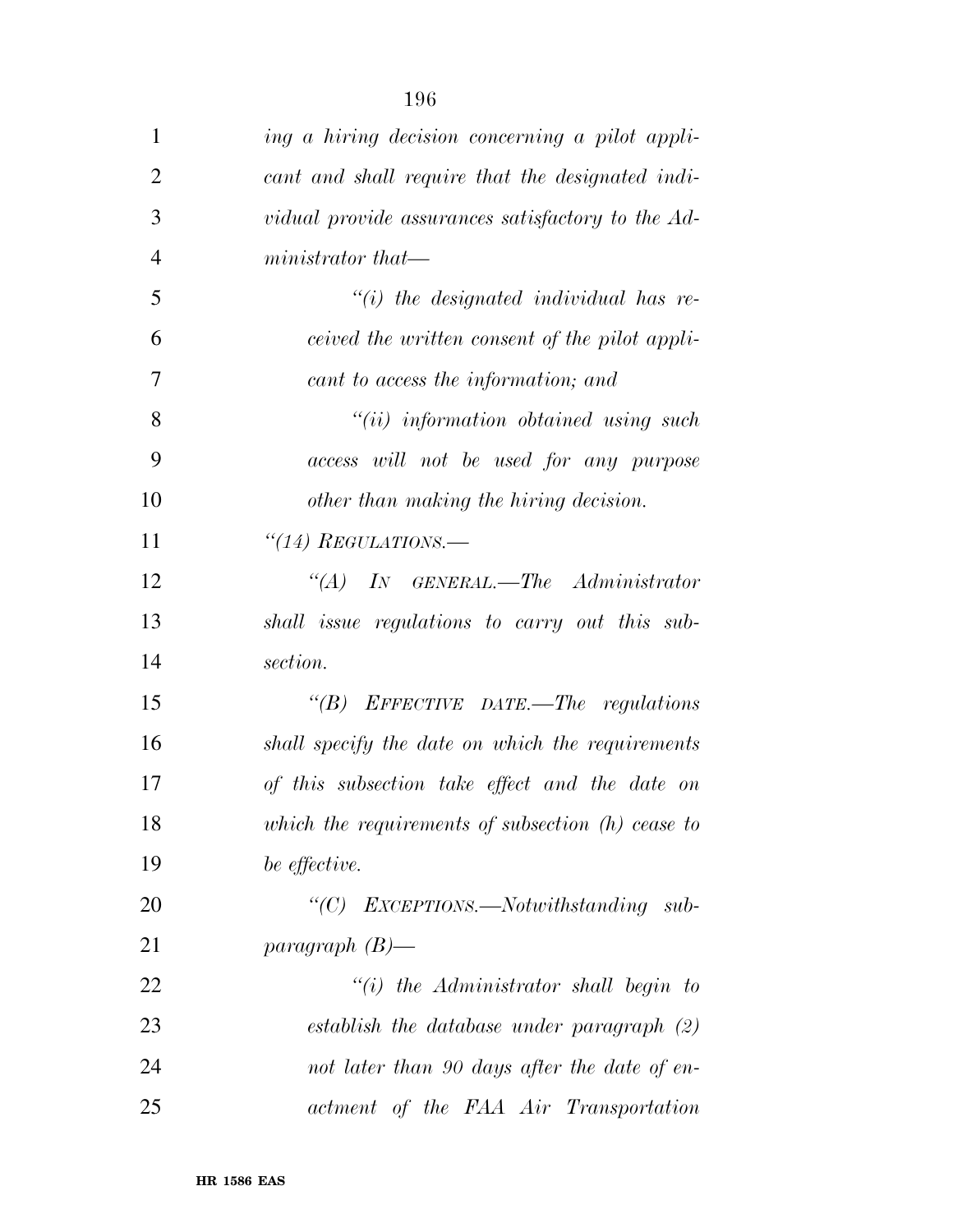| $\mathbf{1}$   | ing a hiring decision concerning a pilot appli-     |
|----------------|-----------------------------------------------------|
| $\overline{2}$ | cant and shall require that the designated indi-    |
| 3              | vidual provide assurances satisfactory to the Ad-   |
| $\overline{4}$ | ministrator that—                                   |
| 5              | $``(i)$ the designated individual has re-           |
| 6              | ceived the written consent of the pilot appli-      |
| 7              | cant to access the information; and                 |
| 8              | $``(ii)$ information obtained using such            |
| 9              | access will not be used for any purpose             |
| 10             | other than making the hiring decision.              |
| 11             | $\lq(14)$ REGULATIONS.—                             |
| 12             | $\lq\lq (A)$ IN GENERAL.—The Administrator          |
| 13             | shall issue regulations to carry out this sub-      |
| 14             | section.                                            |
| 15             | $\lq\lq B$ ) EFFECTIVE DATE.—The regulations        |
| 16             | shall specify the date on which the requirements    |
| 17             | of this subsection take effect and the date on      |
| 18             | which the requirements of subsection $(h)$ cease to |
| 19             | be effective.                                       |
| 20             | "(C) EXCEPTIONS.—Notwithstanding sub-               |
| 21             | paragraph $(B)$ —                                   |
| 22             | $``(i)$ the Administrator shall begin to            |
| 23             | establish the database under paragraph (2)          |
| 24             | not later than 90 days after the date of en-        |
| 25             | actment of the FAA Air Transportation               |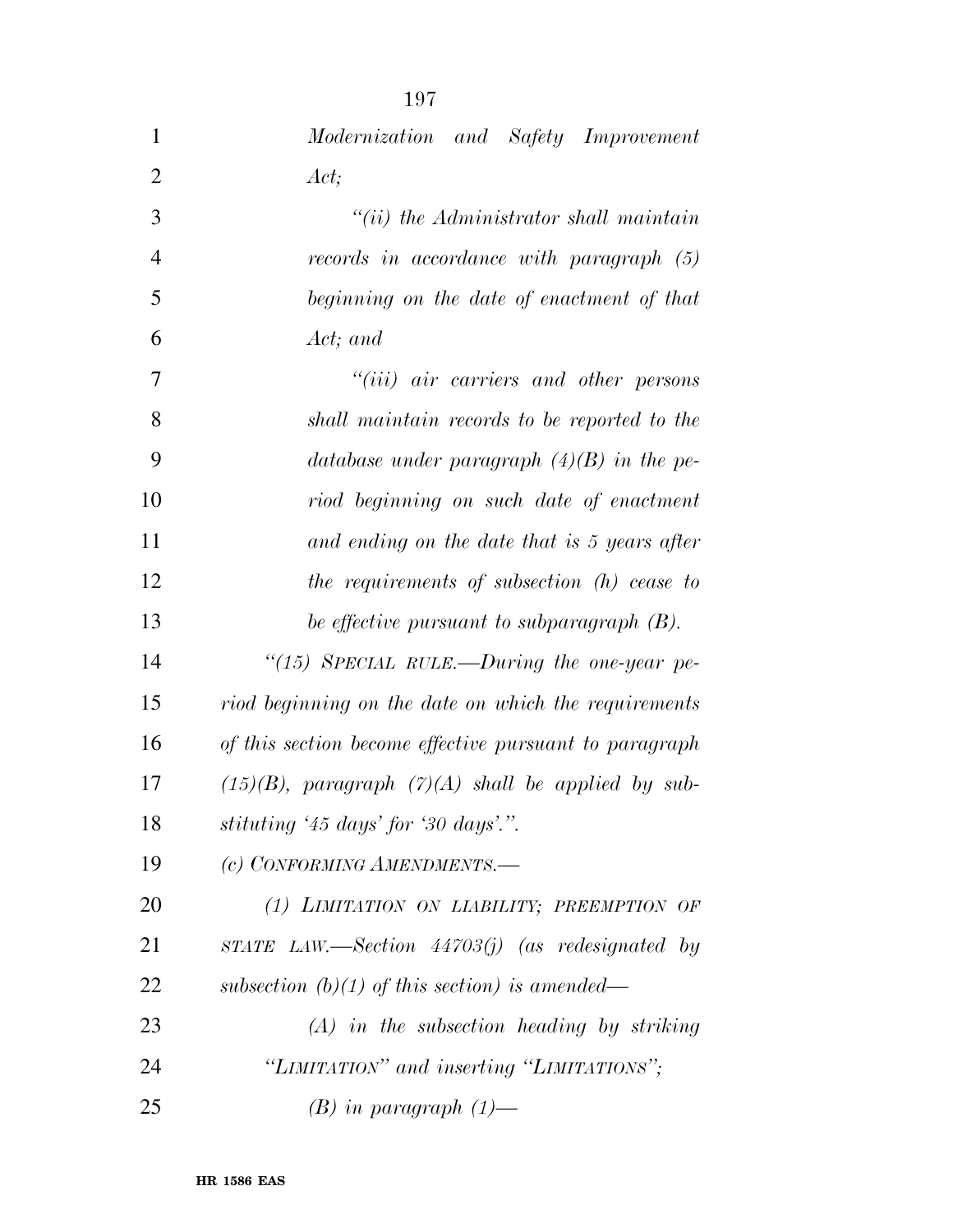| $\mathbf{1}$   | Modernization and Safety Improvement                    |
|----------------|---------------------------------------------------------|
| $\overline{2}$ | Act;                                                    |
| 3              | $"(ii)$ the Administrator shall maintain                |
| $\overline{4}$ | records in accordance with paragraph (5)                |
| 5              | beginning on the date of enactment of that              |
| 6              | Act; and                                                |
| 7              | "( <i>iii</i> ) air carriers and other persons          |
| 8              | shall maintain records to be reported to the            |
| 9              | database under paragraph $(4)(B)$ in the pe-            |
| 10             | riod beginning on such date of enactment                |
| 11             | and ending on the date that is 5 years after            |
| 12             | the requirements of subsection (h) cease to             |
| 13             | be effective pursuant to subparagraph (B).              |
| 14             | "(15) SPECIAL RULE.—During the one-year pe-             |
| 15             | riod beginning on the date on which the requirements    |
| 16             | of this section become effective pursuant to paragraph  |
| 17             | $(15)(B)$ , paragraph $(7)(A)$ shall be applied by sub- |
| 18             | stituting '45 days' for '30 days'.".                    |
| 19             | (c) CONFORMING AMENDMENTS.-                             |
| 20             | (1) LIMITATION ON LIABILITY; PREEMPTION OF              |
| 21             | STATE LAW.—Section $44703(j)$ (as redesignated by       |
| 22             | subsection (b)(1) of this section) is amended—          |
| 23             | $(A)$ in the subsection heading by striking             |
| 24             | "LIMITATION" and inserting "LIMITATIONS";               |
| 25             | $(B)$ in paragraph $(1)$ —                              |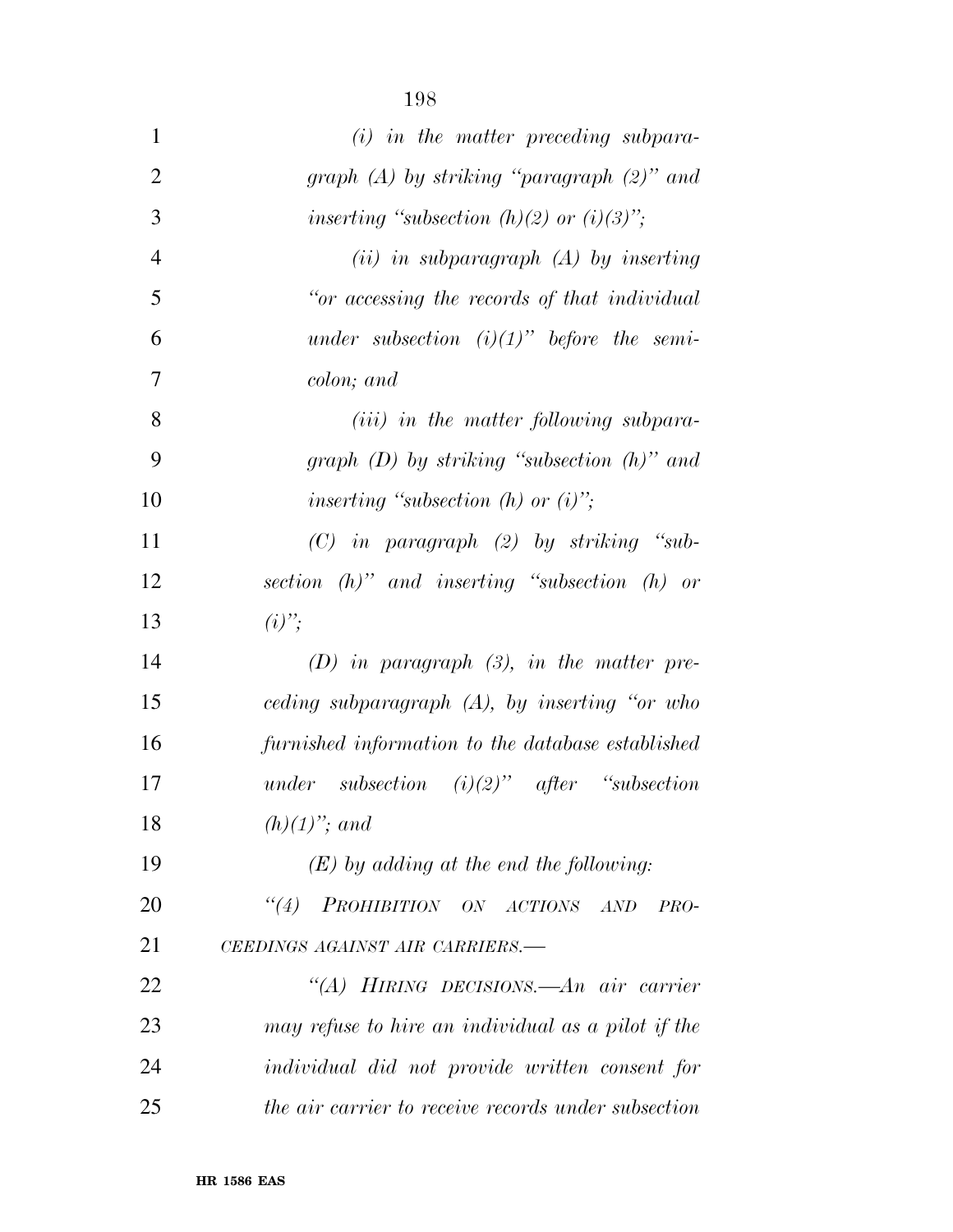| $\mathbf{1}$   | $(i)$ in the matter preceding subpara-              |
|----------------|-----------------------------------------------------|
| $\overline{2}$ | graph $(A)$ by striking "paragraph $(2)$ " and      |
| 3              | inserting "subsection $(h)(2)$ or $(i)(3)$ ";       |
| $\overline{4}$ | $(ii)$ in subparagraph $(A)$ by inserting           |
| 5              | "or accessing the records of that individual        |
| 6              | under subsection $(i)(1)$ " before the semi-        |
| 7              | colon; and                                          |
| 8              | ( <i>iii</i> ) in the matter following subpara-     |
| 9              | graph $(D)$ by striking "subsection $(h)$ " and     |
| 10             | inserting "subsection $(h)$ or $(i)$ ";             |
| 11             | $(C)$ in paragraph $(2)$ by striking "sub-          |
| 12             | section $(h)$ " and inserting "subsection $(h)$ or  |
| 13             | $(i)$ ";                                            |
| 14             | $(D)$ in paragraph $(3)$ , in the matter pre-       |
| 15             | ceding subparagraph $(A)$ , by inserting "or who    |
| 16             | furnished information to the database established   |
| 17             | under subsection $(i)(2)$ " after "subsection       |
| 18             | $(h)(1)$ "; and                                     |
| 19             | $(E)$ by adding at the end the following:           |
| 20             | "(4) PROHIBITION ON ACTIONS<br>AND<br>PRO-          |
| 21             | CEEDINGS AGAINST AIR CARRIERS.-                     |
| 22             | "(A) HIRING DECISIONS.—An air carrier               |
| 23             | may refuse to hire an individual as a pilot if the  |
| 24             | individual did not provide written consent for      |
| 25             | the air carrier to receive records under subsection |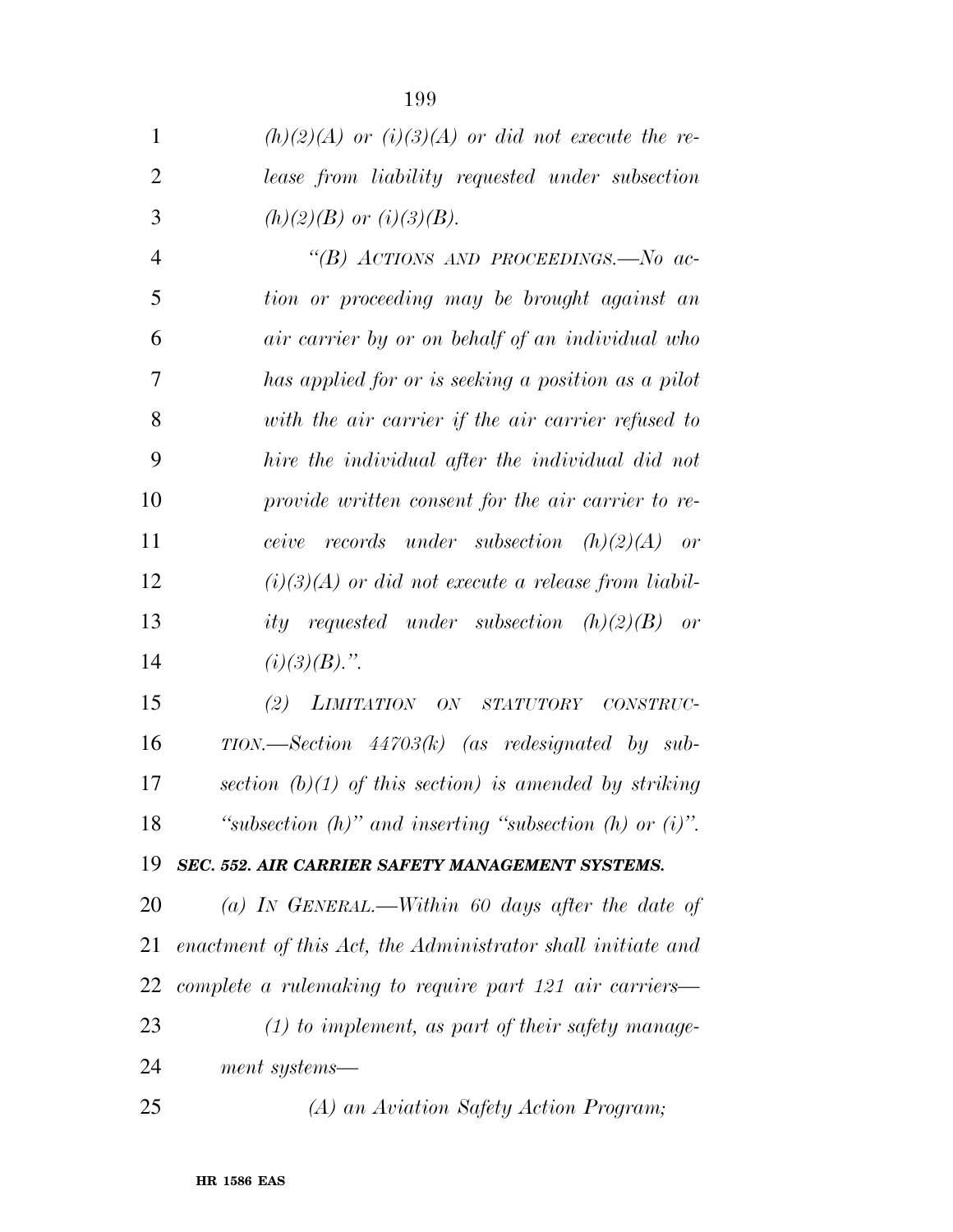| $\mathbf{1}$   | $(h)(2)(A)$ or $(i)(3)(A)$ or did not execute the re-           |
|----------------|-----------------------------------------------------------------|
| $\overline{2}$ | lease from liability requested under subsection                 |
| 3              | $(h)(2)(B)$ or $(i)(3)(B)$ .                                    |
| $\overline{4}$ | "(B) ACTIONS AND PROCEEDINGS.—No ac-                            |
| 5              | tion or proceeding may be brought against an                    |
| 6              | air carrier by or on behalf of an individual who                |
| 7              | has applied for or is seeking a position as a pilot             |
| 8              | with the air carrier if the air carrier refused to              |
| 9              | hire the individual after the individual did not                |
| 10             | provide written consent for the air carrier to re-              |
| 11             | ceive records under subsection $(h)(2)(A)$ or                   |
| 12             | $(i)(3)(A)$ or did not execute a release from liabil-           |
| 13             | ity requested under subsection $(h)(2)(B)$ or                   |
| 14             | $(i)(3)(B)$ .".                                                 |
| 15             | (2) LIMITATION ON STATUTORY CONSTRUC-                           |
| 16             | $TION. \text{—Section}$ 44703 $(k)$ (as redesignated by sub-    |
| 17             | section $(b)(1)$ of this section) is amended by striking        |
| 18             | "subsection $(h)$ " and inserting "subsection $(h)$ or $(i)$ ". |
| 19             | SEC. 552. AIR CARRIER SAFETY MANAGEMENT SYSTEMS.                |
| 20             | (a) IN GENERAL.—Within 60 days after the date of                |
| 21             | enactment of this Act, the Administrator shall initiate and     |
| 22             | complete a rulemaking to require part $121$ air carriers—       |
| 23             | $(1)$ to implement, as part of their safety manage-             |
| 24             | ment systems—                                                   |
| 25             | (A) an Aviation Safety Action Program;                          |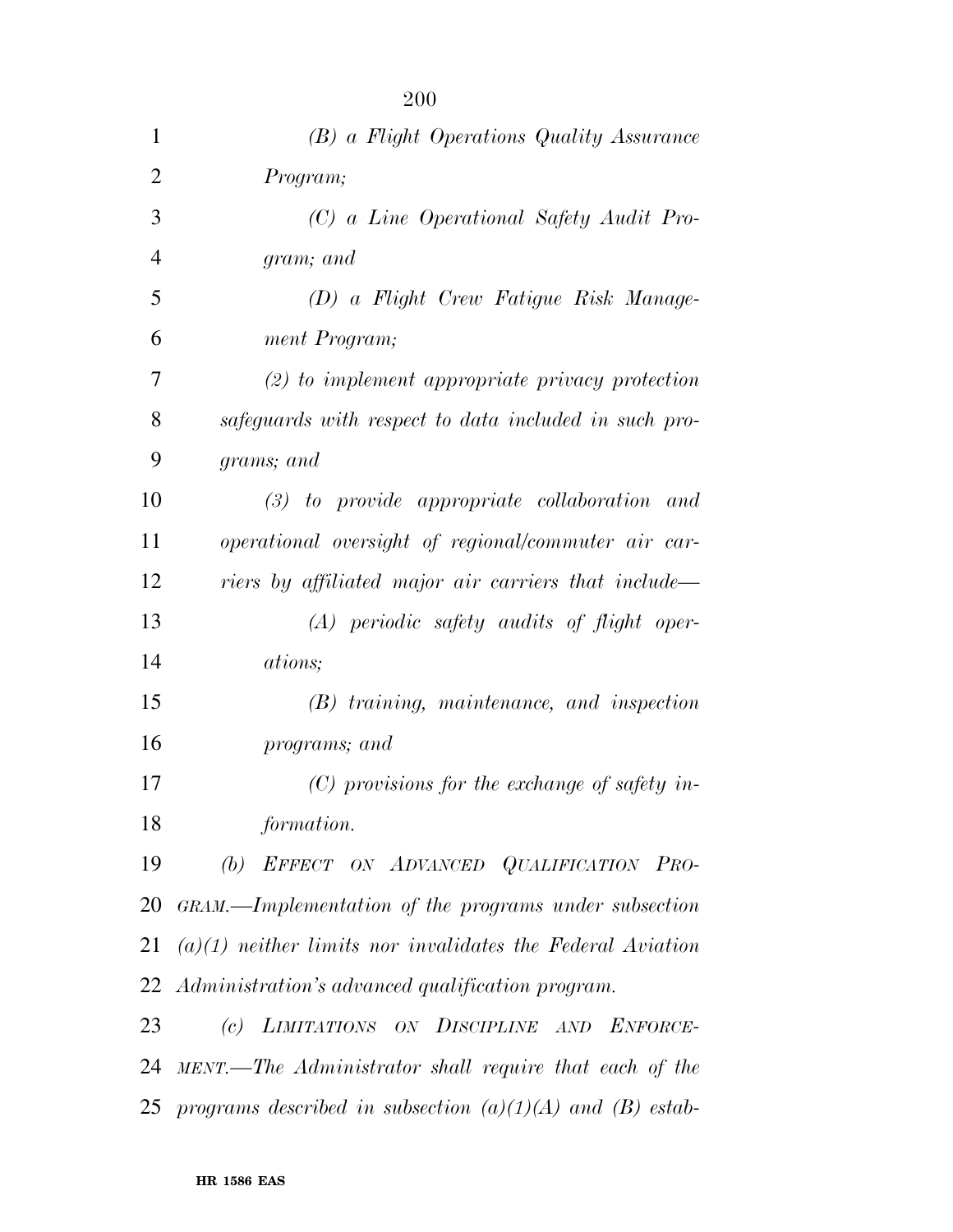| $\mathbf{1}$   | (B) a Flight Operations Quality Assurance                        |
|----------------|------------------------------------------------------------------|
| $\overline{2}$ | Program;                                                         |
| 3              | (C) a Line Operational Safety Audit Pro-                         |
| $\overline{4}$ | gram; and                                                        |
| 5              | (D) a Flight Crew Fatigue Risk Manage-                           |
| 6              | ment Program;                                                    |
| 7              | $(2)$ to implement appropriate privacy protection                |
| 8              | safeguards with respect to data included in such pro-            |
| 9              | grams; and                                                       |
| 10             | $(3)$ to provide appropriate collaboration and                   |
| 11             | operational oversight of regional/commuter air car-              |
| 12             | riers by affiliated major air carriers that include—             |
| 13             | $(A)$ periodic safety audits of flight oper-                     |
| 14             | <i>ations</i> ;                                                  |
| 15             | $(B)$ training, maintenance, and inspection                      |
| 16             | programs; and                                                    |
| 17             | $(C)$ provisions for the exchange of safety in-                  |
| 18             | formation.                                                       |
| 19             | (b) EFFECT ON ADVANCED QUALIFICATION PRO-                        |
| 20             | GRAM.—Implementation of the programs under subsection            |
| 21             | $(a)(1)$ neither limits nor invalidates the Federal Aviation     |
|                | 22 Administration's advanced qualification program.              |
| 23             | (c) LIMITATIONS ON DISCIPLINE AND<br>ENFORCE-                    |
| 24             | MENT.—The Administrator shall require that each of the           |
|                | 25 programs described in subsection $(a)(1)(A)$ and $(B)$ estab- |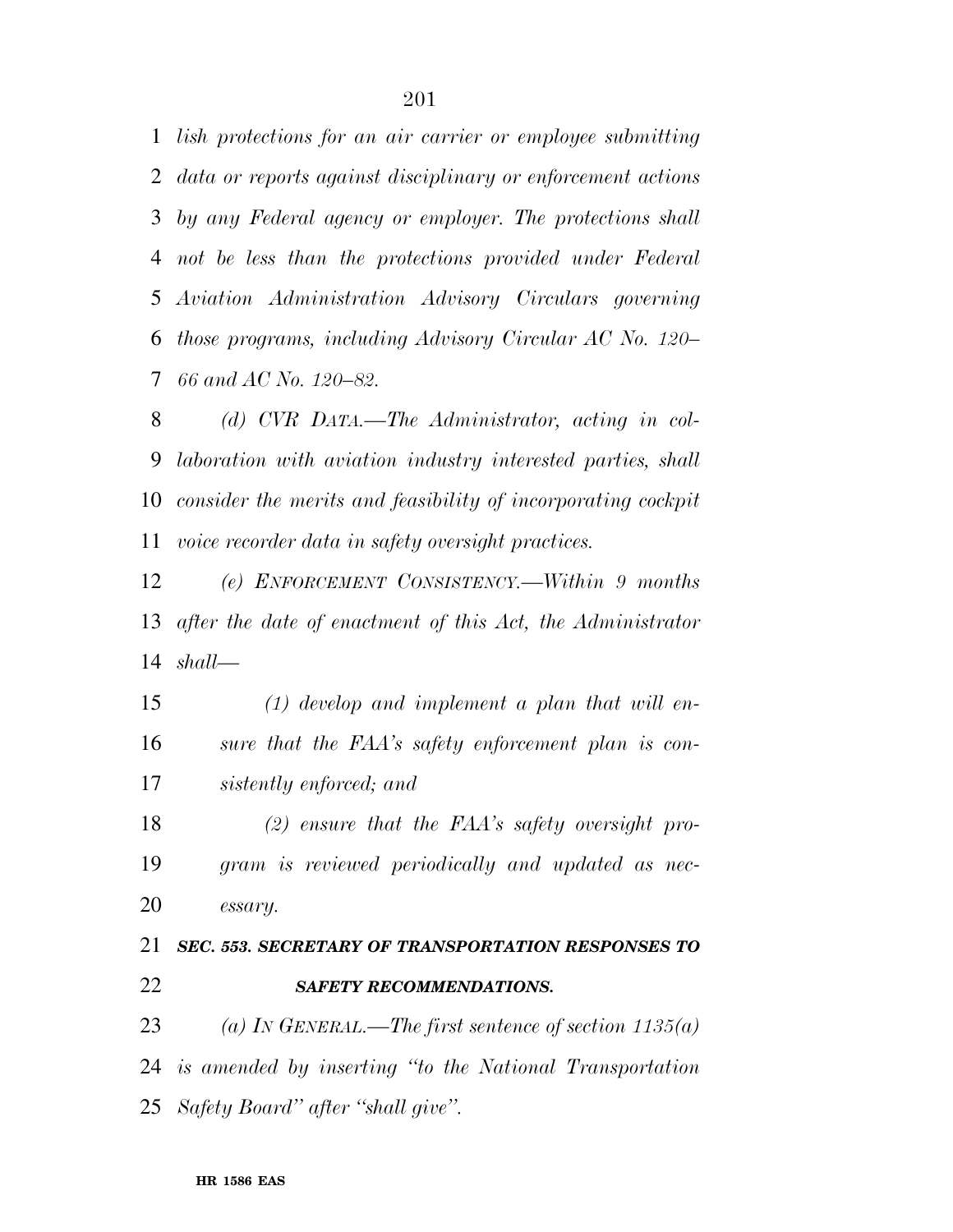*lish protections for an air carrier or employee submitting data or reports against disciplinary or enforcement actions by any Federal agency or employer. The protections shall not be less than the protections provided under Federal Aviation Administration Advisory Circulars governing those programs, including Advisory Circular AC No. 120– 66 and AC No. 120–82.* 

 *(d) CVR DATA.—The Administrator, acting in col- laboration with aviation industry interested parties, shall consider the merits and feasibility of incorporating cockpit voice recorder data in safety oversight practices.* 

 *(e) ENFORCEMENT CONSISTENCY.—Within 9 months after the date of enactment of this Act, the Administrator shall—* 

 *(1) develop and implement a plan that will en- sure that the FAA's safety enforcement plan is con-sistently enforced; and* 

 *(2) ensure that the FAA's safety oversight pro- gram is reviewed periodically and updated as nec-essary.* 

## *SEC. 553. SECRETARY OF TRANSPORTATION RESPONSES TO SAFETY RECOMMENDATIONS.*

 *(a) IN GENERAL.—The first sentence of section 1135(a) is amended by inserting ''to the National Transportation Safety Board'' after ''shall give''.*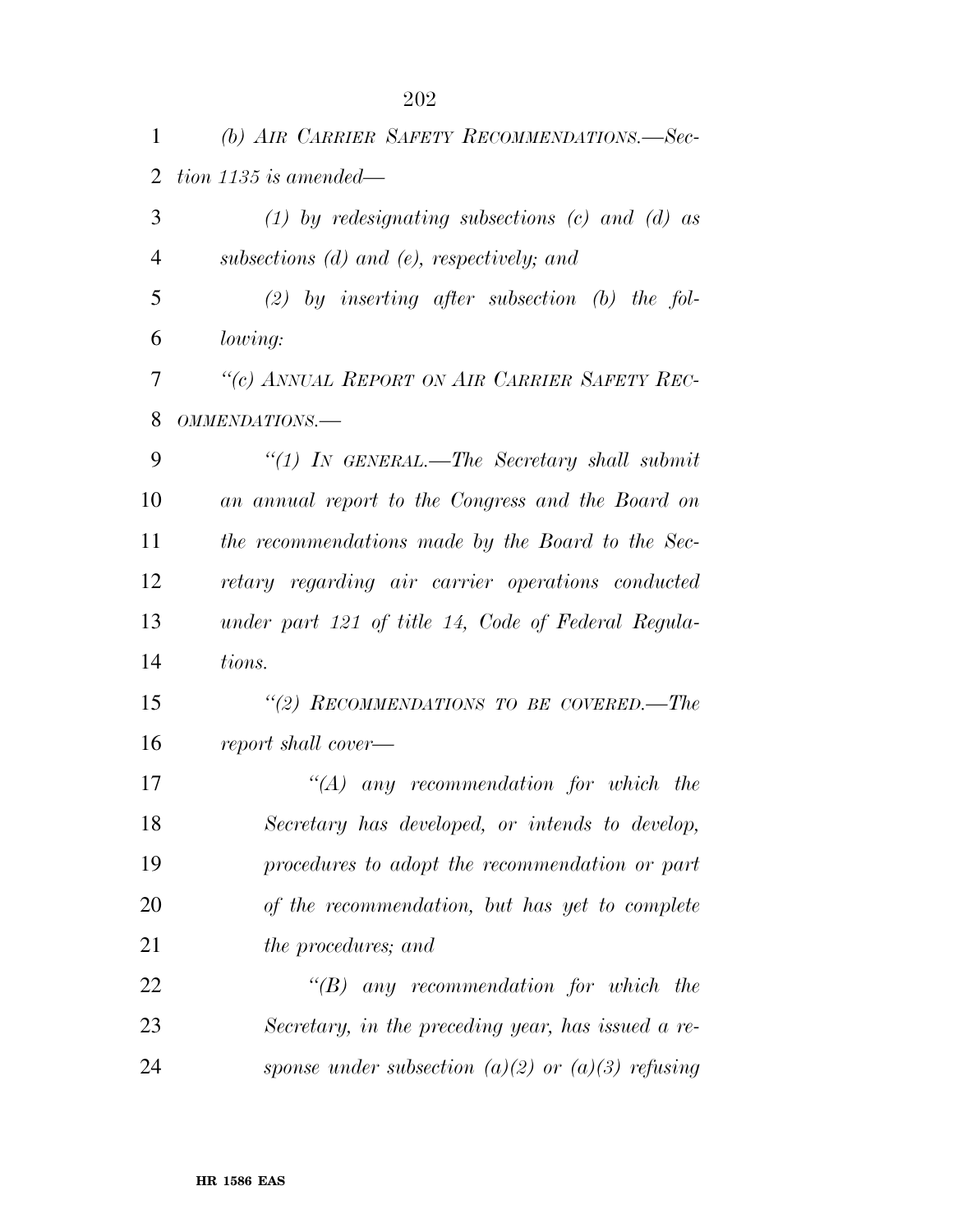| 1              | (b) AIR CARRIER SAFETY RECOMMENDATIONS.-Sec-        |
|----------------|-----------------------------------------------------|
| $\overline{2}$ | $tion$ 1135 is amended—                             |
| 3              | (1) by redesignating subsections (c) and (d) as     |
| $\overline{4}$ | subsections $(d)$ and $(e)$ , respectively; and     |
| 5              | (2) by inserting after subsection (b) the fol-      |
| 6              | <i>lowing:</i>                                      |
| 7              | "(c) ANNUAL REPORT ON AIR CARRIER SAFETY REC-       |
| 8              | OMMENDATIONS.-                                      |
| 9              | "(1) IN GENERAL.—The Secretary shall submit         |
| 10             | an annual report to the Congress and the Board on   |
| 11             | the recommendations made by the Board to the Sec-   |
| 12             | retary regarding air carrier operations conducted   |
| 13             | under part 121 of title 14, Code of Federal Regula- |
| 14             | tions.                                              |
| 15             | "(2) RECOMMENDATIONS TO BE COVERED.—The             |
| 16             | report shall cover—                                 |
| 17             | $\lq (A)$ any recommendation for which the          |
| 18             | Secretary has developed, or intends to develop,     |
| 19             | procedures to adopt the recommendation or part      |
| 20             | of the recommendation, but has yet to complete      |
| 21             | the procedures; and                                 |
| 22             | $\lq\lq B$ any recommendation for which the         |
| 23             | Secretary, in the preceding year, has issued a re-  |
| 24             | sponse under subsection (a)(2) or (a)(3) refusing   |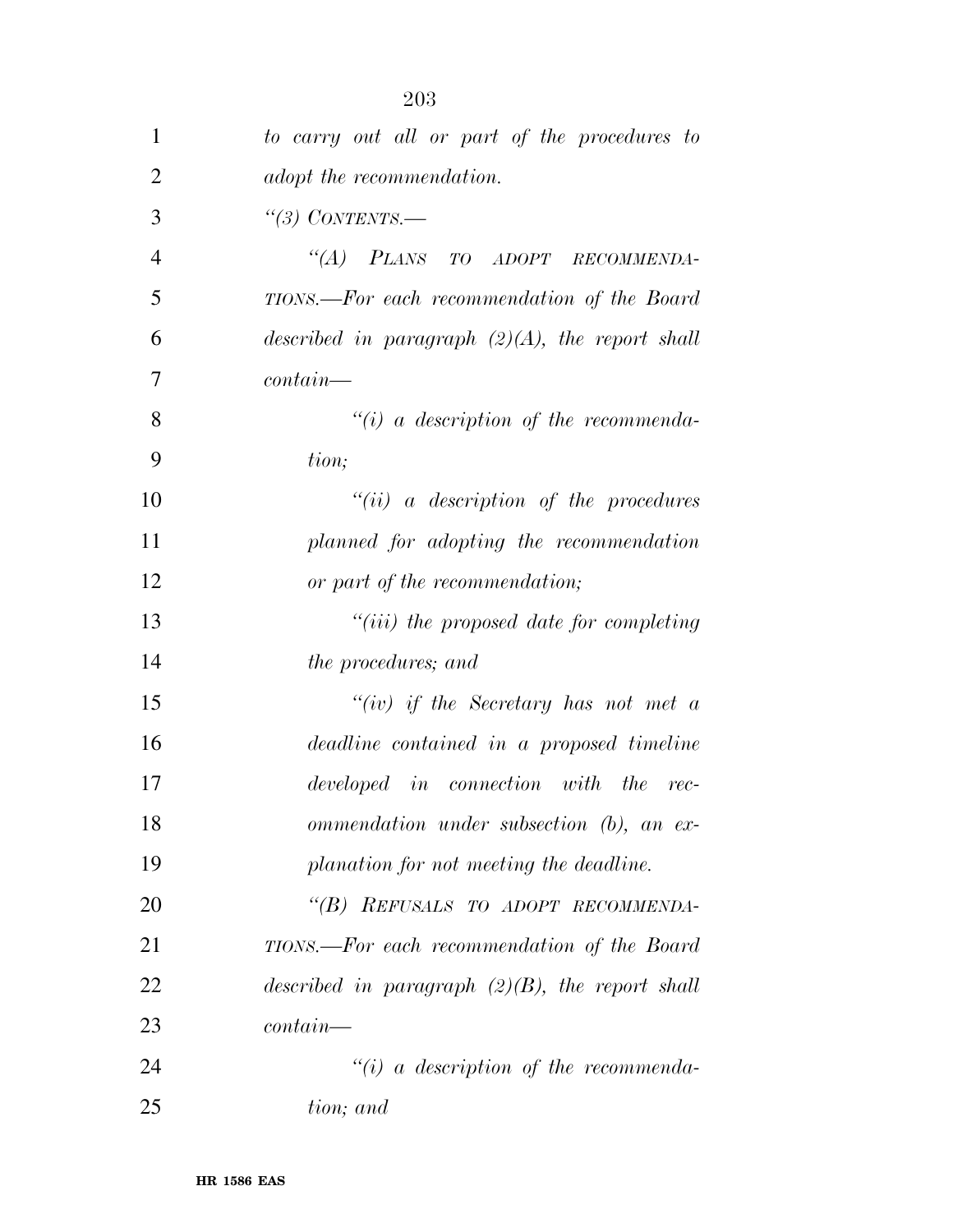| 1              | to carry out all or part of the procedures to      |
|----------------|----------------------------------------------------|
| $\overline{2}$ | adopt the recommendation.                          |
| 3              | "(3) CONTENTS.-                                    |
| $\overline{4}$ | "(A) PLANS TO ADOPT RECOMMENDA-                    |
| 5              | TIONS.—For each recommendation of the Board        |
| 6              | described in paragraph $(2)(A)$ , the report shall |
| 7              | $\textit{contain}$                                 |
| 8              | $``(i)$ a description of the recommenda-           |
| 9              | tion;                                              |
| 10             | $``(ii)$ a description of the procedures           |
| 11             | planned for adopting the recommendation            |
| 12             | or part of the recommendation;                     |
| 13             | $"(iii)$ the proposed date for completing          |
| 14             | the procedures; and                                |
| 15             | "(iv) if the Secretary has not met $a$             |
| 16             | deadline contained in a proposed timeline          |
| 17             | developed in connection with the rec-              |
| 18             | ommendation under subsection (b), an ex-           |
| 19             | planation for not meeting the deadline.            |
| 20             | "(B) REFUSALS TO ADOPT RECOMMENDA-                 |
| 21             | TIONS.—For each recommendation of the Board        |
| 22             | described in paragraph $(2)(B)$ , the report shall |
| 23             | $\textit{contain}$                                 |
| 24             | $``(i)$ a description of the recommenda-           |
| 25             | tion; and                                          |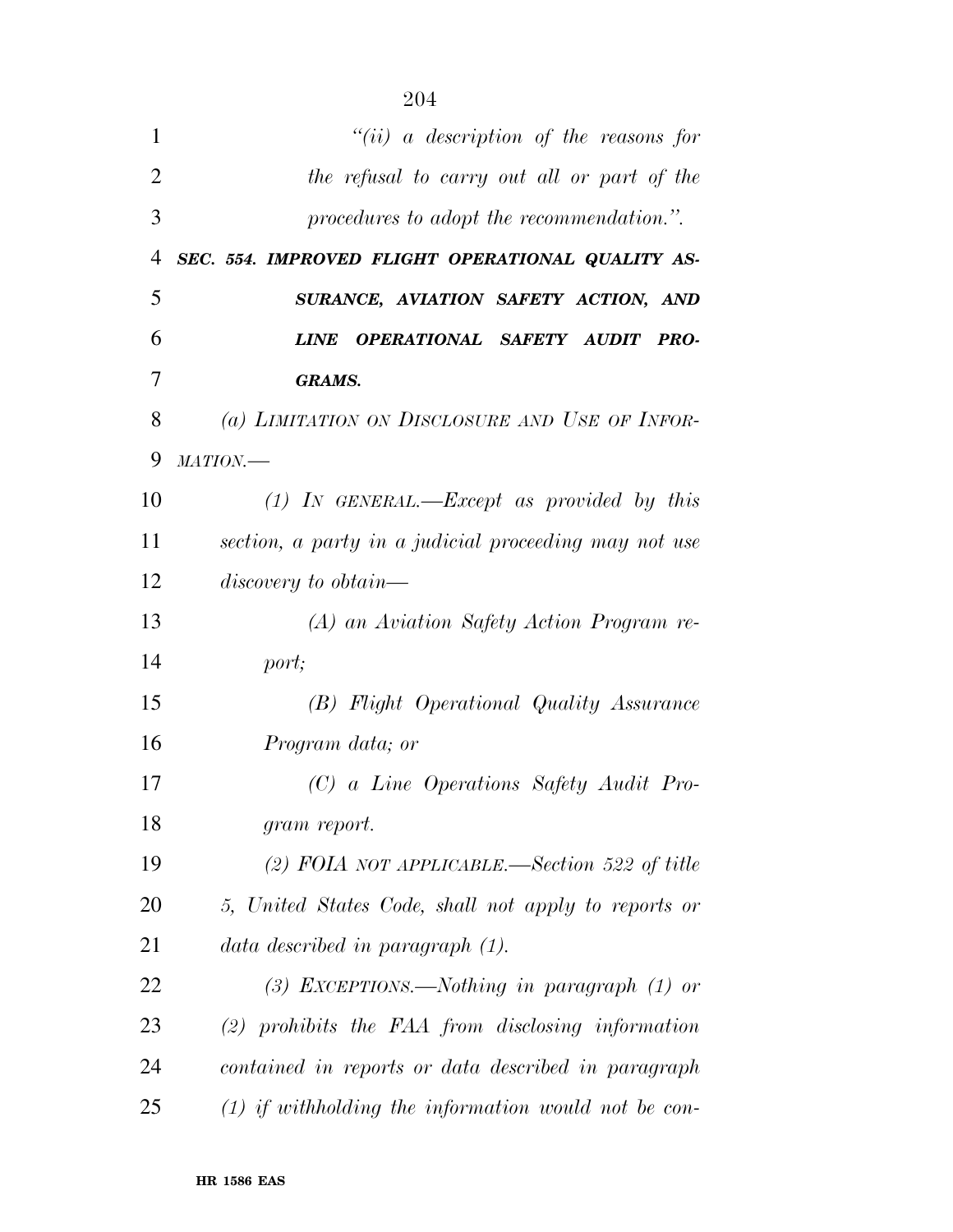|                | 204                                                    |
|----------------|--------------------------------------------------------|
| $\mathbf{1}$   | $``(ii)$ a description of the reasons for              |
| $\overline{2}$ | the refusal to carry out all or part of the            |
| 3              | procedures to adopt the recommendation.".              |
| 4              | SEC. 554. IMPROVED FLIGHT OPERATIONAL QUALITY AS-      |
| 5              | SURANCE, AVIATION SAFETY ACTION, AND                   |
| 6              | OPERATIONAL SAFETY AUDIT PRO-<br><b>LINE</b>           |
| 7              | <b>GRAMS.</b>                                          |
| 8              | (a) LIMITATION ON DISCLOSURE AND USE OF INFOR-         |
| 9              | MATION                                                 |
| 10             | $(1)$ IN GENERAL.—Except as provided by this           |
| 11             | section, a party in a judicial proceeding may not use  |
| 12             | discovery to obtain—                                   |
| 13             | (A) an Aviation Safety Action Program re-              |
| 14             | port;                                                  |
| 15             | (B) Flight Operational Quality Assurance               |
| 16             | <i>Program data</i> ; <i>or</i>                        |
| 17             | $(C)$ a Line Operations Safety Audit Pro-              |
| 18             | gram report.                                           |
| 19             | (2) FOIA NOT APPLICABLE.—Section 522 of title          |
| 20             | 5, United States Code, shall not apply to reports or   |
| 21             | $data$ described in paragraph $(1)$ .                  |
| 22             | (3) EXCEPTIONS.—Nothing in paragraph $(1)$ or          |
| 23             | $(2)$ prohibits the FAA from disclosing information    |
| 24             | contained in reports or data described in paragraph    |
| 25             | $(1)$ if withholding the information would not be con- |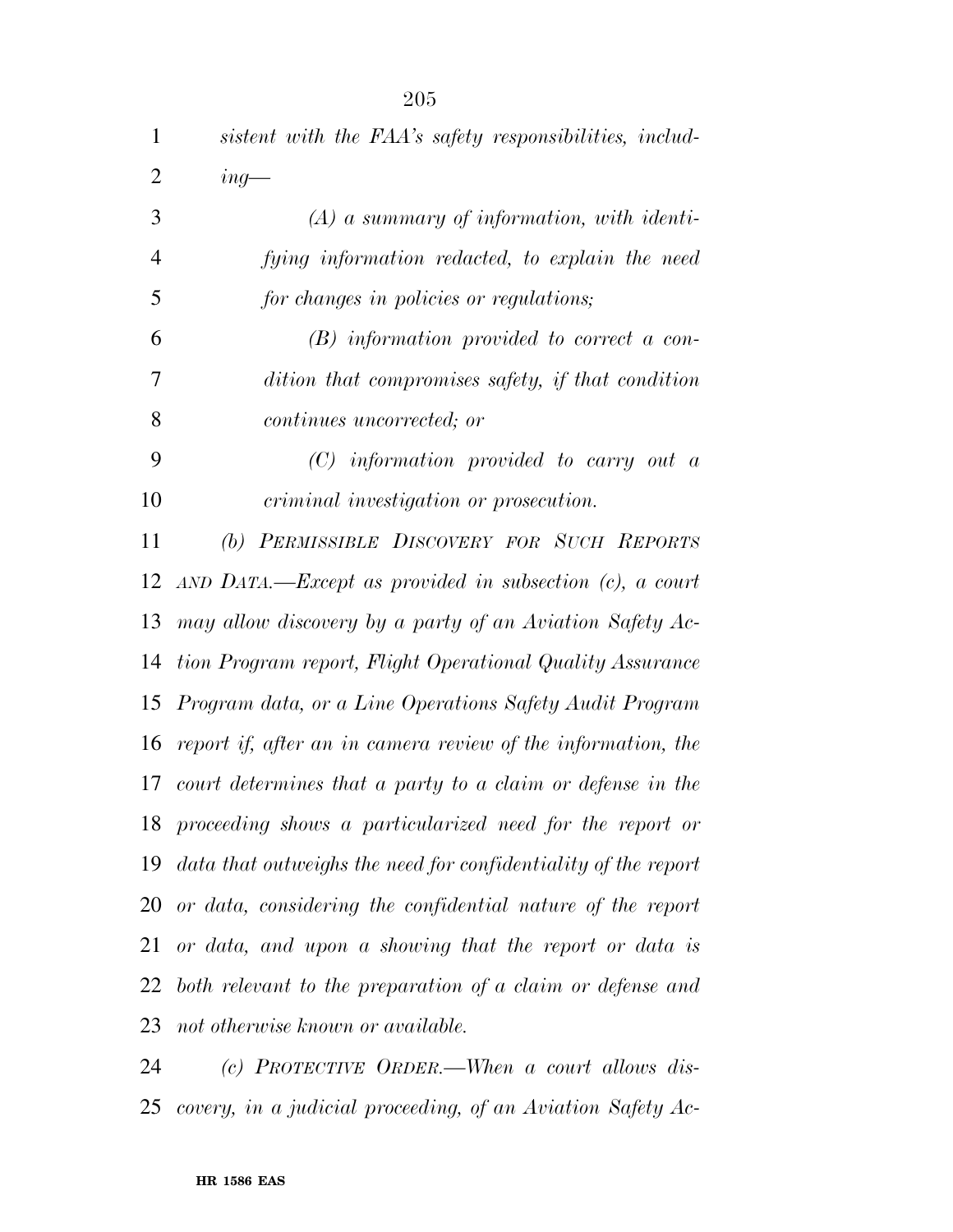| $\mathbf{1}$   | sistent with the FAA's safety responsibilities, includ-           |
|----------------|-------------------------------------------------------------------|
| $\overline{2}$ | $ing-$                                                            |
| 3              | $(A)$ a summary of information, with identi-                      |
| $\overline{4}$ | fying information redacted, to explain the need                   |
| 5              | for changes in policies or regulations;                           |
| 6              | $(B)$ information provided to correct a con-                      |
| 7              | dition that compromises safety, if that condition                 |
| 8              | continues uncorrected; or                                         |
| 9              | $(C)$ information provided to carry out a                         |
| 10             | <i>criminal investigation or prosecution.</i>                     |
| 11             | (b) PERMISSIBLE DISCOVERY FOR SUCH REPORTS                        |
| 12             | $AND$ DATA.—Except as provided in subsection (c), a court         |
| 13             | may allow discovery by a party of an Aviation Safety Ac-          |
| 14             | tion Program report, Flight Operational Quality Assurance         |
| 15             | Program data, or a Line Operations Safety Audit Program           |
| 16             | report if, after an in camera review of the information, the      |
| 17             | court determines that a party to a claim or defense in the        |
|                | 18 proceeding shows a particularized need for the report or       |
|                | 19 data that outweighs the need for confidentiality of the report |
|                | $20$ or data, considering the confidential nature of the report   |
| 21             | or data, and upon a showing that the report or data is            |
|                | 22 both relevant to the preparation of a claim or defense and     |
|                | 23 not otherwise known or available.                              |

 *(c) PROTECTIVE ORDER.—When a court allows dis-covery, in a judicial proceeding, of an Aviation Safety Ac-*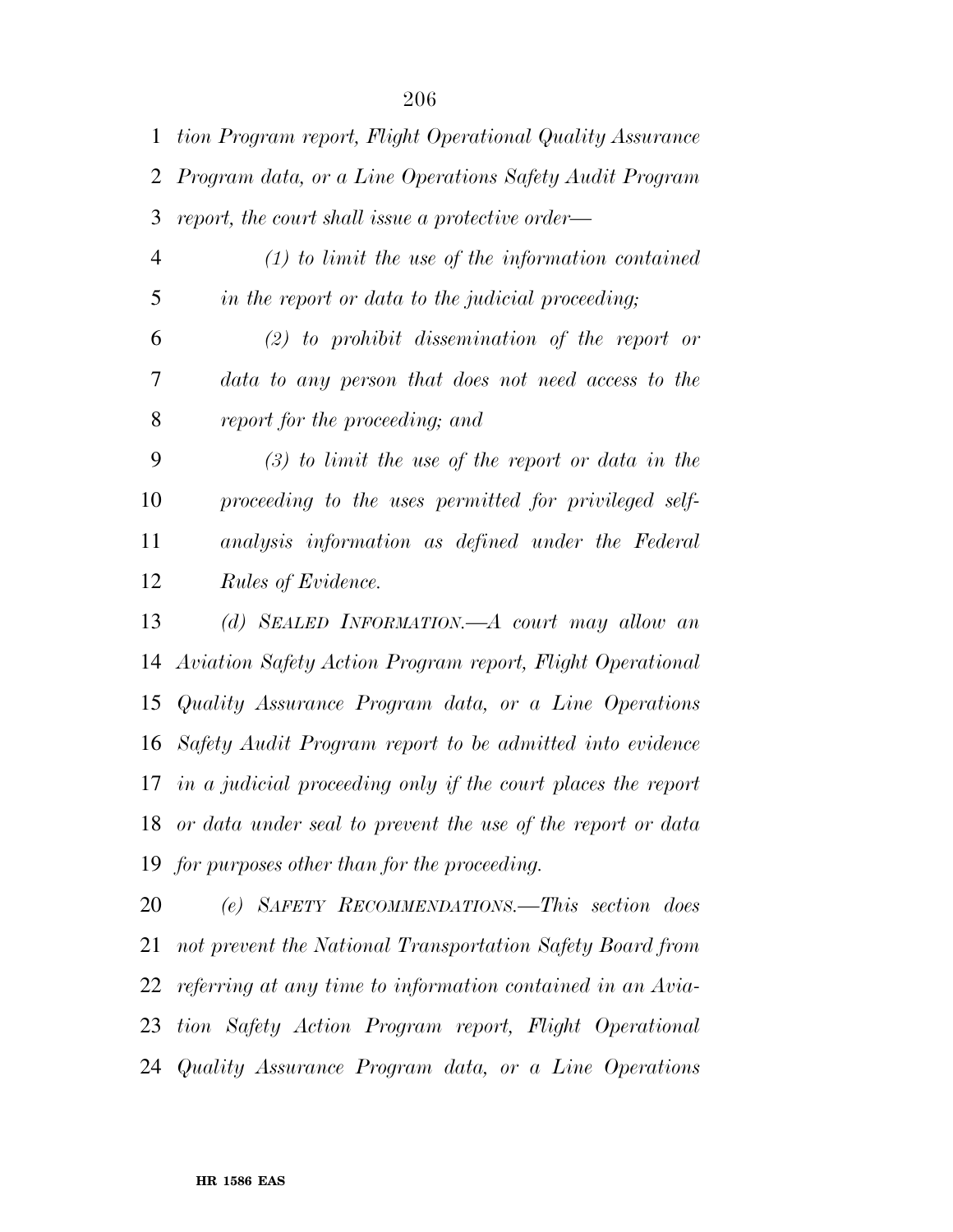*tion Program report, Flight Operational Quality Assurance Program data, or a Line Operations Safety Audit Program report, the court shall issue a protective order—* 

 *(1) to limit the use of the information contained in the report or data to the judicial proceeding;* 

 *(2) to prohibit dissemination of the report or data to any person that does not need access to the report for the proceeding; and* 

 *(3) to limit the use of the report or data in the proceeding to the uses permitted for privileged self- analysis information as defined under the Federal Rules of Evidence.* 

 *(d) SEALED INFORMATION.—A court may allow an Aviation Safety Action Program report, Flight Operational Quality Assurance Program data, or a Line Operations Safety Audit Program report to be admitted into evidence in a judicial proceeding only if the court places the report or data under seal to prevent the use of the report or data for purposes other than for the proceeding.* 

 *(e) SAFETY RECOMMENDATIONS.—This section does not prevent the National Transportation Safety Board from referring at any time to information contained in an Avia- tion Safety Action Program report, Flight Operational Quality Assurance Program data, or a Line Operations*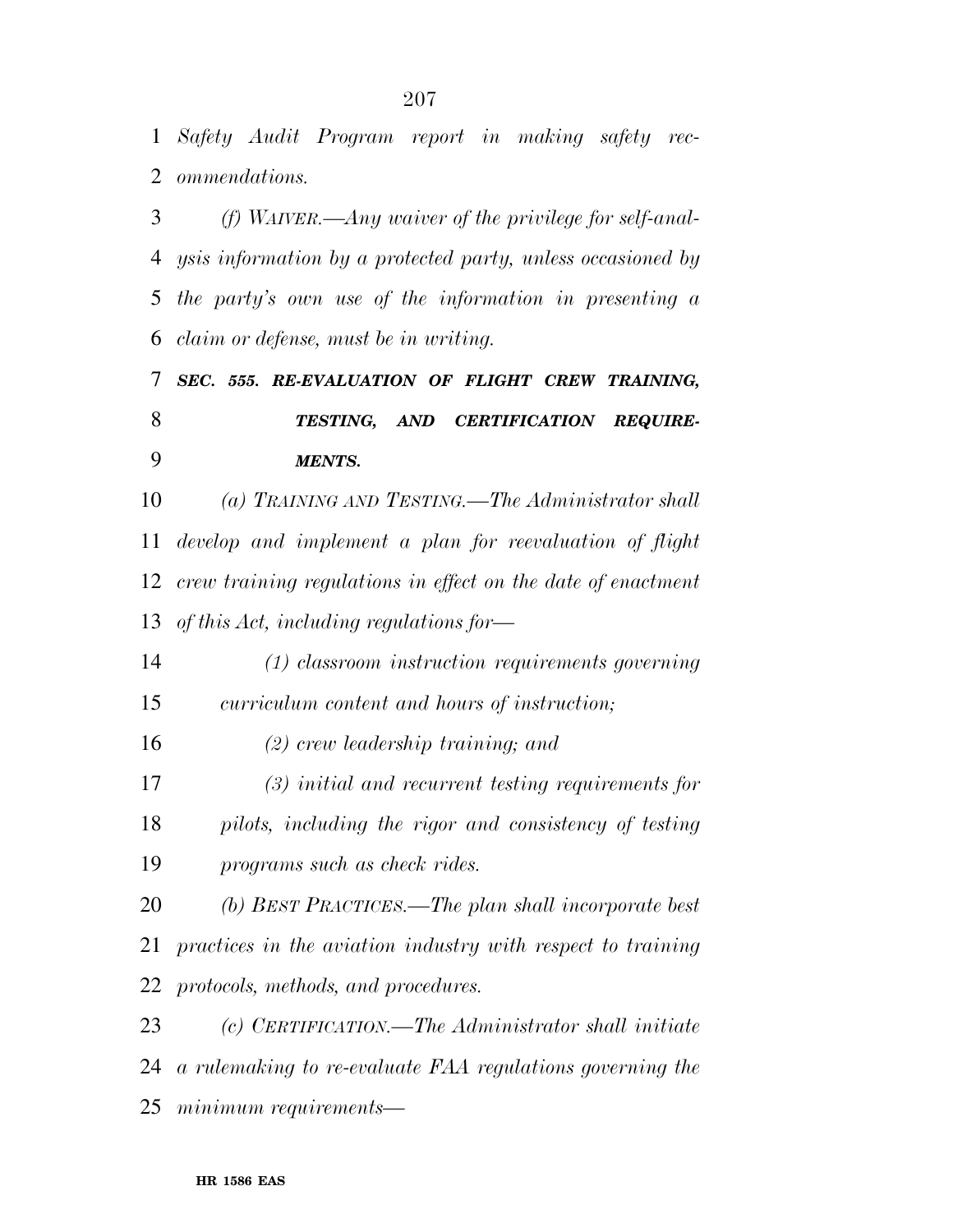*Safety Audit Program report in making safety rec-ommendations.* 

 *(f) WAIVER.—Any waiver of the privilege for self-anal- ysis information by a protected party, unless occasioned by the party's own use of the information in presenting a claim or defense, must be in writing.* 

 *SEC. 555. RE-EVALUATION OF FLIGHT CREW TRAINING, TESTING, AND CERTIFICATION REQUIRE-MENTS.* 

 *(a) TRAINING AND TESTING.—The Administrator shall develop and implement a plan for reevaluation of flight crew training regulations in effect on the date of enactment of this Act, including regulations for—* 

 *(1) classroom instruction requirements governing curriculum content and hours of instruction;* 

*(2) crew leadership training; and* 

 *(3) initial and recurrent testing requirements for pilots, including the rigor and consistency of testing programs such as check rides.* 

 *(b) BEST PRACTICES.—The plan shall incorporate best practices in the aviation industry with respect to training protocols, methods, and procedures.* 

 *(c) CERTIFICATION.—The Administrator shall initiate a rulemaking to re-evaluate FAA regulations governing the minimum requirements—*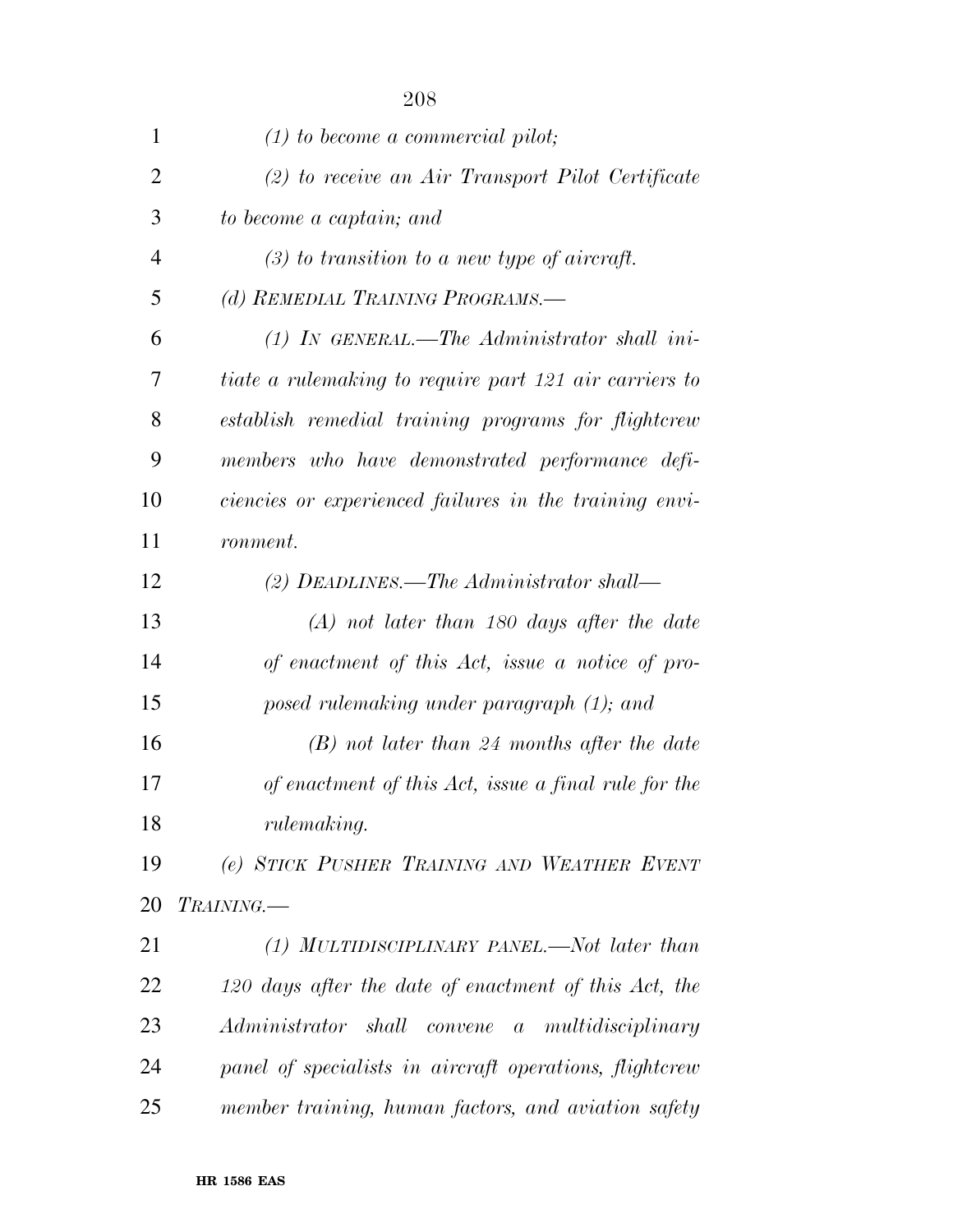| 1              | $(1)$ to become a commercial pilot;                     |
|----------------|---------------------------------------------------------|
|                |                                                         |
| $\overline{2}$ | $(2)$ to receive an Air Transport Pilot Certificate     |
| 3              | to become a captain; and                                |
| $\overline{4}$ | $(3)$ to transition to a new type of aircraft.          |
| 5              | (d) REMEDIAL TRAINING PROGRAMS.-                        |
| 6              | $(1)$ IN GENERAL.—The Administrator shall ini-          |
| 7              | tiate a rulemaking to require part 121 air carriers to  |
| 8              | establish remedial training programs for flightcrew     |
| 9              | members who have demonstrated performance defi-         |
| 10             | ciencies or experienced failures in the training envi-  |
| 11             | ronment.                                                |
| 12             | (2) DEADLINES.—The Administrator shall—                 |
| 13             | $(A)$ not later than 180 days after the date            |
| 14             | of enactment of this Act, issue a notice of pro-        |
| 15             | posed rulemaking under paragraph (1); and               |
| 16             | $(B)$ not later than 24 months after the date           |
| 17             | of enactment of this Act, issue a final rule for the    |
| 18             | rulemaking.                                             |
| 19             | (e) STICK PUSHER TRAINING AND WEATHER EVENT             |
| 20             | TRAINING.                                               |
| 21             | (1) MULTIDISCIPLINARY PANEL.—Not later than             |
| 22             | 120 days after the date of enactment of this Act, the   |
| 23             | Administrator shall convene a multidisciplinary         |
| 24             | panel of specialists in aircraft operations, flightcrew |
| 25             | member training, human factors, and aviation safety     |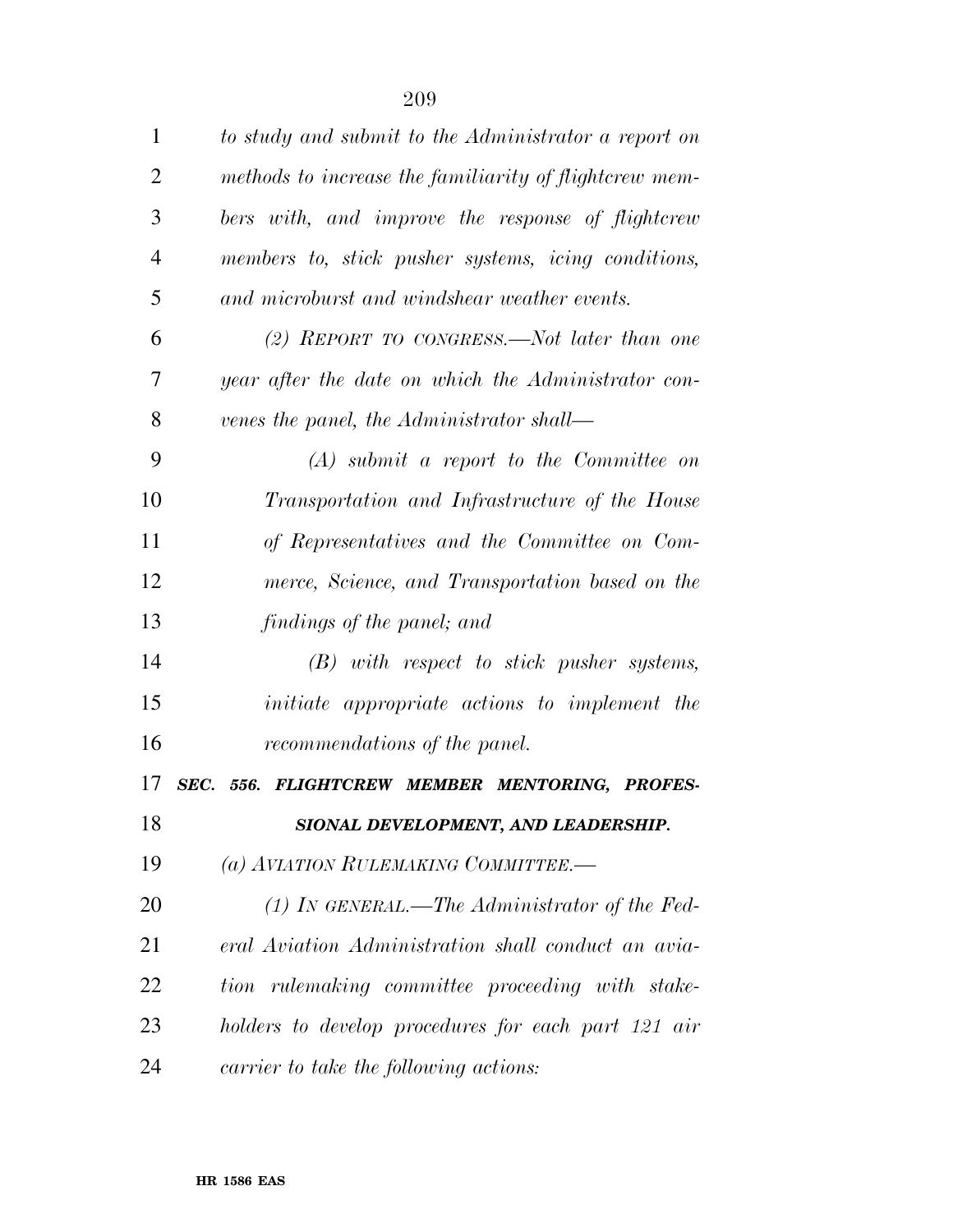| 1              | to study and submit to the Administrator a report on   |
|----------------|--------------------------------------------------------|
| $\overline{2}$ | methods to increase the familiarity of flightcrew mem- |
| 3              | bers with, and improve the response of flightcrew      |
| 4              | members to, stick pusher systems, icing conditions,    |
| 5              | and microburst and windshear weather events.           |
| 6              | $(2)$ REPORT TO CONGRESS.—Not later than one           |
| 7              | year after the date on which the Administrator con-    |
| 8              | venes the panel, the Administrator shall—              |
| 9              | $(A)$ submit a report to the Committee on              |
| 10             | Transportation and Infrastructure of the House         |
| 11             | of Representatives and the Committee on Com-           |
| 12             | merce, Science, and Transportation based on the        |
| 13             | findings of the panel; and                             |
| 14             | $(B)$ with respect to stick pusher systems,            |
| 15             | <i>initiate</i> appropriate actions to implement the   |
| 16             | recommendations of the panel.                          |
| 17             | SEC. 556. FLIGHTCREW MEMBER MENTORING, PROFES-         |
| 18             | SIONAL DEVELOPMENT, AND LEADERSHIP.                    |
| 19             | (a) AVIATION RULEMAKING COMMITTEE.-                    |
| 20             | $(1)$ In GENERAL.—The Administrator of the Fed-        |
| 21             | eral Aviation Administration shall conduct an avia-    |
| 22             | tion rulemaking committee proceeding with stake-       |
| 23             | holders to develop procedures for each part 121 air    |
| 24             | carrier to take the following actions:                 |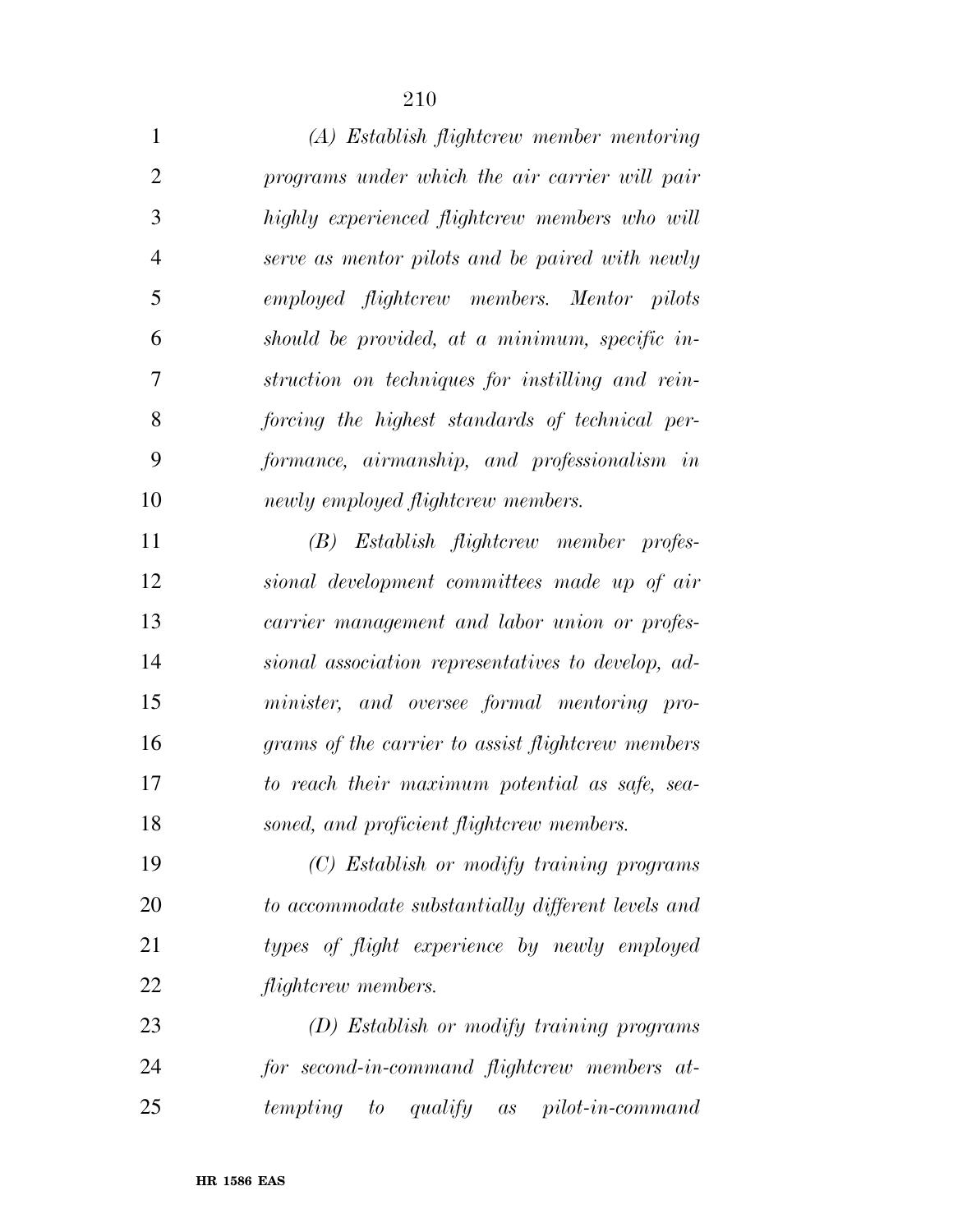| $\mathbf{1}$   | (A) Establish flightcrew member mentoring          |
|----------------|----------------------------------------------------|
| $\overline{2}$ | programs under which the air carrier will pair     |
| 3              | highly experienced flightcrew members who will     |
| $\overline{4}$ | serve as mentor pilots and be paired with newly    |
| 5              | employed flightcrew members. Mentor pilots         |
| 6              | should be provided, at a minimum, specific in-     |
| 7              | struction on techniques for instilling and rein-   |
| 8              | forcing the highest standards of technical per-    |
| 9              | formance, airmanship, and professionalism in       |
| 10             | newly employed flightcrew members.                 |
| 11             | (B) Establish flightcrew member profes-            |
| 12             | sional development committees made up of air       |
| 13             | carrier management and labor union or profes-      |
| 14             | sional association representatives to develop, ad- |
| 15             | minister, and oversee formal mentoring pro-        |
| 16             | grams of the carrier to assist flightcrew members  |
| 17             | to reach their maximum potential as safe, sea-     |
| 18             | soned, and proficient flightcrew members.          |
| 19             | (C) Establish or modify training programs          |
| 20             | to accommodate substantially different levels and  |
| 21             | types of flight experience by newly employed       |
| 22             | <i>flightcrew members.</i>                         |
| 23             | (D) Establish or modify training programs          |
| 24             | for second-in-command flightcrew members at-       |
| 25             | tempting to<br>qualify as pilot-in-command         |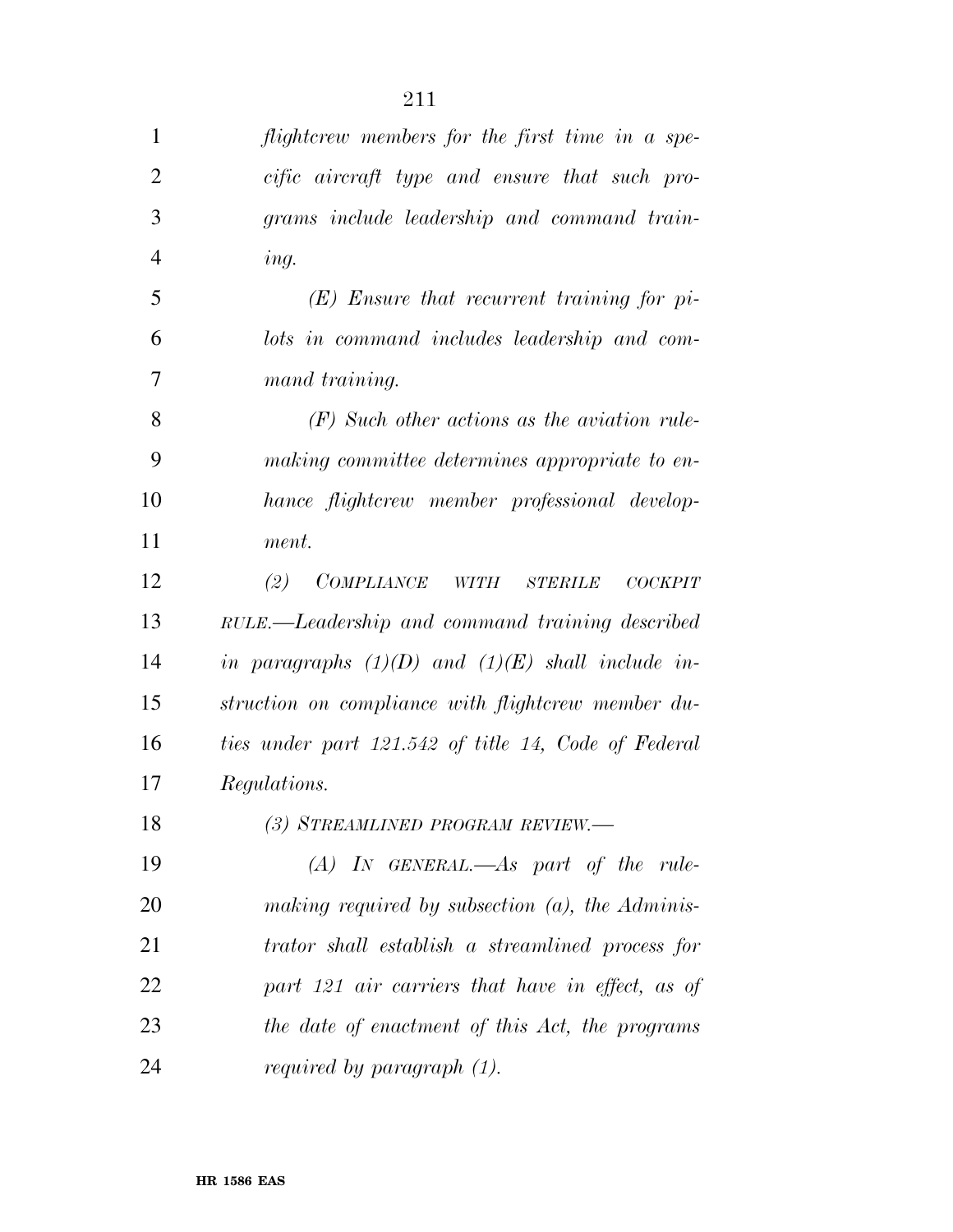| $\mathbf{1}$   | flightcrew members for the first time in a spe-                      |
|----------------|----------------------------------------------------------------------|
| $\overline{2}$ | cific aircraft type and ensure that such pro-                        |
| 3              | grams include leadership and command train-                          |
| $\overline{4}$ | ing.                                                                 |
| 5              | $(E)$ Ensure that recurrent training for pi-                         |
| 6              | lots in command includes leadership and com-                         |
| 7              | mand training.                                                       |
| 8              | $(F)$ Such other actions as the aviation rule-                       |
| 9              | making committee determines appropriate to en-                       |
| 10             | hance flightcrew member professional develop-                        |
| 11             | ment.                                                                |
| 12             | (2)<br><i>COMPLIANCE</i><br>WITH<br><b>STERILE</b><br><b>COCKPIT</b> |
| 13             | RULE.—Leadership and command training described                      |
| 14             | in paragraphs $(1)(D)$ and $(1)(E)$ shall include in-                |
| 15             | struction on compliance with flightcrew member du-                   |
| 16             | ties under part 121.542 of title 14, Code of Federal                 |
| 17             | Regulations.                                                         |
| 18             | (3) STREAMLINED PROGRAM REVIEW.-                                     |
| 19             | $(A)$ IN GENERAL.—As part of the rule-                               |
| 20             | making required by subsection $(a)$ , the Adminis-                   |
| 21             | trator shall establish a streamlined process for                     |
| 22             | part 121 air carriers that have in effect, as of                     |
| 23             | the date of enactment of this Act, the programs                      |
| 24             | <i>required by paragraph (1).</i>                                    |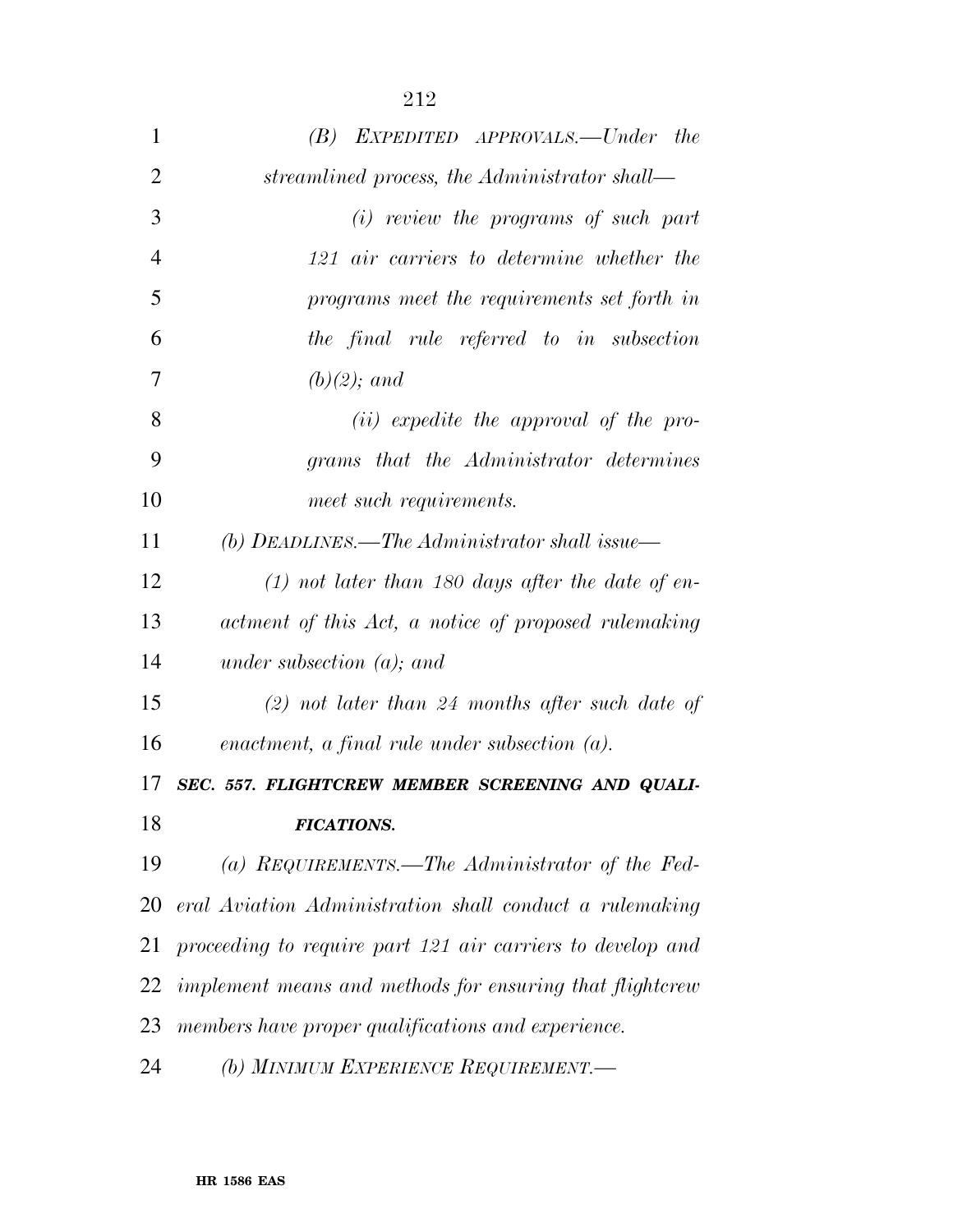| $\mathbf{1}$   | $(B)$ EXPEDITED APPROVALS.—Under the                       |
|----------------|------------------------------------------------------------|
| $\overline{2}$ | streamlined process, the Administrator shall—              |
| 3              | (i) review the programs of such part                       |
| $\overline{4}$ | 121 air carriers to determine whether the                  |
| 5              | programs meet the requirements set forth in                |
| 6              | the final rule referred to in subsection                   |
| 7              | $(b)(2)$ ; and                                             |
| 8              | $(ii)$ expedite the approval of the pro-                   |
| 9              | grams that the Administrator determines                    |
| 10             | meet such requirements.                                    |
| 11             | (b) DEADLINES.—The Administrator shall issue—              |
| 12             | $(1)$ not later than 180 days after the date of en-        |
| 13             | actment of this Act, a notice of proposed rulemaking       |
| 14             | under subsection $(a)$ ; and                               |
| 15             | $(2)$ not later than 24 months after such date of          |
| 16             | enactment, a final rule under subsection $(a)$ .           |
| 17             | SEC. 557. FLIGHTCREW MEMBER SCREENING AND QUALI-           |
| 18             | <b>FICATIONS.</b>                                          |
| 19             | (a) REQUIREMENTS.—The Administrator of the Fed-            |
| 20             | eral Aviation Administration shall conduct a rulemaking    |
| 21             | proceeding to require part 121 air carriers to develop and |
| 22             | implement means and methods for ensuring that flightcrew   |
| 23             | members have proper qualifications and experience.         |
| 24             | (b) MINIMUM EXPERIENCE REQUIREMENT.-                       |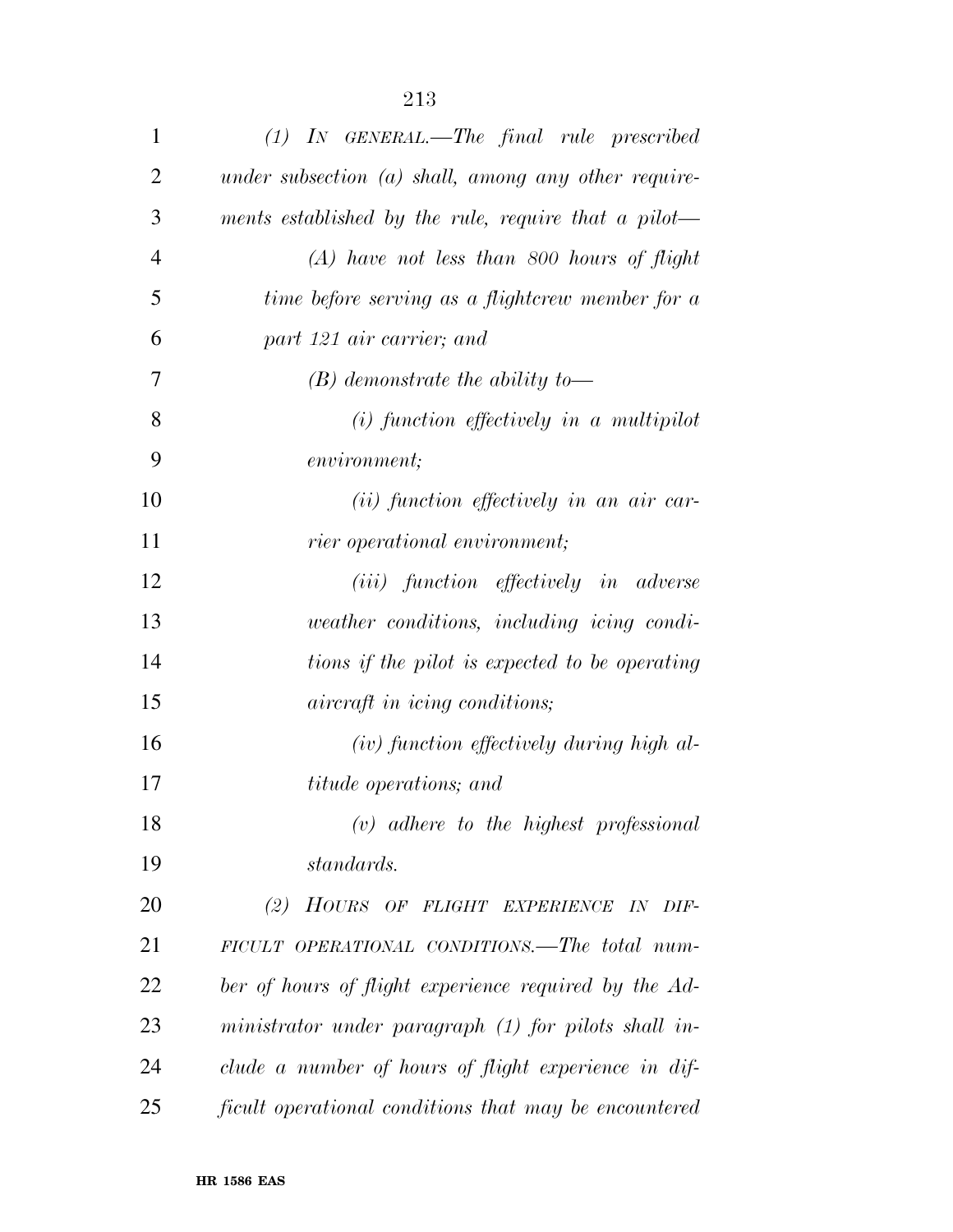| $\mathbf{1}$   | $(1)$ IN GENERAL.—The final rule prescribed            |
|----------------|--------------------------------------------------------|
| 2              | under subsection $(a)$ shall, among any other require- |
| 3              | ments established by the rule, require that a pilot—   |
| $\overline{4}$ | $(A)$ have not less than 800 hours of flight           |
| 5              | time before serving as a flightcrew member for a       |
| 6              | part 121 air carrier; and                              |
| 7              | $(B)$ demonstrate the ability to-                      |
| 8              | $(i)$ function effectively in a multipilot             |
| 9              | environment;                                           |
| 10             | (ii) function effectively in an air car-               |
| 11             | rier operational environment;                          |
| 12             | ( <i>iii</i> ) function effectively in adverse         |
| 13             | weather conditions, including icing condi-             |
| 14             | tions if the pilot is expected to be operating         |
| 15             | <i>aircraft in icing conditions;</i>                   |
| 16             | $(iv)$ function effectively during high al-            |
| 17             | <i>titude operations; and</i>                          |
| 18             | $(v)$ adhere to the highest professional               |
| 19             | standards.                                             |
| 20             | (2)<br>HOURS OF FLIGHT EXPERIENCE IN DIF-              |
| 21             | FICULT OPERATIONAL CONDITIONS.—The total num-          |
| 22             | ber of hours of flight experience required by the Ad-  |
| 23             | ministrator under paragraph (1) for pilots shall in-   |
| 24             | clude a number of hours of flight experience in dif-   |
| 25             | ficult operational conditions that may be encountered  |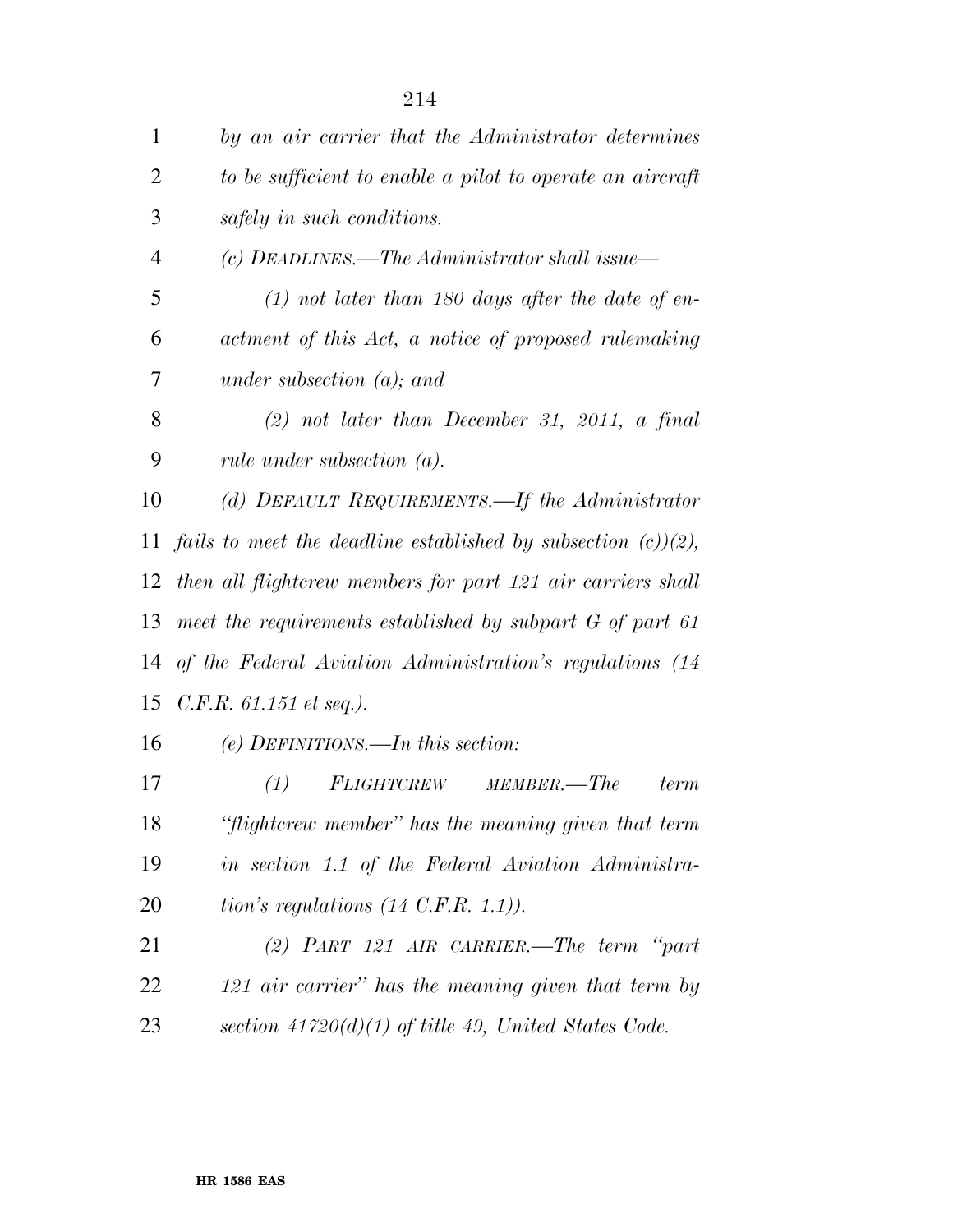| $\mathbf{1}$   | by an air carrier that the Administrator determines             |
|----------------|-----------------------------------------------------------------|
| $\overline{2}$ | to be sufficient to enable a pilot to operate an aircraft       |
| 3              | safely in such conditions.                                      |
| $\overline{4}$ | (c) DEADLINES.—The Administrator shall issue—                   |
| 5              | $(1)$ not later than 180 days after the date of en-             |
| 6              | actment of this Act, a notice of proposed rulemaking            |
| 7              | under subsection $(a)$ ; and                                    |
| 8              | $(2)$ not later than December 31, 2011, a final                 |
| 9              | rule under subsection $(a)$ .                                   |
| 10             | (d) DEFAULT REQUIREMENTS.—If the Administrator                  |
| 11             | fails to meet the deadline established by subsection $(c)(2)$ , |
| 12             | then all flightcrew members for part 121 air carriers shall     |
| 13             | meet the requirements established by subpart $G$ of part 61     |
| 14             | of the Federal Aviation Administration's regulations (14        |
| 15             | C.F.R. 61.151 et seq.).                                         |
| 16             | $(e)$ DEFINITIONS.—In this section:                             |
| 17             | (1)<br><b>FLIGHTCREW</b><br>MEMBER.-The<br>term                 |
| 18             | "flightcrew member" has the meaning given that term             |
| 19             | in section 1.1 of the Federal Aviation Administra-              |
| 20             | tion's regulations $(14 \text{ C.F.R. } 1.1)$ ).                |
| 21             | (2) PART 121 AIR CARRIER.—The term "part                        |
| 22             | 121 air carrier" has the meaning given that term by             |
| 23             | section $41720(d)(1)$ of title 49, United States Code.          |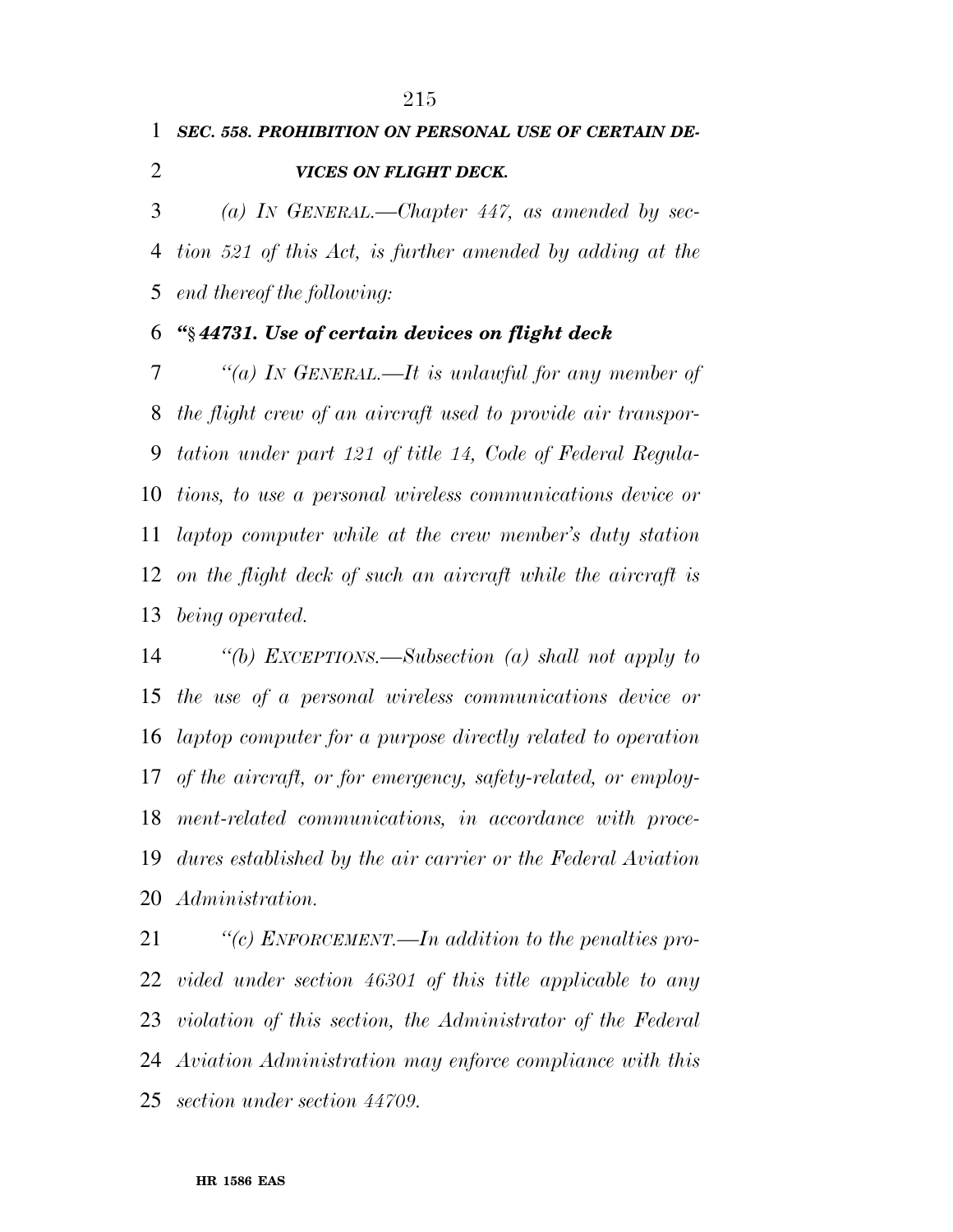## *SEC. 558. PROHIBITION ON PERSONAL USE OF CERTAIN DE-VICES ON FLIGHT DECK.*

 *(a) IN GENERAL.—Chapter 447, as amended by sec- tion 521 of this Act, is further amended by adding at the end thereof the following:* 

## *''*§ *44731. Use of certain devices on flight deck*

 *''(a) IN GENERAL.—It is unlawful for any member of the flight crew of an aircraft used to provide air transpor- tation under part 121 of title 14, Code of Federal Regula- tions, to use a personal wireless communications device or laptop computer while at the crew member's duty station on the flight deck of such an aircraft while the aircraft is being operated.* 

 *''(b) EXCEPTIONS.—Subsection (a) shall not apply to the use of a personal wireless communications device or laptop computer for a purpose directly related to operation of the aircraft, or for emergency, safety-related, or employ- ment-related communications, in accordance with proce- dures established by the air carrier or the Federal Aviation Administration.* 

 *''(c) ENFORCEMENT.—In addition to the penalties pro- vided under section 46301 of this title applicable to any violation of this section, the Administrator of the Federal Aviation Administration may enforce compliance with this section under section 44709.*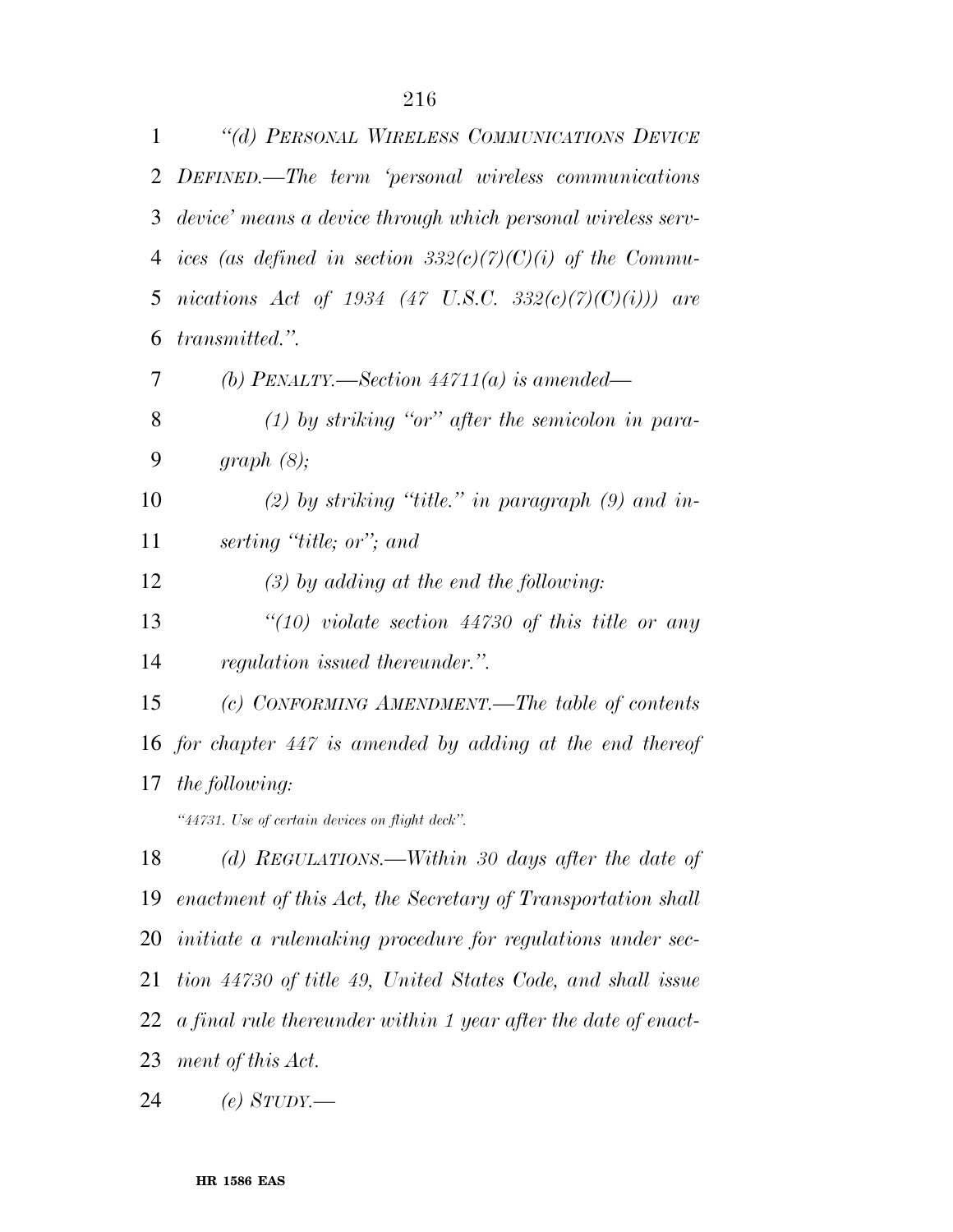| 1  | "(d) PERSONAL WIRELESS COMMUNICATIONS DEVICE                   |
|----|----------------------------------------------------------------|
| 2  | DEFINED.—The term 'personal wireless communications            |
| 3  | device' means a device through which personal wireless serv-   |
| 4  | ices (as defined in section 332(c)(7)(C)(i) of the Commu-      |
| 5  | nications Act of 1934 (47 U.S.C. 332(c)(7)(C)(i))) are         |
| 6  | <i>transmitted.</i> "                                          |
| 7  | (b) PENALTY.—Section $44711(a)$ is amended—                    |
| 8  | $(1)$ by striking "or" after the semicolon in para-            |
| 9  | graph $(8)$ ;                                                  |
| 10 | (2) by striking "title." in paragraph $(9)$ and in-            |
| 11 | serting "title; or"; and                                       |
| 12 | $(3)$ by adding at the end the following:                      |
| 13 | $\lq(10)$ violate section 44730 of this title or any           |
| 14 | <i>regulation issued thereunder.</i> ".                        |
| 15 | (c) CONFORMING AMENDMENT.—The table of contents                |
|    | 16 for chapter 447 is amended by adding at the end thereof     |
| 17 | the following:                                                 |
|    | "44731. Use of certain devices on flight deck".                |
| 18 | (d) REGULATIONS.—Within 30 days after the date of              |
| 19 | enactment of this Act, the Secretary of Transportation shall   |
| 20 | initiate a rulemaking procedure for regulations under sec-     |
| 21 | tion 44730 of title 49, United States Code, and shall issue    |
| 22 | a final rule thereunder within 1 year after the date of enact- |
|    |                                                                |

*ment of this Act.* 

*(e) STUDY.—*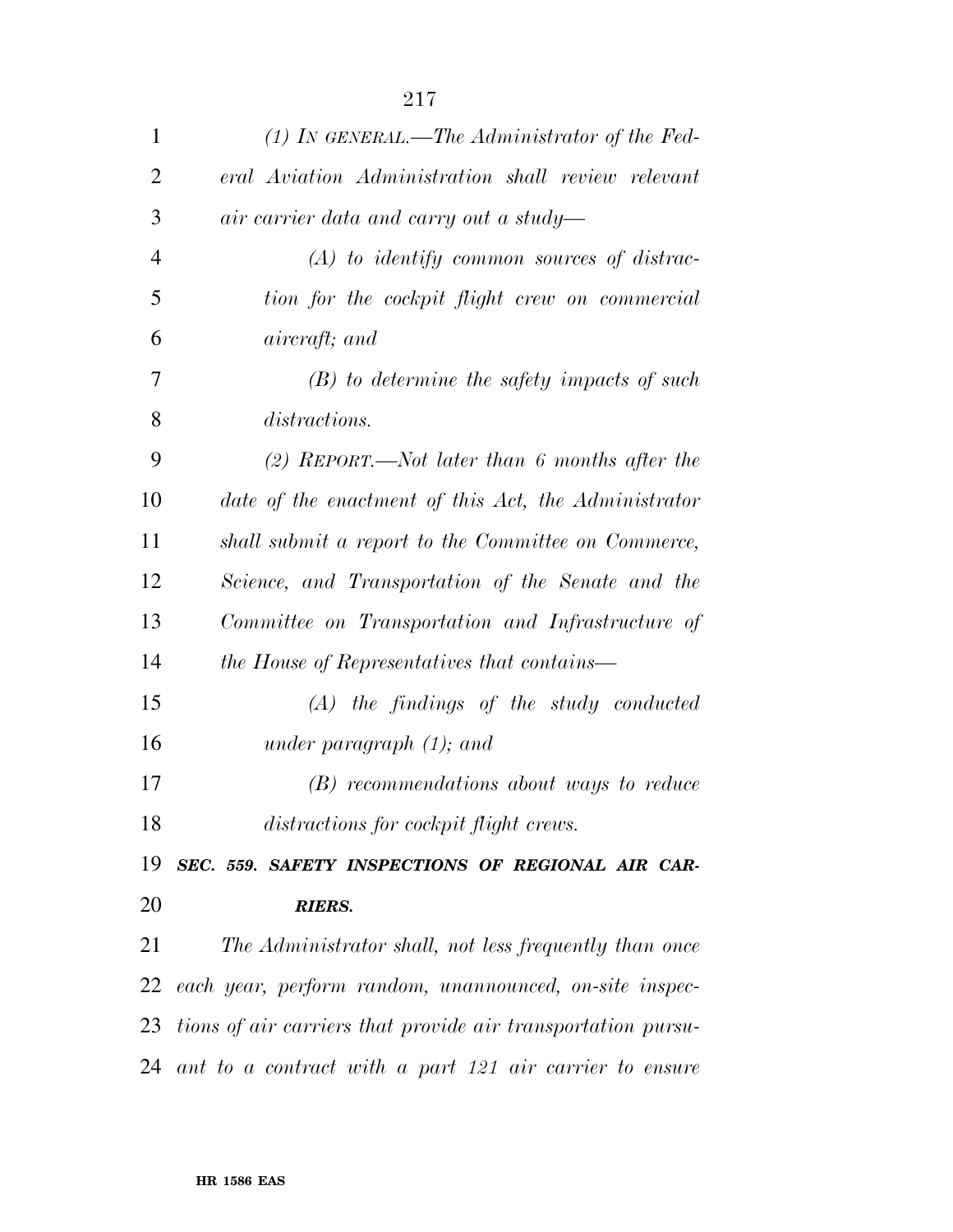| $\mathbf{1}$   | $(1)$ In GENERAL.—The Administrator of the Fed-                 |
|----------------|-----------------------------------------------------------------|
| $\overline{2}$ | eral Aviation Administration shall review relevant              |
| 3              | air carrier data and carry out a study-                         |
| $\overline{4}$ | $(A)$ to identify common sources of distrac-                    |
| 5              | tion for the cockpit flight crew on commercial                  |
| 6              | <i>aircraft</i> ; and                                           |
| 7              | $(B)$ to determine the safety impacts of such                   |
| 8              | <i>distractions.</i>                                            |
| 9              | (2) REPORT.—Not later than 6 months after the                   |
| 10             | date of the enactment of this Act, the Administrator            |
| 11             | shall submit a report to the Committee on Commerce,             |
| 12             | Science, and Transportation of the Senate and the               |
| 13             | Committee on Transportation and Infrastructure of               |
| 14             | the House of Representatives that contains—                     |
| 15             | $(A)$ the findings of the study conducted                       |
| 16             | under paragraph $(1)$ ; and                                     |
| 17             | (B) recommendations about ways to reduce                        |
| 18             | distractions for cockpit flight crews.                          |
| 19             | SEC. 559. SAFETY INSPECTIONS OF REGIONAL AIR CAR-               |
| 20             | <b>RIERS.</b>                                                   |
| 21             | The Administrator shall, not less frequently than once          |
| 22             | each year, perform random, unannounced, on-site inspec-         |
|                | 23 tions of air carriers that provide air transportation pursu- |
|                | $24$ ant to a contract with a part 121 air carrier to ensure    |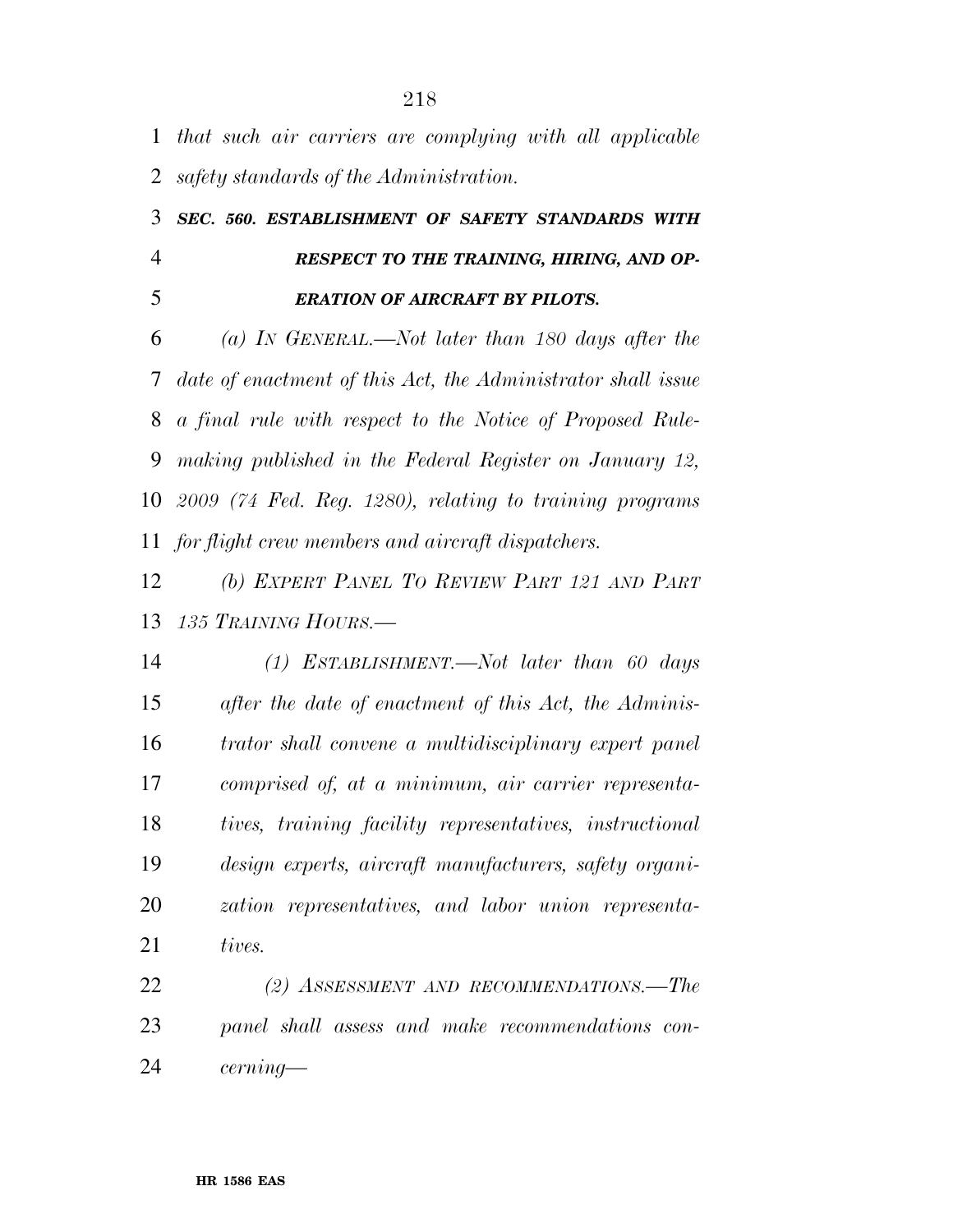*that such air carriers are complying with all applicable safety standards of the Administration.* 

## *SEC. 560. ESTABLISHMENT OF SAFETY STANDARDS WITH RESPECT TO THE TRAINING, HIRING, AND OP-ERATION OF AIRCRAFT BY PILOTS.*

 *(a) IN GENERAL.—Not later than 180 days after the date of enactment of this Act, the Administrator shall issue a final rule with respect to the Notice of Proposed Rule- making published in the Federal Register on January 12, 2009 (74 Fed. Reg. 1280), relating to training programs for flight crew members and aircraft dispatchers.* 

 *(b) EXPERT PANEL TO REVIEW PART 121 AND PART 135 TRAINING HOURS.—* 

 *(1) ESTABLISHMENT.—Not later than 60 days after the date of enactment of this Act, the Adminis- trator shall convene a multidisciplinary expert panel comprised of, at a minimum, air carrier representa- tives, training facility representatives, instructional design experts, aircraft manufacturers, safety organi- zation representatives, and labor union representa-tives.* 

 *(2) ASSESSMENT AND RECOMMENDATIONS.—The panel shall assess and make recommendations con-cerning—*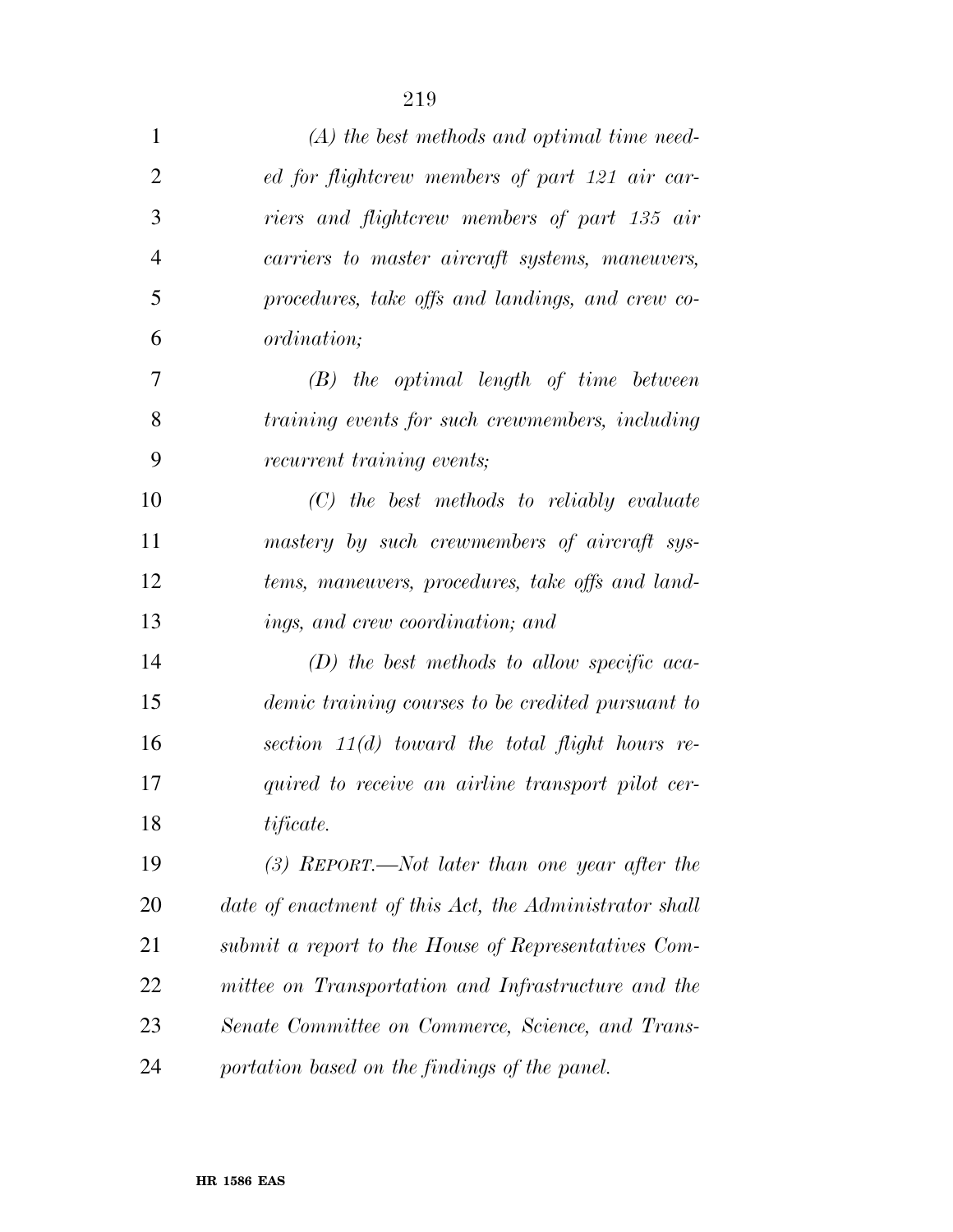| $\mathbf{1}$   | $(A)$ the best methods and optimal time need-          |
|----------------|--------------------------------------------------------|
| $\overline{2}$ | ed for flightcrew members of part 121 air car-         |
| 3              | riers and flightcrew members of part 135 air           |
| $\overline{4}$ | carriers to master aircraft systems, maneuvers,        |
| 5              | procedures, take offs and landings, and crew co-       |
| 6              | <i>ordination</i> ;                                    |
| 7              | $(B)$ the optimal length of time between               |
| 8              | training events for such crewmembers, including        |
| 9              | <i>recurrent training events;</i>                      |
| 10             | $(C)$ the best methods to reliably evaluate            |
| 11             | mastery by such crewmembers of aircraft sys-           |
| 12             | tems, maneuvers, procedures, take offs and land-       |
| 13             | ings, and crew coordination; and                       |
| 14             | $(D)$ the best methods to allow specific aca-          |
| 15             | demic training courses to be credited pursuant to      |
| 16             | section $11(d)$ toward the total flight hours re-      |
| 17             | quired to receive an airline transport pilot cer-      |
| 18             | tificate.                                              |
| 19             | $(3)$ REPORT.—Not later than one year after the        |
| 20             | date of enactment of this Act, the Administrator shall |
| 21             | submit a report to the House of Representatives Com-   |
| 22             | mittee on Transportation and Infrastructure and the    |
| 23             | Senate Committee on Commerce, Science, and Trans-      |
| 24             | portation based on the findings of the panel.          |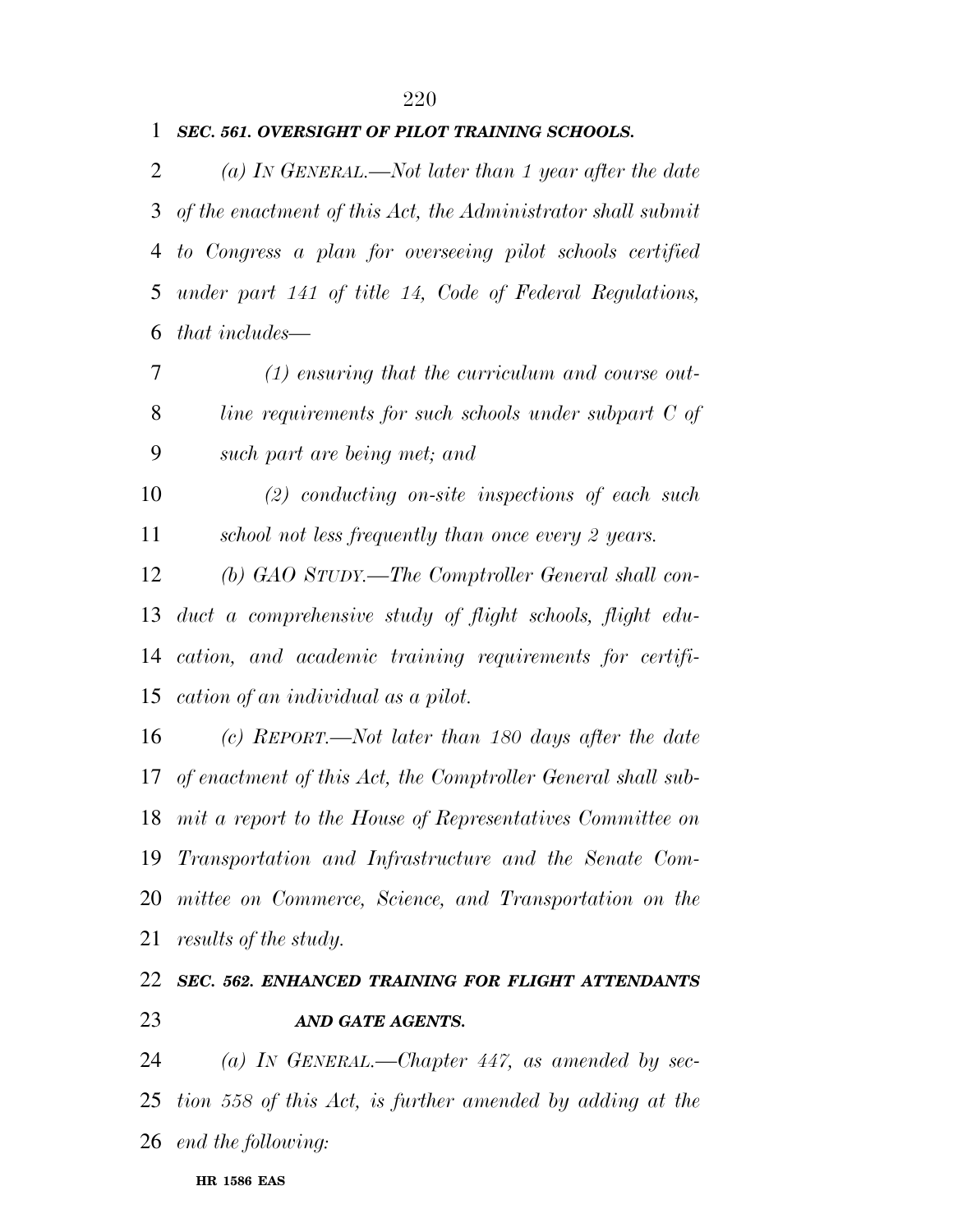### *SEC. 561. OVERSIGHT OF PILOT TRAINING SCHOOLS.*

 *(a) IN GENERAL.—Not later than 1 year after the date of the enactment of this Act, the Administrator shall submit to Congress a plan for overseeing pilot schools certified under part 141 of title 14, Code of Federal Regulations, that includes—* 

 *(1) ensuring that the curriculum and course out- line requirements for such schools under subpart C of such part are being met; and* 

 *(2) conducting on-site inspections of each such school not less frequently than once every 2 years.* 

 *(b) GAO STUDY.—The Comptroller General shall con- duct a comprehensive study of flight schools, flight edu- cation, and academic training requirements for certifi-cation of an individual as a pilot.* 

 *(c) REPORT.—Not later than 180 days after the date of enactment of this Act, the Comptroller General shall sub- mit a report to the House of Representatives Committee on Transportation and Infrastructure and the Senate Com- mittee on Commerce, Science, and Transportation on the results of the study.* 

## *SEC. 562. ENHANCED TRAINING FOR FLIGHT ATTENDANTS AND GATE AGENTS.*

 *(a) IN GENERAL.—Chapter 447, as amended by sec- tion 558 of this Act, is further amended by adding at the end the following:*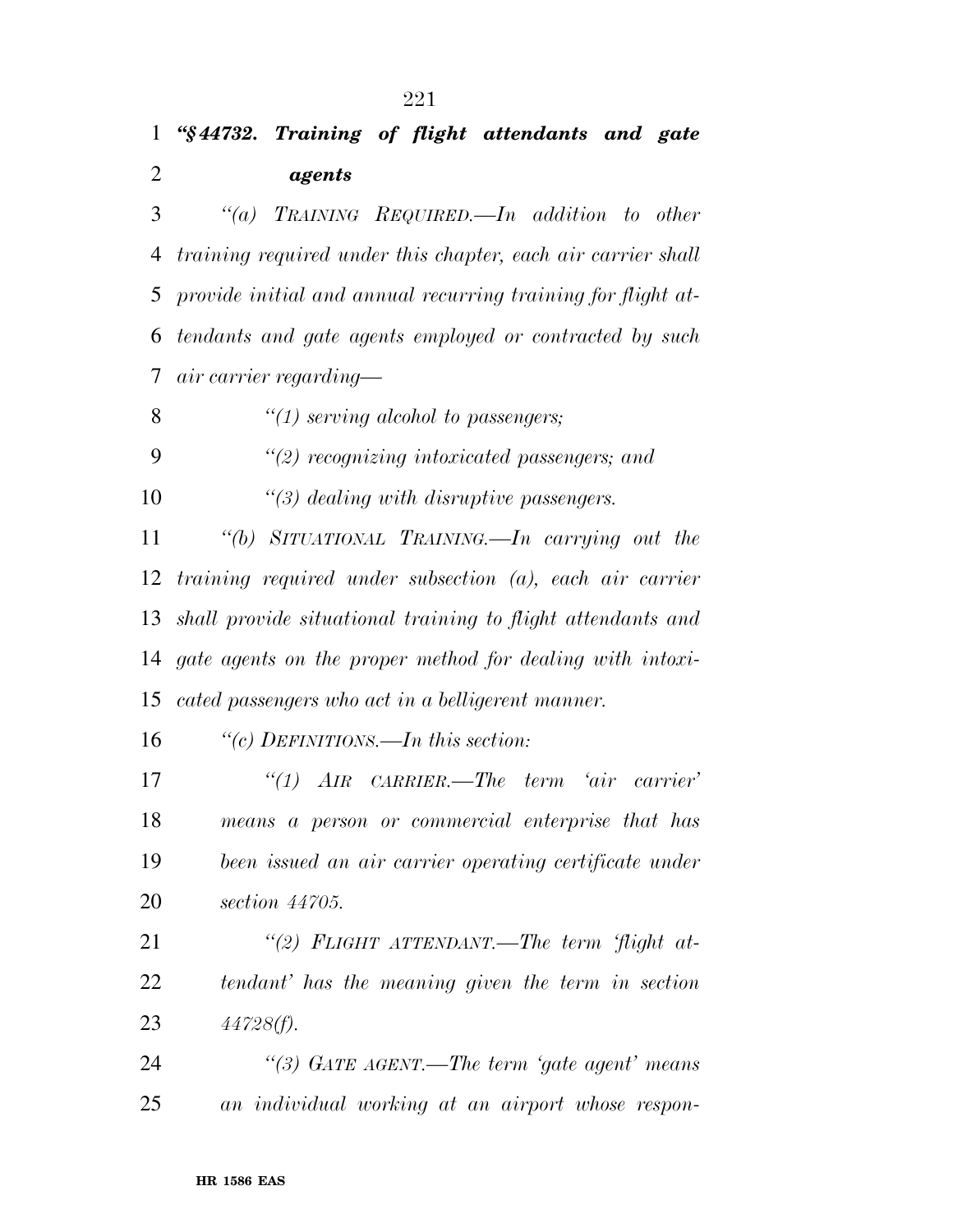## *''§ 44732. Training of flight attendants and gate agents*

 *''(a) TRAINING REQUIRED.—In addition to other training required under this chapter, each air carrier shall provide initial and annual recurring training for flight at- tendants and gate agents employed or contracted by such air carrier regarding—* 

*''(1) serving alcohol to passengers;* 

*''(2) recognizing intoxicated passengers; and* 

*''(3) dealing with disruptive passengers.* 

 *''(b) SITUATIONAL TRAINING.—In carrying out the training required under subsection (a), each air carrier shall provide situational training to flight attendants and gate agents on the proper method for dealing with intoxi-cated passengers who act in a belligerent manner.* 

*''(c) DEFINITIONS.—In this section:* 

 *''(1) AIR CARRIER.—The term 'air carrier' means a person or commercial enterprise that has been issued an air carrier operating certificate under section 44705.* 

 *''(2) FLIGHT ATTENDANT.—The term 'flight at- tendant' has the meaning given the term in section 44728(f).* 

 *''(3) GATE AGENT.—The term 'gate agent' means an individual working at an airport whose respon-*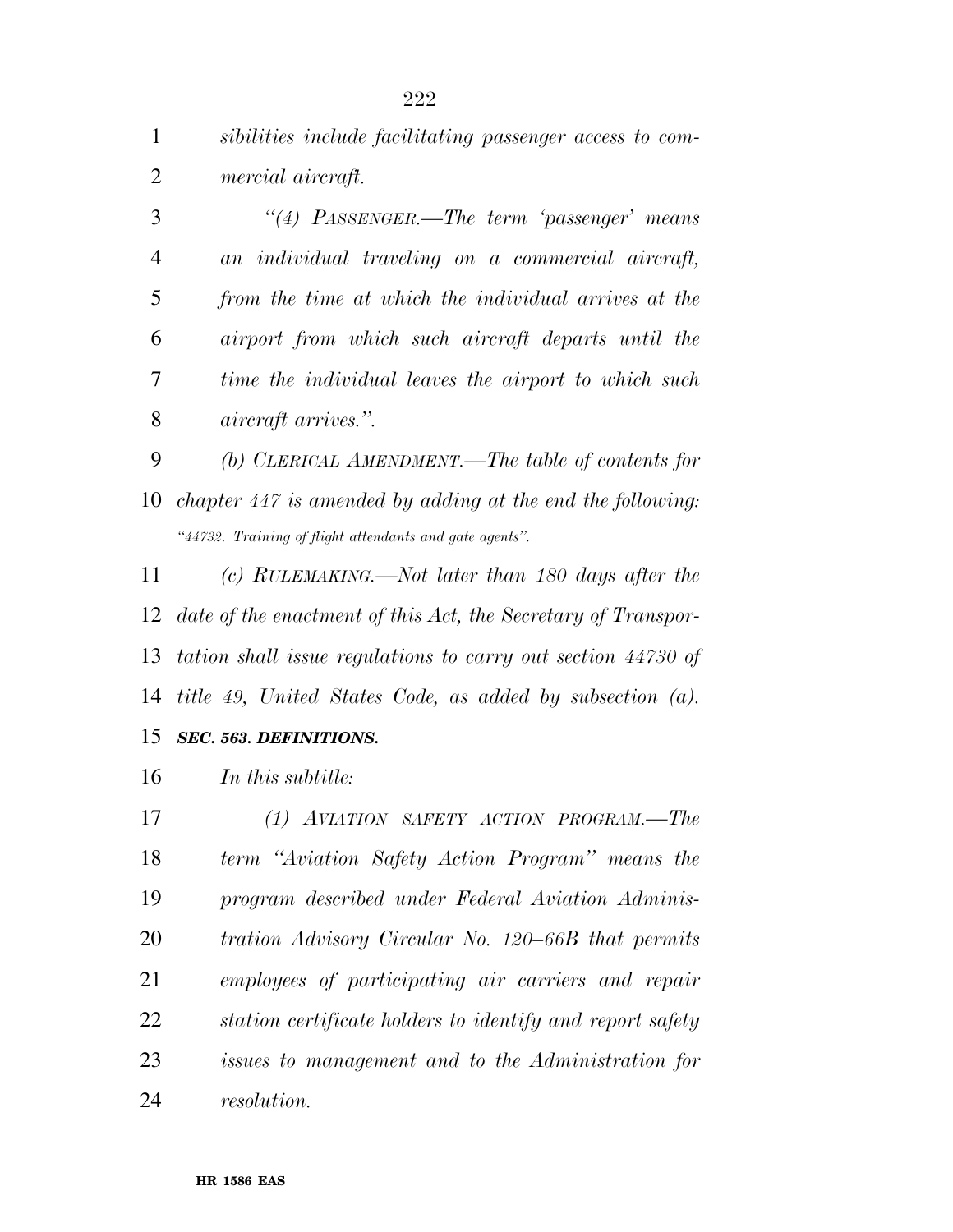*sibilities include facilitating passenger access to com-mercial aircraft.* 

 *''(4) PASSENGER.—The term 'passenger' means an individual traveling on a commercial aircraft, from the time at which the individual arrives at the airport from which such aircraft departs until the time the individual leaves the airport to which such aircraft arrives.''.* 

 *(b) CLERICAL AMENDMENT.—The table of contents for chapter 447 is amended by adding at the end the following: ''44732. Training of flight attendants and gate agents''.* 

 *(c) RULEMAKING.—Not later than 180 days after the date of the enactment of this Act, the Secretary of Transpor- tation shall issue regulations to carry out section 44730 of title 49, United States Code, as added by subsection (a).* 

*SEC. 563. DEFINITIONS.* 

*In this subtitle:* 

 *(1) AVIATION SAFETY ACTION PROGRAM.—The term ''Aviation Safety Action Program'' means the program described under Federal Aviation Adminis- tration Advisory Circular No. 120–66B that permits employees of participating air carriers and repair station certificate holders to identify and report safety issues to management and to the Administration for resolution.*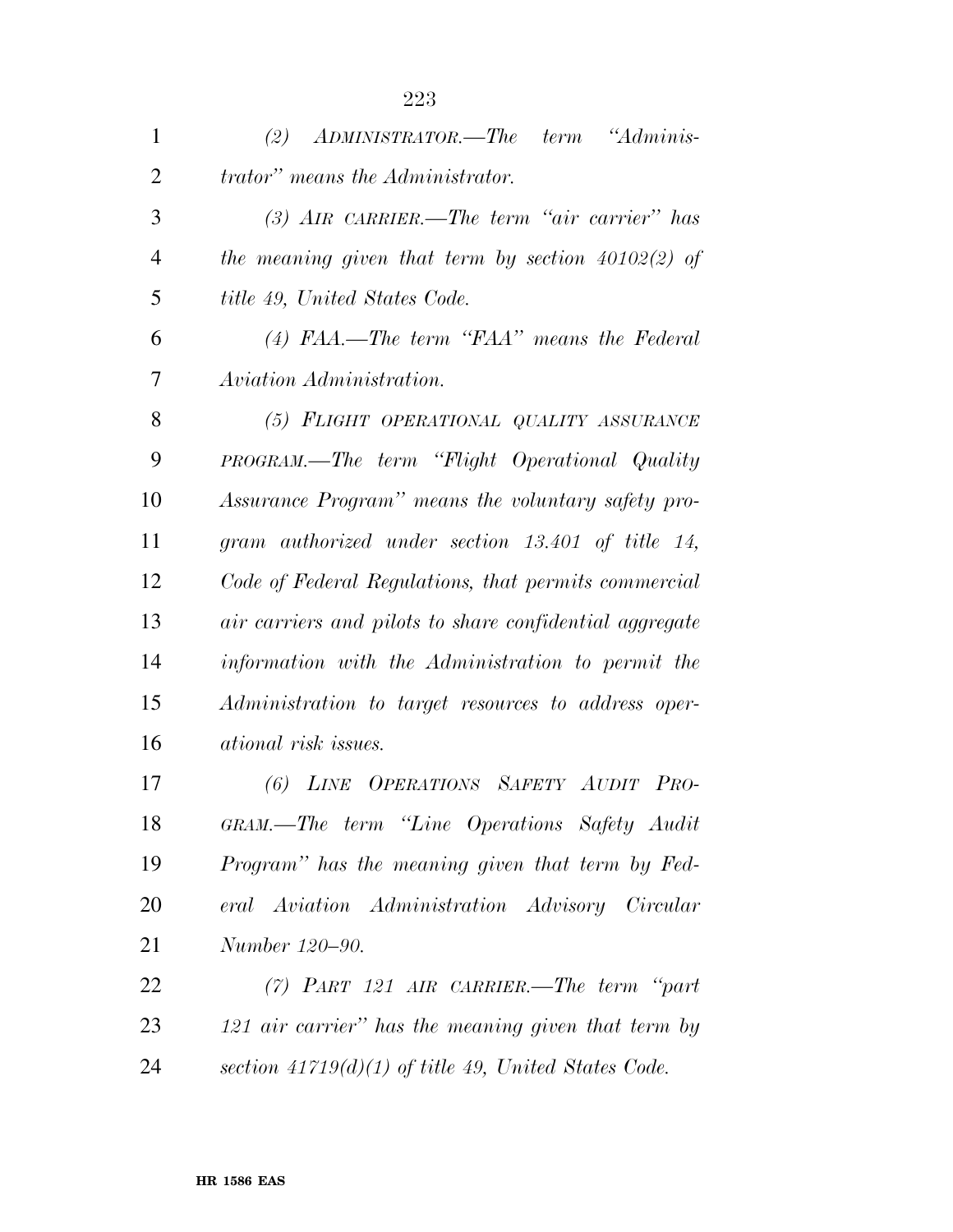| $\mathbf{1}$   | "Adminis-<br>(2)<br>$\bm{ADMINISTRATOR.} \text{\textbf{\textit{---}}} The \quad term$ |
|----------------|---------------------------------------------------------------------------------------|
| $\overline{2}$ | <i>trator</i> " means the Administrator.                                              |
| 3              | $(3)$ AIR CARRIER.—The term "air carrier" has                                         |
| $\overline{4}$ | the meaning given that term by section $40102(2)$ of                                  |
| 5              | title 49, United States Code.                                                         |
| 6              | $(4)$ FAA.—The term "FAA" means the Federal                                           |
| 7              | Aviation Administration.                                                              |
| 8              | (5) FLIGHT OPERATIONAL QUALITY ASSURANCE                                              |
| 9              | PROGRAM.—The term "Flight Operational Quality                                         |
| 10             | Assurance Program" means the voluntary safety pro-                                    |
| 11             | gram authorized under section 13.401 of title 14,                                     |
| 12             | Code of Federal Regulations, that permits commercial                                  |
| 13             | air carriers and pilots to share confidential aggregate                               |
| 14             | information with the Administration to permit the                                     |
| 15             | Administration to target resources to address oper-                                   |
| 16             | <i>ational risk issues.</i>                                                           |
| 17             | (6) LINE OPERATIONS SAFETY AUDIT PRO-                                                 |
| 18             | GRAM.—The term "Line Operations Safety Audit"                                         |
| 19             | Program" has the meaning given that term by Fed-                                      |
| 20             | eral Aviation Administration Advisory Circular                                        |
| 21             | Number 120–90.                                                                        |
| 22             | $(7)$ PART 121 AIR CARRIER.—The term "part"                                           |
| 23             | 121 air carrier" has the meaning given that term by                                   |
| 24             | section $41719(d)(1)$ of title 49, United States Code.                                |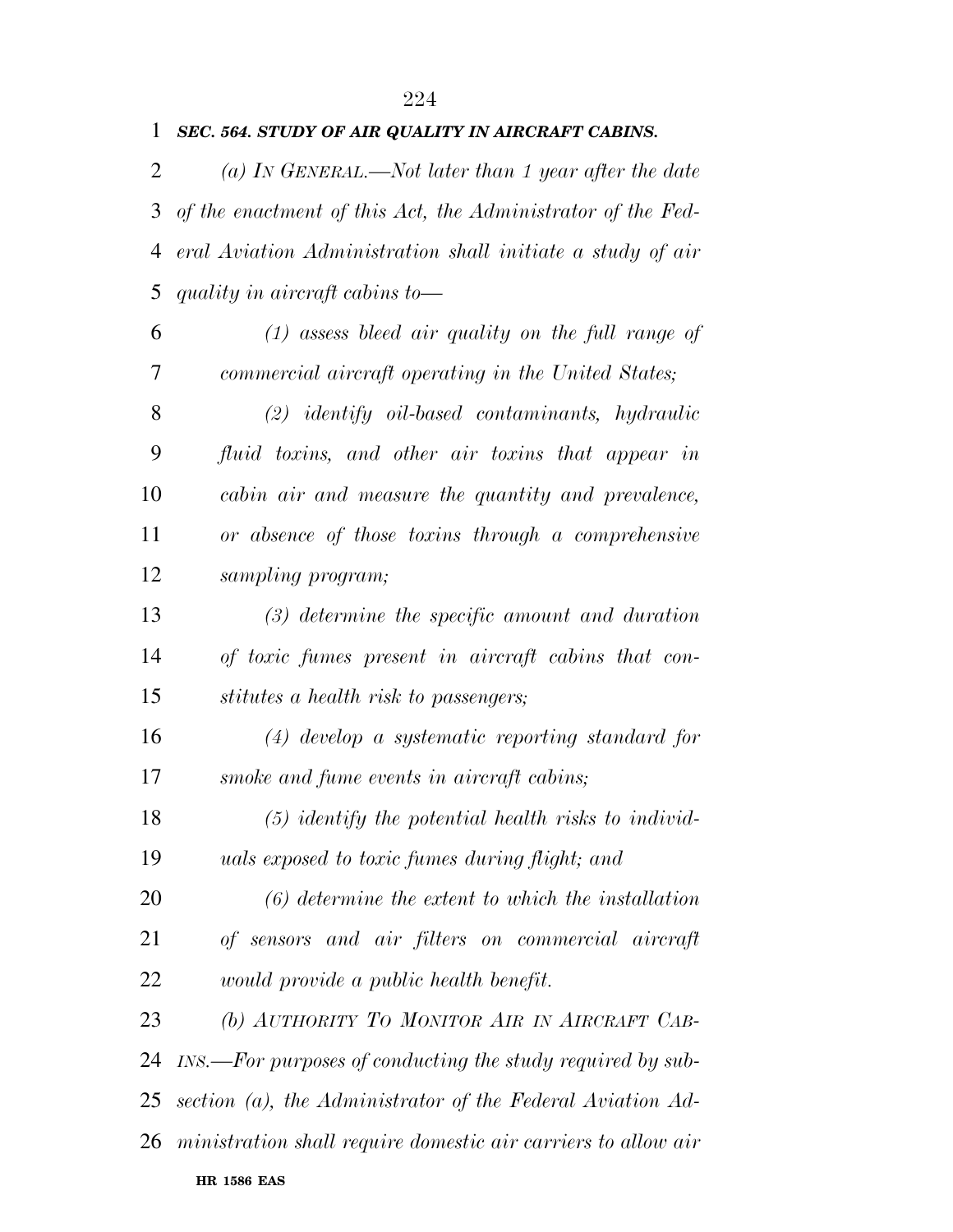*(a) IN GENERAL.—Not later than 1 year after the date of the enactment of this Act, the Administrator of the Fed- eral Aviation Administration shall initiate a study of air quality in aircraft cabins to— (1) assess bleed air quality on the full range of commercial aircraft operating in the United States; (2) identify oil-based contaminants, hydraulic fluid toxins, and other air toxins that appear in cabin air and measure the quantity and prevalence, or absence of those toxins through a comprehensive sampling program; (3) determine the specific amount and duration of toxic fumes present in aircraft cabins that con- stitutes a health risk to passengers; (4) develop a systematic reporting standard for smoke and fume events in aircraft cabins; (5) identify the potential health risks to individ- uals exposed to toxic fumes during flight; and (6) determine the extent to which the installation of sensors and air filters on commercial aircraft would provide a public health benefit. (b) AUTHORITY TO MONITOR AIR IN AIRCRAFT CAB-*

 *INS.—For purposes of conducting the study required by sub-section (a), the Administrator of the Federal Aviation Ad-*

*ministration shall require domestic air carriers to allow air* 

*SEC. 564. STUDY OF AIR QUALITY IN AIRCRAFT CABINS.*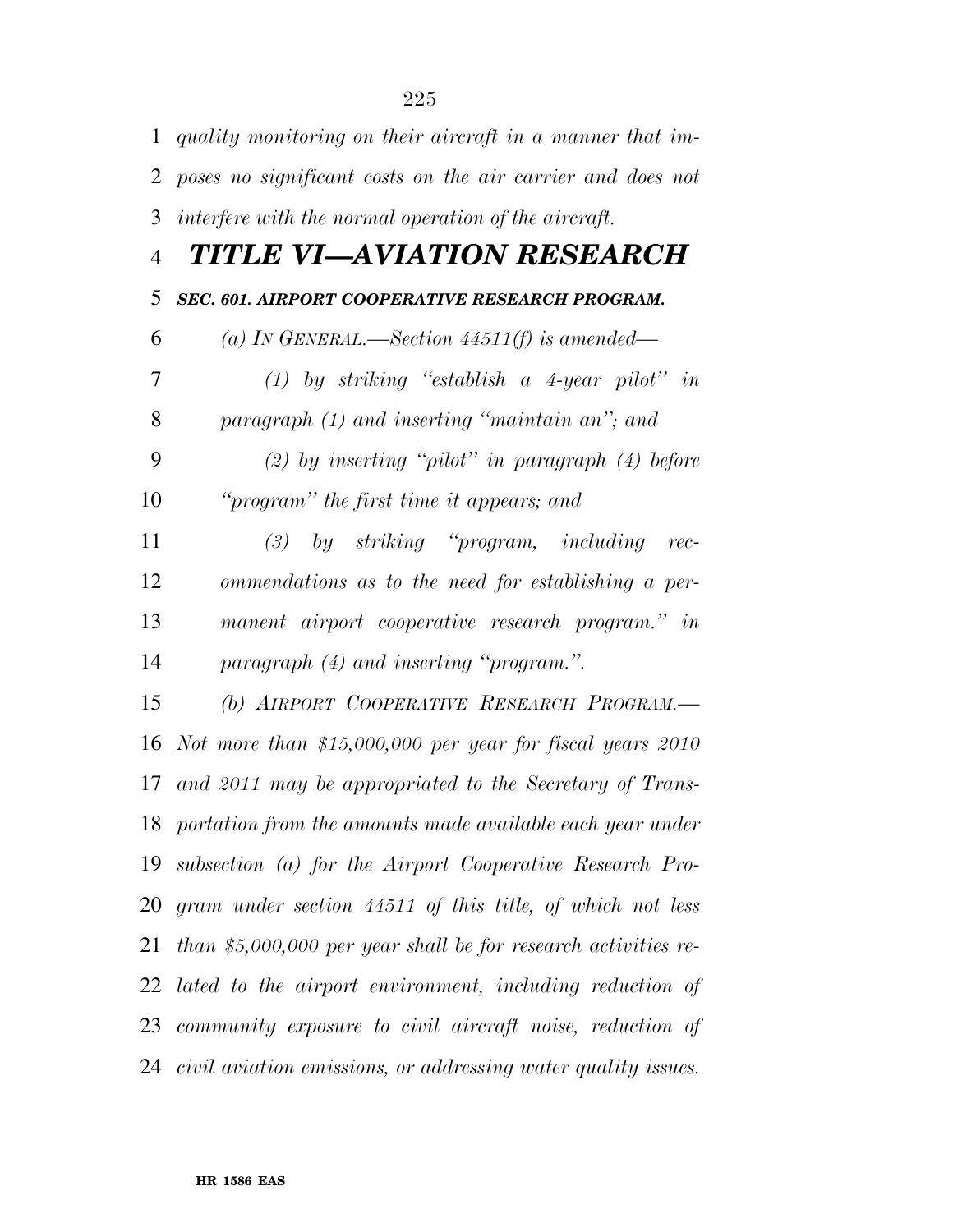*quality monitoring on their aircraft in a manner that im- poses no significant costs on the air carrier and does not interfere with the normal operation of the aircraft.* 

## *TITLE VI—AVIATION RESEARCH*

### *SEC. 601. AIRPORT COOPERATIVE RESEARCH PROGRAM.*

*(a) IN GENERAL.—Section 44511(f) is amended—* 

 *(1) by striking ''establish a 4-year pilot'' in paragraph (1) and inserting ''maintain an''; and* 

 *(2) by inserting ''pilot'' in paragraph (4) before ''program'' the first time it appears; and* 

 *(3) by striking ''program, including rec- ommendations as to the need for establishing a per- manent airport cooperative research program.'' in paragraph (4) and inserting ''program.''.* 

 *(b) AIRPORT COOPERATIVE RESEARCH PROGRAM.— Not more than \$15,000,000 per year for fiscal years 2010 and 2011 may be appropriated to the Secretary of Trans- portation from the amounts made available each year under subsection (a) for the Airport Cooperative Research Pro- gram under section 44511 of this title, of which not less than \$5,000,000 per year shall be for research activities re- lated to the airport environment, including reduction of community exposure to civil aircraft noise, reduction of civil aviation emissions, or addressing water quality issues.*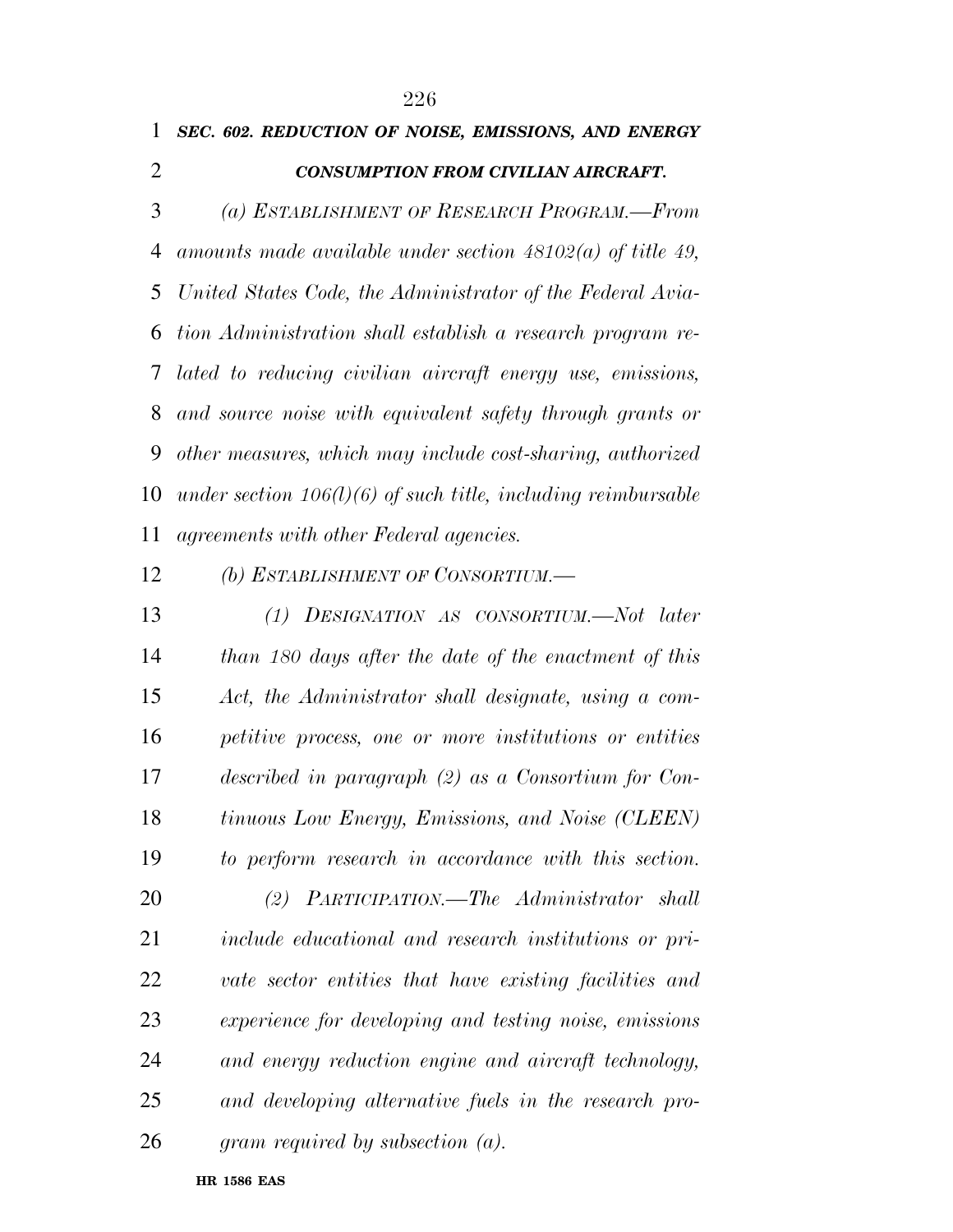*(a) ESTABLISHMENT OF RESEARCH PROGRAM.—From amounts made available under section 48102(a) of title 49, United States Code, the Administrator of the Federal Avia- tion Administration shall establish a research program re- lated to reducing civilian aircraft energy use, emissions, and source noise with equivalent safety through grants or other measures, which may include cost-sharing, authorized under section 106(l)(6) of such title, including reimbursable agreements with other Federal agencies.* 

*(b) ESTABLISHMENT OF CONSORTIUM.—* 

 *(1) DESIGNATION AS CONSORTIUM.—Not later than 180 days after the date of the enactment of this Act, the Administrator shall designate, using a com- petitive process, one or more institutions or entities described in paragraph (2) as a Consortium for Con- tinuous Low Energy, Emissions, and Noise (CLEEN) to perform research in accordance with this section. (2) PARTICIPATION.—The Administrator shall include educational and research institutions or pri- vate sector entities that have existing facilities and experience for developing and testing noise, emissions and energy reduction engine and aircraft technology, and developing alternative fuels in the research pro-gram required by subsection (a).*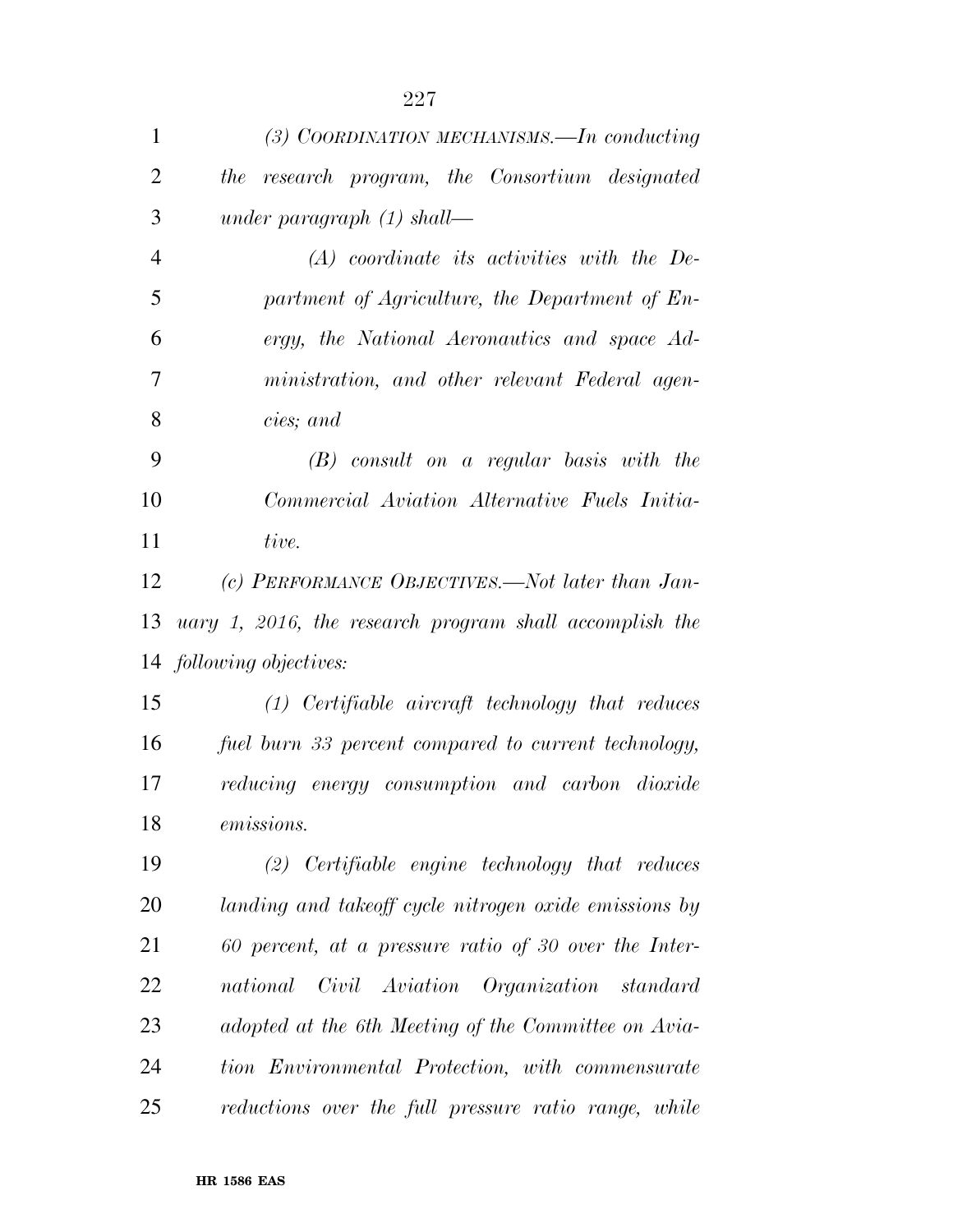| $\mathbf{1}$   | (3) COORDINATION MECHANISMS.—In conducting              |
|----------------|---------------------------------------------------------|
| $\overline{2}$ | the research program, the Consortium designated         |
| 3              | under paragraph $(1)$ shall—                            |
| $\overline{4}$ | $(A)$ coordinate its activities with the De-            |
| 5              | partment of Agriculture, the Department of En-          |
| 6              | ergy, the National Aeronautics and space Ad-            |
| 7              | ministration, and other relevant Federal agen-          |
| 8              | cies; and                                               |
| 9              | $(B)$ consult on a regular basis with the               |
| 10             | Commercial Aviation Alternative Fuels Initia-           |
| 11             | tive.                                                   |
| 12             | (c) PERFORMANCE OBJECTIVES.—Not later than Jan-         |
| 13             | uary 1, 2016, the research program shall accomplish the |
|                | 14 <i>following objectives:</i>                         |
| 15             | $(1)$ Certifiable aircraft technology that reduces      |
| 16             | fuel burn 33 percent compared to current technology,    |
| 17             | reducing energy consumption and carbon dioxide          |
| 18             | emissions.                                              |
| 19             | $(2)$ Certifiable engine technology that reduces        |
| 20             | landing and takeoff cycle nitrogen oxide emissions by   |
| 21             | 60 percent, at a pressure ratio of 30 over the Inter-   |
| 22             | national Civil Aviation Organization standard           |
| 23             | adopted at the 6th Meeting of the Committee on Avia-    |
| 24             | tion Environmental Protection, with commensurate        |
| 25             | reductions over the full pressure ratio range, while    |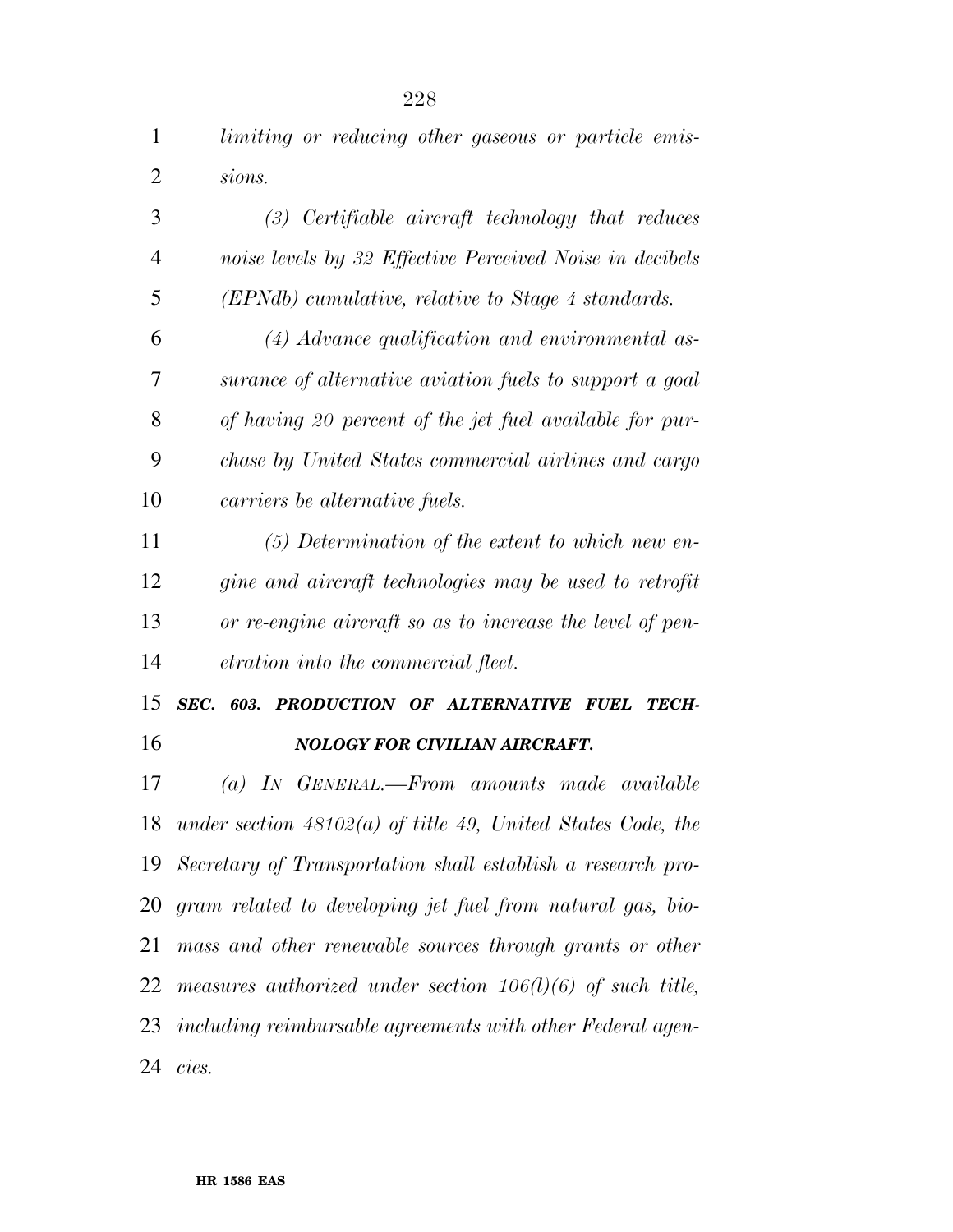| $\mathbf{1}$   | limiting or reducing other gaseous or particle emis-          |
|----------------|---------------------------------------------------------------|
| $\overline{2}$ | sions.                                                        |
| 3              | $(3)$ Certifiable aircraft technology that reduces            |
| $\overline{4}$ | noise levels by 32 Effective Perceived Noise in decibels      |
| 5              | (EPNdb) cumulative, relative to Stage 4 standards.            |
| 6              | (4) Advance qualification and environmental as-               |
| 7              | surance of alternative aviation fuels to support a goal       |
| 8              | of having 20 percent of the jet fuel available for pur-       |
| 9              | chase by United States commercial airlines and cargo          |
| 10             | carriers be alternative fuels.                                |
| 11             | $(5)$ Determination of the extent to which new en-            |
| 12             | gine and aircraft technologies may be used to retrofit        |
| 13             | or re-engine aircraft so as to increase the level of pen-     |
| 14             | <i>etration into the commercial fleet.</i>                    |
| 15             | SEC.<br>603. PRODUCTION OF ALTERNATIVE FUEL<br><b>TECH-</b>   |
| 16             | <b>NOLOGY FOR CIVILIAN AIRCRAFT.</b>                          |
| 17             |                                                               |
|                | IN GENERAL.-From amounts made available<br>$\left( a\right)$  |
| 18             | under section $48102(a)$ of title 49, United States Code, the |
| 19             | Secretary of Transportation shall establish a research pro-   |
| 20             | gram related to developing jet fuel from natural gas, bio-    |
| 21             | mass and other renewable sources through grants or other      |
| 22             | measures authorized under section $106(1)(6)$ of such title,  |
|                | 23 including reimbursable agreements with other Federal agen- |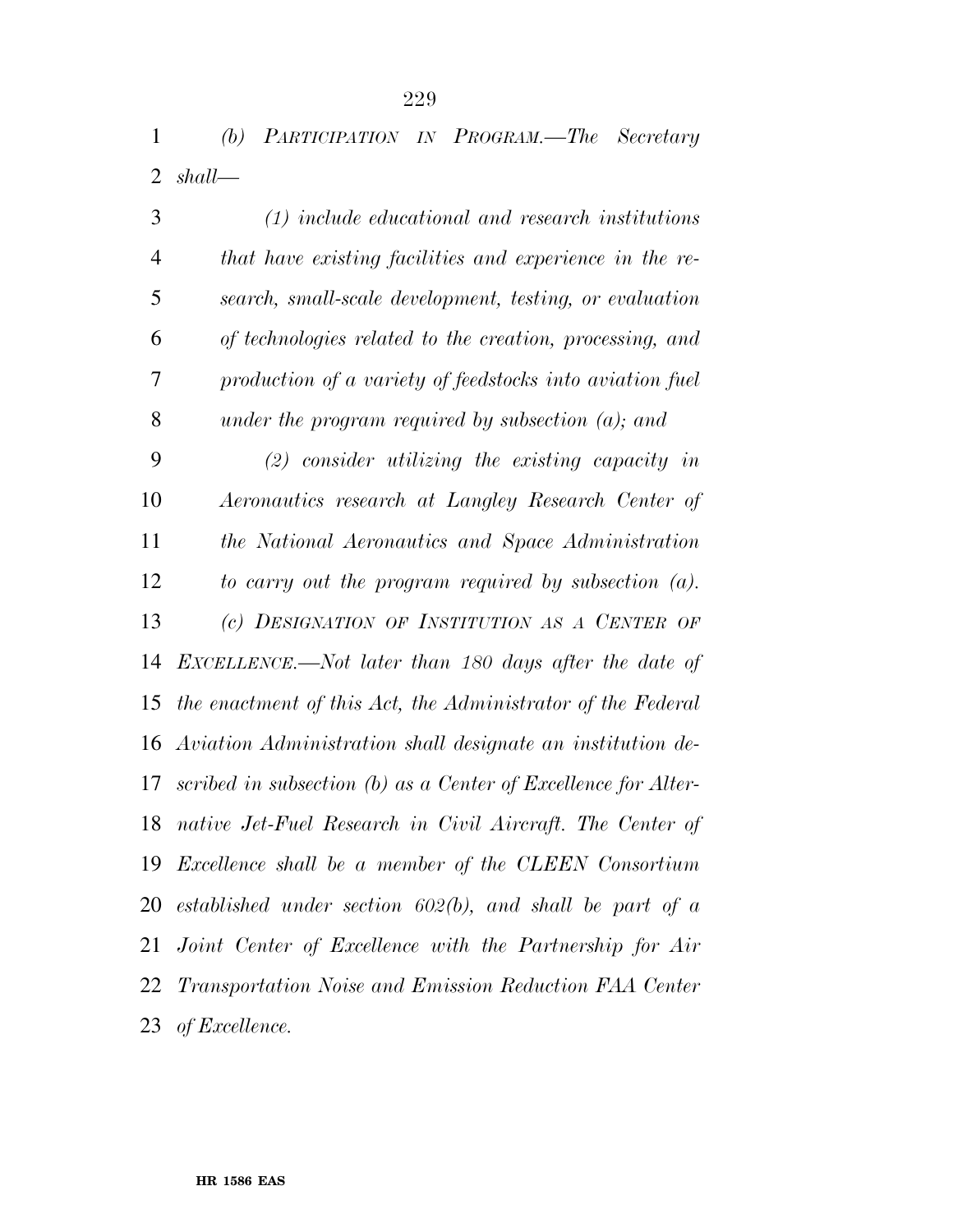*(b) PARTICIPATION IN PROGRAM.—The Secretary shall—* 

| 3              | $(1)$ include educational and research institutions              |
|----------------|------------------------------------------------------------------|
| $\overline{4}$ | that have existing facilities and experience in the re-          |
| 5              | search, small-scale development, testing, or evaluation          |
| 6              | of technologies related to the creation, processing, and         |
| 7              | production of a variety of feedstocks into aviation fuel         |
| 8              | under the program required by subsection $(a)$ ; and             |
| 9              | $(2)$ consider utilizing the existing capacity in                |
| 10             | Aeronautics research at Langley Research Center of               |
| 11             | the National Aeronautics and Space Administration                |
| 12             | to carry out the program required by subsection $(a)$ .          |
| 13             | (c) DESIGNATION OF INSTITUTION AS A CENTER OF                    |
| 14             | EXCELLENCE.—Not later than 180 days after the date of            |
| 15             | the enactment of this Act, the Administrator of the Federal      |
|                | 16 Aviation Administration shall designate an institution de-    |
| 17             | scribed in subsection $(b)$ as a Center of Excellence for Alter- |
| 18             | native Jet-Fuel Research in Civil Aircraft. The Center of        |
| 19             | Excellence shall be a member of the CLEEN Consortium             |
| 20             | established under section $602(b)$ , and shall be part of a      |
| 21             | Joint Center of Excellence with the Partnership for Air          |
| 22             | Transportation Noise and Emission Reduction FAA Center           |
| 23             | of Excellence.                                                   |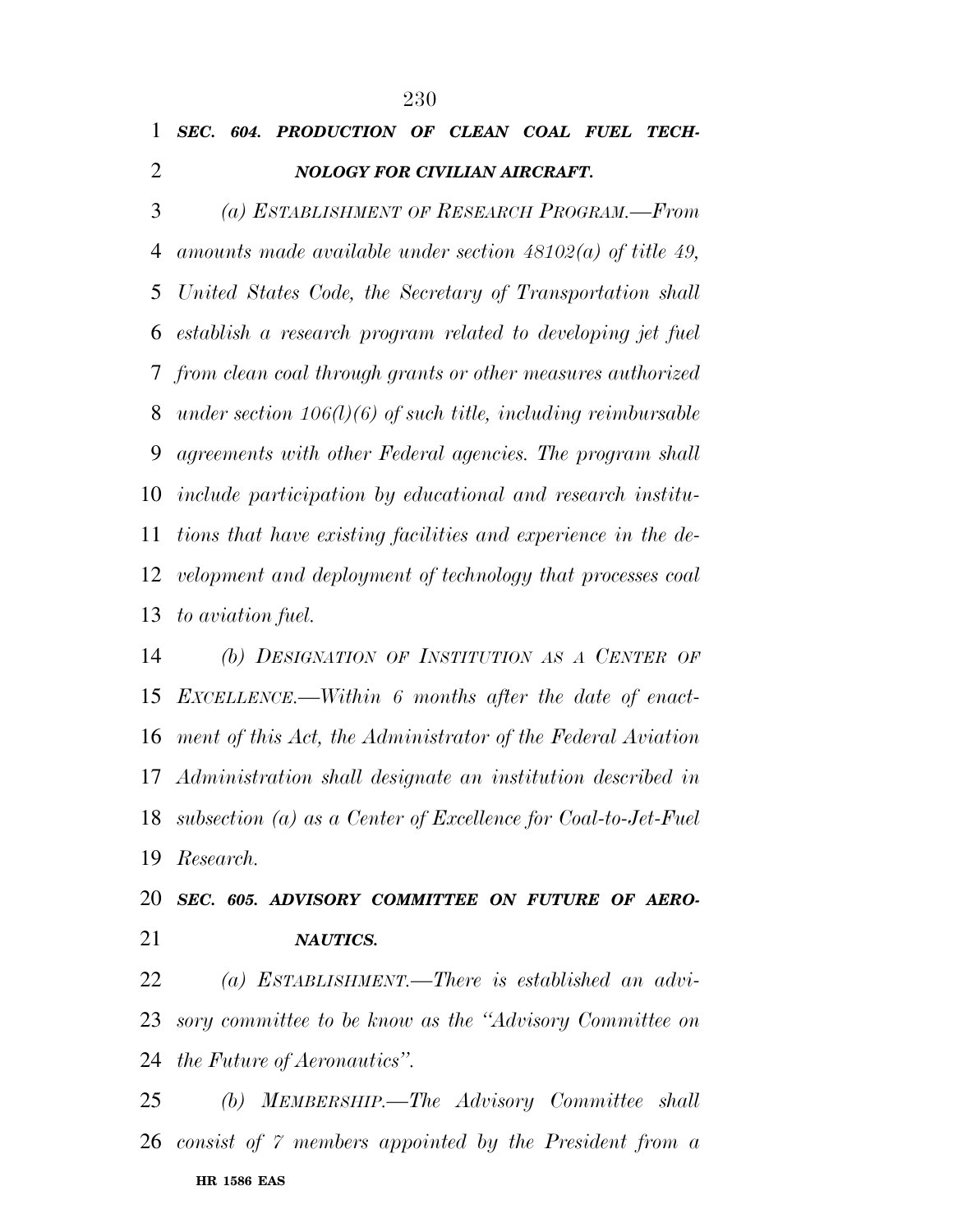*(a) ESTABLISHMENT OF RESEARCH PROGRAM.—From amounts made available under section 48102(a) of title 49, United States Code, the Secretary of Transportation shall establish a research program related to developing jet fuel from clean coal through grants or other measures authorized under section 106(l)(6) of such title, including reimbursable agreements with other Federal agencies. The program shall include participation by educational and research institu- tions that have existing facilities and experience in the de- velopment and deployment of technology that processes coal to aviation fuel.* 

 *(b) DESIGNATION OF INSTITUTION AS A CENTER OF EXCELLENCE.—Within 6 months after the date of enact- ment of this Act, the Administrator of the Federal Aviation Administration shall designate an institution described in subsection (a) as a Center of Excellence for Coal-to-Jet-Fuel Research.* 

 *SEC. 605. ADVISORY COMMITTEE ON FUTURE OF AERO-NAUTICS.* 

 *(a) ESTABLISHMENT.—There is established an advi- sory committee to be know as the ''Advisory Committee on the Future of Aeronautics''.* 

**HR 1586 EAS**  *(b) MEMBERSHIP.—The Advisory Committee shall consist of 7 members appointed by the President from a*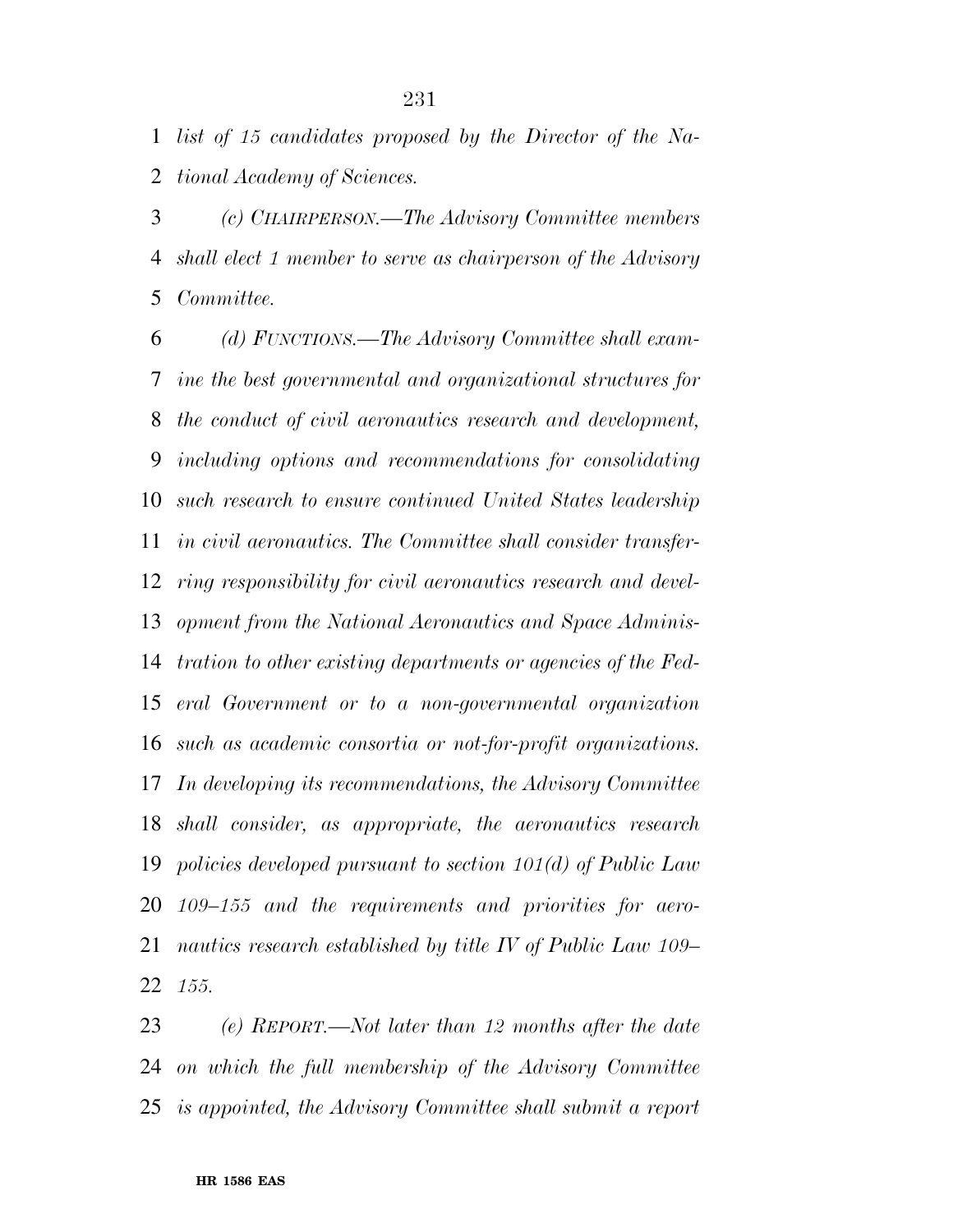*list of 15 candidates proposed by the Director of the Na-tional Academy of Sciences.* 

 *(c) CHAIRPERSON.—The Advisory Committee members shall elect 1 member to serve as chairperson of the Advisory Committee.* 

 *(d) FUNCTIONS.—The Advisory Committee shall exam- ine the best governmental and organizational structures for the conduct of civil aeronautics research and development, including options and recommendations for consolidating such research to ensure continued United States leadership in civil aeronautics. The Committee shall consider transfer- ring responsibility for civil aeronautics research and devel- opment from the National Aeronautics and Space Adminis- tration to other existing departments or agencies of the Fed- eral Government or to a non-governmental organization such as academic consortia or not-for-profit organizations. In developing its recommendations, the Advisory Committee shall consider, as appropriate, the aeronautics research policies developed pursuant to section 101(d) of Public Law 109–155 and the requirements and priorities for aero- nautics research established by title IV of Public Law 109– 155.* 

 *(e) REPORT.—Not later than 12 months after the date on which the full membership of the Advisory Committee is appointed, the Advisory Committee shall submit a report*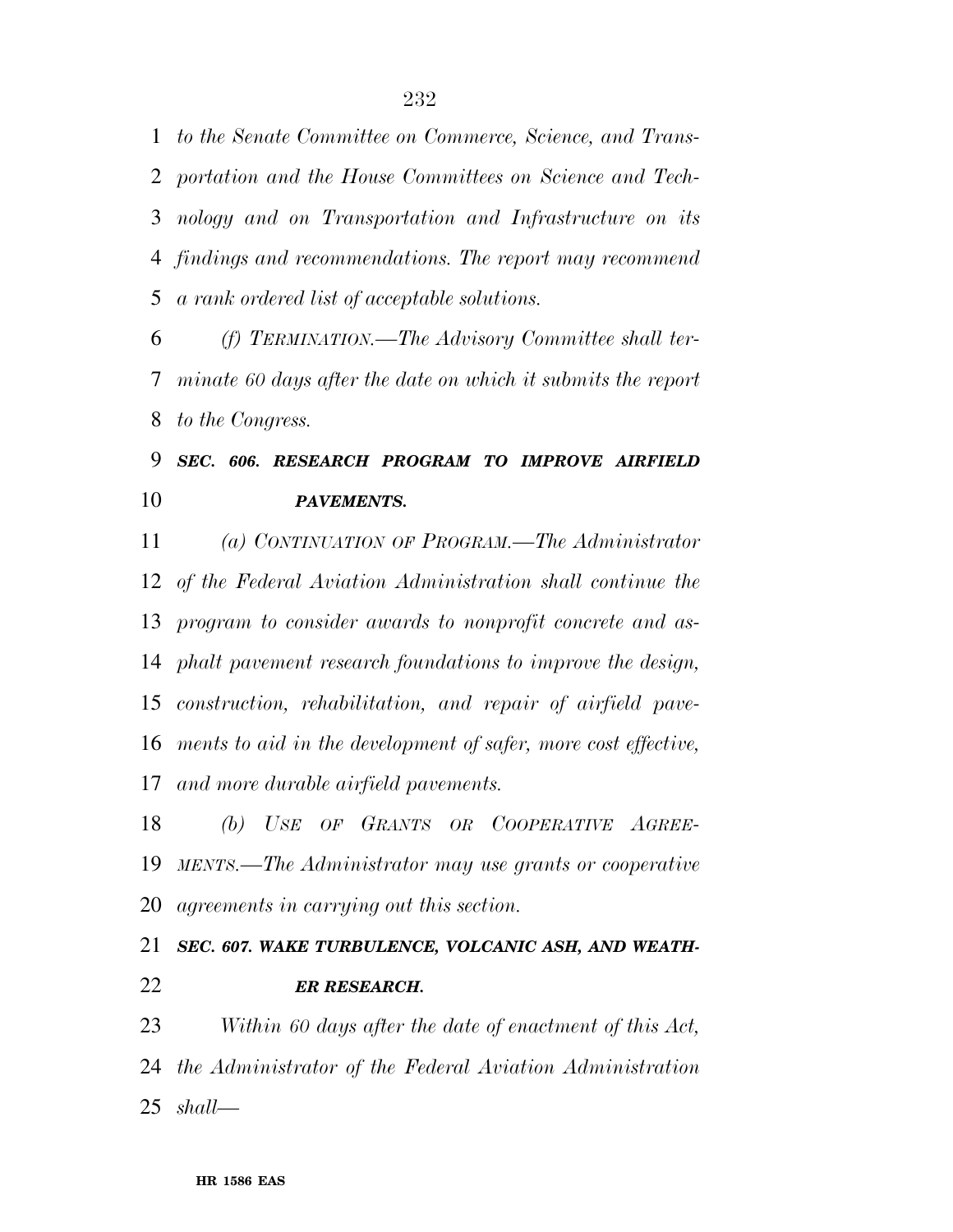*to the Senate Committee on Commerce, Science, and Trans- portation and the House Committees on Science and Tech- nology and on Transportation and Infrastructure on its findings and recommendations. The report may recommend a rank ordered list of acceptable solutions.* 

 *(f) TERMINATION.—The Advisory Committee shall ter- minate 60 days after the date on which it submits the report to the Congress.* 

## *SEC. 606. RESEARCH PROGRAM TO IMPROVE AIRFIELD PAVEMENTS.*

 *(a) CONTINUATION OF PROGRAM.—The Administrator of the Federal Aviation Administration shall continue the program to consider awards to nonprofit concrete and as- phalt pavement research foundations to improve the design, construction, rehabilitation, and repair of airfield pave- ments to aid in the development of safer, more cost effective, and more durable airfield pavements.* 

 *(b) USE OF GRANTS OR COOPERATIVE AGREE- MENTS.—The Administrator may use grants or cooperative agreements in carrying out this section.* 

# *SEC. 607. WAKE TURBULENCE, VOLCANIC ASH, AND WEATH-ER RESEARCH.*

 *Within 60 days after the date of enactment of this Act, the Administrator of the Federal Aviation Administration shall—*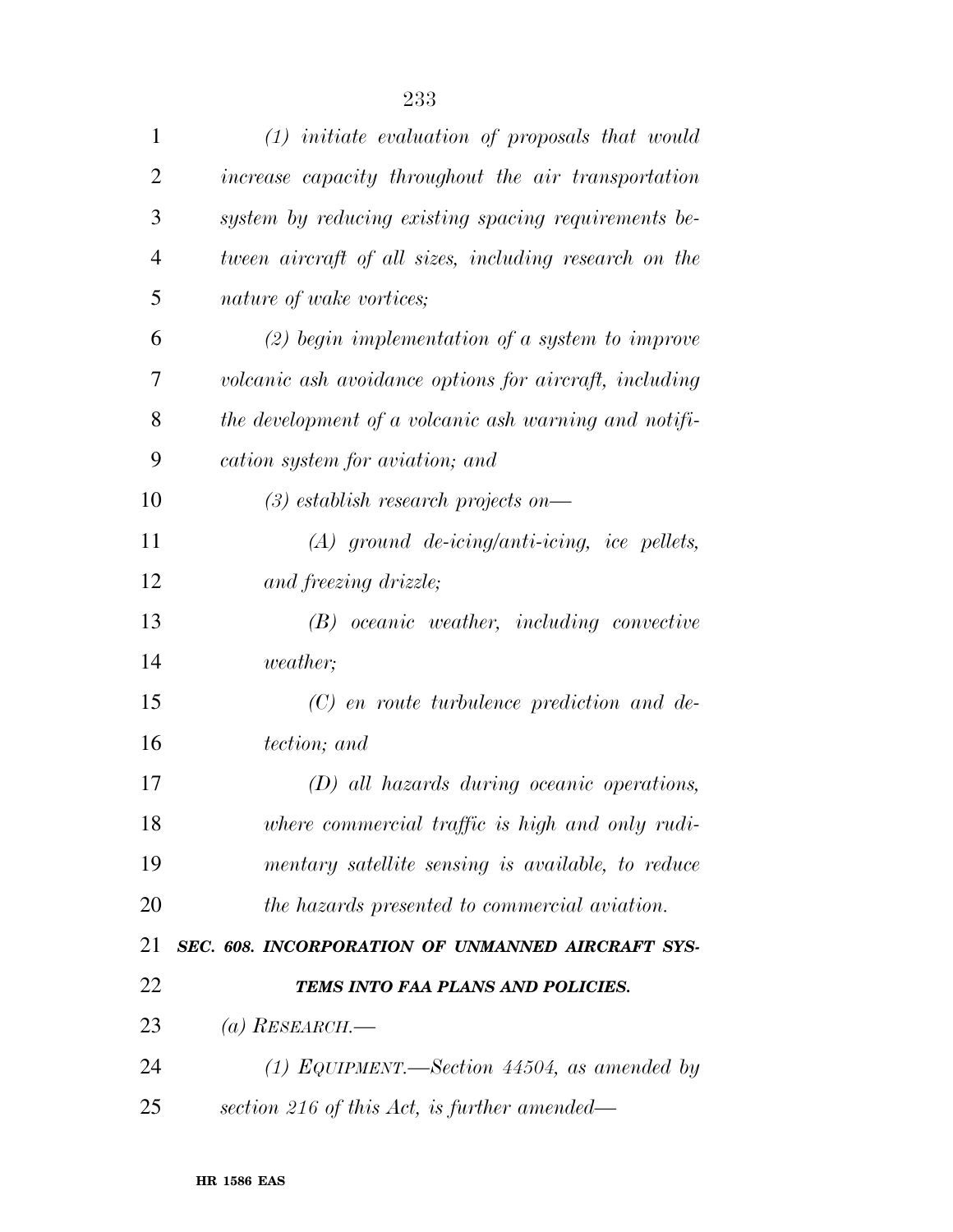| $\mathbf{1}$   | $(1)$ initiate evaluation of proposals that would      |
|----------------|--------------------------------------------------------|
| $\overline{2}$ | increase capacity throughout the air transportation    |
| 3              | system by reducing existing spacing requirements be-   |
| $\overline{4}$ | tween aircraft of all sizes, including research on the |
| 5              | nature of wake vortices;                               |
| 6              | $(2)$ begin implementation of a system to improve      |
| 7              | volcanic ash avoidance options for aircraft, including |
| 8              | the development of a volcanic ash warning and notifi-  |
| 9              | cation system for aviation; and                        |
| 10             | $(3)$ establish research projects on—                  |
| 11             | $(A)$ ground de-icing/anti-icing, ice pellets,         |
| 12             | and freezing drizzle;                                  |
| 13             | (B) oceanic weather, including convective              |
| 14             | <i>weather</i> ;                                       |
| 15             | $(C)$ en route turbulence prediction and de-           |
| 16             | tection; and                                           |
| 17             | $(D)$ all hazards during oceanic operations,           |
| 18             | where commercial traffic is high and only rudi-        |
| 19             | mentary satellite sensing is available, to reduce      |
| 20             | the hazards presented to commercial aviation.          |
| 21             | SEC. 608. INCORPORATION OF UNMANNED AIRCRAFT SYS-      |
| 22             | TEMS INTO FAA PLANS AND POLICIES.                      |
| 23             | (a) RESEARCH.—                                         |
| 24             | (1) EQUIPMENT.—Section 44504, as amended by            |
| 25             | section 216 of this Act, is further amended—           |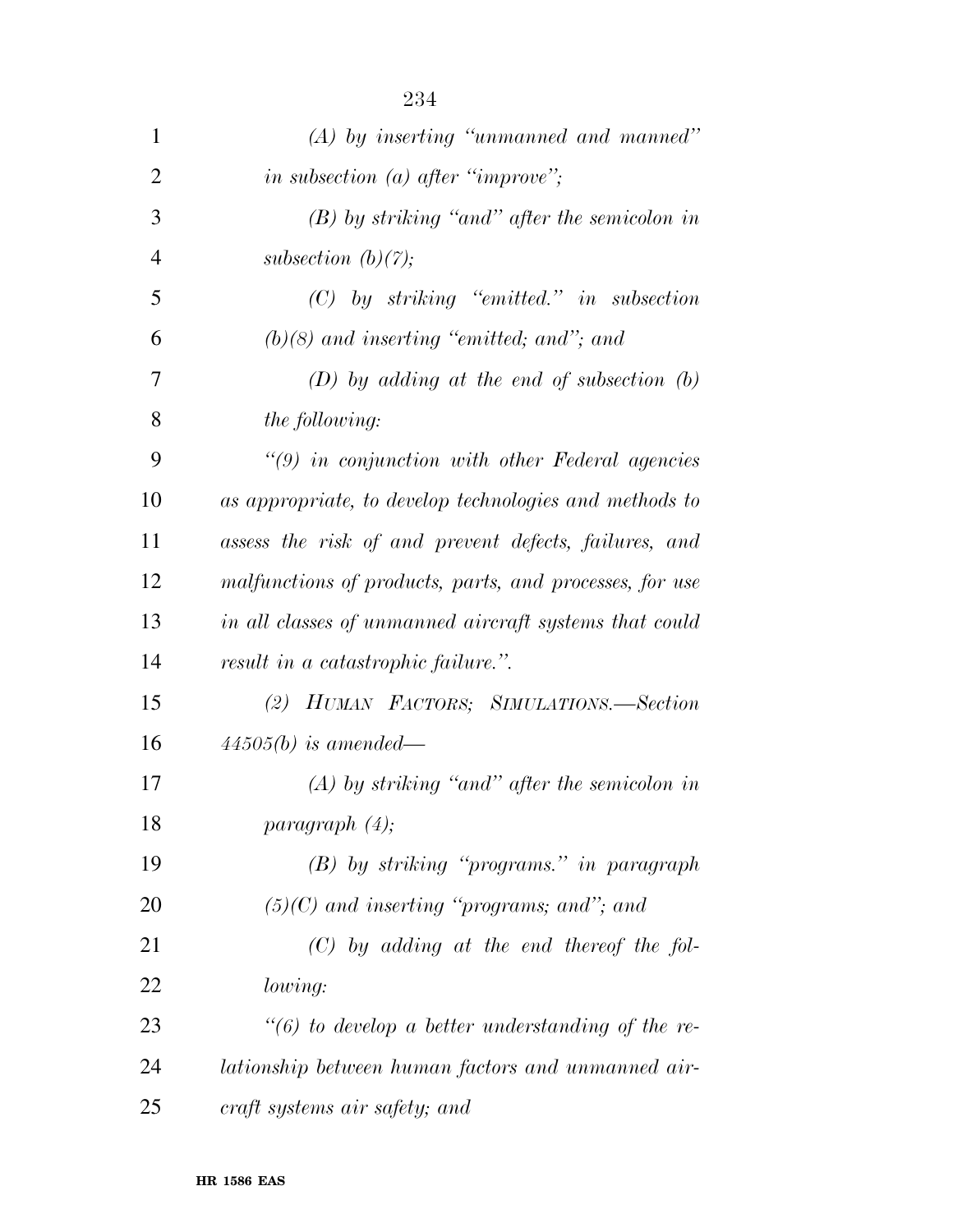| 1              | $(A)$ by inserting "unmanned and manned"                 |
|----------------|----------------------------------------------------------|
| $\overline{2}$ | in subsection (a) after "improve";                       |
| 3              | $(B)$ by striking "and" after the semicolon in           |
| $\overline{4}$ | subsection $(b)(7);$                                     |
| 5              | $(C)$ by striking "emitted." in subsection               |
| 6              | $(b)(8)$ and inserting "emitted; and"; and               |
| 7              | $(D)$ by adding at the end of subsection $(b)$           |
| 8              | <i>the following:</i>                                    |
| 9              | $\lq(9)$ in conjunction with other Federal agencies      |
| 10             | as appropriate, to develop technologies and methods to   |
| 11             | assess the risk of and prevent defects, failures, and    |
| 12             | malfunctions of products, parts, and processes, for use  |
| 13             | in all classes of unmanned aircraft systems that could   |
| 14             | result in a catastrophic failure.".                      |
| 15             | (2) HUMAN FACTORS; SIMULATIONS.-Section                  |
| 16             | $44505(b)$ is amended—                                   |
| 17             | $(A)$ by striking "and" after the semicolon in           |
| 18             | paragnath (4);                                           |
| 19             | $(B)$ by striking "programs." in paragraph               |
| 20             | $(5)(C)$ and inserting "programs; and"; and              |
| 21             | $(C)$ by adding at the end thereof the fol-              |
| 22             | lowing:                                                  |
| 23             | $\lq\lq(6)$ to develop a better understanding of the re- |
| 24             | lationship between human factors and unmanned air-       |
| 25             | craft systems air safety; and                            |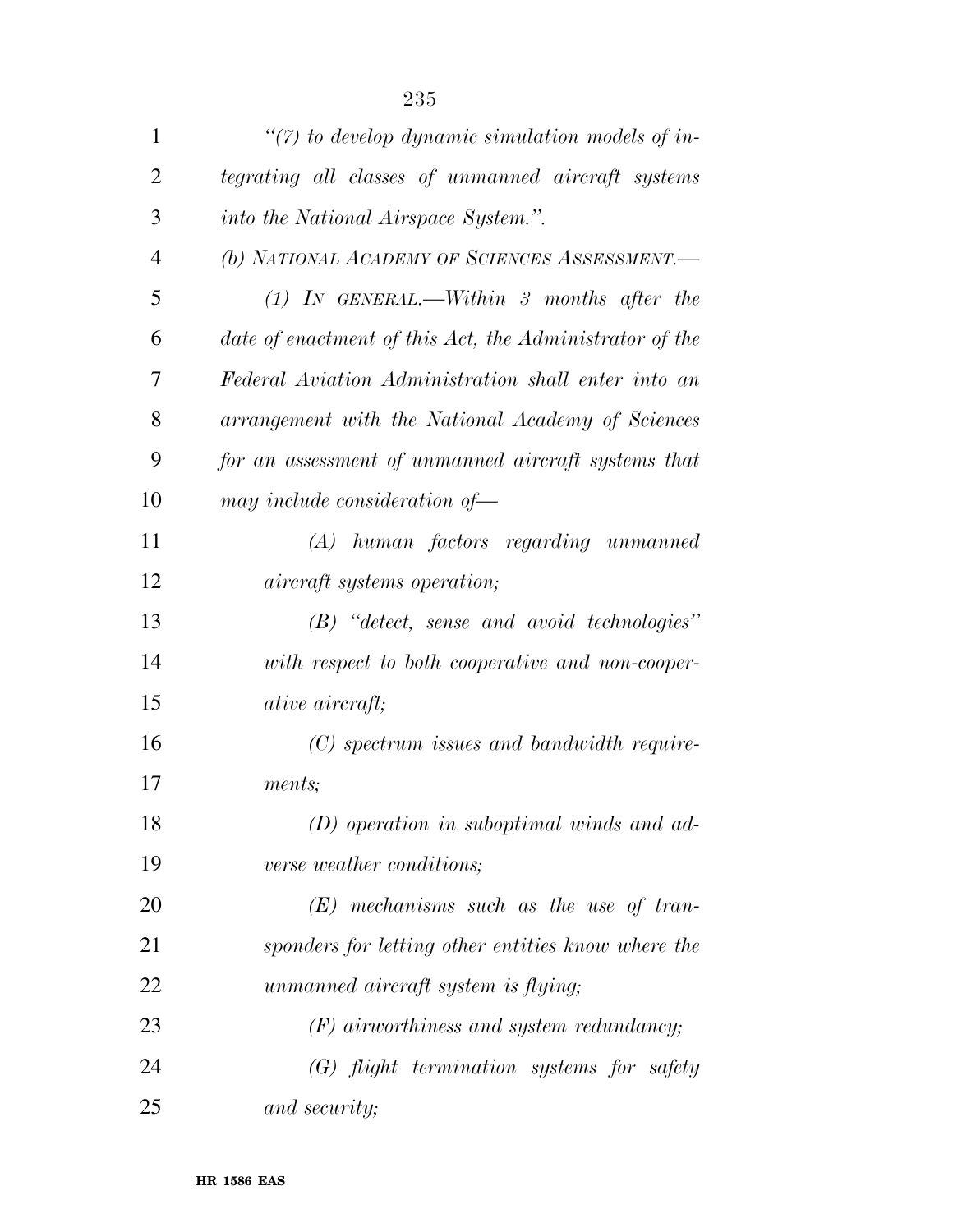| $\mathbf{1}$   | $\lq(7)$ to develop dynamic simulation models of in-    |
|----------------|---------------------------------------------------------|
| $\overline{2}$ | tegrating all classes of unmanned aircraft systems      |
| 3              | into the National Airspace System.".                    |
| $\overline{4}$ | (b) NATIONAL ACADEMY OF SCIENCES ASSESSMENT.            |
| 5              | $(1)$ IN GENERAL.—Within 3 months after the             |
| 6              | date of enactment of this Act, the Administrator of the |
| 7              | Federal Aviation Administration shall enter into an     |
| 8              | arrangement with the National Academy of Sciences       |
| 9              | for an assessment of unmanned aircraft systems that     |
| 10             | may include consideration of-                           |
| 11             | (A) human factors regarding unmanned                    |
| 12             | <i>aircraft systems operation;</i>                      |
| 13             | (B) "detect, sense and avoid technologies"              |
| 14             | with respect to both cooperative and non-cooper-        |
| 15             | <i>ative aircraft;</i>                                  |
| 16             | (C) spectrum issues and bandwidth require-              |
| 17             | ments;                                                  |
| 18             | $(D)$ operation in suboptimal winds and ad-             |
| 19             | verse weather conditions;                               |
| 20             | $(E)$ mechanisms such as the use of tran-               |
| 21             | sponders for letting other entities know where the      |
| 22             | unmanned aircraft system is flying;                     |
| 23             | $(F)$ airworthiness and system redundancy;              |
| 24             | $(G)$ flight termination systems for safety             |
| 25             | and security;                                           |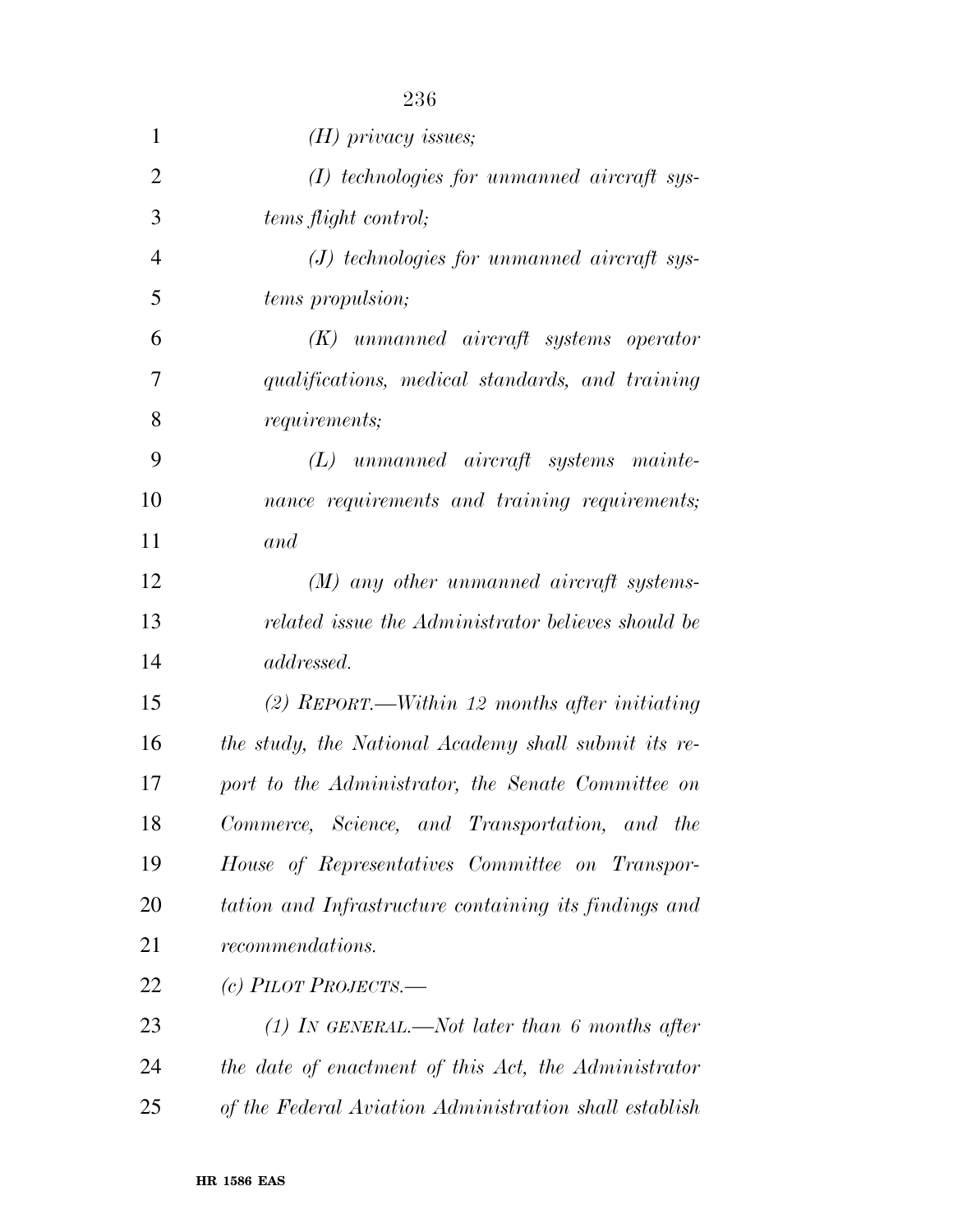|                | 236                                                    |
|----------------|--------------------------------------------------------|
| 1              | $(H)$ privacy issues;                                  |
| $\overline{2}$ | $(I)$ technologies for unmanned aircraft sys-          |
| 3              | tems flight control;                                   |
| $\overline{4}$ | $(J)$ technologies for unmanned aircraft sys-          |
| 5              | tems propulsion;                                       |
| 6              | $(K)$ unmanned aircraft systems operator               |
| 7              | qualifications, medical standards, and training        |
| 8              | requirements;                                          |
| 9              | $(L)$ unmanned aircraft systems mainte-                |
| 10             | nance requirements and training requirements;          |
| 11             | and                                                    |
| 12             | $(M)$ any other unmanned aircraft systems-             |
| 13             | related issue the Administrator believes should be     |
| 14             | <i>addressed.</i>                                      |
| 15             | (2) REPORT.—Within 12 months after initiating          |
| 16             | the study, the National Academy shall submit its re-   |
| 17             | port to the Administrator, the Senate Committee on     |
| 18             | Commerce, Science, and Transportation, and the         |
| 19             | House of Representatives Committee on Transpor-        |
| 20             | tation and Infrastructure containing its findings and  |
| 21             | recommendations.                                       |
| 22             | (c) PILOT PROJECTS.—                                   |
| 23             | (1) In GENERAL.—Not later than 6 months after          |
| 24             | the date of enactment of this Act, the Administrator   |
| 25             | of the Federal Aviation Administration shall establish |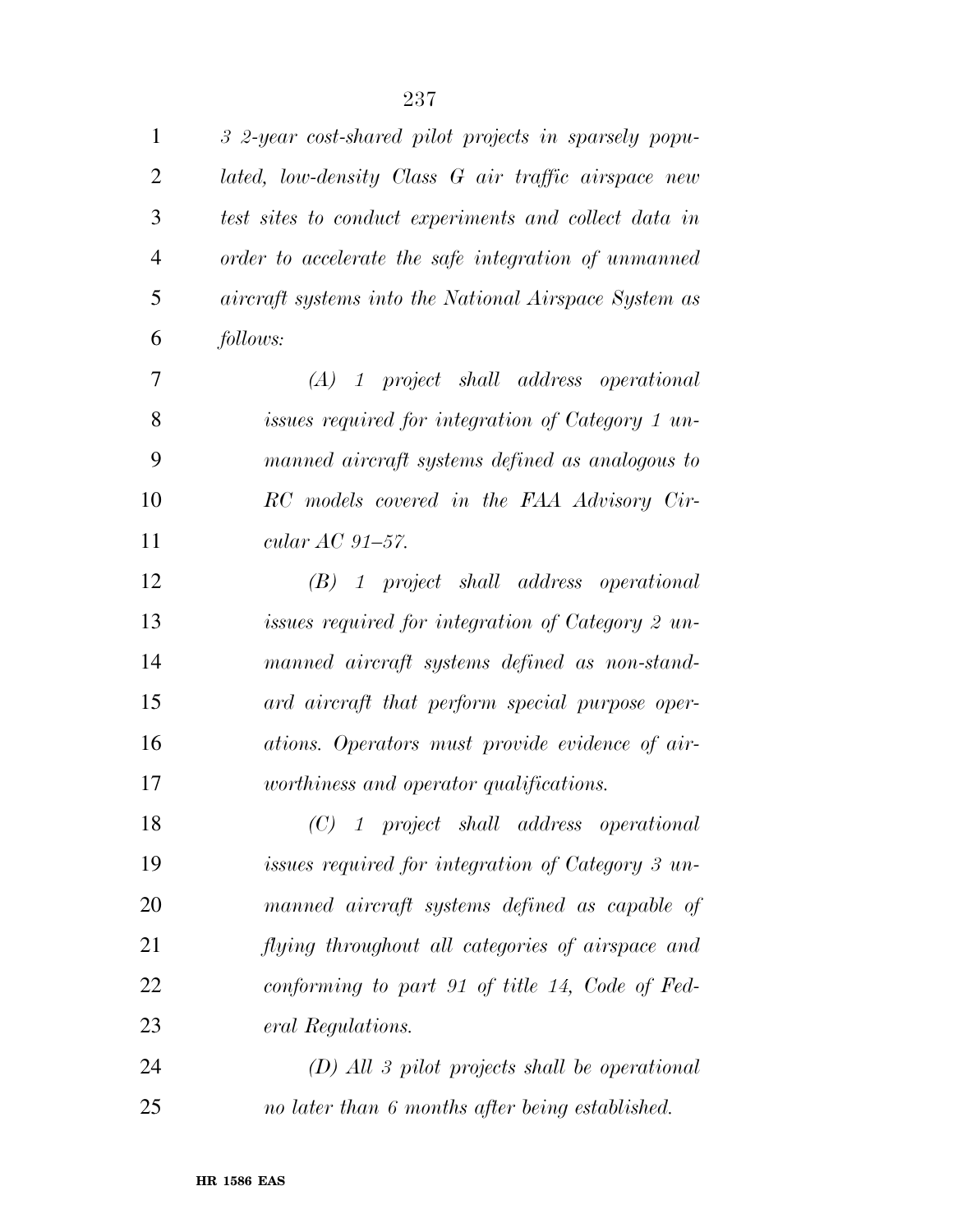| $\mathbf{1}$   | 3 2-year cost-shared pilot projects in sparsely popu- |
|----------------|-------------------------------------------------------|
| $\overline{2}$ | lated, low-density Class G air traffic airspace new   |
| 3              | test sites to conduct experiments and collect data in |
| $\overline{4}$ | order to accelerate the safe integration of unmanned  |
| 5              | aircraft systems into the National Airspace System as |
| 6              | follows:                                              |
| 7              | $(A)$ 1 project shall address operational             |
| 8              | issues required for integration of Category 1 un-     |
| 9              | manned aircraft systems defined as analogous to       |
| 10             | RC models covered in the FAA Advisory Cir-            |
| 11             | cular $AC$ 91–57.                                     |
| 12             | $(B)$ 1 project shall address operational             |
| 13             | issues required for integration of Category 2 un-     |
| 14             | manned aircraft systems defined as non-stand-         |
| 15             | ard aircraft that perform special purpose oper-       |
| 16             | ations. Operators must provide evidence of air-       |
| 17             | worthiness and operator qualifications.               |
| 18             | $(C)$ 1 project shall address operational             |
| 19             | issues required for integration of Category 3 un-     |
| 20             | manned aircraft systems defined as capable of         |
| 21             | flying throughout all categories of airspace and      |
| 22             | conforming to part 91 of title 14, Code of Fed-       |
| 23             | eral Regulations.                                     |
| 24             | $(D)$ All 3 pilot projects shall be operational       |
| 25             | no later than 6 months after being established.       |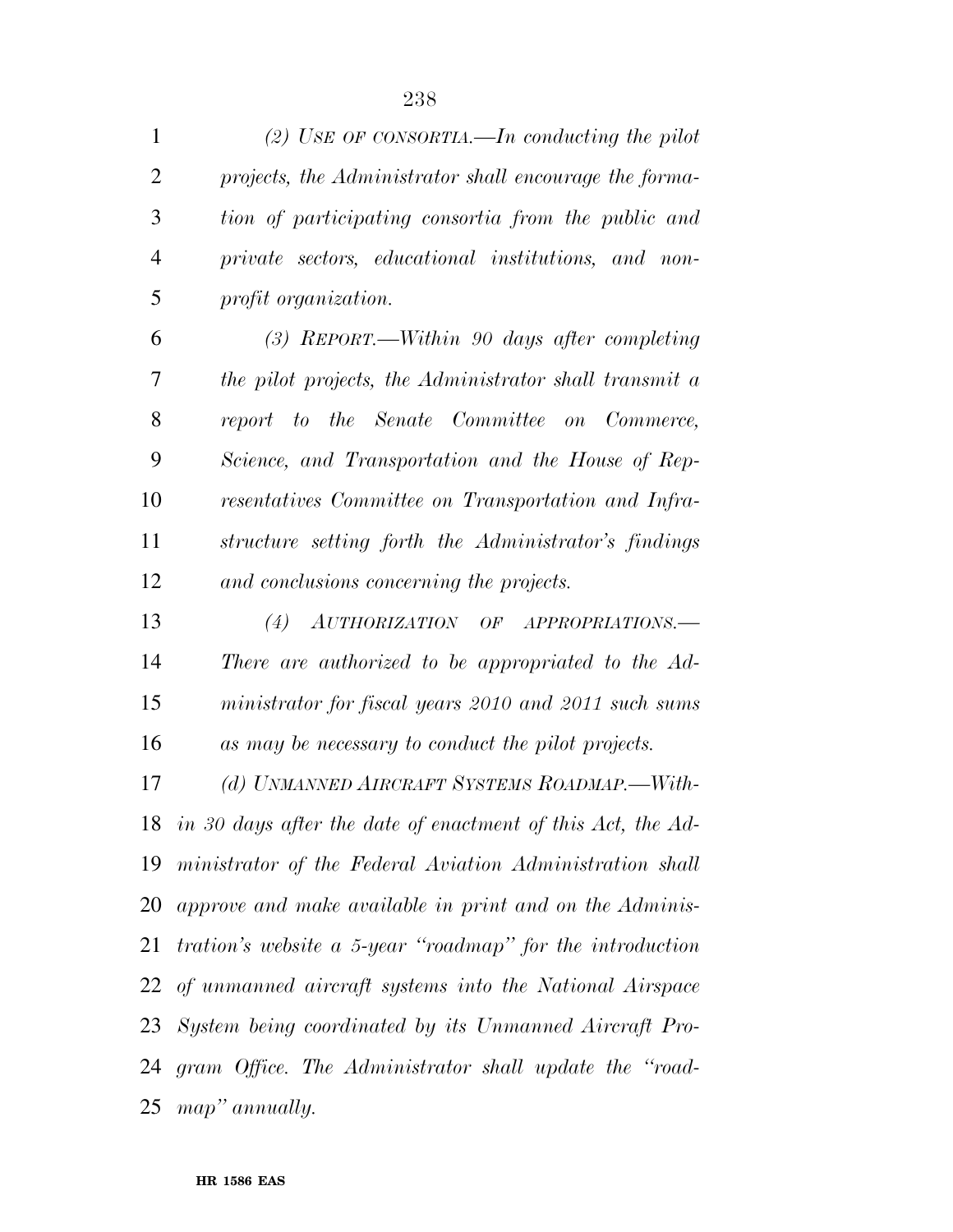*(2) USE OF CONSORTIA.—In conducting the pilot projects, the Administrator shall encourage the forma- tion of participating consortia from the public and private sectors, educational institutions, and non-profit organization.* 

 *(3) REPORT.—Within 90 days after completing the pilot projects, the Administrator shall transmit a report to the Senate Committee on Commerce, Science, and Transportation and the House of Rep- resentatives Committee on Transportation and Infra- structure setting forth the Administrator's findings and conclusions concerning the projects.* 

 *(4) AUTHORIZATION OF APPROPRIATIONS.— There are authorized to be appropriated to the Ad- ministrator for fiscal years 2010 and 2011 such sums as may be necessary to conduct the pilot projects.* 

 *(d) UNMANNED AIRCRAFT SYSTEMS ROADMAP.—With- in 30 days after the date of enactment of this Act, the Ad- ministrator of the Federal Aviation Administration shall approve and make available in print and on the Adminis- tration's website a 5-year ''roadmap'' for the introduction of unmanned aircraft systems into the National Airspace System being coordinated by its Unmanned Aircraft Pro- gram Office. The Administrator shall update the ''road-map'' annually.*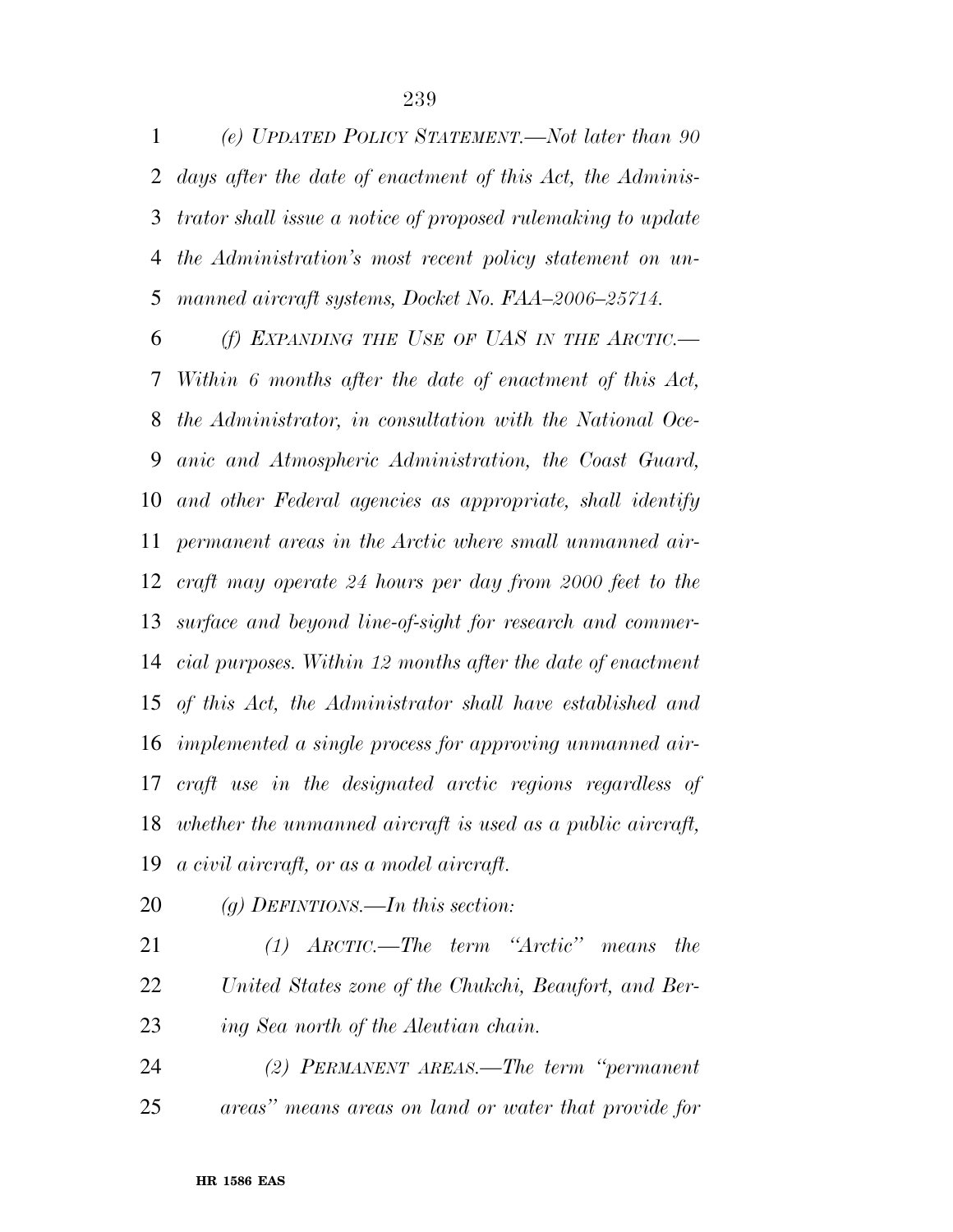*(e) UPDATED POLICY STATEMENT.—Not later than 90 days after the date of enactment of this Act, the Adminis- trator shall issue a notice of proposed rulemaking to update the Administration's most recent policy statement on un-manned aircraft systems, Docket No. FAA–2006–25714.* 

 *(f) EXPANDING THE USE OF UAS IN THE ARCTIC.— Within 6 months after the date of enactment of this Act, the Administrator, in consultation with the National Oce- anic and Atmospheric Administration, the Coast Guard, and other Federal agencies as appropriate, shall identify permanent areas in the Arctic where small unmanned air- craft may operate 24 hours per day from 2000 feet to the surface and beyond line-of-sight for research and commer- cial purposes. Within 12 months after the date of enactment of this Act, the Administrator shall have established and implemented a single process for approving unmanned air- craft use in the designated arctic regions regardless of whether the unmanned aircraft is used as a public aircraft, a civil aircraft, or as a model aircraft.* 

*(g) DEFINTIONS.—In this section:* 

 *(1) ARCTIC.—The term ''Arctic'' means the United States zone of the Chukchi, Beaufort, and Ber-ing Sea north of the Aleutian chain.* 

 *(2) PERMANENT AREAS.—The term ''permanent areas'' means areas on land or water that provide for*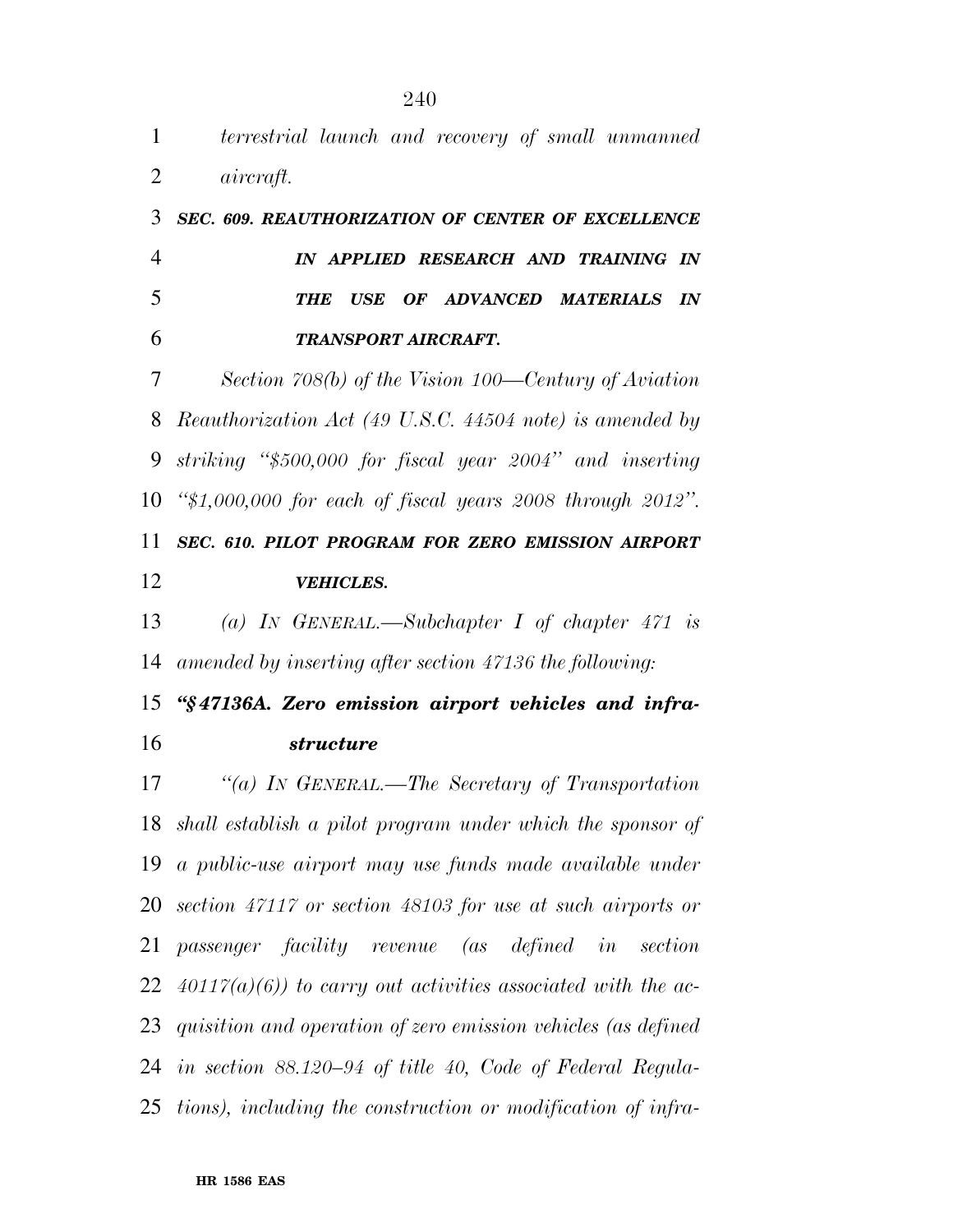*terrestrial launch and recovery of small unmanned aircraft. SEC. 609. REAUTHORIZATION OF CENTER OF EXCELLENCE IN APPLIED RESEARCH AND TRAINING IN THE USE OF ADVANCED MATERIALS IN TRANSPORT AIRCRAFT. Section 708(b) of the Vision 100—Century of Aviation Reauthorization Act (49 U.S.C. 44504 note) is amended by striking ''\$500,000 for fiscal year 2004'' and inserting ''\$1,000,000 for each of fiscal years 2008 through 2012''. SEC. 610. PILOT PROGRAM FOR ZERO EMISSION AIRPORT VEHICLES. (a) IN GENERAL.—Subchapter I of chapter 471 is amended by inserting after section 47136 the following: ''§ 47136A. Zero emission airport vehicles and infra- structure ''(a) IN GENERAL.—The Secretary of Transportation shall establish a pilot program under which the sponsor of a public-use airport may use funds made available under section 47117 or section 48103 for use at such airports or passenger facility revenue (as defined in section 40117(a)(6)) to carry out activities associated with the ac- quisition and operation of zero emission vehicles (as defined in section 88.120–94 of title 40, Code of Federal Regula-tions), including the construction or modification of infra-*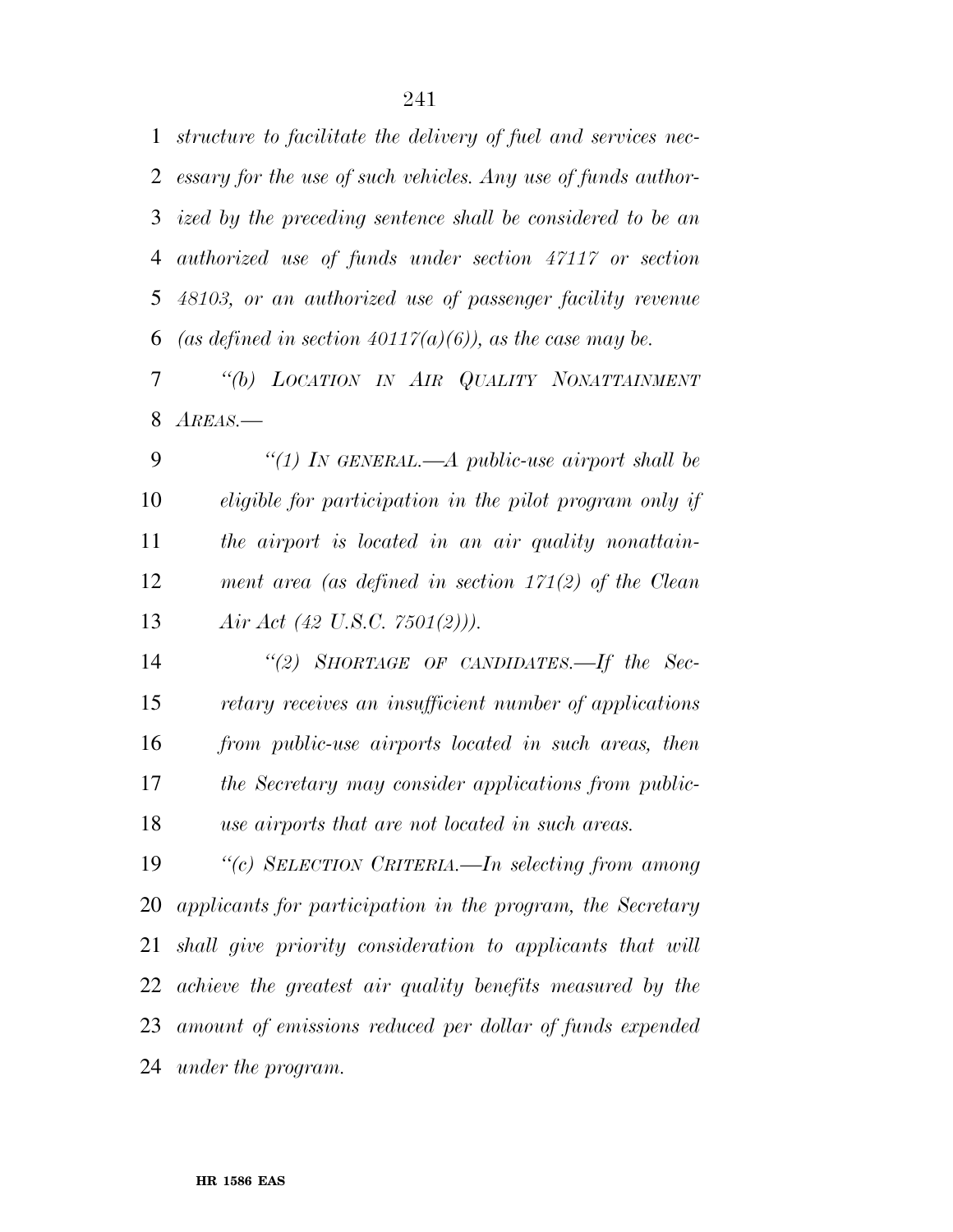*structure to facilitate the delivery of fuel and services nec- essary for the use of such vehicles. Any use of funds author- ized by the preceding sentence shall be considered to be an authorized use of funds under section 47117 or section 48103, or an authorized use of passenger facility revenue (as defined in section 40117(a)(6))*, *as the case may be.* 

 *''(b) LOCATION IN AIR QUALITY NONATTAINMENT AREAS.—* 

 *''(1) IN GENERAL.—A public-use airport shall be eligible for participation in the pilot program only if the airport is located in an air quality nonattain- ment area (as defined in section 171(2) of the Clean Air Act (42 U.S.C. 7501(2))).* 

 *''(2) SHORTAGE OF CANDIDATES.—If the Sec- retary receives an insufficient number of applications from public-use airports located in such areas, then the Secretary may consider applications from public-use airports that are not located in such areas.* 

 *''(c) SELECTION CRITERIA.—In selecting from among applicants for participation in the program, the Secretary shall give priority consideration to applicants that will achieve the greatest air quality benefits measured by the amount of emissions reduced per dollar of funds expended under the program.*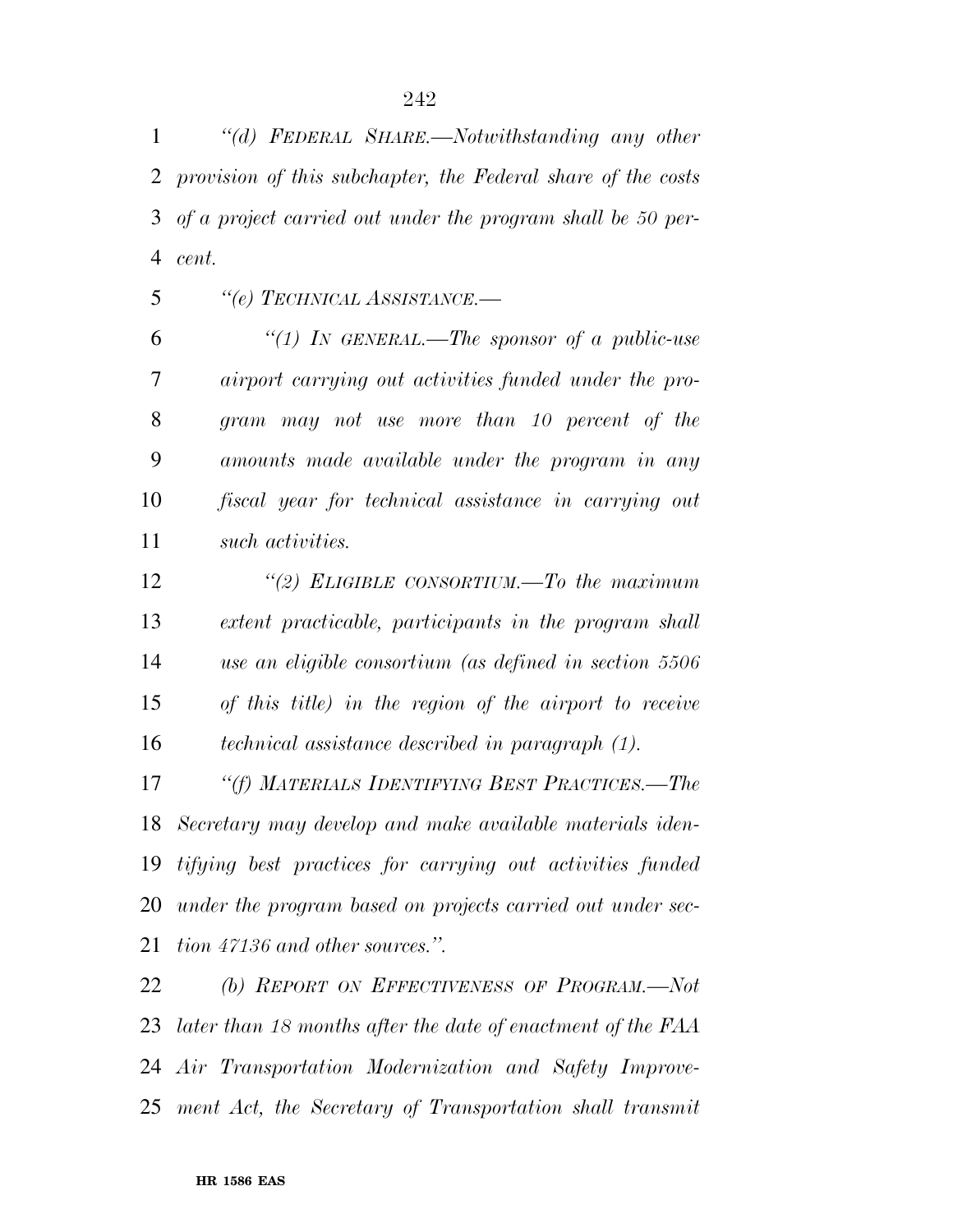*''(d) FEDERAL SHARE.—Notwithstanding any other provision of this subchapter, the Federal share of the costs of a project carried out under the program shall be 50 per-cent.* 

 *''(1) IN GENERAL.—The sponsor of a public-use airport carrying out activities funded under the pro- gram may not use more than 10 percent of the amounts made available under the program in any fiscal year for technical assistance in carrying out such activities.* 

*''(e) TECHNICAL ASSISTANCE.—* 

 *''(2) ELIGIBLE CONSORTIUM.—To the maximum extent practicable, participants in the program shall use an eligible consortium (as defined in section 5506 of this title) in the region of the airport to receive technical assistance described in paragraph (1).* 

 *''(f) MATERIALS IDENTIFYING BEST PRACTICES.—The Secretary may develop and make available materials iden- tifying best practices for carrying out activities funded under the program based on projects carried out under sec-tion 47136 and other sources.''.* 

 *(b) REPORT ON EFFECTIVENESS OF PROGRAM.—Not later than 18 months after the date of enactment of the FAA Air Transportation Modernization and Safety Improve-ment Act, the Secretary of Transportation shall transmit*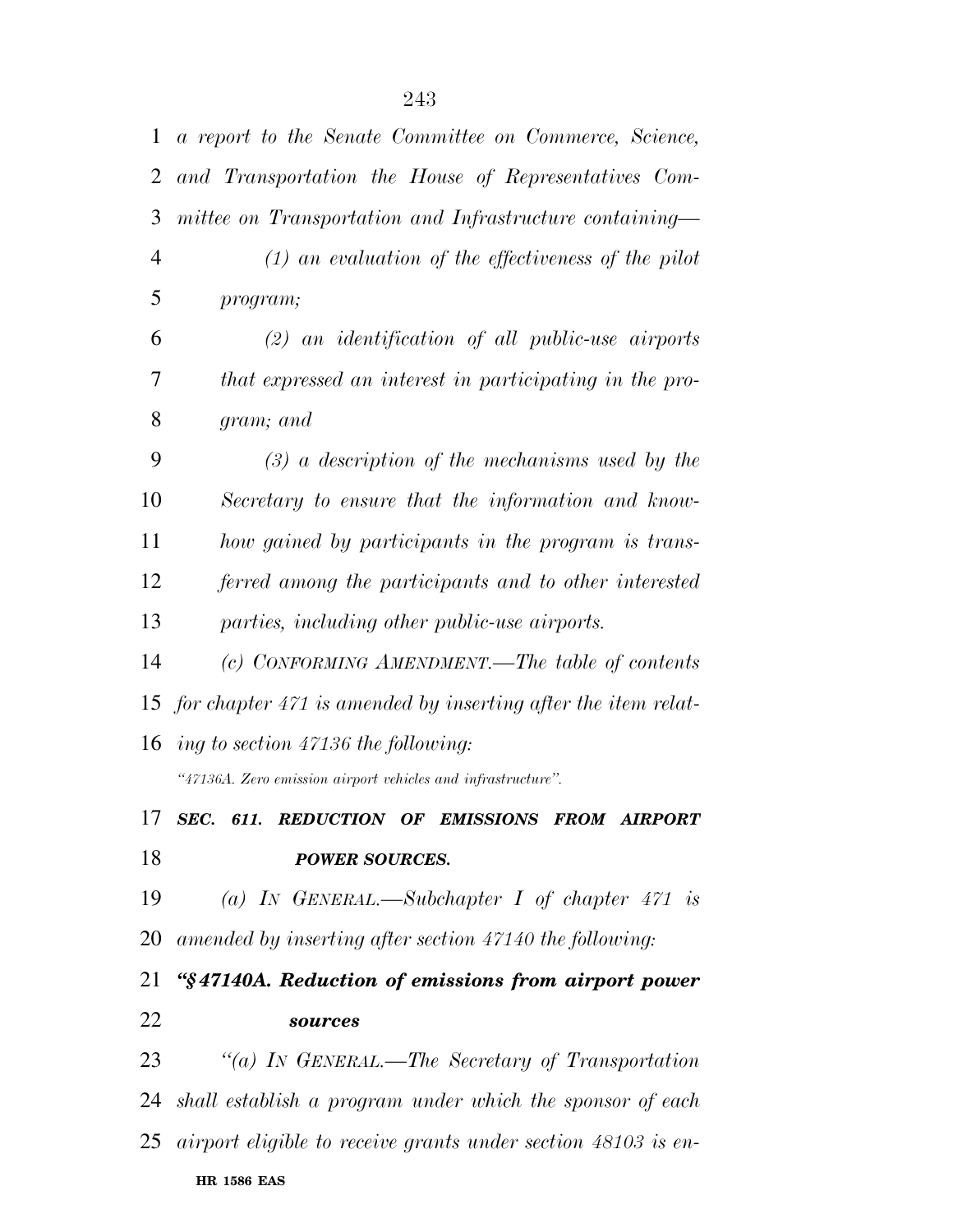*a report to the Senate Committee on Commerce, Science, and Transportation the House of Representatives Com- mittee on Transportation and Infrastructure containing— (1) an evaluation of the effectiveness of the pilot program; (2) an identification of all public-use airports that expressed an interest in participating in the pro- gram; and (3) a description of the mechanisms used by the Secretary to ensure that the information and know- how gained by participants in the program is trans- ferred among the participants and to other interested parties, including other public-use airports. (c) CONFORMING AMENDMENT.—The table of contents for chapter 471 is amended by inserting after the item relat- ing to section 47136 the following: ''47136A. Zero emission airport vehicles and infrastructure''. SEC. 611. REDUCTION OF EMISSIONS FROM AIRPORT POWER SOURCES. (a) IN GENERAL.—Subchapter I of chapter 471 is amended by inserting after section 47140 the following: ''§ 47140A. Reduction of emissions from airport power sources ''(a) IN GENERAL.—The Secretary of Transportation shall establish a program under which the sponsor of each airport eligible to receive grants under section 48103 is en-*

#### **HR 1586 EAS**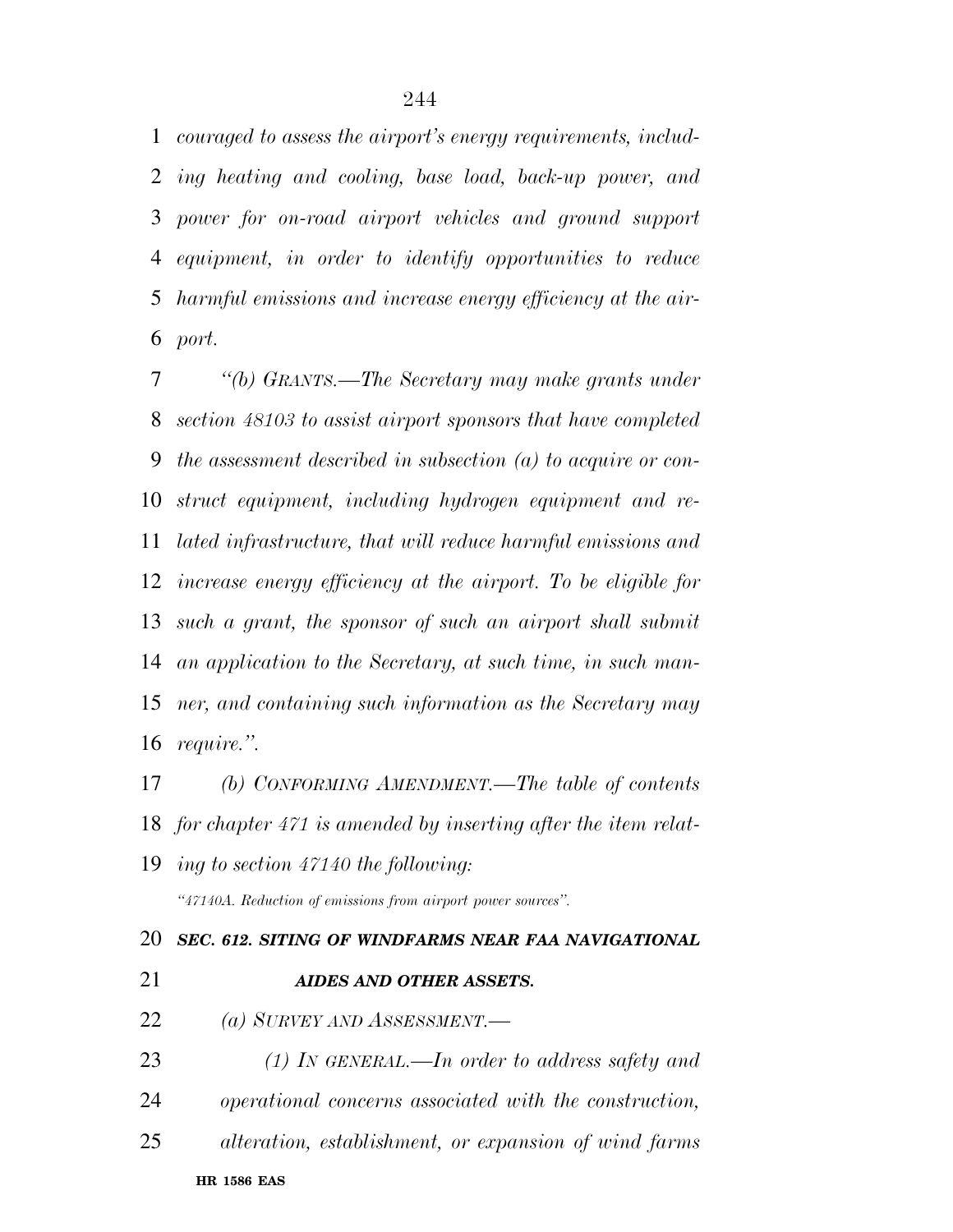*couraged to assess the airport's energy requirements, includ- ing heating and cooling, base load, back-up power, and power for on-road airport vehicles and ground support equipment, in order to identify opportunities to reduce harmful emissions and increase energy efficiency at the air-port.* 

 *''(b) GRANTS.—The Secretary may make grants under section 48103 to assist airport sponsors that have completed the assessment described in subsection (a) to acquire or con- struct equipment, including hydrogen equipment and re- lated infrastructure, that will reduce harmful emissions and increase energy efficiency at the airport. To be eligible for such a grant, the sponsor of such an airport shall submit an application to the Secretary, at such time, in such man- ner, and containing such information as the Secretary may require.''.* 

 *(b) CONFORMING AMENDMENT.—The table of contents for chapter 471 is amended by inserting after the item relat-*

 *ing to section 47140 the following: ''47140A. Reduction of emissions from airport power sources''.* 

### *SEC. 612. SITING OF WINDFARMS NEAR FAA NAVIGATIONAL*

**HR 1586 EAS**  *AIDES AND OTHER ASSETS. (a) SURVEY AND ASSESSMENT.— (1) IN GENERAL.—In order to address safety and operational concerns associated with the construction, alteration, establishment, or expansion of wind farms*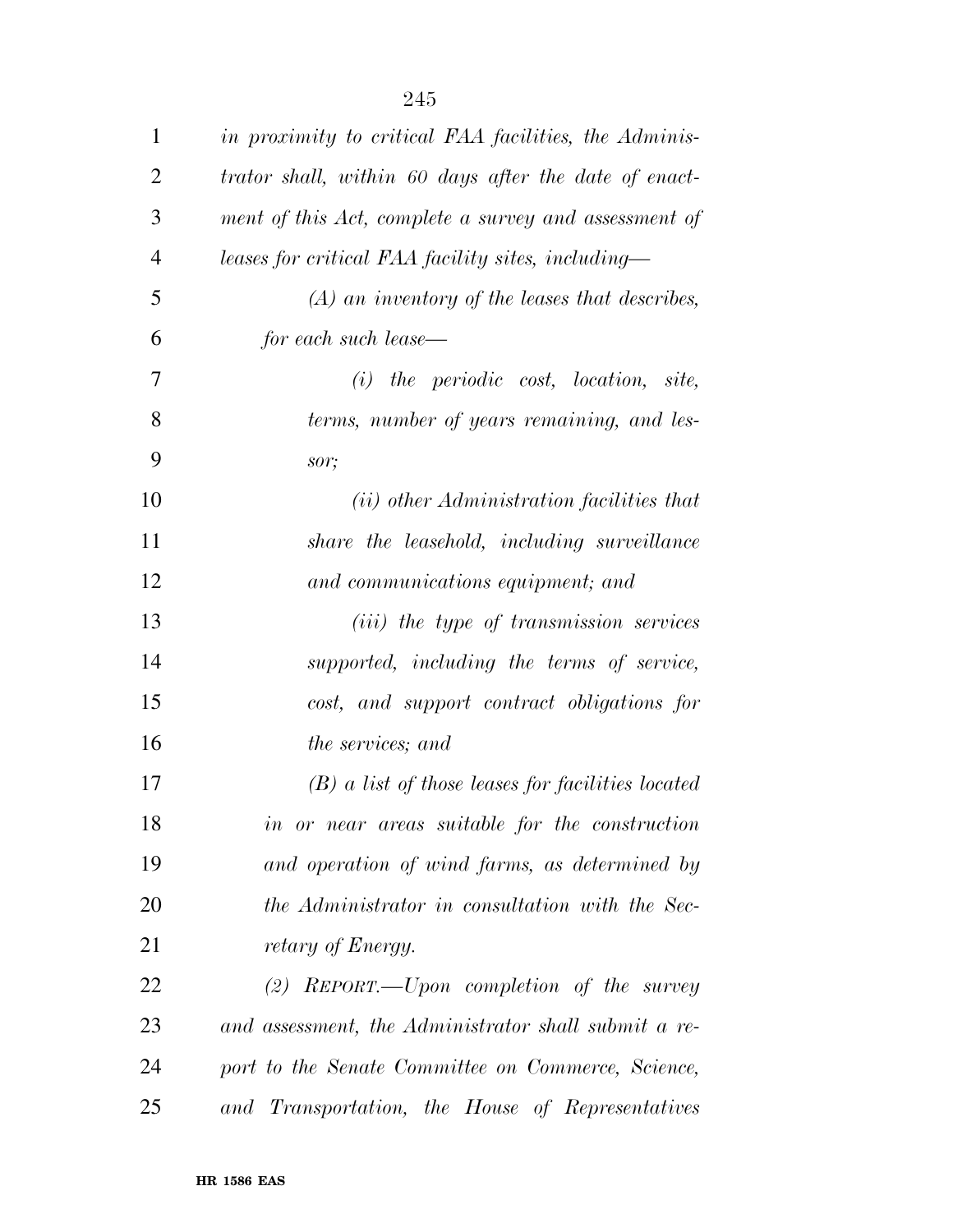| $\mathbf{1}$   | in proximity to critical FAA facilities, the Adminis- |
|----------------|-------------------------------------------------------|
| $\overline{2}$ | trator shall, within 60 days after the date of enact- |
| 3              | ment of this Act, complete a survey and assessment of |
| $\overline{4}$ | leases for critical FAA facility sites, including—    |
| 5              | $(A)$ an inventory of the leases that describes,      |
| 6              | for each such lease—                                  |
| 7              | $(i)$ the periodic cost, location, site,              |
| 8              | terms, number of years remaining, and les-            |
| 9              | sor;                                                  |
| 10             | (ii) other Administration facilities that             |
| 11             | share the leasehold, including surveillance           |
| 12             | and communications equipment; and                     |
| 13             | (iii) the type of transmission services               |
| 14             | supported, including the terms of service,            |
| 15             | cost, and support contract obligations for            |
| 16             | the services; and                                     |
| 17             | $(B)$ a list of those leases for facilities located   |
| 18             | in or near areas suitable for the construction        |
| 19             | and operation of wind farms, as determined by         |
| 20             | the Administrator in consultation with the Sec-       |
| 21             | retary of Energy.                                     |
| 22             | $(2)$ REPORT.—Upon completion of the survey           |
| 23             | and assessment, the Administrator shall submit a re-  |
| 24             | port to the Senate Committee on Commerce, Science,    |
| 25             | and Transportation, the House of Representatives      |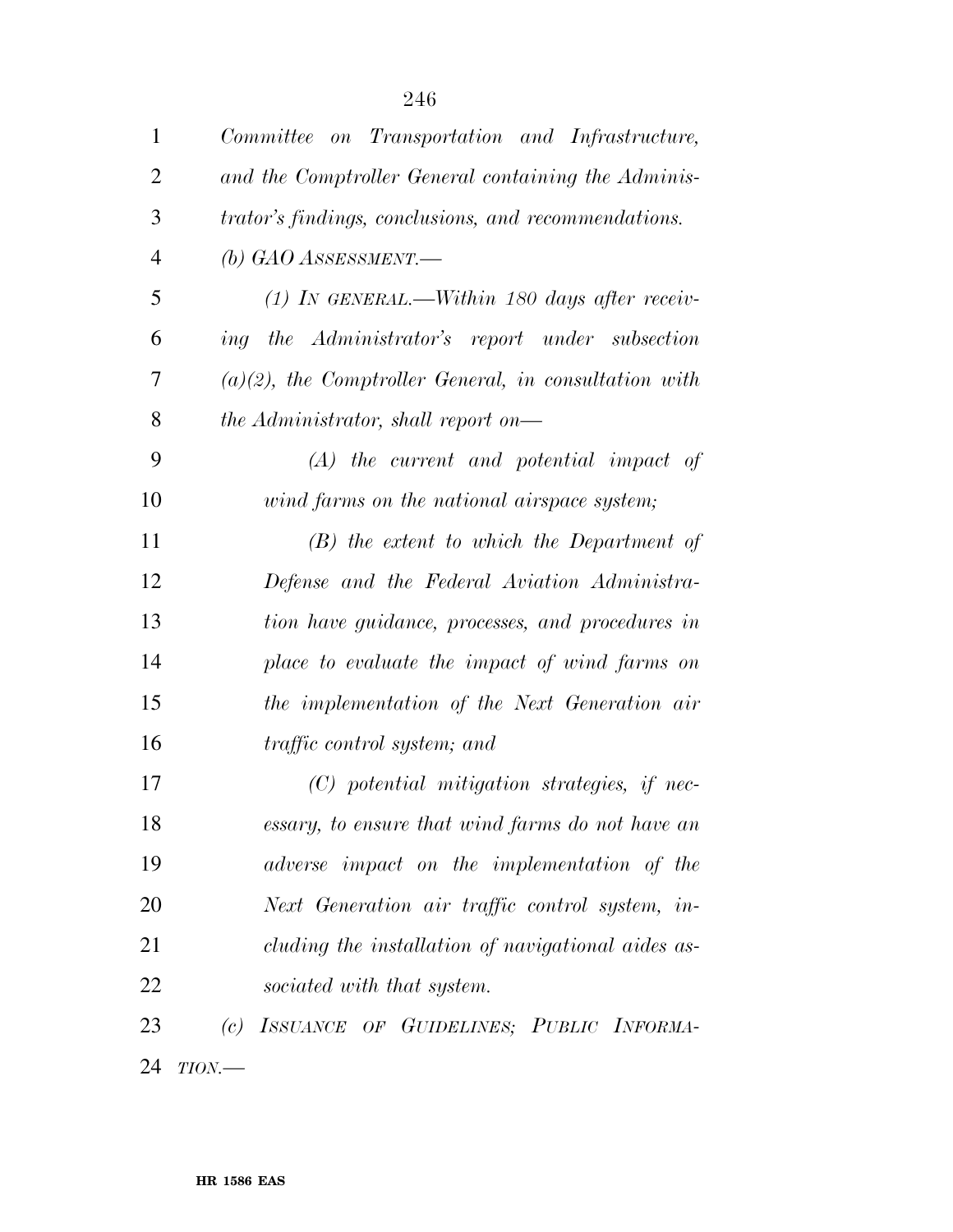| $\mathbf{1}$   | Committee on Transportation and Infrastructure,          |
|----------------|----------------------------------------------------------|
| $\overline{2}$ | and the Comptroller General containing the Adminis-      |
| 3              | trator's findings, conclusions, and recommendations.     |
| $\overline{4}$ | (b) GAO ASSESSMENT.—                                     |
| 5              | $(1)$ In GENERAL.—Within 180 days after receiv-          |
| 6              | the Administrator's report under subsection<br>ing       |
| 7              | $(a)(2)$ , the Comptroller General, in consultation with |
| 8              | the Administrator, shall report on—                      |
| 9              | $(A)$ the current and potential impact of                |
| 10             | wind farms on the national airspace system;              |
| 11             | $(B)$ the extent to which the Department of              |
| 12             | Defense and the Federal Aviation Administra-             |
| 13             | tion have guidance, processes, and procedures in         |
| 14             | place to evaluate the impact of wind farms on            |
| 15             | the implementation of the Next Generation air            |
| 16             | <i>traffic control system; and</i>                       |
| 17             | $(C)$ potential mitigation strategies, if nec-           |
| 18             | essary, to ensure that wind farms do not have an         |
| 19             | adverse impact on the implementation of the              |
| 20             | Next Generation air traffic control system, in-          |
| 21             | cluding the installation of navigational aides as-       |
| 22             | sociated with that system.                               |
| 23             | (c) ISSUANCE OF GUIDELINES; PUBLIC INFORMA-              |
| 24             | $TION$ —                                                 |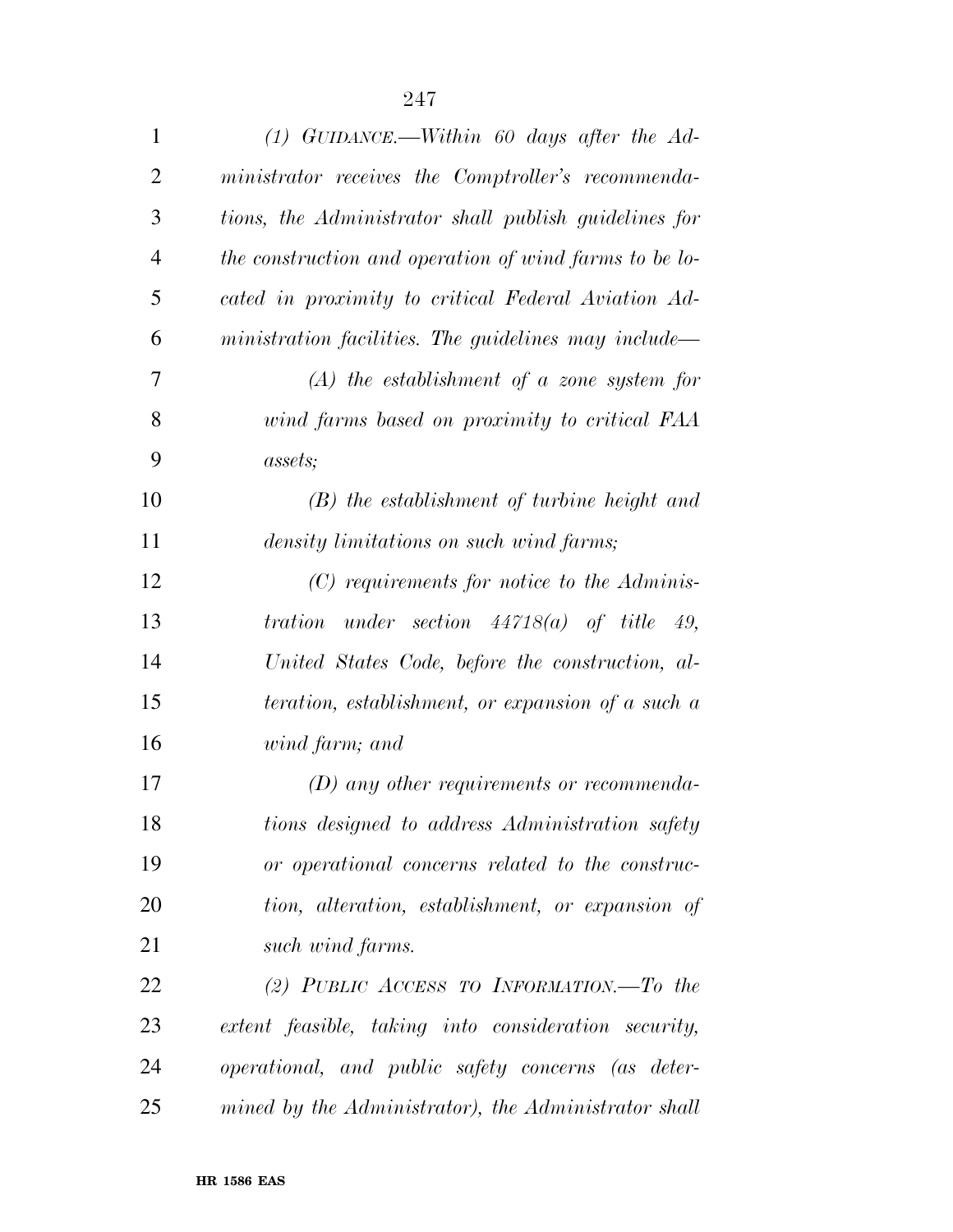| $\mathbf{1}$   | (1) GUIDANCE.—Within 60 days after the Ad-             |
|----------------|--------------------------------------------------------|
| $\overline{2}$ | ministrator receives the Comptroller's recommenda-     |
| 3              | tions, the Administrator shall publish guidelines for  |
| $\overline{4}$ | the construction and operation of wind farms to be lo- |
| 5              | cated in proximity to critical Federal Aviation Ad-    |
| 6              | ministration facilities. The guidelines may include—   |
| 7              | $(A)$ the establishment of a zone system for           |
| 8              | wind farms based on proximity to critical FAA          |
| 9              | assets;                                                |
| 10             | $(B)$ the establishment of turbine height and          |
| 11             | density limitations on such wind farms;                |
| 12             | $(C)$ requirements for notice to the Adminis-          |
| 13             | under section $44718(a)$ of title 49,<br>tration       |
| 14             | United States Code, before the construction, al-       |
| 15             | teration, establishment, or expansion of a such a      |
| 16             | wind farm; and                                         |
| 17             | $(D)$ any other requirements or recommenda-            |
| 18             | tions designed to address Administration safety        |
| 19             | or operational concerns related to the construc-       |
| 20             | tion, alteration, establishment, or expansion of       |
| 21             | such wind farms.                                       |
| 22             | (2) PUBLIC ACCESS TO INFORMATION.—To the               |
| 23             | extent feasible, taking into consideration security,   |
| 24             | operational, and public safety concerns (as deter-     |
| 25             | mined by the Administrator), the Administrator shall   |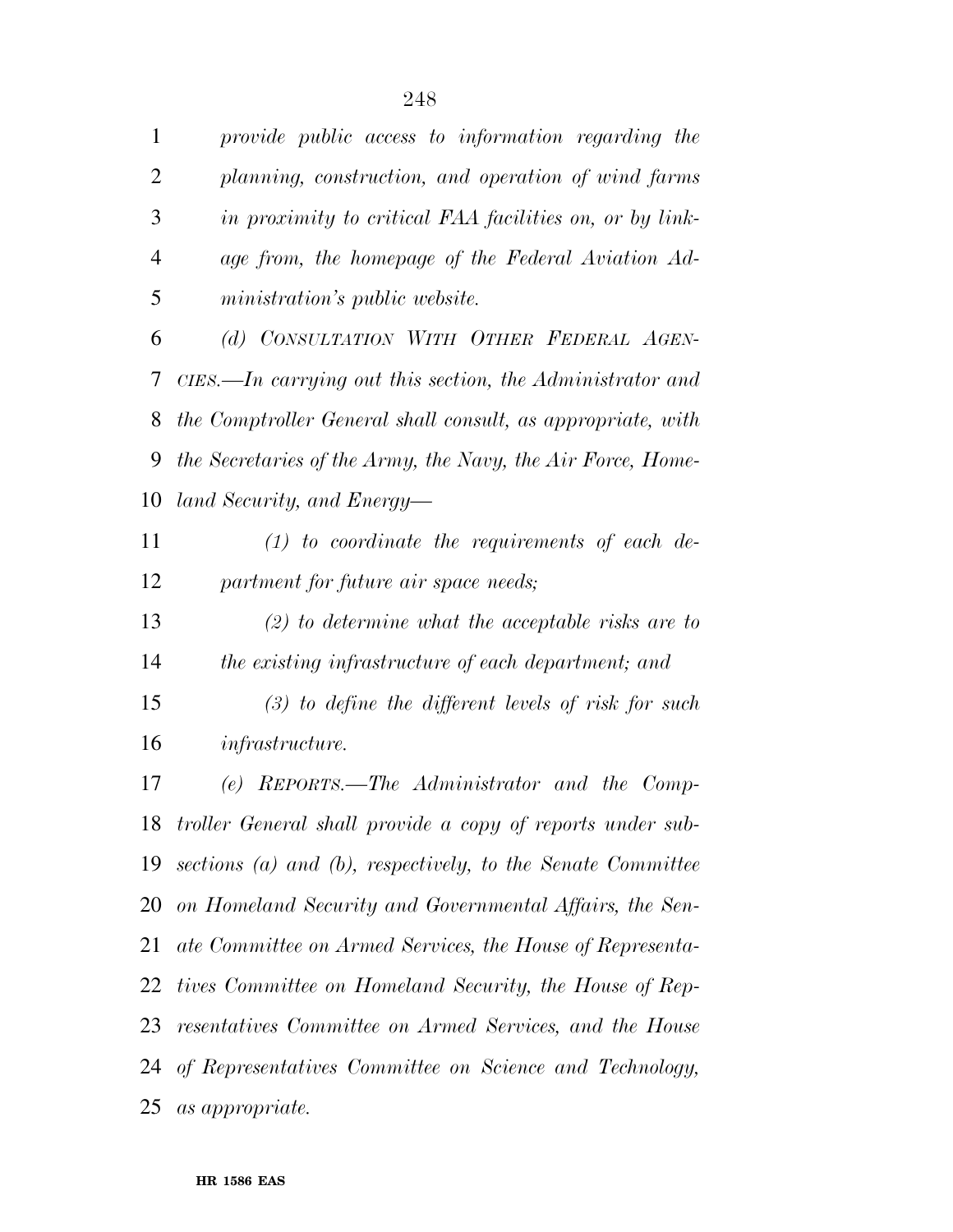*provide public access to information regarding the planning, construction, and operation of wind farms in proximity to critical FAA facilities on, or by link- age from, the homepage of the Federal Aviation Ad-ministration's public website.* 

 *(d) CONSULTATION WITH OTHER FEDERAL AGEN- CIES.—In carrying out this section, the Administrator and the Comptroller General shall consult, as appropriate, with the Secretaries of the Army, the Navy, the Air Force, Home-land Security, and Energy—* 

 *(1) to coordinate the requirements of each de-partment for future air space needs;* 

 *(2) to determine what the acceptable risks are to the existing infrastructure of each department; and* 

 *(3) to define the different levels of risk for such infrastructure.* 

 *(e) REPORTS.—The Administrator and the Comp- troller General shall provide a copy of reports under sub- sections (a) and (b), respectively, to the Senate Committee on Homeland Security and Governmental Affairs, the Sen- ate Committee on Armed Services, the House of Representa- tives Committee on Homeland Security, the House of Rep- resentatives Committee on Armed Services, and the House of Representatives Committee on Science and Technology, as appropriate.*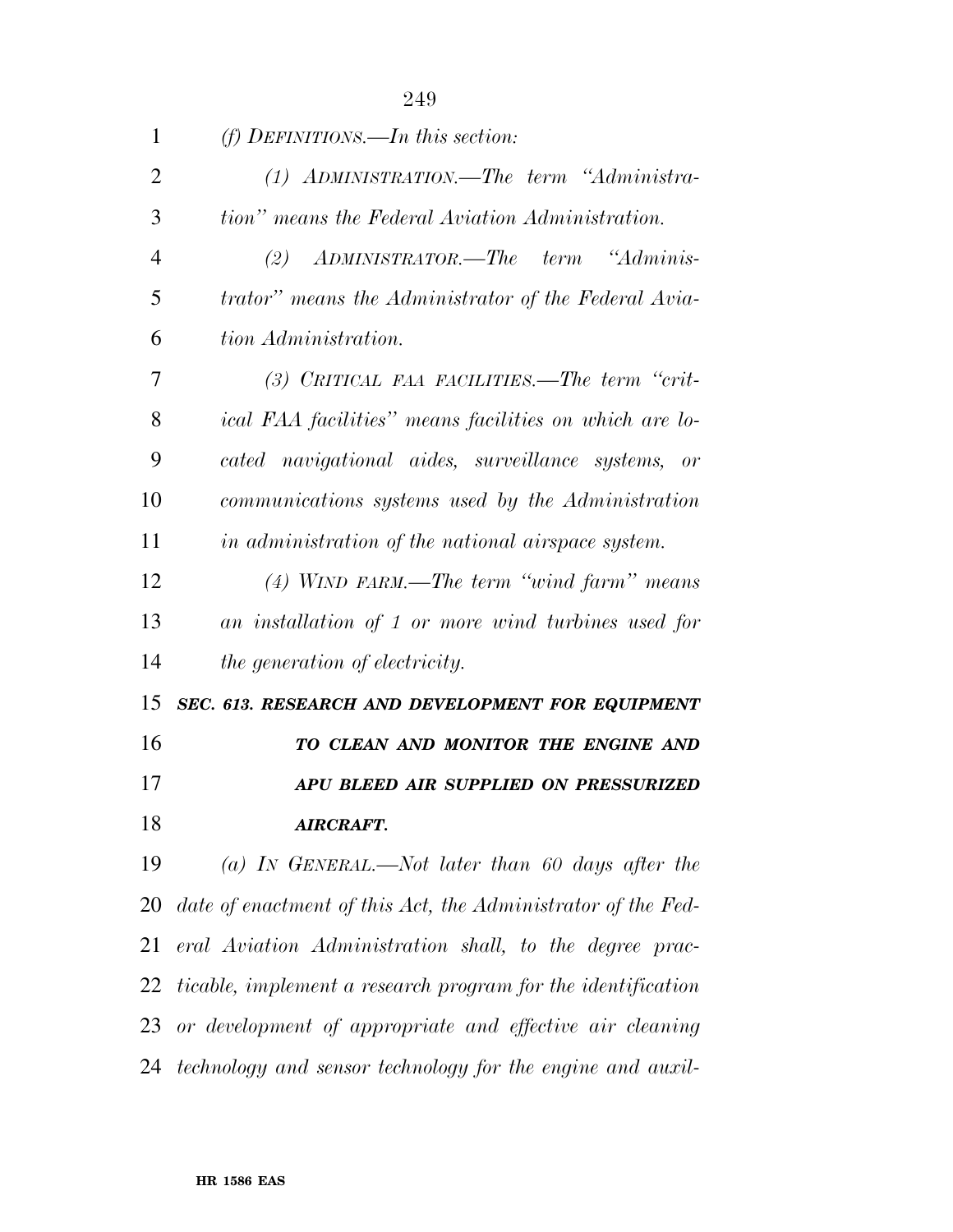| 1              | (f) DEFINITIONS.—In this section:                             |
|----------------|---------------------------------------------------------------|
| $\overline{2}$ | (1) ADMINISTRATION.—The term "Administra-                     |
| 3              | tion" means the Federal Aviation Administration.              |
| $\overline{4}$ | (2) ADMINISTRATOR.—The term "Adminis-                         |
| 5              | trator" means the Administrator of the Federal Avia-          |
| 6              | tion Administration.                                          |
| 7              | (3) CRITICAL FAA FACILITIES.—The term "crit-                  |
| 8              | ical FAA facilities" means facilities on which are lo-        |
| 9              | cated navigational aides, surveillance systems, or            |
| 10             | communications systems used by the Administration             |
| 11             | in administration of the national airspace system.            |
| 12             | $(4)$ WIND FARM.—The term "wind farm" means                   |
| 13             | an installation of 1 or more wind turbines used for           |
| 14             | the generation of electricity.                                |
| 15             | SEC. 613. RESEARCH AND DEVELOPMENT FOR EQUIPMENT              |
| 16             | TO CLEAN AND MONITOR THE ENGINE AND                           |
| 17             | APU BLEED AIR SUPPLIED ON PRESSURIZED                         |
| 18             | <b>AIRCRAFT.</b>                                              |
| 19             | (a) IN GENERAL.—Not later than 60 days after the              |
| 20             | date of enactment of this Act, the Administrator of the Fed-  |
| 21             | eral Aviation Administration shall, to the degree prac-       |
| 22             | ticable, implement a research program for the identification  |
|                | 23 or development of appropriate and effective air cleaning   |
|                | 24 technology and sensor technology for the engine and auxil- |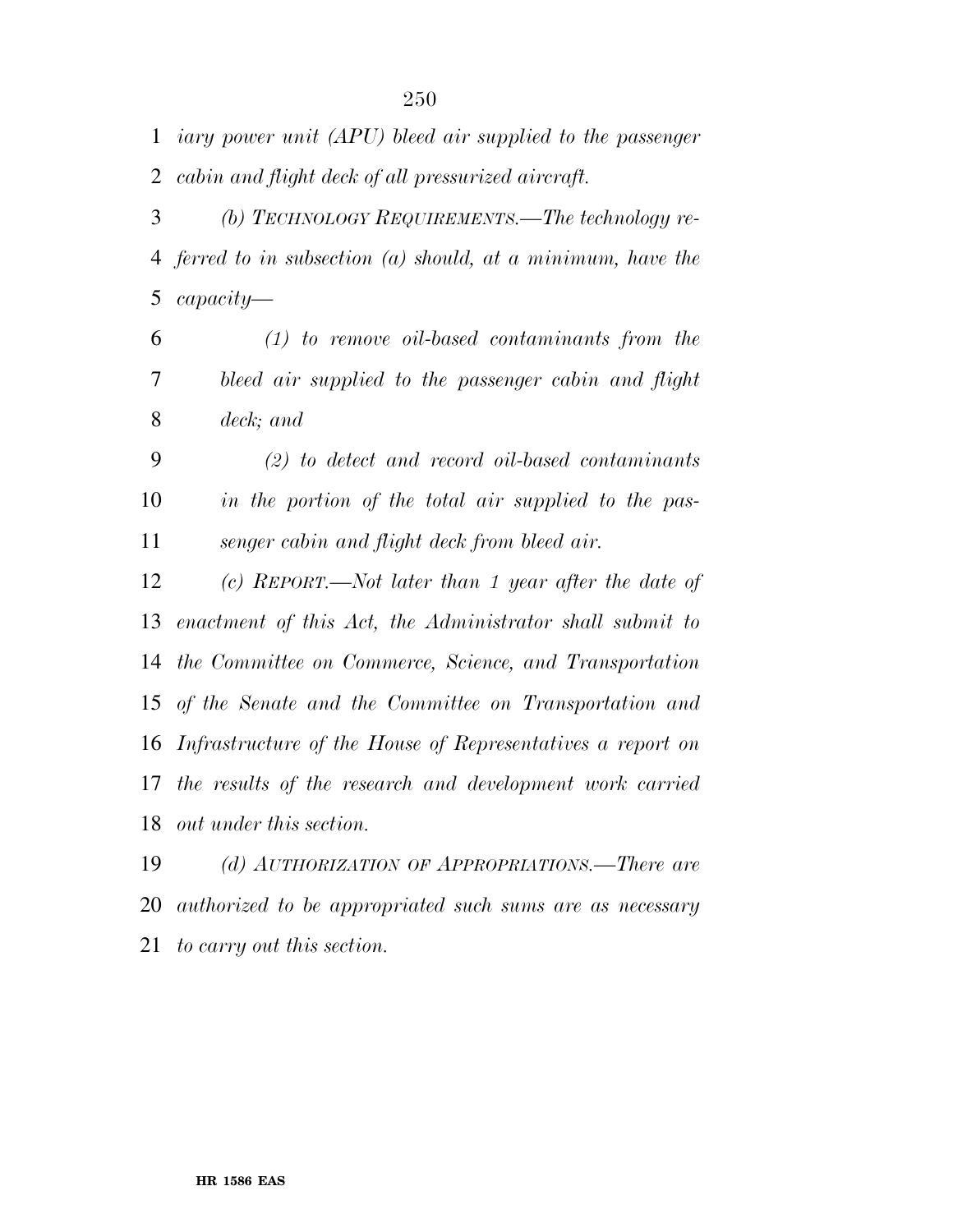*iary power unit (APU) bleed air supplied to the passenger cabin and flight deck of all pressurized aircraft.* 

 *(b) TECHNOLOGY REQUIREMENTS.—The technology re- ferred to in subsection (a) should, at a minimum, have the capacity—* 

 *(1) to remove oil-based contaminants from the bleed air supplied to the passenger cabin and flight deck; and* 

 *(2) to detect and record oil-based contaminants in the portion of the total air supplied to the pas-senger cabin and flight deck from bleed air.* 

 *(c) REPORT.—Not later than 1 year after the date of enactment of this Act, the Administrator shall submit to the Committee on Commerce, Science, and Transportation of the Senate and the Committee on Transportation and Infrastructure of the House of Representatives a report on the results of the research and development work carried out under this section.* 

 *(d) AUTHORIZATION OF APPROPRIATIONS.—There are authorized to be appropriated such sums are as necessary to carry out this section.*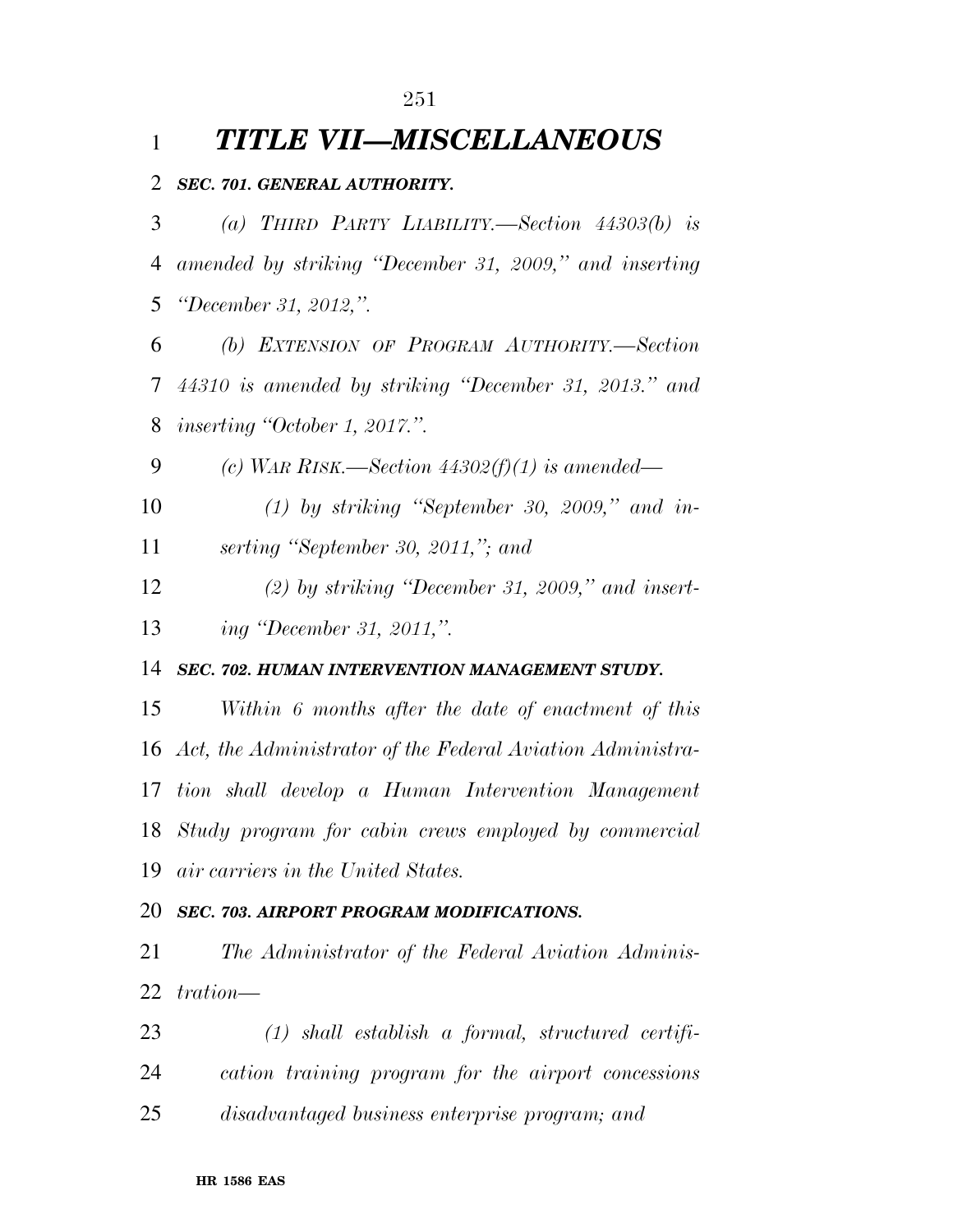## *TITLE VII—MISCELLANEOUS*

### *SEC. 701. GENERAL AUTHORITY.*

 *(a) THIRD PARTY LIABILITY.—Section 44303(b) is amended by striking ''December 31, 2009,'' and inserting ''December 31, 2012,''.* 

 *(b) EXTENSION OF PROGRAM AUTHORITY.—Section 44310 is amended by striking ''December 31, 2013.'' and inserting ''October 1, 2017.''.* 

*(c) WAR RISK.—Section 44302(f)(1) is amended—* 

 *(1) by striking ''September 30, 2009,'' and in-serting ''September 30, 2011,''; and* 

 *(2) by striking ''December 31, 2009,'' and insert-ing ''December 31, 2011,''.* 

### *SEC. 702. HUMAN INTERVENTION MANAGEMENT STUDY.*

 *Within 6 months after the date of enactment of this Act, the Administrator of the Federal Aviation Administra- tion shall develop a Human Intervention Management Study program for cabin crews employed by commercial air carriers in the United States.* 

#### *SEC. 703. AIRPORT PROGRAM MODIFICATIONS.*

 *The Administrator of the Federal Aviation Adminis-tration—* 

 *(1) shall establish a formal, structured certifi- cation training program for the airport concessions disadvantaged business enterprise program; and*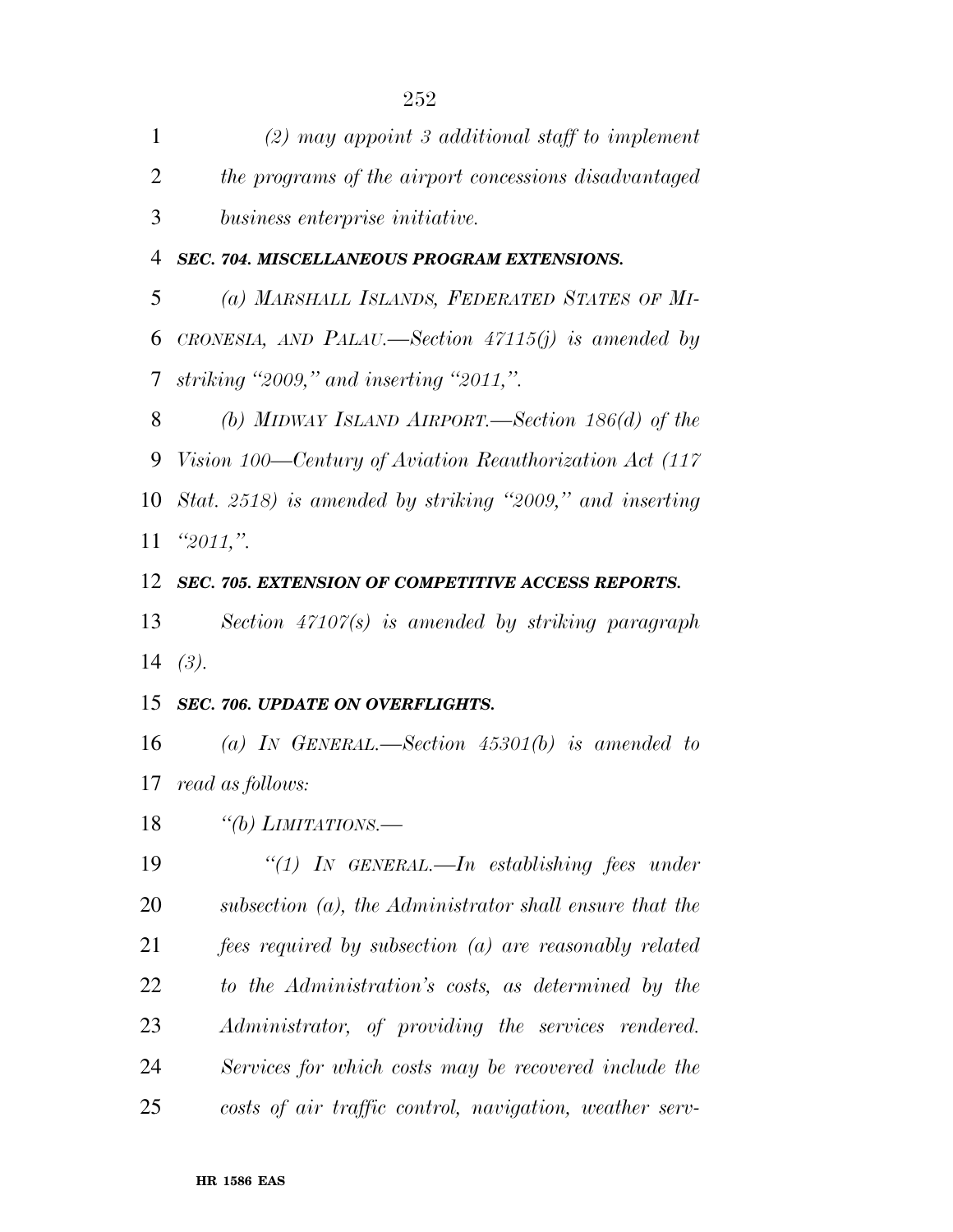| $\mathbf{1}$   | $(2)$ may appoint 3 additional staff to implement          |
|----------------|------------------------------------------------------------|
| $\overline{2}$ | the programs of the airport concessions disadvantaged      |
| 3              | business enterprise initiative.                            |
| 4              | SEC. 704. MISCELLANEOUS PROGRAM EXTENSIONS.                |
| 5              | (a) MARSHALL ISLANDS, FEDERATED STATES OF MI-              |
| 6              | CRONESIA, AND PALAU.—Section $47115(j)$ is amended by      |
| 7              | striking "2009," and inserting "2011,".                    |
| 8              | (b) MIDWAY ISLAND AIRPORT.—Section 186(d) of the           |
| 9              | Vision 100—Century of Aviation Reauthorization Act (117    |
| 10             | Stat. 2518) is amended by striking "2009," and inserting   |
|                | $11 \t\t "2011,"$                                          |
| 12             | SEC. 705. EXTENSION OF COMPETITIVE ACCESS REPORTS.         |
| 13             | Section 47107(s) is amended by striking paragraph          |
| 14             | (3).                                                       |
| 15             | <b>SEC. 706. UPDATE ON OVERFLIGHTS.</b>                    |
| 16             | (a) IN GENERAL.—Section $45301(b)$ is amended to           |
| 17             | read as follows:                                           |
| 18             | "(b) LIMITATIONS.—                                         |
| 19             | "(1) IN GENERAL.—In establishing fees under                |
| <b>20</b>      | subsection $(a)$ , the Administrator shall ensure that the |
| 21             | fees required by subsection (a) are reasonably related     |
| 22             | to the Administration's costs, as determined by the        |
| 23             | Administrator, of providing the services rendered.         |
| 24             | Services for which costs may be recovered include the      |
| 25             | costs of air traffic control, navigation, weather serv-    |
|                |                                                            |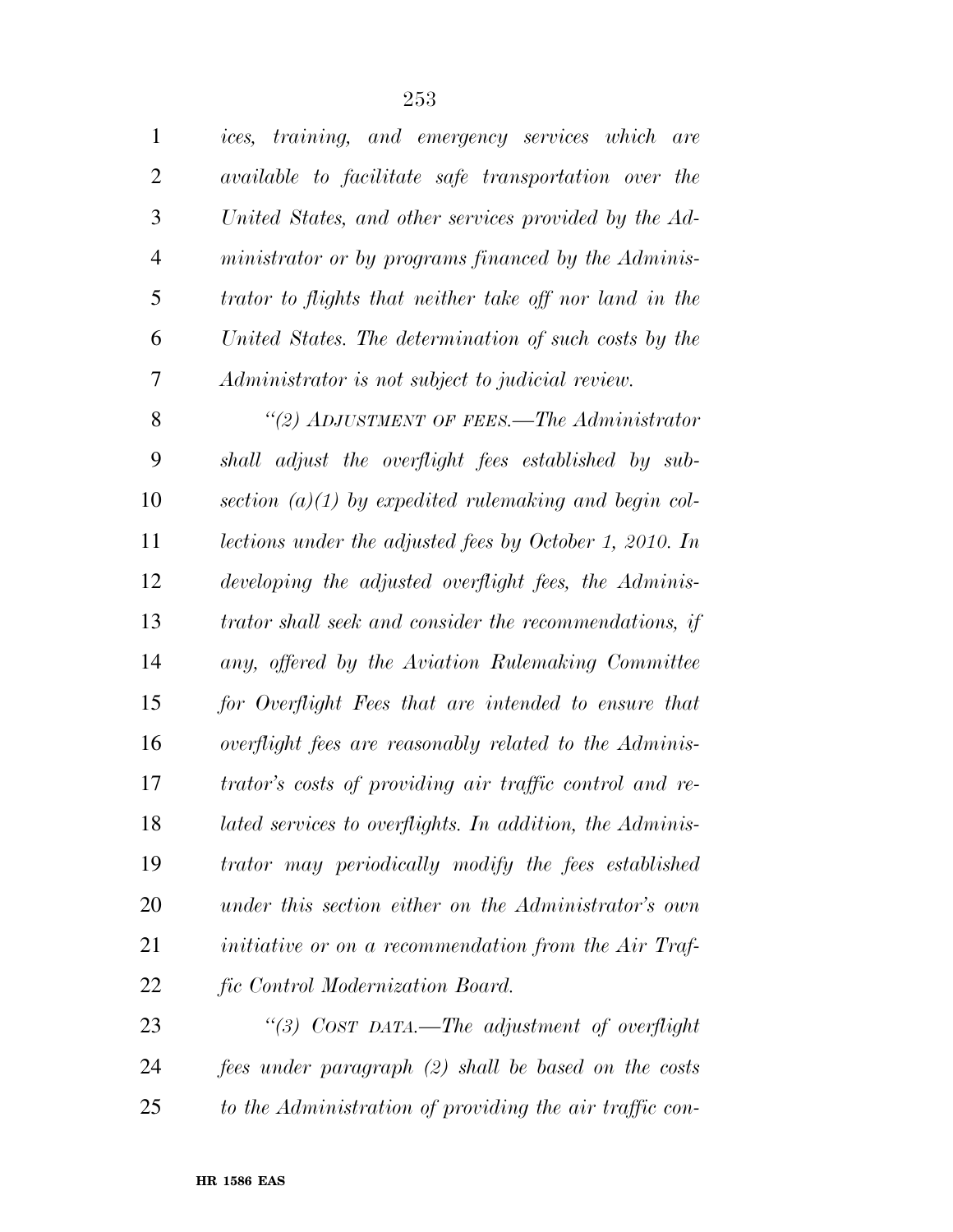*ices, training, and emergency services which are available to facilitate safe transportation over the United States, and other services provided by the Ad- ministrator or by programs financed by the Adminis- trator to flights that neither take off nor land in the United States. The determination of such costs by the Administrator is not subject to judicial review.* 

 *''(2) ADJUSTMENT OF FEES.—The Administrator shall adjust the overflight fees established by sub- section (a)(1) by expedited rulemaking and begin col- lections under the adjusted fees by October 1, 2010. In developing the adjusted overflight fees, the Adminis- trator shall seek and consider the recommendations, if any, offered by the Aviation Rulemaking Committee for Overflight Fees that are intended to ensure that overflight fees are reasonably related to the Adminis- trator's costs of providing air traffic control and re- lated services to overflights. In addition, the Adminis- trator may periodically modify the fees established under this section either on the Administrator's own initiative or on a recommendation from the Air Traf-fic Control Modernization Board.* 

 *''(3) COST DATA.—The adjustment of overflight fees under paragraph (2) shall be based on the costs to the Administration of providing the air traffic con-*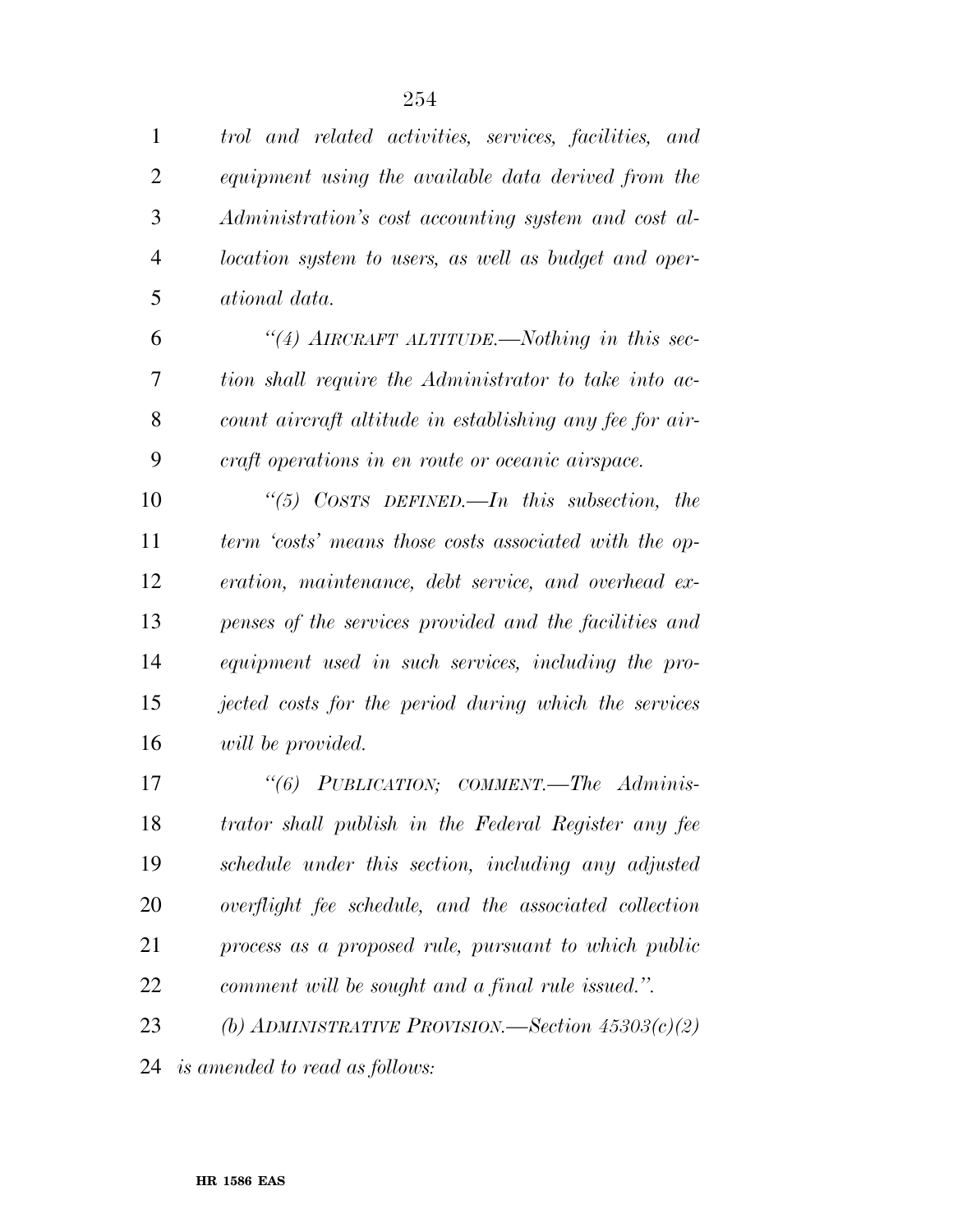*trol and related activities, services, facilities, and equipment using the available data derived from the Administration's cost accounting system and cost al-*

 *location system to users, as well as budget and oper-ational data.* 

 *''(4) AIRCRAFT ALTITUDE.—Nothing in this sec- tion shall require the Administrator to take into ac- count aircraft altitude in establishing any fee for air-craft operations in en route or oceanic airspace.* 

 *''(5) COSTS DEFINED.—In this subsection, the term 'costs' means those costs associated with the op- eration, maintenance, debt service, and overhead ex- penses of the services provided and the facilities and equipment used in such services, including the pro- jected costs for the period during which the services will be provided.* 

 *''(6) PUBLICATION; COMMENT.—The Adminis- trator shall publish in the Federal Register any fee schedule under this section, including any adjusted overflight fee schedule, and the associated collection process as a proposed rule, pursuant to which public comment will be sought and a final rule issued.''.* 

*(b) ADMINISTRATIVE PROVISION.—Section 45303(c)(2)* 

*is amended to read as follows:*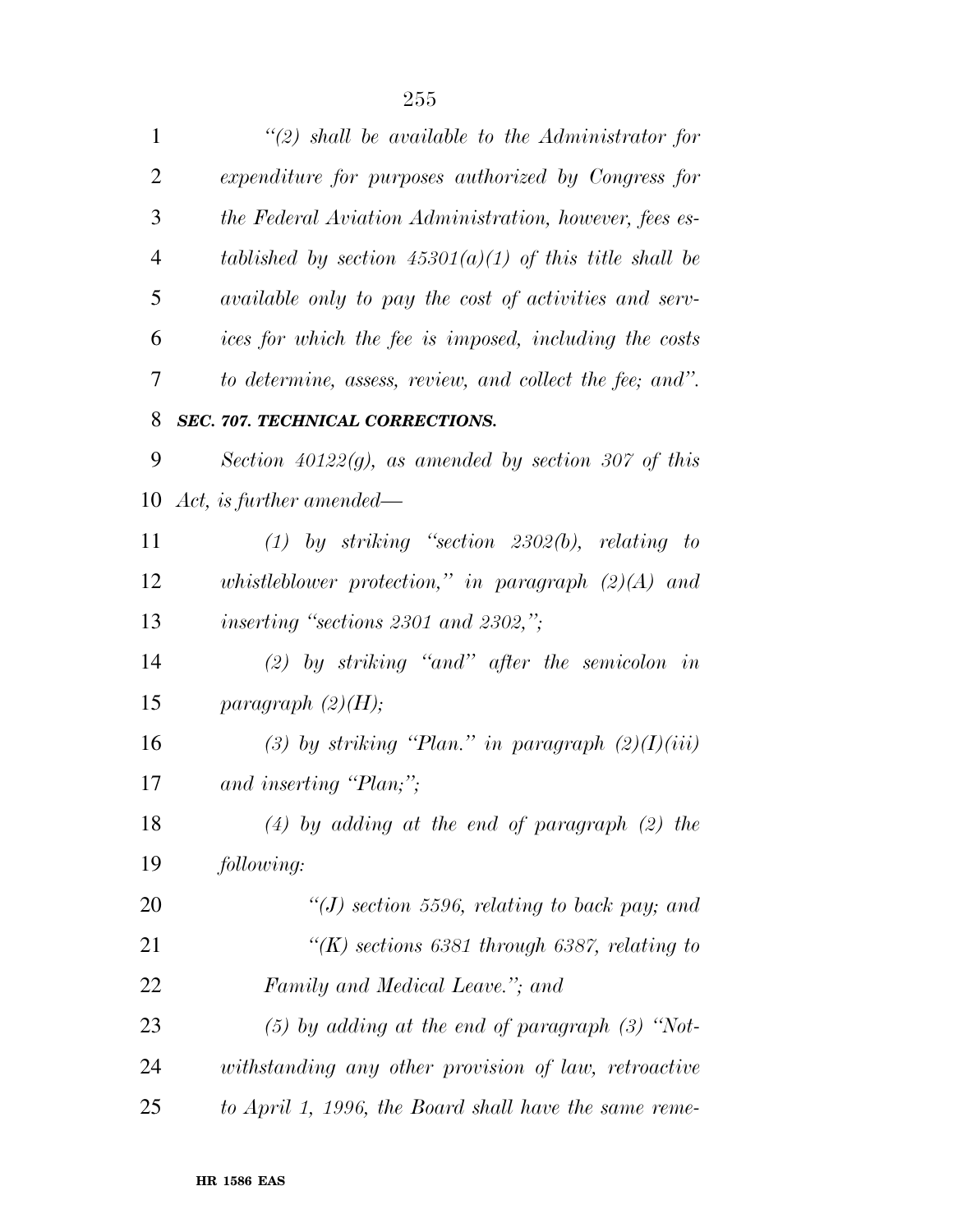| $\mathbf{1}$   | $\lq(2)$ shall be available to the Administrator for      |
|----------------|-----------------------------------------------------------|
| 2              | expenditure for purposes authorized by Congress for       |
| 3              | the Federal Aviation Administration, however, fees es-    |
| $\overline{4}$ | tablished by section $45301(a)(1)$ of this title shall be |
| 5              | available only to pay the cost of activities and serv-    |
| 6              | ices for which the fee is imposed, including the costs    |
| 7              | to determine, assess, review, and collect the fee; and".  |
| 8              | <b>SEC. 707. TECHNICAL CORRECTIONS.</b>                   |
| 9              | Section 40122 $(g)$ , as amended by section 307 of this   |
| 10             | Act, is further amended—                                  |
| 11             | $(1)$ by striking "section 2302(b), relating to           |
| 12             | whistleblower protection," in paragraph $(2)(A)$ and      |
| 13             | inserting "sections $2301$ and $2302$ ,";                 |
| 14             | $(2)$ by striking "and" after the semicolon in            |
| 15             | paragraph $(2)(H);$                                       |
| 16             | (3) by striking "Plan." in paragraph $(2)(I)(iii)$        |
| 17             | and inserting "Plan;";                                    |
| 18             | $(4)$ by adding at the end of paragraph $(2)$ the         |
| 19             | following:                                                |
| 20             | $\lq (J)$ section 5596, relating to back pay; and         |
| 21             | "(K) sections 6381 through 6387, relating to              |
| 22             | Family and Medical Leave."; and                           |
| 23             | $(5)$ by adding at the end of paragraph $(3)$ "Not-       |
| 24             | withstanding any other provision of law, retroactive      |
| 25             | to April 1, 1996, the Board shall have the same reme-     |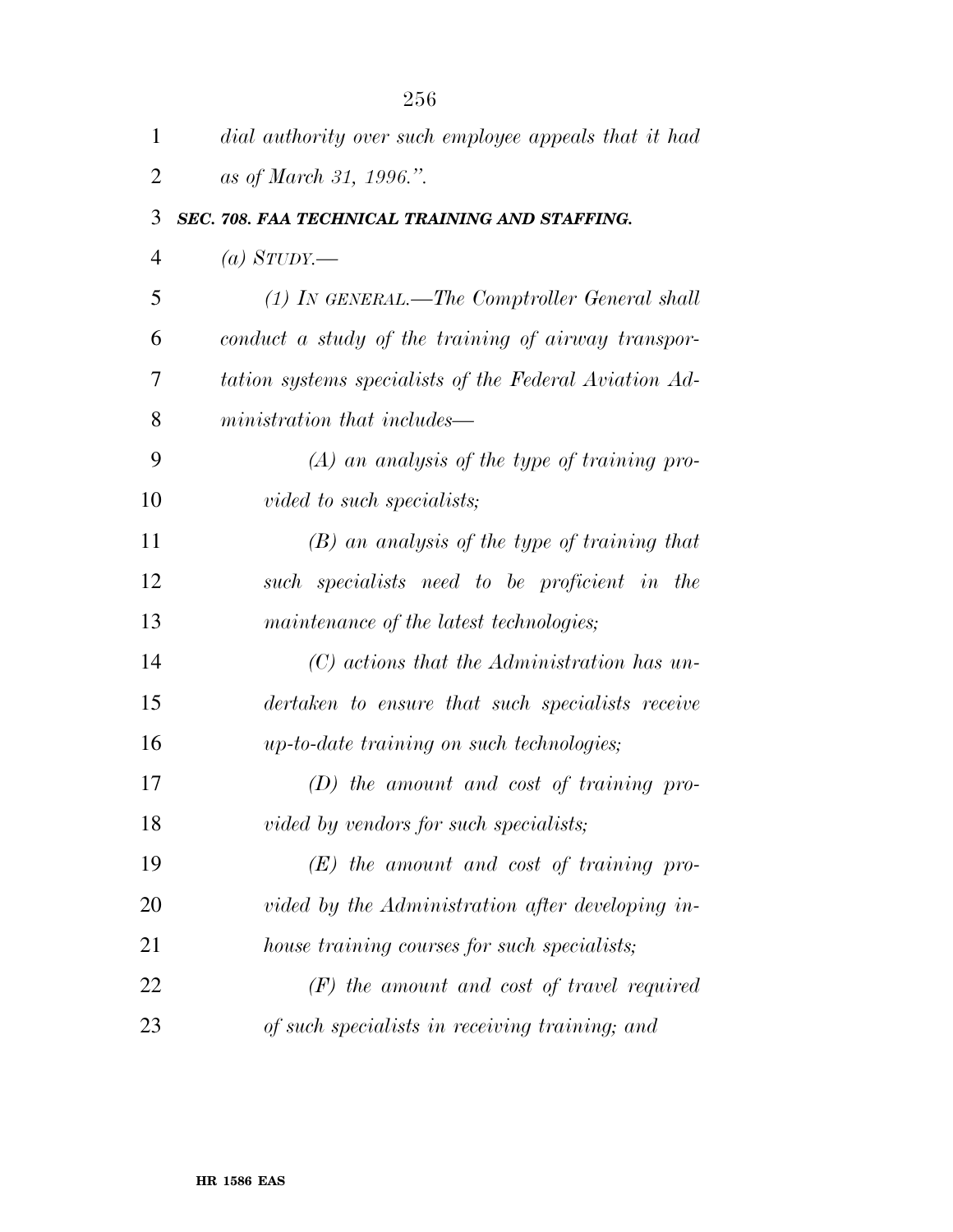| $\mathbf{1}$   | dial authority over such employee appeals that it had  |
|----------------|--------------------------------------------------------|
| $\overline{2}$ | as of March 31, 1996.".                                |
| 3              | SEC. 708. FAA TECHNICAL TRAINING AND STAFFING.         |
| 4              | $(a)$ STUDY.—                                          |
| 5              | $(1)$ IN GENERAL.—The Comptroller General shall        |
| 6              | conduct a study of the training of airway transpor-    |
| 7              | tation systems specialists of the Federal Aviation Ad- |
| 8              | ministration that includes—                            |
| 9              | $(A)$ an analysis of the type of training pro-         |
| 10             | vided to such specialists;                             |
| 11             | $(B)$ an analysis of the type of training that         |
| 12             | such specialists need to be proficient in the          |
| 13             | maintenance of the latest technologies;                |
| 14             | $(C)$ actions that the Administration has un-          |
| 15             | dertaken to ensure that such specialists receive       |
| 16             | up-to-date training on such technologies;              |
| 17             | $(D)$ the amount and cost of training pro-             |
| 18             | vided by vendors for such specialists;                 |
| 19             | $(E)$ the amount and cost of training pro-             |
| 20             | vided by the Administration after developing in-       |
| 21             | house training courses for such specialists;           |
| 22             | $(F)$ the amount and cost of travel required           |
| 23             | of such specialists in receiving training; and         |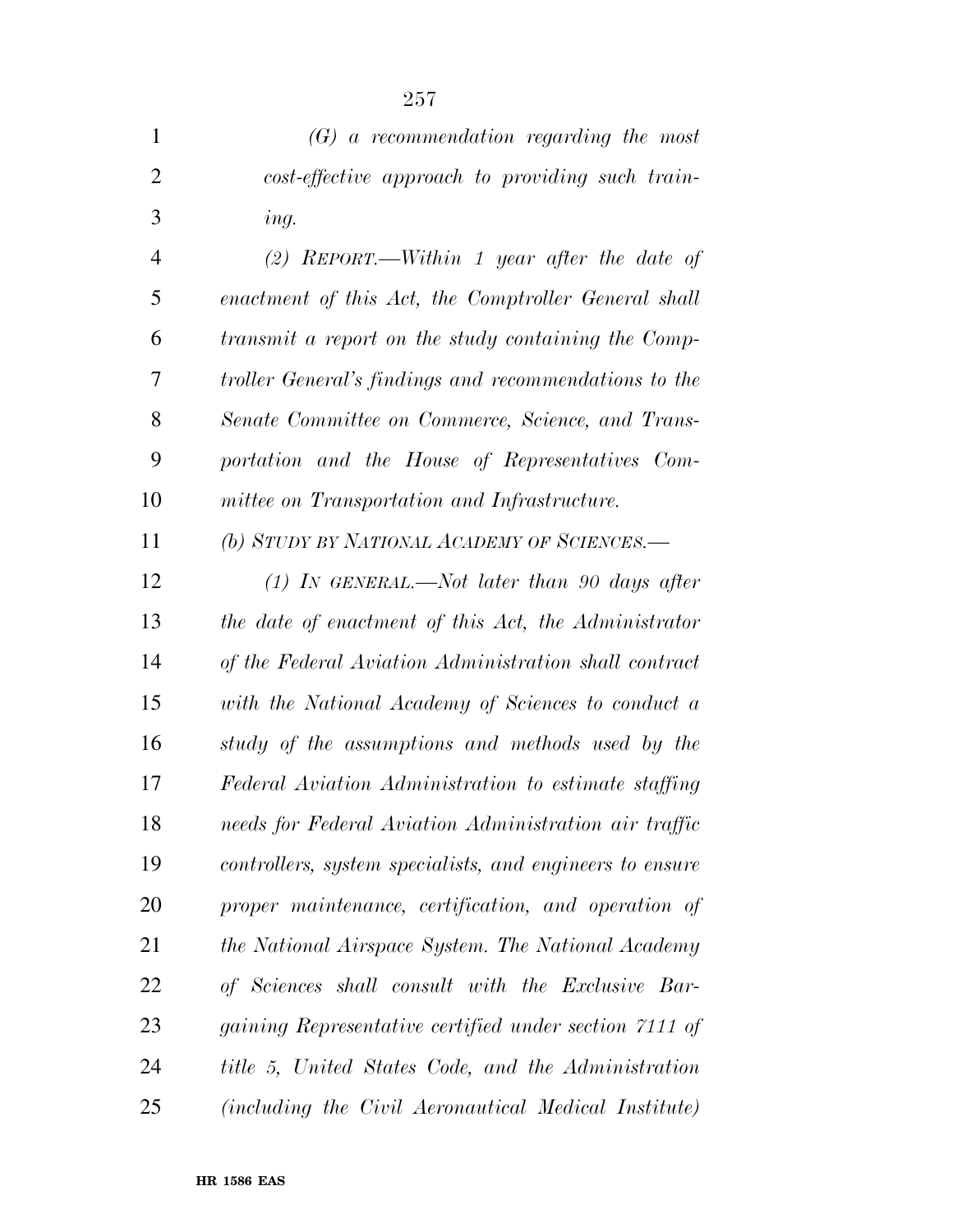| $\mathbf{1}$   | $(G)$ a recommendation regarding the most                |
|----------------|----------------------------------------------------------|
| $\overline{2}$ | cost-effective approach to providing such train-         |
| 3              | ing.                                                     |
| $\overline{4}$ | (2) REPORT.—Within 1 year after the date of              |
| 5              | enactment of this Act, the Comptroller General shall     |
| 6              | transmit a report on the study containing the Comp-      |
| 7              | troller General's findings and recommendations to the    |
| 8              | Senate Committee on Commerce, Science, and Trans-        |
| 9              | portation and the House of Representatives Com-          |
| 10             | mittee on Transportation and Infrastructure.             |
| 11             | (b) STUDY BY NATIONAL ACADEMY OF SCIENCES.-              |
| 12             | $(1)$ IN GENERAL.—Not later than 90 days after           |
| 13             | the date of enactment of this Act, the Administrator     |
| 14             | of the Federal Aviation Administration shall contract    |
| 15             | with the National Academy of Sciences to conduct a       |
| 16             | study of the assumptions and methods used by the         |
| 17             | Federal Aviation Administration to estimate staffing     |
| 18             | needs for Federal Aviation Administration air traffic    |
| 19             | controllers, system specialists, and engineers to ensure |
| 20             | proper maintenance, certification, and operation of      |
| 21             | the National Airspace System. The National Academy       |
| 22             | of Sciences shall consult with the Exclusive Bar-        |
| 23             | gaining Representative certified under section 7111 of   |
| 24             | title 5, United States Code, and the Administration      |
| 25             | (including the Civil Aeronautical Medical Institute)     |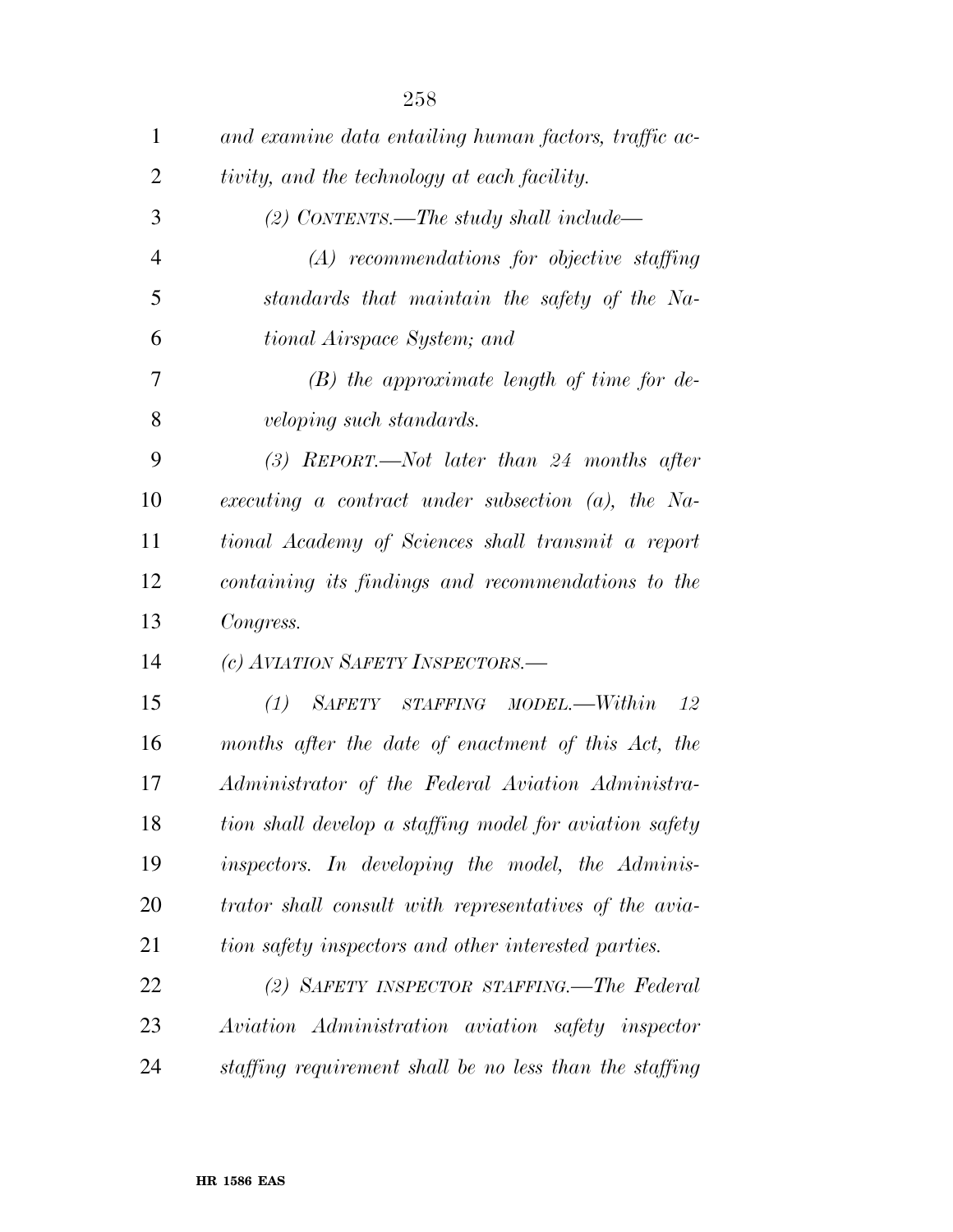| $\mathbf{1}$   | and examine data entailing human factors, traffic ac-   |
|----------------|---------------------------------------------------------|
| $\overline{2}$ | tivity, and the technology at each facility.            |
| 3              | (2) CONTENTS.—The study shall include—                  |
| $\overline{4}$ | $(A)$ recommendations for objective staffing            |
| 5              | standards that maintain the safety of the Na-           |
| 6              | tional Airspace System; and                             |
| 7              | $(B)$ the approximate length of time for de-            |
| 8              | veloping such standards.                                |
| 9              | $(3)$ REPORT.—Not later than 24 months after            |
| 10             | executing a contract under subsection $(a)$ , the Na-   |
| 11             | tional Academy of Sciences shall transmit a report      |
| 12             | containing its findings and recommendations to the      |
| 13             | Congress.                                               |
| 14             | (c) AVIATION SAFETY INSPECTORS.                         |
| 15             | (1) SAFETY STAFFING MODEL.—Within<br>- 12               |
| 16             | months after the date of enactment of this Act, the     |
| 17             | Administrator of the Federal Aviation Administra-       |
| 18             | tion shall develop a staffing model for aviation safety |
| 19             | inspectors. In developing the model, the Adminis-       |
| 20             | trator shall consult with representatives of the avia-  |
| 21             | tion safety inspectors and other interested parties.    |
| 22             | (2) SAFETY INSPECTOR STAFFING.—The Federal              |
| 23             | Aviation Administration aviation safety inspector       |
| 24             | staffing requirement shall be no less than the staffing |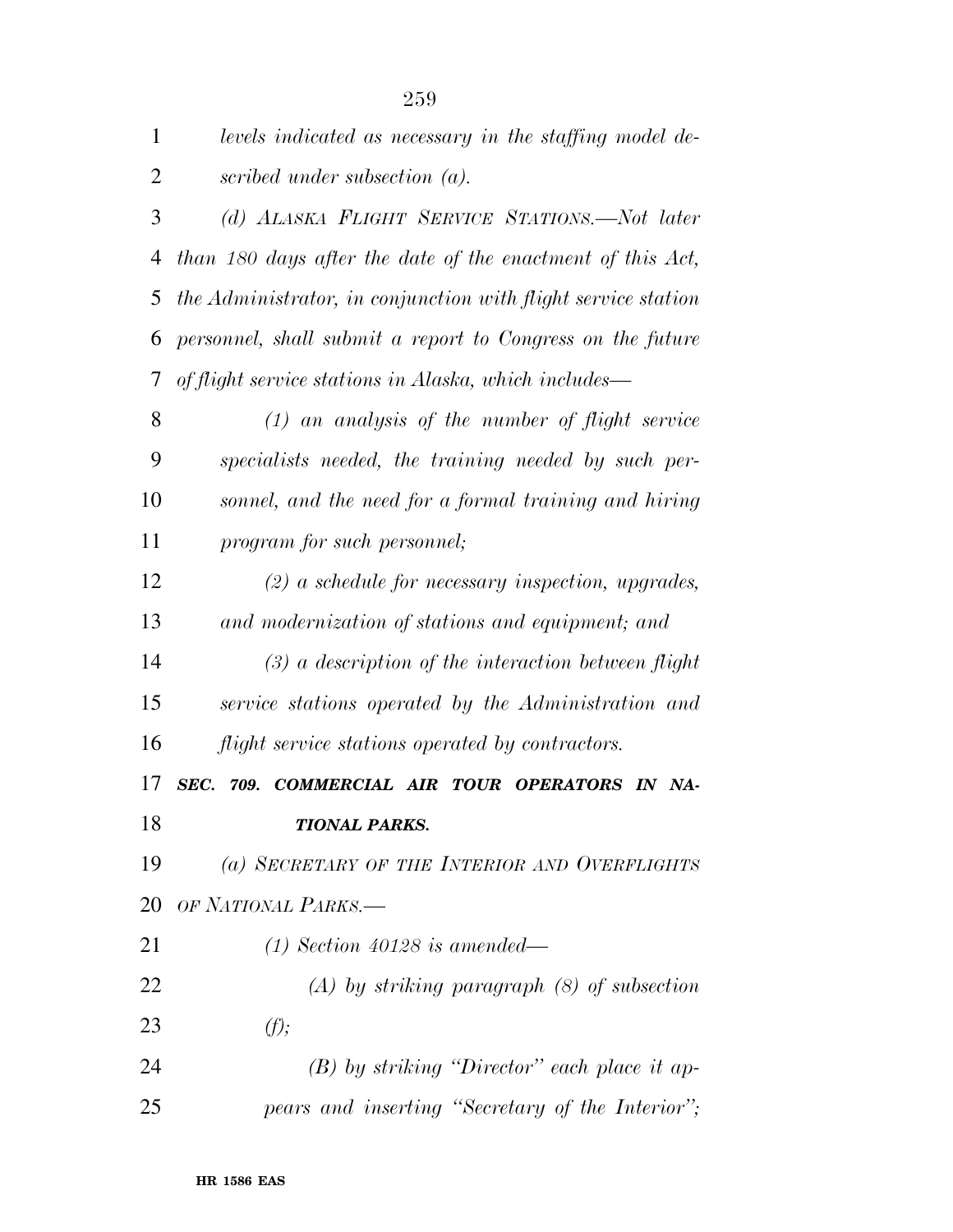| $\mathbf{1}$   | levels indicated as necessary in the staffing model de-       |
|----------------|---------------------------------------------------------------|
| $\overline{2}$ | scribed under subsection $(a)$ .                              |
| 3              | (d) ALASKA FLIGHT SERVICE STATIONS.—Not later                 |
| $\overline{4}$ | than 180 days after the date of the enactment of this Act,    |
| 5              | the Administrator, in conjunction with flight service station |
| 6              | personnel, shall submit a report to Congress on the future    |
| 7              | of flight service stations in Alaska, which includes—         |
| 8              | $(1)$ an analysis of the number of flight service             |
| 9              | specialists needed, the training needed by such per-          |
| 10             | sonnel, and the need for a formal training and hiring         |
| 11             | program for such personnel;                                   |
| 12             | $(2)$ a schedule for necessary inspection, upgrades,          |
| 13             | and modernization of stations and equipment; and              |
| 14             | $(3)$ a description of the interaction between flight         |
| 15             | service stations operated by the Administration and           |
| 16             | flight service stations operated by contractors.              |
| 17             | SEC.<br>709. COMMERCIAL AIR TOUR OPERATORS IN NA-             |
| 18             | <b>TIONAL PARKS.</b>                                          |
| 19             | (a) SECRETARY OF THE INTERIOR AND OVERFLIGHTS                 |
| 20             | OF NATIONAL PARKS.-                                           |
| 21             | $(1)$ Section 40128 is amended—                               |
| 22             | $(A)$ by striking paragraph $(8)$ of subsection               |
| 23             | (f);                                                          |
| 24             | $(B)$ by striking "Director" each place it ap-                |
| 25             | pears and inserting "Secretary of the Interior";              |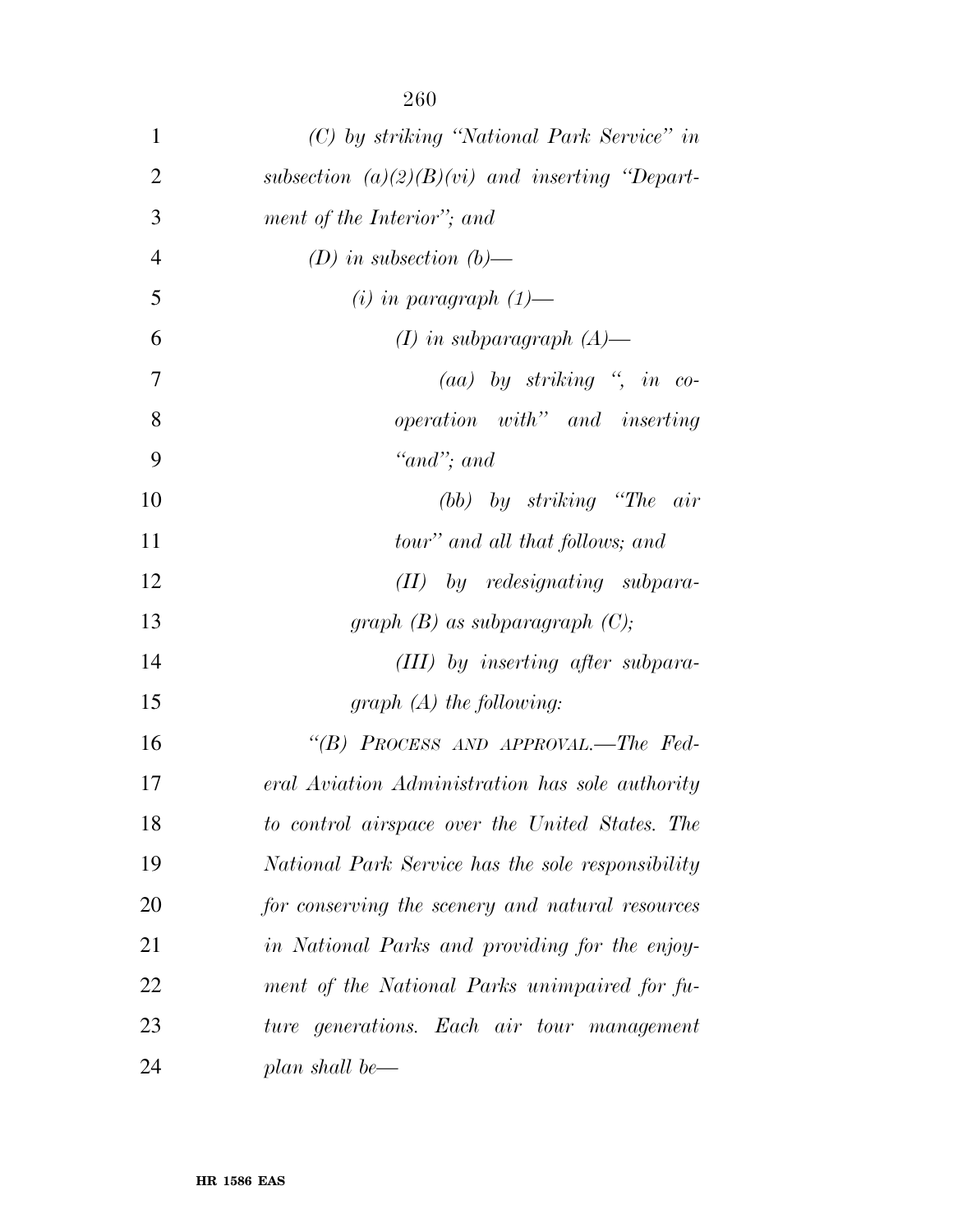| 1              | (C) by striking "National Park Service" in        |
|----------------|---------------------------------------------------|
| $\overline{2}$ | subsection $(a)(2)(B)(vi)$ and inserting "Depart- |
| 3              | ment of the Interior"; and                        |
| $\overline{4}$ | (D) in subsection (b)—                            |
| 5              | $(i)$ in paragraph $(1)$ —                        |
| 6              | $(I)$ in subparagraph $(A)$ —                     |
| 7              | $(aa)$ by striking ", in co-                      |
| 8              | <i>operation</i> with" and inserting              |
| 9              | "and"; and                                        |
| 10             | (bb) by striking "The air                         |
| 11             | tour" and all that follows; and                   |
| 12             | $(II)$ by redesignating subpara-                  |
| 13             | graph $(B)$ as subparagraph $(C)$ ;               |
| 14             | (III) by inserting after subpara-                 |
| 15             | graph $(A)$ the following:                        |
| 16             | "(B) PROCESS AND APPROVAL.—The Fed-               |
| 17             | eral Aviation Administration has sole authority   |
| 18             | to control airspace over the United States. The   |
| 19             | National Park Service has the sole responsibility |
| 20             | for conserving the scenery and natural resources  |
| 21             | in National Parks and providing for the enjoy-    |
| 22             | ment of the National Parks unimpaired for fu-     |
| 23             | ture generations. Each air tour management        |
| 24             | plan shall be—                                    |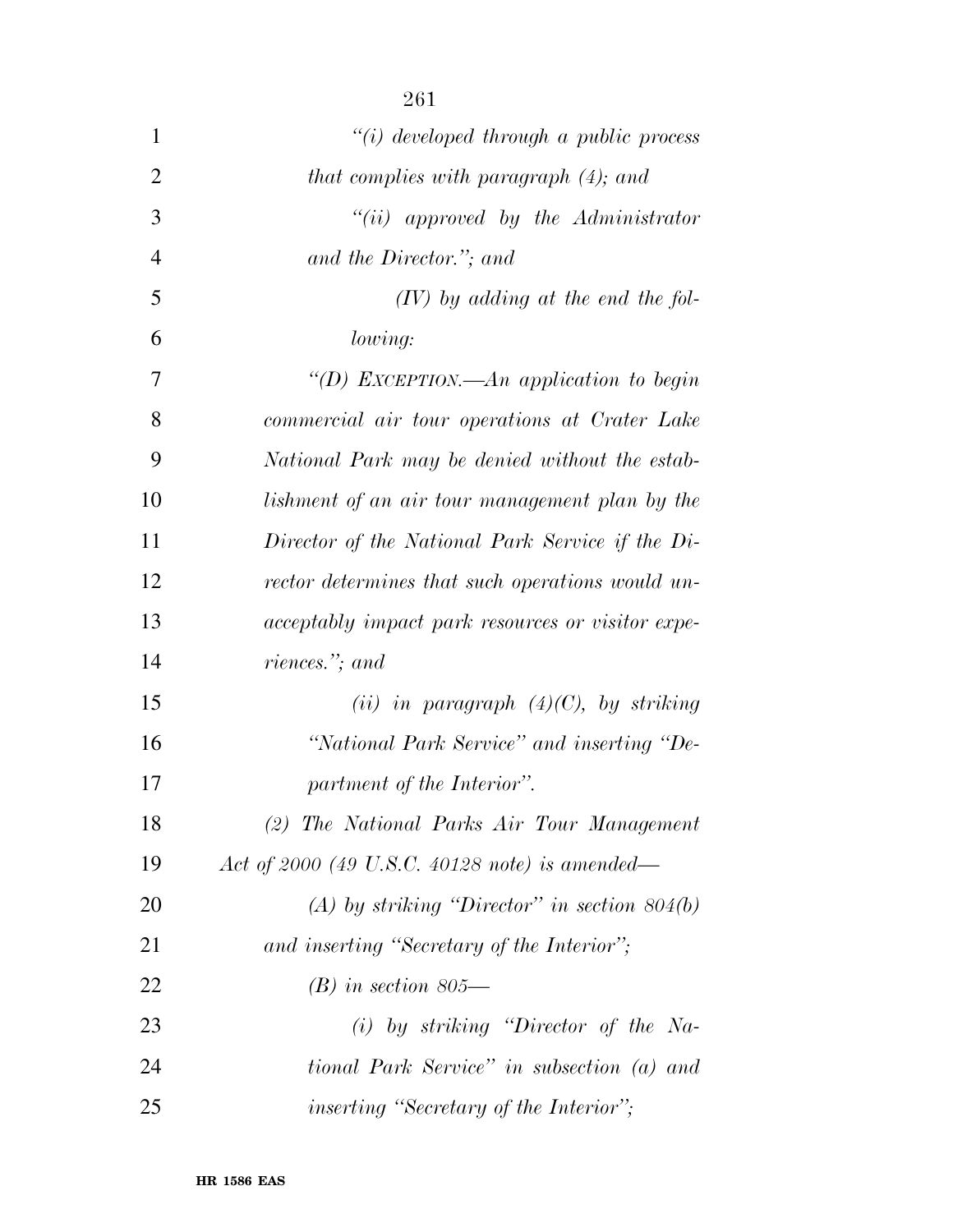| $\mathbf{1}$   | $``(i) \, developed \, through \, a \, public \, process$ |
|----------------|-----------------------------------------------------------|
| $\overline{2}$ | that complies with paragraph $(4)$ ; and                  |
| 3              | $``(ii)$ approved by the Administrator                    |
| $\overline{4}$ | and the Director."; and                                   |
| 5              | $(IV)$ by adding at the end the fol-                      |
| 6              | lowing:                                                   |
| 7              | "(D) EXCEPTION.—An application to begin                   |
| 8              | commercial air tour operations at Crater Lake             |
| 9              | National Park may be denied without the estab-            |
| 10             | lishment of an air tour management plan by the            |
| 11             | Director of the National Park Service if the Di-          |
| 12             | rector determines that such operations would un-          |
| 13             | <i>acceptably impact park resources or visitor expe-</i>  |
| 14             | riences."; and                                            |
| 15             | (ii) in paragraph $(4)(C)$ , by striking                  |
| 16             | "National Park Service" and inserting "De-                |
| 17             | partment of the Interior".                                |
| 18             | (2) The National Parks Air Tour Management                |
| 19             | Act of 2000 (49 U.S.C. 40128 note) is amended—            |
| 20             | (A) by striking "Director" in section $804(b)$            |
| 21             | and inserting "Secretary of the Interior";                |
| 22             | $(B)$ in section 805—                                     |
| 23             | $(i)$ by striking "Director of the Na-                    |
| 24             | tional Park Service" in subsection (a) and                |
| 25             | inserting "Secretary of the Interior";                    |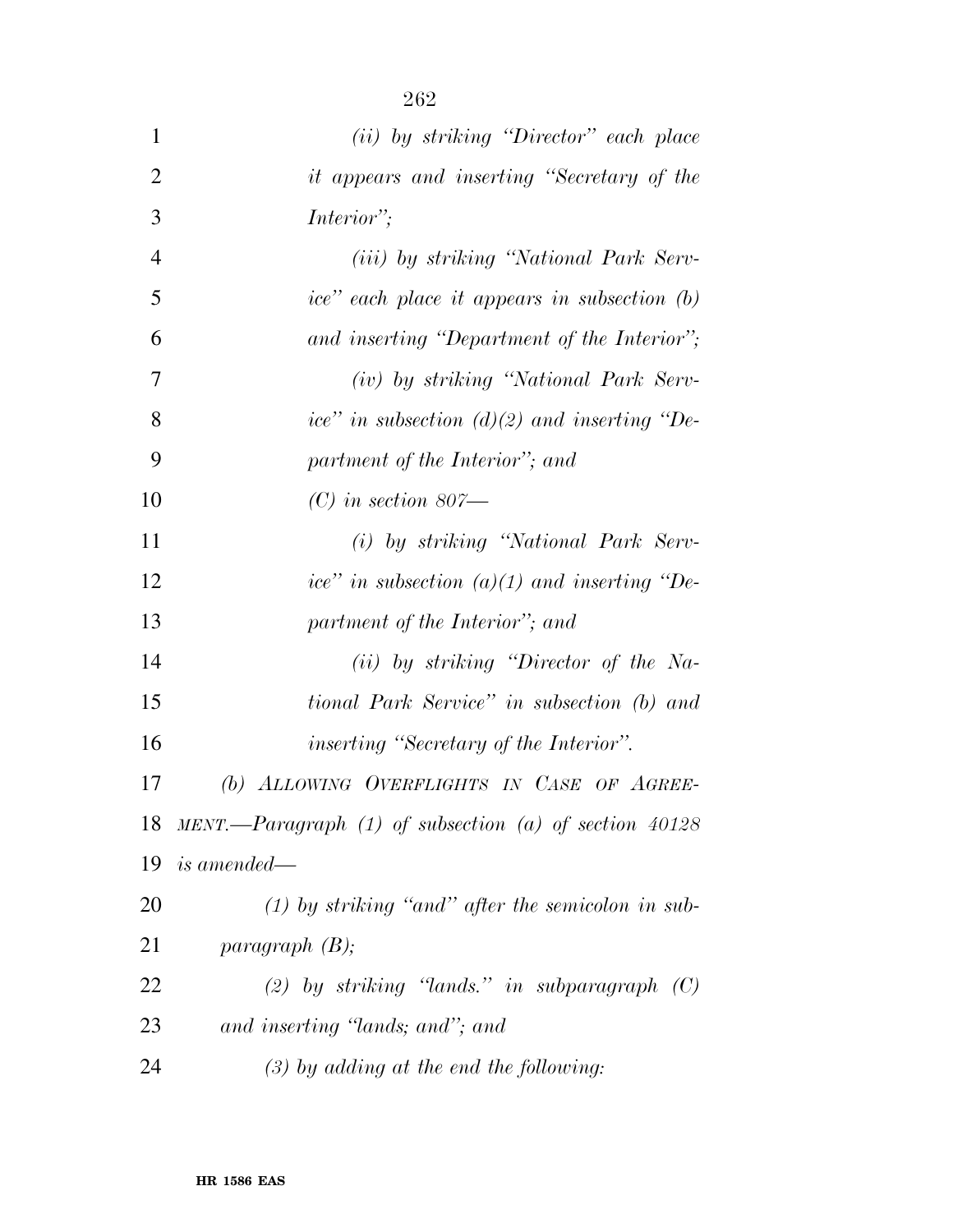| $\mathbf{1}$   | (ii) by striking "Director" each place                     |
|----------------|------------------------------------------------------------|
| $\overline{2}$ | it appears and inserting "Secretary of the                 |
| 3              | <i>Interior</i> ";                                         |
| $\overline{4}$ | (iii) by striking "National Park Serv-                     |
| 5              | ice" each place it appears in subsection (b)               |
| 6              | and inserting "Department of the Interior";                |
| 7              | (iv) by striking "National Park Serv-                      |
| 8              | ice" in subsection $(d)(2)$ and inserting "De-             |
| 9              | partment of the Interior"; and                             |
| 10             | $(C)$ in section 807—                                      |
| 11             | (i) by striking "National Park Serv-                       |
| 12             | ice" in subsection $(a)(1)$ and inserting "De-             |
| 13             | partment of the Interior"; and                             |
| 14             | $(ii)$ by striking "Director of the Na-                    |
| 15             | tional Park Service" in subsection (b) and                 |
| 16             | <i>inserting "Secretary of the Interior".</i>              |
| 17             | (b) ALLOWING OVERFLIGHTS IN CASE OF AGREE-                 |
| 18             | MENT.—Paragraph $(1)$ of subsection $(a)$ of section 40128 |
| 19             | <i>is amended—</i>                                         |
| 20             | $(1)$ by striking "and" after the semicolon in sub-        |
| 21             | paragnph(B);                                               |
| 22             | (2) by striking "lands." in subparagraph $(C)$             |
| 23             | and inserting 'lands; and''; and                           |
| 24             | $(3)$ by adding at the end the following:                  |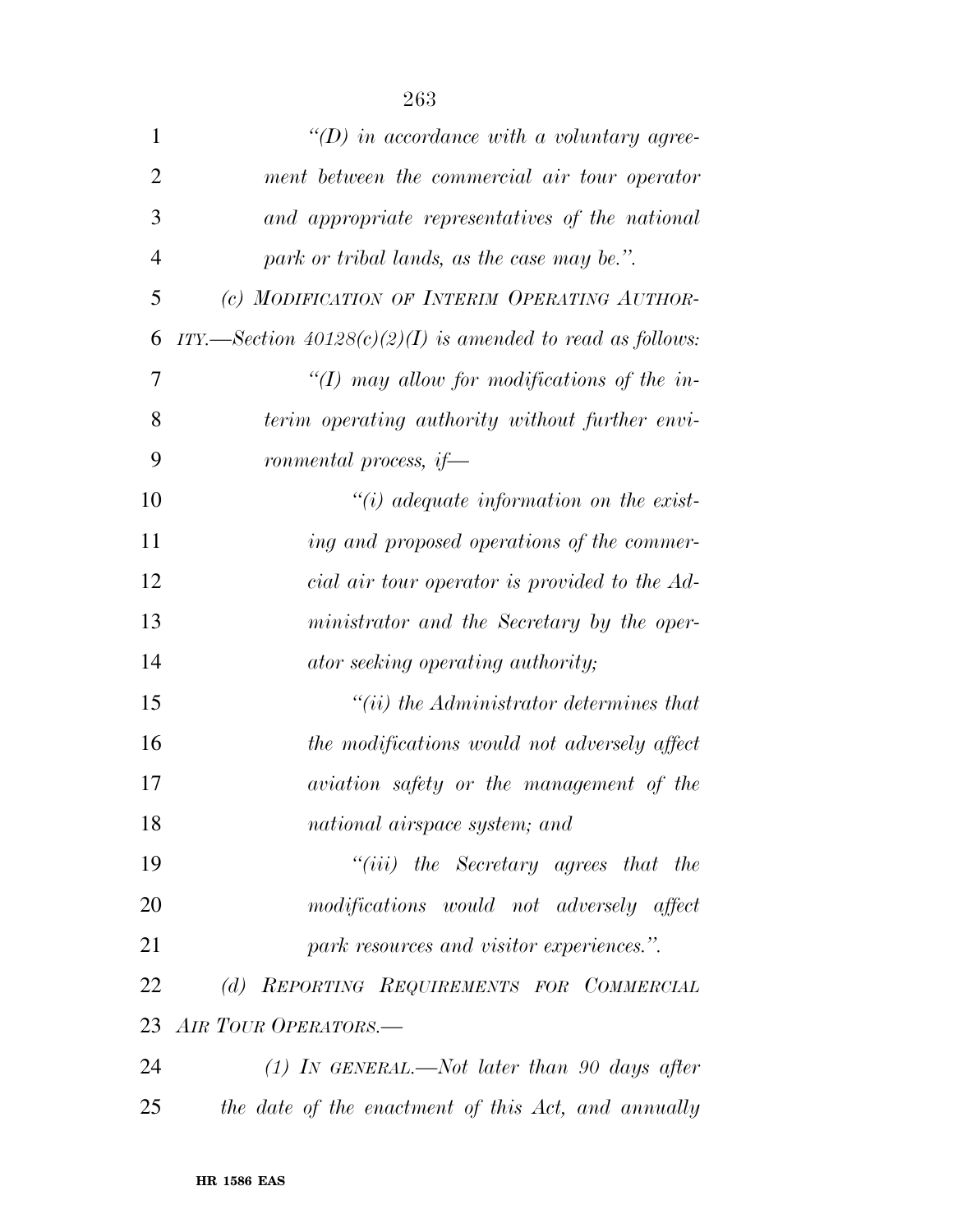| $\mathbf{1}$   | $\lq (D)$ in accordance with a voluntary agree-              |
|----------------|--------------------------------------------------------------|
| $\overline{2}$ | ment between the commercial air tour operator                |
| 3              | and appropriate representatives of the national              |
| $\overline{4}$ | park or tribal lands, as the case may be.".                  |
| 5              | (c) MODIFICATION OF INTERIM OPERATING AUTHOR-                |
| 6              | ITY.—Section $40128(c)(2)(I)$ is amended to read as follows: |
| 7              | "(I) may allow for modifications of the in-                  |
| 8              | terim operating authority without further envi-              |
| 9              | ronmental process, $if$ —                                    |
| 10             | $\lq\lq(i)$ adequate information on the exist-               |
| 11             | ing and proposed operations of the commer-                   |
| 12             | cial air tour operator is provided to the Ad-                |
| 13             | ministrator and the Secretary by the oper-                   |
| 14             | ator seeking operating authority;                            |
| 15             | $"(ii)$ the Administrator determines that                    |
| 16             | the modifications would not adversely affect                 |
| 17             | aviation safety or the management of the                     |
| 18             | national airspace system; and                                |
| 19             | $``(iii)$ the Secretary agrees that the                      |
| 20             | modifications would not adversely affect                     |
| 21             | park resources and visitor experiences.".                    |
| 22             | (d) REPORTING REQUIREMENTS FOR COMMERCIAL                    |
| 23             | AIR TOUR OPERATORS.-                                         |
| 24             | $(1)$ IN GENERAL.—Not later than 90 days after               |
| 25             | the date of the enactment of this Act, and annually          |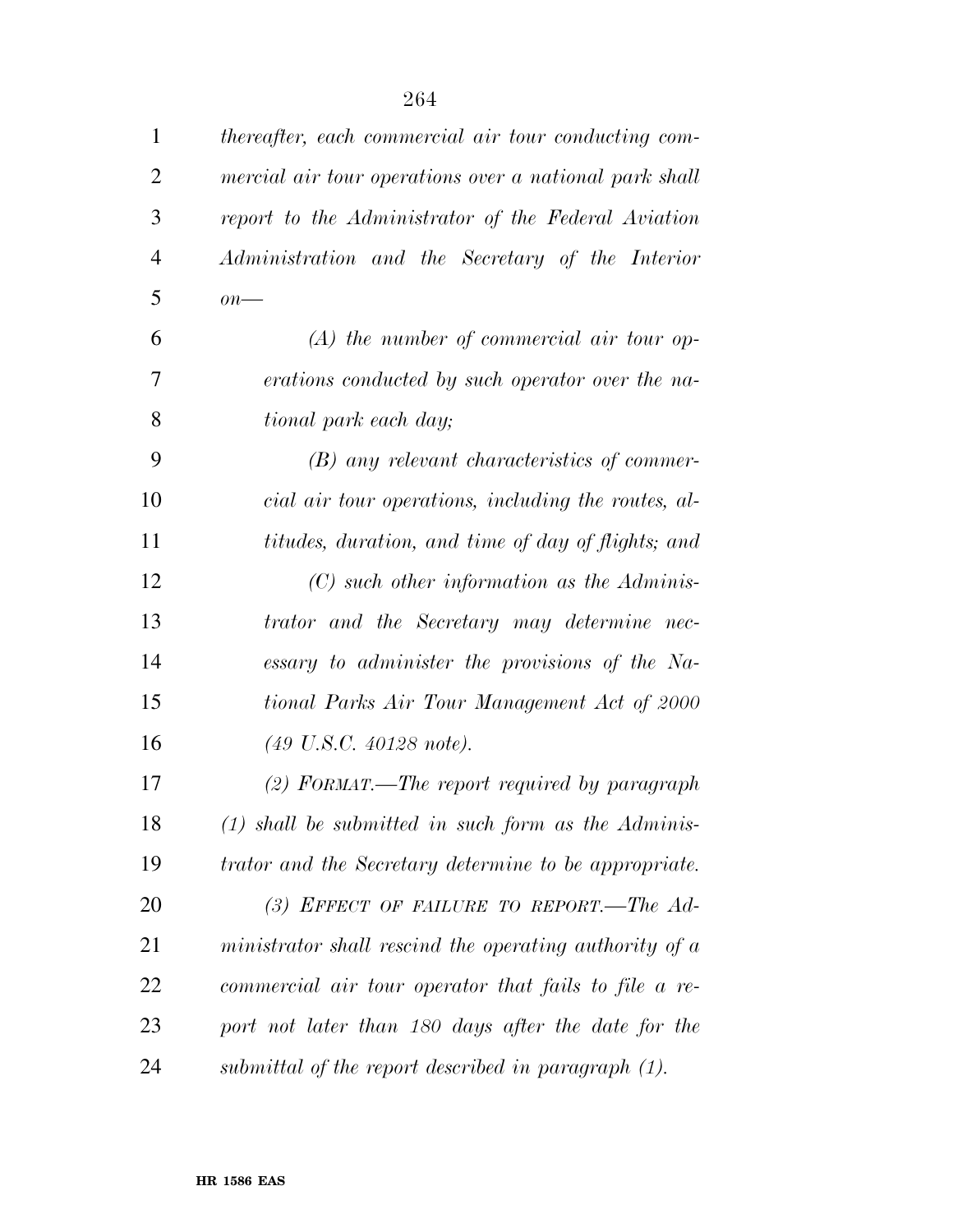| 1              | thereafter, each commercial air tour conducting com-   |
|----------------|--------------------------------------------------------|
| $\overline{2}$ | mercial air tour operations over a national park shall |
| 3              | report to the Administrator of the Federal Aviation    |
| $\overline{4}$ | Administration and the Secretary of the Interior       |
| 5              | $\overline{on}$ —                                      |
| 6              | $(A)$ the number of commercial air tour op-            |
| 7              | erations conducted by such operator over the na-       |
| 8              | tional park each day;                                  |
| 9              | $(B)$ any relevant characteristics of commer-          |
| 10             | cial air tour operations, including the routes, al-    |
| 11             | titudes, duration, and time of day of flights; and     |
| 12             | $(C)$ such other information as the Adminis-           |
| 13             | trator and the Secretary may determine nec-            |
| 14             | essary to administer the provisions of the Na-         |
| 15             | tional Parks Air Tour Management Act of 2000           |
| 16             | $(49 \text{ U.S.C. } 40128 \text{ note}).$             |
| 17             | (2) FORMAT.—The report required by paragraph           |
| 18             | $(1)$ shall be submitted in such form as the Adminis-  |
| 19             | trator and the Secretary determine to be appropriate.  |
| 20             | (3) EFFECT OF FAILURE TO REPORT.—The $Ad-$             |
| 21             | ministrator shall rescind the operating authority of a |
| 22             | commercial air tour operator that fails to file a re-  |
| 23             | port not later than 180 days after the date for the    |
| 24             | submittal of the report described in paragraph (1).    |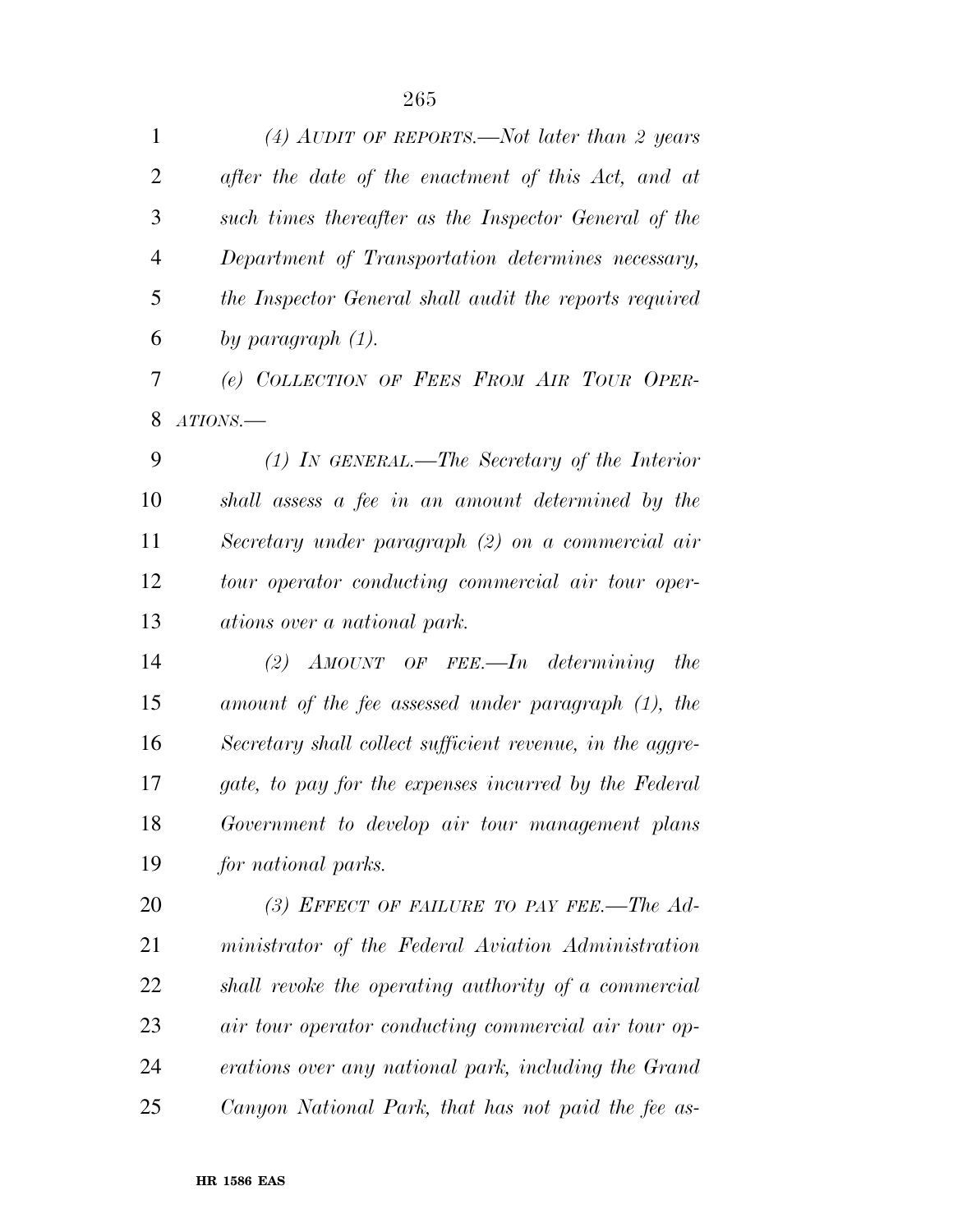| 1              | (4) AUDIT OF REPORTS.—Not later than 2 years              |
|----------------|-----------------------------------------------------------|
| $\overline{2}$ | after the date of the enactment of this Act, and at       |
| 3              | such times thereafter as the Inspector General of the     |
| $\overline{4}$ | Department of Transportation determines necessary,        |
| 5              | the Inspector General shall audit the reports required    |
| 6              | by paragraph $(1)$ .                                      |
| 7              | (e) COLLECTION OF FEES FROM AIR TOUR OPER-                |
| 8              | $ATIONS$ .                                                |
| 9              | $(1)$ In GENERAL.—The Secretary of the Interior           |
| 10             | shall assess a fee in an amount determined by the         |
| 11             | Secretary under paragraph (2) on a commercial air         |
| 12             | tour operator conducting commercial air tour oper-        |
| 13             | ations over a national park.                              |
| 14             | (2) $AMOUNT$ OF FEE.—In determining<br>the                |
| 15             | amount of the fee assessed under paragraph (1), the       |
| 16             | Secretary shall collect sufficient revenue, in the aggre- |
| 17             | gate, to pay for the expenses incurred by the Federal     |
| 18             | Government to develop air tour management plans           |
| 19             | for national parks.                                       |
| 20             | (3) EFFECT OF FAILURE TO PAY FEE.—The Ad-                 |
| 21             | ministrator of the Federal Aviation Administration        |
| 22             | shall revoke the operating authority of a commercial      |
| 23             | air tour operator conducting commercial air tour op-      |
| 24             | erations over any national park, including the Grand      |

*Canyon National Park, that has not paid the fee as-*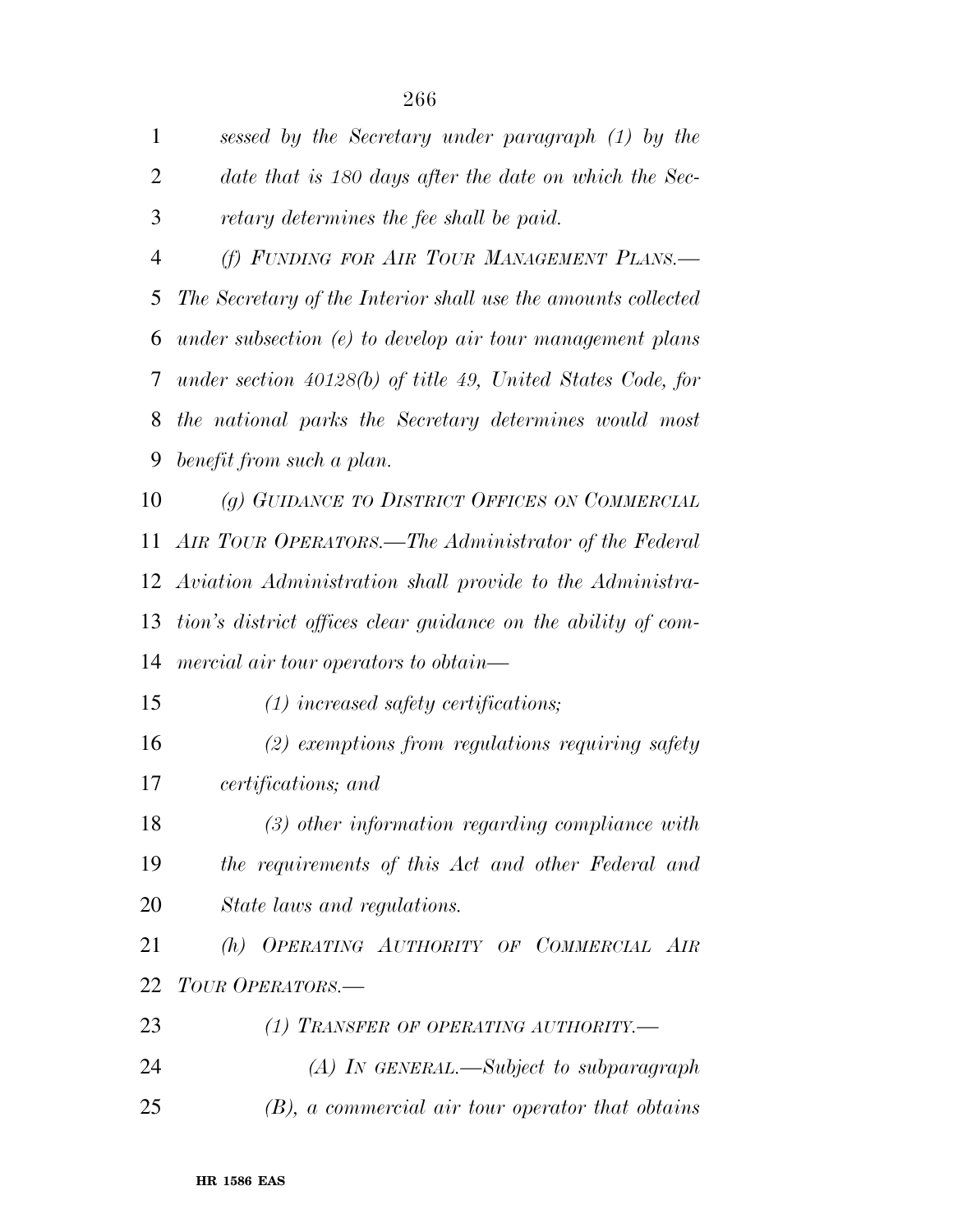*date that is 180 days after the date on which the Sec- retary determines the fee shall be paid. (f) FUNDING FOR AIR TOUR MANAGEMENT PLANS.— The Secretary of the Interior shall use the amounts collected under subsection (e) to develop air tour management plans under section 40128(b) of title 49, United States Code, for the national parks the Secretary determines would most benefit from such a plan. (g) GUIDANCE TO DISTRICT OFFICES ON COMMERCIAL AIR TOUR OPERATORS.—The Administrator of the Federal Aviation Administration shall provide to the Administra- tion's district offices clear guidance on the ability of com- mercial air tour operators to obtain— (1) increased safety certifications; (2) exemptions from regulations requiring safety certifications; and (3) other information regarding compliance with the requirements of this Act and other Federal and State laws and regulations. (h) OPERATING AUTHORITY OF COMMERCIAL AIR TOUR OPERATORS.— (1) TRANSFER OF OPERATING AUTHORITY.— (A) IN GENERAL.—Subject to subparagraph (B), a commercial air tour operator that obtains* 

*sessed by the Secretary under paragraph (1) by the*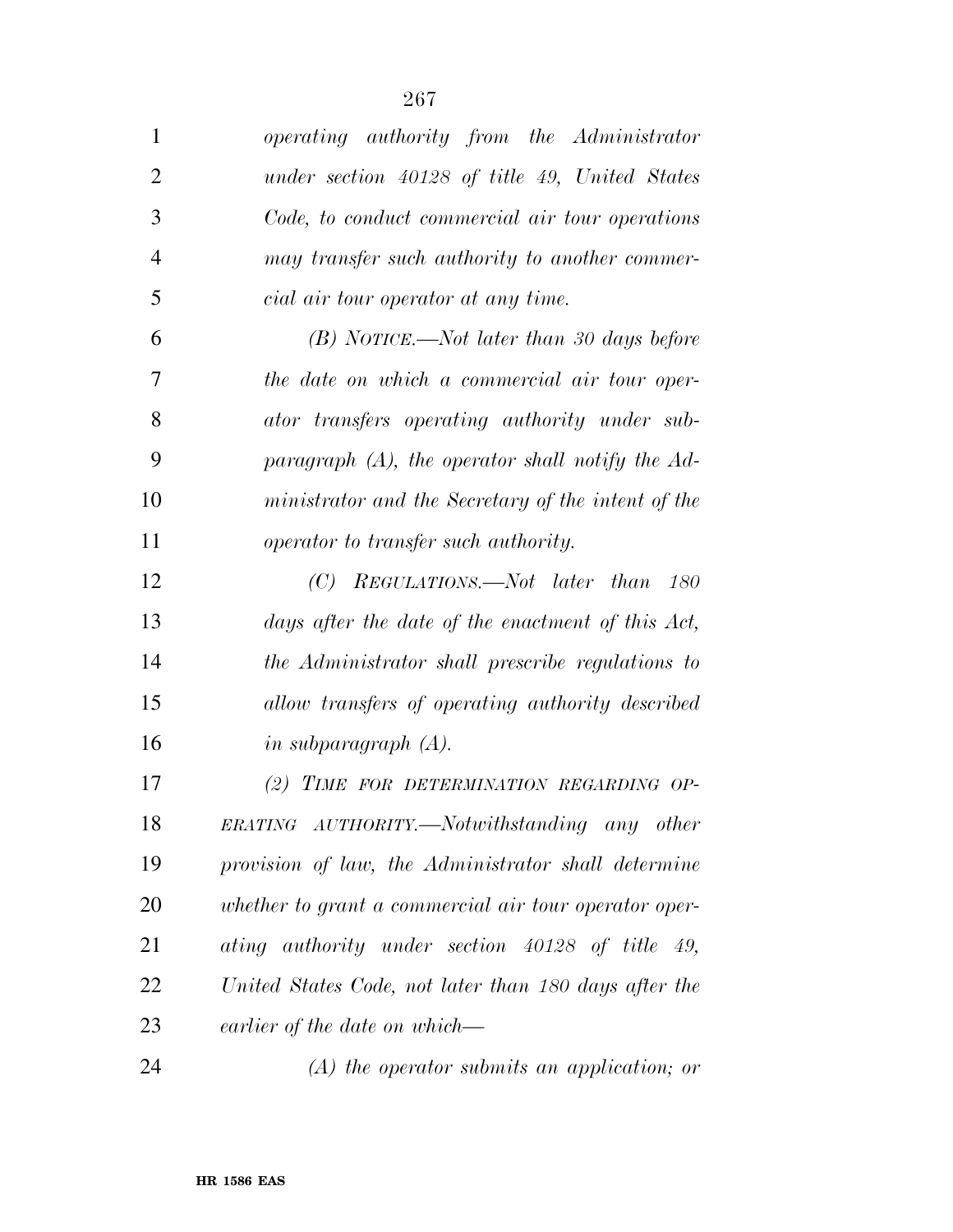| $\mathbf{1}$   | <i>operating authority from the Administrator</i>      |
|----------------|--------------------------------------------------------|
| $\overline{2}$ | under section 40128 of title 49, United States         |
| 3              | Code, to conduct commercial air tour operations        |
| $\overline{4}$ | may transfer such authority to another commer-         |
| 5              | cial air tour operator at any time.                    |
| 6              | $(B)$ NOTICE.—Not later than 30 days before            |
| 7              | the date on which a commercial air tour oper-          |
| 8              | ator transfers operating authority under sub-          |
| 9              | paragraph $(A)$ , the operator shall notify the $Ad$ - |
| 10             | ministrator and the Secretary of the intent of the     |
| 11             | <i>operator to transfer such authority.</i>            |
| 12             | REGULATIONS.—Not later than<br>(C)<br>-180             |
| 13             | days after the date of the enactment of this Act,      |
| 14             | the Administrator shall prescribe regulations to       |
| 15             | allow transfers of operating authority described       |
| 16             | in subparagraph $(A)$ .                                |
| 17             | (2) TIME FOR DETERMINATION REGARDING OP-               |
| 18             | ERATING AUTHORITY.—Notwithstanding any other           |
| 19             | provision of law, the Administrator shall determine    |
| 20             | whether to grant a commercial air tour operator oper-  |
| 21             | ating authority under section 40128 of title 49,       |
| 22             | United States Code, not later than 180 days after the  |
| 23             | earlier of the date on which—                          |
| 24             | $(A)$ the operator submits an application; or          |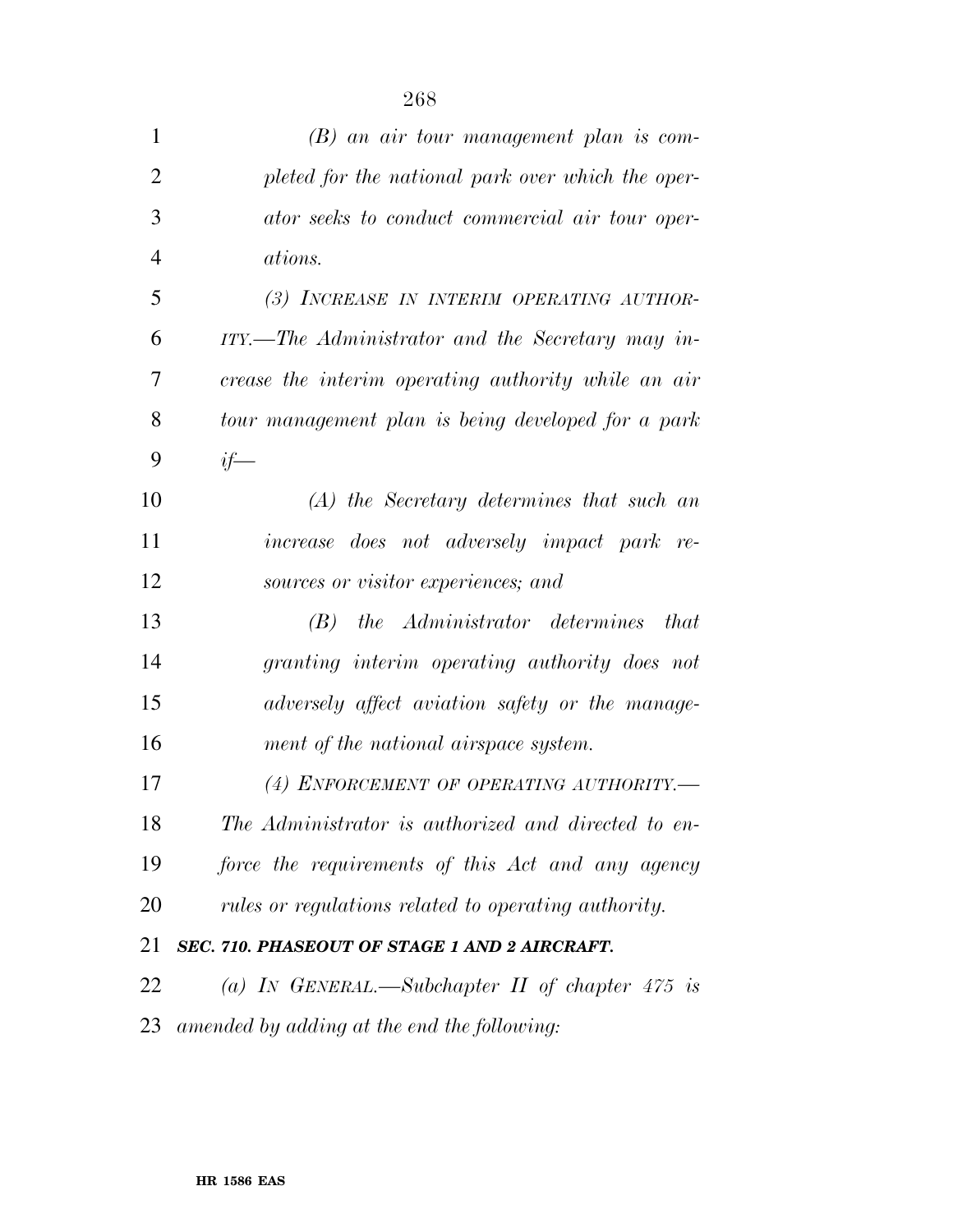| $\mathbf{1}$   | $(B)$ an air tour management plan is com-            |
|----------------|------------------------------------------------------|
| $\overline{2}$ | pleted for the national park over which the oper-    |
| 3              | ator seeks to conduct commercial air tour oper-      |
| $\overline{4}$ | <i>ations.</i>                                       |
| 5              | (3) INCREASE IN INTERIM OPERATING AUTHOR-            |
| 6              | ITY.—The Administrator and the Secretary may in-     |
| 7              | crease the interim operating authority while an air  |
| 8              | tour management plan is being developed for a park   |
| 9              | $if$ —                                               |
| 10             | (A) the Secretary determines that such an            |
| 11             | increase does not adversely impact park re-          |
| 12             | sources or visitor experiences; and                  |
| 13             | the Administrator determines that<br>(B)             |
| 14             | granting interim operating authority does not        |
| 15             | adversely affect aviation safety or the manage-      |
| 16             | ment of the national airspace system.                |
| 17             | (4) ENFORCEMENT OF OPERATING AUTHORITY.              |
| 18             | The Administrator is authorized and directed to en-  |
| 19             | force the requirements of this Act and any agency    |
| 20             | rules or regulations related to operating authority. |
| 21             | SEC. 710. PHASEOUT OF STAGE 1 AND 2 AIRCRAFT.        |
| 22             | (a) IN GENERAL.—Subchapter II of chapter $475$ is    |
| 23             | amended by adding at the end the following:          |

**HR 1586 EAS**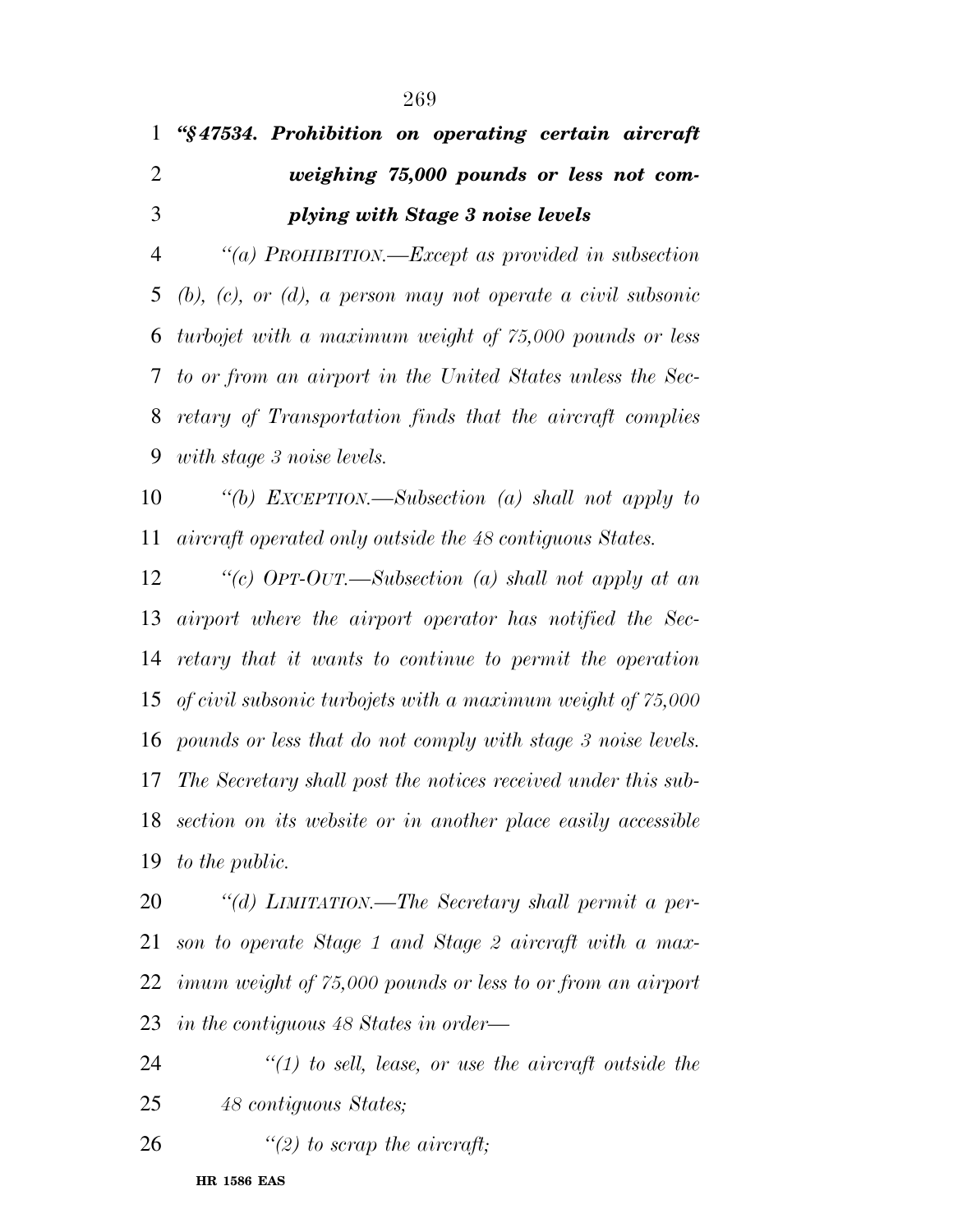# *''§ 47534. Prohibition on operating certain aircraft weighing 75,000 pounds or less not com-plying with Stage 3 noise levels*

 *''(a) PROHIBITION.—Except as provided in subsection (b), (c), or (d), a person may not operate a civil subsonic turbojet with a maximum weight of 75,000 pounds or less to or from an airport in the United States unless the Sec- retary of Transportation finds that the aircraft complies with stage 3 noise levels.* 

 *''(b) EXCEPTION.—Subsection (a) shall not apply to aircraft operated only outside the 48 contiguous States.* 

 *''(c) OPT-OUT.—Subsection (a) shall not apply at an airport where the airport operator has notified the Sec- retary that it wants to continue to permit the operation of civil subsonic turbojets with a maximum weight of 75,000 pounds or less that do not comply with stage 3 noise levels. The Secretary shall post the notices received under this sub- section on its website or in another place easily accessible to the public.* 

 *''(d) LIMITATION.—The Secretary shall permit a per- son to operate Stage 1 and Stage 2 aircraft with a max- imum weight of 75,000 pounds or less to or from an airport in the contiguous 48 States in order—* 

 *''(1) to sell, lease, or use the aircraft outside the 48 contiguous States;* 

*''(2) to scrap the aircraft;* 

**HR 1586 EAS**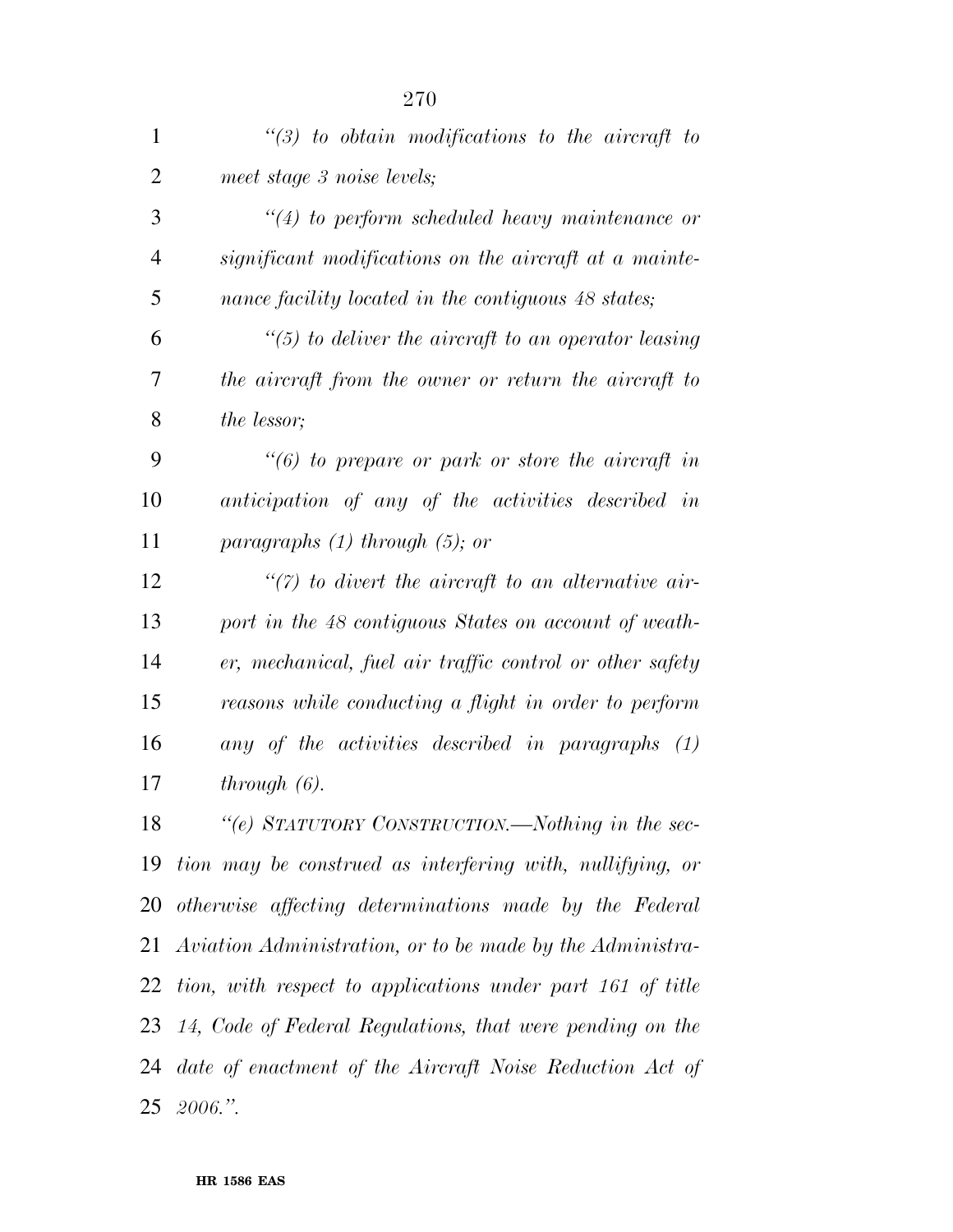| $\mathbf{1}$   | $\lq(3)$ to obtain modifications to the aircraft to           |
|----------------|---------------------------------------------------------------|
| $\overline{2}$ | meet stage 3 noise levels;                                    |
| 3              | $\lq(4)$ to perform scheduled heavy maintenance or            |
| $\overline{4}$ | significant modifications on the aircraft at a mainte-        |
| 5              | nance facility located in the contiguous 48 states;           |
| 6              | $\lq(5)$ to deliver the aircraft to an operator leasing       |
| 7              | the aircraft from the owner or return the aircraft to         |
| 8              | the lessor;                                                   |
| 9              | $\lq(6)$ to prepare or park or store the aircraft in          |
| 10             | anticipation of any of the activities described in            |
| 11             | paragraphs $(1)$ through $(5)$ ; or                           |
| 12             | $\lq(7)$ to divert the aircraft to an alternative air-        |
| 13             | port in the 48 contiguous States on account of weath-         |
| 14             | er, mechanical, fuel air traffic control or other safety      |
| 15             | reasons while conducting a flight in order to perform         |
| 16             | any of the activities described in paragraphs $(1)$           |
| 17             | through $(6)$ .                                               |
| 18             | "(e) STATUTORY CONSTRUCTION.—Nothing in the sec-              |
|                | 19 tion may be construed as interfering with, nullifying, or  |
|                | 20 otherwise affecting determinations made by the Federal     |
|                | 21 Aviation Administration, or to be made by the Administra-  |
|                | 22 tion, with respect to applications under part 161 of title |
|                | 23 14, Code of Federal Regulations, that were pending on the  |
|                | 24 date of enactment of the Aircraft Noise Reduction Act of   |
|                | $25\ \ 2006."$                                                |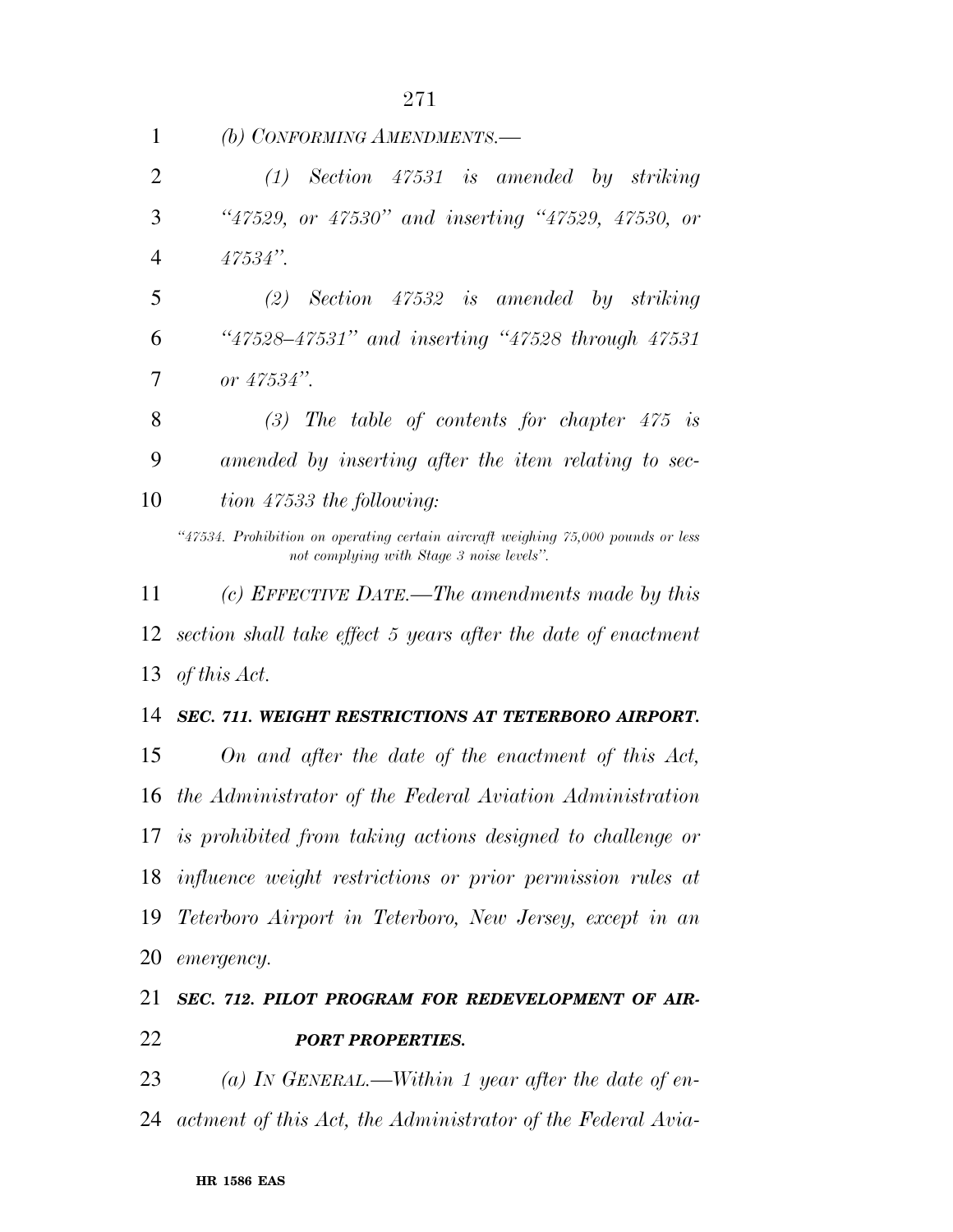| 1              | (b) CONFORMING AMENDMENTS.—                                                                                                   |
|----------------|-------------------------------------------------------------------------------------------------------------------------------|
| $\overline{2}$ | $(1)$ Section 47531 is amended by striking                                                                                    |
| 3              | "47529, or 47530" and inserting "47529, 47530, or                                                                             |
| 4              | $47534"$ .                                                                                                                    |
| 5              | $(2)$ Section 47532 is amended by striking                                                                                    |
| 6              | "47528-47531" and inserting "47528 through 47531                                                                              |
| 7              | or $47534"$ .                                                                                                                 |
| 8              | (3) The table of contents for chapter $475$ is                                                                                |
| 9              | amended by inserting after the item relating to sec-                                                                          |
| 10             | tion 47533 the following:                                                                                                     |
|                | "47534. Prohibition on operating certain aircraft weighing 75,000 pounds or less<br>not complying with Stage 3 noise levels". |
| 11             | (c) EFFECTIVE DATE.—The amendments made by this                                                                               |
| 12             | section shall take effect 5 years after the date of enactment                                                                 |
|                | 13 of this Act.                                                                                                               |
|                |                                                                                                                               |

### *SEC. 711. WEIGHT RESTRICTIONS AT TETERBORO AIRPORT.*

 *On and after the date of the enactment of this Act, the Administrator of the Federal Aviation Administration is prohibited from taking actions designed to challenge or influence weight restrictions or prior permission rules at Teterboro Airport in Teterboro, New Jersey, except in an emergency.* 

### *SEC. 712. PILOT PROGRAM FOR REDEVELOPMENT OF AIR-PORT PROPERTIES.*

 *(a) IN GENERAL.—Within 1 year after the date of en-actment of this Act, the Administrator of the Federal Avia-*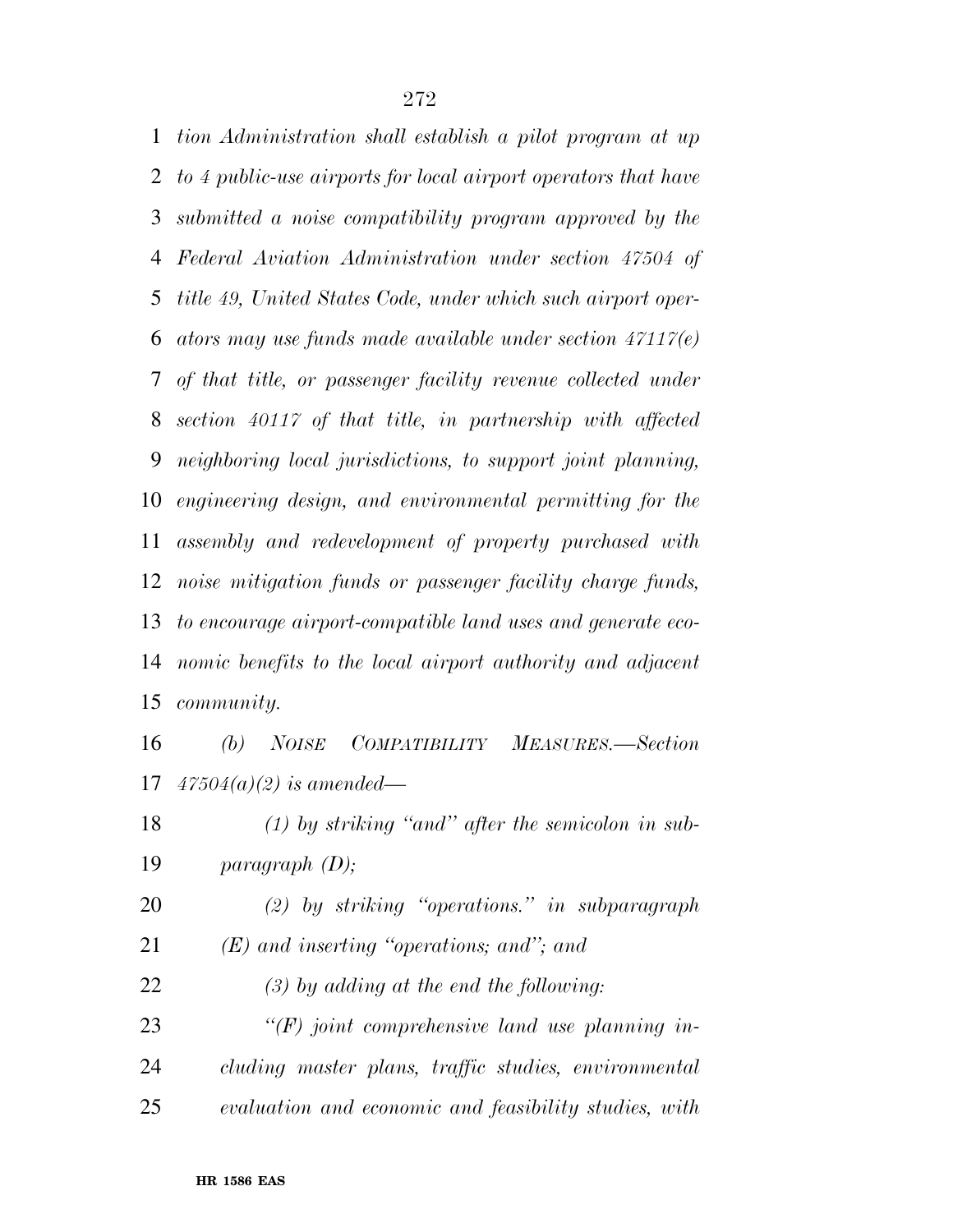*tion Administration shall establish a pilot program at up to 4 public-use airports for local airport operators that have submitted a noise compatibility program approved by the Federal Aviation Administration under section 47504 of title 49, United States Code, under which such airport oper- ators may use funds made available under section 47117(e) of that title, or passenger facility revenue collected under section 40117 of that title, in partnership with affected neighboring local jurisdictions, to support joint planning, engineering design, and environmental permitting for the assembly and redevelopment of property purchased with noise mitigation funds or passenger facility charge funds, to encourage airport-compatible land uses and generate eco- nomic benefits to the local airport authority and adjacent community.* 

 *(b) NOISE COMPATIBILITY MEASURES.—Section 47504(a)(2) is amended—* 

 *(1) by striking ''and'' after the semicolon in sub-paragraph (D);* 

 *(2) by striking ''operations.'' in subparagraph (E) and inserting ''operations; and''; and* 

*(3) by adding at the end the following:* 

 *''(F) joint comprehensive land use planning in- cluding master plans, traffic studies, environmental evaluation and economic and feasibility studies, with*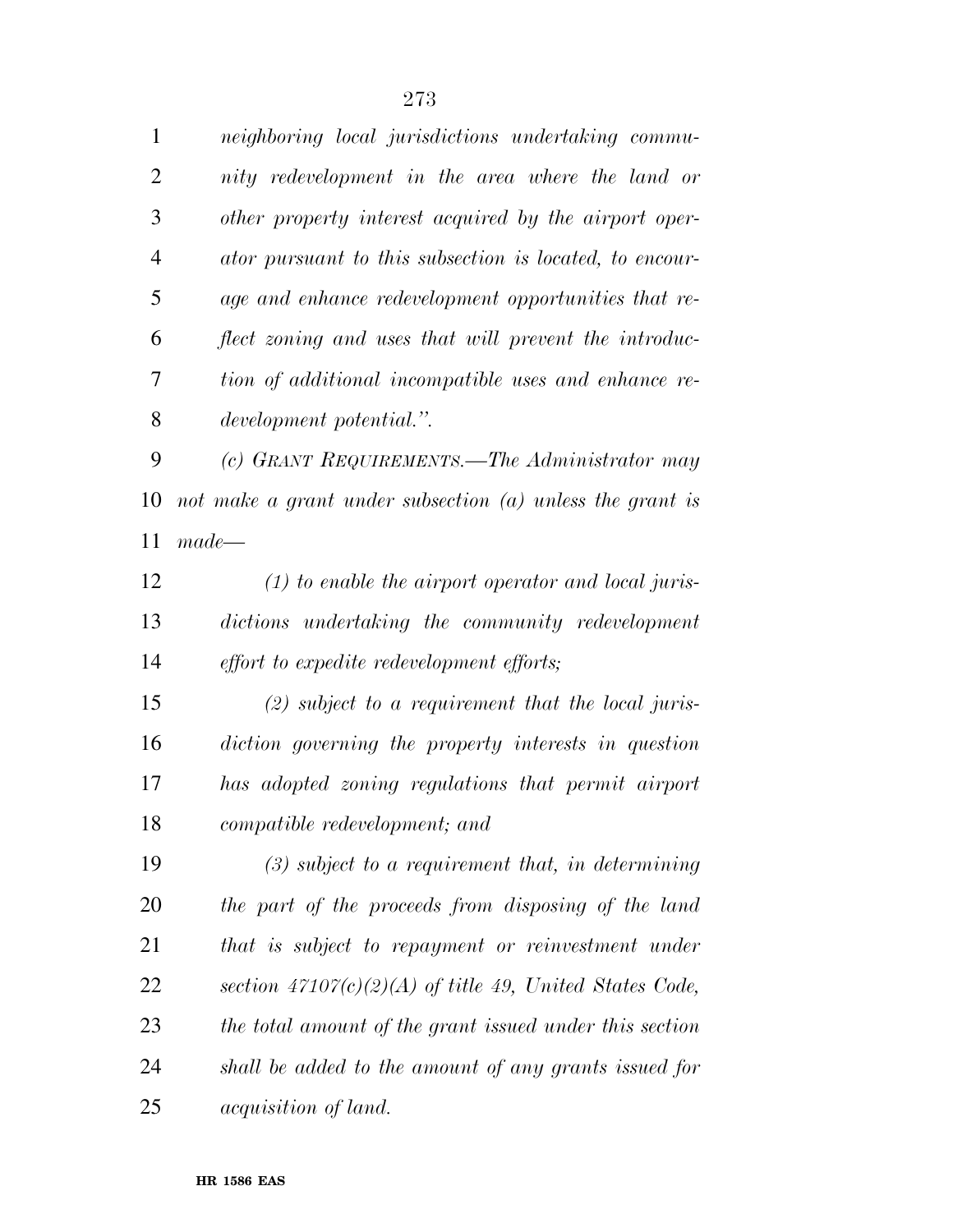| $\mathbf 1$    | neighboring local jurisdictions undertaking commu-          |
|----------------|-------------------------------------------------------------|
| 2              | nity redevelopment in the area where the land or            |
| 3              | other property interest acquired by the airport oper-       |
| $\overline{4}$ | ator pursuant to this subsection is located, to encour-     |
| 5              | age and enhance redevelopment opportunities that re-        |
| 6              | flect zoning and uses that will prevent the introduc-       |
| 7              | tion of additional incompatible uses and enhance re-        |
| 8              | development potential.".                                    |
| 9              | (c) GRANT REQUIREMENTS.—The Administrator may               |
| 10             | not make a grant under subsection $(a)$ unless the grant is |
| 11             | $made-$                                                     |
| 12             | $(1)$ to enable the airport operator and local juris-       |
| 13             | dictions undertaking the community redevelopment            |
| 14             | effort to expedite redevelopment efforts;                   |
| 15             | $(2)$ subject to a requirement that the local juris-        |
| 16             | diction governing the property interests in question        |
| 17             | has adopted zoning regulations that permit airport          |
| 18             | <i>compatible redevelopment; and</i>                        |
| 19             | $(3)$ subject to a requirement that, in determining         |
| <b>20</b>      | the part of the proceeds from disposing of the land         |
| 21             | that is subject to repayment or reinvestment under          |
| 22             | section $47107(c)(2)(A)$ of title 49, United States Code,   |
| 23             | the total amount of the grant issued under this section     |
| 24             | shall be added to the amount of any grants issued for       |
| 25             | <i>acquisition of land.</i>                                 |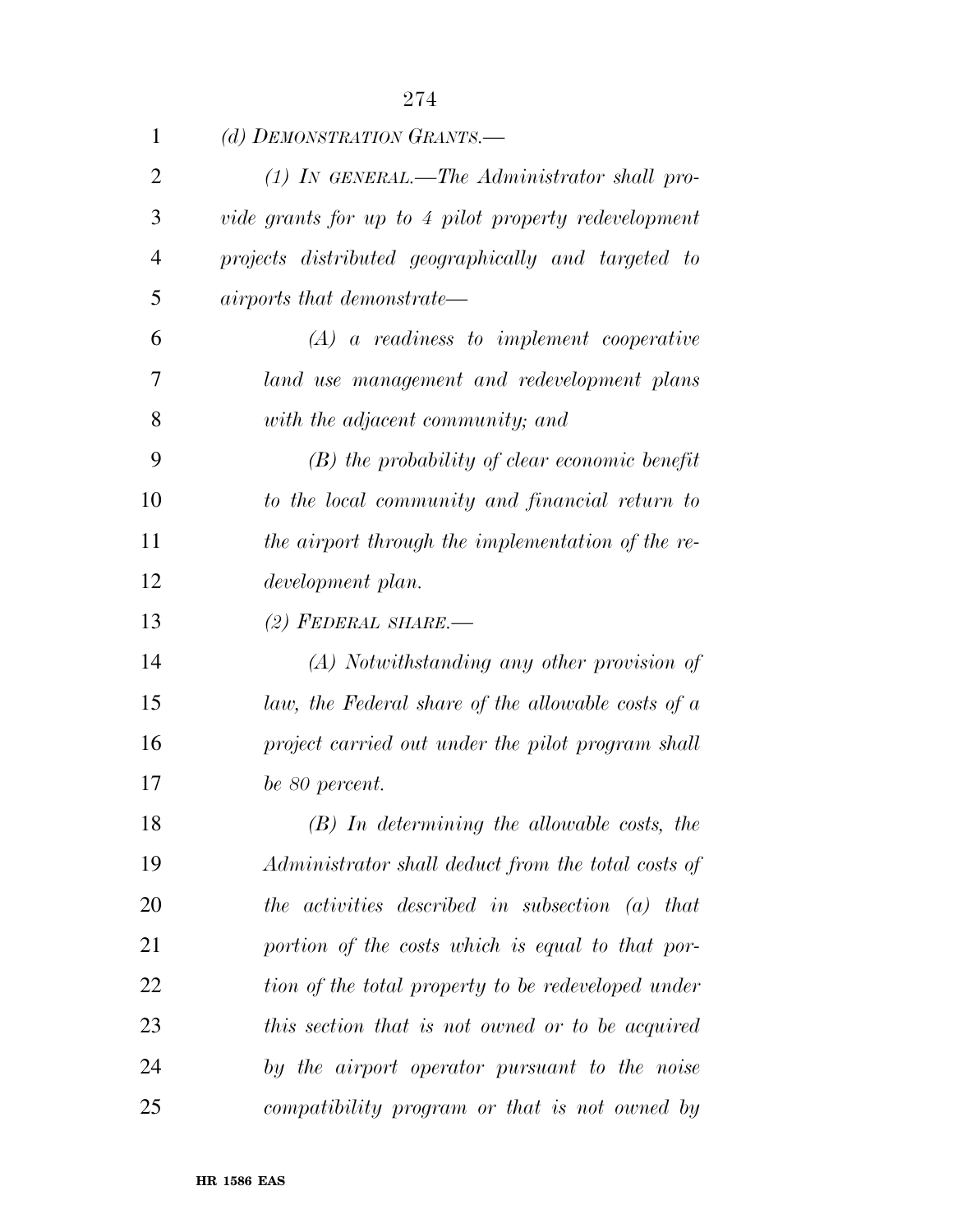| 1              | (d) DEMONSTRATION GRANTS.-                           |
|----------------|------------------------------------------------------|
| 2              | $(1)$ IN GENERAL.—The Administrator shall pro-       |
| 3              | vide grants for up to 4 pilot property redevelopment |
| $\overline{4}$ | projects distributed geographically and targeted to  |
| 5              | <i>airports that demonstrate—</i>                    |
| 6              | $(A)$ a readiness to implement cooperative           |
| 7              | land use management and redevelopment plans          |
| 8              | with the adjacent community; and                     |
| 9              | $(B)$ the probability of clear economic benefit      |
| 10             | to the local community and financial return to       |
| 11             | the airport through the implementation of the re-    |
| 12             | development plan.                                    |
| 13             | (2) FEDERAL SHARE.—                                  |
| 14             | (A) Notwithstanding any other provision of           |
| 15             | law, the Federal share of the allowable costs of $a$ |
| 16             | project carried out under the pilot program shall    |
| 17             | be 80 percent.                                       |
| 18             | $(B)$ In determining the allowable costs, the        |
| 19             | Administrator shall deduct from the total costs of   |
| 20             | the activities described in subsection (a) that      |
| 21             | portion of the costs which is equal to that por-     |
| 22             | tion of the total property to be redeveloped under   |
| 23             | this section that is not owned or to be acquired     |
| 24             | by the airport operator pursuant to the noise        |
| 25             | compatibility program or that is not owned by        |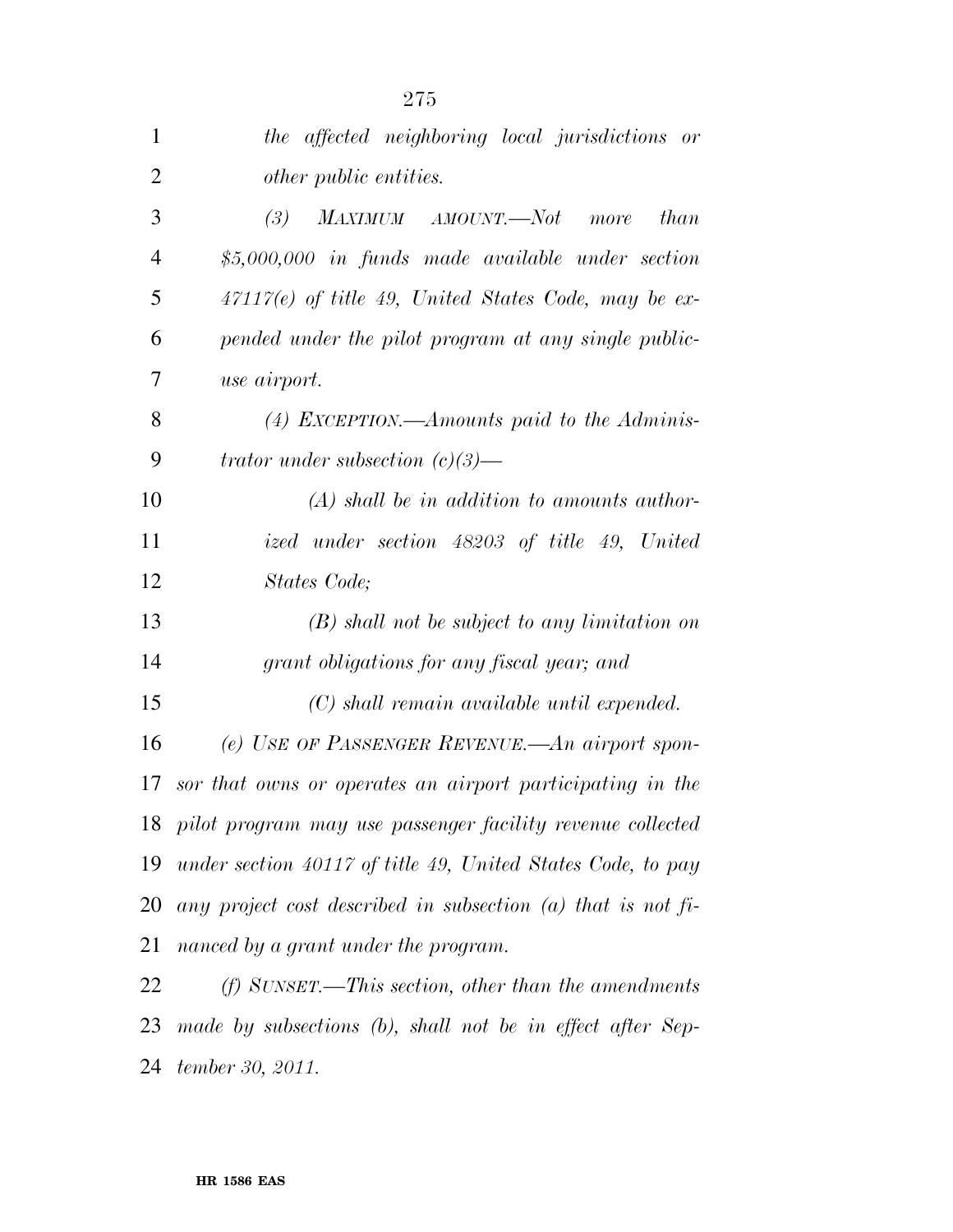| $\mathbf{1}$   | the affected neighboring local jurisdictions or                  |
|----------------|------------------------------------------------------------------|
| $\overline{2}$ | <i>other public entities.</i>                                    |
| 3              | (3)<br>MAXIMUM AMOUNT.—Not more<br>than                          |
| $\overline{4}$ | $$5,000,000$ in funds made available under section               |
| 5              | $47117(e)$ of title 49, United States Code, may be ex-           |
| 6              | pended under the pilot program at any single public-             |
| 7              | use airport.                                                     |
| 8              | (4) EXCEPTION.—Amounts paid to the Adminis-                      |
| 9              | trator under subsection $(c)(3)$ —                               |
| 10             | $(A)$ shall be in addition to amounts author-                    |
| 11             | ized under section 48203 of title 49, United                     |
| 12             | States Code;                                                     |
| 13             | $(B)$ shall not be subject to any limitation on                  |
| 14             | grant obligations for any fiscal year; and                       |
| 15             | $(C)$ shall remain available until expended.                     |
| 16             | (e) USE OF PASSENGER REVENUE.—An airport spon-                   |
| 17             | sor that owns or operates an airport participating in the        |
| 18             | pilot program may use passenger facility revenue collected       |
| 19             | under section 40117 of title 49, United States Code, to pay      |
| <b>20</b>      | any project cost described in subsection (a) that is not $f_i$ - |
| 21             | nanced by a grant under the program.                             |
| 22             | $(f)$ SUNSET.—This section, other than the amendments            |
| 23             | made by subsections (b), shall not be in effect after Sep-       |
| 24             | tember 30, 2011.                                                 |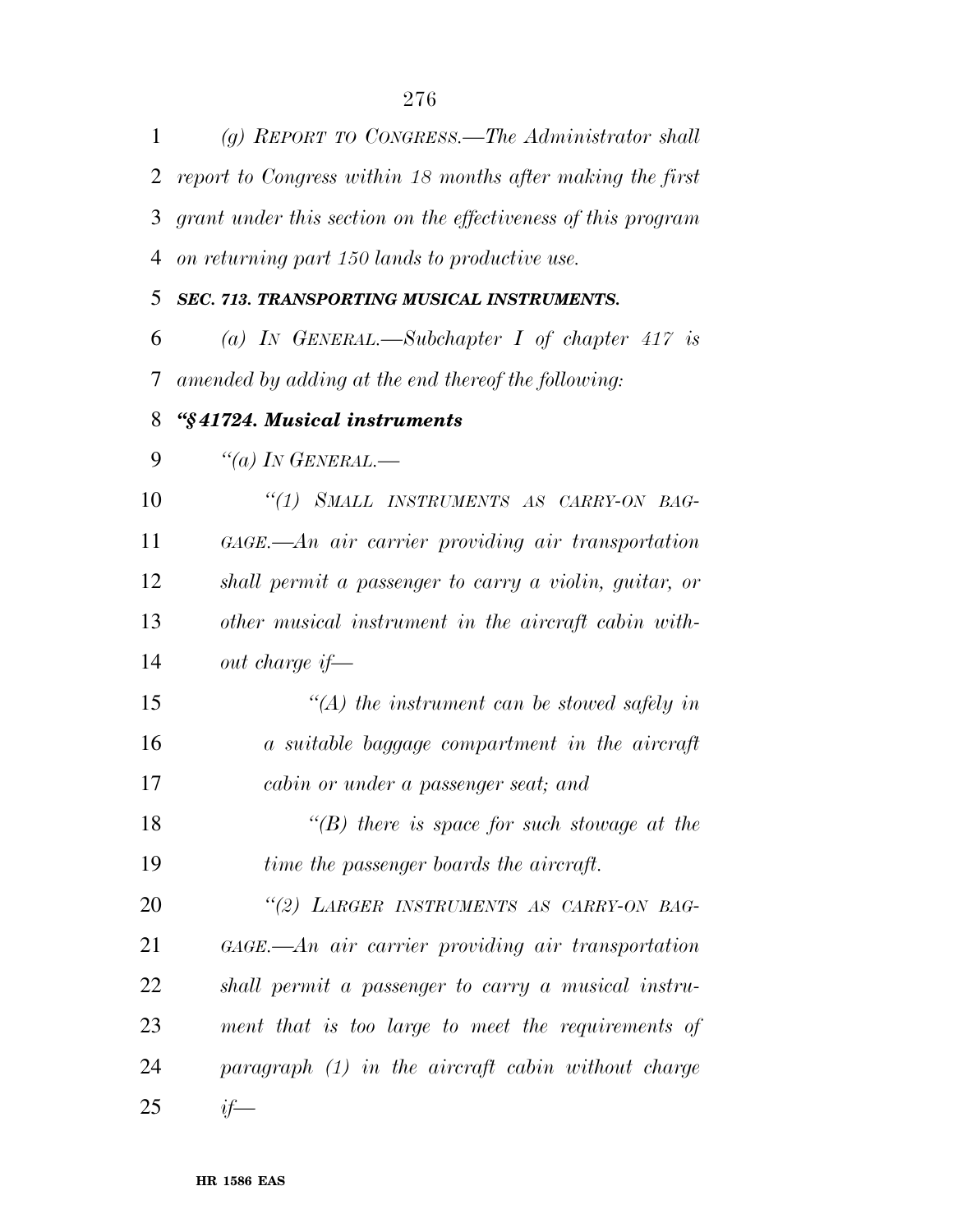| 1         | (g) REPORT TO CONGRESS.—The Administrator shall               |
|-----------|---------------------------------------------------------------|
| 2         | report to Congress within 18 months after making the first    |
| 3         | grant under this section on the effectiveness of this program |
| 4         | on returning part 150 lands to productive use.                |
| 5         | SEC. 713. TRANSPORTING MUSICAL INSTRUMENTS.                   |
| 6         | (a) IN GENERAL.—Subchapter I of chapter 417 is                |
| 7         | amended by adding at the end thereof the following:           |
| 8         | "§41724. Musical instruments                                  |
| 9         | "(a) IN GENERAL.—                                             |
| 10        | "(1) SMALL INSTRUMENTS AS CARRY-ON BAG-                       |
| 11        | $GAGE$ — $An$ air carrier providing air transportation        |
| 12        | shall permit a passenger to carry a violin, guitar, or        |
| 13        | other musical instrument in the aircraft cabin with-          |
| 14        | out charge if—                                                |
| 15        | $\lq (A)$ the instrument can be stowed safely in              |
| 16        | a suitable baggage compartment in the aircraft                |
| 17        | cabin or under a passenger seat; and                          |
| 18        | $\lq\lq(B)$ there is space for such stowage at the            |
| 19        | time the passenger boards the aircraft.                       |
| 20        | "(2) LARGER INSTRUMENTS AS CARRY-ON BAG-                      |
| 21        | $GAGE$ — $An$ air carrier providing air transportation        |
| <u>22</u> | shall permit a passenger to carry a musical instru-           |
| 23        | ment that is too large to meet the requirements of            |
| 24        | paragraph (1) in the aircraft cabin without charge            |
| 25        | $if-$                                                         |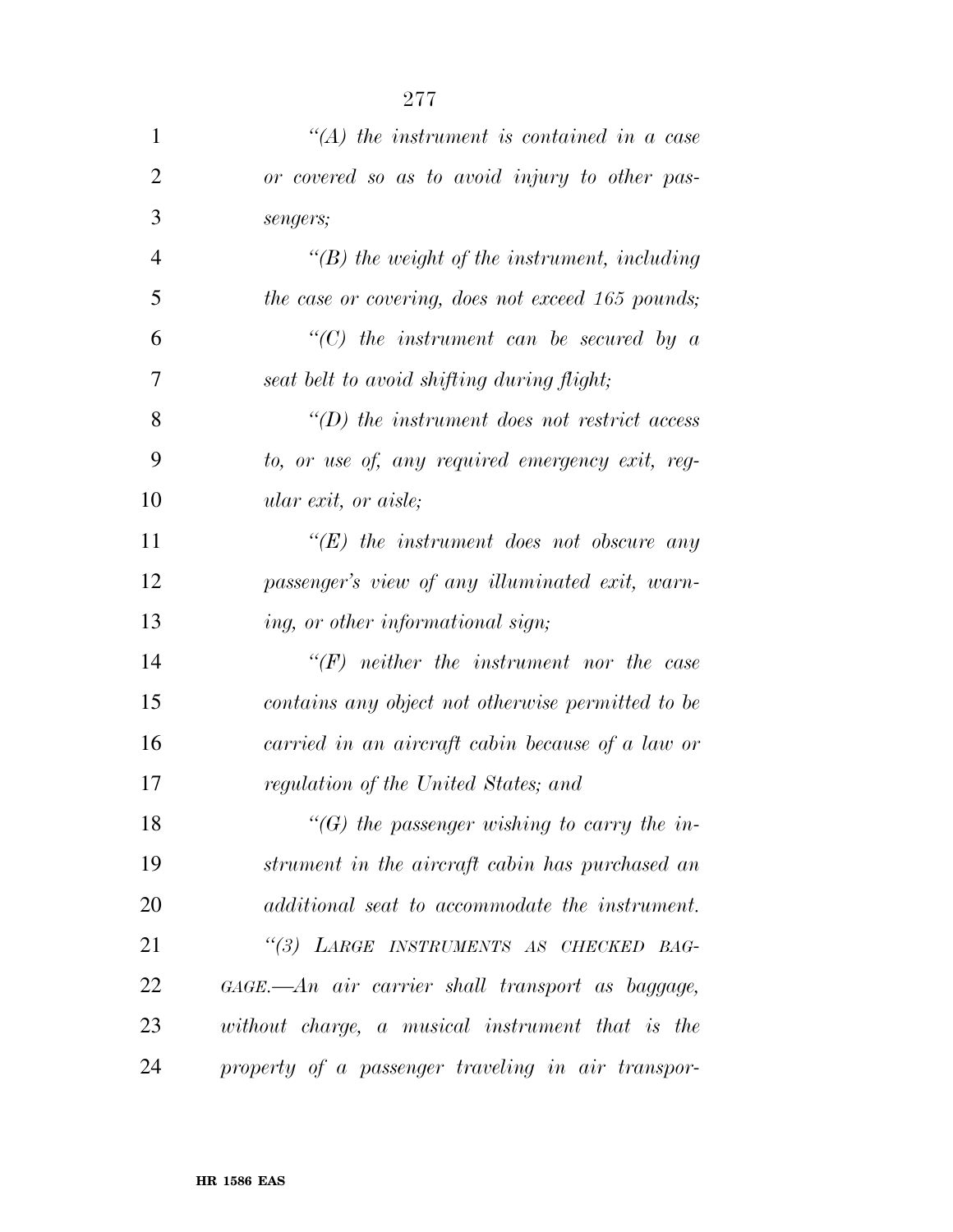| $\mathbf{1}$   | $\lq (A)$ the instrument is contained in a case     |
|----------------|-----------------------------------------------------|
| $\overline{2}$ | or covered so as to avoid injury to other pas-      |
| 3              | sengers;                                            |
| $\overline{4}$ | $\lq (B)$ the weight of the instrument, including   |
| 5              | the case or covering, does not exceed 165 pounds;   |
| 6              | $\lq\lq C$ the instrument can be secured by a       |
| 7              | seat belt to avoid shifting during flight;          |
| 8              | $\lq\lq(D)$ the instrument does not restrict access |
| 9              | to, or use of, any required emergency exit, reg-    |
| 10             | <i>ular exit, or aisle;</i>                         |
| 11             | $\lq\lq(E)$ the instrument does not obscure any     |
| 12             | passenger's view of any illuminated exit, warn-     |
| 13             | ing, or other informational sign;                   |
| 14             | $\lq\lq(F)$ neither the instrument nor the case     |
| 15             | contains any object not otherwise permitted to be   |
| 16             | carried in an aircraft cabin because of a law or    |
| 17             | regulation of the United States; and                |
| 18             | "(G) the passenger wishing to carry the in-         |
| 19             | strument in the aircraft cabin has purchased an     |
| 20             | additional seat to accommodate the instrument.      |
| 21             | "(3) LARGE INSTRUMENTS AS CHECKED BAG-              |
| 22             | $GAGE$ . An air carrier shall transport as baggage, |
| 23             | without charge, a musical instrument that is the    |
| 24             | property of a passenger traveling in air transpor-  |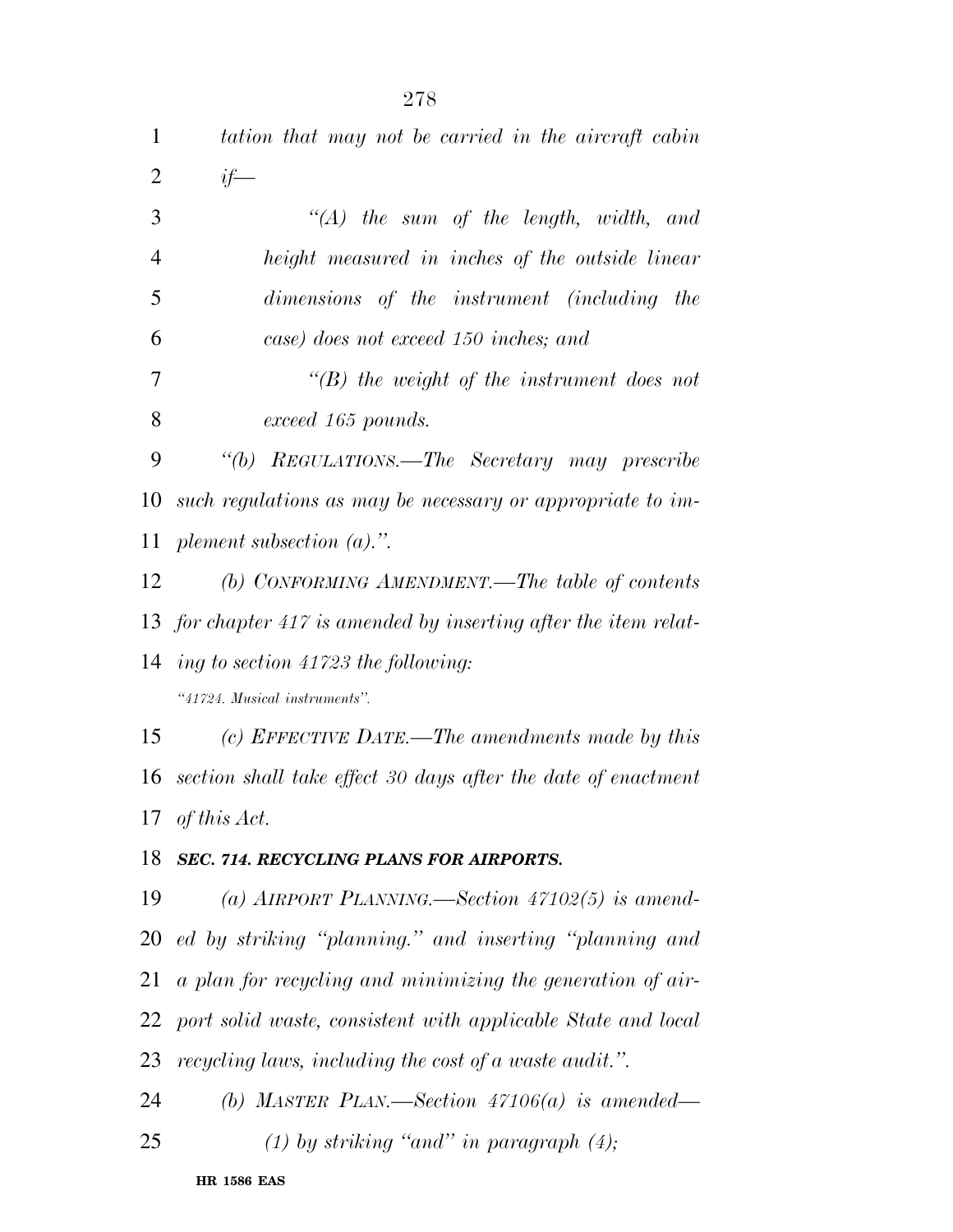| 1              | tation that may not be carried in the aircraft cabin             |
|----------------|------------------------------------------------------------------|
| $\overline{2}$ | $if-$                                                            |
| 3              | $\lq\lq (A)$ the sum of the length, width, and                   |
| $\overline{4}$ | height measured in inches of the outside linear                  |
| 5              | dimensions of the instrument (including the                      |
| 6              | case) does not exceed 150 inches; and                            |
| 7              | $\lq\lq(B)$ the weight of the instrument does not                |
| 8              | exceed 165 pounds.                                               |
| 9              | "(b) REGULATIONS.—The Secretary may prescribe                    |
| 10             | such regulations as may be necessary or appropriate to im-       |
| 11             | plement subsection $(a)$ .".                                     |
| 12             | (b) CONFORMING AMENDMENT.—The table of contents                  |
|                | 13 for chapter 417 is amended by inserting after the item relat- |
|                | 14 ing to section $41723$ the following:                         |
|                | "41724. Musical instruments".                                    |
| 15             | (c) EFFECTIVE DATE.—The amendments made by this                  |
|                | 16 section shall take effect 30 days after the date of enactment |
|                | 17 of this Act.                                                  |
| 18             | SEC. 714. RECYCLING PLANS FOR AIRPORTS.                          |
| 19             | (a) AIRPORT PLANNING.—Section $47102(5)$ is amend-               |
|                | 20 ed by striking "planning." and inserting "planning and        |
| 21             | a plan for recycling and minimizing the generation of air-       |
| 22             | port solid waste, consistent with applicable State and local     |
| 23             | recycling laws, including the cost of a waste audit.".           |
| 24             | (b) MASTER PLAN.—Section $47106(a)$ is amended—                  |
| 25             | (1) by striking "and" in paragraph $(4)$ ;                       |
|                |                                                                  |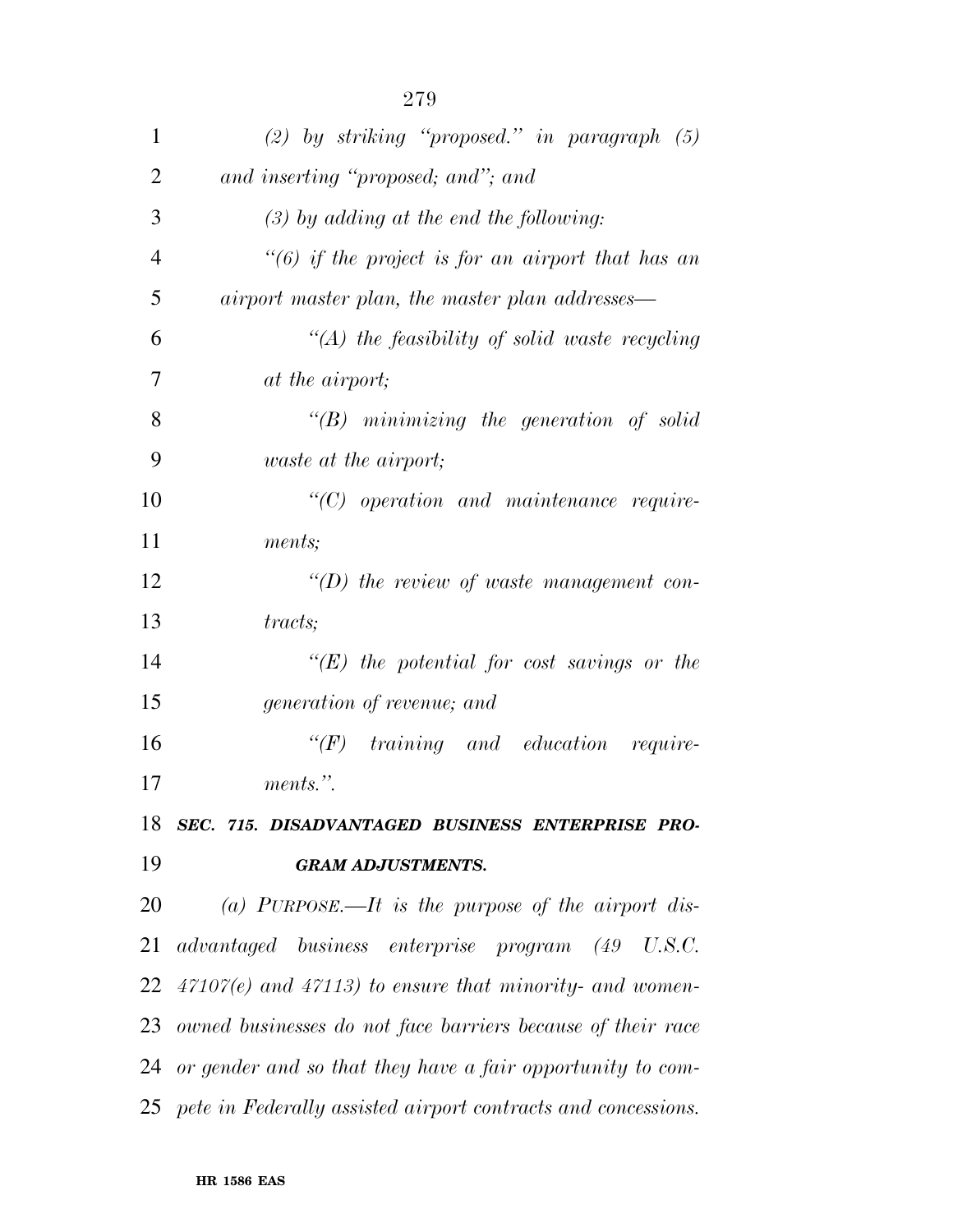| $\mathbf{1}$   | (2) by striking "proposed." in paragraph $(5)$                   |
|----------------|------------------------------------------------------------------|
| $\overline{2}$ | and inserting "proposed; and"; and                               |
| 3              | $(3)$ by adding at the end the following:                        |
| $\overline{4}$ | "(6) if the project is for an airport that has an                |
| 5              | airport master plan, the master plan addresses—                  |
| 6              | "(A) the feasibility of solid waste recycling                    |
| 7              | at the airport;                                                  |
| 8              | $\lq\lq B$ minimizing the generation of solid                    |
| 9              | <i>waste at the airport;</i>                                     |
| 10             | $\lq\lq C$ operation and maintenance require-                    |
| 11             | ments;                                                           |
| 12             | $\lq\lq(D)$ the review of waste management con-                  |
| 13             | tracts;                                                          |
| 14             | $\lq\lq (E)$ the potential for cost savings or the               |
| 15             | generation of revenue; and                                       |
| 16             | $\lq\lq(F)$ training and education require-                      |
| 17             | ments.".                                                         |
| 18             | SEC. 715. DISADVANTAGED BUSINESS ENTERPRISE PRO-                 |
| 19             | <b>GRAM ADJUSTMENTS.</b>                                         |
| 20             | (a) PURPOSE.—It is the purpose of the airport dis-               |
| 21             | advantaged business enterprise program (49 U.S.C.                |
| 22             | $47107(e)$ and $47113$ ) to ensure that minority- and women-     |
| 23             | owned businesses do not face barriers because of their race      |
|                | 24 or gender and so that they have a fair opportunity to com-    |
|                | 25 pete in Federally assisted airport contracts and concessions. |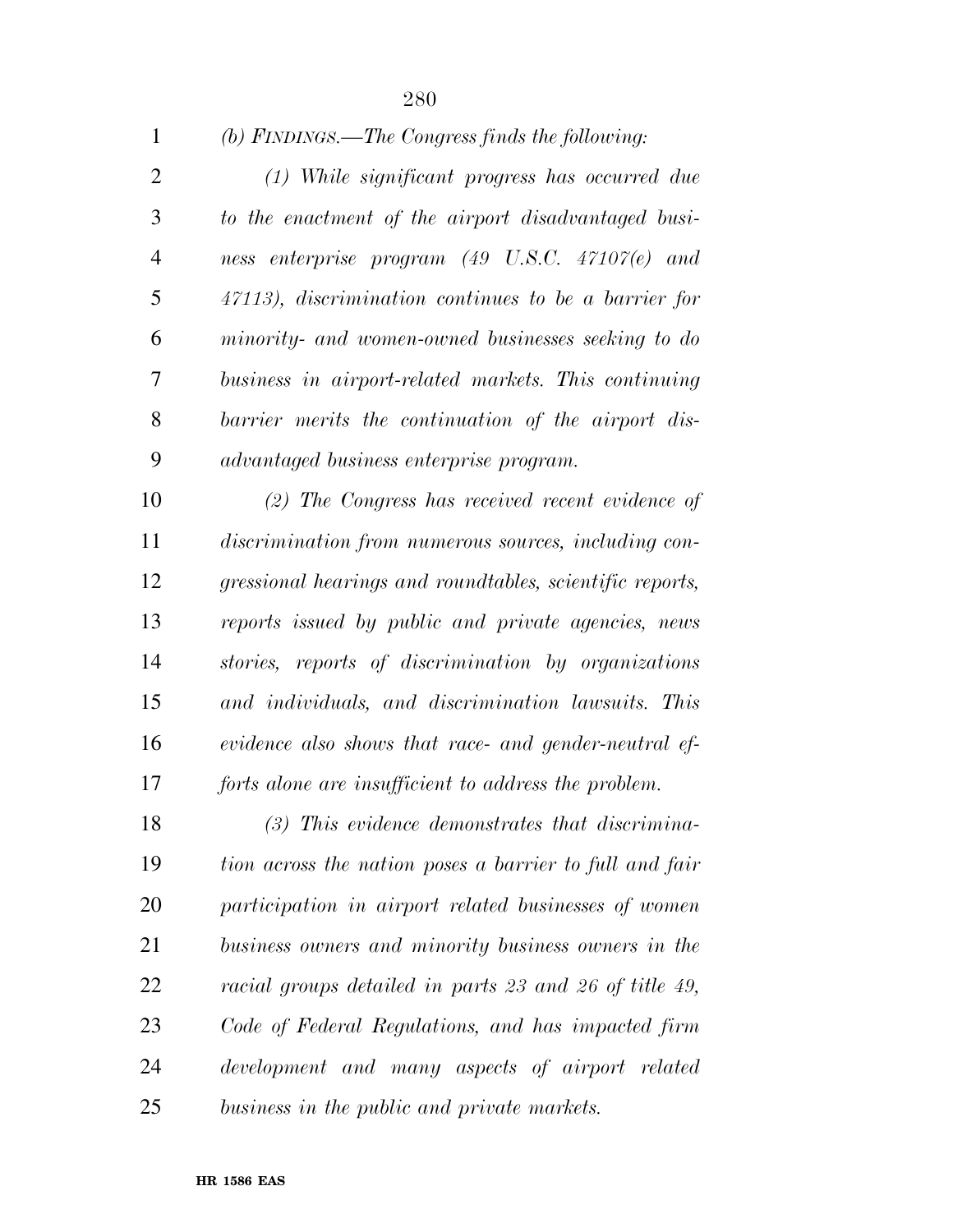| 1              | (b) FINDINGS.—The Congress finds the following:          |
|----------------|----------------------------------------------------------|
| $\overline{2}$ | $(1)$ While significant progress has occurred due        |
| 3              | to the enactment of the airport disadvantaged busi-      |
| 4              | ness enterprise program (49 U.S.C. 47107(e) and          |
| 5              | 47113), discrimination continues to be a barrier for     |
| 6              | minority- and women-owned businesses seeking to do       |
| 7              | business in airport-related markets. This continuing     |
| 8              | barrier merits the continuation of the airport dis-      |
| 9              | advantaged business enterprise program.                  |
| 10             | $(2)$ The Congress has received recent evidence of       |
| 11             | discrimination from numerous sources, including con-     |
| 12             | gressional hearings and roundtables, scientific reports, |
| 13             | reports issued by public and private agencies, news      |
| 14             | stories, reports of discrimination by organizations      |
| 15             | and individuals, and discrimination lawsuits. This       |
| 16             | evidence also shows that race- and gender-neutral ef-    |
| 17             | forts alone are insufficient to address the problem.     |
| 18             | $(3)$ This evidence demonstrates that discrimina-        |
| 19             | tion across the nation poses a barrier to full and fair  |
| 20             | participation in airport related businesses of women     |
| 21             | business owners and minority business owners in the      |
| 22             | racial groups detailed in parts 23 and 26 of title 49,   |
| 23             | Code of Federal Regulations, and has impacted firm       |
| 24             | development and many aspects of airport related          |
| 25             | business in the public and private markets.              |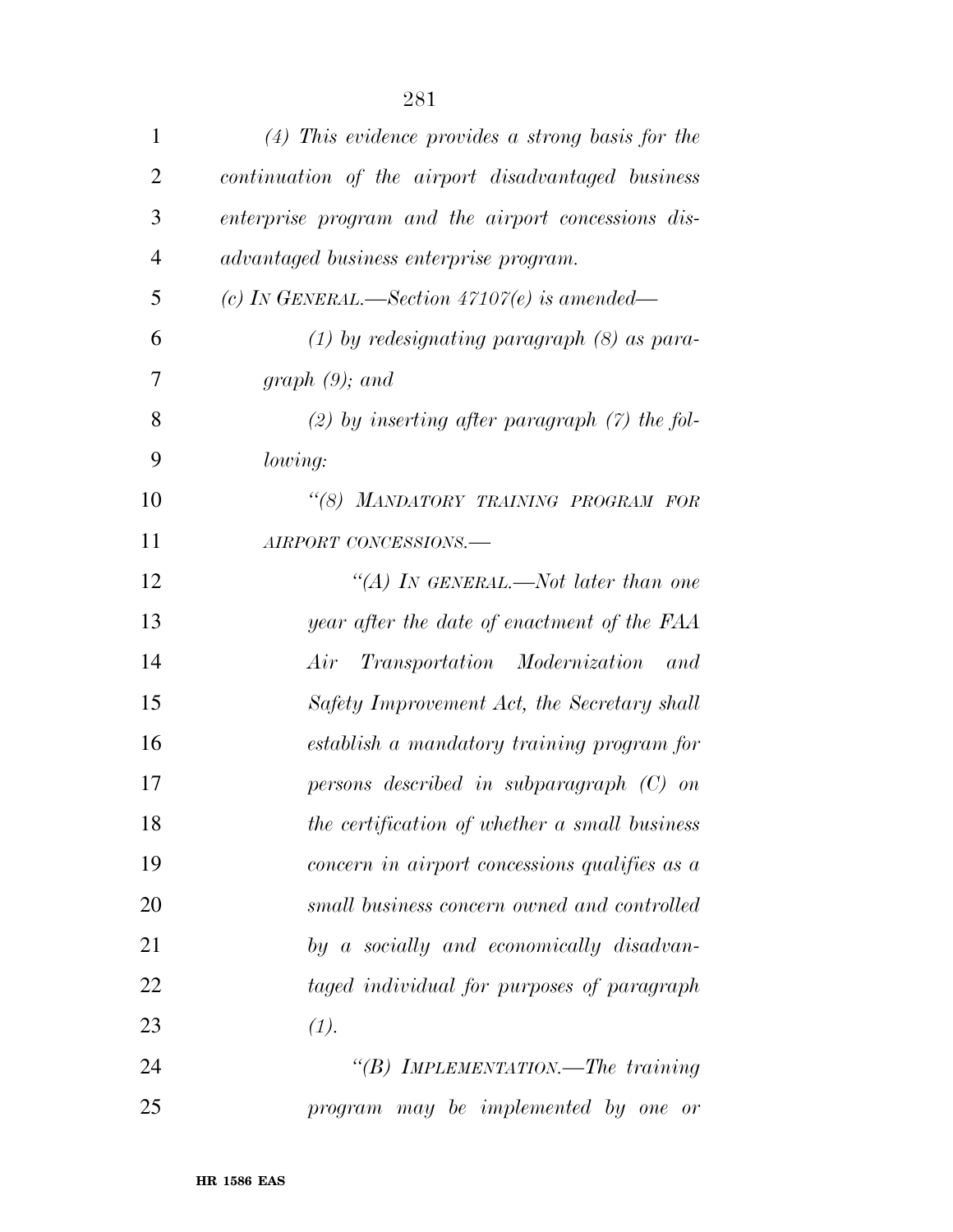| $\mathbf{1}$   | $(4)$ This evidence provides a strong basis for the |
|----------------|-----------------------------------------------------|
| $\overline{2}$ | continuation of the airport disadvantaged business  |
| 3              | enterprise program and the airport concessions dis- |
| $\overline{4}$ | advantaged business enterprise program.             |
| 5              | (c) IN GENERAL.—Section $47107(e)$ is amended—      |
| 6              | $(1)$ by redesignating paragraph $(8)$ as para-     |
| 7              | graph $(9)$ ; and                                   |
| 8              | (2) by inserting after paragraph $(7)$ the fol-     |
| 9              | lowing:                                             |
| 10             | "(8) MANDATORY TRAINING PROGRAM FOR                 |
| 11             | AIRPORT CONCESSIONS.-                               |
| 12             | "(A) In GENERAL.—Not later than one                 |
| 13             | year after the date of enactment of the FAA         |
| 14             | Transportation Modernization<br>Air<br>and          |
| 15             | Safety Improvement Act, the Secretary shall         |
| 16             | establish a mandatory training program for          |
| 17             | persons described in subparagraph $(C)$ on          |
| 18             | the certification of whether a small business       |
| 19             | concern in airport concessions qualifies as a       |
| 20             | small business concern owned and controlled         |
| 21             | by a socially and economically disadvan-            |
| 22             | taged individual for purposes of paragraph          |
| 23             | (1).                                                |
| 24             | "(B) IMPLEMENTATION.—The training                   |
| 25             | program may be implemented by one or                |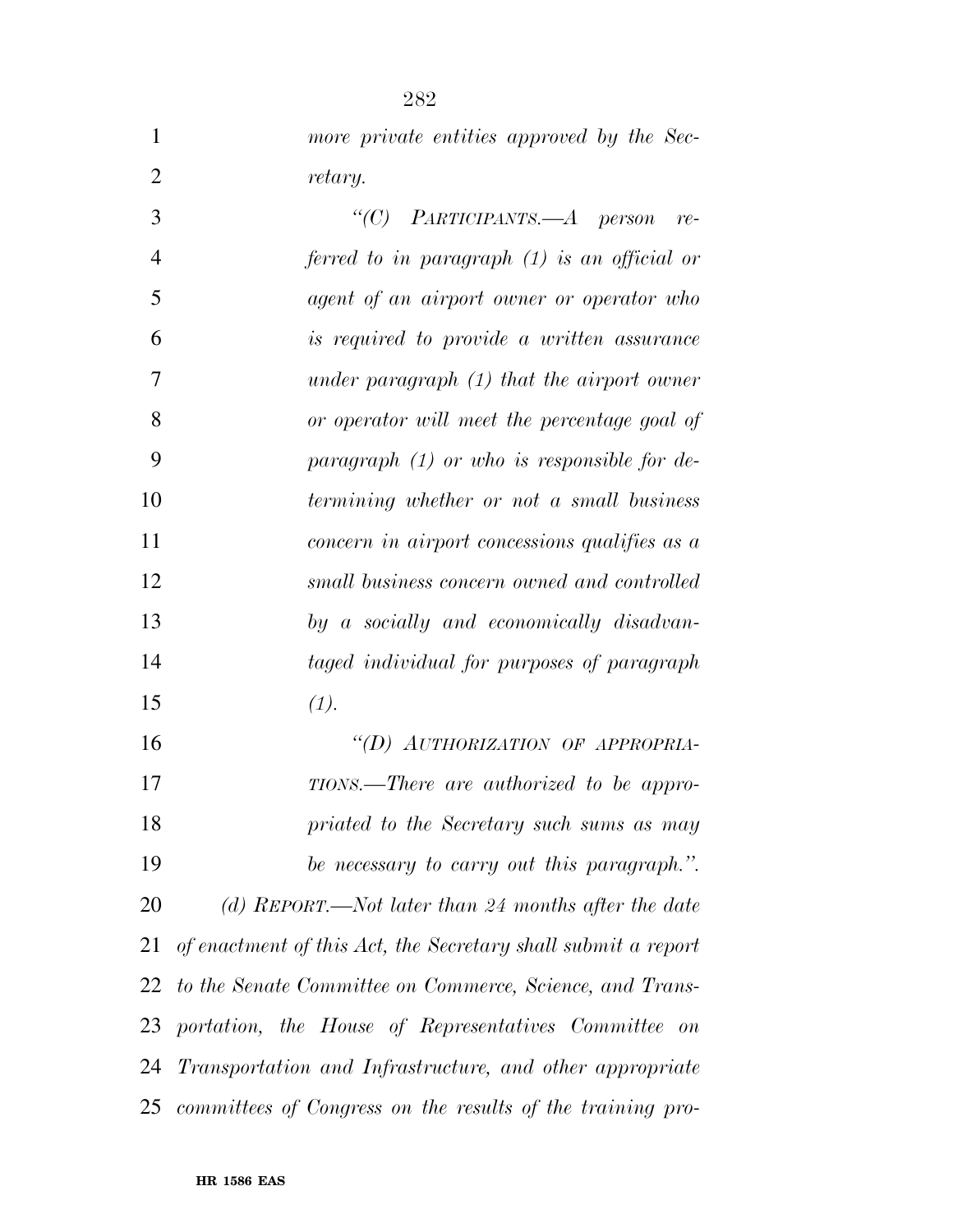| 1              | more private entities approved by the Sec-                    |
|----------------|---------------------------------------------------------------|
| $\overline{2}$ | retary.                                                       |
| 3              | "(C) PARTICIPANTS.— $A$ person<br>re-                         |
| $\overline{4}$ | ferred to in paragraph $(1)$ is an official or                |
| 5              | agent of an airport owner or operator who                     |
| 6              | <i>is required to provide a written assurance</i>             |
| 7              | under paragraph $(1)$ that the airport owner                  |
| 8              | or operator will meet the percentage goal of                  |
| 9              | paragraph $(1)$ or who is responsible for de-                 |
| 10             | <i>termining whether or not a small business</i>              |
| 11             | concern in airport concessions qualifies as a                 |
| 12             | small business concern owned and controlled                   |
| 13             | by a socially and economically disadvan-                      |
| 14             | taged individual for purposes of paragraph                    |
| 15             | (1).                                                          |
| 16             | "(D) AUTHORIZATION OF APPROPRIA-                              |
| 17             | TIONS.—There are authorized to be appro-                      |
| 18             | priated to the Secretary such sums as may                     |
| 19             | be necessary to carry out this paragraph.".                   |
| 20             | (d) REPORT.—Not later than 24 months after the date           |
| 21             | of enactment of this Act, the Secretary shall submit a report |
| 22             | to the Senate Committee on Commerce, Science, and Trans-      |
| 23             | portation, the House of Representatives Committee on          |
| 24             | Transportation and Infrastructure, and other appropriate      |
| 25             | committees of Congress on the results of the training pro-    |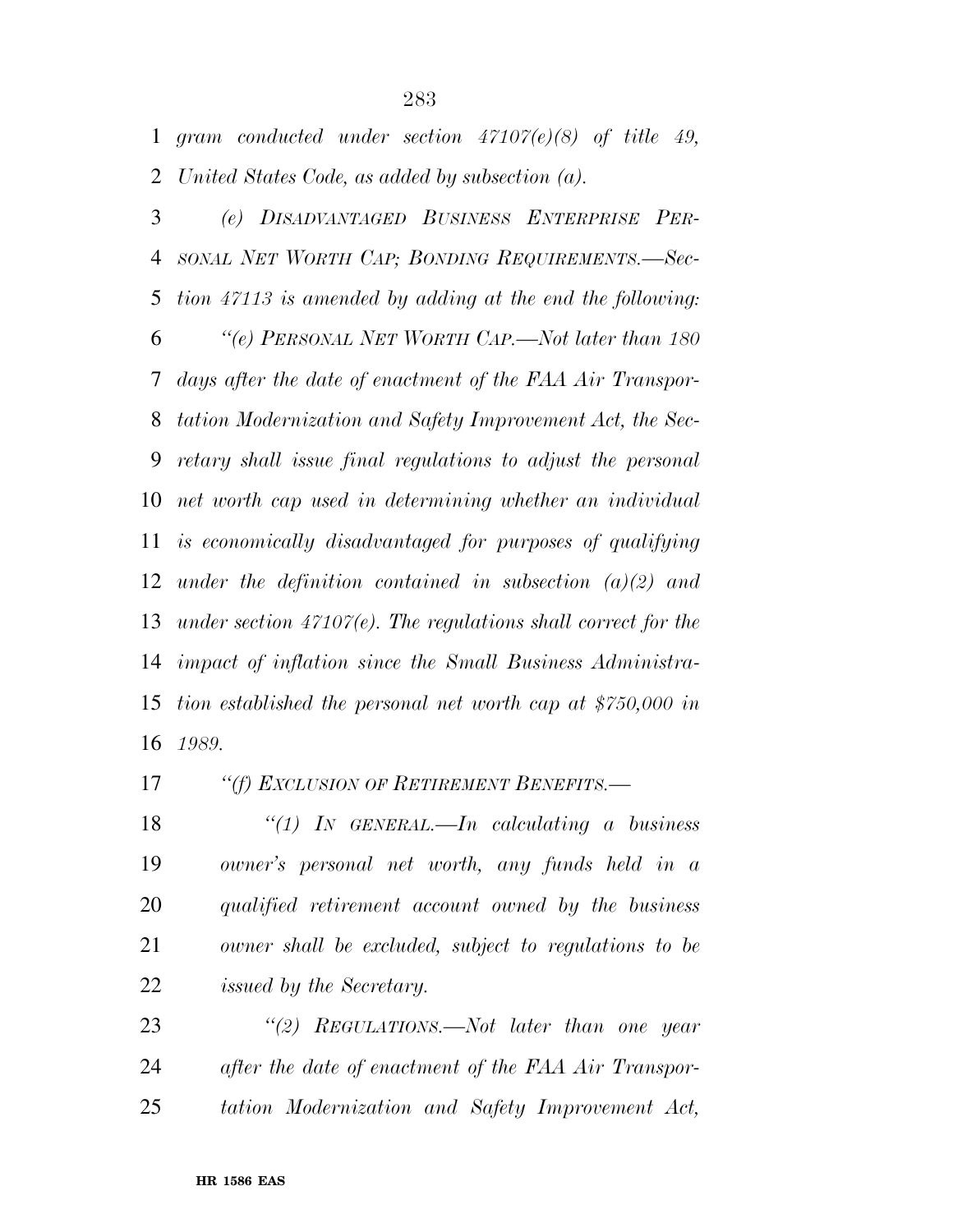*gram conducted under section 47107(e)(8) of title 49, United States Code, as added by subsection (a).* 

 *(e) DISADVANTAGED BUSINESS ENTERPRISE PER- SONAL NET WORTH CAP; BONDING REQUIREMENTS.—Sec- tion 47113 is amended by adding at the end the following: ''(e) PERSONAL NET WORTH CAP.—Not later than 180 days after the date of enactment of the FAA Air Transpor- tation Modernization and Safety Improvement Act, the Sec- retary shall issue final regulations to adjust the personal net worth cap used in determining whether an individual is economically disadvantaged for purposes of qualifying under the definition contained in subsection (a)(2) and under section 47107(e). The regulations shall correct for the impact of inflation since the Small Business Administra- tion established the personal net worth cap at \$750,000 in 1989.* 

*''(f) EXCLUSION OF RETIREMENT BENEFITS.—* 

 *''(1) IN GENERAL.—In calculating a business owner's personal net worth, any funds held in a qualified retirement account owned by the business owner shall be excluded, subject to regulations to be issued by the Secretary.* 

 *''(2) REGULATIONS.—Not later than one year after the date of enactment of the FAA Air Transpor-tation Modernization and Safety Improvement Act,*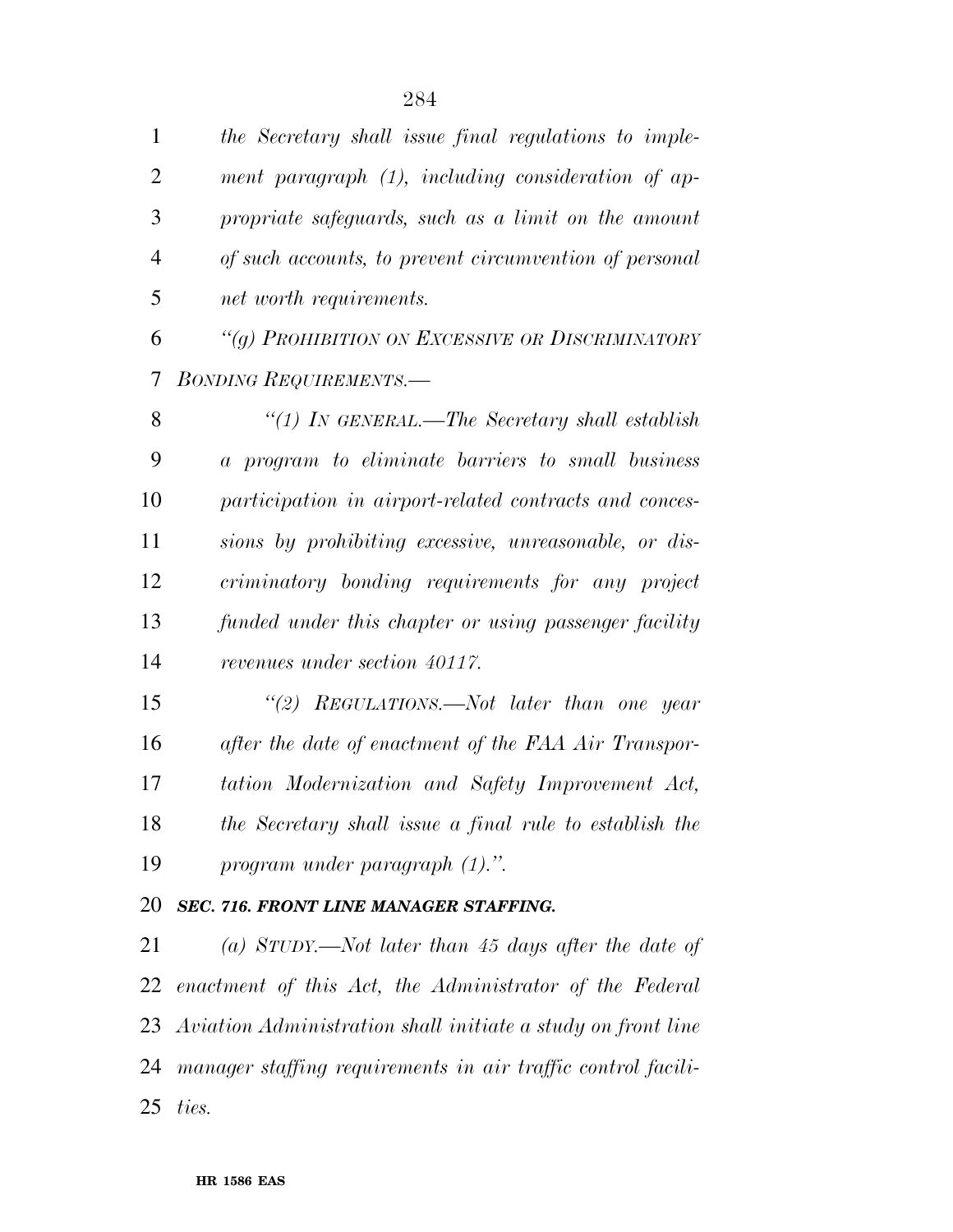*the Secretary shall issue final regulations to imple- ment paragraph (1), including consideration of ap- propriate safeguards, such as a limit on the amount of such accounts, to prevent circumvention of personal net worth requirements.* 

 *''(g) PROHIBITION ON EXCESSIVE OR DISCRIMINATORY BONDING REQUIREMENTS.—* 

 *''(1) IN GENERAL.—The Secretary shall establish a program to eliminate barriers to small business participation in airport-related contracts and conces- sions by prohibiting excessive, unreasonable, or dis- criminatory bonding requirements for any project funded under this chapter or using passenger facility revenues under section 40117.* 

 *''(2) REGULATIONS.—Not later than one year after the date of enactment of the FAA Air Transpor- tation Modernization and Safety Improvement Act, the Secretary shall issue a final rule to establish the program under paragraph (1).''.* 

#### *SEC. 716. FRONT LINE MANAGER STAFFING.*

 *(a) STUDY.—Not later than 45 days after the date of enactment of this Act, the Administrator of the Federal Aviation Administration shall initiate a study on front line manager staffing requirements in air traffic control facili-ties.*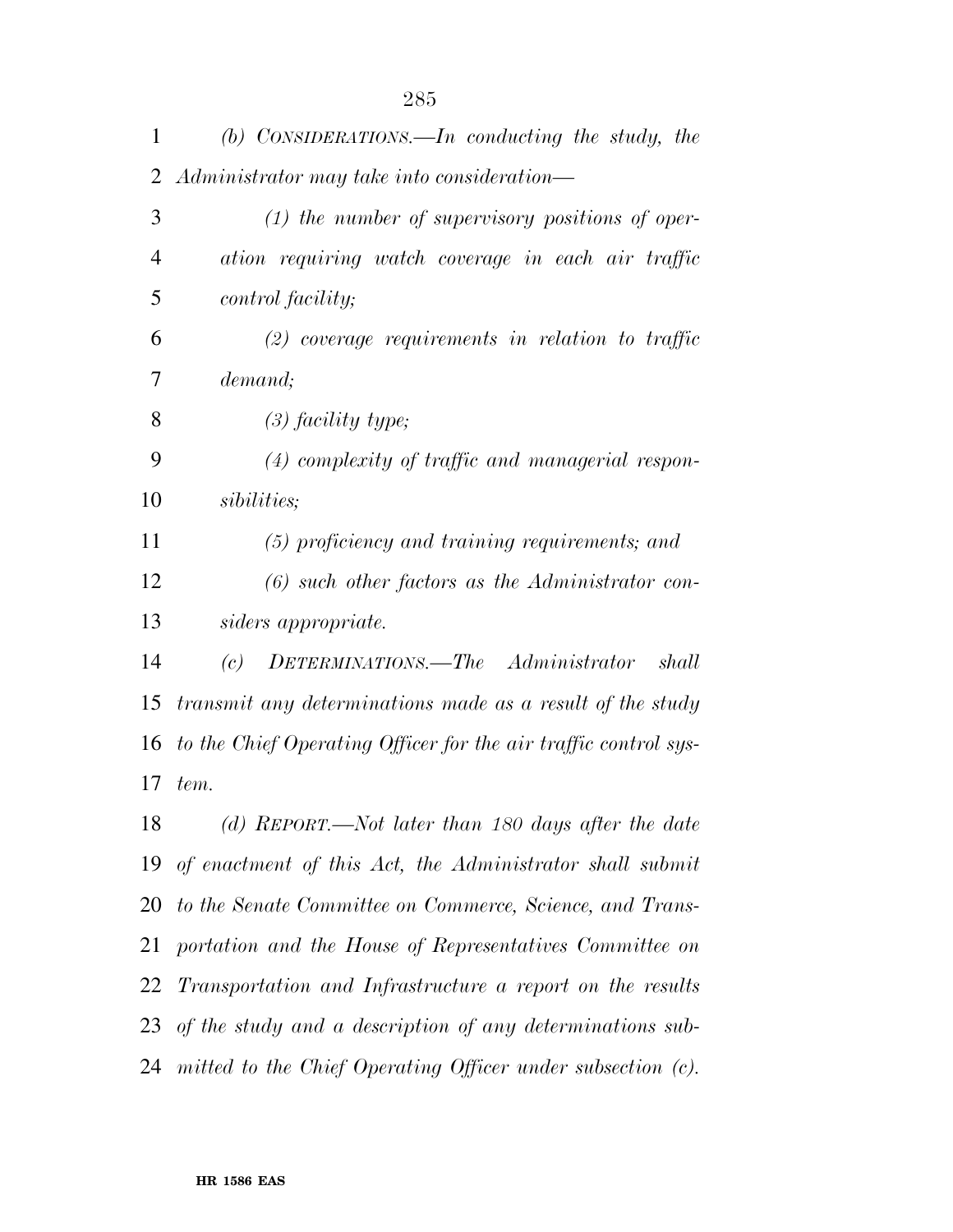| 1              | (b) CONSIDERATIONS.—In conducting the study, the                |
|----------------|-----------------------------------------------------------------|
| 2              | Administrator may take into consideration—                      |
| 3              | $(1)$ the number of supervisory positions of oper-              |
| $\overline{4}$ | ation requiring watch coverage in each air traffic              |
| 5              | control facility;                                               |
| 6              | $(2)$ coverage requirements in relation to traffic              |
| 7              | demand;                                                         |
| 8              | $(3)$ facility type;                                            |
| 9              | $(4)$ complexity of traffic and managerial respon-              |
| 10             | <i>sibilities</i> ;                                             |
| 11             | (5) proficiency and training requirements; and                  |
| 12             | $(6)$ such other factors as the Administrator con-              |
| 13             | siders appropriate.                                             |
| 14             | DETERMINATIONS.—The Administrator<br>(c)<br>shall               |
| 15             | transmit any determinations made as a result of the study       |
| 16             | to the Chief Operating Officer for the air traffic control sys- |
| 17             | tem.                                                            |
| 18             | (d) REPORT.—Not later than 180 days after the date              |
|                | 19 of enactment of this Act, the Administrator shall submit     |
|                | 20 to the Senate Committee on Commerce, Science, and Trans-     |
| 21             | portation and the House of Representatives Committee on         |
| 22             | Transportation and Infrastructure a report on the results       |
|                | 23 of the study and a description of any determinations sub-    |
|                | 24 mitted to the Chief Operating Officer under subsection (c).  |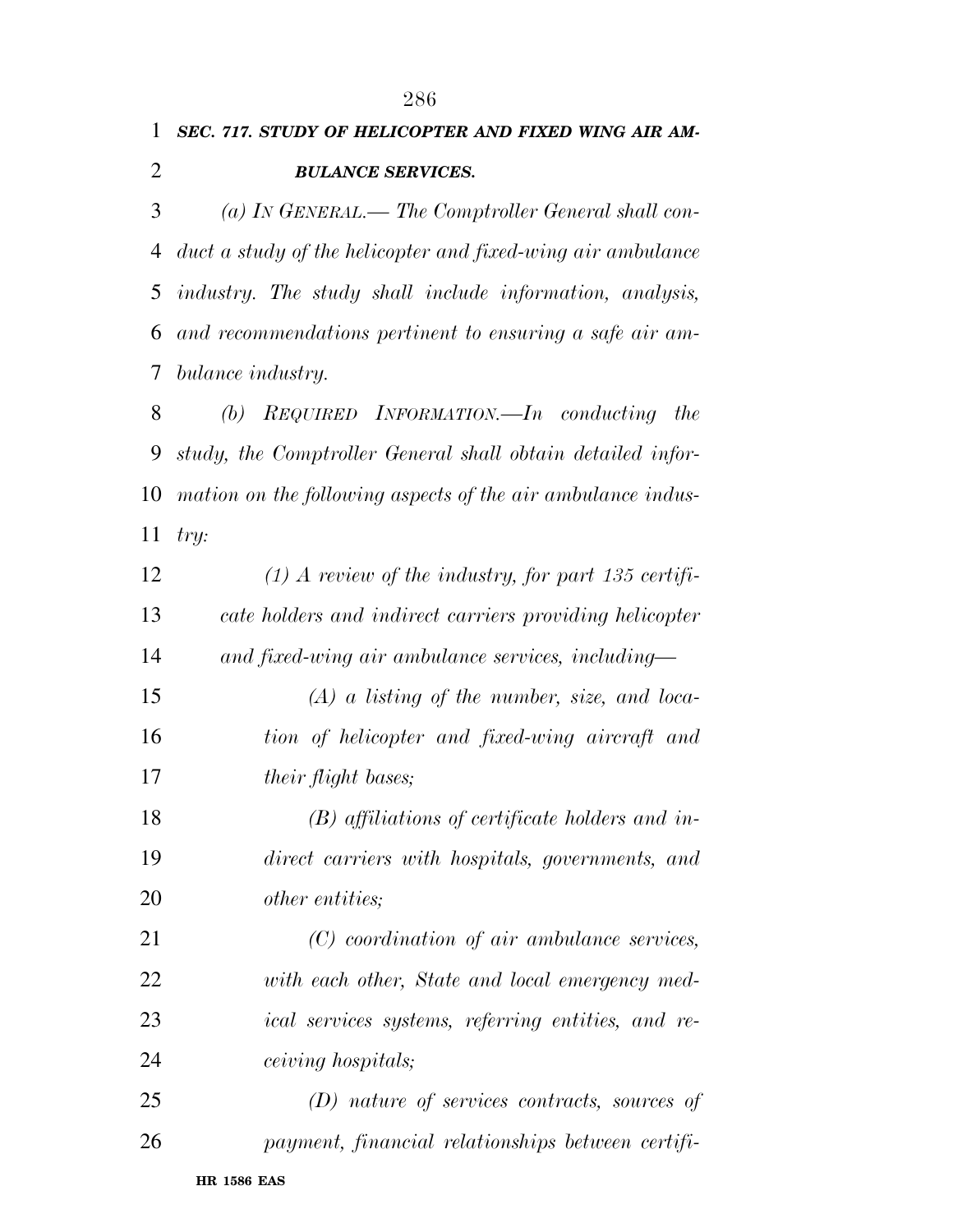## *SEC. 717. STUDY OF HELICOPTER AND FIXED WING AIR AM-BULANCE SERVICES.*

 *(a) IN GENERAL.— The Comptroller General shall con- duct a study of the helicopter and fixed-wing air ambulance industry. The study shall include information, analysis, and recommendations pertinent to ensuring a safe air am-bulance industry.* 

 *(b) REQUIRED INFORMATION.—In conducting the study, the Comptroller General shall obtain detailed infor- mation on the following aspects of the air ambulance indus-try:* 

| 12 | $(1)$ A review of the industry, for part 135 certifi-   |
|----|---------------------------------------------------------|
| 13 | cate holders and indirect carriers providing helicopter |
| 14 | and fixed-wing air ambulance services, including—       |
| 15 | $(A)$ a listing of the number, size, and loca-          |
| 16 | tion of helicopter and fixed-wing aircraft and          |
| 17 | <i>their flight bases;</i>                              |
| 18 | $(B)$ affiliations of certificate holders and in-       |
| 19 | direct carriers with hospitals, governments, and        |
| 20 | <i>other entities;</i>                                  |
| 21 | $(C)$ coordination of air ambulance services,           |
| 22 | with each other, State and local emergency med-         |
| 23 | ical services systems, referring entities, and re-      |
| 24 | <i>ceiving hospitals;</i>                               |
| 25 | $(D)$ nature of services contracts, sources of          |
| 26 | payment, financial relationships between certifi-       |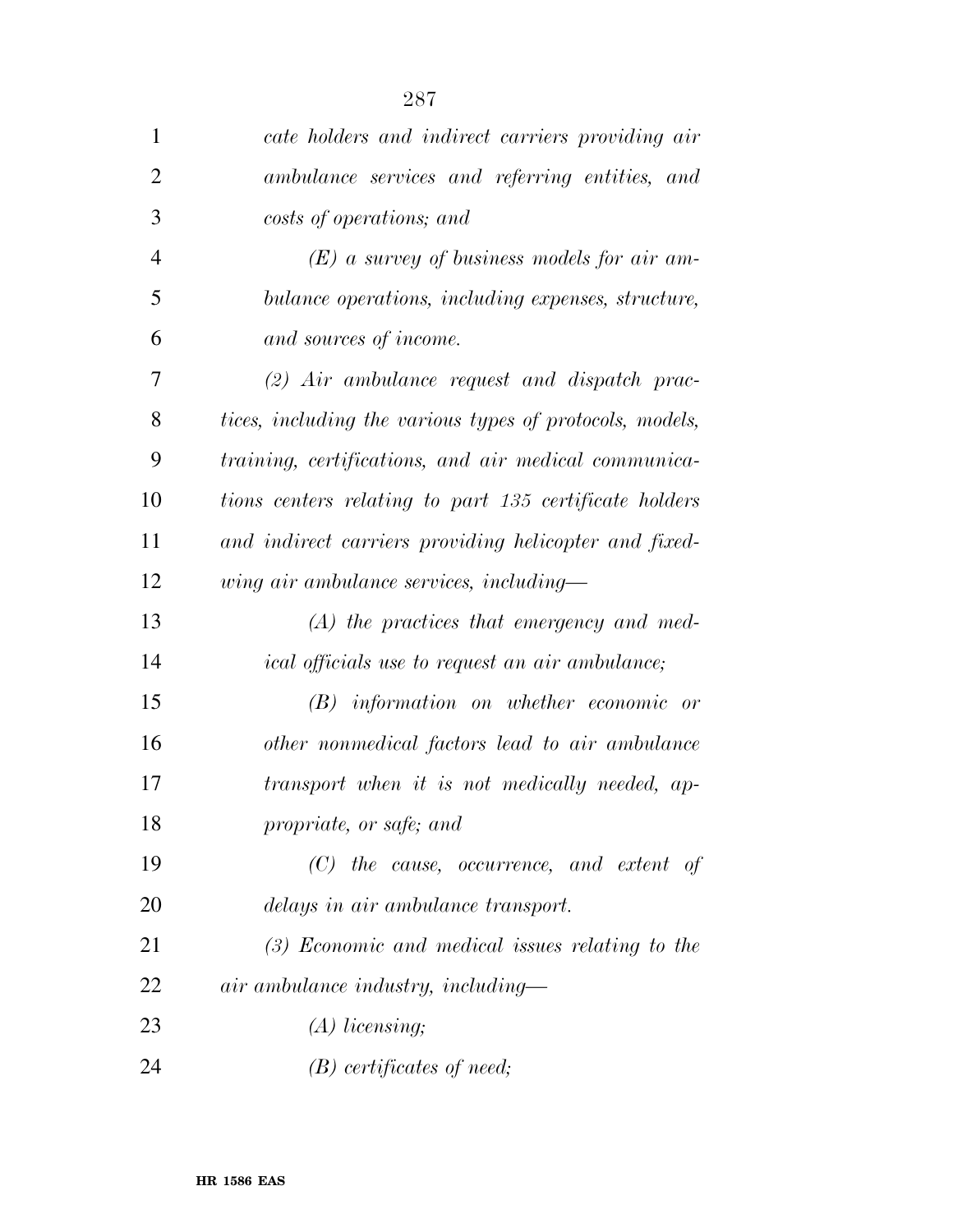| $\mathbf{1}$   | cate holders and indirect carriers providing air         |
|----------------|----------------------------------------------------------|
| $\overline{2}$ | ambulance services and referring entities, and           |
| 3              | costs of operations; and                                 |
| $\overline{4}$ | $(E)$ a survey of business models for air am-            |
| 5              | bulance operations, including expenses, structure,       |
| 6              | and sources of income.                                   |
| 7              | $(2)$ Air ambulance request and dispatch prac-           |
| 8              | tices, including the various types of protocols, models, |
| 9              | training, certifications, and air medical communica-     |
| 10             | tions centers relating to part 135 certificate holders   |
| 11             | and indirect carriers providing helicopter and fixed-    |
| 12             | wing air ambulance services, including—                  |
| 13             | $(A)$ the practices that emergency and med-              |
| 14             | <i>ical officials use to request an air ambulance</i> ;  |
| 15             | $(B)$ information on whether economic or                 |
| 16             | other nonmedical factors lead to air ambulance           |
| 17             | transport when it is not medically needed, ap-           |
| 18             | propriate, or safe; and                                  |
| 19             | $(C)$ the cause, occurrence, and extent of               |
| 20             | delays in air ambulance transport.                       |
| 21             | $(3)$ Economic and medical issues relating to the        |
| 22             | $air$ ambulance industry, including-                     |
| 23             | $(A)$ licensing;                                         |
| 24             | $(B)$ certificates of need;                              |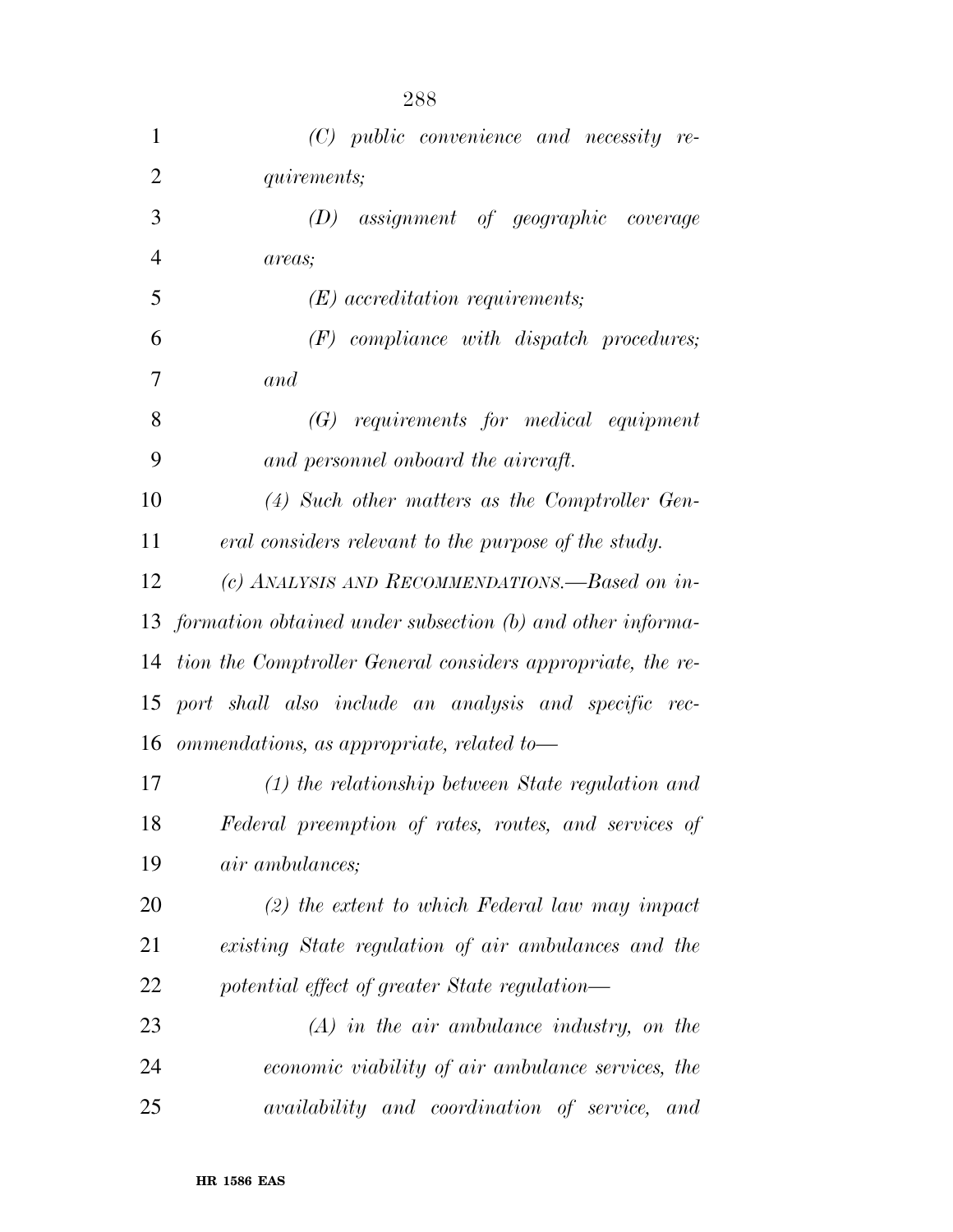| $\mathbf{1}$   | $(C)$ public convenience and necessity re-                    |
|----------------|---------------------------------------------------------------|
| $\overline{2}$ | <i>quirements;</i>                                            |
| 3              | assignment of geographic coverage<br>(D)                      |
| $\overline{4}$ | areas;                                                        |
| 5              | $(E)$ accreditation requirements;                             |
| 6              | $(F)$ compliance with dispatch procedures;                    |
| 7              | and                                                           |
| 8              | $(G)$ requirements for medical equipment                      |
| 9              | and personnel onboard the aircraft.                           |
| 10             | $(4)$ Such other matters as the Comptroller Gen-              |
| 11             | eral considers relevant to the purpose of the study.          |
| 12             | (c) ANALYSIS AND RECOMMENDATIONS.—Based on in-                |
|                | 13 formation obtained under subsection (b) and other informa- |
| 14             | tion the Comptroller General considers appropriate, the re-   |
| 15             | port shall also include an analysis and specific rec-         |
| 16             | ommendations, as appropriate, related to-                     |
| 17             | $(1)$ the relationship between State regulation and           |
| 18             | Federal preemption of rates, routes, and services of          |
| 19             | <i>air ambulances</i> ;                                       |
| 20             | $(2)$ the extent to which Federal law may impact              |
| 21             | existing State regulation of air ambulances and the           |
| 22             | potential effect of greater State regulation—                 |
| 23             | $(A)$ in the air ambulance industry, on the                   |
| 24             | economic viability of air ambulance services, the             |
| 25             | availability and coordination of service, and                 |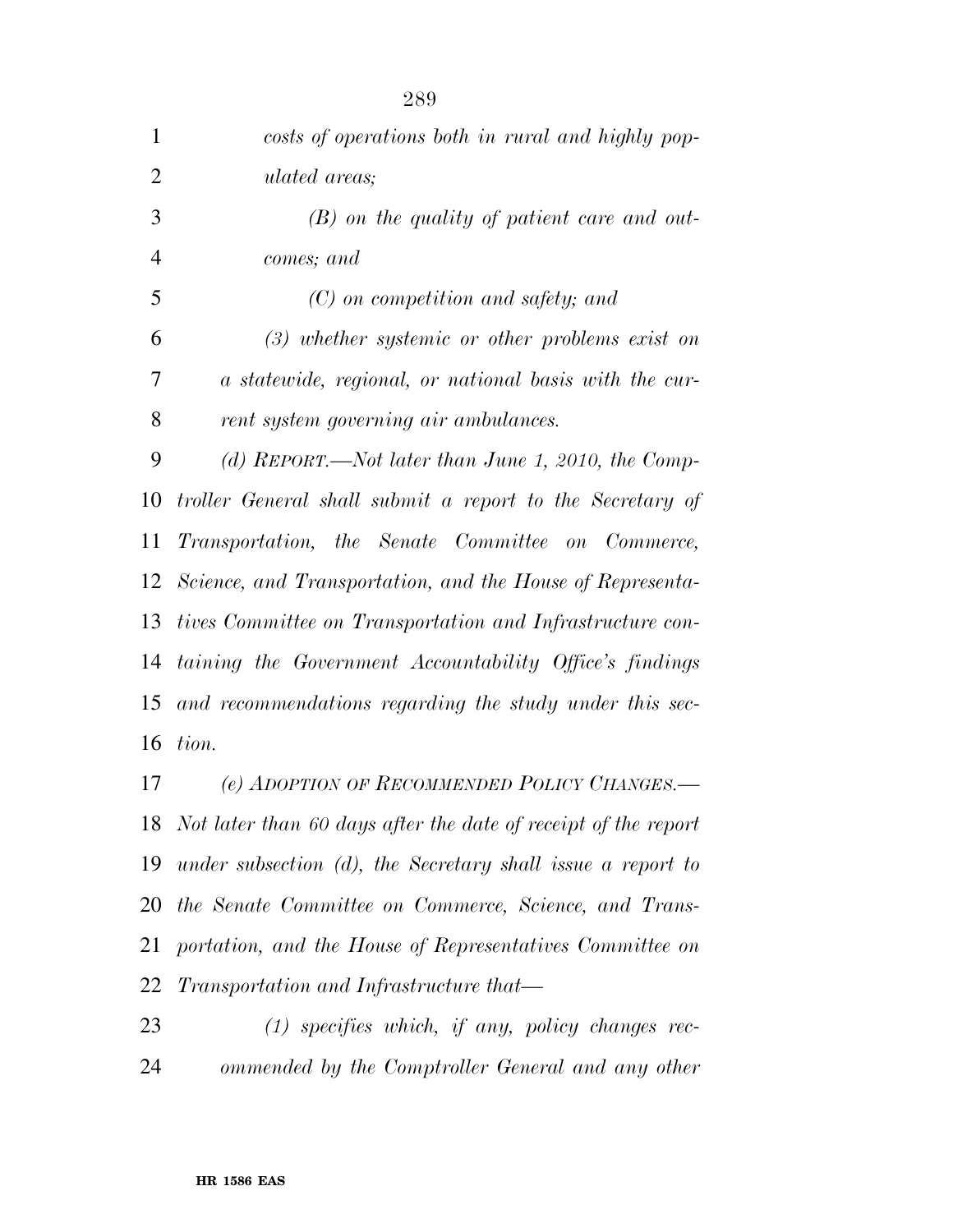| $\mathbf{1}$   | costs of operations both in rural and highly pop-         |
|----------------|-----------------------------------------------------------|
| $\overline{2}$ | ulated areas;                                             |
| 3              | $(B)$ on the quality of patient care and out-             |
| $\overline{4}$ | comes; and                                                |
| 5              | $(C)$ on competition and safety; and                      |
| 6              | $(3)$ whether systemic or other problems exist on         |
| 7              | a statewide, regional, or national basis with the cur-    |
| 8              | rent system governing air ambulances.                     |
| 9              | (d) REPORT.—Not later than June 1, 2010, the Comp-        |
| 10             | troller General shall submit a report to the Secretary of |
| 11             | Transportation, the Senate Committee on Commerce,         |
| 12             | Science, and Transportation, and the House of Representa- |
| 13             | tives Committee on Transportation and Infrastructure con- |
| 14             | taining the Government Accountability Office's findings   |
| 15             | and recommendations regarding the study under this sec-   |
|                | 16 <i>tion</i> .                                          |
| 17             | (e) ADOPTION OF RECOMMENDED POLICY CHANGES.               |
|                |                                                           |

 *Not later than 60 days after the date of receipt of the report under subsection (d), the Secretary shall issue a report to the Senate Committee on Commerce, Science, and Trans- portation, and the House of Representatives Committee on Transportation and Infrastructure that—* 

 *(1) specifies which, if any, policy changes rec-ommended by the Comptroller General and any other*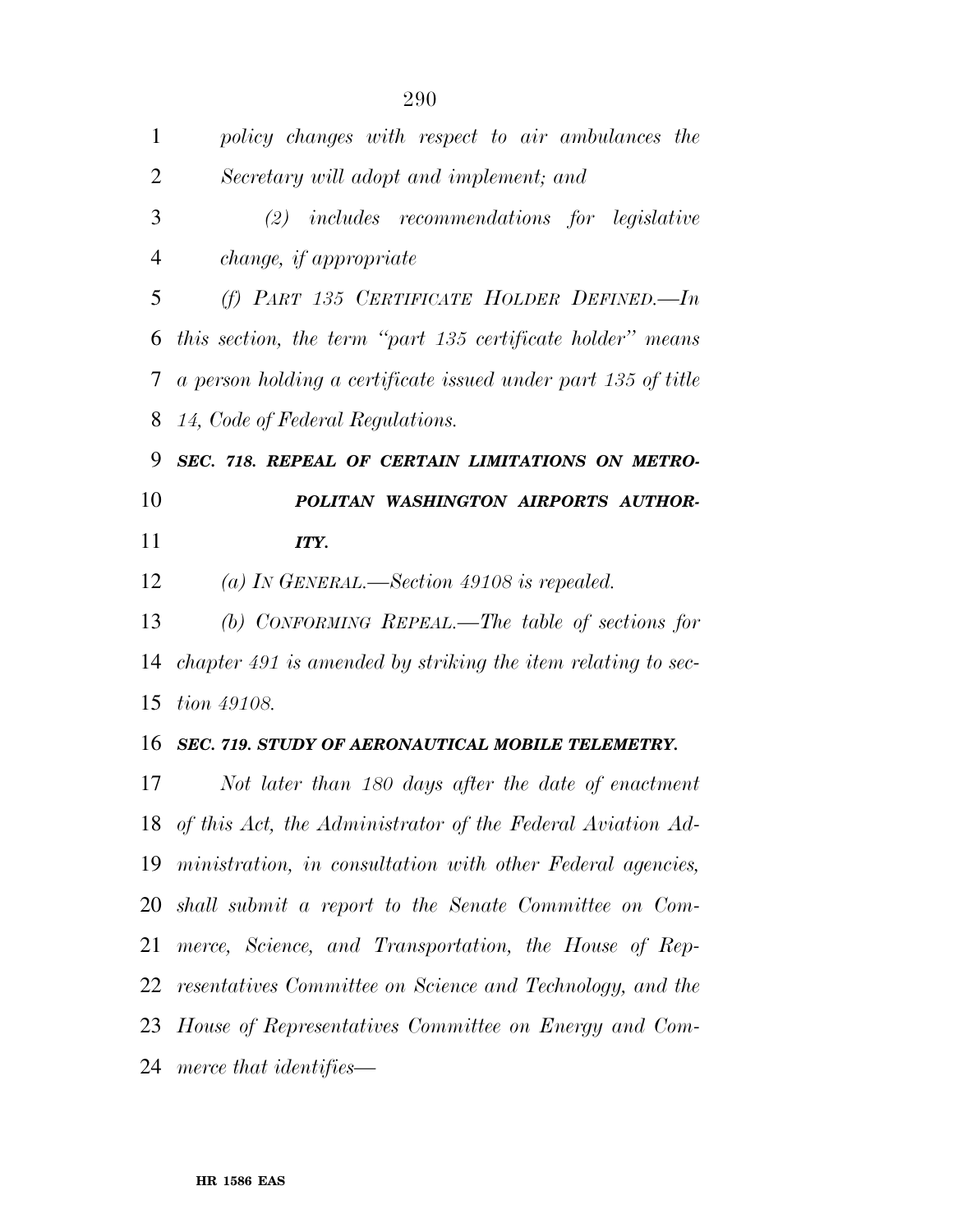| 1              | policy changes with respect to air ambulances the             |
|----------------|---------------------------------------------------------------|
| $\overline{2}$ | Secretary will adopt and implement; and                       |
| 3              | $(2)$ includes recommendations for legislative                |
| 4              | <i>change, if appropriate</i>                                 |
| 5              | (f) PART 135 CERTIFICATE HOLDER DEFINED.—In                   |
| 6              | this section, the term "part 135 certificate holder" means    |
| 7              | a person holding a certificate issued under part 135 of title |
| 8              | 14, Code of Federal Regulations.                              |
| 9              | SEC. 718. REPEAL OF CERTAIN LIMITATIONS ON METRO-             |
| 10             | POLITAN WASHINGTON AIRPORTS AUTHOR-                           |
| 11             | ITY.                                                          |
| 12             | (a) In GENERAL.—Section 49108 is repealed.                    |
| 13             | (b) CONFORMING REPEAL.—The table of sections for              |
| 14             | chapter 491 is amended by striking the item relating to sec-  |
| 15             | tion 49108.                                                   |
|                | 16 SEC. 719. STUDY OF AERONAUTICAL MOBILE TELEMETRY.          |
| 17             | Not later than 180 days after the date of enactment           |
|                | 18 of this Act, the Administrator of the Federal Aviation Ad- |
|                | 19 ministration, in consultation with other Federal agencies, |
|                | 20 shall submit a report to the Senate Committee on Com-      |
| 21             | merce, Science, and Transportation, the House of Rep-         |
| 22             | resentatives Committee on Science and Technology, and the     |
|                | 23 House of Representatives Committee on Energy and Com-      |
|                | 24 merce that identifies—                                     |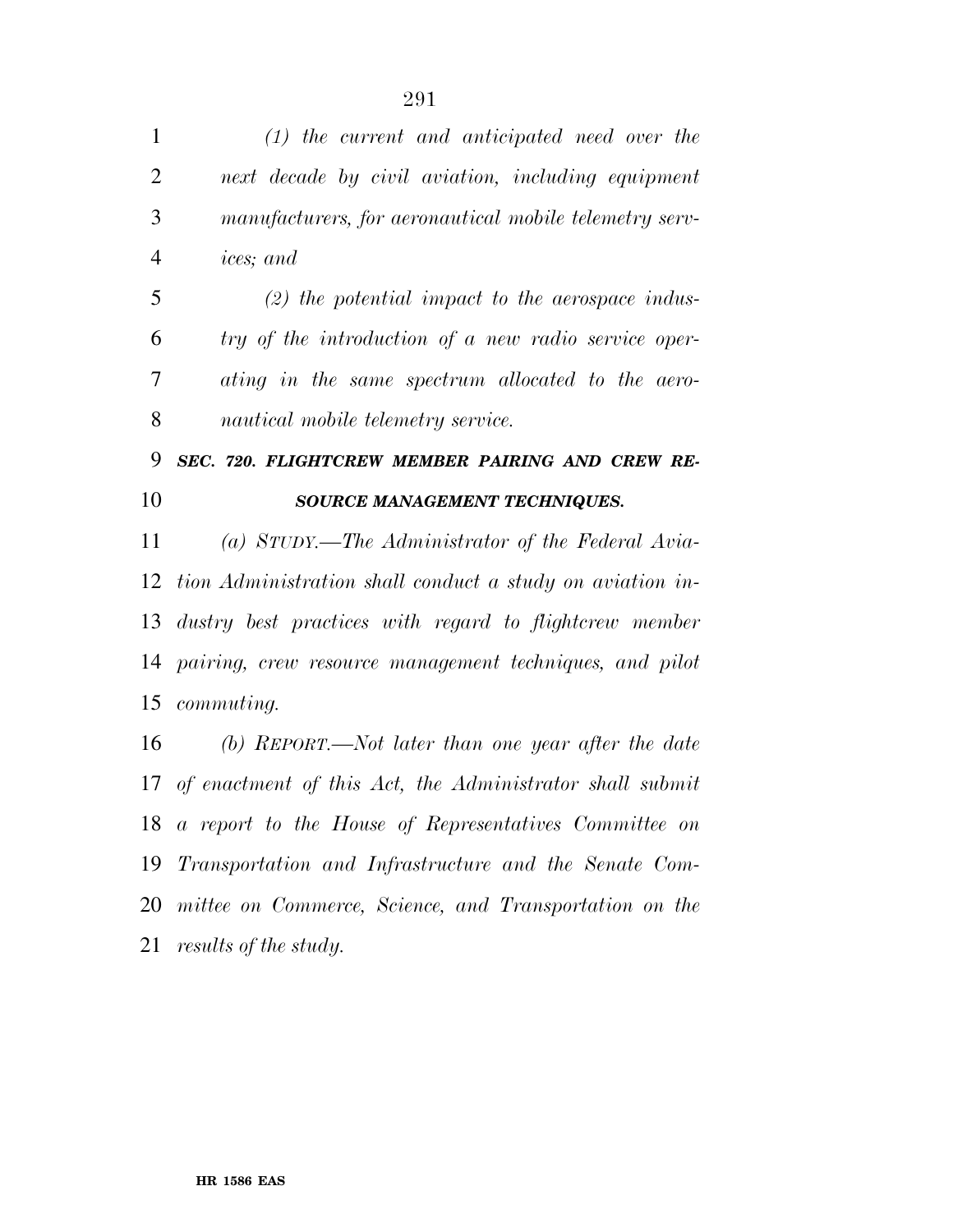| $\mathbf{1}$   | $(1)$ the current and anticipated need over the             |
|----------------|-------------------------------------------------------------|
| $\overline{2}$ | next decade by civil aviation, including equipment          |
| 3              | manufacturers, for aeronautical mobile telemetry serv-      |
| $\overline{4}$ | <i>ices</i> ; and                                           |
| 5              | $(2)$ the potential impact to the aerospace indus-          |
| 6              | try of the introduction of a new radio service oper-        |
| 7              | ating in the same spectrum allocated to the aero-           |
| 8              | nautical mobile telemetry service.                          |
| 9              | SEC. 720. FLIGHTCREW MEMBER PAIRING AND CREW RE-            |
| 10             | SOURCE MANAGEMENT TECHNIQUES.                               |
| 11             | (a) STUDY.—The Administrator of the Federal Avia-           |
| 12             | tion Administration shall conduct a study on aviation in-   |
|                | 13 dustry best practices with regard to flightcrew member   |
|                | 14 pairing, crew resource management techniques, and pilot  |
| 15             | <i>commuting.</i>                                           |
| 16             | (b) REPORT.—Not later than one year after the date          |
|                | 17 of enactment of this Act, the Administrator shall submit |
| 18             | a report to the House of Representatives Committee on       |
| 19             | Transportation and Infrastructure and the Senate Com-       |
| 20             | mittee on Commerce, Science, and Transportation on the      |
| 21             | results of the study.                                       |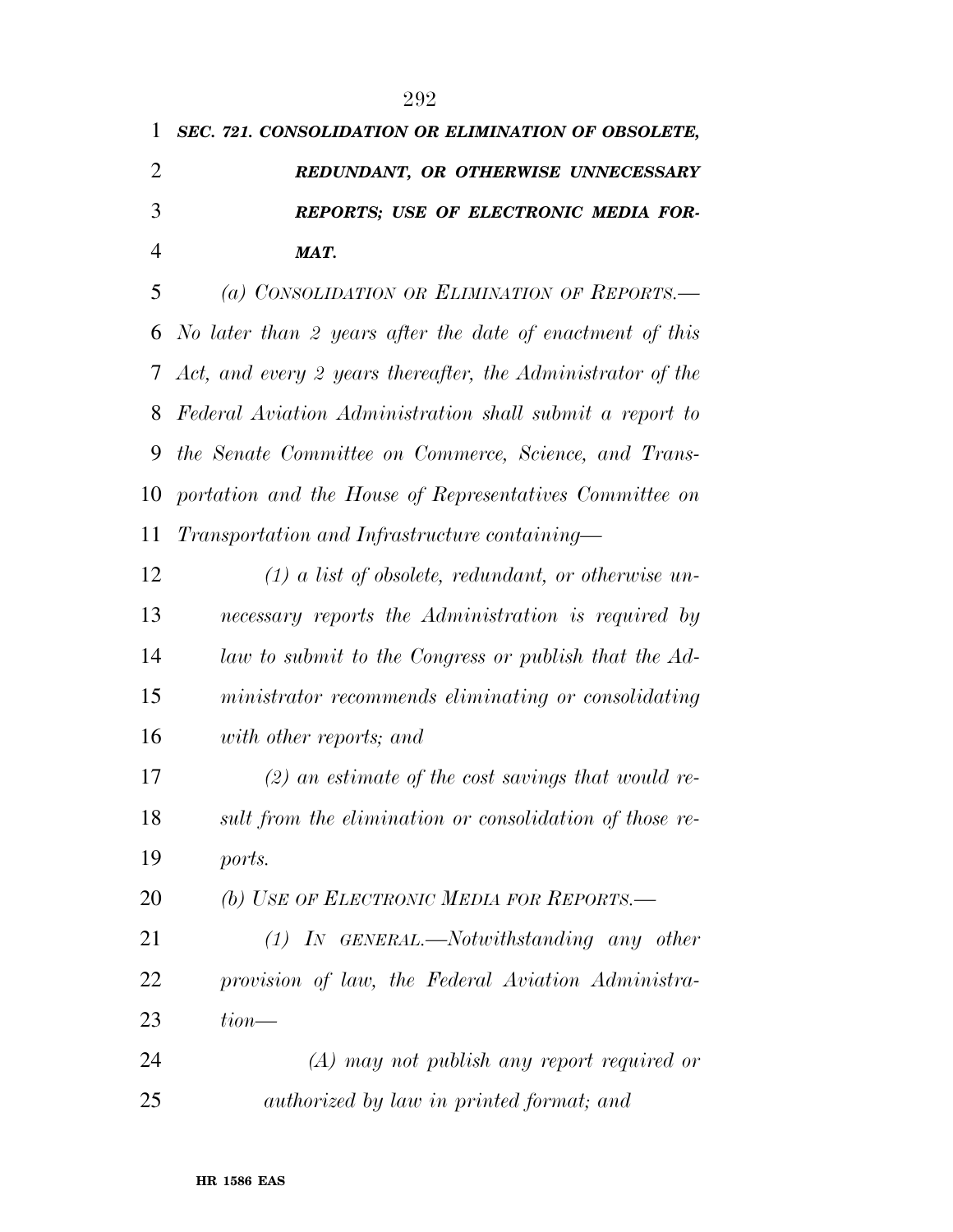| $\mathbf{1}$   | SEC. 721. CONSOLIDATION OR ELIMINATION OF OBSOLETE,            |
|----------------|----------------------------------------------------------------|
| $\overline{2}$ | REDUNDANT, OR OTHERWISE UNNECESSARY                            |
| 3              | REPORTS; USE OF ELECTRONIC MEDIA FOR-                          |
| $\overline{4}$ | MAT.                                                           |
| 5              | (a) CONSOLIDATION OR ELIMINATION OF REPORTS.-                  |
|                | 6 No later than 2 years after the date of enactment of this    |
|                | 7 Act, and every 2 years thereafter, the Administrator of the  |
|                | 8 Federal Aviation Administration shall submit a report to     |
|                | <b>9</b> the Senate Committee on Commerce, Science, and Trans- |
|                | 10 portation and the House of Representatives Committee on     |

*Transportation and Infrastructure containing—* 

| 12 | $(1)$ a list of obsolete, redundant, or otherwise un-   |
|----|---------------------------------------------------------|
| 13 | necessary reports the Administration is required by     |
| 14 | law to submit to the Congress or publish that the Ad-   |
| 15 | ministrator recommends eliminating or consolidating     |
| 16 | with other reports; and                                 |
| 17 | $(2)$ an estimate of the cost savings that would re-    |
| 18 | sult from the elimination or consolidation of those re- |
| 19 | ports.                                                  |
| 20 | (b) USE OF ELECTRONIC MEDIA FOR REPORTS.-               |
| 21 | $(1)$ In GENERAL.—Notwithstanding any other             |
| 22 | provision of law, the Federal Aviation Administra-      |
| 23 | $tion$ —                                                |

 *(A) may not publish any report required or authorized by law in printed format; and*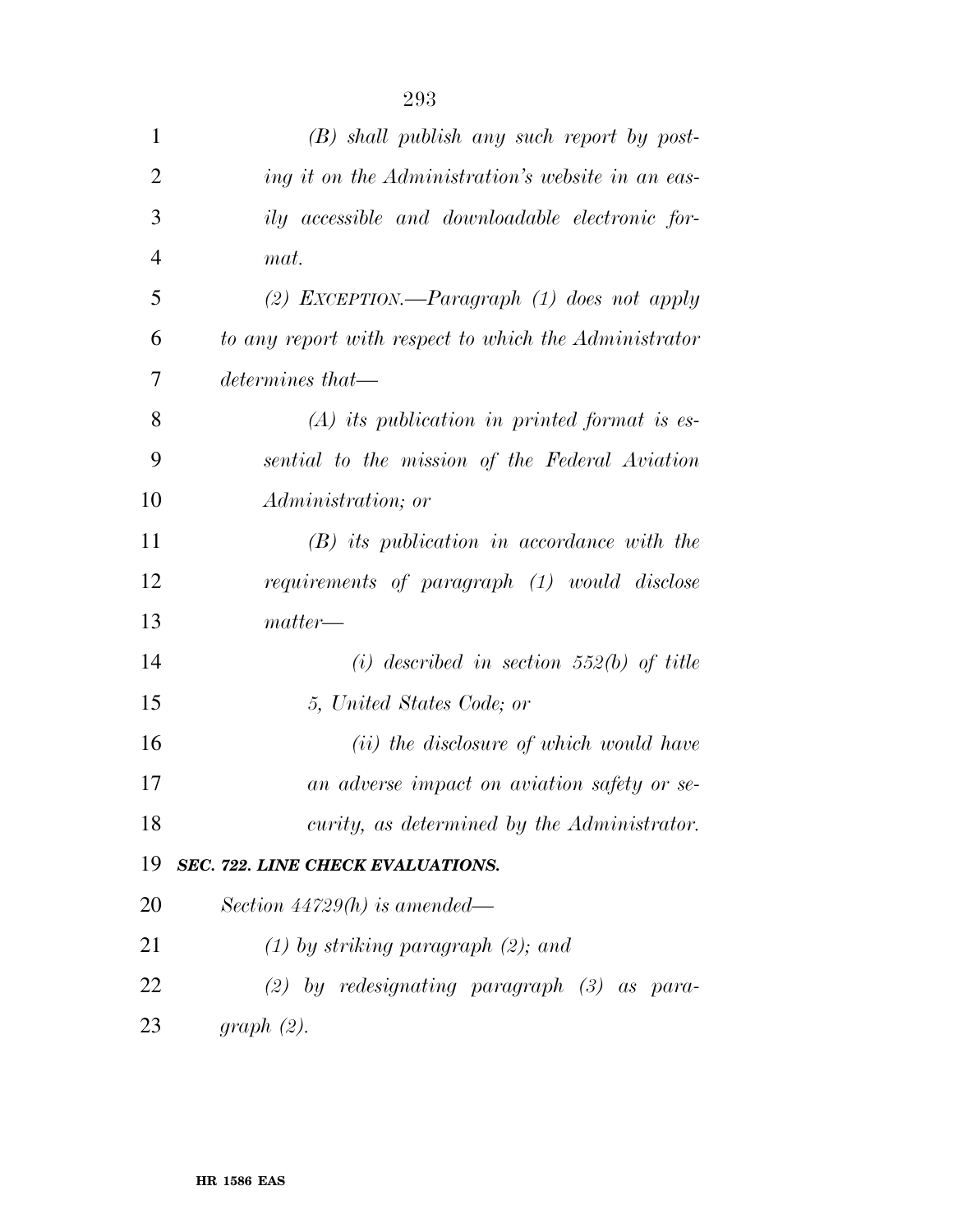| 1              | $(B)$ shall publish any such report by post-          |
|----------------|-------------------------------------------------------|
| $\overline{2}$ | ing it on the Administration's website in an eas-     |
| 3              | ily accessible and downloadable electronic for-       |
| $\overline{4}$ | mat.                                                  |
| 5              | (2) EXCEPTION.—Paragraph $(1)$ does not apply         |
| 6              | to any report with respect to which the Administrator |
| 7              | determines that—                                      |
| 8              | $(A)$ its publication in printed format is es-        |
| 9              | sential to the mission of the Federal Aviation        |
| 10             | <i>Administration</i> ; or                            |
| 11             | $(B)$ its publication in accordance with the          |
| 12             | requirements of paragraph (1) would disclose          |
| 13             | matter—                                               |
| 14             | (i) described in section $552(b)$ of title            |
| 15             | 5, United States Code; or                             |
| 16             | ( <i>ii</i> ) the disclosure of which would have      |
| 17             | an adverse impact on aviation safety or se-           |
| 18             | curity, as determined by the Administrator.           |
| 19             | SEC. 722. LINE CHECK EVALUATIONS.                     |
| 20             | Section $44729(h)$ is amended—                        |
| 21             | $(1)$ by striking paragraph $(2)$ ; and               |
| 22             | $(2)$ by redesignating paragraph $(3)$ as para-       |
| 23             | graph(2).                                             |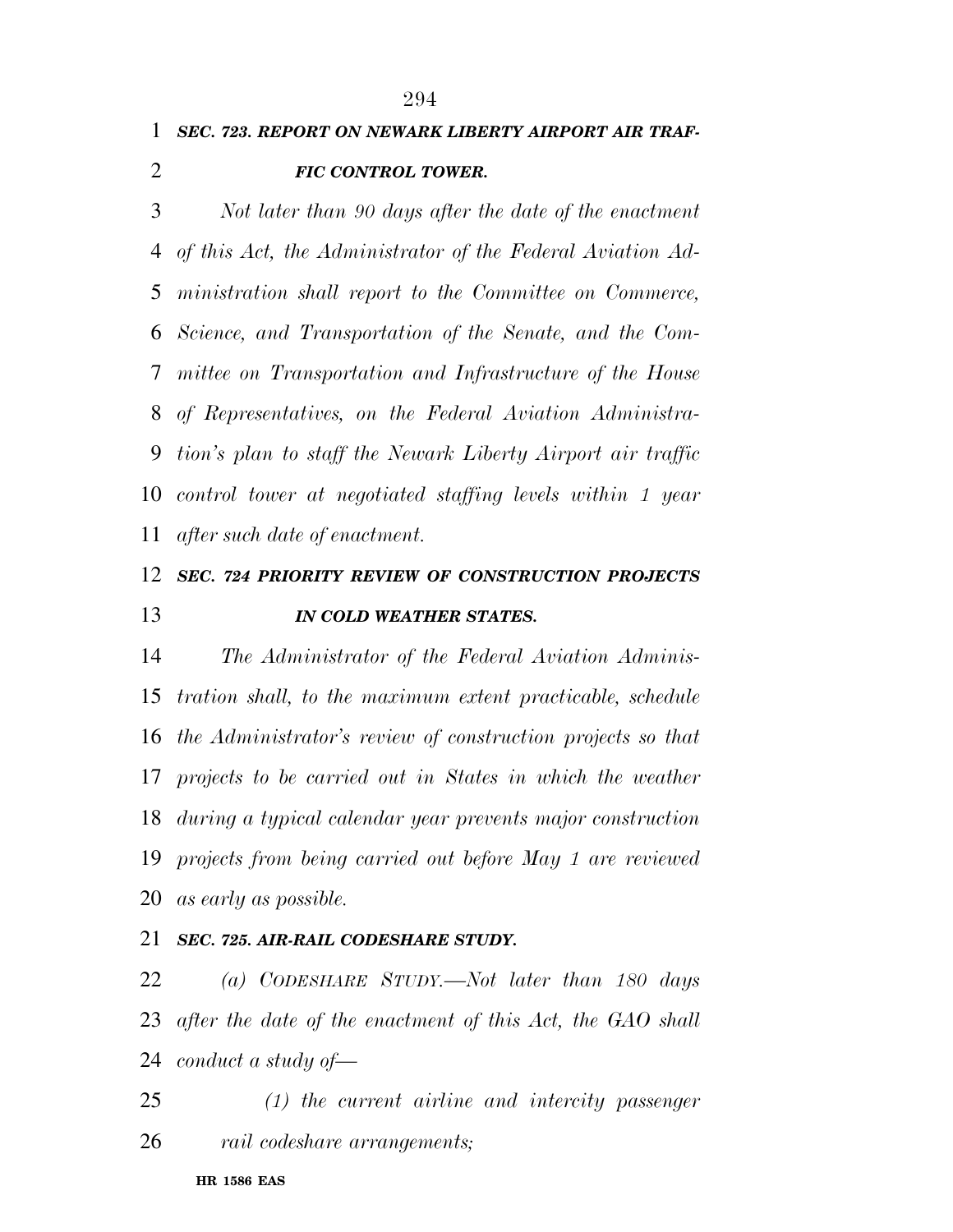#### *SEC. 723. REPORT ON NEWARK LIBERTY AIRPORT AIR TRAF-FIC CONTROL TOWER.*

 *Not later than 90 days after the date of the enactment of this Act, the Administrator of the Federal Aviation Ad- ministration shall report to the Committee on Commerce, Science, and Transportation of the Senate, and the Com- mittee on Transportation and Infrastructure of the House of Representatives, on the Federal Aviation Administra- tion's plan to staff the Newark Liberty Airport air traffic control tower at negotiated staffing levels within 1 year after such date of enactment.* 

## *SEC. 724 PRIORITY REVIEW OF CONSTRUCTION PROJECTS IN COLD WEATHER STATES.*

 *The Administrator of the Federal Aviation Adminis- tration shall, to the maximum extent practicable, schedule the Administrator's review of construction projects so that projects to be carried out in States in which the weather during a typical calendar year prevents major construction projects from being carried out before May 1 are reviewed as early as possible.* 

#### *SEC. 725. AIR-RAIL CODESHARE STUDY.*

 *(a) CODESHARE STUDY.—Not later than 180 days after the date of the enactment of this Act, the GAO shall conduct a study of—* 

 *(1) the current airline and intercity passenger rail codeshare arrangements;* 

#### **HR 1586 EAS**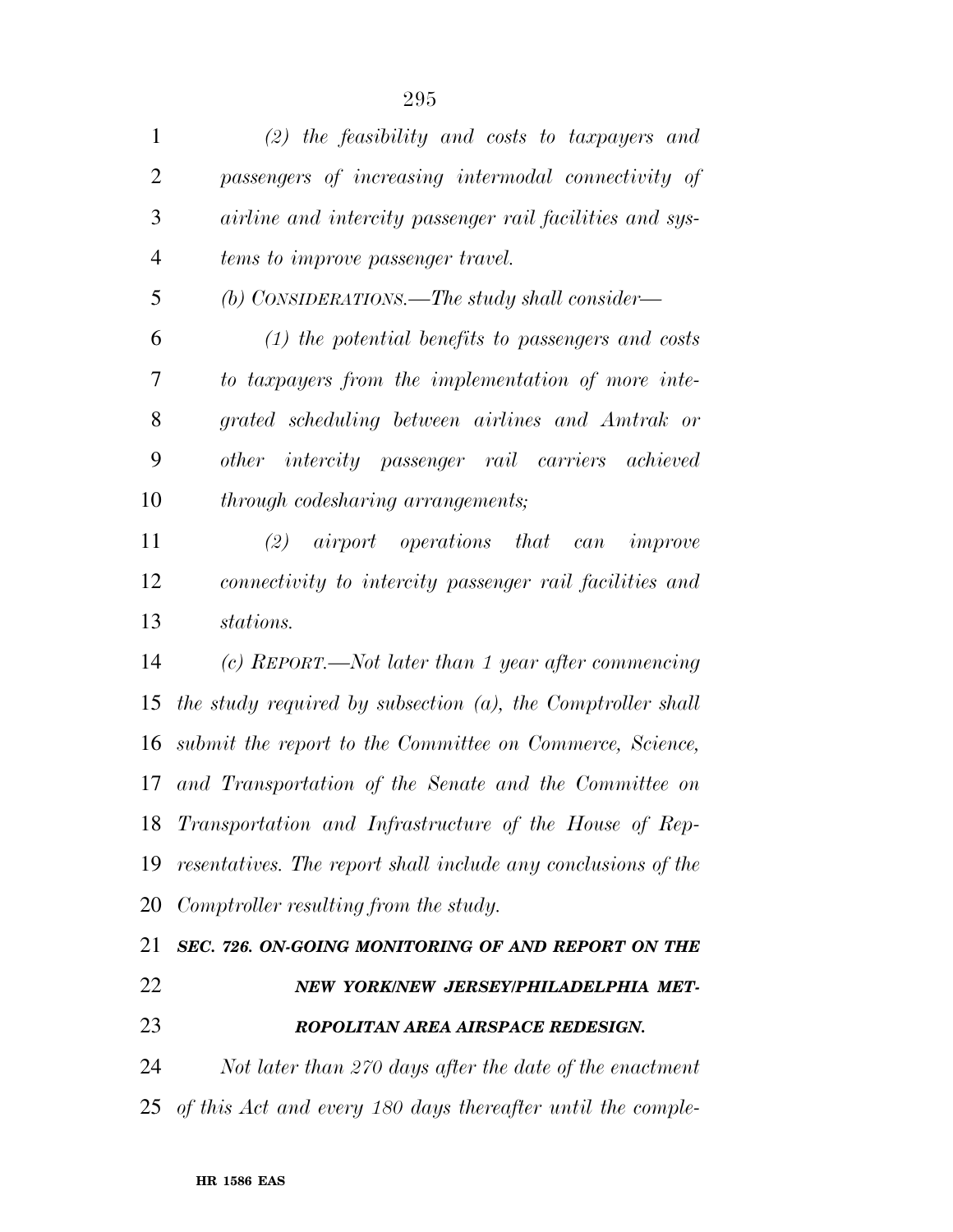| $\mathbf{1}$   | $(2)$ the feasibility and costs to taxpayers and               |
|----------------|----------------------------------------------------------------|
| $\overline{2}$ | passengers of increasing intermodal connectivity of            |
| 3              | airline and intercity passenger rail facilities and sys-       |
| $\overline{4}$ | tems to improve passenger travel.                              |
| 5              | (b) CONSIDERATIONS.—The study shall consider—                  |
| 6              | $(1)$ the potential benefits to passengers and costs           |
| 7              | to taxpayers from the implementation of more inte-             |
| 8              | grated scheduling between airlines and Amtrak or               |
| 9              | other intercity passenger rail carriers achieved               |
| 10             | through codesharing arrangements;                              |
| 11             | airport operations that can<br>improve<br>(2)                  |
| 12             | connectivity to intercity passenger rail facilities and        |
| 13             | stations.                                                      |
| 14             | (c) REPORT.—Not later than 1 year after commencing             |
| 15             | the study required by subsection $(a)$ , the Comptroller shall |
| 16             | submit the report to the Committee on Commerce, Science,       |
| 17             | and Transportation of the Senate and the Committee on          |
|                | 18 Transportation and Infrastructure of the House of Rep-      |
| 19             | resentatives. The report shall include any conclusions of the  |
| 20             | Comptroller resulting from the study.                          |
| 21             | SEC. 726. ON-GOING MONITORING OF AND REPORT ON THE             |
| 22             | NEW YORK/NEW JERSEY/PHILADELPHIA MET-                          |
| 23             | ROPOLITAN AREA AIRSPACE REDESIGN.                              |
| 24             | Not later than 270 days after the date of the enactment        |
| 25             | of this Act and every 180 days thereafter until the comple-    |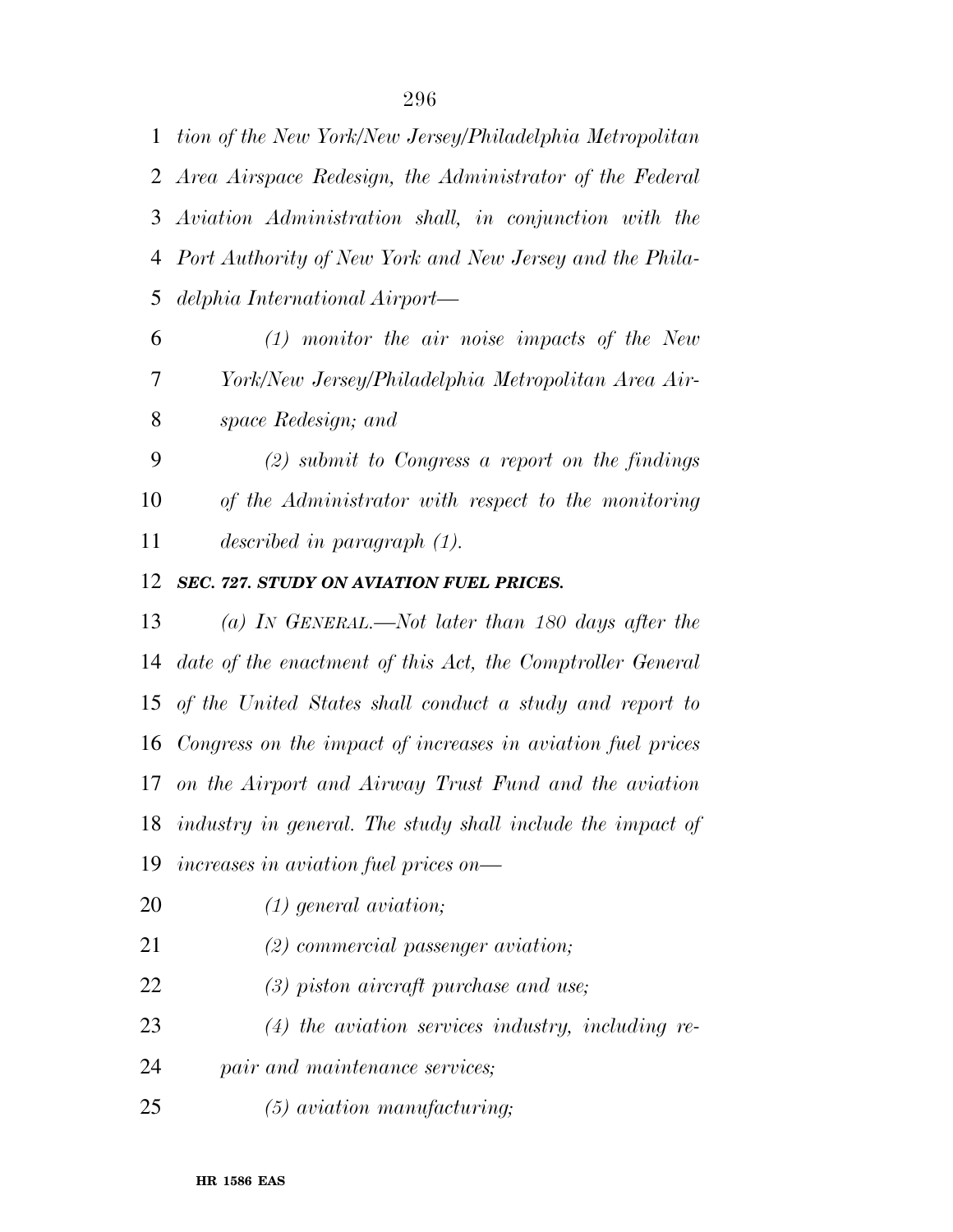*tion of the New York/New Jersey/Philadelphia Metropolitan Area Airspace Redesign, the Administrator of the Federal Aviation Administration shall, in conjunction with the Port Authority of New York and New Jersey and the Phila-delphia International Airport—* 

 *(1) monitor the air noise impacts of the New York/New Jersey/Philadelphia Metropolitan Area Air-space Redesign; and* 

 *(2) submit to Congress a report on the findings of the Administrator with respect to the monitoring described in paragraph (1).* 

*SEC. 727. STUDY ON AVIATION FUEL PRICES.* 

 *(a) IN GENERAL.—Not later than 180 days after the date of the enactment of this Act, the Comptroller General of the United States shall conduct a study and report to Congress on the impact of increases in aviation fuel prices on the Airport and Airway Trust Fund and the aviation industry in general. The study shall include the impact of increases in aviation fuel prices on—* 

- *(1) general aviation;*
- *(2) commercial passenger aviation;*
- *(3) piston aircraft purchase and use;*
- *(4) the aviation services industry, including re-*
- *pair and maintenance services;*
- *(5) aviation manufacturing;*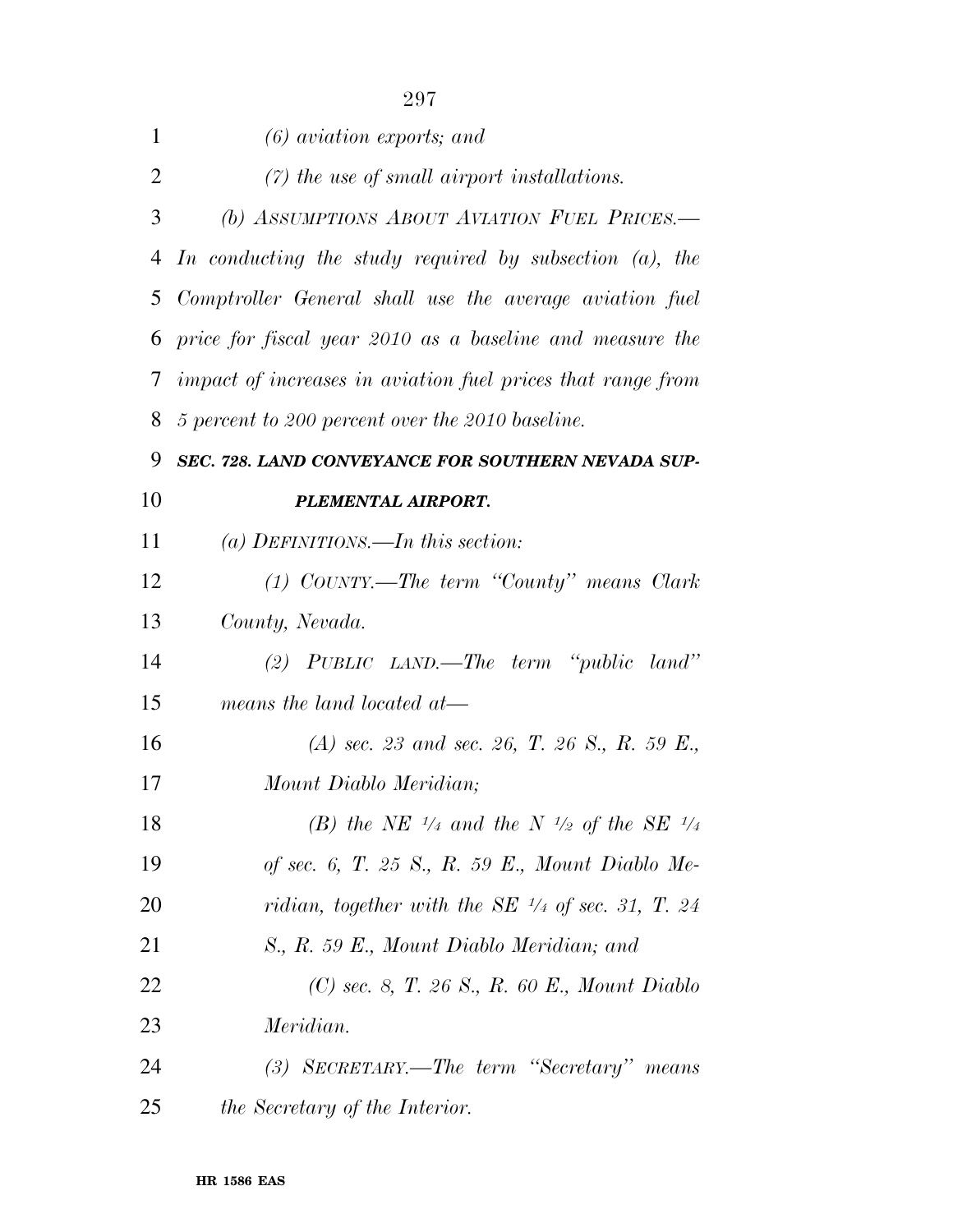| 1              | $(6)$ aviation exports; and                                              |
|----------------|--------------------------------------------------------------------------|
| $\overline{2}$ | $(7)$ the use of small airport installations.                            |
| 3              | (b) ASSUMPTIONS ABOUT AVIATION FUEL PRICES.-                             |
| 4              | In conducting the study required by subsection $(a)$ , the               |
| 5              | Comptroller General shall use the average aviation fuel                  |
| 6              | price for fiscal year 2010 as a baseline and measure the                 |
| 7              | impact of increases in aviation fuel prices that range from              |
| 8              | 5 percent to 200 percent over the 2010 baseline.                         |
| 9              | SEC. 728. LAND CONVEYANCE FOR SOUTHERN NEVADA SUP-                       |
| 10             | PLEMENTAL AIRPORT.                                                       |
| 11             | (a) DEFINITIONS.—In this section:                                        |
| 12             | $(1)$ COUNTY.—The term "County" means Clark                              |
| 13             | County, Nevada.                                                          |
| 14             | (2) PUBLIC LAND.—The term "public land"                                  |
| 15             | means the land located at-                                               |
| 16             | $(A)$ sec. 23 and sec. 26, T. 26 S., R. 59 E.,                           |
| 17             | Mount Diablo Meridian;                                                   |
| 18             | (B) the NE $\frac{1}{4}$ and the N $\frac{1}{2}$ of the SE $\frac{1}{4}$ |
| 19             | of sec. 6, T. 25 S., R. 59 E., Mount Diablo Me-                          |
| 20             | ridian, together with the SE $\frac{1}{4}$ of sec. 31, T. 24             |
| 21             | S., R. 59 E., Mount Diablo Meridian; and                                 |
| 22             | $(C)$ sec. 8, T. 26 S., R. 60 E., Mount Diablo                           |
| 23             | Meridian.                                                                |
| 24             | (3) SECRETARY.—The term "Secretary" means                                |
| 25             | the Secretary of the Interior.                                           |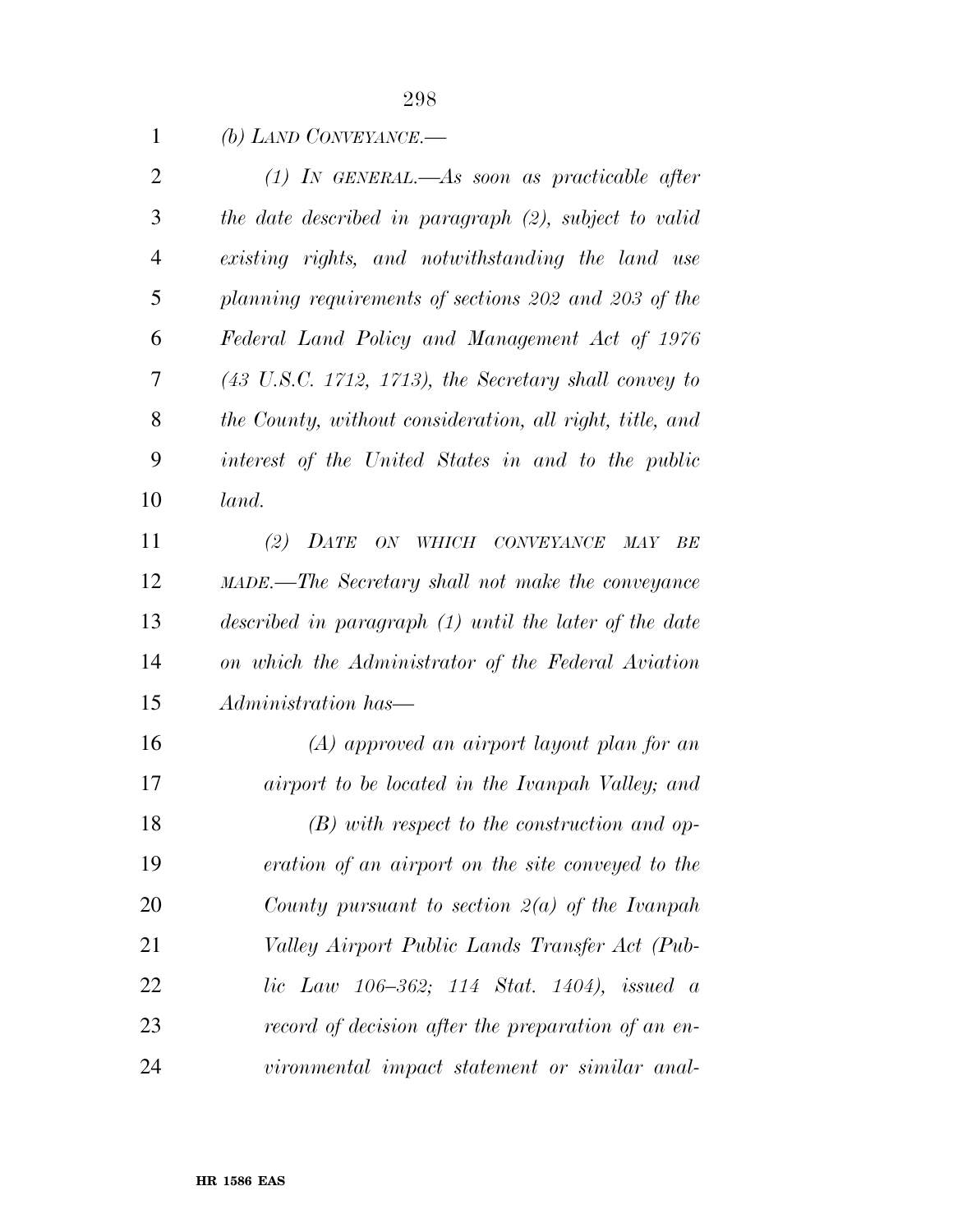| 1              | (b) LAND CONVEYANCE.—                                             |
|----------------|-------------------------------------------------------------------|
| $\overline{2}$ | $(1)$ IN GENERAL.—As soon as practicable after                    |
| 3              | the date described in paragraph (2), subject to valid             |
| $\overline{4}$ | existing rights, and notwithstanding the land use                 |
| 5              | planning requirements of sections 202 and 203 of the              |
| 6              | Federal Land Policy and Management Act of 1976                    |
| 7              | $(43 \text{ U.S.C. } 1712, 1713)$ , the Secretary shall convey to |
| 8              | the County, without consideration, all right, title, and          |
| 9              | interest of the United States in and to the public                |
| 10             | land.                                                             |
| 11             | (2)<br>DATE<br>ON WHICH CONVEYANCE<br>MAY<br>BE                   |
| 12             | MADE.—The Secretary shall not make the conveyance                 |
| 13             | described in paragraph (1) until the later of the date            |
| 14             | on which the Administrator of the Federal Aviation                |
| 15             | Administration has—                                               |
| 16             | $(A)$ approved an airport layout plan for an                      |
| 17             | airport to be located in the Ivanpah Valley; and                  |
| 18             | $(B)$ with respect to the construction and op-                    |
| 19             | eration of an airport on the site conveyed to the                 |
| 20             | County pursuant to section $2(a)$ of the Ivanpah                  |
| 21             | Valley Airport Public Lands Transfer Act (Pub-                    |
| 22             | lic Law 106–362; 114 Stat. 1404), issued a                        |
| 23             | record of decision after the preparation of an en-                |
| 24             | vironmental impact statement or similar anal-                     |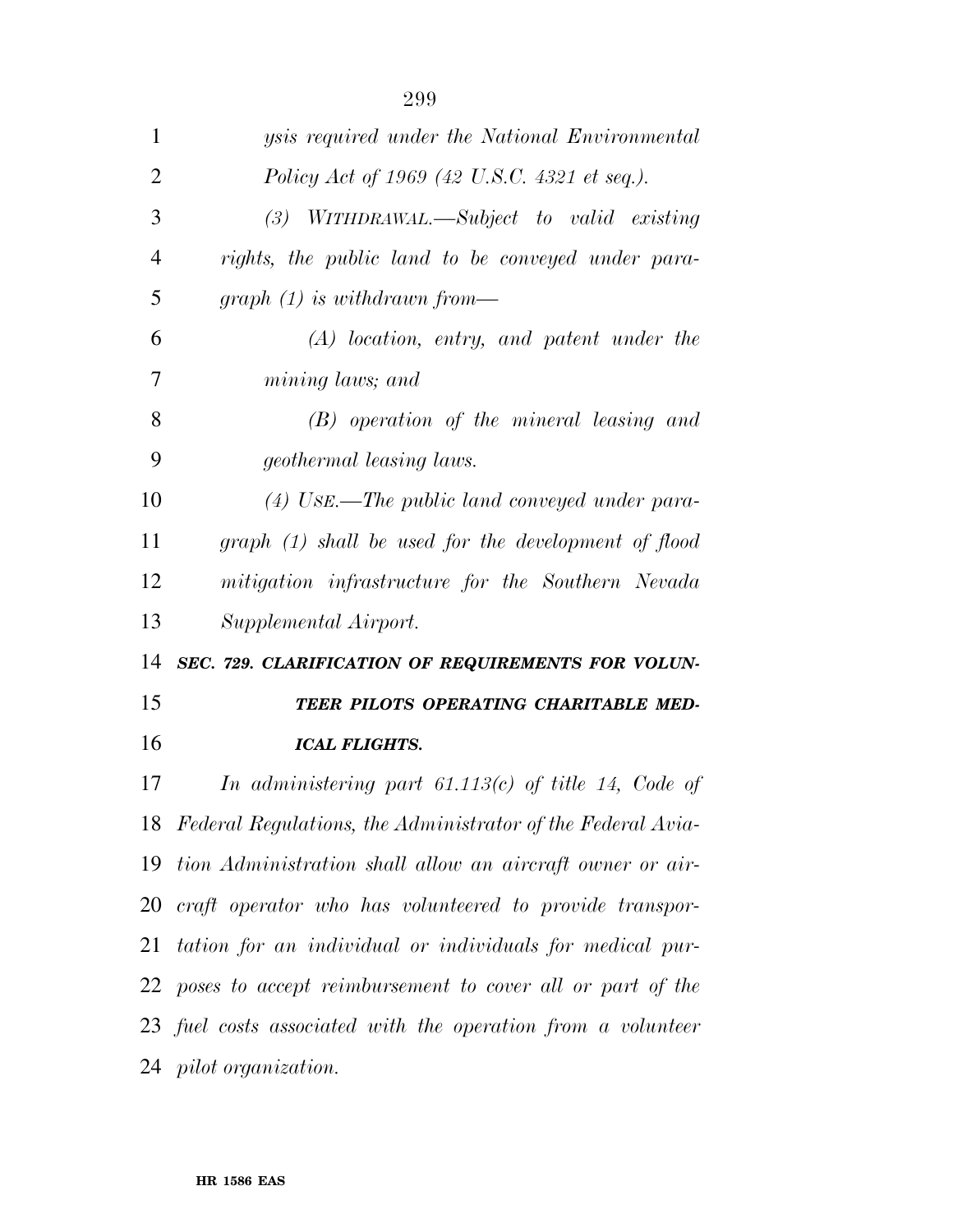| 1              | <i>ysis required under the National Environmental</i>          |  |
|----------------|----------------------------------------------------------------|--|
| $\overline{2}$ | Policy Act of 1969 (42 U.S.C. 4321 et seq.).                   |  |
| 3              | $(3)$ WITHDRAWAL.—Subject to valid existing                    |  |
| $\overline{4}$ | rights, the public land to be conveyed under para-             |  |
| 5              | graph $(1)$ is withdrawn from—                                 |  |
| 6              | $(A)$ location, entry, and patent under the                    |  |
| 7              | mining laws; and                                               |  |
| 8              | $(B)$ operation of the mineral leasing and                     |  |
| 9              | <i>geothermal leasing laws.</i>                                |  |
| 10             | (4) USE.—The public land conveyed under para-                  |  |
| 11             | $graph (1) shall be used for the development of flood$         |  |
| 12             | mitigation infrastructure for the Southern Nevada              |  |
|                |                                                                |  |
| 13             | Supplemental Airport.                                          |  |
| 14             | SEC. 729. CLARIFICATION OF REQUIREMENTS FOR VOLUN-             |  |
| 15             | TEER PILOTS OPERATING CHARITABLE MED-                          |  |
| 16             | <b>ICAL FLIGHTS.</b>                                           |  |
| 17             | In administering part 61.113(c) of title 14, Code of           |  |
|                | 18 Federal Regulations, the Administrator of the Federal Avia- |  |
|                | 19 tion Administration shall allow an aircraft owner or air-   |  |
|                | $20$ craft operator who has volunteered to provide transpor-   |  |
| 21             | tation for an individual or individuals for medical pur-       |  |
|                | 22 poses to accept reimbursement to cover all or part of the   |  |
|                | 23 fuel costs associated with the operation from a volunteer   |  |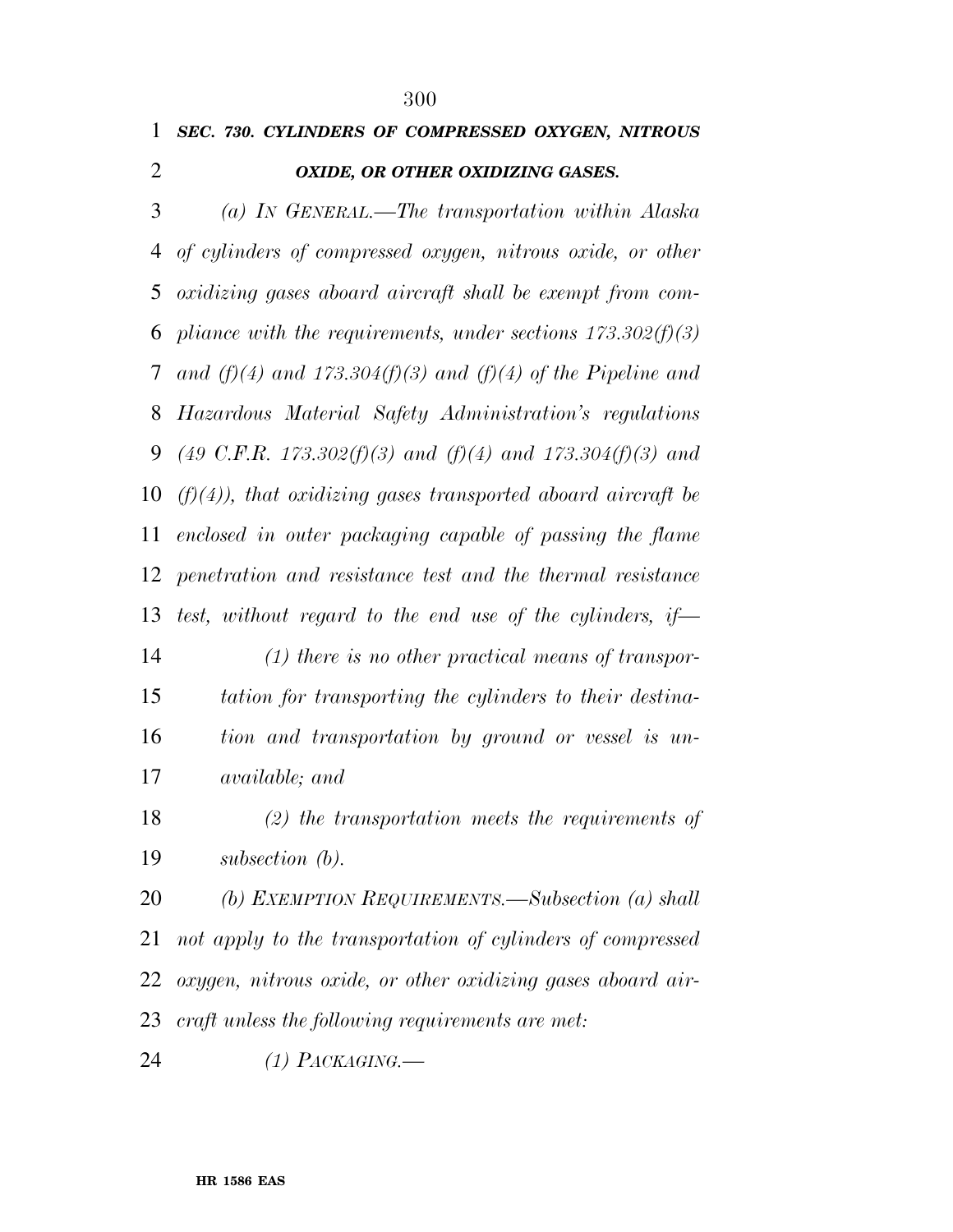### *SEC. 730. CYLINDERS OF COMPRESSED OXYGEN, NITROUS OXIDE, OR OTHER OXIDIZING GASES.*

 *(a) IN GENERAL.—The transportation within Alaska of cylinders of compressed oxygen, nitrous oxide, or other oxidizing gases aboard aircraft shall be exempt from com- pliance with the requirements, under sections 173.302(f)(3) and (f)(4) and 173.304(f)(3) and (f)(4) of the Pipeline and Hazardous Material Safety Administration's regulations (49 C.F.R. 173.302(f)(3) and (f)(4) and 173.304(f)(3) and (f)(4)), that oxidizing gases transported aboard aircraft be enclosed in outer packaging capable of passing the flame penetration and resistance test and the thermal resistance test, without regard to the end use of the cylinders, if—* 

 *(1) there is no other practical means of transpor- tation for transporting the cylinders to their destina- tion and transportation by ground or vessel is un-available; and* 

 *(2) the transportation meets the requirements of subsection (b).* 

 *(b) EXEMPTION REQUIREMENTS.—Subsection (a) shall not apply to the transportation of cylinders of compressed oxygen, nitrous oxide, or other oxidizing gases aboard air-craft unless the following requirements are met:* 

*(1) PACKAGING.—*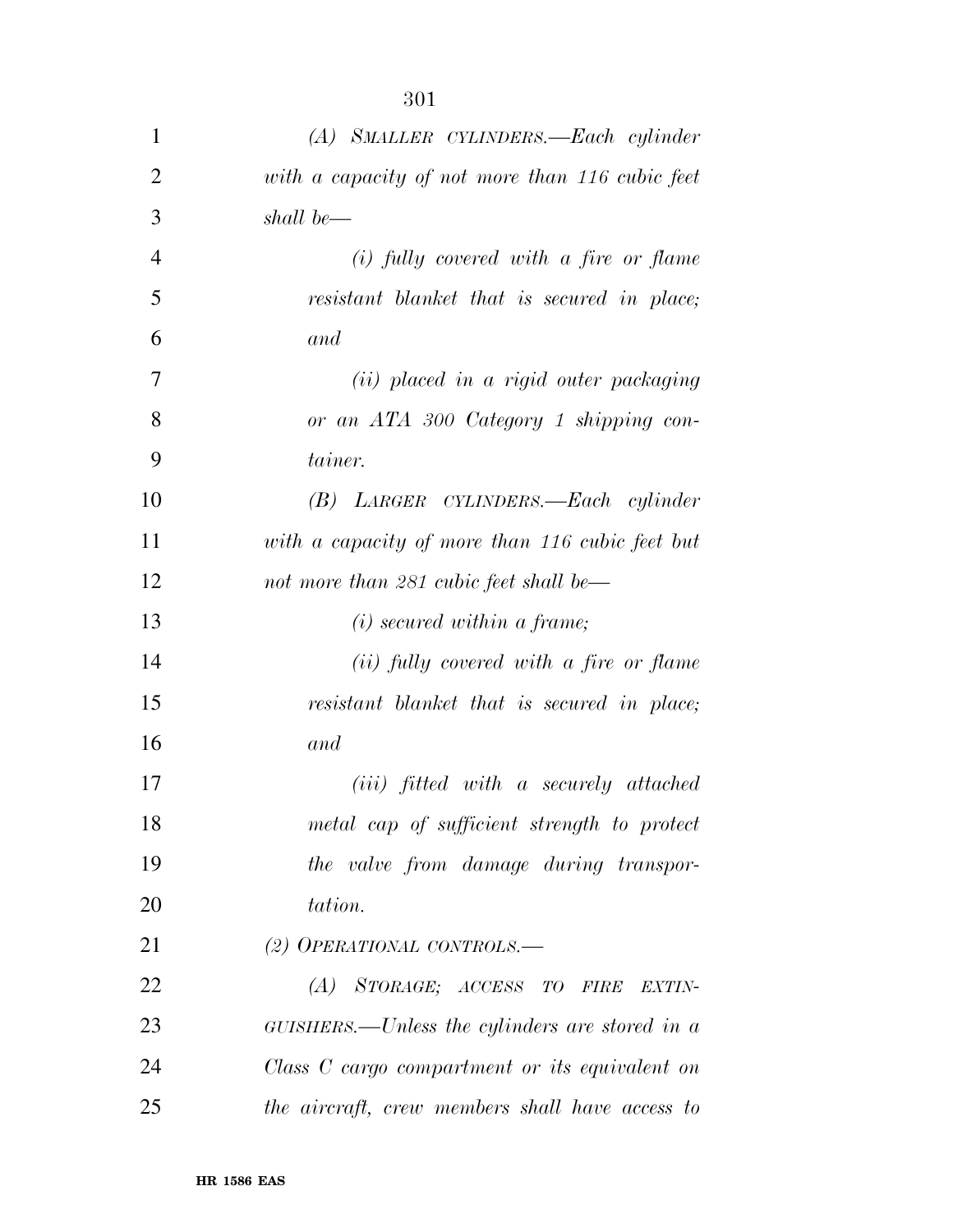| 1              | (A) SMALLER CYLINDERS.—Each cylinder              |
|----------------|---------------------------------------------------|
| $\overline{2}$ | with a capacity of not more than 116 cubic feet   |
| 3              | shall be—                                         |
| $\overline{4}$ | $(i)$ fully covered with a fire or flame          |
| 5              | resistant blanket that is secured in place;       |
| 6              | and                                               |
| 7              | (ii) placed in a rigid outer packaging            |
| 8              | or an ATA 300 Category 1 shipping con-            |
| 9              | tainer.                                           |
| 10             | (B) LARGER CYLINDERS.—Each cylinder               |
| 11             | with a capacity of more than 116 cubic feet but   |
| 12             | not more than 281 cubic feet shall be—            |
| 13             | $(i)$ secured within a frame;                     |
| 14             | (ii) fully covered with a fire or flame           |
| 15             | resistant blanket that is secured in place;       |
| 16             | and                                               |
| 17             | (iii) fitted with a securely attached             |
| 18             | metal cap of sufficient strength to protect       |
| 19             | the valve from damage during transpor-            |
| 20             | tation.                                           |
| 21             | (2) OPERATIONAL CONTROLS.—                        |
| 22             | (A) STORAGE; ACCESS TO FIRE<br>EXTIN-             |
| 23             | $GUISHERS.$ —Unless the cylinders are stored in a |
| 24             | Class C cargo compartment or its equivalent on    |
| 25             | the aircraft, crew members shall have access to   |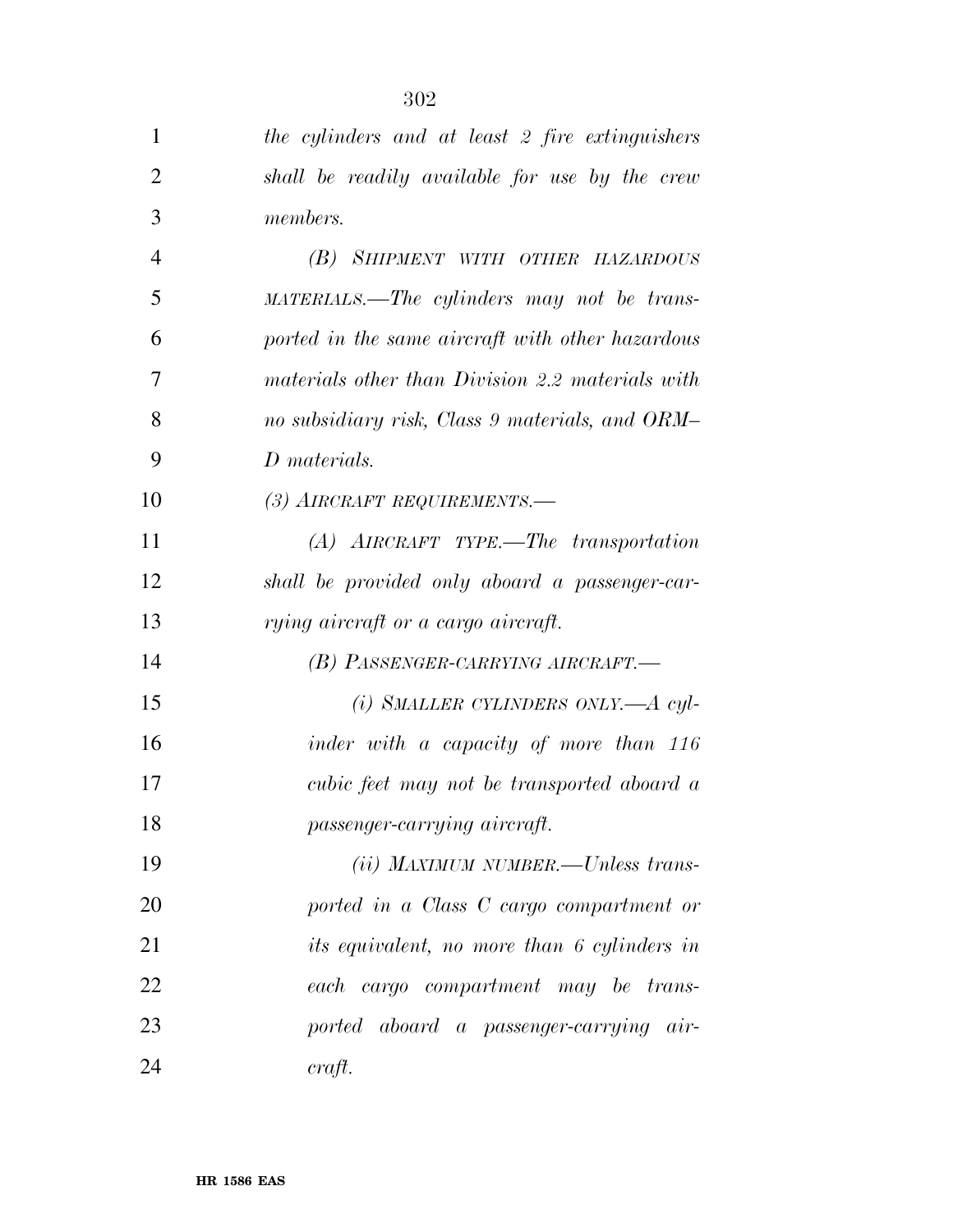| 1              | the cylinders and at least 2 fire extinguishers    |
|----------------|----------------------------------------------------|
| $\overline{2}$ | shall be readily available for use by the crew     |
| 3              | <i>members.</i>                                    |
| $\overline{4}$ | (B) SHIPMENT WITH OTHER HAZARDOUS                  |
| 5              | MATERIALS.—The cylinders may not be trans-         |
| 6              | ported in the same aircraft with other hazardous   |
| 7              | materials other than Division 2.2 materials with   |
| 8              | no subsidiary risk, Class 9 materials, and ORM-    |
| 9              | D materials.                                       |
| 10             | (3) AIRCRAFT REQUIREMENTS.                         |
| 11             | (A) AIRCRAFT TYPE.—The transportation              |
| 12             | shall be provided only aboard a passenger-car-     |
| 13             | rying aircraft or a cargo aircraft.                |
| 14             | (B) PASSENGER-CARRYING AIRCRAFT.-                  |
| 15             | (i) SMALLER CYLINDERS ONLY.—A cyl-                 |
| 16             | inder with a capacity of more than 116             |
| 17             | cubic feet may not be transported aboard a         |
| 18             | passenger-carrying aircraft.                       |
| 19             | <i>(ii)</i> MAXIMUM NUMBER.—Unless trans-          |
| 20             | ported in a Class C cargo compartment or           |
| 21             | <i>its equivalent, no more than 6 cylinders in</i> |
| 22             | each cargo compartment may be trans-               |
| 23             | ported aboard a passenger-carrying air-            |
| 24             | craft.                                             |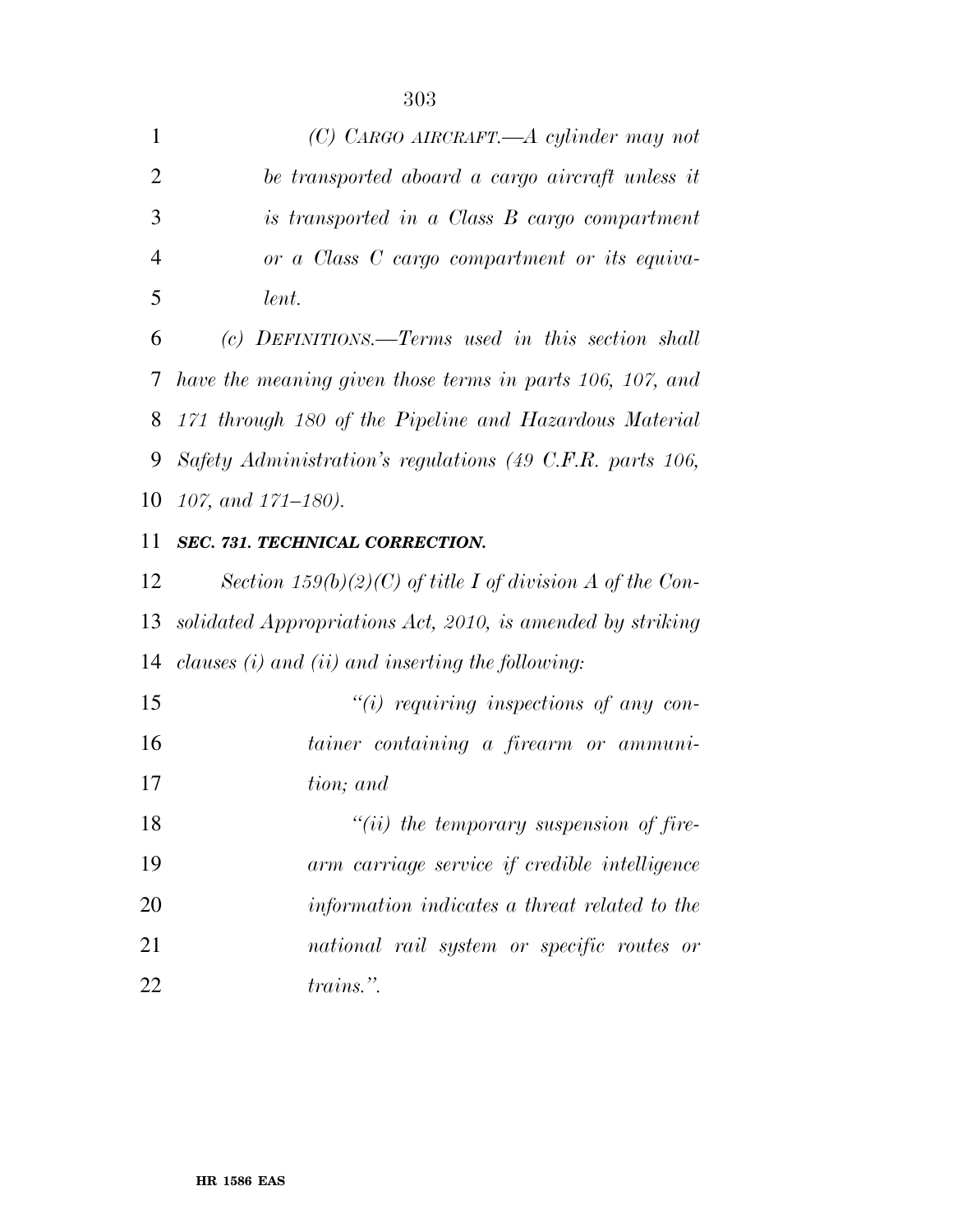| 1              | $(C)$ CARGO AIRCRAFT. $-A$ cylinder may not                 |
|----------------|-------------------------------------------------------------|
| $\overline{2}$ | be transported aboard a cargo aircraft unless it            |
| 3              | is transported in a Class B cargo compartment               |
| $\overline{4}$ | or a Class C cargo compartment or its equiva-               |
| 5              | lent.                                                       |
| 6              | (c) DEFINITIONS.—Terms used in this section shall           |
| 7              | have the meaning given those terms in parts 106, 107, and   |
| 8              | 171 through 180 of the Pipeline and Hazardous Material      |
| 9              | Safety Administration's regulations (49 C.F.R. parts 106,   |
| 10             | $107$ , and $171–180$ ).                                    |
| 11             | SEC. 731. TECHNICAL CORRECTION.                             |
| 12             | Section $159(b)(2)(C)$ of title I of division A of the Con- |
| 13             | solidated Appropriations Act, 2010, is amended by striking  |
| 14             | clauses $(i)$ and $(ii)$ and inserting the following:       |
| 15             | $\tilde{f}(i)$ requiring inspections of any con-            |
| 16             | tainer containing a firearm or ammuni-                      |
| 17             | tion; and                                                   |
| 18             | $"(ii)$ the temporary suspension of fire-                   |
| 19             | arm carriage service if credible intelligence               |
| 20             | information indicates a threat related to the               |
| 21             | national rail system or specific routes or                  |

*trains.''.*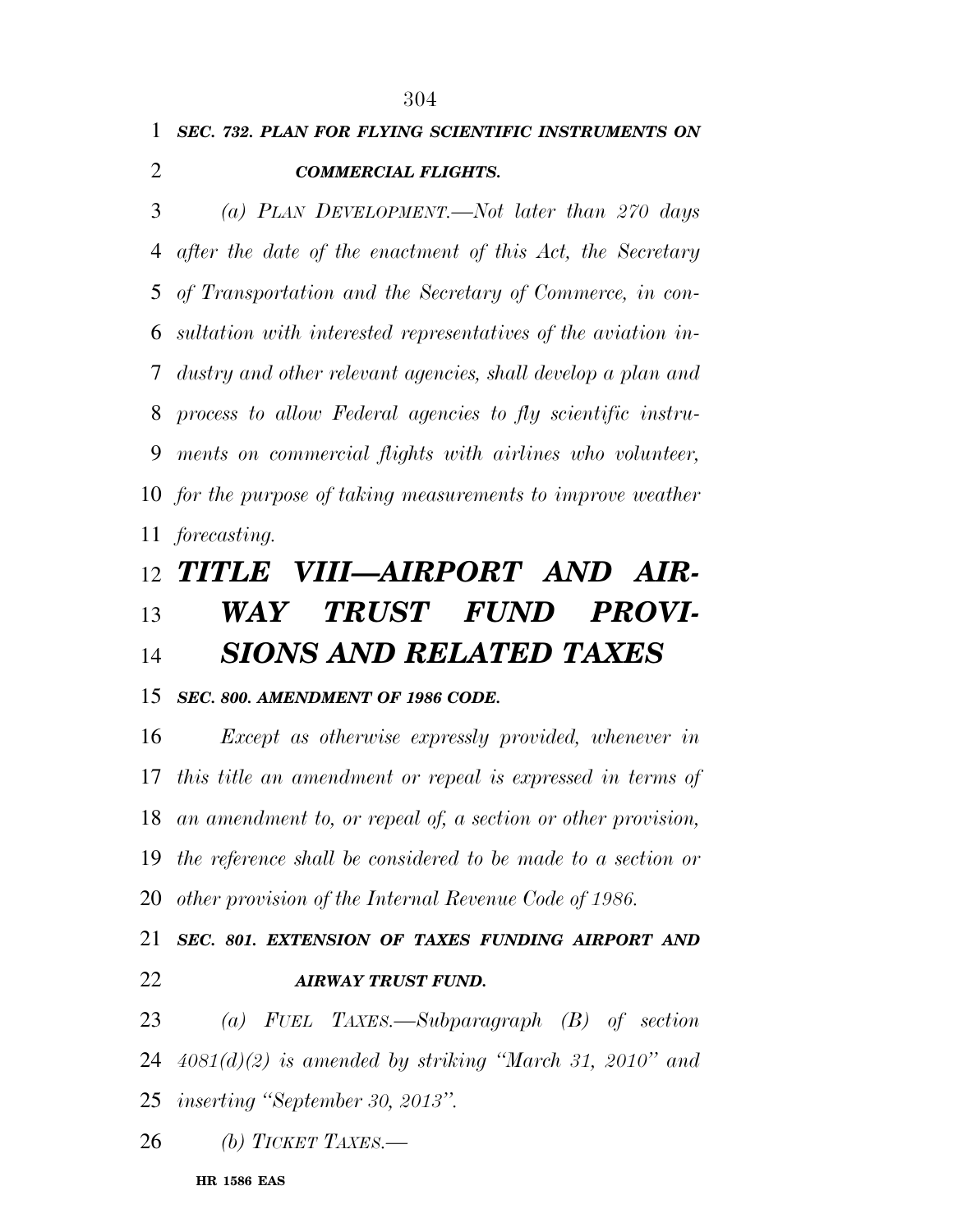## *SEC. 732. PLAN FOR FLYING SCIENTIFIC INSTRUMENTS ON COMMERCIAL FLIGHTS.*

 *(a) PLAN DEVELOPMENT.—Not later than 270 days after the date of the enactment of this Act, the Secretary of Transportation and the Secretary of Commerce, in con- sultation with interested representatives of the aviation in- dustry and other relevant agencies, shall develop a plan and process to allow Federal agencies to fly scientific instru- ments on commercial flights with airlines who volunteer, for the purpose of taking measurements to improve weather forecasting.* 

## *TITLE VIII—AIRPORT AND AIR-WAY TRUST FUND PROVI-*

# *SIONS AND RELATED TAXES*

#### *SEC. 800. AMENDMENT OF 1986 CODE.*

 *Except as otherwise expressly provided, whenever in this title an amendment or repeal is expressed in terms of an amendment to, or repeal of, a section or other provision, the reference shall be considered to be made to a section or other provision of the Internal Revenue Code of 1986.* 

 *SEC. 801. EXTENSION OF TAXES FUNDING AIRPORT AND AIRWAY TRUST FUND.* 

 *(a) FUEL TAXES.—Subparagraph (B) of section 4081(d)(2) is amended by striking ''March 31, 2010'' and inserting ''September 30, 2013''.* 

*(b) TICKET TAXES.—*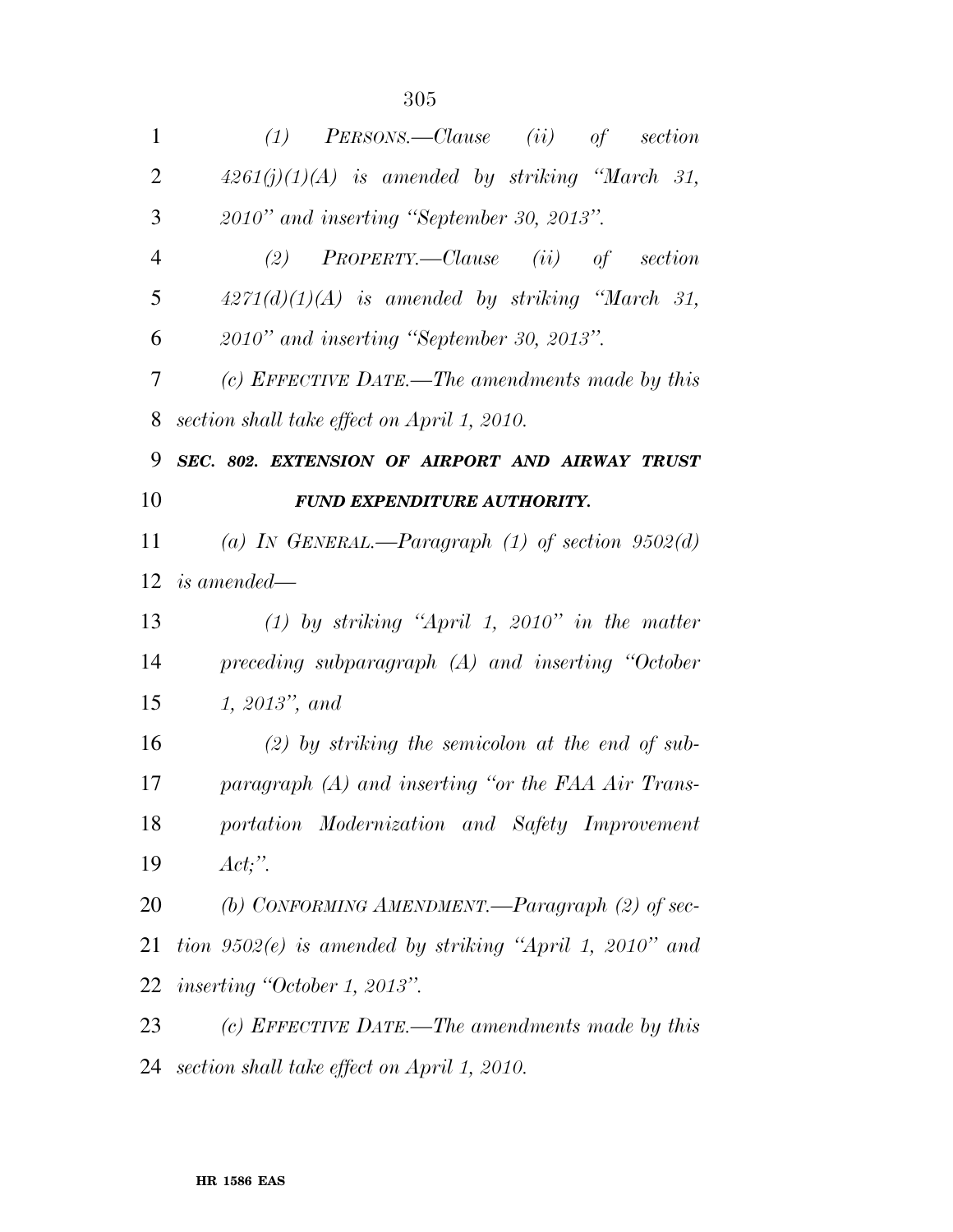| 1              | $(1)$ PERSONS.—Clause $(ii)$ of section                 |
|----------------|---------------------------------------------------------|
| $\overline{2}$ | $4261(j)(1)(A)$ is amended by striking "March 31,       |
| 3              | 2010" and inserting "September 30, 2013".               |
| $\overline{4}$ | (2) $PROPERTIES$ —Clause (ii) of section                |
| 5              | $4271(d)(1)(A)$ is amended by striking "March 31,       |
| 6              | 2010" and inserting "September 30, 2013".               |
| 7              | (c) EFFECTIVE DATE.—The amendments made by this         |
| 8              | section shall take effect on April 1, 2010.             |
| 9              | SEC. 802. EXTENSION OF AIRPORT AND AIRWAY TRUST         |
| 10             | <b>FUND EXPENDITURE AUTHORITY.</b>                      |
| 11             | (a) IN GENERAL.—Paragraph (1) of section $9502(d)$      |
|                | $12$ is amended—                                        |
| 13             | (1) by striking "April 1, 2010" in the matter           |
| 14             | preceding subparagraph $(A)$ and inserting "October"    |
| 15             | $1, 2013$ ", and                                        |
| 16             | $(2)$ by striking the semicolon at the end of sub-      |
| 17             | paragraph (A) and inserting "or the FAA Air Trans-      |
| 18             | portation Modernization and Safety Improvement          |
| 19             | $Act;$ ".                                               |
| 20             | (b) CONFORMING AMENDMENT.—Paragraph $(2)$ of sec-       |
| 21             | tion 9502(e) is amended by striking "April 1, 2010" and |
| 22             | <i>inserting "October 1, 2013".</i>                     |
| 23             | (c) EFFECTIVE DATE.—The amendments made by this         |

*section shall take effect on April 1, 2010.*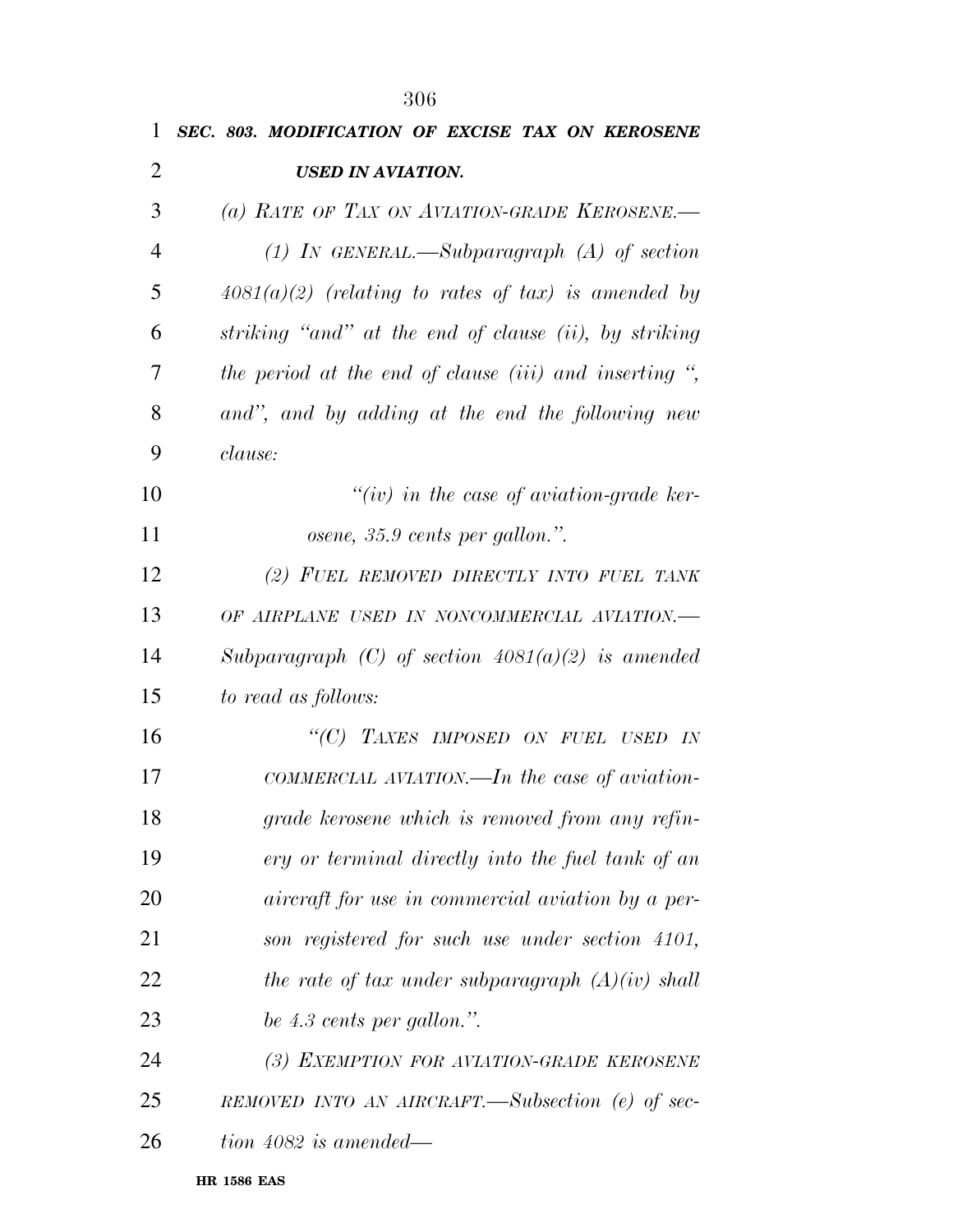|                | 306                                                    |
|----------------|--------------------------------------------------------|
| 1              | SEC. 803. MODIFICATION OF EXCISE TAX ON KEROSENE       |
| 2              | <b>USED IN AVIATION.</b>                               |
| 3              | (a) RATE OF TAX ON AVIATION-GRADE KEROSENE.-           |
| $\overline{4}$ | (1) IN GENERAL.—Subparagraph $(A)$ of section          |
| 5              | $4081(a)(2)$ (relating to rates of tax) is amended by  |
| 6              | striking "and" at the end of clause (ii), by striking  |
| $\overline{7}$ | the period at the end of clause (iii) and inserting ", |
| 8              | and", and by adding at the end the following new       |
| 9              | clause:                                                |
| 10             | $``(iv)$ in the case of aviation-grade ker-            |
| 11             | osene, 35.9 cents per gallon.".                        |
| 12             | (2) FUEL REMOVED DIRECTLY INTO FUEL TANK               |
| 13             | OF AIRPLANE USED IN NONCOMMERCIAL AVIATION.-           |
| 14             | Subparagraph (C) of section $4081(a)(2)$ is amended    |
| 15             | to read as follows:                                    |
| 16             | "(C) TAXES IMPOSED ON FUEL USED IN                     |
| 17             | COMMERCIAL AVIATION.—In the case of aviation-          |
| 18             | grade kerosene which is removed from any refin-        |
| 19             | ery or terminal directly into the fuel tank of an      |
| 20             | aircraft for use in commercial aviation by a per-      |
| 21             | son registered for such use under section 4101,        |
| 22             | the rate of tax under subparagraph $(A)(iv)$ shall     |
| 23             | be 4.3 cents per gallon.".                             |
| 24             | (3) EXEMPTION FOR AVIATION-GRADE KEROSENE              |
| 25             | REMOVED INTO AN AIRCRAFT.—Subsection (e) of sec-       |
| 26             | $tion\ 4082\ is\ amended$ —                            |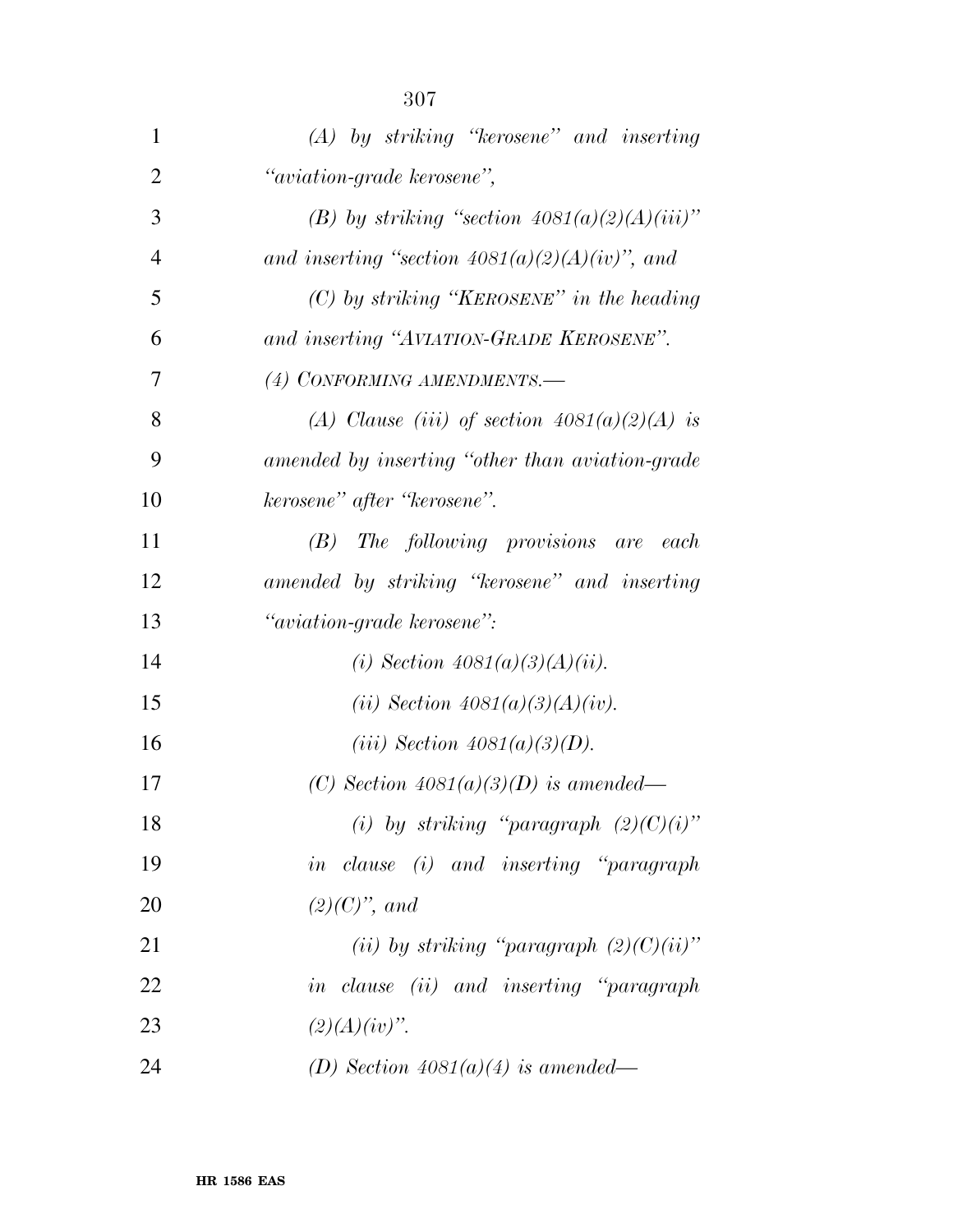| 1              | $(A)$ by striking "kerosene" and inserting        |
|----------------|---------------------------------------------------|
| $\overline{2}$ | " <i>aviation-grade kerosene</i> ",               |
| 3              | (B) by striking "section $4081(a)(2)(A)(iii)$ "   |
| $\overline{4}$ | and inserting "section $4081(a)(2)(A)(iv)$ ", and |
| 5              | $(C)$ by striking "KEROSENE" in the heading       |
| 6              | and inserting "AVIATION-GRADE KEROSENE".          |
| 7              | (4) CONFORMING AMENDMENTS.-                       |
| 8              | (A) Clause (iii) of section $4081(a)(2)(A)$ is    |
| 9              | amended by inserting "other than aviation-grade"  |
| 10             | kerosene" after "kerosene".                       |
| 11             | (B) The following provisions are each             |
| 12             | amended by striking "kerosene" and inserting      |
| 13             | " <i>aviation-grade kerosene</i> ":               |
| 14             | ( <i>i</i> ) Section $4081(a)(3)(A)(ii)$ .        |
| 15             | ( <i>ii</i> ) Section $4081(a)(3)(A)(iv)$ .       |
| 16             | (iii) Section $4081(a)(3)(D)$ .                   |
| 17             | (C) Section $4081(a)(3)(D)$ is amended—           |
| 18             | (i) by striking "paragraph $(2)(C)(i)$ "          |
| 19             | in clause (i) and inserting "paragraph            |
| 20             | $(2)(C)$ , and                                    |
| 21             | (ii) by striking "paragraph $(2)(C)(ii)$ "        |
| 22             | in clause (ii) and inserting "paragraph"          |
| 23             | $(2)(A)(iv)$ ".                                   |
| 24             | (D) Section $4081(a)(4)$ is amended—              |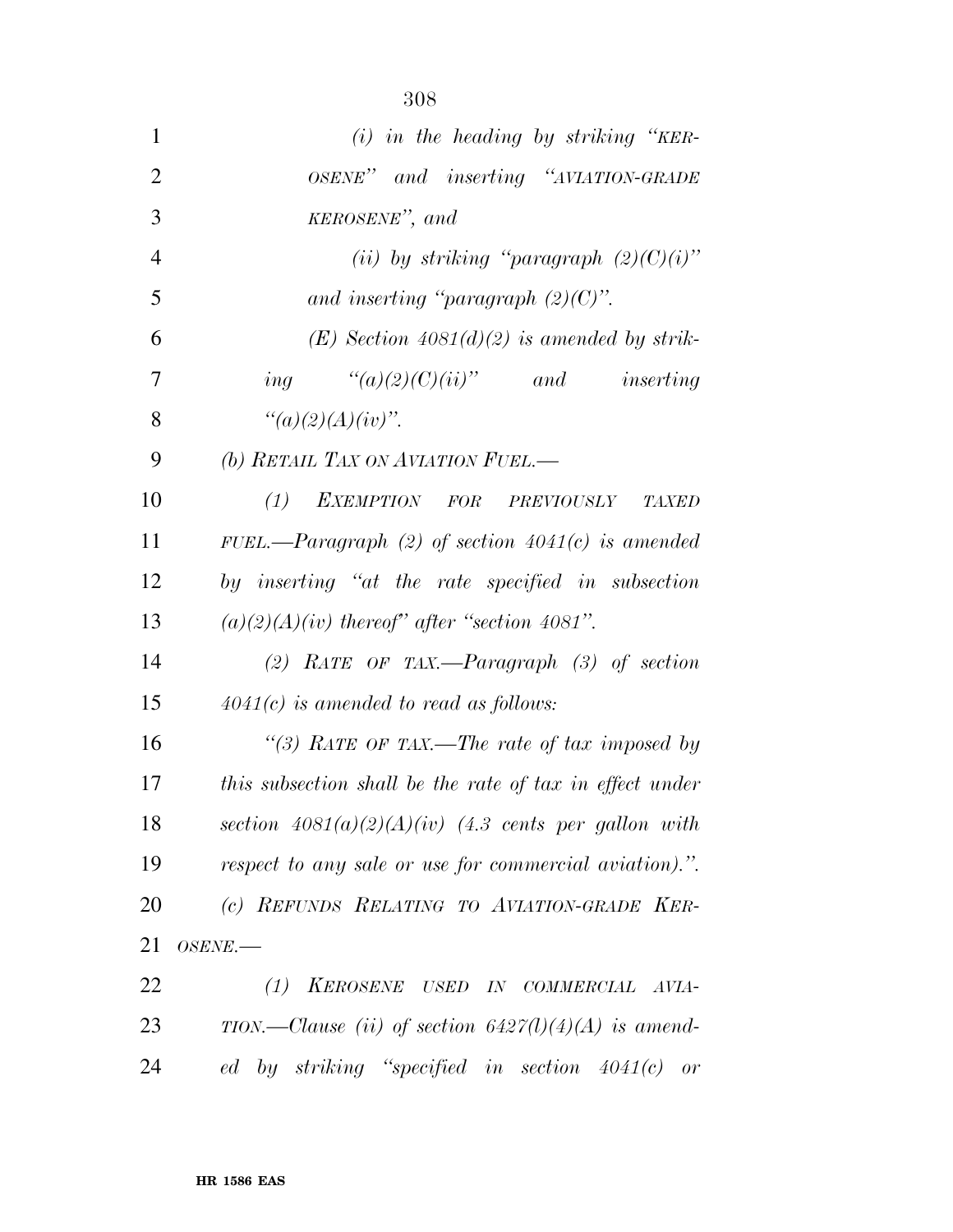| $\mathbf{1}$   | $(i)$ in the heading by striking "KER-                   |
|----------------|----------------------------------------------------------|
| $\overline{2}$ | OSENE" and inserting "AVIATION-GRADE                     |
| 3              | KEROSENE", and                                           |
| $\overline{4}$ | (ii) by striking "paragraph $(2)(C)(i)$ "                |
| 5              | and inserting "paragraph $(2)(C)$ ".                     |
| 6              | $(E)$ Section 4081(d)(2) is amended by strik-            |
| 7              | ing $\qquad (a)(2)(C)(ii)$ "<br><i>and inserting</i>     |
| 8              | " $(a)(2)(A)(iv)$ ".                                     |
| 9              | (b) RETAIL TAX ON AVIATION FUEL.-                        |
| 10             | (1) EXEMPTION FOR PREVIOUSLY<br>TAXED                    |
| 11             | FUEL.—Paragraph $(2)$ of section $4041(c)$ is amended    |
| 12             | by inserting "at the rate specified in subsection        |
| 13             | $(a)(2)(A)(iv)$ thereof" after "section 4081".           |
| 14             | (2) RATE OF TAX.—Paragraph $(3)$ of section              |
| 15             | $4041(c)$ is amended to read as follows:                 |
| 16             | "(3) RATE OF TAX.—The rate of tax imposed by             |
| 17             | this subsection shall be the rate of tax in effect under |
| 18             | section $4081(a)(2)(A)(iv)$ (4.3 cents per gallon with   |
| 19             | respect to any sale or use for commercial aviation).".   |
| 20             | (c) REFUNDS RELATING TO AVIATION-GRADE KER-              |
| 21             | $OSENE$ .                                                |
| 22             | KEROSENE USED IN COMMERCIAL<br>(1)<br>$AVIA-$            |
| 23             | TION.—Clause (ii) of section $6427(l)(4)(A)$ is amend-   |
| 24             | $ed$ by striking "specified in section $4041(c)$ or      |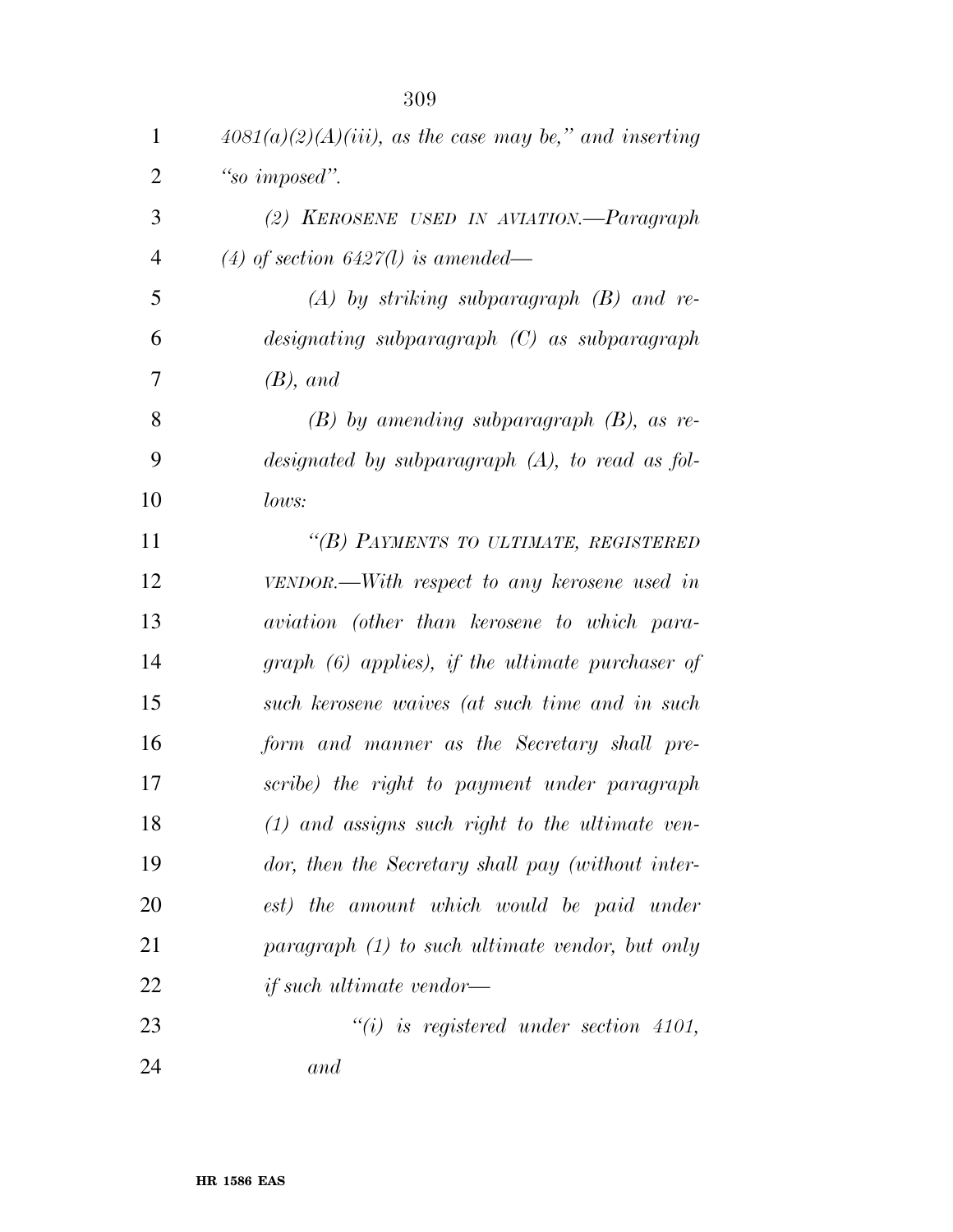| $\mathbf{1}$   | $4081(a)(2)(A)(iii)$ , as the case may be," and inserting |
|----------------|-----------------------------------------------------------|
| $\overline{2}$ | "so imposed".                                             |
| 3              | (2) KEROSENE USED IN AVIATION.-Paragraph                  |
| $\overline{4}$ | (4) of section $6427(l)$ is amended—                      |
| 5              | $(A)$ by striking subparagraph $(B)$ and re-              |
| 6              | $designating \; subparagnath \; (C) \; as \; subparagnph$ |
| 7              | $(B)$ , and                                               |
| 8              | $(B)$ by amending subparagraph $(B)$ , as re-             |
| 9              | designated by subparagraph $(A)$ , to read as fol-        |
| 10             | lows:                                                     |
| 11             | "(B) PAYMENTS TO ULTIMATE, REGISTERED                     |
| 12             | VENDOR.—With respect to any kerosene used in              |
| 13             | aviation (other than kerosene to which para-              |
| 14             | graph (6) applies), if the ultimate purchaser of          |
| 15             | such kerosene waives (at such time and in such            |
| 16             | form and manner as the Secretary shall pre-               |
| 17             | scribe) the right to payment under paragraph              |
| 18             | $(1)$ and assigns such right to the ultimate ven-         |
| 19             | dor, then the Secretary shall pay (without inter-         |
| 20             | est) the amount which would be paid under                 |
| 21             | $paramph (1) to such ultimate vendor, but only$           |
| 22             | <i>if such ultimate vendor—</i>                           |
| 23             | $``(i)$ is registered under section 4101,                 |
| 24             | and                                                       |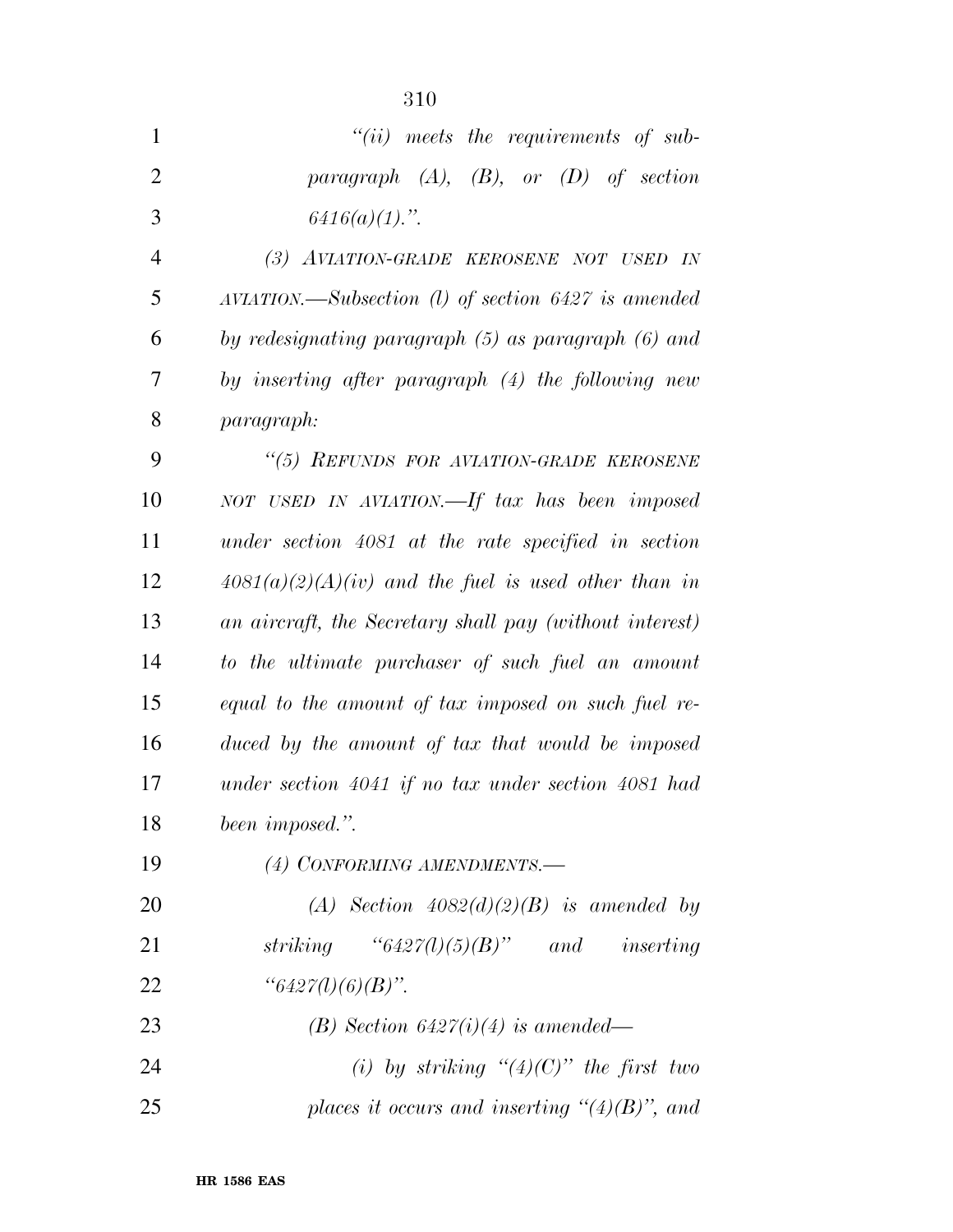| $\mathbf{1}$   | $``(ii)$ meets the requirements of sub-                 |
|----------------|---------------------------------------------------------|
| $\overline{2}$ | paragraph $(A)$ , $(B)$ , or $(D)$ of section           |
| 3              | $6416(a)(1)$ .".                                        |
| $\overline{4}$ | (3) AVIATION-GRADE KEROSENE NOT USED IN                 |
| 5              | $AVIATION$ —Subsection (1) of section 6427 is amended   |
| 6              | by redesignating paragraph (5) as paragraph (6) and     |
| 7              | by inserting after paragraph (4) the following new      |
| 8              | paragraph:                                              |
| 9              | "(5) REFUNDS FOR AVIATION-GRADE KEROSENE                |
| 10             | NOT USED IN AVIATION. If tax has been imposed           |
| 11             | under section 4081 at the rate specified in section     |
| 12             | $4081(a)(2)(A)(iv)$ and the fuel is used other than in  |
| 13             | an aircraft, the Secretary shall pay (without interest) |
| 14             | to the ultimate purchaser of such fuel an amount        |
| 15             | equal to the amount of tax imposed on such fuel re-     |
| 16             | duced by the amount of tax that would be imposed        |
| 17             | under section $4041$ if no tax under section $4081$ had |
| 18             | been imposed.".                                         |
| 19             | (4) CONFORMING AMENDMENTS.-                             |
| 20             | (A) Section $4082(d)(2)(B)$ is amended by               |
| 21             | striking "6427(l)(5)(B)" and inserting                  |
| 22             | " $6427(l)(6)(B)$ ".                                    |
| 23             | (B) Section 6427(i)(4) is amended—                      |
| 24             | (i) by striking " $(4)(C)$ " the first two              |

*places it occurs and inserting ''(4)(B)'', and*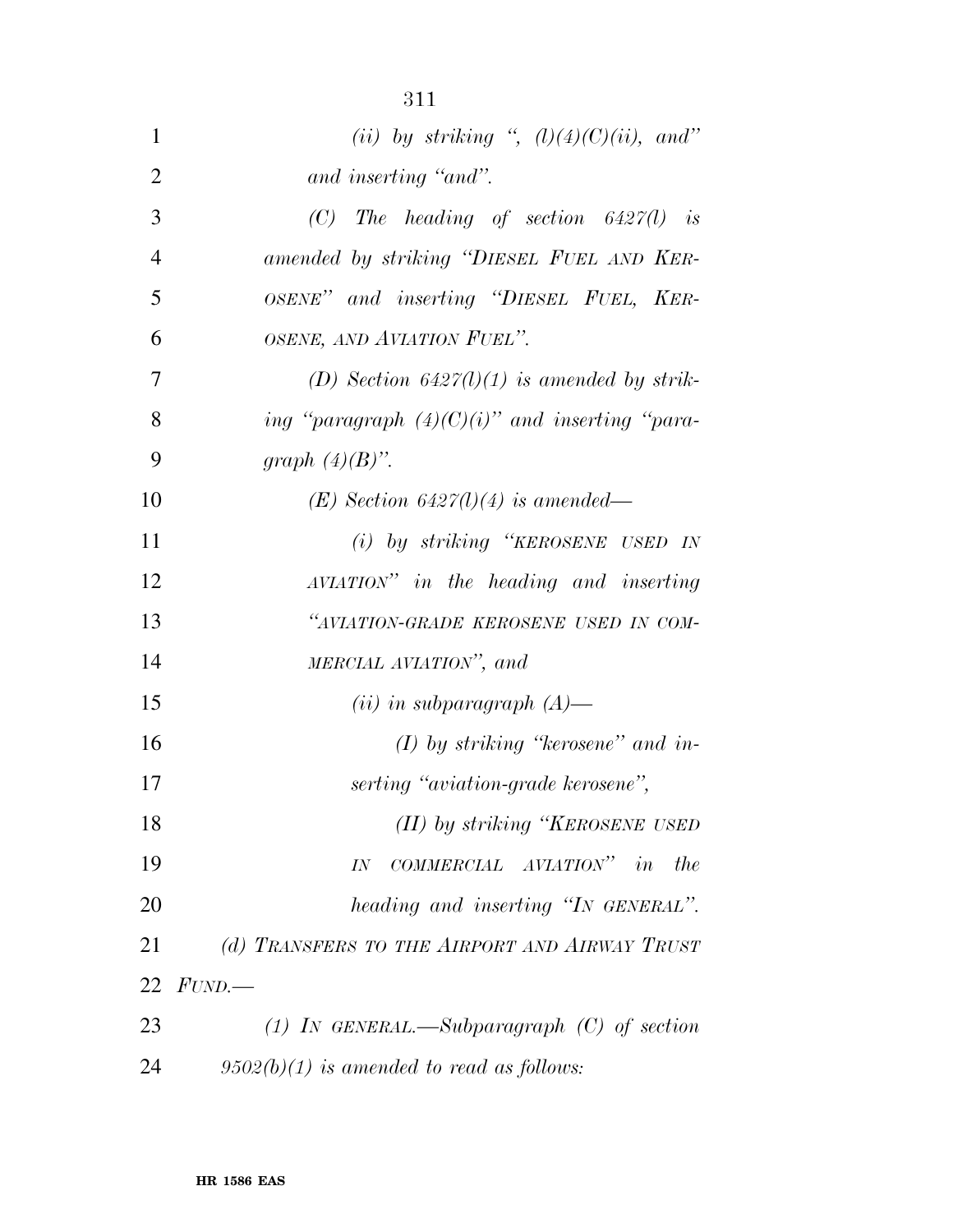| $\mathbf{1}$   | (ii) by striking ", $(l)(4)(C)(ii)$ , and"        |
|----------------|---------------------------------------------------|
| $\overline{2}$ | and inserting "and".                              |
| 3              | (C) The heading of section $6427(l)$ is           |
| $\overline{4}$ | amended by striking "DIESEL FUEL AND KER-         |
| 5              | OSENE" and inserting "DIESEL FUEL, KER-           |
| 6              | OSENE, AND AVIATION FUEL".                        |
| 7              | (D) Section $6427(l)(1)$ is amended by strik-     |
| 8              | ing "paragraph $(4)(C)(i)$ " and inserting "para- |
| 9              | graph $(4)(B)$ ".                                 |
| 10             | $(E)$ Section 6427(1)(4) is amended—              |
| 11             | (i) by striking "KEROSENE USED IN                 |
| 12             | AVIATION" in the heading and inserting            |
| 13             | "AVIATION-GRADE KEROSENE USED IN COM-             |
| 14             | MERCIAL AVIATION", and                            |
| 15             | $(ii)$ in subparagraph $(A)$ —                    |
| 16             | $(I)$ by striking "kerosene" and in-              |
| 17             | serting "aviation-grade kerosene",                |
| 18             | (II) by striking "KEROSENE USED                   |
| 19             | COMMERCIAL AVIATION" in<br><i>the</i><br>IN       |
| 20             | heading and inserting "IN GENERAL".               |
| 21             | (d) TRANSFERS TO THE AIRPORT AND AIRWAY TRUST     |
| 22             | FUND.                                             |
| 23             | (1) IN GENERAL.—Subparagraph $(C)$ of section     |
| 24             | $9502(b)(1)$ is amended to read as follows:       |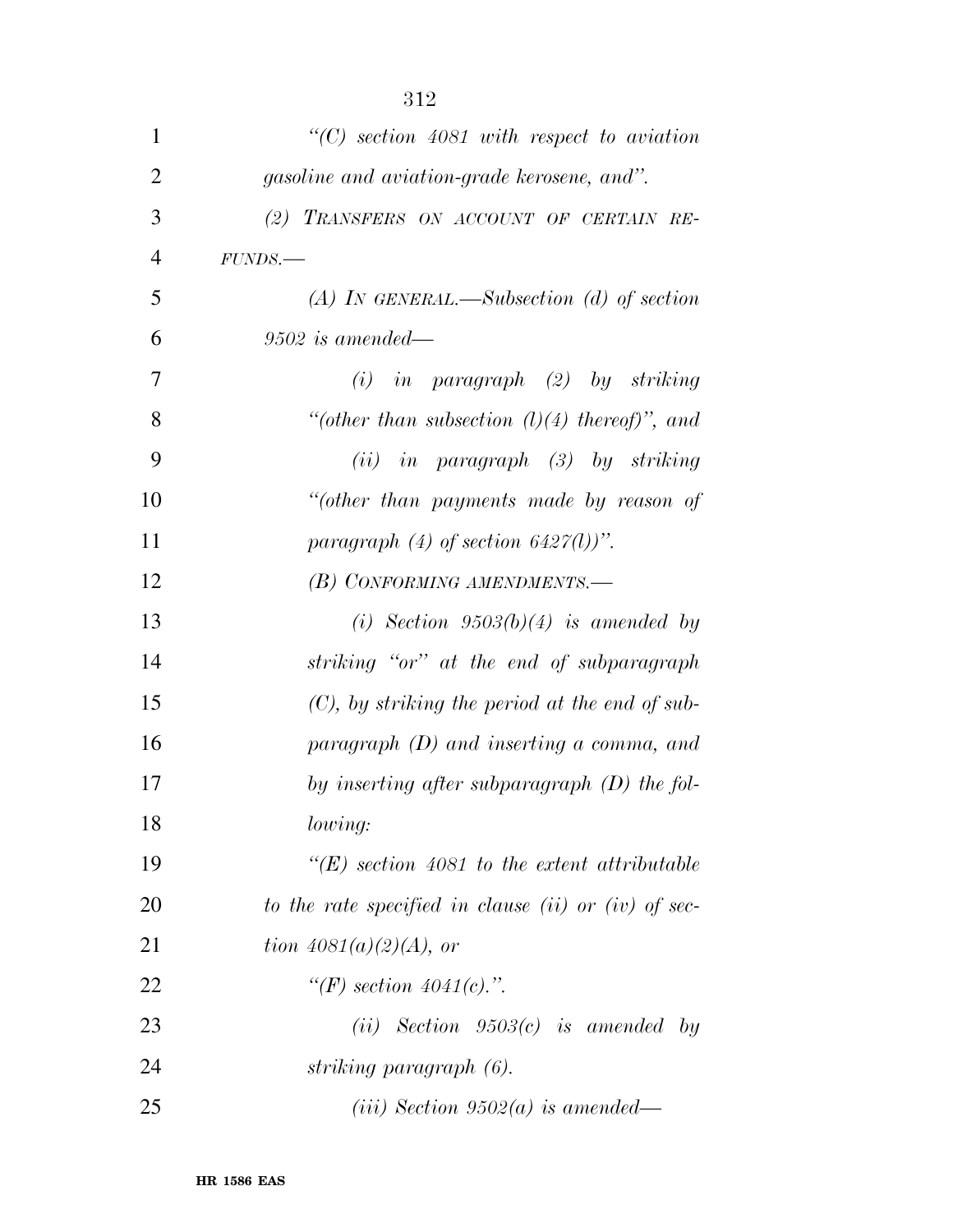| 1              | $\lq$ (C) section 4081 with respect to aviation      |
|----------------|------------------------------------------------------|
| $\overline{2}$ | gasoline and aviation-grade kerosene, and".          |
| 3              | (2) TRANSFERS ON ACCOUNT OF CERTAIN RE-              |
| $\overline{4}$ | FUNDS.                                               |
| 5              | $(A)$ In GENERAL.—Subsection (d) of section          |
| 6              | $9502$ is amended—                                   |
| 7              | $(i)$ in paragraph $(2)$ by striking                 |
| 8              | "(other than subsection $(l)(4)$ thereof)", and      |
| 9              | $(ii)$ in paragraph $(3)$ by striking                |
| 10             | "(other than payments made by reason of              |
| 11             | paragraph $(4)$ of section $6427(l)$ ".              |
| 12             | (B) CONFORMING AMENDMENTS.—                          |
| 13             | (i) Section $9503(b)(4)$ is amended by               |
| 14             | striking "or" at the end of subparagraph             |
| 15             | $(C)$ , by striking the period at the end of sub-    |
| 16             | paragraph $(D)$ and inserting a comma, and           |
| 17             | by inserting after subparagraph $(D)$ the fol-       |
| 18             | lowing:                                              |
| 19             | $\lq\lq(E)$ section 4081 to the extent attributable  |
| 20             | to the rate specified in clause (ii) or (iv) of sec- |
| 21             | tion $4081(a)(2)(A)$ , or                            |
| 22             | "(F) section $4041(c)$ .".                           |
| 23             | (ii) Section $9503(c)$ is amended by                 |
| 24             | striking paragraph (6).                              |
| 25             | $(iii)$ Section 9502(a) is amended—                  |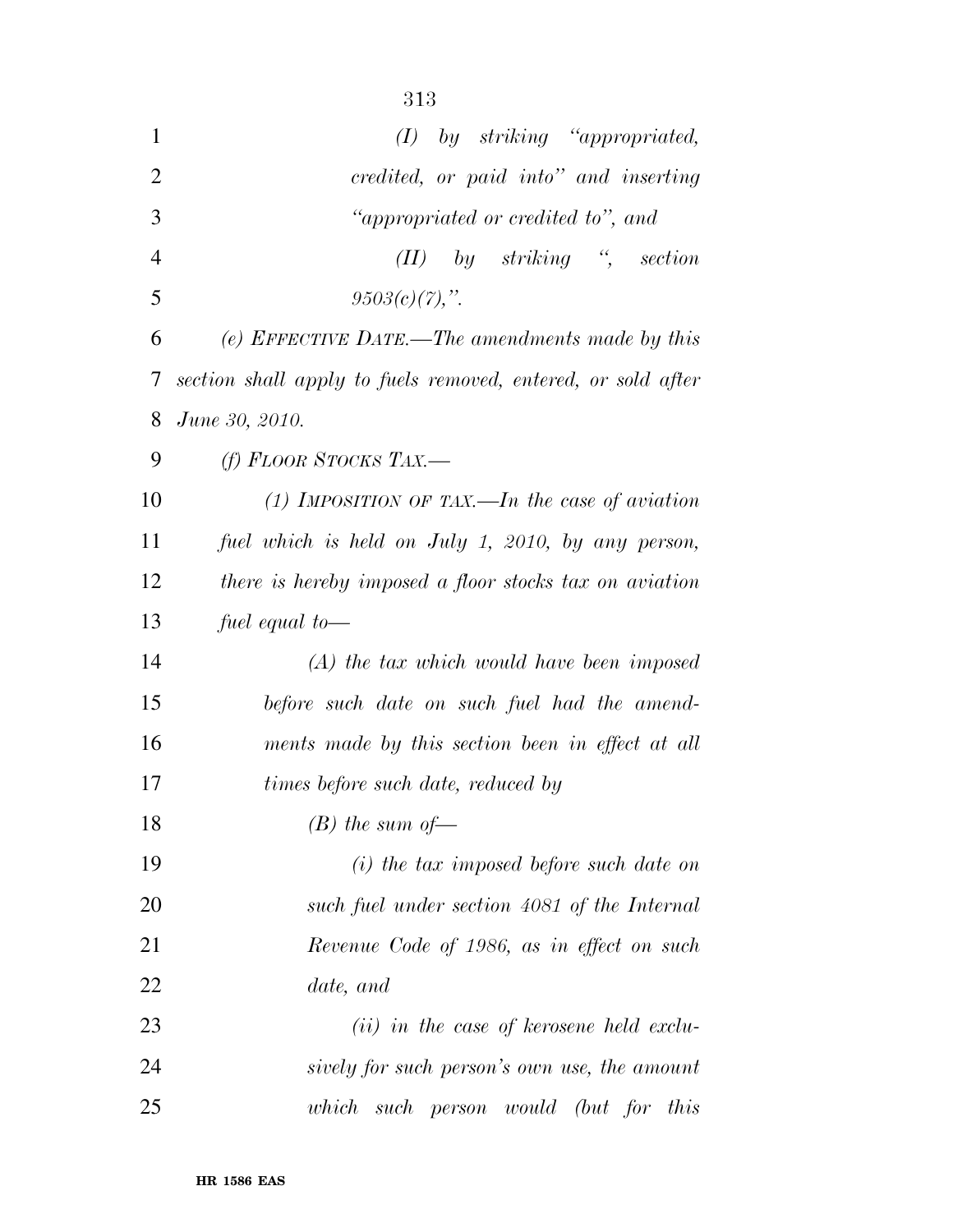| $\mathbf{1}$   | by striking "appropriated,<br>(I)                            |
|----------------|--------------------------------------------------------------|
| $\overline{2}$ | credited, or paid into" and inserting                        |
| 3              | "appropriated or credited to", and                           |
| $\overline{4}$ | by striking $\degree$ ,<br>section<br>(II)                   |
| 5              | $9503(c)(7)$ ,".                                             |
| 6              | (e) EFFECTIVE DATE.—The amendments made by this              |
| 7              | section shall apply to fuels removed, entered, or sold after |
| 8              | June 30, 2010.                                               |
| 9              | $(f)$ FLOOR STOCKS TAX.—                                     |
| 10             | (1) IMPOSITION OF TAX.—In the case of aviation               |
| 11             | fuel which is held on July 1, 2010, by any person,           |
| 12             | there is hereby imposed a floor stocks tax on aviation       |
| 13             | fuel equal to $-$                                            |
| 14             | $(A)$ the tax which would have been imposed                  |
| 15             | before such date on such fuel had the amend-                 |
| 16             | ments made by this section been in effect at all             |
| 17             | times before such date, reduced by                           |
| 18             | $(B)$ the sum of —                                           |
| 19             | $(i)$ the tax imposed before such date on                    |
| 20             | such fuel under section 4081 of the Internal                 |
| 21             | Revenue Code of 1986, as in effect on such                   |
| 22             | date, and                                                    |
| 23             | $(ii)$ in the case of kerosene held exclu-                   |
| 24             | sively for such person's own use, the amount                 |
| 25             | which such person would (but for this                        |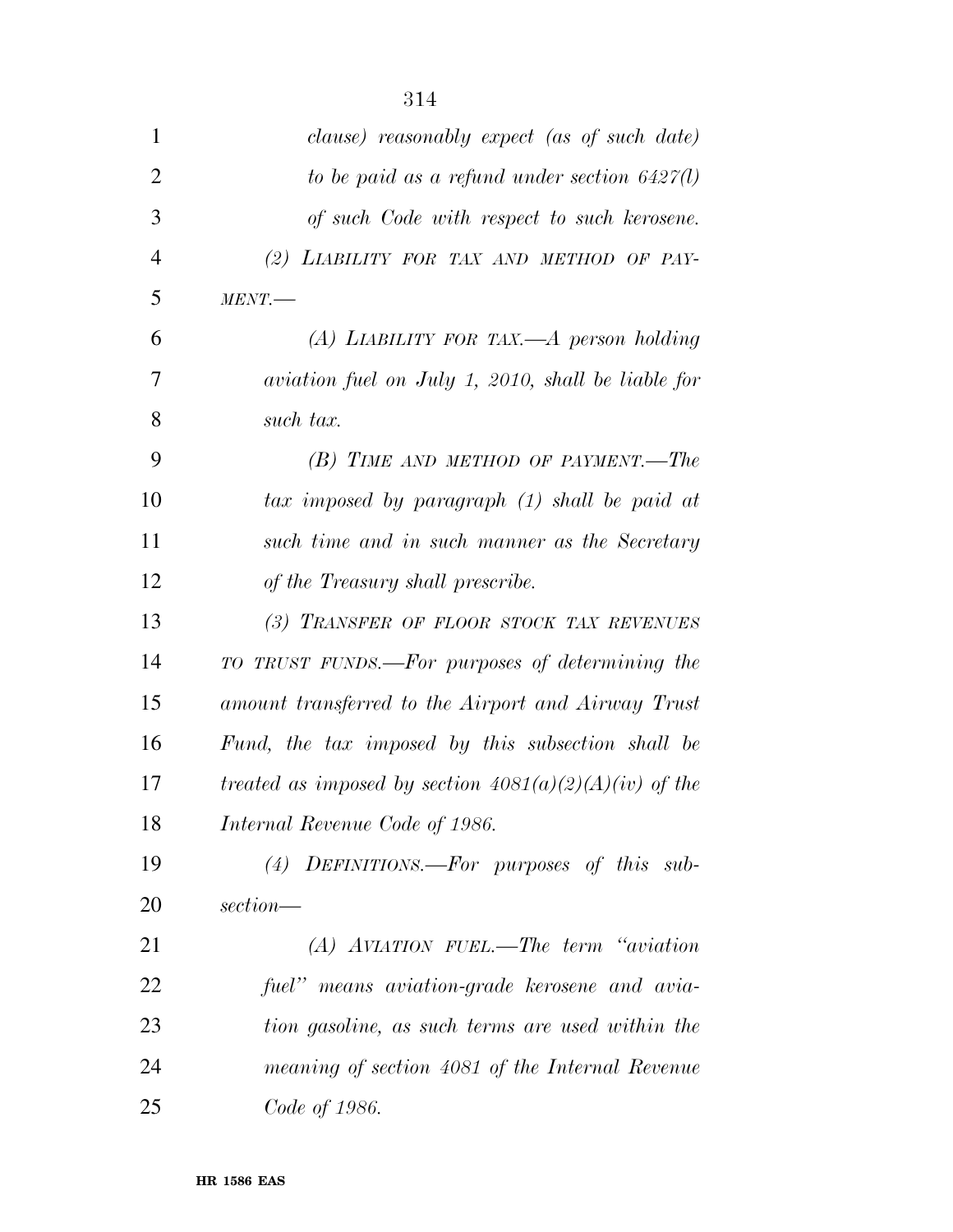| 1              | clause) reasonably expect (as of such date)              |
|----------------|----------------------------------------------------------|
| $\overline{2}$ | to be paid as a refund under section $6427(l)$           |
| 3              | of such Code with respect to such kerosene.              |
| $\overline{4}$ | (2) LIABILITY FOR TAX AND METHOD OF PAY-                 |
| 5              | $MENT$ .                                                 |
| 6              | $(A)$ LIABILITY FOR TAX.—A person holding                |
| 7              | aviation fuel on July 1, 2010, shall be liable for       |
| 8              | such tax.                                                |
| 9              | (B) TIME AND METHOD OF PAYMENT.-The                      |
| 10             | tax imposed by paragraph (1) shall be paid at            |
| 11             | such time and in such manner as the Secretary            |
| 12             | of the Treasury shall prescribe.                         |
| 13             | (3) TRANSFER OF FLOOR STOCK TAX REVENUES                 |
| 14             | TO TRUST FUNDS.—For purposes of determining the          |
| 15             | amount transferred to the Airport and Airway Trust       |
| 16             | Fund, the tax imposed by this subsection shall be        |
| 17             | treated as imposed by section $4081(a)(2)(A)(iv)$ of the |
| 18             | Internal Revenue Code of 1986.                           |
| 19             | $(4)$ DEFINITIONS.—For purposes of this sub-             |
| 20             | section—                                                 |
| 21             | $(A)$ AVIATION FUEL.—The term "aviation"                 |
| 22             | fuel" means aviation-grade kerosene and avia-            |
| 23             | tion gasoline, as such terms are used within the         |
| 24             | meaning of section 4081 of the Internal Revenue          |
| 25             | Code of 1986.                                            |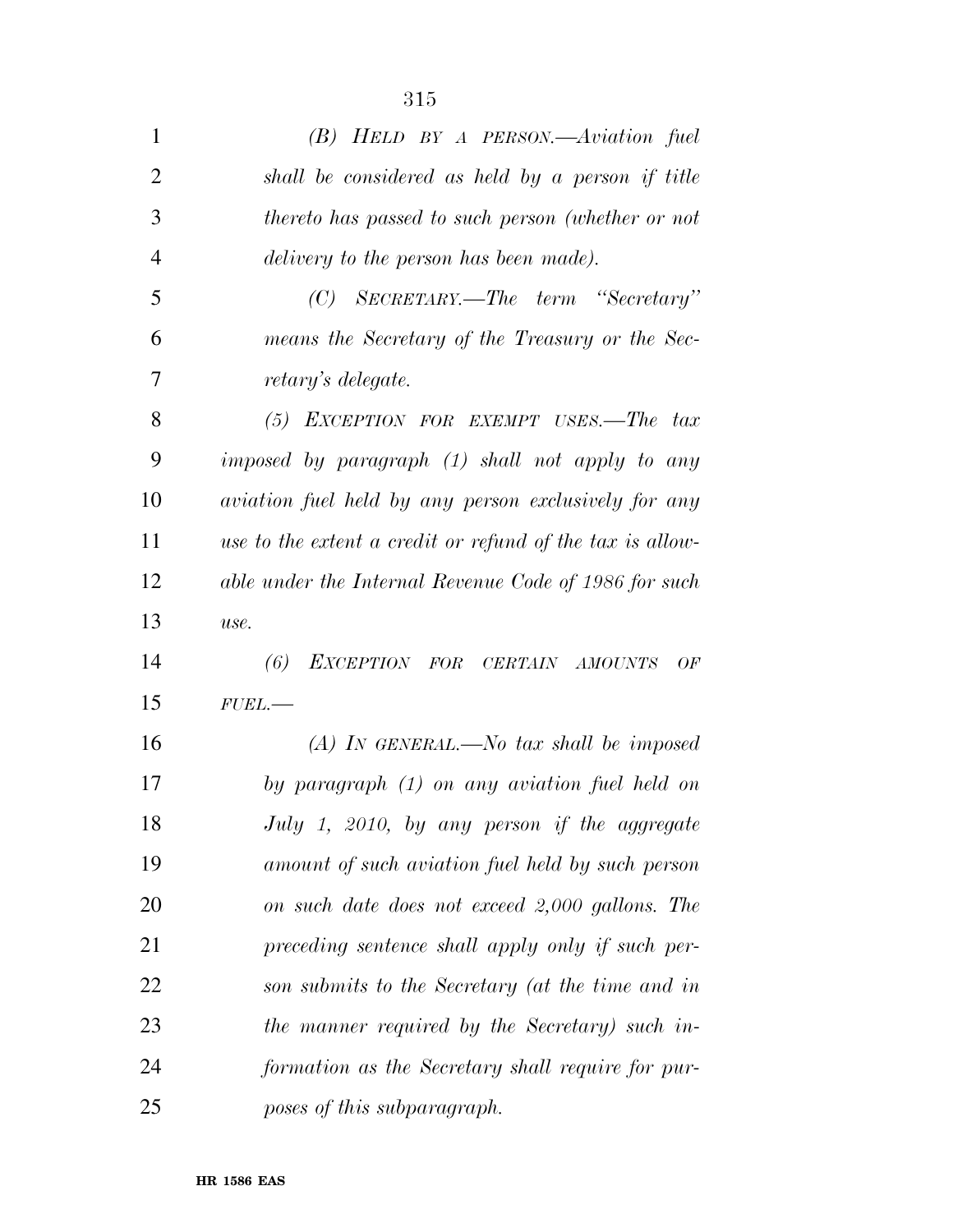| $\mathbf{1}$   | $(B)$ HELD BY A PERSON.—Aviation fuel                       |
|----------------|-------------------------------------------------------------|
| $\overline{2}$ | shall be considered as held by a person if title            |
| 3              | thereto has passed to such person (whether or not           |
| $\overline{4}$ | delivery to the person has been made).                      |
| 5              | $(C)$ SECRETARY.—The term "Secretary"                       |
| 6              | means the Secretary of the Treasury or the Sec-             |
| 7              | <i>retary's delegate.</i>                                   |
| 8              | $(5)$ EXCEPTION FOR EXEMPT USES.—The tax                    |
| 9              | imposed by paragraph (1) shall not apply to any             |
| 10             | <i>aviation fuel held by any person exclusively for any</i> |
| 11             | use to the extent a credit or refund of the tax is allow-   |
| 12             | able under the Internal Revenue Code of 1986 for such       |
| 13             | use.                                                        |
| 14             | (6)<br>EXCEPTION FOR CERTAIN AMOUNTS<br>OF                  |
| 15             | $FUEL$ .                                                    |
| 16             | (A) IN GENERAL.—No tax shall be imposed                     |
| 17             | by paragraph $(1)$ on any aviation fuel held on             |
| 18             | July 1, 2010, by any person if the aggregate                |
| 19             | amount of such aviation fuel held by such person            |
| 20             | on such date does not exceed 2,000 gallons. The             |
| 21             | preceding sentence shall apply only if such per-            |
| 22             | son submits to the Secretary (at the time and in            |
| 23             | the manner required by the Secretary) such in-              |
| 24             | formation as the Secretary shall require for pur-           |
| 25             | poses of this subparagraph.                                 |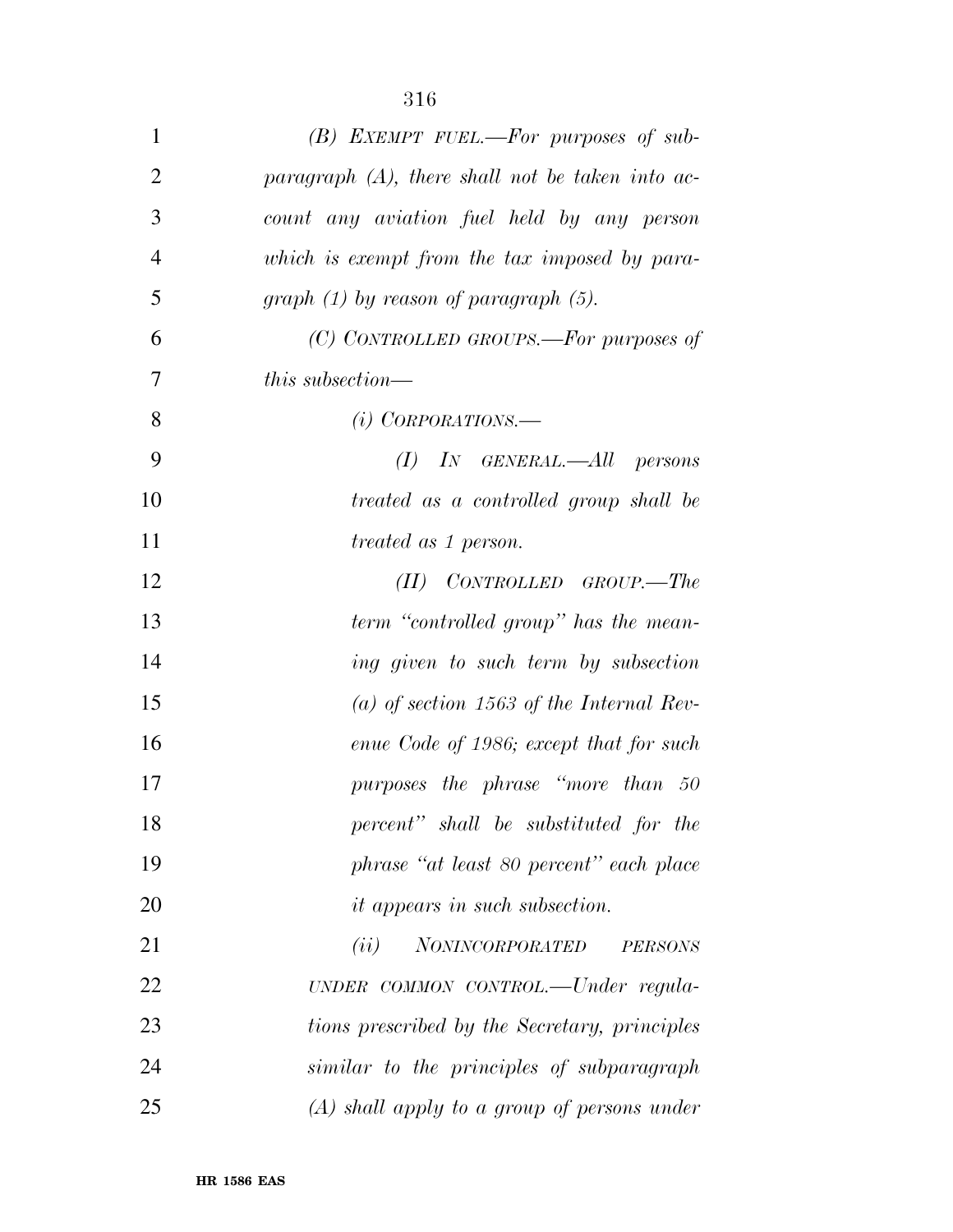| 1              | $(B)$ EXEMPT FUEL.—For purposes of sub-             |
|----------------|-----------------------------------------------------|
| $\overline{2}$ | paragraph $(A)$ , there shall not be taken into ac- |
| 3              | count any aviation fuel held by any person          |
| $\overline{4}$ | which is exempt from the tax imposed by para-       |
| 5              | graph (1) by reason of paragraph (5).               |
| 6              | (C) CONTROLLED GROUPS.—For purposes of              |
| 7              | $this$ subsection—                                  |
| 8              | $(i)$ CORPORATIONS.—                                |
| 9              | $(I)$ In GENERAL.—All persons                       |
| 10             | treated as a controlled group shall be              |
| 11             | <i>treated as 1 person.</i>                         |
| 12             | $(II)$ CONTROLLED GROUP.—The                        |
| 13             | term "controlled group" has the mean-               |
| 14             | ing given to such term by subsection                |
| 15             | (a) of section 1563 of the Internal Rev-            |
| 16             | enue Code of 1986; except that for such             |
| 17             | purposes the phrase "more than 50"                  |
| 18             | percent" shall be substituted for the               |
| 19             | phrase "at least 80 percent" each place             |
| 20             | <i>it appears in such subsection.</i>               |
| 21             | <b>NONINCORPORATED</b><br>(ii)<br><b>PERSONS</b>    |
| 22             | UNDER COMMON CONTROL.—Under regula-                 |
| 23             | tions prescribed by the Secretary, principles       |
| 24             | similar to the principles of subparagraph           |
| 25             | $(A)$ shall apply to a group of persons under       |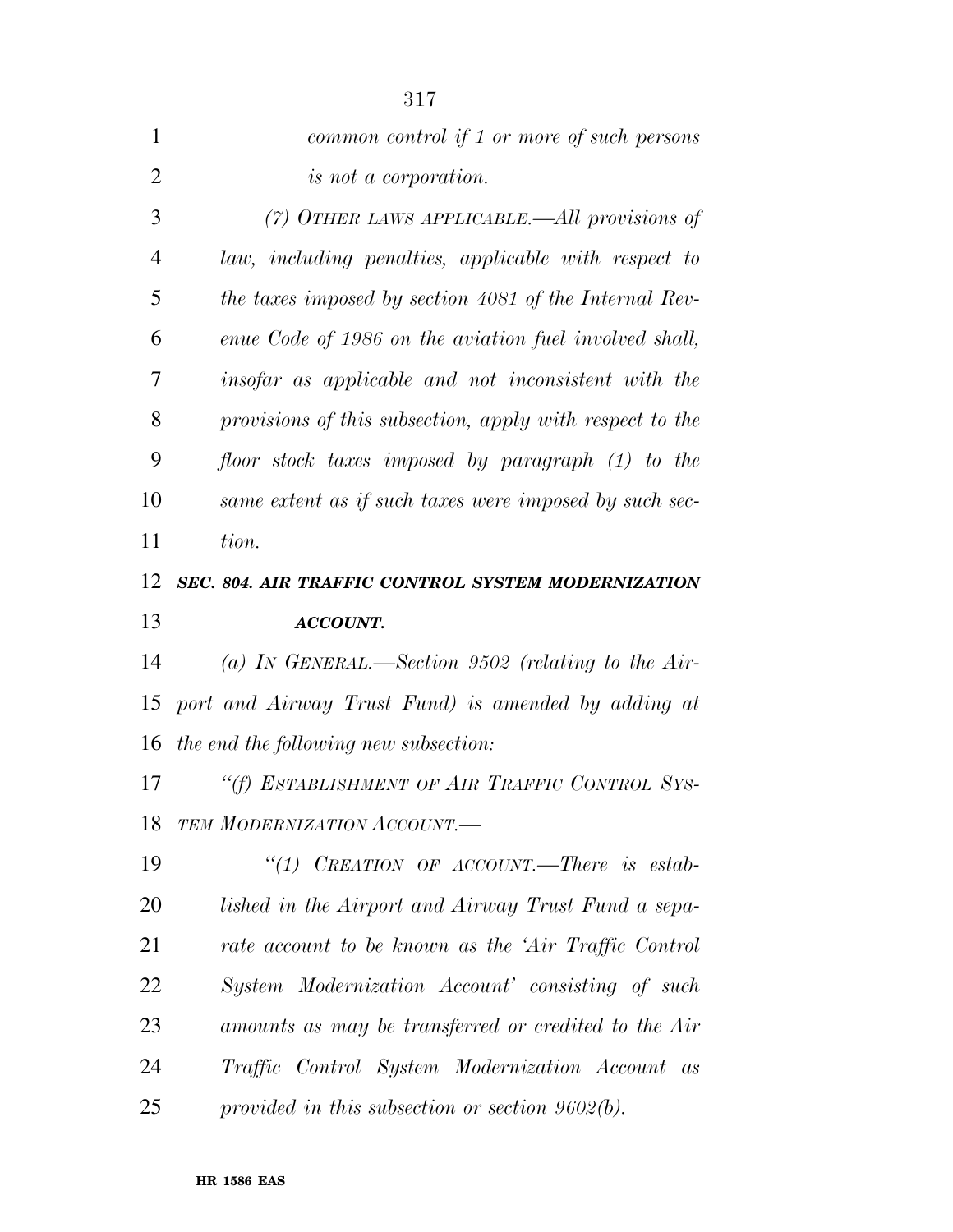| 1              | common control if 1 or more of such persons              |
|----------------|----------------------------------------------------------|
| $\overline{2}$ | <i>is not a corporation.</i>                             |
| 3              | (7) OTHER LAWS APPLICABLE.—All provisions of             |
| $\overline{4}$ | law, including penalties, applicable with respect to     |
| 5              | the taxes imposed by section 4081 of the Internal Rev-   |
| 6              | enue Code of 1986 on the aviation fuel involved shall,   |
| 7              | insofar as applicable and not inconsistent with the      |
| 8              | provisions of this subsection, apply with respect to the |
| 9              | floor stock taxes imposed by paragraph (1) to the        |
| 10             | same extent as if such taxes were imposed by such sec-   |
| 11             | tion.                                                    |
| 12             | SEC. 804. AIR TRAFFIC CONTROL SYSTEM MODERNIZATION       |
|                |                                                          |
| 13             | <b>ACCOUNT.</b>                                          |
| 14             | (a) IN GENERAL.—Section 9502 (relating to the Air-       |
| 15             | port and Airway Trust Fund) is amended by adding at      |
| 16             | the end the following new subsection:                    |
| 17             | "(f) ESTABLISHMENT OF AIR TRAFFIC CONTROL SYS-           |
|                | 18 TEM MODERNIZATION ACCOUNT.                            |
| 19             | "(1) CREATION OF ACCOUNT.—There is estab-                |
| 20             | lished in the Airport and Airway Trust Fund a sepa-      |
| 21             | rate account to be known as the 'Air Traffic Control     |
| 22             | System Modernization Account' consisting of such         |
| 23             | amounts as may be transferred or credited to the Air     |

*provided in this subsection or section 9602(b).*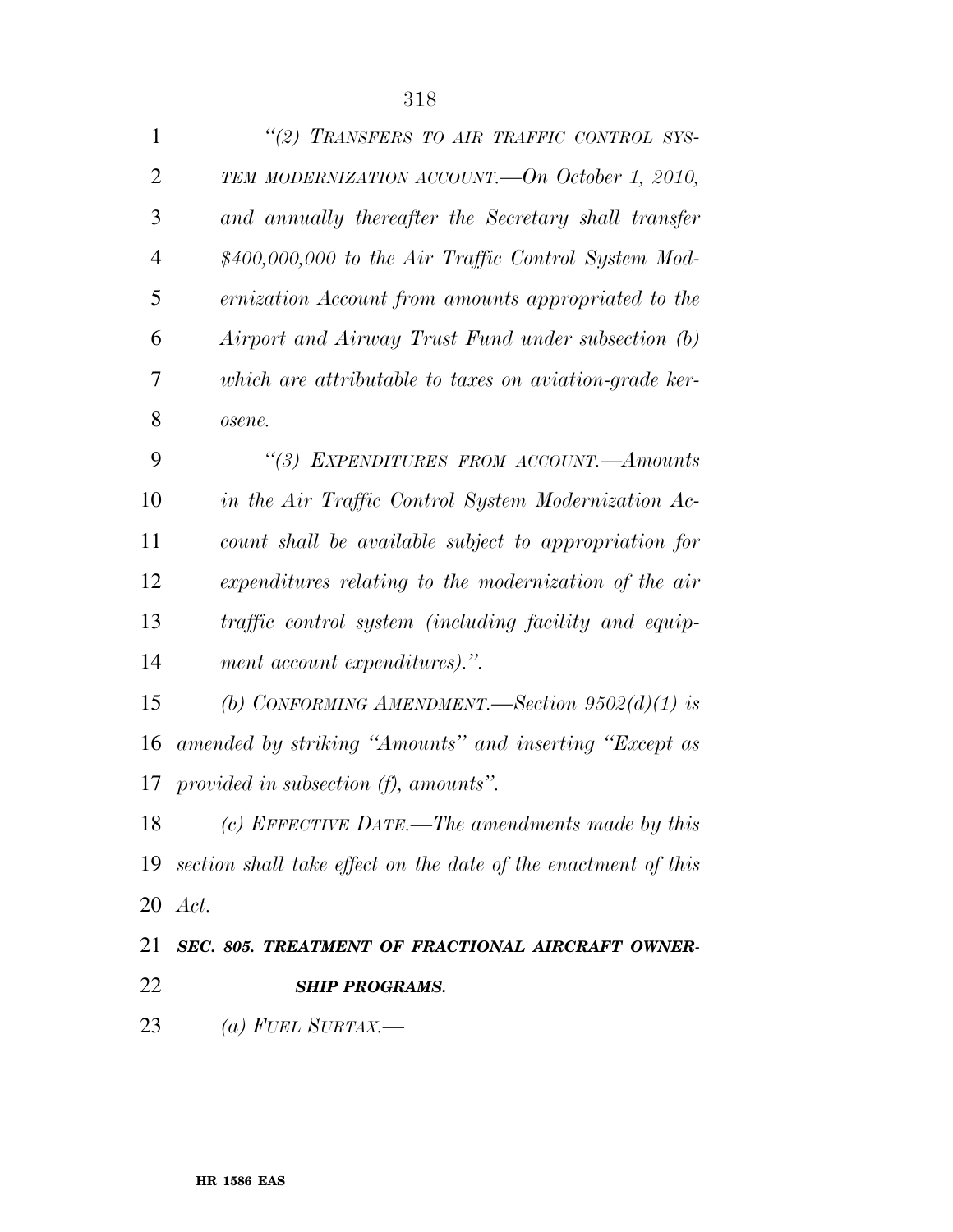| $\mathbf{1}$   | "(2) TRANSFERS TO AIR TRAFFIC CONTROL SYS-             |
|----------------|--------------------------------------------------------|
| $\overline{2}$ | TEM MODERNIZATION ACCOUNT. On October 1, 2010,         |
| 3              | and annually thereafter the Secretary shall transfer   |
| $\overline{4}$ | \$400,000,000 to the Air Traffic Control System Mod-   |
| 5              | ernization Account from amounts appropriated to the    |
| 6              | Airport and Airway Trust Fund under subsection (b)     |
| 7              | which are attributable to taxes on aviation-grade ker- |
| 8              | osene.                                                 |
| 9              | "(3) EXPENDITURES FROM ACCOUNT.—Amounts                |
| 10             | in the Air Traffic Control System Modernization Ac-    |
| 11             | count shall be available subject to appropriation for  |
| 12             | expenditures relating to the modernization of the air  |
| 13             | traffic control system (including facility and equip-  |
| 14             | ment account expenditures).".                          |
| 15             | (b) CONFORMING AMENDMENT.—Section $9502(d)(1)$ is      |
| 16             | amended by striking "Amounts" and inserting "Except as |
| 17             | provided in subsection $(f)$ , amounts".               |

 *(c) EFFECTIVE DATE.—The amendments made by this section shall take effect on the date of the enactment of this Act.* 

 *SEC. 805. TREATMENT OF FRACTIONAL AIRCRAFT OWNER-SHIP PROGRAMS.* 

*(a) FUEL SURTAX.—*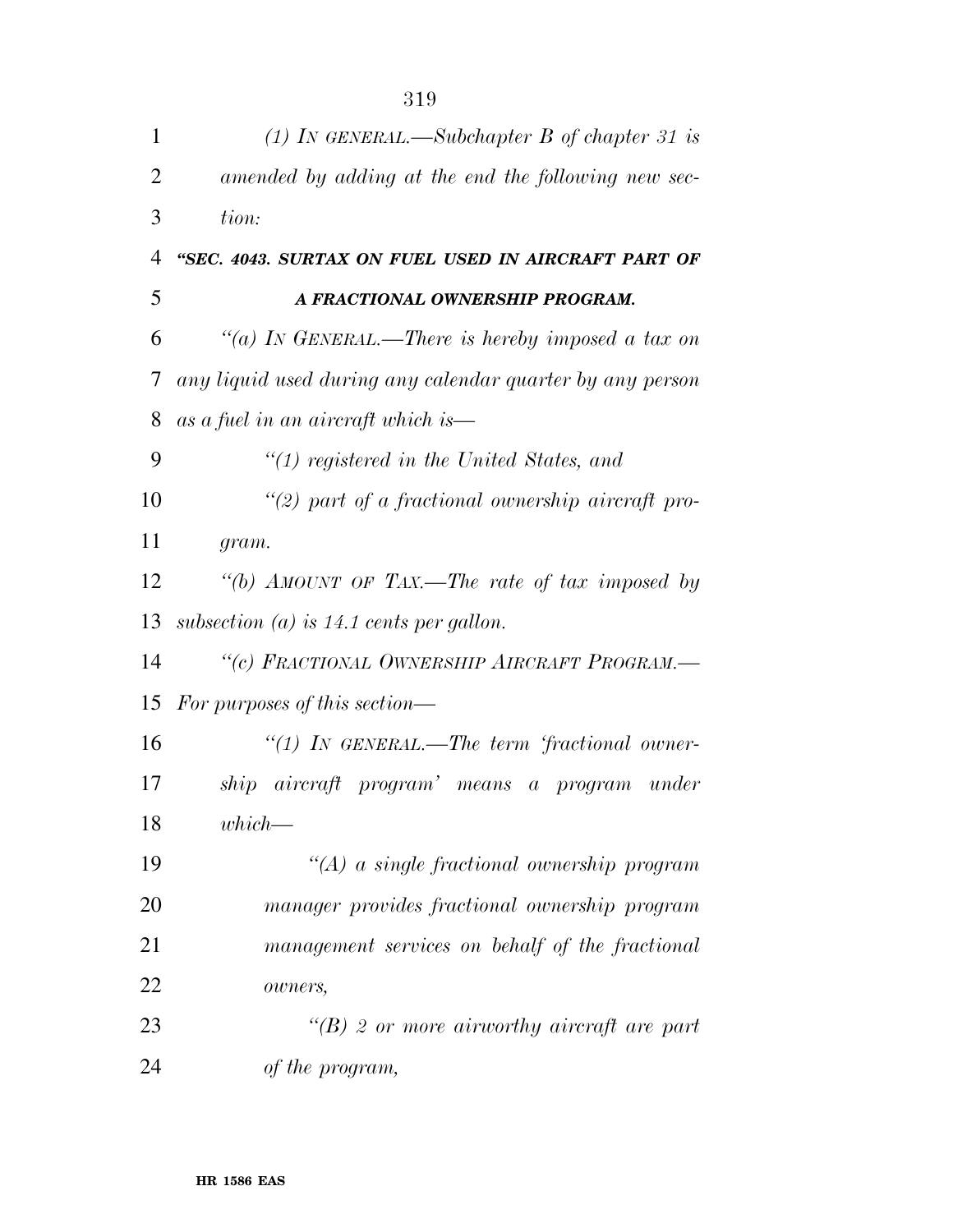| 1              | (1) IN GENERAL.—Subchapter $B$ of chapter 31 is           |
|----------------|-----------------------------------------------------------|
| $\overline{2}$ | amended by adding at the end the following new sec-       |
| 3              | tion:                                                     |
| 4              | "SEC. 4043. SURTAX ON FUEL USED IN AIRCRAFT PART OF       |
| 5              | A FRACTIONAL OWNERSHIP PROGRAM.                           |
| 6              | "(a) IN GENERAL.—There is hereby imposed a tax on         |
| 7              | any liquid used during any calendar quarter by any person |
| 8              | as a fuel in an aircraft which is—                        |
| 9              | $\lq(1)$ registered in the United States, and             |
| 10             | $\lq(2)$ part of a fractional ownership aircraft pro-     |
| 11             | gram.                                                     |
| 12             | "(b) AMOUNT OF TAX.—The rate of tax imposed by            |
| 13             | subsection (a) is 14.1 cents per gallon.                  |
| 14             | "(c) FRACTIONAL OWNERSHIP AIRCRAFT PROGRAM.-              |
| 15             | For purposes of this section—                             |
| 16             | $\lq(1)$ IN GENERAL.—The term 'fractional owner-          |
| 17             | aircraft program' means a program under<br>ship           |
| 18             | $which$ —                                                 |
| 19             | $\lq (A)$ a single fractional ownership program           |
| 20             | manager provides fractional ownership program             |
| 21             | management services on behalf of the fractional           |
| 22             | owners,                                                   |
| 23             | $\lq (B)$ 2 or more airworthy aircraft are part           |
| 24             | of the program,                                           |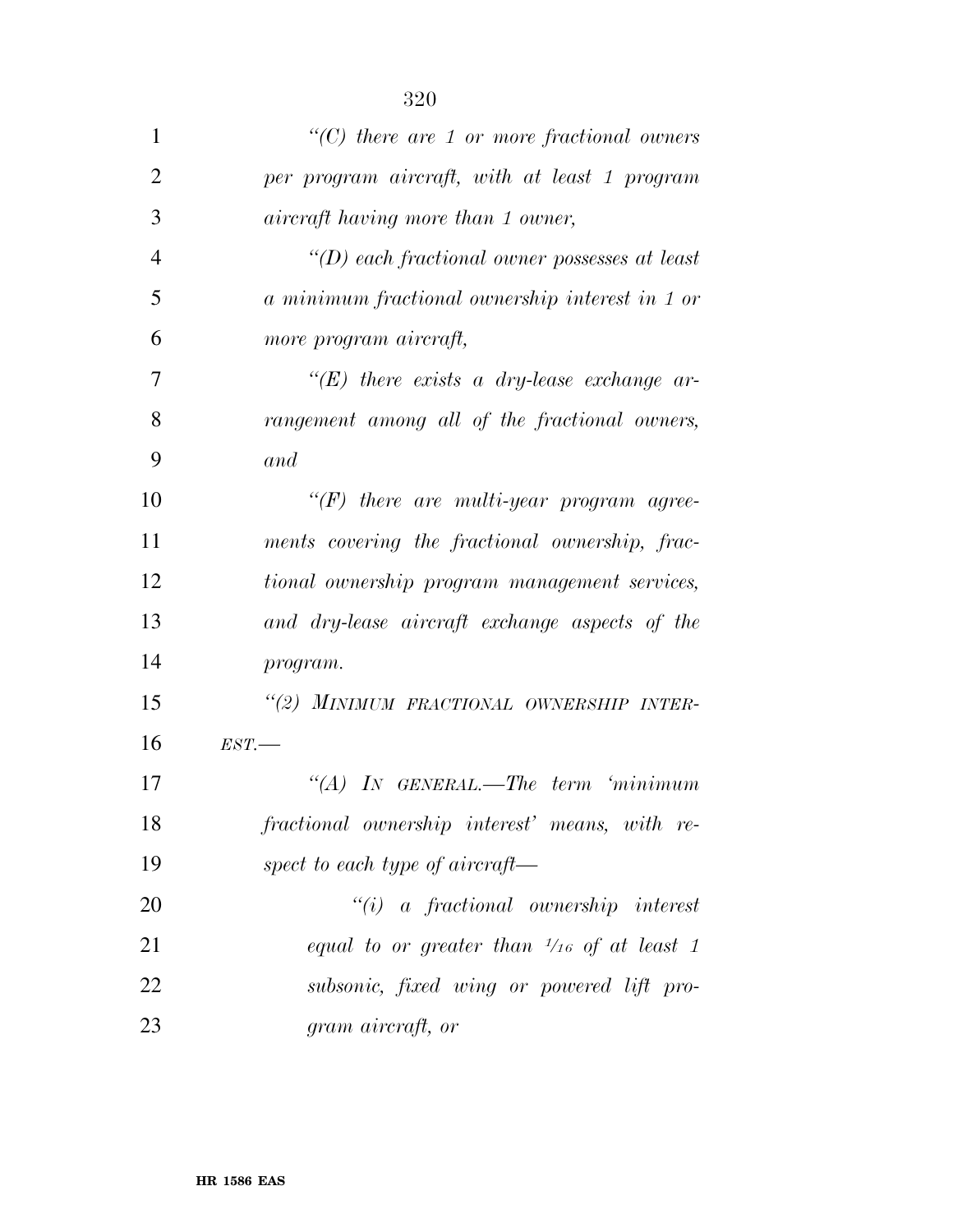| $\mathbf{1}$   | $\lq\lq C$ there are 1 or more fractional owners      |
|----------------|-------------------------------------------------------|
| $\overline{2}$ | per program aircraft, with at least 1 program         |
| 3              | <i>aircraft having more than 1 owner,</i>             |
| $\overline{4}$ | "(D) each fractional owner possesses at least         |
| 5              | a minimum fractional ownership interest in 1 or       |
| 6              | more program aircraft,                                |
| 7              | $\lq\lq(E)$ there exists a dry-lease exchange ar-     |
| 8              | rangement among all of the fractional owners,         |
| 9              | and                                                   |
| 10             | $\lq\lq(F)$ there are multi-year program agree-       |
| 11             | ments covering the fractional ownership, frac-        |
| 12             | tional ownership program management services,         |
| 13             | and dry-lease aircraft exchange aspects of the        |
| 14             | program.                                              |
| 15             | "(2) MINIMUM FRACTIONAL OWNERSHIP INTER-              |
| 16             | EST.                                                  |
| 17             | " $(A)$ IN GENERAL.—The term 'minimum'                |
| 18             | fractional ownership interest' means, with re-        |
| 19             | spect to each type of aircraft—                       |
| 20             | $``(i)$ a fractional ownership interest               |
| 21             | equal to or greater than $\frac{1}{16}$ of at least 1 |
| 22             | subsonic, fixed wing or powered lift pro-             |
| 23             | gram aircraft, or                                     |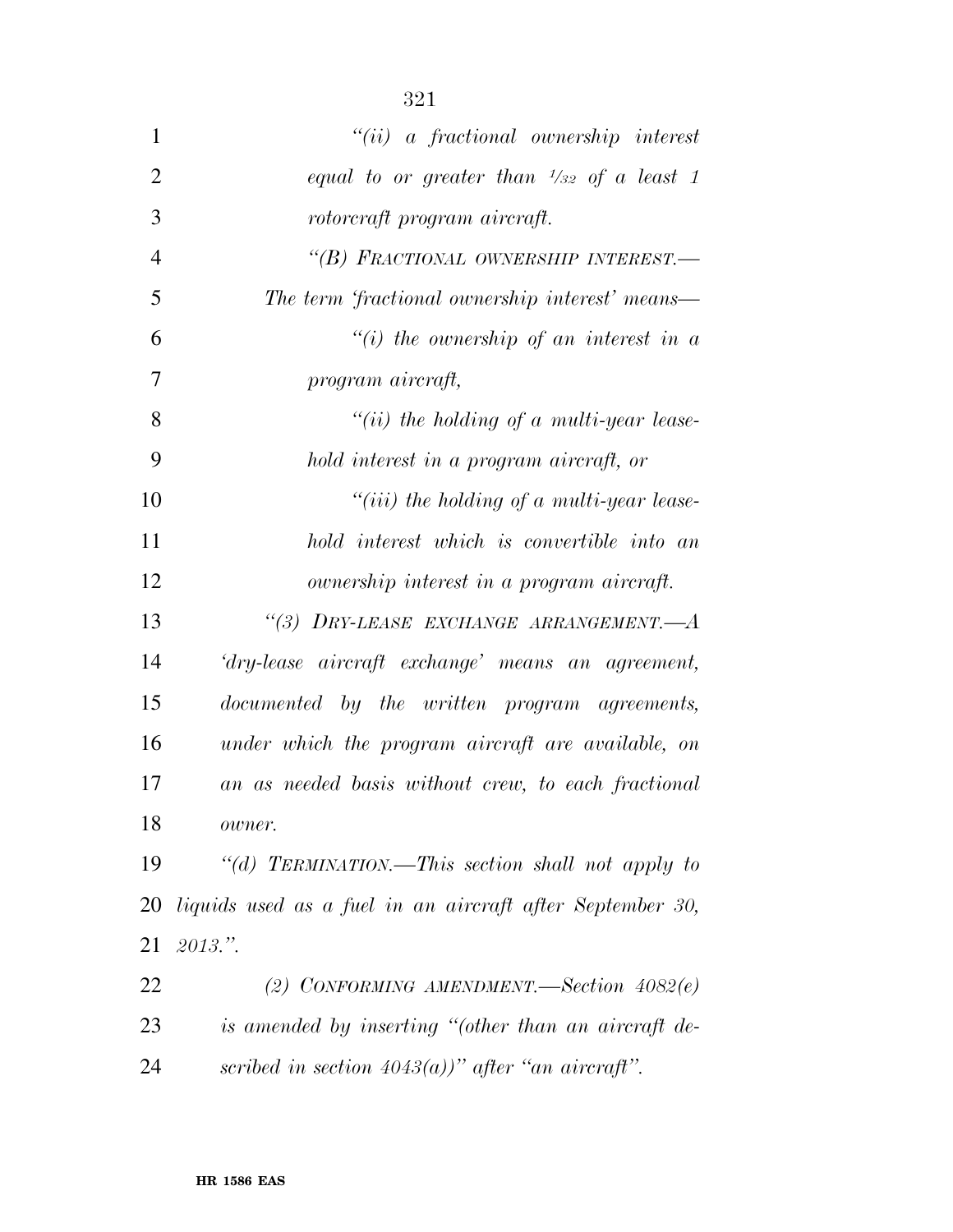| $\mathbf{1}$   | $``(ii)$ a fractional ownership interest                  |
|----------------|-----------------------------------------------------------|
| $\overline{2}$ | equal to or greater than $\frac{1}{32}$ of a least 1      |
| 3              | rotorcraft program aircraft.                              |
| $\overline{4}$ | "(B) FRACTIONAL OWNERSHIP INTEREST.-                      |
| 5              | The term 'fractional ownership interest' means—           |
| 6              | "(i) the ownership of an interest in $a$                  |
| 7              | program aircraft,                                         |
| 8              | "(ii) the holding of a multi-year lease-                  |
| 9              | hold interest in a program aircraft, or                   |
| 10             | "(iii) the holding of a multi-year lease-                 |
| 11             | hold interest which is convertible into an                |
| 12             | ownership interest in a program aircraft.                 |
| 13             | "(3) DRY-LEASE EXCHANGE ARRANGEMENT.- A                   |
| 14             | 'dry-lease aircraft exchange' means an agreement,         |
| 15             | documented by the written program agreements,             |
| 16             | under which the program aircraft are available, on        |
| 17             | an as needed basis without crew, to each fractional       |
| 18             | owner.                                                    |
| 19             | "(d) TERMINATION.—This section shall not apply to         |
| 20             | liquids used as a fuel in an aircraft after September 30, |
| 21             | 2013."                                                    |
| 22             | (2) CONFORMING AMENDMENT.—Section $4082(e)$               |
| 23             | is amended by inserting "(other than an aircraft de-      |
| 24             | scribed in section $4043(a)$ )" after "an aircraft".      |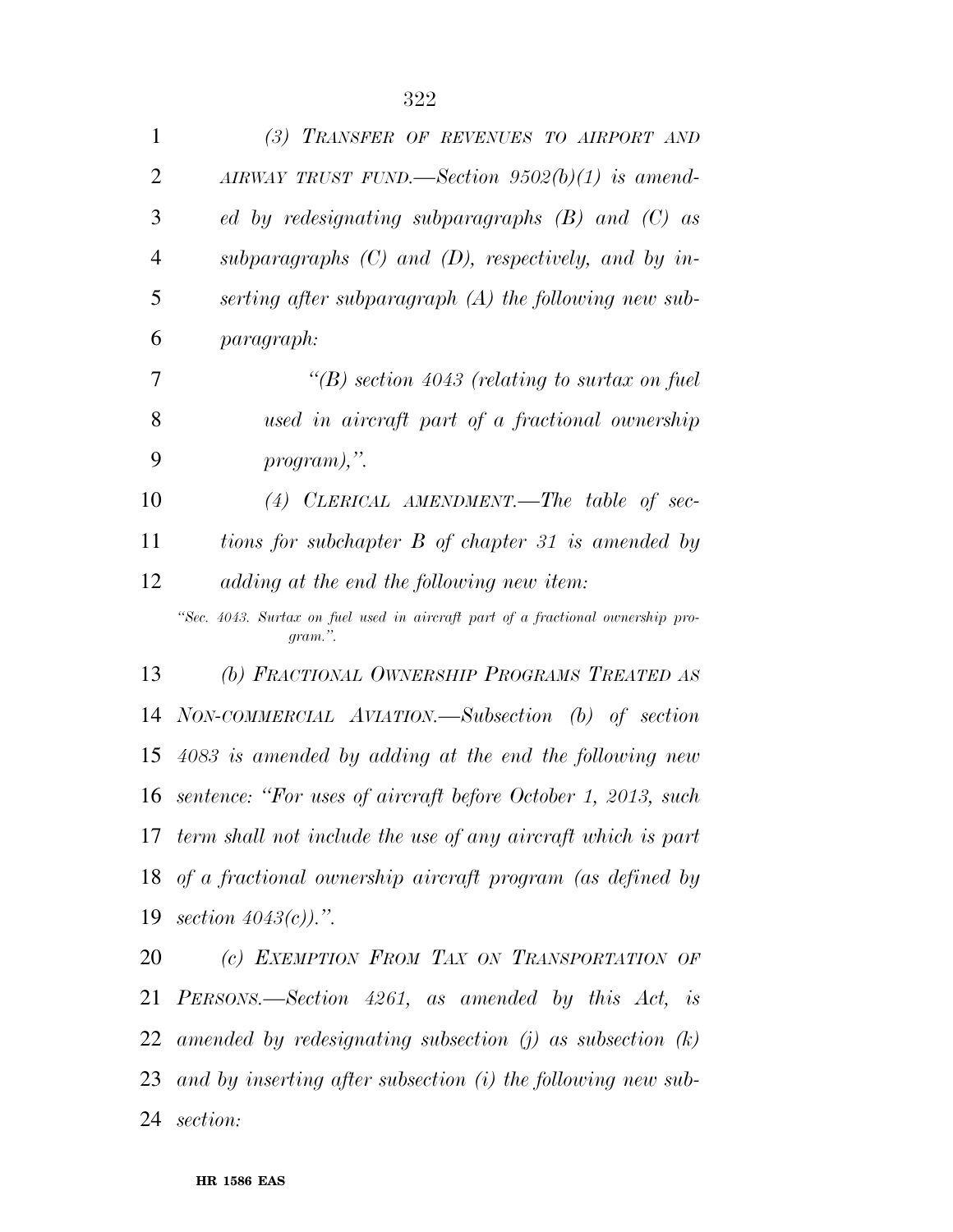| $\mathbf{1}$   | (3) TRANSFER OF REVENUES TO AIRPORT AND                                                    |
|----------------|--------------------------------------------------------------------------------------------|
| $\overline{2}$ | AIRWAY TRUST FUND.—Section $9502(b)(1)$ is amend-                                          |
| 3              | ed by redesignating subparagraphs $(B)$ and $(C)$ as                                       |
| $\overline{4}$ | subparagraphs $(C)$ and $(D)$ , respectively, and by in-                                   |
| 5              | serting after subparagraph (A) the following new sub-                                      |
| 6              | <i>paragraph:</i>                                                                          |
| 7              | "(B) section $4043$ (relating to surtax on fuel                                            |
| 8              | used in aircraft part of a fractional ownership                                            |
| 9              | $program),$ ".                                                                             |
| 10             | $(4)$ CLERICAL AMENDMENT.—The table of sec-                                                |
| 11             | tions for subchapter B of chapter 31 is amended by                                         |
| 12             | adding at the end the following new item:                                                  |
|                | "Sec. 4043. Surtax on fuel used in aircraft part of a fractional ownership pro-<br>gram.". |
| 13             | (b) FRACTIONAL OWNERSHIP PROGRAMS TREATED AS                                               |
| 14             | NON-COMMERCIAL AVIATION.—Subsection (b) of section                                         |
| 15             | 4083 is amended by adding at the end the following new                                     |
|                | 16 sentence: "For uses of aircraft before October 1, 2013, such                            |
| 17             | term shall not include the use of any aircraft which is part                               |
| 18             | of a fractional ownership aircraft program (as defined by                                  |
| 19             | section $4043(c)$ .                                                                        |
| 20             | (c) EXEMPTION FROM TAX ON TRANSPORTATION OF                                                |
| 21             | PERSONS.—Section 4261, as amended by this Act, is                                          |
| 22             | amended by redesignating subsection (j) as subsection $(k)$                                |
| 23             | and by inserting after subsection (i) the following new sub-                               |
| 24             | section:                                                                                   |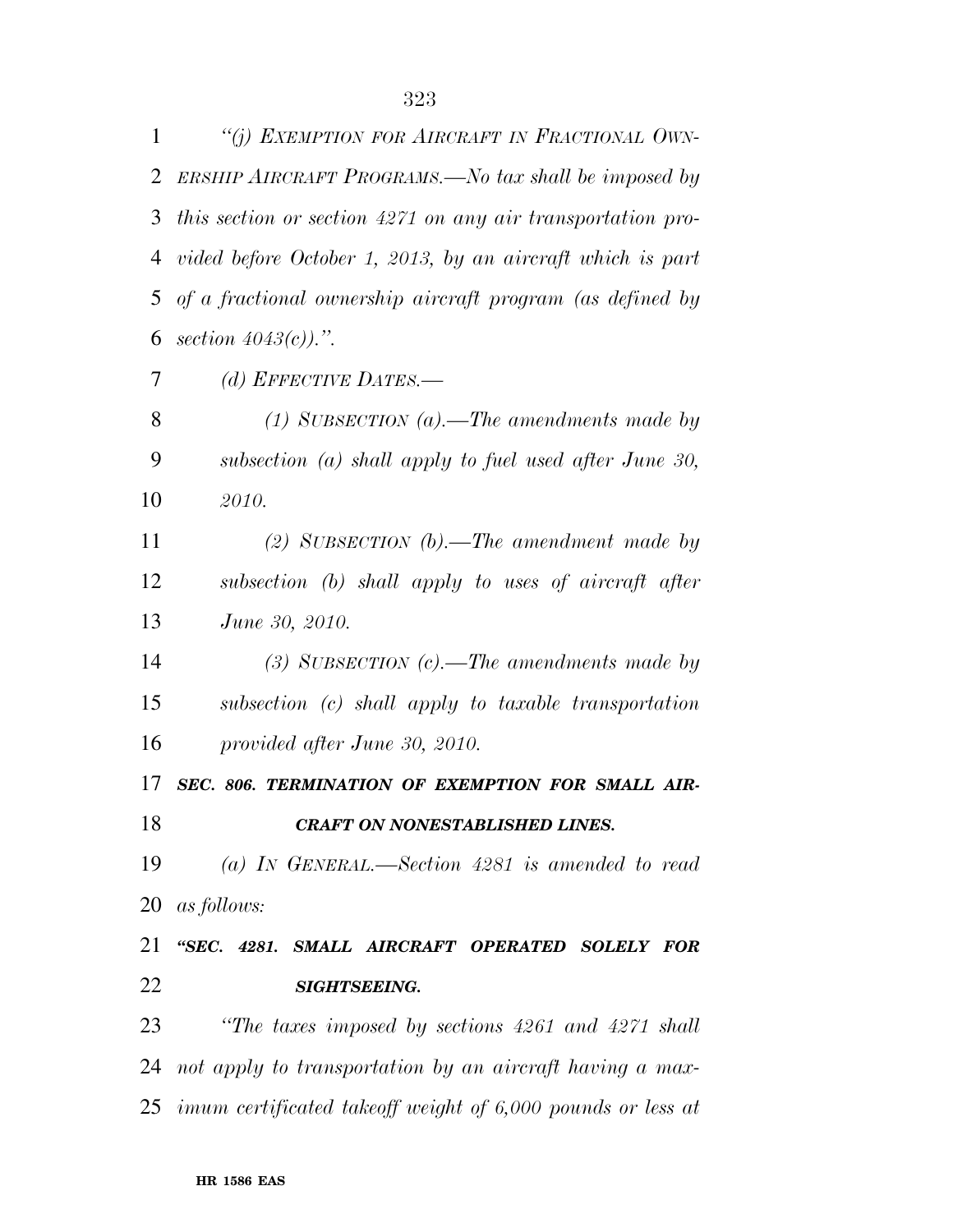*''(j) EXEMPTION FOR AIRCRAFT IN FRACTIONAL OWN-*

| 2  | ERSHIP AIRCRAFT PROGRAMS.—No tax shall be imposed by             |
|----|------------------------------------------------------------------|
| 3  | this section or section 4271 on any air transportation pro-      |
| 4  | vided before October 1, 2013, by an aircraft which is part       |
| 5  | of a fractional ownership aircraft program (as defined by        |
| 6  | section $4043(c)$ .".                                            |
| 7  | (d) EFFECTIVE DATES.-                                            |
| 8  | (1) SUBSECTION (a).—The amendments made by                       |
| 9  | subsection (a) shall apply to fuel used after June 30,           |
| 10 | 2010.                                                            |
| 11 | (2) SUBSECTION (b).—The amendment made by                        |
| 12 | subsection (b) shall apply to uses of aircraft after             |
| 13 | June 30, 2010.                                                   |
| 14 | (3) SUBSECTION $(c)$ . The amendments made by                    |
| 15 | subsection (c) shall apply to taxable transportation             |
| 16 | provided after June 30, 2010.                                    |
| 17 | SEC. 806. TERMINATION OF EXEMPTION FOR SMALL AIR-                |
| 18 | CRAFT ON NONESTABLISHED LINES.                                   |
|    | 19 (a) IN GENERAL.—Section 4281 is amended to read               |
| 20 | <i>as follows:</i>                                               |
| 21 | "SEC. 4281. SMALL AIRCRAFT OPERATED SOLELY FOR                   |
| 22 | <b>SIGHTSEEING.</b>                                              |
| 23 | "The taxes imposed by sections 4261 and 4271 shall               |
|    | 24 not apply to transportation by an aircraft having a max-      |
|    | 25 imum certificated takeoff weight of $6,000$ pounds or less at |
|    |                                                                  |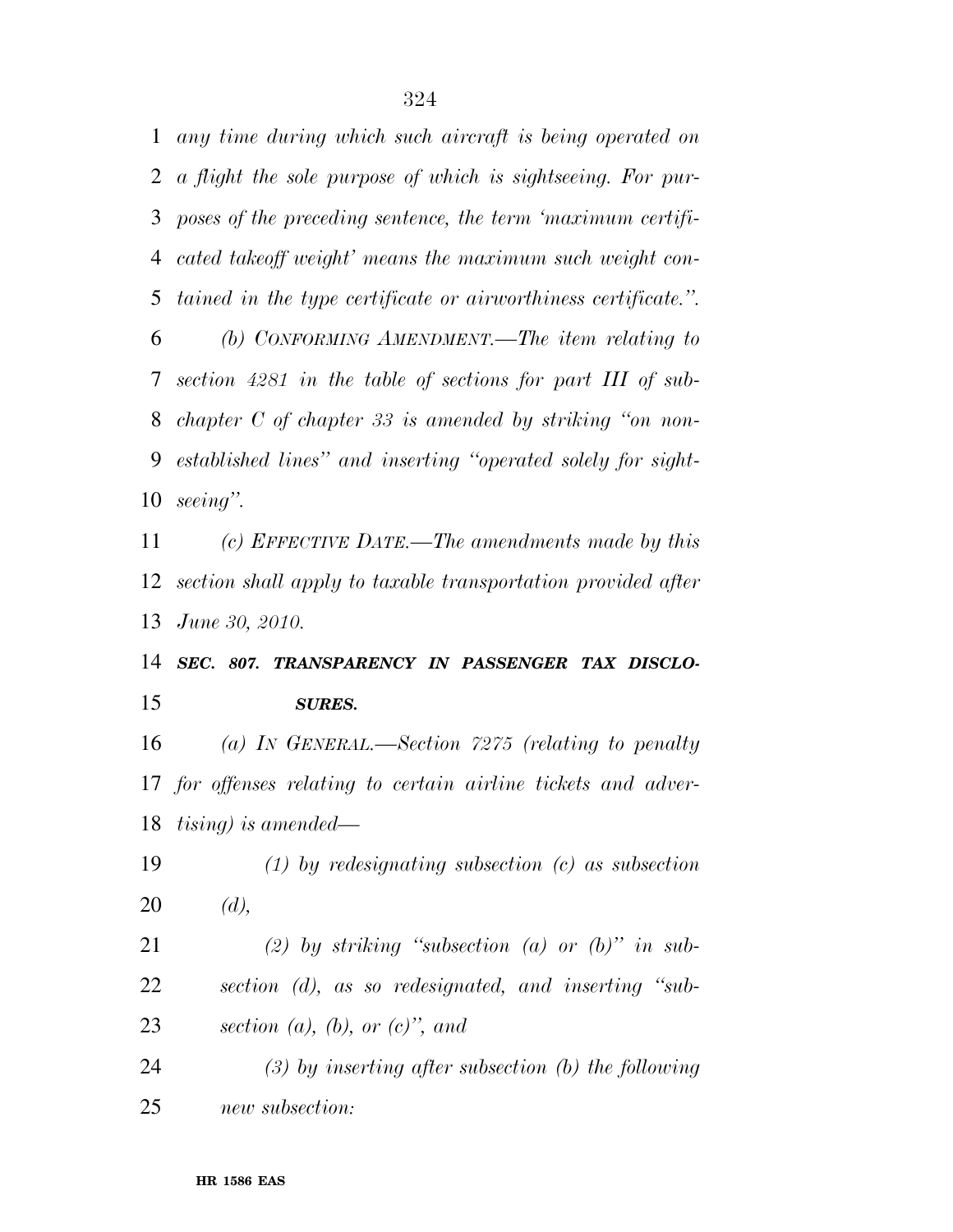*any time during which such aircraft is being operated on a flight the sole purpose of which is sightseeing. For pur- poses of the preceding sentence, the term 'maximum certifi- cated takeoff weight' means the maximum such weight con- tained in the type certificate or airworthiness certificate.''. (b) CONFORMING AMENDMENT.—The item relating to section 4281 in the table of sections for part III of sub- chapter C of chapter 33 is amended by striking ''on non- established lines'' and inserting ''operated solely for sight-seeing''.* 

 *(c) EFFECTIVE DATE.—The amendments made by this section shall apply to taxable transportation provided after June 30, 2010.* 

#### *SEC. 807. TRANSPARENCY IN PASSENGER TAX DISCLO-SURES.*

 *(a) IN GENERAL.—Section 7275 (relating to penalty for offenses relating to certain airline tickets and adver-tising) is amended—* 

- *(1) by redesignating subsection (c) as subsection (d),*
- *(2) by striking ''subsection (a) or (b)'' in sub- section (d), as so redesignated, and inserting ''sub-section (a), (b), or (c)'', and*

 *(3) by inserting after subsection (b) the following new subsection:*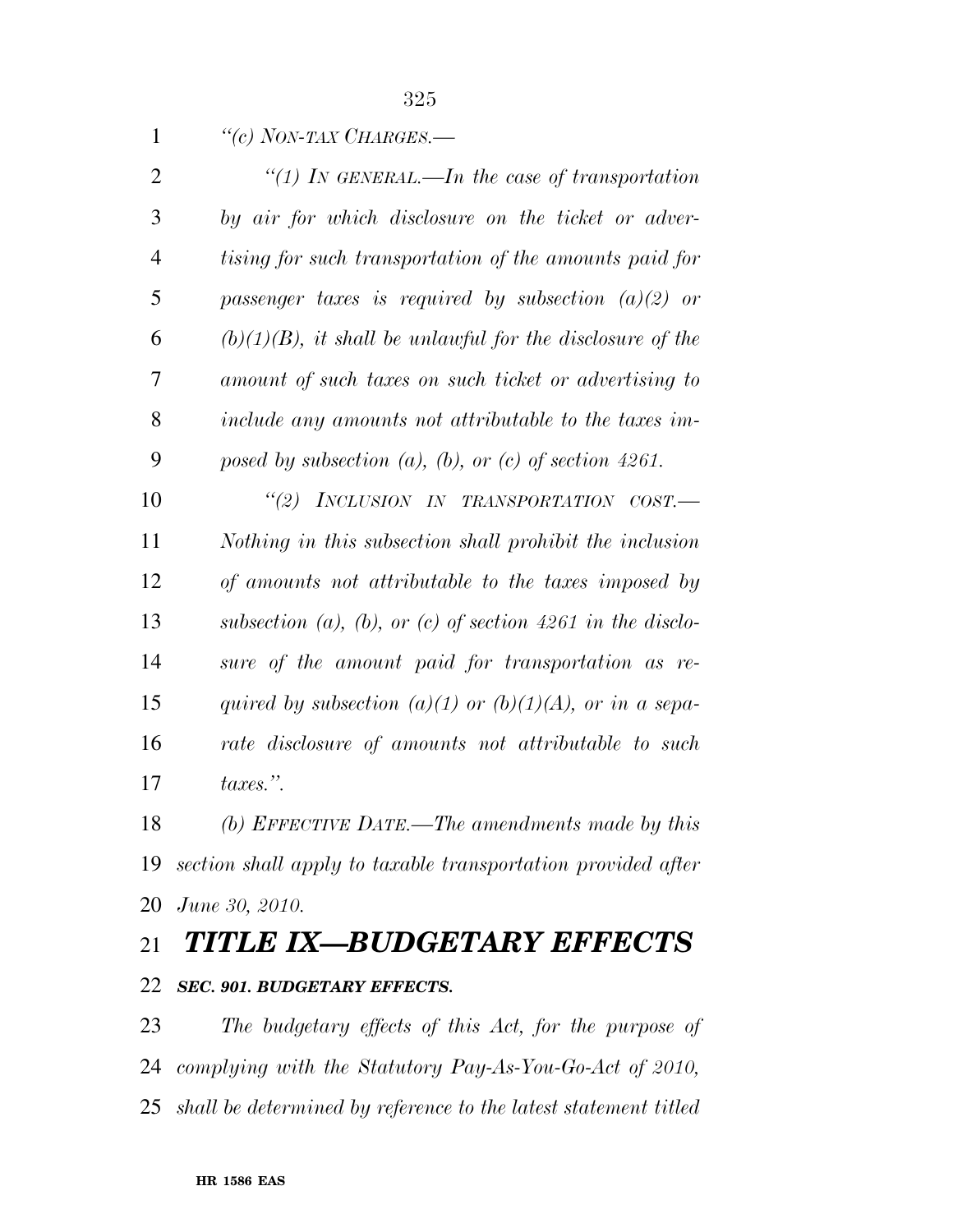| $\mathbf{1}$   | "(c) NON-TAX CHARGES.-                                        |
|----------------|---------------------------------------------------------------|
| $\overline{2}$ | "(1) IN GENERAL.—In the case of transportation                |
| 3              | by air for which disclosure on the ticket or adver-           |
| $\overline{4}$ | tising for such transportation of the amounts paid for        |
| 5              | passenger taxes is required by subsection $(a)(2)$ or         |
| 6              | $(b)(1)(B)$ , it shall be unlawful for the disclosure of the  |
| 7              | amount of such taxes on such ticket or advertising to         |
| 8              | include any amounts not attributable to the taxes im-         |
| 9              | posed by subsection $(a)$ , $(b)$ , or $(c)$ of section 4261. |
| 10             | "(2) INCLUSION IN TRANSPORTATION COST.-                       |
| 11             | Nothing in this subsection shall prohibit the inclusion       |
| 12             | of amounts not attributable to the taxes imposed by           |
| 13             | subsection (a), (b), or (c) of section 4261 in the disclo-    |
| 14             | sure of the amount paid for transportation as re-             |
| 15             | quired by subsection (a)(1) or (b)(1)(A), or in a sepa-       |
| 16             | rate disclosure of amounts not attributable to such           |
| 17             | $\text{taxes."}$ .                                            |
| 18             | (b) EFFECTIVE DATE.—The amendments made by this               |
| 19             | section shall apply to taxable transportation provided after  |

*June 30, 2010.* 

### *TITLE IX—BUDGETARY EFFECTS*

#### *SEC. 901. BUDGETARY EFFECTS.*

 *The budgetary effects of this Act, for the purpose of complying with the Statutory Pay-As-You-Go-Act of 2010, shall be determined by reference to the latest statement titled*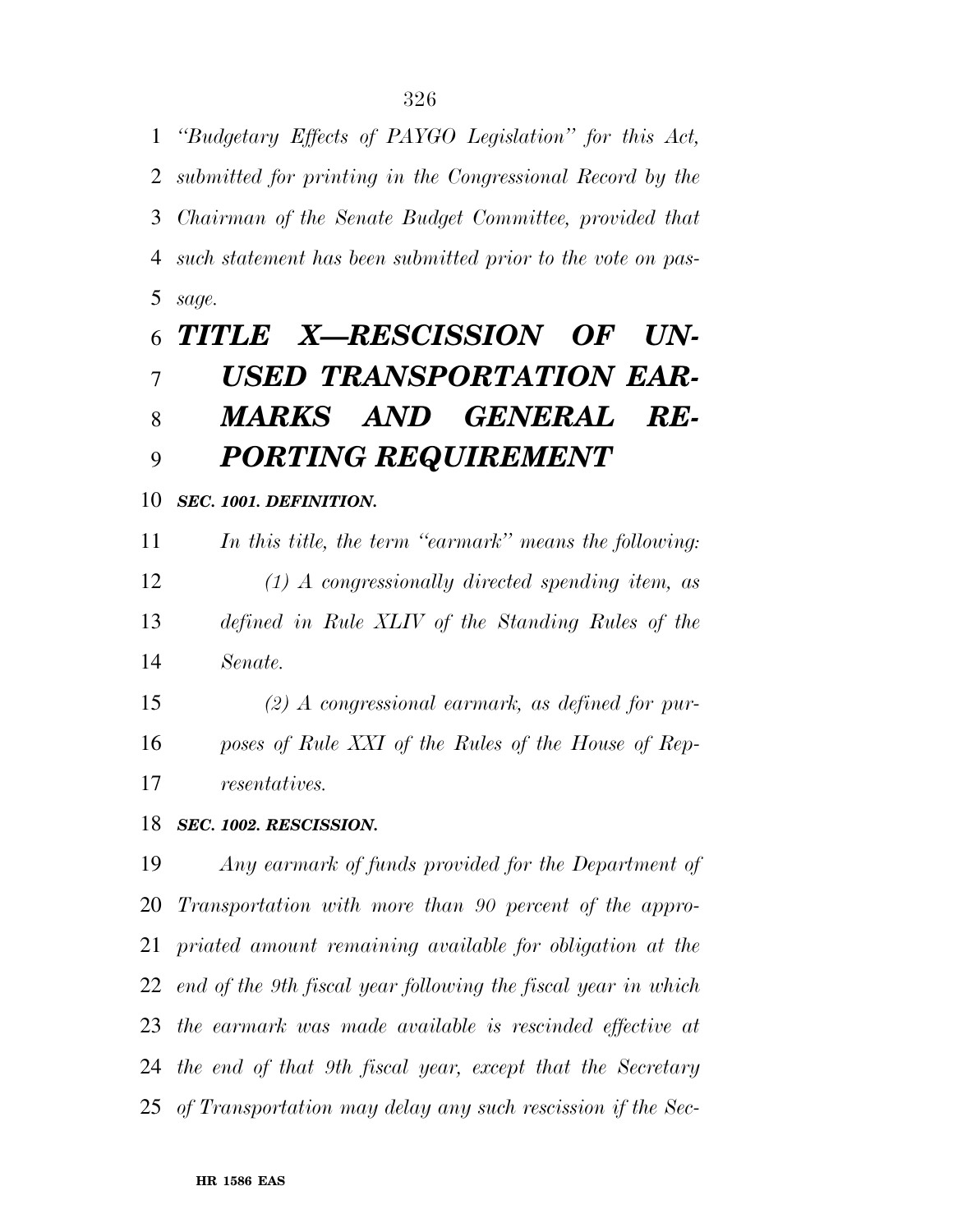*''Budgetary Effects of PAYGO Legislation'' for this Act,* 

*submitted for printing in the Congressional Record by the* 

 *Chairman of the Senate Budget Committee, provided that such statement has been submitted prior to the vote on pas-*

*sage.* 

## *TITLE X—RESCISSION OF UN- USED TRANSPORTATION EAR- MARKS AND GENERAL RE-PORTING REQUIREMENT*

#### *SEC. 1001. DEFINITION.*

 *In this title, the term ''earmark'' means the following: (1) A congressionally directed spending item, as defined in Rule XLIV of the Standing Rules of the Senate.* 

 *(2) A congressional earmark, as defined for pur- poses of Rule XXI of the Rules of the House of Rep-resentatives.* 

#### *SEC. 1002. RESCISSION.*

 *Any earmark of funds provided for the Department of Transportation with more than 90 percent of the appro- priated amount remaining available for obligation at the end of the 9th fiscal year following the fiscal year in which the earmark was made available is rescinded effective at the end of that 9th fiscal year, except that the Secretary of Transportation may delay any such rescission if the Sec-*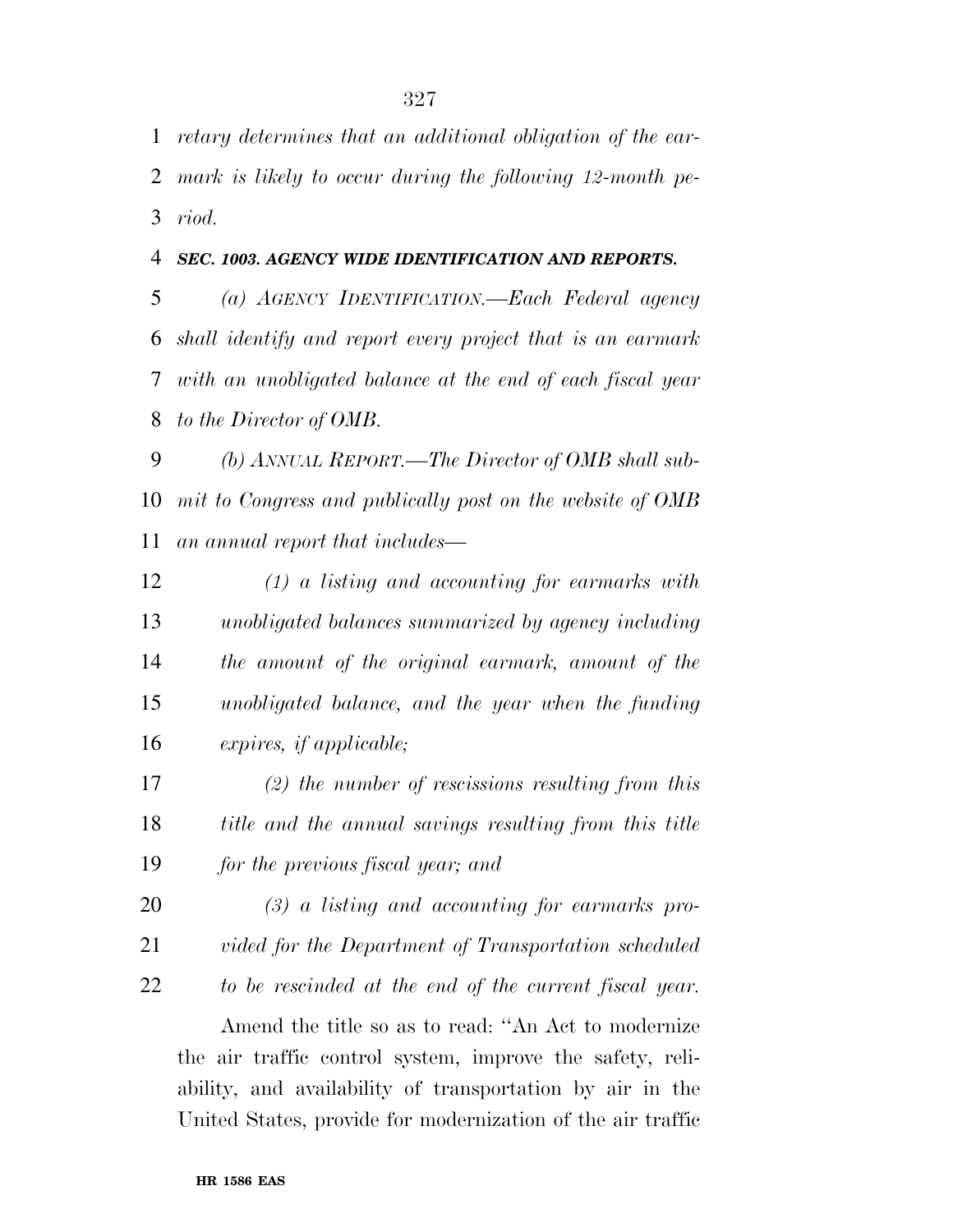*retary determines that an additional obligation of the ear- mark is likely to occur during the following 12-month pe-riod.* 

*SEC. 1003. AGENCY WIDE IDENTIFICATION AND REPORTS.* 

 *(a) AGENCY IDENTIFICATION.—Each Federal agency shall identify and report every project that is an earmark with an unobligated balance at the end of each fiscal year to the Director of OMB.* 

 *(b) ANNUAL REPORT.—The Director of OMB shall sub- mit to Congress and publically post on the website of OMB an annual report that includes—* 

 *(1) a listing and accounting for earmarks with unobligated balances summarized by agency including the amount of the original earmark, amount of the unobligated balance, and the year when the funding expires, if applicable;* 

 *(2) the number of rescissions resulting from this title and the annual savings resulting from this title for the previous fiscal year; and* 

 *(3) a listing and accounting for earmarks pro- vided for the Department of Transportation scheduled to be rescinded at the end of the current fiscal year.* 

Amend the title so as to read: ''An Act to modernize the air traffic control system, improve the safety, reliability, and availability of transportation by air in the United States, provide for modernization of the air traffic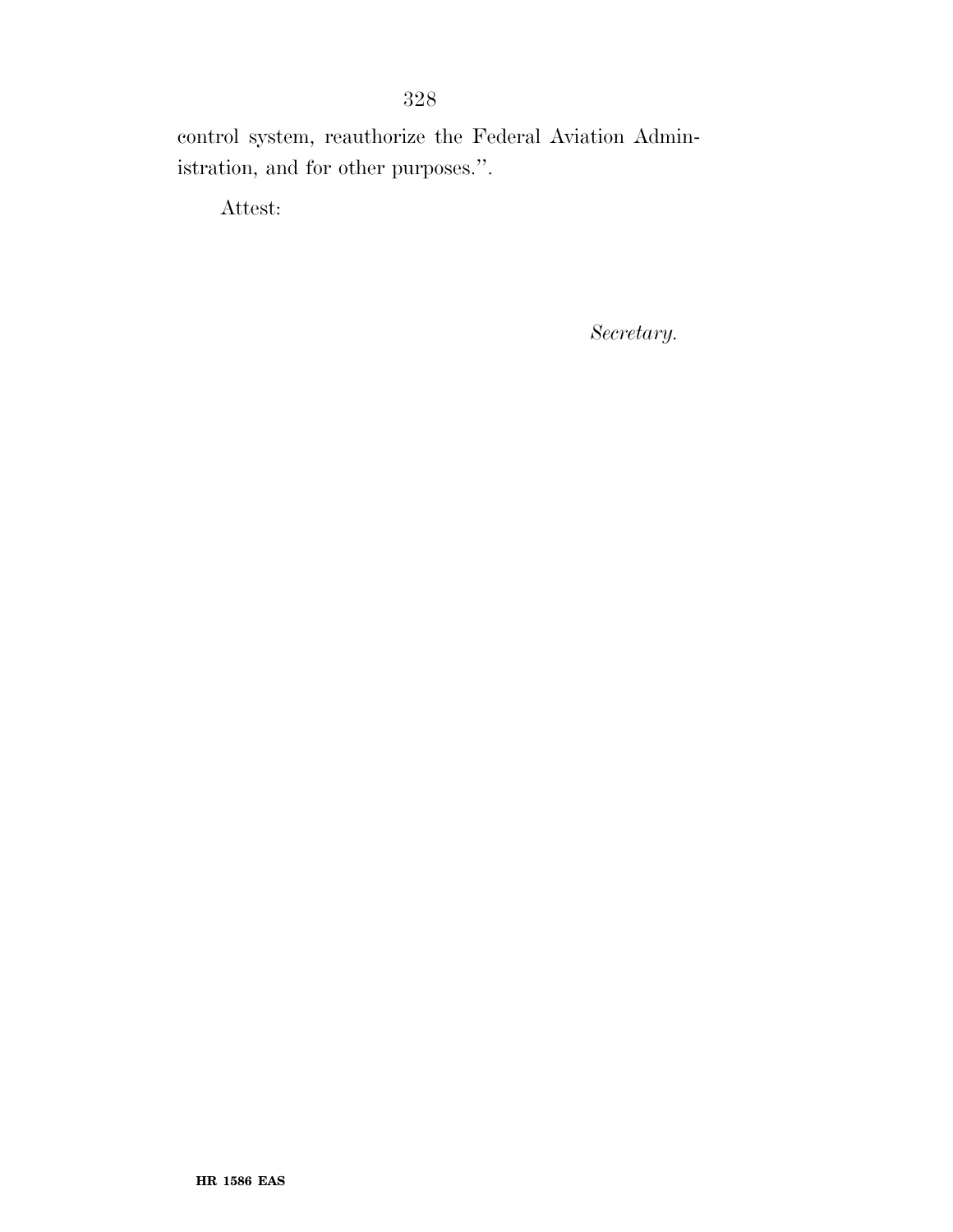control system, reauthorize the Federal Aviation Administration, and for other purposes.''.

Attest:

*Secretary.*